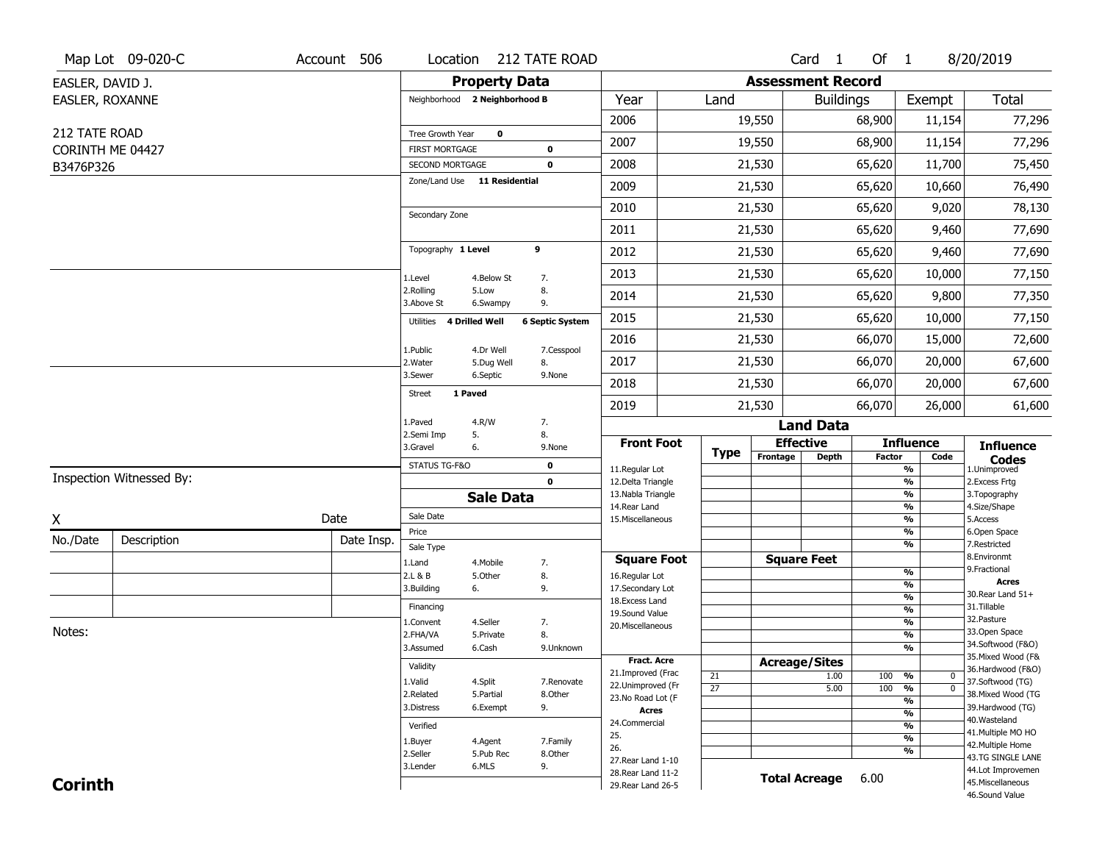|                               | Map Lot 09-020-C         | Account 506 |                                          |                       | Location 212 TATE ROAD     |                                     |                       |          | Card <sub>1</sub>        | Of 1          |                                           | 8/20/2019                           |
|-------------------------------|--------------------------|-------------|------------------------------------------|-----------------------|----------------------------|-------------------------------------|-----------------------|----------|--------------------------|---------------|-------------------------------------------|-------------------------------------|
| EASLER, DAVID J.              |                          |             |                                          | <b>Property Data</b>  |                            |                                     |                       |          | <b>Assessment Record</b> |               |                                           |                                     |
| EASLER, ROXANNE               |                          |             | Neighborhood 2 Neighborhood B            |                       |                            | Year                                | Land                  |          | <b>Buildings</b>         |               | Exempt                                    | Total                               |
|                               |                          |             |                                          |                       |                            | 2006                                |                       | 19,550   |                          | 68,900        | 11,154                                    | 77,296                              |
| 212 TATE ROAD                 |                          |             | Tree Growth Year                         | $\bf{0}$              |                            | 2007                                |                       | 19,550   |                          | 68,900        | 11,154                                    | 77,296                              |
| CORINTH ME 04427<br>B3476P326 |                          |             | <b>FIRST MORTGAGE</b><br>SECOND MORTGAGE |                       | $\mathbf 0$<br>$\mathbf 0$ | 2008                                |                       | 21,530   |                          | 65,620        | 11,700                                    | 75,450                              |
|                               |                          |             | Zone/Land Use 11 Residential             |                       |                            | 2009                                |                       | 21,530   |                          | 65,620        | 10,660                                    | 76,490                              |
|                               |                          |             |                                          |                       |                            | 2010                                |                       | 21,530   |                          | 65,620        | 9,020                                     | 78,130                              |
|                               |                          |             | Secondary Zone                           |                       |                            | 2011                                |                       |          |                          | 65,620        |                                           |                                     |
|                               |                          |             | Topography 1 Level                       |                       | 9                          |                                     |                       | 21,530   |                          |               | 9,460                                     | 77,690                              |
|                               |                          |             |                                          |                       |                            | 2012                                |                       | 21,530   |                          | 65,620        | 9,460                                     | 77,690                              |
|                               |                          |             | 1.Level<br>2.Rolling                     | 4.Below St<br>5.Low   | 7.<br>8.                   | 2013                                |                       | 21,530   |                          | 65,620        | 10,000                                    | 77,150                              |
|                               |                          |             | 3.Above St                               | 6.Swampy              | 9.                         | 2014                                |                       | 21,530   |                          | 65,620        | 9,800                                     | 77,350                              |
|                               |                          |             | Utilities                                | <b>4 Drilled Well</b> | <b>6 Septic System</b>     | 2015                                |                       | 21,530   |                          | 65,620        | 10,000                                    | 77,150                              |
|                               |                          |             | 1.Public                                 | 4.Dr Well             | 7.Cesspool                 | 2016                                |                       | 21,530   |                          | 66,070        | 15,000                                    | 72,600                              |
|                               |                          |             | 2.Water                                  | 5.Dug Well            | 8.                         | 2017                                |                       | 21,530   |                          | 66,070        | 20,000                                    | 67,600                              |
|                               |                          |             | 3.Sewer                                  | 6.Septic              | 9.None                     | 2018                                |                       | 21,530   |                          | 66,070        | 20,000                                    | 67,600                              |
|                               |                          |             | 1 Paved<br><b>Street</b>                 |                       |                            | 2019                                |                       | 21,530   |                          | 66,070        | 26,000                                    | 61,600                              |
|                               |                          |             | 1.Paved                                  | 4.R/W                 | 7.                         |                                     |                       |          | <b>Land Data</b>         |               |                                           |                                     |
|                               |                          |             | 2.Semi Imp<br>3.Gravel                   | 5.<br>6.              | 8.<br>9.None               | <b>Front Foot</b>                   | <b>Type</b>           |          | <b>Effective</b>         |               | <b>Influence</b>                          | <b>Influence</b>                    |
|                               |                          |             | STATUS TG-F&O                            |                       | $\mathbf 0$                | 11.Regular Lot                      |                       | Frontage | Depth                    | <b>Factor</b> | Code<br>%                                 | <b>Codes</b><br>1.Unimproved        |
|                               | Inspection Witnessed By: |             |                                          |                       | $\mathbf 0$                | 12.Delta Triangle                   |                       |          |                          |               | $\overline{\frac{9}{6}}$                  | 2.Excess Frtg                       |
|                               |                          |             |                                          | <b>Sale Data</b>      |                            | 13. Nabla Triangle<br>14. Rear Land |                       |          |                          |               | $\overline{\frac{9}{6}}$<br>$\frac{9}{6}$ | 3. Topography<br>4.Size/Shape       |
| X                             |                          | Date        | Sale Date                                |                       |                            | 15. Miscellaneous                   |                       |          |                          |               | $\overline{\frac{9}{6}}$                  | 5.Access                            |
| No./Date                      | Description              | Date Insp.  | Price<br>Sale Type                       |                       |                            |                                     |                       |          |                          |               | %<br>%                                    | 6.Open Space<br>7.Restricted        |
|                               |                          |             | 1.Land                                   | 4. Mobile             | 7.                         | <b>Square Foot</b>                  |                       |          | <b>Square Feet</b>       |               |                                           | 8.Environmt                         |
|                               |                          |             | 2.L & B                                  | 5.Other               | 8.                         | 16.Regular Lot                      |                       |          |                          |               | %                                         | 9. Fractional<br><b>Acres</b>       |
|                               |                          |             | 3.Building                               | 6.                    | 9.                         | 17.Secondary Lot<br>18.Excess Land  |                       |          |                          |               | %<br>%                                    | 30.Rear Land 51+                    |
|                               |                          |             | Financing                                |                       |                            | 19.Sound Value                      |                       |          |                          |               | $\frac{9}{6}$                             | 31.Tillable                         |
|                               |                          |             | 1.Convent                                | 4.Seller              | 7.                         | 20.Miscellaneous                    |                       |          |                          |               | %                                         | 32. Pasture                         |
| Notes:                        |                          |             | 2.FHA/VA                                 | 5.Private             | 8.                         |                                     |                       |          |                          |               | %                                         | 33.Open Space<br>34.Softwood (F&O)  |
|                               |                          |             | 3.Assumed                                | 6.Cash                | 9.Unknown                  | Fract. Acre                         |                       |          |                          |               | %                                         | 35. Mixed Wood (F&                  |
|                               |                          |             | Validity                                 |                       |                            | 21.Improved (Frac                   |                       |          | <b>Acreage/Sites</b>     |               |                                           | 36.Hardwood (F&O)                   |
|                               |                          |             | 1.Valid                                  | 4.Split               | 7.Renovate                 | 22.Unimproved (Fr                   | 21<br>$\overline{27}$ |          | 1.00<br>5.00             | 100<br>100    | %<br>0<br>$\overline{\mathfrak{o}}$<br>%  | 37.Softwood (TG)                    |
|                               |                          |             | 2.Related                                | 5.Partial             | 8.Other                    | 23.No Road Lot (F                   |                       |          |                          |               | %                                         | 38. Mixed Wood (TG                  |
|                               |                          |             | 3.Distress                               | 6.Exempt              | 9.                         | <b>Acres</b>                        |                       |          |                          |               | $\overline{\frac{9}{6}}$                  | 39.Hardwood (TG)                    |
|                               |                          |             | Verified                                 |                       |                            | 24.Commercial                       |                       |          |                          |               | $\overline{\frac{9}{6}}$                  | 40. Wasteland<br>41. Multiple MO HO |
|                               |                          |             | 1.Buyer                                  | 4.Agent               | 7.Family                   | 25.                                 |                       |          |                          |               | $\overline{\frac{9}{6}}$                  | 42. Multiple Home                   |
|                               |                          |             | 2.Seller                                 | 5.Pub Rec             | 8.Other                    | 26.<br>27. Rear Land 1-10           |                       |          |                          |               | %                                         | 43.TG SINGLE LANE                   |
|                               |                          |             | 3.Lender                                 | 6.MLS                 | 9.                         | 28. Rear Land 11-2                  |                       |          |                          |               |                                           | 44.Lot Improvemen                   |
| <b>Corinth</b>                |                          |             |                                          |                       |                            | 29. Rear Land 26-5                  |                       |          | <b>Total Acreage</b>     | 6.00          |                                           | 45. Miscellaneous                   |
|                               |                          |             |                                          |                       |                            |                                     |                       |          |                          |               |                                           | 46.Sound Value                      |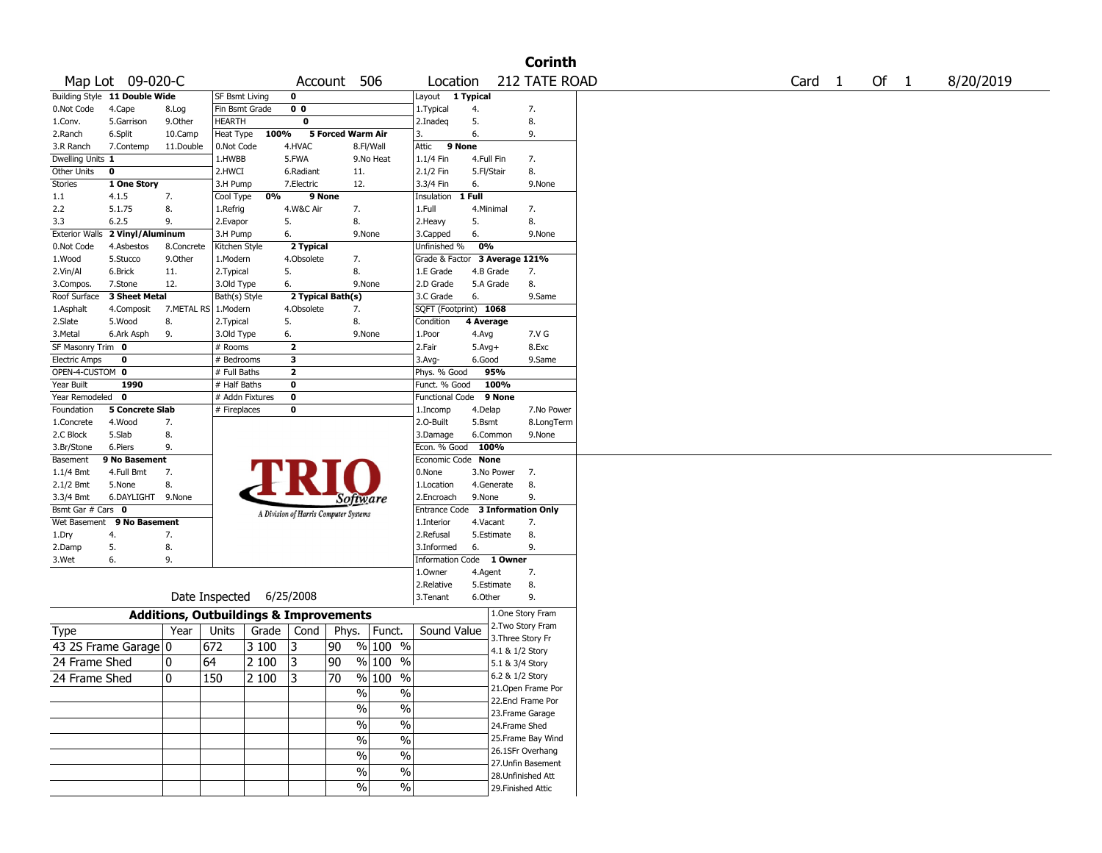|                      |                                 |            |                                                   |                |                                       |                   |                     |                               |              |                 | <b>Corinth</b>                         |  |                   |        |           |
|----------------------|---------------------------------|------------|---------------------------------------------------|----------------|---------------------------------------|-------------------|---------------------|-------------------------------|--------------|-----------------|----------------------------------------|--|-------------------|--------|-----------|
|                      | Map Lot 09-020-C                |            |                                                   |                |                                       | Account 506       |                     | Location                      |              |                 | 212 TATE ROAD                          |  | Card <sub>1</sub> | Of $1$ | 8/20/2019 |
|                      | Building Style 11 Double Wide   |            | <b>SF Bsmt Living</b>                             |                | 0                                     |                   |                     | Layout                        | 1 Typical    |                 |                                        |  |                   |        |           |
| 0.Not Code           | 4.Cape                          | 8.Log      | Fin Bsmt Grade                                    |                | 0 <sub>0</sub>                        |                   |                     | 1. Typical                    | 4.           |                 | 7.                                     |  |                   |        |           |
| 1.Conv.              | 5.Garrison                      | 9.0ther    | <b>HEARTH</b>                                     |                | 0                                     |                   |                     | 2.Inadeq                      | 5.           |                 | 8.                                     |  |                   |        |           |
| 2.Ranch              | 6.Split                         | 10.Camp    |                                                   | Heat Type 100% |                                       | 5 Forced Warm Air |                     | 3.                            | 6.           |                 | 9.                                     |  |                   |        |           |
| 3.R Ranch            | 7.Contemp                       | 11.Double  | 0.Not Code                                        |                | 4.HVAC                                |                   | 8.Fl/Wall           | Attic<br>9 None               |              |                 |                                        |  |                   |        |           |
| Dwelling Units 1     |                                 |            | 1.HWBB                                            |                | 5.FWA                                 |                   | 9.No Heat           | 1.1/4 Fin                     | 4.Full Fin   |                 | 7.                                     |  |                   |        |           |
| Other Units          | 0                               |            | 2.HWCI                                            |                | 6.Radiant                             |                   | 11.                 | 2.1/2 Fin                     | 5.Fl/Stair   |                 | 8.                                     |  |                   |        |           |
| Stories              | 1 One Story                     |            | 3.H Pump                                          |                | 7.Electric                            |                   | 12.                 | 3.3/4 Fin                     | 6.           |                 | 9.None                                 |  |                   |        |           |
| 1.1                  | 4.1.5                           | 7.         | Cool Type                                         | 0%             |                                       | 9 None            |                     | Insulation 1 Full             |              |                 |                                        |  |                   |        |           |
| 2.2                  | 5.1.75                          | 8.         | 1.Refrig                                          |                | 4.W&C Air                             |                   | 7.                  | 1.Full                        |              | 4.Minimal       | 7.                                     |  |                   |        |           |
| 3.3                  | 6.2.5                           | 9.         | 2.Evapor                                          |                | 5.                                    | 8.                |                     | 2.Heavy                       | 5.           |                 | 8.                                     |  |                   |        |           |
|                      | Exterior Walls 2 Vinyl/Aluminum |            | 3.H Pump                                          |                | 6.                                    |                   | 9.None              | 3.Capped                      | 6.           |                 | 9.None                                 |  |                   |        |           |
| 0.Not Code           | 4.Asbestos                      | 8.Concrete | Kitchen Style                                     |                | 2 Typical                             |                   |                     | Unfinished %                  | 0%           |                 |                                        |  |                   |        |           |
| 1.Wood               | 5.Stucco                        | 9.0ther    | 1.Modern                                          |                | 4.Obsolete                            |                   | 7.                  | Grade & Factor 3 Average 121% |              |                 |                                        |  |                   |        |           |
| 2.Vin/Al             | 6.Brick                         | 11.        | 2.Typical                                         |                | 5.                                    | 8.                |                     | 1.E Grade                     |              | 4.B Grade       | 7.                                     |  |                   |        |           |
|                      | 7.Stone                         | 12.        | 3.Old Type                                        |                | 6.                                    |                   | 9.None              | 2.D Grade                     |              | 5.A Grade       | 8.                                     |  |                   |        |           |
| 3.Compos.            |                                 |            |                                                   |                |                                       |                   |                     |                               |              |                 |                                        |  |                   |        |           |
| Roof Surface         | 3 Sheet Metal                   |            | Bath(s) Style                                     |                |                                       | 2 Typical Bath(s) |                     | 3.C Grade                     | 6.           |                 | 9.Same                                 |  |                   |        |           |
| 1.Asphalt            | 4.Composit                      | 7.METAL RS | 1.Modern                                          |                | 4.Obsolete                            |                   | 7.                  | SQFT (Footprint) 1068         |              |                 |                                        |  |                   |        |           |
| 2.Slate              | 5.Wood                          | 8.         | 2.Typical                                         |                | 5.                                    | 8.                |                     | Condition                     | 4 Average    |                 |                                        |  |                   |        |           |
| 3.Metal              | 6.Ark Asph                      | 9.         | 3.Old Type                                        |                | 6.                                    |                   | 9.None              | 1.Poor                        | 4.Avg        |                 | 7.V G                                  |  |                   |        |           |
| SF Masonry Trim 0    |                                 |            | # Rooms                                           |                | $\overline{\mathbf{2}}$               |                   |                     | 2.Fair                        | $5.$ Avg $+$ |                 | 8.Exc                                  |  |                   |        |           |
| <b>Electric Amps</b> | 0                               |            | # Bedrooms                                        |                | 3                                     |                   |                     | 3.Avg-                        | 6.Good       |                 | 9.Same                                 |  |                   |        |           |
| OPEN-4-CUSTOM 0      |                                 |            | # Full Baths                                      |                | $\overline{2}$                        |                   |                     | Phys. % Good                  |              | 95%             |                                        |  |                   |        |           |
| Year Built           | 1990                            |            | # Half Baths                                      |                | $\mathbf 0$                           |                   |                     | Funct. % Good                 |              | 100%            |                                        |  |                   |        |           |
| Year Remodeled 0     |                                 |            | # Addn Fixtures                                   |                | $\pmb{0}$                             |                   |                     | Functional Code               |              | 9 None          |                                        |  |                   |        |           |
| Foundation           | 5 Concrete Slab                 |            | # Fireplaces                                      |                | 0                                     |                   |                     | 1.Incomp                      | 4.Delap      |                 | 7.No Power                             |  |                   |        |           |
| 1.Concrete           | 4.Wood                          | 7.         |                                                   |                |                                       |                   |                     | 2.O-Built                     | 5.Bsmt       |                 | 8.LongTerm                             |  |                   |        |           |
| 2.C Block            | 5.Slab                          | 8.         |                                                   |                |                                       |                   |                     | 3.Damage                      |              | 6.Common        | 9.None                                 |  |                   |        |           |
| 3.Br/Stone           | 6.Piers                         | 9.         |                                                   |                |                                       |                   |                     | Econ. % Good                  |              | 100%            |                                        |  |                   |        |           |
| Basement             | 9 No Basement                   |            |                                                   |                |                                       |                   |                     | Economic Code None            |              |                 |                                        |  |                   |        |           |
| 1.1/4 Bmt            | 4.Full Bmt                      | 7.         |                                                   |                |                                       |                   |                     | 0.None                        |              | 3.No Power      | 7.                                     |  |                   |        |           |
| 2.1/2 Bmt            | 5.None                          | 8.         |                                                   |                |                                       |                   |                     | 1.Location                    |              | 4.Generate      | 8.                                     |  |                   |        |           |
| 3.3/4 Bmt            | 6.DAYLIGHT 9.None               |            |                                                   |                |                                       |                   | Software            | 2.Encroach                    | 9.None       |                 | 9.                                     |  |                   |        |           |
| Bsmt Gar # Cars 0    |                                 |            |                                                   |                |                                       |                   |                     | Entrance Code                 |              |                 | <b>3 Information Only</b>              |  |                   |        |           |
|                      | Wet Basement 9 No Basement      |            |                                                   |                | A Division of Harris Computer Systems |                   |                     | 1.Interior                    | 4.Vacant     |                 | 7.                                     |  |                   |        |           |
| 1.Dry                | 4.                              | 7.         |                                                   |                |                                       |                   |                     | 2.Refusal                     |              | 5.Estimate      | 8.                                     |  |                   |        |           |
| 2.Damp               | 5.                              | 8.         |                                                   |                |                                       |                   |                     | 3.Informed                    | 6.           |                 | 9.                                     |  |                   |        |           |
|                      | 6.                              | 9.         |                                                   |                |                                       |                   |                     |                               |              | 1 Owner         |                                        |  |                   |        |           |
| 3.Wet                |                                 |            |                                                   |                |                                       |                   |                     | Information Code              |              |                 |                                        |  |                   |        |           |
|                      |                                 |            |                                                   |                |                                       |                   |                     | 1.0wner                       | 4.Agent      |                 | 7.                                     |  |                   |        |           |
|                      |                                 |            |                                                   |                |                                       |                   |                     | 2.Relative                    |              | 5.Estimate      | 8.                                     |  |                   |        |           |
|                      |                                 |            | Date Inspected                                    |                | 6/25/2008                             |                   |                     | 3. Tenant                     | 6.Other      |                 | 9.                                     |  |                   |        |           |
|                      |                                 |            | <b>Additions, Outbuildings &amp; Improvements</b> |                |                                       |                   |                     |                               |              |                 | 1.One Story Fram                       |  |                   |        |           |
| <b>Type</b>          |                                 | Year       | Units                                             | Grade          | Cond                                  |                   | Phys.   Funct.      | Sound Value                   |              |                 | 2. Two Story Fram<br>3. Three Story Fr |  |                   |        |           |
|                      | 43 2S Frame Garage 0            |            | 672                                               | 3 100          | 13                                    | 90                | % 100 %             |                               |              | 4.1 & 1/2 Story |                                        |  |                   |        |           |
| 24 Frame Shed        |                                 | 0          | 64                                                | 2 100          | 13                                    | 90                | % 100 %             |                               |              |                 |                                        |  |                   |        |           |
|                      |                                 |            |                                                   |                |                                       |                   |                     |                               |              | 5.1 & 3/4 Story |                                        |  |                   |        |           |
| 24 Frame Shed        |                                 | 0          | 150                                               | 2 100          | $\sqrt{3}$                            | $\overline{70}$   | $\frac{9}{6}$ 100 % |                               |              |                 | 6.2 & 1/2 Story                        |  |                   |        |           |
|                      |                                 |            |                                                   |                |                                       |                   | $\%$<br>%           |                               |              |                 | 21. Open Frame Por                     |  |                   |        |           |
|                      |                                 |            |                                                   |                |                                       |                   |                     |                               |              |                 | 22.Encl Frame Por                      |  |                   |        |           |
|                      |                                 |            |                                                   |                |                                       |                   | %<br>%              |                               |              |                 | 23. Frame Garage                       |  |                   |        |           |
|                      |                                 |            |                                                   |                |                                       |                   | $\%$<br>$\%$        |                               |              |                 | 24.Frame Shed                          |  |                   |        |           |
|                      |                                 |            |                                                   |                |                                       |                   | $\%$<br>$\%$        |                               |              |                 | 25. Frame Bay Wind                     |  |                   |        |           |
|                      |                                 |            |                                                   |                |                                       |                   | $\%$                |                               |              |                 | 26.1SFr Overhang                       |  |                   |        |           |
|                      |                                 |            |                                                   |                |                                       |                   | $\%$                |                               |              |                 | 27.Unfin Basement                      |  |                   |        |           |
|                      |                                 |            |                                                   |                |                                       |                   | $\%$<br>%           |                               |              |                 | 28. Unfinished Att                     |  |                   |        |           |
|                      |                                 |            |                                                   |                |                                       |                   | %<br>%              |                               |              |                 | 29. Finished Attic                     |  |                   |        |           |
|                      |                                 |            |                                                   |                |                                       |                   |                     |                               |              |                 |                                        |  |                   |        |           |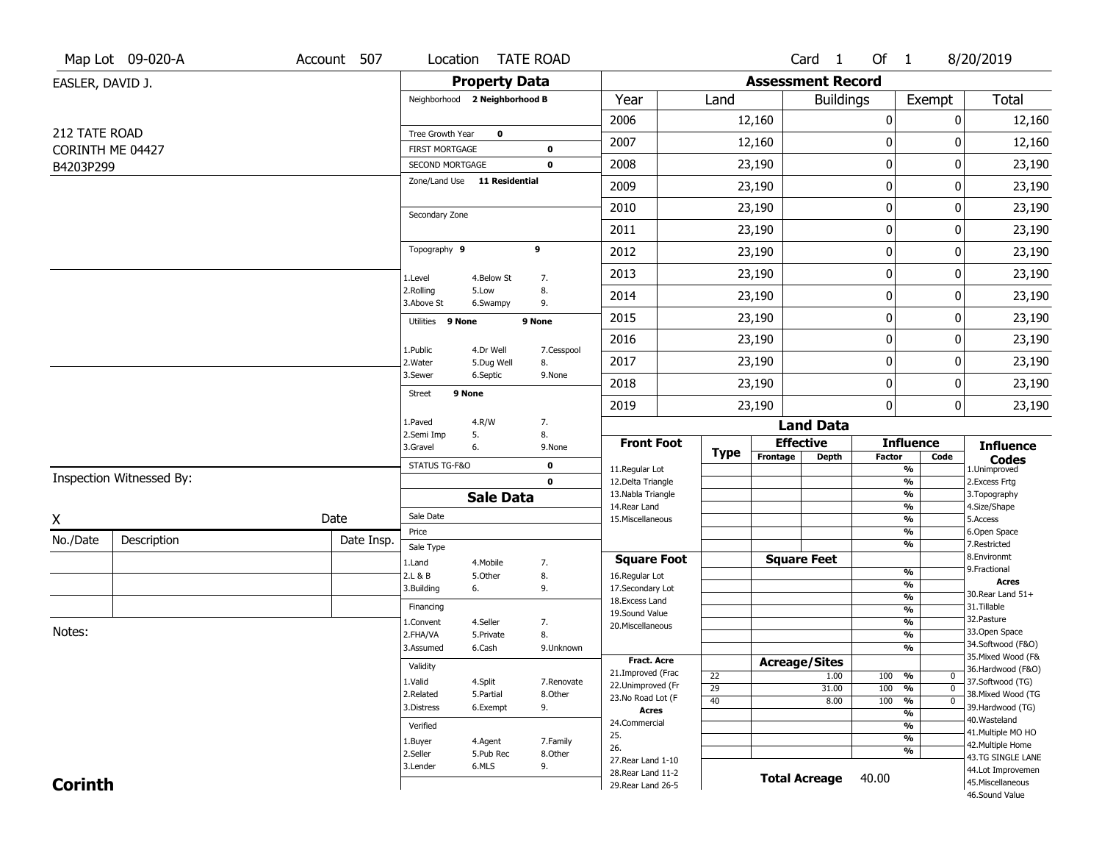|                                   | Map Lot 09-020-A         | Account 507 |                                          | Location TATE ROAD            |                     |                                          |             |                          | Card <sub>1</sub> | Of 1             |                                | 8/20/2019                              |
|-----------------------------------|--------------------------|-------------|------------------------------------------|-------------------------------|---------------------|------------------------------------------|-------------|--------------------------|-------------------|------------------|--------------------------------|----------------------------------------|
| EASLER, DAVID J.                  |                          |             |                                          | <b>Property Data</b>          |                     |                                          |             | <b>Assessment Record</b> |                   |                  |                                |                                        |
|                                   |                          |             |                                          | Neighborhood 2 Neighborhood B |                     | Year                                     | Land        |                          | <b>Buildings</b>  |                  | Exempt                         | <b>Total</b>                           |
|                                   |                          |             |                                          |                               |                     | 2006                                     |             | 12,160                   |                   | $\pmb{0}$        | 0                              | 12,160                                 |
| 212 TATE ROAD<br>CORINTH ME 04427 |                          |             | Tree Growth Year                         | $\mathbf 0$                   | $\mathbf 0$         | 2007                                     |             | 12,160                   |                   | $\mathbf 0$      | 0                              | 12,160                                 |
| B4203P299                         |                          |             | FIRST MORTGAGE<br><b>SECOND MORTGAGE</b> |                               | 0                   | 2008                                     |             | 23,190                   |                   | $\boldsymbol{0}$ | 0                              | 23,190                                 |
|                                   |                          |             |                                          | Zone/Land Use 11 Residential  |                     | 2009                                     |             | 23,190                   |                   | $\boldsymbol{0}$ | 0                              | 23,190                                 |
|                                   |                          |             |                                          |                               |                     | 2010                                     |             | 23,190                   |                   | $\pmb{0}$        | 0                              | 23,190                                 |
|                                   |                          |             | Secondary Zone                           |                               |                     | 2011                                     |             | 23,190                   |                   | $\boldsymbol{0}$ | 0                              | 23,190                                 |
|                                   |                          |             | Topography 9                             |                               | 9                   | 2012                                     |             | 23,190                   |                   | $\boldsymbol{0}$ | 0                              | 23,190                                 |
|                                   |                          |             |                                          | 4.Below St                    |                     | 2013                                     |             | 23,190                   |                   | $\boldsymbol{0}$ | 0                              | 23,190                                 |
|                                   |                          |             | 1.Level<br>2.Rolling                     | 5.Low                         | 7.<br>8.            | 2014                                     |             | 23,190                   |                   | $\mathbf 0$      | 0                              | 23,190                                 |
|                                   |                          |             | 3.Above St<br>Utilities 9 None           | 6.Swampy                      | 9.<br>9 None        | 2015                                     |             | 23,190                   |                   | $\pmb{0}$        | 0                              | 23,190                                 |
|                                   |                          |             |                                          |                               |                     | 2016                                     |             | 23,190                   |                   | $\mathbf 0$      | 0                              | 23,190                                 |
|                                   |                          |             | 1.Public<br>2.Water                      | 4.Dr Well<br>5.Dug Well       | 7.Cesspool<br>8.    | 2017                                     |             | 23,190                   |                   | $\boldsymbol{0}$ | 0                              | 23,190                                 |
|                                   |                          |             | 3.Sewer                                  | 6.Septic                      | 9.None              | 2018                                     |             | 23,190                   |                   | $\pmb{0}$        | 0                              | 23,190                                 |
|                                   |                          |             | <b>Street</b>                            | 9 None                        |                     | 2019                                     |             | 23,190                   |                   | $\mathbf 0$      | 0                              | 23,190                                 |
|                                   |                          |             | 1.Paved                                  | 4.R/W                         | 7.                  |                                          |             |                          | <b>Land Data</b>  |                  |                                |                                        |
|                                   |                          |             | 2.Semi Imp<br>3.Gravel                   | 5.<br>6.                      | 8.<br>9.None        | <b>Front Foot</b>                        |             | <b>Effective</b>         |                   |                  | <b>Influence</b>               | <b>Influence</b>                       |
|                                   |                          |             | STATUS TG-F&O                            |                               | 0                   | 11.Regular Lot                           | <b>Type</b> | Frontage                 | <b>Depth</b>      | <b>Factor</b>    | Code<br>%                      | <b>Codes</b><br>1.Unimproved           |
|                                   | Inspection Witnessed By: |             |                                          |                               | $\mathbf 0$         | 12.Delta Triangle                        |             |                          |                   |                  | $\frac{9}{6}$                  | 2. Excess Frtg                         |
|                                   |                          |             |                                          | <b>Sale Data</b>              |                     | 13. Nabla Triangle<br>14. Rear Land      |             |                          |                   |                  | %<br>%                         | 3. Topography<br>4.Size/Shape          |
| Χ                                 |                          | Date        | Sale Date                                |                               |                     | 15. Miscellaneous                        |             |                          |                   |                  | %                              | 5.Access                               |
| No./Date                          | Description              | Date Insp.  | Price                                    |                               |                     |                                          |             |                          |                   |                  | %                              | 6.Open Space                           |
|                                   |                          |             | Sale Type                                |                               |                     | <b>Square Foot</b>                       |             | <b>Square Feet</b>       |                   |                  | %                              | 7.Restricted<br>8.Environmt            |
|                                   |                          |             | 1.Land<br>2.L & B                        | 4. Mobile<br>5.Other          | 7.<br>8.            | 16.Regular Lot                           |             |                          |                   |                  | %                              | 9. Fractional                          |
|                                   |                          |             | 3.Building                               | 6.                            | 9.                  | 17.Secondary Lot                         |             |                          |                   |                  | $\overline{\frac{9}{6}}$       | <b>Acres</b>                           |
|                                   |                          |             | Financing                                |                               |                     | 18.Excess Land                           |             |                          |                   |                  | $\frac{9}{6}$                  | 30. Rear Land 51+<br>31.Tillable       |
|                                   |                          |             | 1.Convent                                | 4.Seller                      | 7.                  | 19.Sound Value                           |             |                          |                   |                  | $\frac{9}{6}$<br>$\frac{9}{6}$ | 32. Pasture                            |
| Notes:                            |                          |             | 2.FHA/VA                                 | 5.Private                     | 8.                  | 20.Miscellaneous                         |             |                          |                   |                  | %                              | 33.Open Space                          |
|                                   |                          |             | 3.Assumed                                | 6.Cash                        | 9.Unknown           |                                          |             |                          |                   |                  | $\frac{9}{6}$                  | 34.Softwood (F&O)                      |
|                                   |                          |             | Validity                                 |                               |                     | <b>Fract. Acre</b>                       |             | <b>Acreage/Sites</b>     |                   |                  |                                | 35. Mixed Wood (F&                     |
|                                   |                          |             | 1.Valid                                  | 4.Split                       | 7.Renovate          | 21.Improved (Frac                        | 22          |                          | 1.00              | 100              | %<br>U                         | 36.Hardwood (F&O)<br>37.Softwood (TG)  |
|                                   |                          |             | 2.Related                                | 5.Partial                     | 8.Other             | 22.Unimproved (Fr<br>23.No Road Lot (F   | 29          |                          | 31.00             | 100              | %<br>$\mathbf 0$               | 38. Mixed Wood (TG                     |
|                                   |                          |             | 3.Distress                               | 6.Exempt                      | 9.                  | <b>Acres</b>                             | 40          |                          | 8.00              | 100              | $\overline{0}$<br>%            | 39.Hardwood (TG)                       |
|                                   |                          |             |                                          |                               |                     | 24.Commercial                            |             |                          |                   |                  | %<br>%                         | 40.Wasteland                           |
|                                   |                          |             | Verified                                 |                               |                     | 25.                                      |             |                          |                   |                  | %                              | 41. Multiple MO HO                     |
|                                   |                          |             | 1.Buyer<br>2.Seller                      | 4.Agent<br>5.Pub Rec          | 7.Family<br>8.Other | 26.                                      |             |                          |                   |                  | %                              | 42. Multiple Home                      |
|                                   |                          |             |                                          |                               |                     |                                          |             |                          |                   |                  |                                |                                        |
|                                   |                          |             |                                          |                               |                     | 27. Rear Land 1-10                       |             |                          |                   |                  |                                | 43.TG SINGLE LANE                      |
| <b>Corinth</b>                    |                          |             | 3.Lender                                 | 6.MLS                         | 9.                  | 28. Rear Land 11-2<br>29. Rear Land 26-5 |             | <b>Total Acreage</b>     |                   | 40.00            |                                | 44.Lot Improvemen<br>45. Miscellaneous |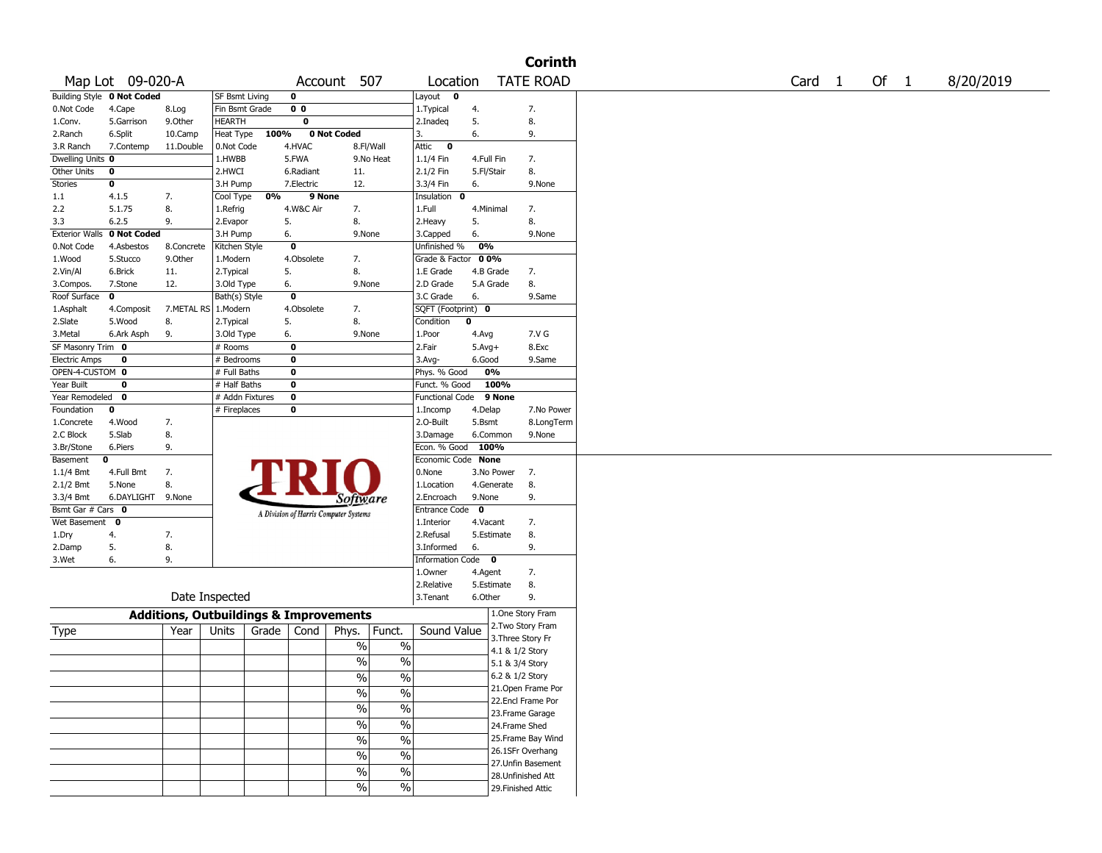|                       |                            |                                                   |                 |       |                |                                       |                             |                    |            |                   | <b>Corinth</b>                           |
|-----------------------|----------------------------|---------------------------------------------------|-----------------|-------|----------------|---------------------------------------|-----------------------------|--------------------|------------|-------------------|------------------------------------------|
|                       | Map Lot 09-020-A           |                                                   |                 |       |                | Account 507                           |                             | Location           |            |                   | <b>TATE ROAD</b>                         |
|                       | Building Style 0 Not Coded |                                                   | SF Bsmt Living  |       | $\mathbf 0$    |                                       |                             | Layout <b>0</b>    |            |                   |                                          |
| 0.Not Code            | 4.Cape                     | 8.Log                                             | Fin Bsmt Grade  |       | 0 <sub>0</sub> |                                       |                             | 1. Typical         | 4.         |                   | 7.                                       |
| 1.Conv.               | 5.Garrison                 | 9.0ther                                           | <b>HEARTH</b>   |       | 0              |                                       |                             | 2.Inadeq           | 5.         |                   | 8.                                       |
| 2.Ranch               | 6.Split                    | 10.Camp                                           | Heat Type       | 100%  |                | 0 Not Coded                           |                             | 3.                 | 6.         |                   | 9.                                       |
| 3.R Ranch             | 7.Contemp                  | 11.Double                                         | 0.Not Code      |       | 4.HVAC         |                                       | 8.Fl/Wall                   | Attic<br>$\bf{0}$  |            |                   |                                          |
| Dwelling Units 0      |                            |                                                   | 1.HWBB          |       | 5.FWA          |                                       | 9.No Heat                   | $1.1/4$ Fin        | 4.Full Fin |                   | 7.                                       |
| <b>Other Units</b>    | 0                          |                                                   | 2.HWCI          |       | 6.Radiant      | 11.                                   |                             | 2.1/2 Fin          | 5.Fl/Stair |                   | 8.                                       |
| <b>Stories</b>        | 0                          |                                                   | 3.H Pump        |       | 7.Electric     | 12.                                   |                             | 3.3/4 Fin          | 6.         |                   | 9.None                                   |
| 1.1                   | 4.1.5                      | 7.                                                | Cool Type       | 0%    | 9 None         |                                       |                             | Insulation 0       |            |                   |                                          |
| 2.2                   | 5.1.75                     | 8.                                                | 1.Refrig        |       | 4.W&C Air      | 7.                                    |                             | 1.Full             | 4.Minimal  |                   | 7.                                       |
| 3.3                   | 6.2.5                      | 9.                                                | 2.Evapor        | 5.    |                | 8.                                    |                             | 2.Heavy            | 5.         |                   | 8.                                       |
| <b>Exterior Walls</b> | 0 Not Coded                |                                                   | 3.H Pump        | 6.    |                | 9.None                                |                             | 3.Capped           | 6.         |                   | 9.None                                   |
| 0.Not Code            | 4.Asbestos                 | 8.Concrete                                        | Kitchen Style   |       | $\bf{0}$       |                                       |                             | Unfinished %       | 0%         |                   |                                          |
| 1.Wood                | 5.Stucco                   | 9.0ther                                           | 1.Modern        |       | 4.Obsolete     | 7.                                    |                             | Grade & Factor 00% |            |                   |                                          |
| 2.Vin/Al              | 6.Brick                    | 11.                                               | 2. Typical      | 5.    |                | 8.                                    |                             | 1.E Grade          | 4.B Grade  |                   | 7.                                       |
| 3.Compos.             | 7.Stone                    | 12.                                               | 3.Old Type      | 6.    |                | 9.None                                |                             | 2.D Grade          | 5.A Grade  |                   | 8.                                       |
| Roof Surface          | $\mathbf 0$                |                                                   | Bath(s) Style   |       | $\pmb{0}$      |                                       |                             | 3.C Grade          | 6.         |                   | 9.Same                                   |
| 1.Asphalt             | 4.Composit                 | 7.METAL RS   1.Modern                             |                 |       | 4.Obsolete     | 7.                                    |                             | SQFT (Footprint) 0 |            |                   |                                          |
| 2.Slate               | 5.Wood                     | 8.                                                | 2. Typical      | 5.    |                | 8.                                    |                             | Condition          | 0          |                   |                                          |
| 3.Metal               | 6.Ark Asph                 | 9.                                                | 3.Old Type      | 6.    |                | 9.None                                |                             | 1.Poor             | 4.Avg      |                   | 7.V G                                    |
| SF Masonry Trim 0     |                            |                                                   | # Rooms         |       | 0              |                                       |                             | 2.Fair             | $5.Avg+$   |                   | 8.Exc                                    |
| <b>Electric Amps</b>  | 0                          |                                                   | # Bedrooms      |       | 0              |                                       |                             | $3.$ Avg-          | 6.Good     |                   | 9.Same                                   |
| OPEN-4-CUSTOM 0       |                            |                                                   | # Full Baths    |       | $\mathbf 0$    |                                       |                             |                    | 0%         |                   |                                          |
|                       | 0                          |                                                   |                 |       |                |                                       |                             | Phys. % Good       |            |                   |                                          |
| Year Built            |                            |                                                   | # Half Baths    |       | $\pmb{0}$      |                                       |                             | Funct. % Good      |            | 100%              |                                          |
| Year Remodeled        | 0                          |                                                   | # Addn Fixtures |       | $\bf{0}$       |                                       |                             | Functional Code    |            | 9 None            |                                          |
| Foundation            | 0                          |                                                   | # Fireplaces    |       | $\bf{0}$       |                                       |                             | 1.Incomp           | 4.Delap    |                   | 7.No Power                               |
| 1.Concrete            | 4.Wood                     | 7.                                                |                 |       |                |                                       |                             | 2.0-Built          | 5.Bsmt     |                   | 8.LongTerm                               |
| 2.C Block             | 5.Slab                     | 8.                                                |                 |       |                |                                       |                             | 3.Damage           | 6.Common   |                   | 9.None                                   |
| 3.Br/Stone            | 6.Piers                    | 9.                                                |                 |       |                |                                       |                             | Econ. % Good 100%  |            |                   |                                          |
| Basement              | 0                          |                                                   |                 |       |                |                                       |                             | Economic Code None |            |                   |                                          |
| 1.1/4 Bmt             | 4.Full Bmt                 | 7.                                                |                 |       |                |                                       |                             | 0.None             | 3.No Power |                   | 7.                                       |
| $2.1/2$ Bmt           | 5.None                     | 8.                                                |                 |       |                |                                       |                             | 1.Location         | 4.Generate |                   | 8.                                       |
| 3.3/4 Bmt             | 6.DAYLIGHT 9.None          |                                                   |                 |       |                | Software                              |                             | 2.Encroach         | 9.None     |                   | 9.                                       |
| Bsmt Gar # Cars 0     |                            |                                                   |                 |       |                | A Division of Harris Computer Systems |                             | Entrance Code 0    |            |                   |                                          |
| Wet Basement 0        |                            |                                                   |                 |       |                |                                       |                             | 1.Interior         | 4.Vacant   |                   | 7.                                       |
| 1.Dry                 | 4.                         | 7.                                                |                 |       |                |                                       |                             | 2.Refusal          | 5.Estimate |                   | 8.                                       |
| 2.Damp                | 5.                         | 8.                                                |                 |       |                |                                       |                             | 3.Informed         | 6.         |                   | 9.                                       |
| 3.Wet                 | 6.                         | 9.                                                |                 |       |                |                                       |                             | Information Code 0 |            |                   |                                          |
|                       |                            |                                                   |                 |       |                |                                       |                             | 1.0wner            | 4.Agent    |                   | 7.                                       |
|                       |                            |                                                   |                 |       |                |                                       |                             | 2.Relative         | 5.Estimate |                   | 8.                                       |
|                       |                            |                                                   | Date Inspected  |       |                |                                       |                             | 3.Tenant           | 6.Other    |                   | 9.                                       |
|                       |                            | <b>Additions, Outbuildings &amp; Improvements</b> |                 |       |                |                                       |                             |                    |            |                   | 1.One Story Fram                         |
|                       |                            |                                                   |                 | Grade | Cond           |                                       |                             | Sound Value        |            |                   | 2. Two Story Fram                        |
| Type                  |                            | Year                                              | Units           |       |                | Phys.                                 | Funct.                      |                    |            | 3. Three Story Fr |                                          |
|                       |                            |                                                   |                 |       |                | $\%$                                  | $\%$                        |                    |            | 4.1 & 1/2 Story   |                                          |
|                       |                            |                                                   |                 |       |                | %                                     | $\frac{0}{0}$               |                    |            | 5.1 & 3/4 Story   |                                          |
|                       |                            |                                                   |                 |       |                | $\%$                                  | $\frac{0}{0}$               |                    |            | 6.2 & 1/2 Story   |                                          |
|                       |                            |                                                   |                 |       |                |                                       |                             |                    |            |                   | 21. Open Frame Por                       |
|                       |                            |                                                   |                 |       |                | $\frac{0}{6}$                         | $\overline{\frac{9}{6}}$    |                    |            |                   | 22.Encl Frame Por                        |
|                       |                            |                                                   |                 |       |                | $\frac{1}{2}$                         | $\sqrt{20}$                 |                    |            |                   | 23. Frame Garage                         |
|                       |                            |                                                   |                 |       |                | $\sqrt{6}$                            | $\frac{9}{6}$               |                    |            | 24.Frame Shed     |                                          |
|                       |                            |                                                   |                 |       |                |                                       | $\overline{\frac{9}{6}}$    |                    |            |                   | 25.Frame Bay Wind                        |
|                       |                            |                                                   |                 |       |                |                                       |                             |                    |            |                   |                                          |
|                       |                            |                                                   |                 |       |                | $\sqrt{6}$                            |                             |                    |            |                   |                                          |
|                       |                            |                                                   |                 |       |                | $\%$                                  | $\frac{9}{6}$               |                    |            |                   | 26.1SFr Overhang                         |
|                       |                            |                                                   |                 |       |                |                                       |                             |                    |            |                   | 27.Unfin Basement                        |
|                       |                            |                                                   |                 |       |                | $\sqrt{6}$<br>$\sqrt{6}$              | $\frac{0}{6}$<br>$\sqrt{6}$ |                    |            |                   | 28. Unfinished Att<br>29. Finished Attic |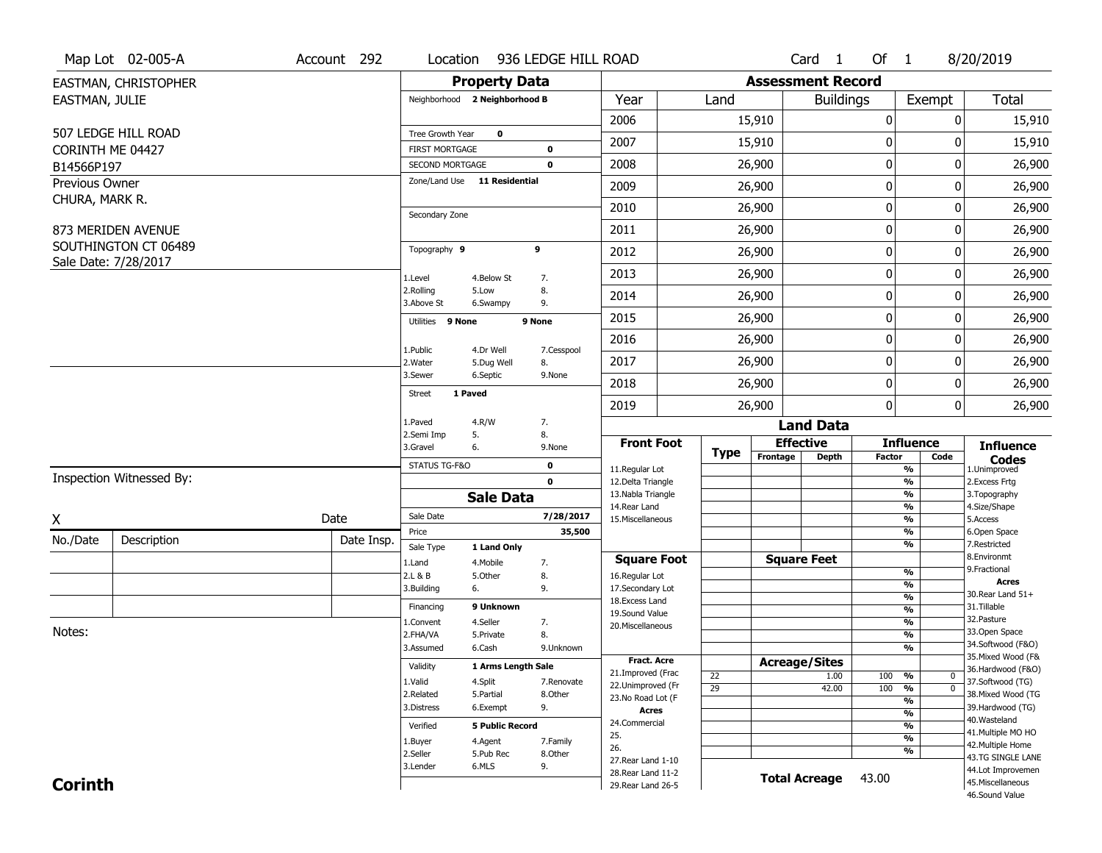|                                  | Map Lot 02-005-A                             | Account 292 | Location                |                               | 936 LEDGE HILL ROAD |                                          |             |                          | $Card \t1$       | Of $1$      |                                           | 8/20/2019                               |
|----------------------------------|----------------------------------------------|-------------|-------------------------|-------------------------------|---------------------|------------------------------------------|-------------|--------------------------|------------------|-------------|-------------------------------------------|-----------------------------------------|
|                                  | EASTMAN, CHRISTOPHER                         |             |                         | <b>Property Data</b>          |                     |                                          |             | <b>Assessment Record</b> |                  |             |                                           |                                         |
| EASTMAN, JULIE                   |                                              |             |                         | Neighborhood 2 Neighborhood B |                     | Year                                     | Land        |                          | <b>Buildings</b> |             | Exempt                                    | <b>Total</b>                            |
|                                  |                                              |             |                         |                               |                     | 2006                                     |             | 15,910                   |                  | 0           | 0                                         | 15,910                                  |
|                                  | 507 LEDGE HILL ROAD                          |             | Tree Growth Year        | $\mathbf 0$                   |                     | 2007                                     |             | 15,910                   |                  | 0           | 0                                         | 15,910                                  |
|                                  | CORINTH ME 04427                             |             | <b>FIRST MORTGAGE</b>   |                               | 0                   |                                          |             |                          |                  |             |                                           |                                         |
| B14566P197                       |                                              |             | SECOND MORTGAGE         |                               | 0                   | 2008                                     |             | 26,900                   |                  | $\pmb{0}$   | 0                                         | 26,900                                  |
| Previous Owner<br>CHURA, MARK R. |                                              |             |                         | Zone/Land Use 11 Residential  |                     | 2009                                     |             | 26,900                   |                  | 0           | 0                                         | 26,900                                  |
|                                  |                                              |             | Secondary Zone          |                               |                     | 2010                                     |             | 26,900                   |                  | $\mathbf 0$ | 0                                         | 26,900                                  |
|                                  | 873 MERIDEN AVENUE                           |             |                         |                               |                     | 2011                                     |             | 26,900                   |                  | $\pmb{0}$   | 0                                         | 26,900                                  |
|                                  | SOUTHINGTON CT 06489<br>Sale Date: 7/28/2017 |             | Topography 9            |                               | 9                   | 2012                                     |             | 26,900                   |                  | $\pmb{0}$   | 0                                         | 26,900                                  |
|                                  |                                              |             | 1.Level                 | 4.Below St                    | 7.                  | 2013                                     |             | 26,900                   |                  | 0           | 0                                         | 26,900                                  |
|                                  |                                              |             | 2.Rolling<br>3.Above St | 5.Low<br>6.Swampy             | 8.<br>9.            | 2014                                     |             | 26,900                   |                  | 0           | 0                                         | 26,900                                  |
|                                  |                                              |             | Utilities 9 None        |                               | 9 None              | 2015                                     |             | 26,900                   |                  | $\pmb{0}$   | 0                                         | 26,900                                  |
|                                  |                                              |             | 1.Public                | 4.Dr Well                     |                     | 2016                                     |             | 26,900                   |                  | $\pmb{0}$   | 0                                         | 26,900                                  |
|                                  |                                              |             | 2. Water                | 5.Dug Well                    | 7.Cesspool<br>8.    | 2017                                     |             | 26,900                   |                  | 0           | 0                                         | 26,900                                  |
|                                  |                                              |             | 3.Sewer                 | 6.Septic                      | 9.None              | 2018                                     |             | 26,900                   |                  | $\mathbf 0$ | 0                                         | 26,900                                  |
|                                  |                                              |             | Street                  | 1 Paved                       |                     | 2019                                     |             | 26,900                   |                  | 0           | $\overline{0}$                            | 26,900                                  |
|                                  |                                              |             | 1.Paved                 | 4.R/W                         | 7.                  |                                          |             |                          | <b>Land Data</b> |             |                                           |                                         |
|                                  |                                              |             | 2.Semi Imp<br>3.Gravel  | 5.<br>6.                      | 8.<br>9.None        | <b>Front Foot</b>                        |             | <b>Effective</b>         |                  |             | <b>Influence</b>                          | <b>Influence</b>                        |
|                                  |                                              |             | STATUS TG-F&O           |                               | 0                   | 11.Regular Lot                           | <b>Type</b> | Frontage                 | <b>Depth</b>     | Factor      | Code<br>%                                 | <b>Codes</b><br>1.Unimproved            |
|                                  | Inspection Witnessed By:                     |             |                         |                               | $\mathbf 0$         | 12.Delta Triangle                        |             |                          |                  |             | $\overline{\frac{9}{6}}$                  | 2. Excess Frtg                          |
|                                  |                                              |             |                         |                               |                     |                                          |             |                          |                  |             |                                           | 3. Topography                           |
| X                                |                                              |             |                         | <b>Sale Data</b>              |                     | 13. Nabla Triangle                       |             |                          |                  |             | %                                         |                                         |
|                                  |                                              |             | Sale Date               |                               | 7/28/2017           | 14.Rear Land                             |             |                          |                  |             | %                                         | 4.Size/Shape                            |
|                                  |                                              | Date        | Price                   |                               | 35,500              | 15. Miscellaneous                        |             |                          |                  |             | %<br>%                                    | 5.Access<br>6.Open Space                |
| No./Date                         | Description                                  | Date Insp.  | Sale Type               | 1 Land Only                   |                     |                                          |             |                          |                  |             | %                                         | 7.Restricted                            |
|                                  |                                              |             | 1.Land                  | 4. Mobile                     | 7.                  | <b>Square Foot</b>                       |             | <b>Square Feet</b>       |                  |             |                                           | 8.Environmt<br>9. Fractional            |
|                                  |                                              |             | 2.L & B                 | 5.0ther                       | 8.                  | 16.Regular Lot                           |             |                          |                  |             | $\frac{9}{6}$<br>$\overline{\frac{9}{6}}$ | <b>Acres</b>                            |
|                                  |                                              |             | 3.Building              | 6.                            | 9.                  | 17.Secondary Lot                         |             |                          |                  |             | $\frac{9}{6}$                             | 30. Rear Land 51+                       |
|                                  |                                              |             | Financing               | 9 Unknown                     |                     | 18.Excess Land<br>19.Sound Value         |             |                          |                  |             | $\overline{\frac{9}{6}}$                  | 31.Tillable                             |
|                                  |                                              |             | 1.Convent               | 4.Seller                      | 7.                  | 20.Miscellaneous                         |             |                          |                  |             | $\frac{9}{6}$                             | 32.Pasture                              |
| Notes:                           |                                              |             | 2.FHA/VA                | 5.Private                     | 8.                  |                                          |             |                          |                  |             | $\overline{\frac{9}{6}}$                  | 33.Open Space                           |
|                                  |                                              |             | 3.Assumed               | 6.Cash                        | 9.Unknown           |                                          |             |                          |                  |             | %                                         | 34.Softwood (F&O)<br>35. Mixed Wood (F& |
|                                  |                                              |             | Validity                | 1 Arms Length Sale            |                     | <b>Fract. Acre</b>                       |             | <b>Acreage/Sites</b>     |                  |             |                                           | 36.Hardwood (F&O)                       |
|                                  |                                              |             | 1.Valid                 | 4.Split                       | 7.Renovate          | 21.Improved (Frac<br>22.Unimproved (Fr   | 22          |                          | 1.00             | 100         | %<br>0                                    | 37.Softwood (TG)                        |
|                                  |                                              |             | 2.Related               | 5.Partial                     | 8.Other             | 23.No Road Lot (F                        | 29          |                          | 42.00            | 100         | $\overline{0}$<br>$\frac{9}{6}$           | 38. Mixed Wood (TG                      |
|                                  |                                              |             | 3.Distress              | 6.Exempt                      | 9.                  | <b>Acres</b>                             |             |                          |                  |             | $\frac{9}{6}$<br>$\frac{9}{6}$            | 39.Hardwood (TG)                        |
|                                  |                                              |             | Verified                | <b>5 Public Record</b>        |                     | 24.Commercial                            |             |                          |                  |             | $\frac{9}{6}$                             | 40. Wasteland                           |
|                                  |                                              |             |                         |                               |                     | 25.                                      |             |                          |                  |             | $\frac{9}{6}$                             | 41. Multiple MO HO                      |
|                                  |                                              |             | 1.Buyer                 | 4.Agent                       | 7.Family            | 26.                                      |             |                          |                  |             | %                                         | 42. Multiple Home                       |
|                                  |                                              |             | 2.Seller<br>3.Lender    | 5.Pub Rec<br>6.MLS            | 8.Other<br>9.       | 27. Rear Land 1-10                       |             |                          |                  |             |                                           | 43.TG SINGLE LANE                       |
| <b>Corinth</b>                   |                                              |             |                         |                               |                     | 28. Rear Land 11-2<br>29. Rear Land 26-5 |             | <b>Total Acreage</b>     |                  | 43.00       |                                           | 44.Lot Improvemen<br>45. Miscellaneous  |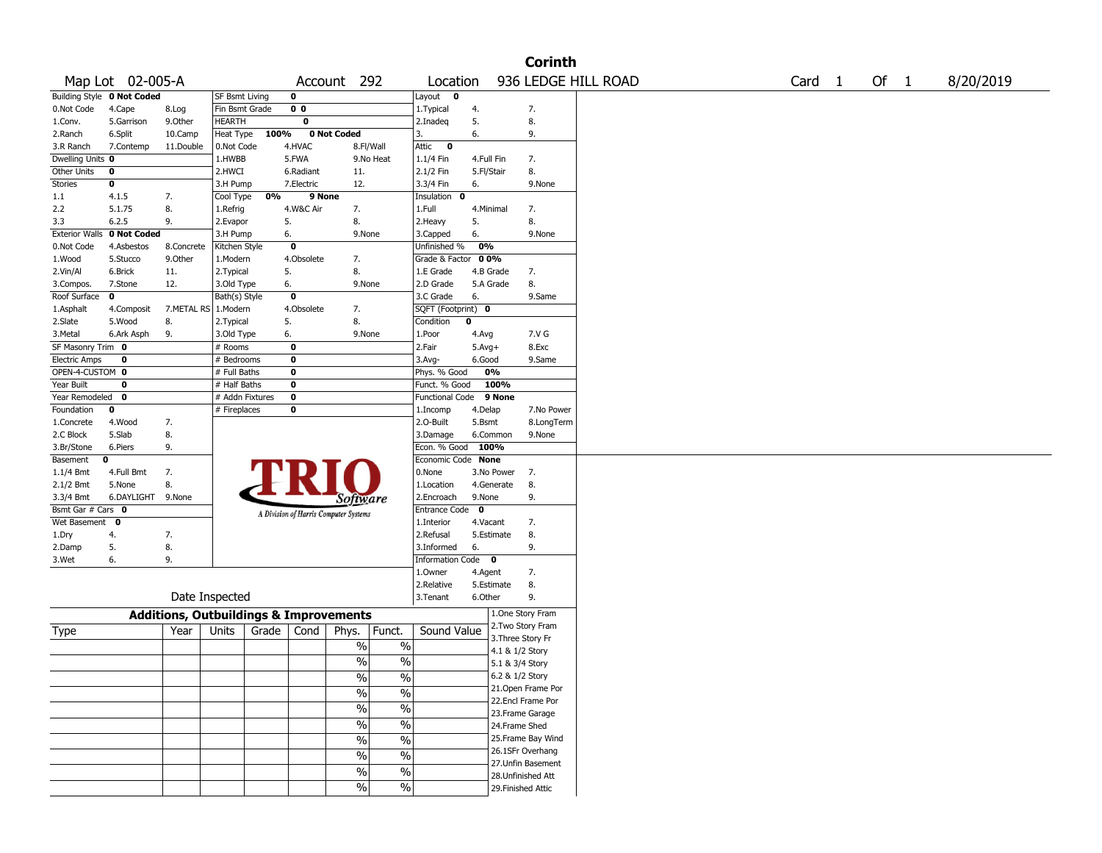|                       |                                   |                                                   |                 |       |                         |                                       |                          |                        |             |                   | <b>Corinth</b>     |                     |        |      |           |
|-----------------------|-----------------------------------|---------------------------------------------------|-----------------|-------|-------------------------|---------------------------------------|--------------------------|------------------------|-------------|-------------------|--------------------|---------------------|--------|------|-----------|
|                       | Map Lot 02-005-A                  |                                                   |                 |       |                         | Account 292                           |                          | Location               |             |                   |                    | 936 LEDGE HILL ROAD | Card 1 | Of 1 | 8/20/2019 |
|                       | <b>Building Style 0 Not Coded</b> |                                                   | SF Bsmt Living  |       | $\mathbf 0$             |                                       |                          | Layout<br>$\mathbf 0$  |             |                   |                    |                     |        |      |           |
| 0.Not Code            | 4.Cape                            | 8.Log                                             | Fin Bsmt Grade  |       | 0 <sub>0</sub>          |                                       |                          | 1. Typical             | 4.          |                   | 7.                 |                     |        |      |           |
| 1.Conv.               | 5.Garrison                        | 9.0ther                                           | HEARTH          |       | $\overline{\mathbf{0}}$ |                                       |                          | 2.Inadeq               | 5.          |                   | 8.                 |                     |        |      |           |
| 2.Ranch               | 6.Split                           | 10.Camp                                           | Heat Type       | 100%  |                         | 0 Not Coded                           |                          | 3.                     | 6.          |                   | 9.                 |                     |        |      |           |
| 3.R Ranch             | 7.Contemp                         | 11.Double                                         | 0.Not Code      |       | 4.HVAC                  | 8.Fl/Wall                             |                          | Attic<br>$\bf{0}$      |             |                   |                    |                     |        |      |           |
| Dwelling Units 0      |                                   |                                                   | 1.HWBB          |       | 5.FWA                   |                                       | 9.No Heat                | $1.1/4$ Fin            | 4.Full Fin  |                   | 7.                 |                     |        |      |           |
| Other Units           | 0                                 |                                                   | 2.HWCI          |       | 6.Radiant               | 11.                                   |                          | 2.1/2 Fin              | 5.Fl/Stair  |                   | 8.                 |                     |        |      |           |
| Stories               | 0                                 |                                                   | 3.H Pump        |       | 7.Electric              | 12.                                   |                          | 3.3/4 Fin              | 6.          |                   | 9.None             |                     |        |      |           |
| 1.1                   | 4.1.5                             | 7.                                                | Cool Type       | 0%    | 9 None                  |                                       |                          | Insulation<br>0        |             |                   |                    |                     |        |      |           |
| 2.2                   | 5.1.75                            | 8.                                                | 1.Refrig        |       | 4.W&C Air               | 7.                                    |                          | 1.Full                 | 4.Minimal   |                   | 7.                 |                     |        |      |           |
| 3.3                   | 6.2.5                             | 9.                                                | 2.Evapor        |       | 5.                      | 8.                                    |                          | 2.Heavy                | 5.          |                   | 8.                 |                     |        |      |           |
| <b>Exterior Walls</b> | 0 Not Coded                       |                                                   | 3.H Pump        |       | 6.                      | 9.None                                |                          | 3.Capped               | 6.          |                   | 9.None             |                     |        |      |           |
| 0.Not Code            | 4.Asbestos                        | 8.Concrete                                        | Kitchen Style   |       | $\mathbf 0$             |                                       |                          | Unfinished %           | 0%          |                   |                    |                     |        |      |           |
| 1.Wood                | 5.Stucco                          | 9.Other                                           | 1.Modern        |       | 4.Obsolete              | 7.                                    |                          | Grade & Factor         | 00%         |                   |                    |                     |        |      |           |
| 2.Vin/Al              | 6.Brick                           | 11.                                               | 2. Typical      |       | 5.                      | 8.                                    |                          | 1.E Grade              | 4.B Grade   |                   | 7.                 |                     |        |      |           |
| 3.Compos.             | 7.Stone                           | 12.                                               | 3.Old Type      |       | 6.                      | 9.None                                |                          | 2.D Grade              |             | 5.A Grade         | 8.                 |                     |        |      |           |
| Roof Surface          | 0                                 |                                                   | Bath(s) Style   |       | $\mathbf 0$             |                                       |                          | 3.C Grade              | 6.          |                   | 9.Same             |                     |        |      |           |
| 1.Asphalt             | 4.Composit                        | 7.METAL RS   1.Modern                             |                 |       | 4.Obsolete              | 7.                                    |                          | SQFT (Footprint) 0     |             |                   |                    |                     |        |      |           |
| 2.Slate               | 5.Wood                            | 8.                                                | 2. Typical      |       | 5.                      | 8.                                    |                          | Condition              | $\mathbf 0$ |                   |                    |                     |        |      |           |
| 3.Metal               | 6.Ark Asph                        | 9.                                                | 3.Old Type      |       | 6.                      | 9.None                                |                          | 1.Poor                 | 4.Avg       |                   | 7.V G              |                     |        |      |           |
| SF Masonry Trim 0     |                                   |                                                   | # Rooms         |       | 0                       |                                       |                          | 2.Fair                 | $5.Avg+$    |                   | 8.Exc              |                     |        |      |           |
| <b>Electric Amps</b>  | 0                                 |                                                   | # Bedrooms      |       | 0                       |                                       |                          | $3.$ Avg-              | 6.Good      |                   | 9.Same             |                     |        |      |           |
| OPEN-4-CUSTOM 0       |                                   |                                                   | # Full Baths    |       | $\bf{0}$                |                                       |                          | Phys. % Good           |             | 0%                |                    |                     |        |      |           |
| Year Built            | 0                                 |                                                   | # Half Baths    |       | $\bf{0}$                |                                       |                          | Funct. % Good          |             | 100%              |                    |                     |        |      |           |
| Year Remodeled        | 0                                 |                                                   | # Addn Fixtures |       | $\bf o$                 |                                       |                          | <b>Functional Code</b> |             | 9 None            |                    |                     |        |      |           |
| Foundation            | 0                                 |                                                   | # Fireplaces    |       | $\bf{0}$                |                                       |                          | 1.Incomp               | 4.Delap     |                   | 7.No Power         |                     |        |      |           |
| 1.Concrete            | 4.Wood                            | 7.                                                |                 |       |                         |                                       |                          | 2.O-Built              | 5.Bsmt      |                   | 8.LongTerm         |                     |        |      |           |
| 2.C Block             | 5.Slab                            | 8.                                                |                 |       |                         |                                       |                          | 3.Damage               |             | 6.Common          | 9.None             |                     |        |      |           |
| 3.Br/Stone            | 6.Piers                           | 9.                                                |                 |       |                         |                                       |                          | Econ. % Good           | 100%        |                   |                    |                     |        |      |           |
| Basement              | 0                                 |                                                   |                 |       |                         |                                       |                          | Economic Code None     |             |                   |                    |                     |        |      |           |
| $1.1/4$ Bmt           | 4.Full Bmt                        | 7.                                                |                 |       |                         |                                       |                          | 0.None                 |             | 3.No Power        | 7.                 |                     |        |      |           |
| 2.1/2 Bmt             | 5.None                            | 8.                                                |                 |       |                         |                                       |                          | 1.Location             |             | 4.Generate        | 8.                 |                     |        |      |           |
| 3.3/4 Bmt             | 6.DAYLIGHT 9.None                 |                                                   |                 |       |                         | Software                              |                          | 2.Encroach             | 9.None      |                   | 9.                 |                     |        |      |           |
| Bsmt Gar # Cars 0     |                                   |                                                   |                 |       |                         | A Division of Harris Computer Systems |                          | Entrance Code          | $\mathbf 0$ |                   |                    |                     |        |      |           |
| Wet Basement          | $\mathbf 0$                       |                                                   |                 |       |                         |                                       |                          | 1.Interior             | 4.Vacant    |                   | 7.                 |                     |        |      |           |
| 1.Dry                 | 4.                                | 7.                                                |                 |       |                         |                                       |                          | 2.Refusal              |             | 5.Estimate        | 8.                 |                     |        |      |           |
| 2.Damp                | 5.                                | 8.                                                |                 |       |                         |                                       |                          | 3.Informed             | 6.          |                   | 9.                 |                     |        |      |           |
| 3.Wet                 | 6.                                | 9.                                                |                 |       |                         |                                       |                          | Information Code 0     |             |                   |                    |                     |        |      |           |
|                       |                                   |                                                   |                 |       |                         |                                       |                          | 1.Owner                | 4.Agent     |                   | 7.                 |                     |        |      |           |
|                       |                                   |                                                   |                 |       |                         |                                       |                          | 2.Relative             |             | 5.Estimate        | 8.                 |                     |        |      |           |
|                       |                                   |                                                   | Date Inspected  |       |                         |                                       |                          | 3. Tenant              | 6.Other     |                   | 9.                 |                     |        |      |           |
|                       |                                   | <b>Additions, Outbuildings &amp; Improvements</b> |                 |       |                         |                                       |                          |                        |             |                   | 1.One Story Fram   |                     |        |      |           |
|                       |                                   | Year                                              | Units           | Grade |                         |                                       |                          | Sound Value            |             |                   | 2. Two Story Fram  |                     |        |      |           |
| Type                  |                                   |                                                   |                 |       | Cond                    | Phys.                                 | Funct.                   |                        |             | 3. Three Story Fr |                    |                     |        |      |           |
|                       |                                   |                                                   |                 |       |                         | %                                     | $\%$                     |                        |             | 4.1 & 1/2 Story   |                    |                     |        |      |           |
|                       |                                   |                                                   |                 |       |                         | %                                     | $\%$                     |                        |             | 5.1 & 3/4 Story   |                    |                     |        |      |           |
|                       |                                   |                                                   |                 |       |                         | $\frac{0}{0}$                         | $\frac{0}{0}$            |                        |             | 6.2 & 1/2 Story   |                    |                     |        |      |           |
|                       |                                   |                                                   |                 |       |                         | $\sqrt{6}$                            | $\%$                     |                        |             |                   | 21.Open Frame Por  |                     |        |      |           |
|                       |                                   |                                                   |                 |       |                         |                                       |                          |                        |             |                   | 22.Encl Frame Por  |                     |        |      |           |
|                       |                                   |                                                   |                 |       |                         | $\frac{0}{6}$                         | $\overline{\frac{0}{6}}$ |                        |             |                   | 23. Frame Garage   |                     |        |      |           |
|                       |                                   |                                                   |                 |       |                         | $\sqrt{6}$                            | $\overline{\frac{0}{6}}$ |                        |             | 24.Frame Shed     |                    |                     |        |      |           |
|                       |                                   |                                                   |                 |       |                         | $\frac{0}{6}$                         | $\overline{\frac{0}{6}}$ |                        |             |                   | 25. Frame Bay Wind |                     |        |      |           |
|                       |                                   |                                                   |                 |       |                         | $\sqrt{6}$                            | $\%$                     |                        |             |                   | 26.1SFr Overhang   |                     |        |      |           |
|                       |                                   |                                                   |                 |       |                         |                                       |                          |                        |             |                   | 27. Unfin Basement |                     |        |      |           |
|                       |                                   |                                                   |                 |       |                         | $\%$                                  | $\%$                     |                        |             |                   | 28. Unfinished Att |                     |        |      |           |
|                       |                                   |                                                   |                 |       |                         | $\frac{1}{2}$                         | $\%$                     |                        |             |                   | 29. Finished Attic |                     |        |      |           |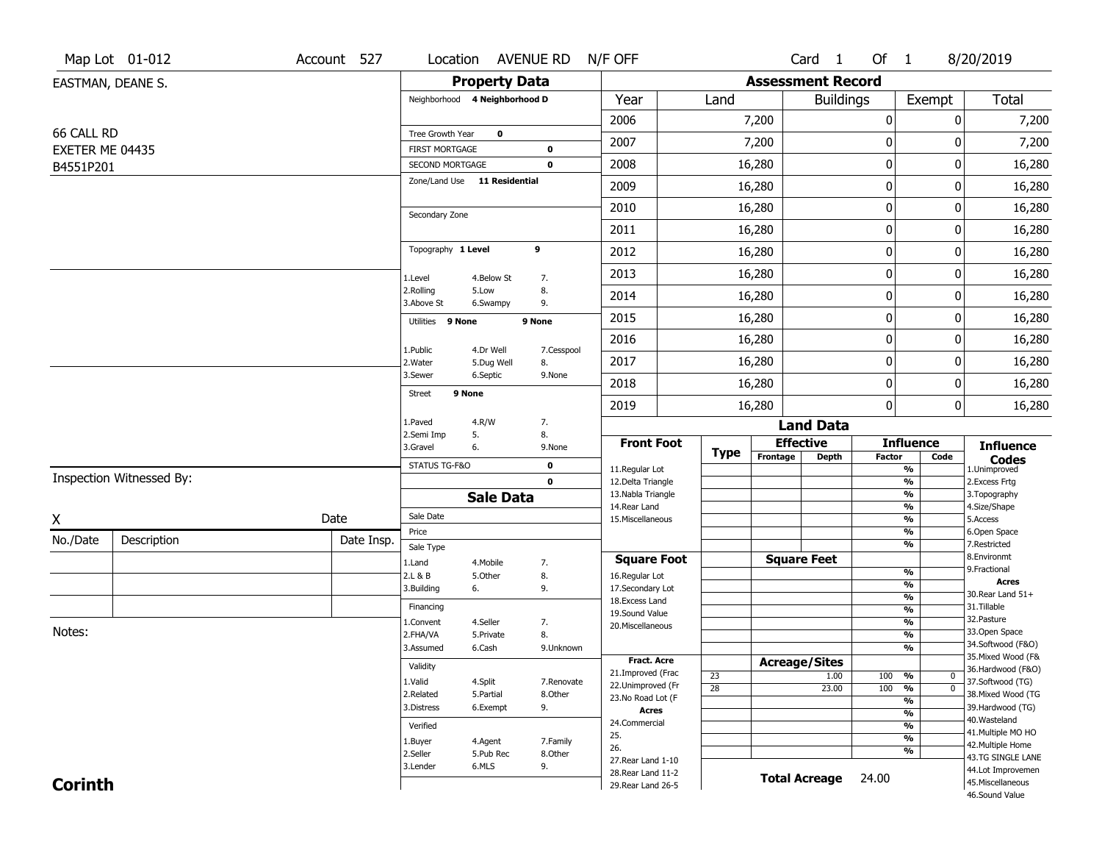|                              | Map Lot 01-012           | Account 527 |                                          |                      | Location AVENUE RD N/F OFF |                                          |                 |                          | Card 1               | Of $1$           |                                     | 8/20/2019                               |
|------------------------------|--------------------------|-------------|------------------------------------------|----------------------|----------------------------|------------------------------------------|-----------------|--------------------------|----------------------|------------------|-------------------------------------|-----------------------------------------|
|                              | EASTMAN, DEANE S.        |             |                                          | <b>Property Data</b> |                            |                                          |                 | <b>Assessment Record</b> |                      |                  |                                     |                                         |
|                              |                          |             | Neighborhood 4 Neighborhood D            |                      |                            | Year                                     | Land            |                          | <b>Buildings</b>     |                  | Exempt                              | Total                                   |
|                              |                          |             |                                          |                      |                            | 2006                                     |                 | 7,200                    |                      | $\boldsymbol{0}$ | 0                                   | 7,200                                   |
| 66 CALL RD                   |                          |             | Tree Growth Year                         | $\mathbf 0$          |                            | 2007                                     |                 | 7,200                    |                      | 0                | 0                                   | 7,200                                   |
| EXETER ME 04435<br>B4551P201 |                          |             | <b>FIRST MORTGAGE</b><br>SECOND MORTGAGE |                      | 0<br>$\mathbf 0$           | 2008                                     |                 | 16,280                   |                      | $\pmb{0}$        | 0                                   | 16,280                                  |
|                              |                          |             | Zone/Land Use 11 Residential             |                      |                            | 2009                                     |                 | 16,280                   |                      | 0                | 0                                   | 16,280                                  |
|                              |                          |             |                                          |                      |                            | 2010                                     |                 | 16,280                   |                      | $\mathbf 0$      | 0                                   | 16,280                                  |
|                              |                          |             | Secondary Zone                           |                      |                            |                                          |                 |                          |                      |                  |                                     |                                         |
|                              |                          |             | Topography 1 Level                       |                      | 9                          | 2011                                     |                 | 16,280                   |                      | $\boldsymbol{0}$ | 0                                   | 16,280                                  |
|                              |                          |             |                                          |                      |                            | 2012                                     |                 | 16,280                   |                      | $\boldsymbol{0}$ | 0                                   | 16,280                                  |
|                              |                          |             | 1.Level                                  | 4.Below St           | 7.                         | 2013                                     |                 | 16,280                   |                      | $\boldsymbol{0}$ | 0                                   | 16,280                                  |
|                              |                          |             | 2.Rolling<br>3.Above St                  | 5.Low<br>6.Swampy    | 8.<br>9.                   | 2014                                     |                 | 16,280                   |                      | $\mathbf 0$      | 0                                   | 16,280                                  |
|                              |                          |             | Utilities 9 None                         |                      | 9 None                     | 2015                                     |                 | 16,280                   |                      | $\boldsymbol{0}$ | 0                                   | 16,280                                  |
|                              |                          |             | 1.Public                                 | 4.Dr Well            | 7.Cesspool                 | 2016                                     |                 | 16,280                   |                      | $\boldsymbol{0}$ | 0                                   | 16,280                                  |
|                              |                          |             | 2.Water                                  | 5.Dug Well           | 8.                         | 2017                                     |                 | 16,280                   |                      | 0                | 0                                   | 16,280                                  |
|                              |                          |             | 3.Sewer                                  | 6.Septic             | 9.None                     | 2018                                     |                 | 16,280                   |                      | $\mathbf 0$      | 0                                   | 16,280                                  |
|                              |                          |             | 9 None<br><b>Street</b>                  |                      |                            | 2019                                     |                 | 16,280                   |                      | $\mathbf 0$      | 0                                   | 16,280                                  |
|                              |                          |             | 1.Paved                                  | 4.R/W                | 7.                         |                                          |                 |                          | <b>Land Data</b>     |                  |                                     |                                         |
|                              |                          |             | 2.Semi Imp<br>3.Gravel                   | 5.<br>6.             | 8.<br>9.None               | <b>Front Foot</b>                        | <b>Type</b>     | <b>Effective</b>         |                      |                  | <b>Influence</b>                    | <b>Influence</b>                        |
|                              |                          |             | STATUS TG-F&O                            |                      | $\mathbf 0$                | 11.Regular Lot                           |                 | Frontage                 | Depth                | Factor           | Code<br>$\overline{\frac{9}{6}}$    | <b>Codes</b><br>1.Unimproved            |
|                              | Inspection Witnessed By: |             |                                          |                      | $\mathbf 0$                | 12.Delta Triangle                        |                 |                          |                      |                  | $\frac{9}{6}$                       | 2. Excess Frtg                          |
|                              |                          |             |                                          | <b>Sale Data</b>     |                            | 13. Nabla Triangle<br>14. Rear Land      |                 |                          |                      |                  | $\frac{9}{6}$<br>$\frac{9}{6}$      | 3. Topography<br>4.Size/Shape           |
| X                            |                          | Date        | Sale Date                                |                      |                            | 15. Miscellaneous                        |                 |                          |                      |                  | $\frac{9}{6}$                       | 5.Access                                |
| No./Date                     | Description              | Date Insp.  | Price<br>Sale Type                       |                      |                            |                                          |                 |                          |                      |                  | %<br>%                              | 6.Open Space<br>7.Restricted            |
|                              |                          |             | 1.Land                                   | 4. Mobile            | 7.                         | <b>Square Foot</b>                       |                 | <b>Square Feet</b>       |                      |                  |                                     | 8.Environmt                             |
|                              |                          |             | 2.L & B                                  | 5.Other              | 8.                         | 16.Regular Lot                           |                 |                          |                      |                  | %                                   | 9. Fractional<br><b>Acres</b>           |
|                              |                          |             | 3.Building                               | 6.                   | 9.                         | 17.Secondary Lot                         |                 |                          |                      |                  | %<br>%                              | 30. Rear Land 51+                       |
|                              |                          |             | Financing                                |                      |                            | 18.Excess Land<br>19.Sound Value         |                 |                          |                      |                  | $\frac{9}{6}$                       | 31.Tillable                             |
|                              |                          |             | 1.Convent                                | 4.Seller             | 7.                         | 20.Miscellaneous                         |                 |                          |                      |                  | %                                   | 32. Pasture                             |
| Notes:                       |                          |             | 2.FHA/VA                                 | 5.Private            | 8.                         |                                          |                 |                          |                      |                  | %                                   | 33.Open Space                           |
|                              |                          |             | 3.Assumed                                | 6.Cash               | 9.Unknown                  |                                          |                 |                          |                      |                  | %                                   | 34.Softwood (F&O)<br>35. Mixed Wood (F& |
|                              |                          |             | Validity                                 |                      |                            | <b>Fract. Acre</b><br>21.Improved (Frac  |                 | <b>Acreage/Sites</b>     |                      |                  |                                     | 36.Hardwood (F&O)                       |
|                              |                          |             | 1.Valid                                  | 4.Split              | 7.Renovate                 | 22.Unimproved (Fr                        | 23              |                          | 1.00                 | 100              | %<br>0<br>$\overline{\mathfrak{o}}$ | 37.Softwood (TG)                        |
|                              |                          |             | 2.Related                                | 5.Partial            | 8.Other                    | 23.No Road Lot (F                        | $\overline{28}$ |                          | 23.00                | 100              | %<br>$\overline{\frac{9}{6}}$       | 38. Mixed Wood (TG                      |
|                              |                          |             | 3.Distress                               | 6.Exempt             | 9.                         | <b>Acres</b>                             |                 |                          |                      |                  | $\frac{9}{6}$                       | 39.Hardwood (TG)                        |
|                              |                          |             | Verified                                 |                      |                            | 24.Commercial                            |                 |                          |                      |                  | $\frac{9}{6}$                       | 40. Wasteland                           |
|                              |                          |             | 1.Buyer                                  | 4.Agent              | 7.Family                   | 25.                                      |                 |                          |                      |                  | $\frac{9}{6}$                       | 41. Multiple MO HO                      |
|                              |                          |             | 2.Seller                                 | 5.Pub Rec            | 8.Other                    | 26.                                      |                 |                          |                      |                  | %                                   | 42. Multiple Home<br>43.TG SINGLE LANE  |
|                              |                          |             | 3.Lender                                 | 6.MLS                | 9.                         | 27. Rear Land 1-10<br>28. Rear Land 11-2 |                 |                          |                      |                  |                                     | 44.Lot Improvemen                       |
| <b>Corinth</b>               |                          |             |                                          |                      |                            |                                          |                 |                          | <b>Total Acreage</b> |                  |                                     |                                         |
|                              |                          |             |                                          |                      |                            | 29. Rear Land 26-5                       |                 |                          |                      | 24.00            |                                     | 45. Miscellaneous<br>46.Sound Value     |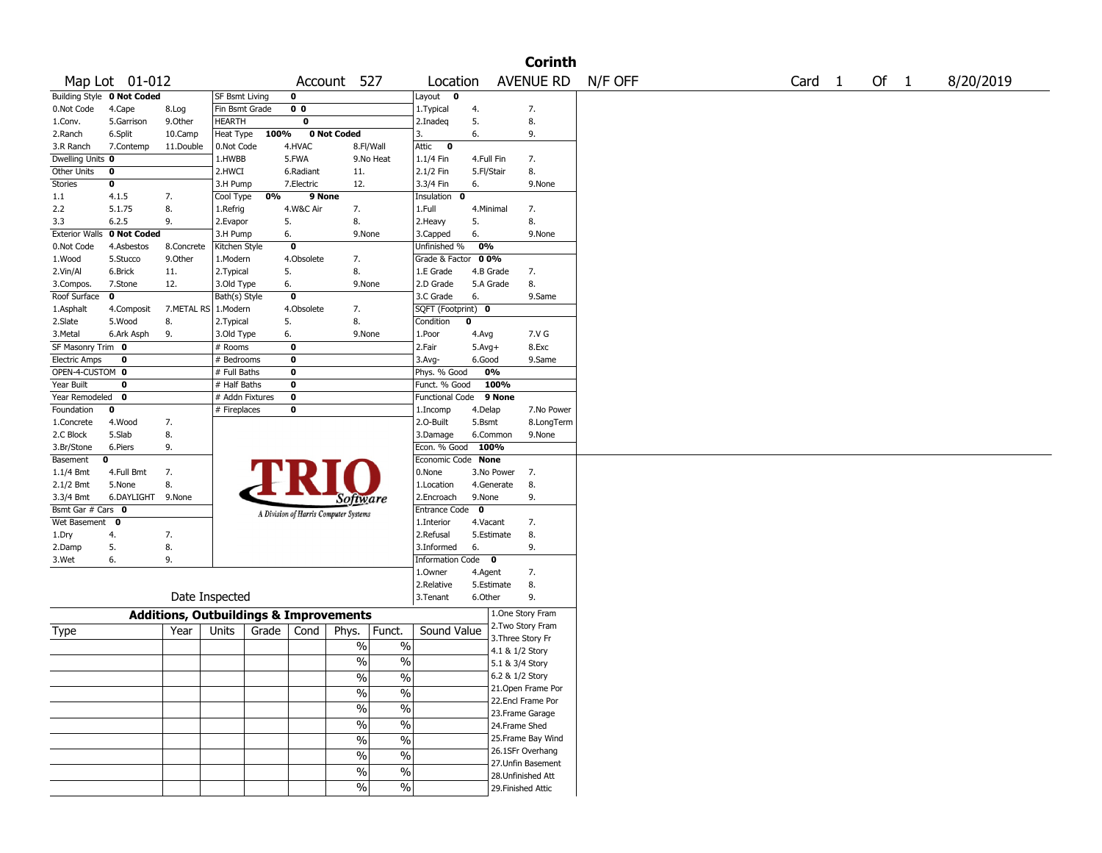|                      |                            |                |                                                   |                                       |                                                      |                    |            | <b>Corinth</b>     |         |                   |        |           |
|----------------------|----------------------------|----------------|---------------------------------------------------|---------------------------------------|------------------------------------------------------|--------------------|------------|--------------------|---------|-------------------|--------|-----------|
|                      | Map Lot 01-012             |                |                                                   |                                       | Account 527                                          | Location           |            | <b>AVENUE RD</b>   | N/F OFF | Card <sub>1</sub> | Of $1$ | 8/20/2019 |
|                      | Building Style 0 Not Coded |                | SF Bsmt Living                                    | 0                                     |                                                      | Layout 0           |            |                    |         |                   |        |           |
| 0.Not Code           | 4.Cape                     | 8.Log          | Fin Bsmt Grade                                    | 0 <sub>0</sub>                        |                                                      | 1. Typical         | 4.         | 7.                 |         |                   |        |           |
| 1.Conv.              | 5.Garrison                 | 9.Other        | <b>HEARTH</b>                                     | 0                                     |                                                      | 2.Inadeq           | 5.         | 8.                 |         |                   |        |           |
| 2.Ranch              | 6.Split                    | 10.Camp        | Heat Type                                         | 100%                                  | 0 Not Coded                                          | 3.                 | 6.         | 9.                 |         |                   |        |           |
| 3.R Ranch            | 7.Contemp                  | 11.Double      | 0.Not Code                                        | 4.HVAC                                | 8.Fl/Wall                                            | Attic<br>$\bullet$ |            |                    |         |                   |        |           |
| Dwelling Units 0     |                            |                | 1.HWBB                                            | 5.FWA                                 | 9.No Heat                                            | 1.1/4 Fin          | 4.Full Fin | 7.                 |         |                   |        |           |
| Other Units          | 0                          |                | 2.HWCI                                            | 6.Radiant                             | 11.                                                  | 2.1/2 Fin          | 5.Fl/Stair | 8.                 |         |                   |        |           |
| Stories              | 0                          |                | 3.H Pump                                          | 7.Electric                            | 12.                                                  | 3.3/4 Fin          | 6.         | 9.None             |         |                   |        |           |
| 1.1                  | 4.1.5                      | 7.             | 0%<br>Cool Type                                   | 9 None                                |                                                      | Insulation 0       |            |                    |         |                   |        |           |
| 2.2                  | 5.1.75                     | 8.             | 1.Refrig                                          | 4.W&C Air                             | 7.                                                   | 1.Full             | 4.Minimal  | 7.                 |         |                   |        |           |
| 3.3                  | 6.2.5                      | 9.             | 2.Evapor                                          | 5.                                    | 8.                                                   | 2.Heavy            | 5.         | 8.                 |         |                   |        |           |
|                      | Exterior Walls 0 Not Coded |                | 3.H Pump                                          | 6.                                    | 9.None                                               | 3.Capped           | 6.         | 9.None             |         |                   |        |           |
| 0.Not Code           | 4.Asbestos                 | 8.Concrete     | Kitchen Style                                     | 0                                     |                                                      | Unfinished %       | 0%         |                    |         |                   |        |           |
| 1.Wood               | 5.Stucco                   | 9.0ther        | 1.Modern                                          | 4.Obsolete                            | 7.                                                   | Grade & Factor     | 00%        |                    |         |                   |        |           |
| 2.Vin/Al             | 6.Brick                    | 11.            | 2. Typical                                        | 5.                                    | 8.                                                   | 1.E Grade          | 4.B Grade  | 7.                 |         |                   |        |           |
| 3.Compos.            | 7.Stone                    | 12.            | 3.Old Type                                        | 6.                                    | 9.None                                               | 2.D Grade          | 5.A Grade  | 8.                 |         |                   |        |           |
| Roof Surface         | 0                          |                | Bath(s) Style                                     | 0                                     |                                                      | 3.C Grade          | 6.         | 9.Same             |         |                   |        |           |
| 1.Asphalt            | 4.Composit                 | 7.METAL RS     | 1.Modern                                          | 4.Obsolete                            | 7.                                                   | SQFT (Footprint) 0 |            |                    |         |                   |        |           |
| 2.Slate              | 5.Wood                     | 8.             | 2. Typical                                        | 5.                                    | 8.                                                   | Condition          | 0          |                    |         |                   |        |           |
| 3.Metal              | 6.Ark Asph                 | 9.             | 3.Old Type                                        | 6.                                    | 9.None                                               | 1.Poor             | 4.Avg      | 7.V G              |         |                   |        |           |
| SF Masonry Trim 0    |                            |                | # Rooms                                           | 0                                     |                                                      | 2.Fair             | $5.Avg+$   | 8.Exc              |         |                   |        |           |
| <b>Electric Amps</b> | 0                          |                | # Bedrooms                                        | 0                                     |                                                      | 3.Avg-             | 6.Good     | 9.Same             |         |                   |        |           |
| OPEN-4-CUSTOM 0      |                            |                | # Full Baths                                      | 0                                     |                                                      | Phys. % Good       | 0%         |                    |         |                   |        |           |
| Year Built           | 0                          |                | # Half Baths                                      | 0                                     |                                                      | Funct. % Good      | 100%       |                    |         |                   |        |           |
| Year Remodeled       | 0                          |                | # Addn Fixtures                                   | $\mathbf 0$                           |                                                      | Functional Code    | 9 None     |                    |         |                   |        |           |
| Foundation           | 0                          |                | # Fireplaces                                      | 0                                     |                                                      | 1.Incomp           | 4.Delap    | 7.No Power         |         |                   |        |           |
| 1.Concrete           | 4.Wood                     | 7.             |                                                   |                                       |                                                      | 2.O-Built          | 5.Bsmt     | 8.LongTerm         |         |                   |        |           |
| 2.C Block            | 5.Slab                     | 8.             |                                                   |                                       |                                                      | 3.Damage           | 6.Common   | 9.None             |         |                   |        |           |
| 3.Br/Stone           | 6.Piers                    | 9.             |                                                   |                                       |                                                      | Econ. % Good       | 100%       |                    |         |                   |        |           |
| Basement             | 0                          |                |                                                   |                                       |                                                      | Economic Code None |            |                    |         |                   |        |           |
| 1.1/4 Bmt            | 4.Full Bmt                 | 7.             |                                                   |                                       |                                                      | 0.None             | 3.No Power | 7.                 |         |                   |        |           |
| 2.1/2 Bmt            | 5.None                     | 8.             |                                                   |                                       |                                                      | 1.Location         | 4.Generate | 8.                 |         |                   |        |           |
| 3.3/4 Bmt            | 6.DAYLIGHT 9.None          |                |                                                   |                                       | Sottware                                             | 2.Encroach         | 9.None     | 9.                 |         |                   |        |           |
| Bsmt Gar # Cars 0    |                            |                |                                                   | A Division of Harris Computer Systems |                                                      | Entrance Code 0    |            |                    |         |                   |        |           |
| Wet Basement 0       |                            |                |                                                   |                                       |                                                      | 1.Interior         | 4.Vacant   | 7.                 |         |                   |        |           |
| 1.Dry                | 4.                         | 7.             |                                                   |                                       |                                                      | 2.Refusal          | 5.Estimate | 8.                 |         |                   |        |           |
| 2.Damp               | 5.                         | 8.             |                                                   |                                       |                                                      | 3.Informed         | 6.         | 9.                 |         |                   |        |           |
| 3.Wet                | 6.                         | 9.             |                                                   |                                       |                                                      | Information Code 0 |            |                    |         |                   |        |           |
|                      |                            |                |                                                   |                                       |                                                      | 1.Owner            | 4.Agent    | 7.                 |         |                   |        |           |
|                      |                            |                |                                                   |                                       |                                                      | 2.Relative         | 5.Estimate | 8.                 |         |                   |        |           |
|                      |                            | Date Inspected |                                                   |                                       |                                                      | 3.Tenant           | 6.Other    | 9.                 |         |                   |        |           |
|                      |                            |                | <b>Additions, Outbuildings &amp; Improvements</b> |                                       |                                                      |                    |            | 1.One Story Fram   |         |                   |        |           |
|                      |                            |                |                                                   |                                       |                                                      |                    |            | 2. Two Story Fram  |         |                   |        |           |
| Type                 |                            | Year           | Grade $ $<br>Units                                | Cond                                  | Funct.<br>Phys.                                      | Sound Value        |            | 3. Three Story Fr  |         |                   |        |           |
|                      |                            |                |                                                   |                                       | $\%$<br>$\%$                                         |                    |            | 4.1 & 1/2 Story    |         |                   |        |           |
|                      |                            |                |                                                   |                                       | $\%$<br>$\%$                                         |                    |            | 5.1 & 3/4 Story    |         |                   |        |           |
|                      |                            |                |                                                   |                                       | $\frac{1}{2}$<br>$\%$                                |                    |            | 6.2 & 1/2 Story    |         |                   |        |           |
|                      |                            |                |                                                   |                                       |                                                      |                    |            | 21.Open Frame Por  |         |                   |        |           |
|                      |                            |                |                                                   |                                       | $\overline{\frac{0}{0}}$<br>$\overline{\frac{0}{0}}$ |                    |            | 22.Encl Frame Por  |         |                   |        |           |
|                      |                            |                |                                                   |                                       | $\frac{0}{6}$<br>$\sqrt{6}$                          |                    |            | 23. Frame Garage   |         |                   |        |           |
|                      |                            |                |                                                   |                                       | $\frac{0}{6}$<br>$\sqrt{6}$                          |                    |            | 24.Frame Shed      |         |                   |        |           |
|                      |                            |                |                                                   |                                       | $\frac{0}{6}$<br>$\sqrt{6}$                          |                    |            | 25. Frame Bay Wind |         |                   |        |           |
|                      |                            |                |                                                   |                                       |                                                      |                    |            | 26.1SFr Overhang   |         |                   |        |           |
|                      |                            |                |                                                   |                                       | $\frac{0}{6}$<br>$\sqrt{6}$                          |                    |            | 27.Unfin Basement  |         |                   |        |           |
|                      |                            |                |                                                   |                                       | $\frac{0}{6}$<br>$\frac{0}{6}$                       |                    |            | 28. Unfinished Att |         |                   |        |           |
|                      |                            |                |                                                   |                                       | $\sqrt{6}$<br>$\sqrt{2}$                             |                    |            | 29. Finished Attic |         |                   |        |           |
|                      |                            |                |                                                   |                                       |                                                      |                    |            |                    |         |                   |        |           |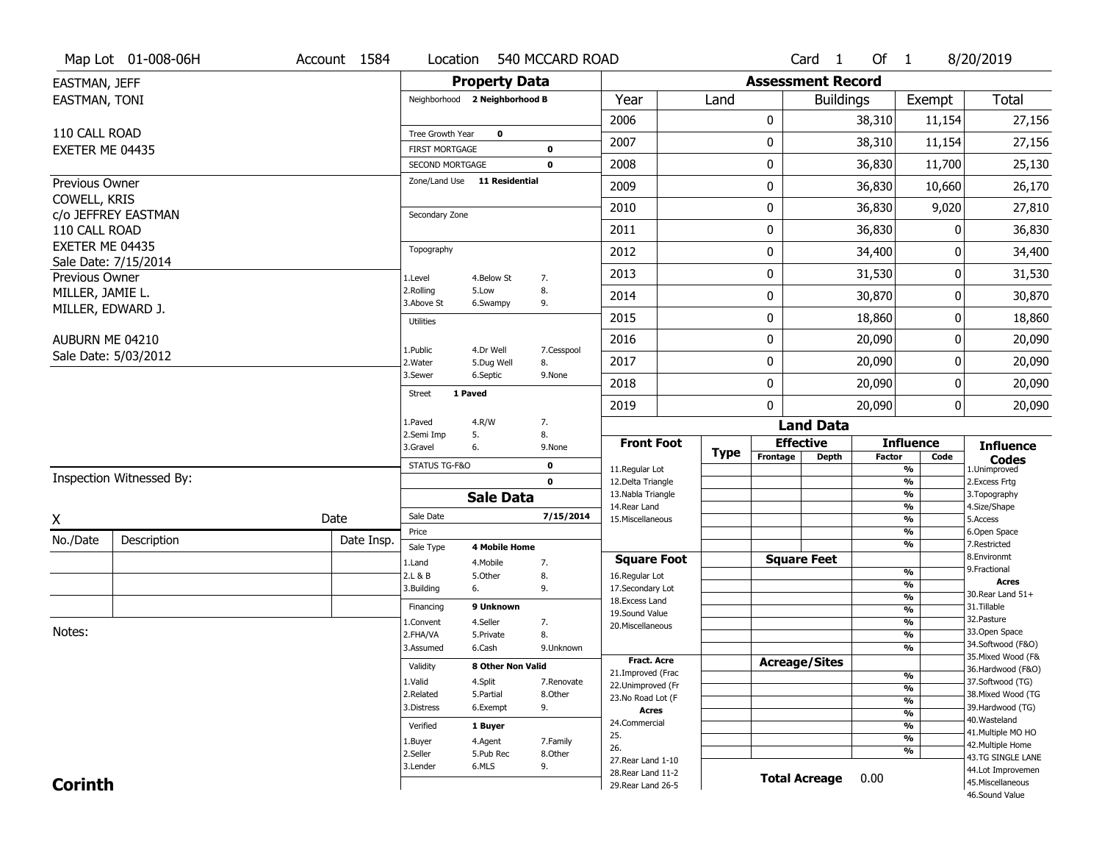|                   | Map Lot 01-008-06H       | Account 1584 | Location                                 |                         | 540 MCCARD ROAD  |                                          |             |             | Card <sub>1</sub>        | Of 1          |                                           | 8/20/2019                               |
|-------------------|--------------------------|--------------|------------------------------------------|-------------------------|------------------|------------------------------------------|-------------|-------------|--------------------------|---------------|-------------------------------------------|-----------------------------------------|
| EASTMAN, JEFF     |                          |              |                                          | <b>Property Data</b>    |                  |                                          |             |             | <b>Assessment Record</b> |               |                                           |                                         |
| EASTMAN, TONI     |                          |              | Neighborhood 2 Neighborhood B            |                         |                  | Year                                     | Land        |             | <b>Buildings</b>         |               | Exempt                                    | Total                                   |
|                   |                          |              |                                          |                         |                  | 2006                                     |             | 0           |                          | 38,310        | 11,154                                    | 27,156                                  |
| 110 CALL ROAD     |                          |              | Tree Growth Year                         | $\mathbf 0$             |                  | 2007                                     |             | 0           |                          | 38,310        | 11,154                                    | 27,156                                  |
| EXETER ME 04435   |                          |              | <b>FIRST MORTGAGE</b><br>SECOND MORTGAGE |                         | 0<br>$\mathbf 0$ | 2008                                     |             | 0           |                          | 36,830        | 11,700                                    | 25,130                                  |
| Previous Owner    |                          |              | Zone/Land Use 11 Residential             |                         |                  |                                          |             |             |                          |               |                                           |                                         |
| COWELL, KRIS      |                          |              |                                          |                         |                  | 2009                                     |             | 0           |                          | 36,830        | 10,660                                    | 26,170                                  |
|                   | c/o JEFFREY EASTMAN      |              | Secondary Zone                           |                         |                  | 2010                                     |             | 0           |                          | 36,830        | 9,020                                     | 27,810                                  |
| 110 CALL ROAD     |                          |              |                                          |                         |                  | 2011                                     |             | 0           |                          | 36,830        | O                                         | 36,830                                  |
| EXETER ME 04435   |                          |              | Topography                               |                         |                  | 2012                                     |             | 0           |                          | 34,400        | 0                                         | 34,400                                  |
| Previous Owner    | Sale Date: 7/15/2014     |              | 1.Level                                  | 4.Below St              | 7.               | 2013                                     |             | 0           |                          | 31,530        | 0                                         | 31,530                                  |
| MILLER, JAMIE L.  |                          |              | 2.Rolling<br>3.Above St                  | 5.Low<br>6.Swampy       | 8.<br>9.         | 2014                                     |             | 0           |                          | 30,870        | 0                                         | 30,870                                  |
| MILLER, EDWARD J. |                          |              | <b>Utilities</b>                         |                         |                  | 2015                                     |             | 0           |                          | 18,860        | 0                                         | 18,860                                  |
| AUBURN ME 04210   |                          |              |                                          |                         |                  | 2016                                     |             | 0           |                          | 20,090        | 0                                         | 20,090                                  |
|                   | Sale Date: 5/03/2012     |              | 1.Public<br>2. Water                     | 4.Dr Well<br>5.Dug Well | 7.Cesspool<br>8. | 2017                                     |             | $\mathbf 0$ |                          | 20,090        | 0                                         | 20,090                                  |
|                   |                          |              | 3.Sewer                                  | 6.Septic                | 9.None           | 2018                                     |             | 0           |                          | 20,090        | 0                                         | 20,090                                  |
|                   |                          |              | 1 Paved<br><b>Street</b>                 |                         |                  | 2019                                     |             | 0           |                          | 20,090        | 0                                         | 20,090                                  |
|                   |                          |              | 1.Paved                                  | 4.R/W                   | 7.               |                                          |             |             | <b>Land Data</b>         |               |                                           |                                         |
|                   |                          |              |                                          |                         |                  |                                          |             |             |                          |               |                                           |                                         |
|                   |                          |              | 2.Semi Imp<br>3.Gravel                   | 5.<br>6.                | 8.<br>9.None     | <b>Front Foot</b>                        |             |             | <b>Effective</b>         |               | <b>Influence</b>                          | <b>Influence</b>                        |
|                   |                          |              | STATUS TG-F&O                            |                         | 0                |                                          | <b>Type</b> | Frontage    | <b>Depth</b>             | <b>Factor</b> | Code                                      | <b>Codes</b>                            |
|                   | Inspection Witnessed By: |              |                                          |                         | $\mathbf 0$      | 11.Regular Lot<br>12.Delta Triangle      |             |             |                          |               | $\overline{\frac{9}{6}}$<br>$\frac{9}{6}$ | 1.Unimproved<br>2.Excess Frtg           |
|                   |                          |              |                                          | <b>Sale Data</b>        |                  | 13. Nabla Triangle                       |             |             |                          |               | $\frac{9}{6}$                             | 3. Topography                           |
| Χ                 |                          | Date         | Sale Date                                |                         | 7/15/2014        | 14. Rear Land<br>15. Miscellaneous       |             |             |                          |               | $\frac{9}{6}$<br>$\frac{9}{6}$            | 4.Size/Shape<br>5.Access                |
| No./Date          | Description              | Date Insp.   | Price                                    |                         |                  |                                          |             |             |                          |               | $\frac{9}{6}$                             | 6.Open Space                            |
|                   |                          |              | Sale Type                                | <b>4 Mobile Home</b>    |                  | <b>Square Foot</b>                       |             |             | <b>Square Feet</b>       |               | $\frac{9}{6}$                             | 7.Restricted<br>8.Environmt             |
|                   |                          |              | 1.Land<br>2.L & B                        | 4. Mobile<br>5.Other    | 7.<br>8.         | 16.Regular Lot                           |             |             |                          |               | $\frac{9}{6}$                             | 9. Fractional                           |
|                   |                          |              | 3.Building                               | 6.                      | 9.               | 17.Secondary Lot                         |             |             |                          |               | %                                         | <b>Acres</b><br>30. Rear Land 51+       |
|                   |                          |              | Financing                                | 9 Unknown               |                  | 18. Excess Land<br>19.Sound Value        |             |             |                          |               | %<br>$\frac{9}{6}$                        | 31.Tillable                             |
|                   |                          |              | 1.Convent                                | 4.Seller                | 7.               | 20.Miscellaneous                         |             |             |                          |               | $\frac{9}{6}$                             | 32.Pasture                              |
| Notes:            |                          |              | 2.FHA/VA                                 | 5.Private               | 8.               |                                          |             |             |                          |               | $\frac{9}{6}$                             | 33.Open Space                           |
|                   |                          |              | 3.Assumed                                | 6.Cash                  | 9.Unknown        |                                          |             |             |                          |               | %                                         | 34.Softwood (F&O)<br>35. Mixed Wood (F& |
|                   |                          |              | Validity                                 | 8 Other Non Valid       |                  | <b>Fract. Acre</b><br>21.Improved (Frac  |             |             | <b>Acreage/Sites</b>     |               |                                           | 36.Hardwood (F&O)                       |
|                   |                          |              | 1.Valid                                  | 4.Split                 | 7.Renovate       | 22.Unimproved (Fr                        |             |             |                          |               | %<br>%                                    | 37.Softwood (TG)                        |
|                   |                          |              | 2.Related                                | 5.Partial               | 8.Other          | 23.No Road Lot (F                        |             |             |                          |               | %                                         | 38. Mixed Wood (TG                      |
|                   |                          |              | 3.Distress                               | 6.Exempt                | 9.               | <b>Acres</b>                             |             |             |                          |               | $\frac{9}{6}$                             | 39.Hardwood (TG)<br>40. Wasteland       |
|                   |                          |              | Verified                                 | 1 Buyer                 |                  | 24.Commercial<br>25.                     |             |             |                          |               | %                                         | 41. Multiple MO HO                      |
|                   |                          |              | 1.Buyer                                  | 4.Agent                 | 7.Family         | 26.                                      |             |             |                          |               | $\overline{\frac{9}{6}}$                  | 42. Multiple Home                       |
|                   |                          |              | 2.Seller                                 | 5.Pub Rec               | 8.Other          | 27. Rear Land 1-10                       |             |             |                          |               | %                                         | 43.TG SINGLE LANE                       |
| <b>Corinth</b>    |                          |              | 3.Lender                                 | 6.MLS                   | 9.               | 28. Rear Land 11-2<br>29. Rear Land 26-5 |             |             | <b>Total Acreage</b>     | 0.00          |                                           | 44.Lot Improvemen<br>45. Miscellaneous  |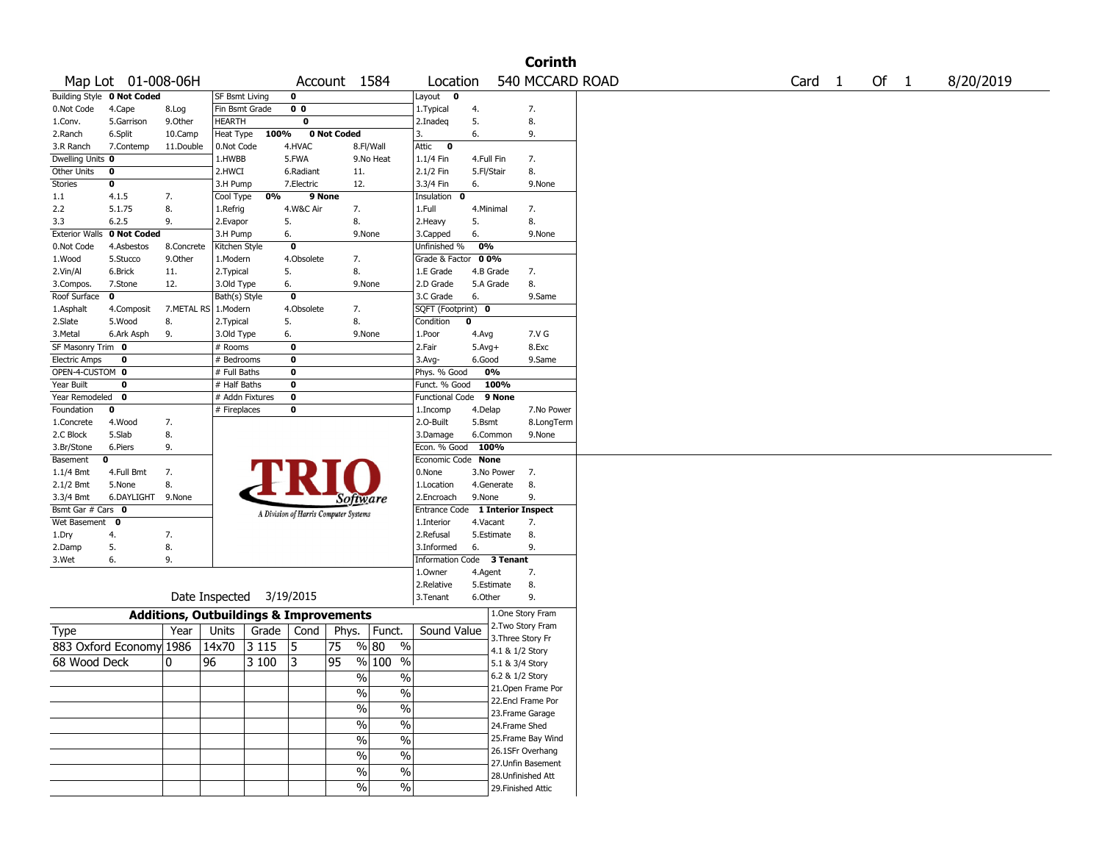|                      |                            |                                                   |                       |       |                |                                       |                          |                                  |            |                   | <b>Corinth</b>     |                   |      |           |
|----------------------|----------------------------|---------------------------------------------------|-----------------------|-------|----------------|---------------------------------------|--------------------------|----------------------------------|------------|-------------------|--------------------|-------------------|------|-----------|
|                      | Map Lot 01-008-06H         |                                                   |                       |       |                | Account 1584                          |                          | Location                         |            |                   | 540 MCCARD ROAD    | Card <sub>1</sub> | Of 1 | 8/20/2019 |
|                      | Building Style 0 Not Coded |                                                   | <b>SF Bsmt Living</b> |       | 0              |                                       |                          | Layout<br>$\mathbf{o}$           |            |                   |                    |                   |      |           |
| 0.Not Code           | 4.Cape                     | 8.Log                                             | Fin Bsmt Grade        |       | 0 <sub>0</sub> |                                       |                          | 1. Typical                       | 4.         |                   | 7.                 |                   |      |           |
| 1.Conv.              | 5.Garrison                 | 9.Other                                           | <b>HEARTH</b>         |       | 0              |                                       |                          | 2.Inadeq                         | 5.         |                   | 8.                 |                   |      |           |
| 2.Ranch              | 6.Split                    | 10.Camp                                           | Heat Type             | 100%  |                | 0 Not Coded                           |                          | 3.                               | 6.         |                   | 9.                 |                   |      |           |
| 3.R Ranch            | 7.Contemp                  | 11.Double                                         | 0.Not Code            |       | 4.HVAC         |                                       | 8.Fl/Wall                | Attic<br>$\bullet$               |            |                   |                    |                   |      |           |
| Dwelling Units 0     |                            |                                                   | 1.HWBB                |       | 5.FWA          |                                       | 9.No Heat                | 1.1/4 Fin                        | 4.Full Fin |                   | 7.                 |                   |      |           |
| Other Units          | 0                          |                                                   | 2.HWCI                |       | 6.Radiant      | 11.                                   |                          | 2.1/2 Fin                        | 5.Fl/Stair |                   | 8.                 |                   |      |           |
| <b>Stories</b>       | 0                          |                                                   | 3.H Pump              |       | 7.Electric     | 12.                                   |                          | 3.3/4 Fin                        | 6.         |                   | 9.None             |                   |      |           |
| 1.1                  | 4.1.5                      | 7.                                                | Cool Type             | 0%    | 9 None         |                                       |                          | Insulation<br>0                  |            |                   |                    |                   |      |           |
| 2.2                  | 5.1.75                     | 8.                                                | 1.Refrig              |       | 4.W&C Air      | 7.                                    |                          | 1.Full                           | 4.Minimal  |                   | 7.                 |                   |      |           |
| 3.3                  | 6.2.5                      | 9.                                                | 2.Evapor              |       | 5.             | 8.                                    |                          | 2.Heavy                          | 5.         |                   | 8.                 |                   |      |           |
|                      | Exterior Walls 0 Not Coded |                                                   | 3.H Pump              |       | 6.             | 9.None                                |                          | 3.Capped                         | 6.         |                   | 9.None             |                   |      |           |
| 0.Not Code           | 4.Asbestos                 | 8.Concrete                                        | Kitchen Style         |       | 0              |                                       |                          | Unfinished %                     | 0%         |                   |                    |                   |      |           |
| 1.Wood               | 5.Stucco                   | 9.Other                                           | 1.Modern              |       | 4.Obsolete     | 7.                                    |                          | Grade & Factor                   | 00%        |                   |                    |                   |      |           |
| 2.Vin/Al             | 6.Brick                    | 11.                                               | 2.Typical             |       | 5.             | 8.                                    |                          | 1.E Grade                        | 4.B Grade  |                   | 7.                 |                   |      |           |
| 3.Compos.            | 7.Stone                    | 12.                                               | 3.Old Type            |       | 6.             | 9.None                                |                          | 2.D Grade                        | 5.A Grade  |                   | 8.                 |                   |      |           |
| Roof Surface         | 0                          |                                                   | Bath(s) Style         |       | 0              |                                       |                          | 3.C Grade                        | 6.         |                   | 9.Same             |                   |      |           |
| 1.Asphalt            | 4.Composit                 | 7.METAL RS   1.Modern                             |                       |       | 4.Obsolete     | 7.                                    |                          | SQFT (Footprint) 0               |            |                   |                    |                   |      |           |
| 2.Slate              | 5.Wood                     | 8.                                                | 2. Typical            |       | 5.             | 8.                                    |                          | Condition                        | 0          |                   |                    |                   |      |           |
| 3.Metal              | 6.Ark Asph                 | 9.                                                | 3.Old Type            |       | 6.             | 9.None                                |                          | 1.Poor                           | 4.Avg      |                   | 7.V G              |                   |      |           |
| SF Masonry Trim 0    |                            |                                                   | # Rooms               |       | 0              |                                       |                          | 2.Fair                           | $5.Avg+$   |                   | 8.Exc              |                   |      |           |
| <b>Electric Amps</b> | 0                          |                                                   | # Bedrooms            |       | 0              |                                       |                          | 3.Avg-                           | 6.Good     |                   | 9.Same             |                   |      |           |
| OPEN-4-CUSTOM 0      |                            |                                                   | # Full Baths          |       | 0              |                                       |                          | Phys. % Good                     | 0%         |                   |                    |                   |      |           |
| Year Built           | 0                          |                                                   | # Half Baths          |       | 0              |                                       |                          | Funct. % Good                    |            | 100%              |                    |                   |      |           |
| Year Remodeled       | 0                          |                                                   | # Addn Fixtures       |       | 0              |                                       |                          | Functional Code                  |            | 9 None            |                    |                   |      |           |
| Foundation           | 0                          |                                                   | # Fireplaces          |       | 0              |                                       |                          | 1.Incomp                         | 4.Delap    |                   | 7.No Power         |                   |      |           |
| 1.Concrete           | 4.Wood                     | 7.                                                |                       |       |                |                                       |                          | 2.O-Built                        | 5.Bsmt     |                   | 8.LongTerm         |                   |      |           |
| 2.C Block            | 5.Slab                     | 8.                                                |                       |       |                |                                       |                          | 3.Damage                         | 6.Common   |                   | 9.None             |                   |      |           |
| 3.Br/Stone           | 6.Piers                    | 9.                                                |                       |       |                |                                       |                          | Econ. % Good                     | 100%       |                   |                    |                   |      |           |
| Basement             | 0                          |                                                   |                       |       |                |                                       |                          | Economic Code None               |            |                   |                    |                   |      |           |
| 1.1/4 Bmt            | 4.Full Bmt                 | 7.                                                |                       |       |                |                                       |                          | 0.None                           | 3.No Power |                   | 7.                 |                   |      |           |
| 2.1/2 Bmt            | 5.None                     | 8.                                                |                       |       |                |                                       |                          | 1.Location                       | 4.Generate |                   | 8.                 |                   |      |           |
| 3.3/4 Bmt            | 6.DAYLIGHT 9.None          |                                                   |                       |       |                | Software                              |                          | 2.Encroach                       | 9.None     |                   | 9.                 |                   |      |           |
| Bsmt Gar # Cars 0    |                            |                                                   |                       |       |                | A Division of Harris Computer Systems |                          | Entrance Code 1 Interior Inspect |            |                   |                    |                   |      |           |
| Wet Basement         | 0                          |                                                   |                       |       |                |                                       |                          | 1.Interior                       | 4.Vacant   |                   | 7.                 |                   |      |           |
| 1.Dry                | 4.                         | 7.                                                |                       |       |                |                                       |                          | 2.Refusal                        | 5.Estimate |                   | 8.                 |                   |      |           |
| 2.Damp               | 5.                         | 8.                                                |                       |       |                |                                       |                          | 3.Informed                       | 6.         |                   | 9.                 |                   |      |           |
| 3.Wet                | 6.                         | 9.                                                |                       |       |                |                                       |                          | Information Code 3 Tenant        |            |                   |                    |                   |      |           |
|                      |                            |                                                   |                       |       |                |                                       |                          | 1.Owner                          | 4.Agent    |                   | 7.                 |                   |      |           |
|                      |                            |                                                   |                       |       |                |                                       |                          | 2.Relative                       | 5.Estimate |                   | 8.                 |                   |      |           |
|                      |                            |                                                   | Date Inspected        |       | 3/19/2015      |                                       |                          | 3. Tenant                        | 6.Other    |                   | 9.                 |                   |      |           |
|                      |                            | <b>Additions, Outbuildings &amp; Improvements</b> |                       |       |                |                                       |                          |                                  |            |                   | 1.One Story Fram   |                   |      |           |
| Type                 |                            | Year                                              | Units                 | Grade | Cond           | Phys.   Funct.                        |                          | Sound Value                      |            |                   | 2. Two Story Fram  |                   |      |           |
|                      | 883 Oxford Economy 1986    |                                                   | 14x70                 | 3115  | 5              | 75                                    | % 80<br>$\%$             |                                  |            | 3. Three Story Fr |                    |                   |      |           |
| 68 Wood Deck         |                            | 10                                                | 96                    | 3 100 | 3              | 95                                    | % 100<br>$\frac{0}{0}$   |                                  |            | 4.1 & 1/2 Story   |                    |                   |      |           |
|                      |                            |                                                   |                       |       |                |                                       |                          |                                  |            | 5.1 & 3/4 Story   |                    |                   |      |           |
|                      |                            |                                                   |                       |       |                | $\%$                                  | $\frac{0}{0}$            |                                  |            | 6.2 & 1/2 Story   | 21.Open Frame Por  |                   |      |           |
|                      |                            |                                                   |                       |       |                | $\%$                                  | $\%$                     |                                  |            |                   | 22.Encl Frame Por  |                   |      |           |
|                      |                            |                                                   |                       |       |                | %                                     | $\%$                     |                                  |            |                   | 23. Frame Garage   |                   |      |           |
|                      |                            |                                                   |                       |       |                | $\frac{1}{2}$                         | $\overline{\frac{0}{6}}$ |                                  |            |                   |                    |                   |      |           |
|                      |                            |                                                   |                       |       |                |                                       |                          |                                  |            | 24.Frame Shed     | 25. Frame Bay Wind |                   |      |           |
|                      |                            |                                                   |                       |       |                | $\frac{1}{2}$                         | $\overline{\frac{0}{6}}$ |                                  |            |                   | 26.1SFr Overhang   |                   |      |           |
|                      |                            |                                                   |                       |       |                | $\sqrt{96}$                           | $\overline{\frac{0}{6}}$ |                                  |            |                   | 27.Unfin Basement  |                   |      |           |
|                      |                            |                                                   |                       |       |                | $\frac{0}{0}$                         | $\%$                     |                                  |            |                   | 28.Unfinished Att  |                   |      |           |
|                      |                            |                                                   |                       |       |                | $\sqrt{96}$                           | $\%$                     |                                  |            |                   | 29. Finished Attic |                   |      |           |
|                      |                            |                                                   |                       |       |                |                                       |                          |                                  |            |                   |                    |                   |      |           |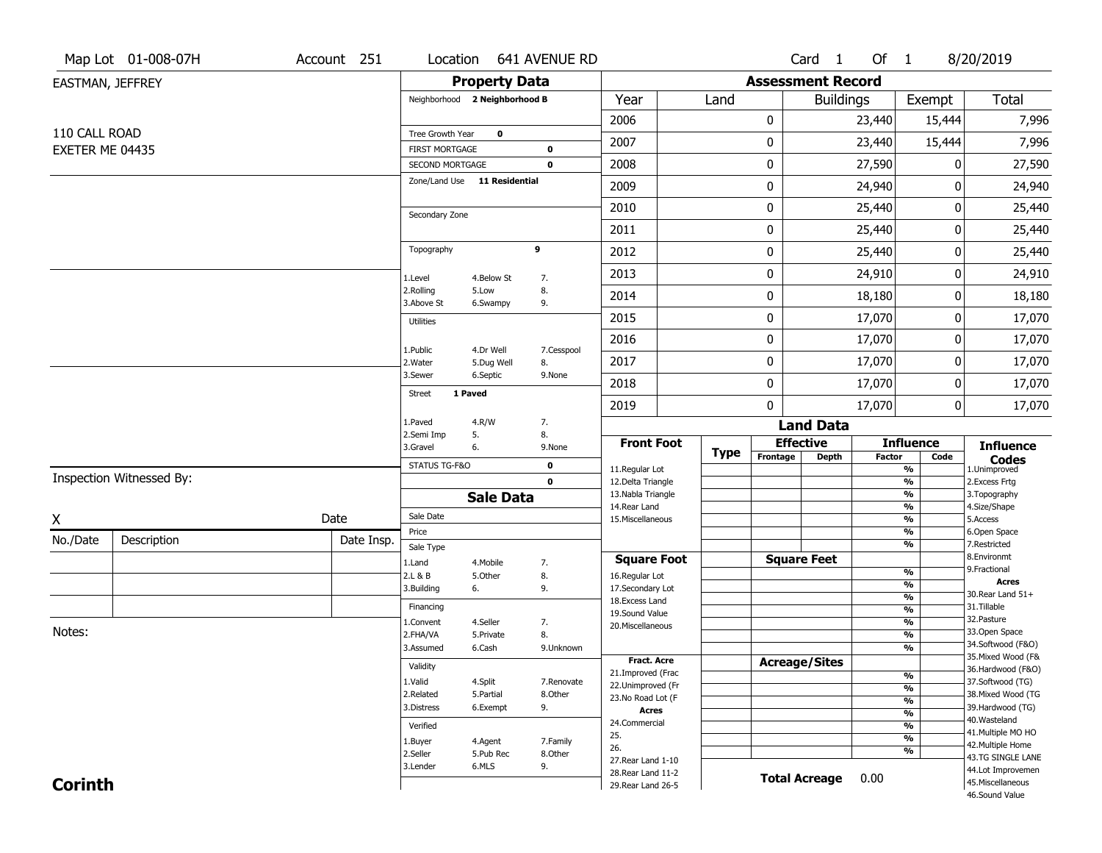|                  | Map Lot 01-008-07H       | Account 251 | Location                                 |                        | 641 AVENUE RD         |                                          |             |                              | Card <sub>1</sub>    | Of $1$ |                                           | 8/20/2019                              |
|------------------|--------------------------|-------------|------------------------------------------|------------------------|-----------------------|------------------------------------------|-------------|------------------------------|----------------------|--------|-------------------------------------------|----------------------------------------|
| EASTMAN, JEFFREY |                          |             |                                          | <b>Property Data</b>   |                       |                                          |             | <b>Assessment Record</b>     |                      |        |                                           |                                        |
|                  |                          |             | Neighborhood 2 Neighborhood B            |                        |                       | Year                                     | Land        |                              | <b>Buildings</b>     |        | Exempt                                    | Total                                  |
|                  |                          |             |                                          |                        |                       | 2006                                     |             | 0                            |                      | 23,440 | 15,444                                    | 7,996                                  |
| 110 CALL ROAD    |                          |             | Tree Growth Year                         | 0                      |                       | 2007                                     |             | 0                            |                      | 23,440 | 15,444                                    | 7,996                                  |
| EXETER ME 04435  |                          |             | <b>FIRST MORTGAGE</b><br>SECOND MORTGAGE |                        | 0<br>$\mathbf 0$      | 2008                                     |             | 0                            |                      | 27,590 | 0                                         | 27,590                                 |
|                  |                          |             | Zone/Land Use 11 Residential             |                        |                       | 2009                                     |             | 0                            |                      | 24,940 | 0                                         | 24,940                                 |
|                  |                          |             |                                          |                        |                       | 2010                                     |             | 0                            |                      | 25,440 | 0                                         | 25,440                                 |
|                  |                          |             | Secondary Zone                           |                        |                       | 2011                                     |             | 0                            |                      | 25,440 | 0                                         | 25,440                                 |
|                  |                          |             | Topography                               |                        | 9                     | 2012                                     |             | 0                            |                      | 25,440 | 0                                         | 25,440                                 |
|                  |                          |             |                                          |                        |                       |                                          |             |                              |                      |        | 0                                         |                                        |
|                  |                          |             | 1.Level<br>2.Rolling                     | 4.Below St<br>5.Low    | 7.<br>8.              | 2013                                     |             | 0                            |                      | 24,910 |                                           | 24,910                                 |
|                  |                          |             | 3.Above St                               | 6.Swampy               | 9.                    | 2014                                     |             | 0                            |                      | 18,180 | 0                                         | 18,180                                 |
|                  |                          |             | <b>Utilities</b>                         |                        |                       | 2015                                     |             | 0                            |                      | 17,070 | 0                                         | 17,070                                 |
|                  |                          |             | 1.Public                                 | 4.Dr Well              | 7.Cesspool            | 2016                                     |             | 0                            |                      | 17,070 | 0                                         | 17,070                                 |
|                  |                          |             | 2. Water<br>3.Sewer                      | 5.Dug Well<br>6.Septic | 8.<br>9.None          | 2017                                     |             | 0                            |                      | 17,070 | 0                                         | 17,070                                 |
|                  |                          |             | <b>Street</b>                            | 1 Paved                |                       | 2018                                     |             | 0                            |                      | 17,070 | 0                                         | 17,070                                 |
|                  |                          |             |                                          |                        |                       | 2019                                     |             | $\mathbf{0}$                 |                      | 17,070 | 0                                         | 17,070                                 |
|                  |                          |             | 1.Paved<br>2.Semi Imp                    | 4.R/W<br>5.            | 7.<br>8.              |                                          |             |                              | <b>Land Data</b>     |        |                                           |                                        |
|                  |                          |             | 3.Gravel                                 | 6.                     | 9.None                | <b>Front Foot</b>                        | <b>Type</b> | <b>Effective</b><br>Frontage | <b>Depth</b>         | Factor | <b>Influence</b><br>Code                  | <b>Influence</b>                       |
|                  | Inspection Witnessed By: |             | STATUS TG-F&O                            |                        | 0                     | 11.Regular Lot                           |             |                              |                      |        | $\overline{\frac{9}{6}}$                  | <b>Codes</b><br>1.Unimproved           |
|                  |                          |             |                                          | <b>Sale Data</b>       | $\mathbf 0$           | 12.Delta Triangle<br>13. Nabla Triangle  |             |                              |                      |        | $\frac{9}{6}$<br>$\frac{9}{6}$            | 2.Excess Frtg<br>3. Topography         |
|                  |                          | Date        | Sale Date                                |                        |                       | 14. Rear Land<br>15. Miscellaneous       |             |                              |                      |        | $\frac{9}{6}$<br>$\overline{\frac{9}{6}}$ | 4.Size/Shape<br>5.Access               |
| X                |                          |             | Price                                    |                        |                       |                                          |             |                              |                      |        | $\frac{9}{6}$                             | 6.Open Space                           |
| No./Date         | Description              | Date Insp.  | Sale Type                                |                        |                       |                                          |             |                              |                      |        | $\overline{\frac{9}{6}}$                  | 7.Restricted<br>8.Environmt            |
|                  |                          |             |                                          |                        |                       |                                          |             |                              |                      |        |                                           |                                        |
|                  |                          |             | 1.Land                                   | 4. Mobile              | 7.                    | <b>Square Foot</b>                       |             | <b>Square Feet</b>           |                      |        |                                           | 9. Fractional                          |
|                  |                          |             | 2.L & B                                  | 5.Other                | 8.                    | 16.Regular Lot                           |             |                              |                      |        | $\frac{9}{6}$<br>%                        | <b>Acres</b>                           |
|                  |                          |             | 3.Building                               | 6.                     | 9.                    | 17.Secondary Lot<br>18. Excess Land      |             |                              |                      |        | $\frac{9}{6}$                             | 30. Rear Land 51+                      |
|                  |                          |             | Financing                                |                        |                       | 19.Sound Value                           |             |                              |                      |        | $\frac{9}{6}$                             | 31.Tillable                            |
| Notes:           |                          |             | 1.Convent                                | 4.Seller               | 7.                    | 20.Miscellaneous                         |             |                              |                      |        | $\frac{9}{6}$                             | 32.Pasture<br>33.Open Space            |
|                  |                          |             | 2.FHA/VA<br>3.Assumed                    | 5.Private<br>6.Cash    | 8.<br>9.Unknown       |                                          |             |                              |                      |        | $\frac{9}{6}$<br>$\frac{9}{6}$            | 34.Softwood (F&O)                      |
|                  |                          |             |                                          |                        |                       | Fract. Acre                              |             | <b>Acreage/Sites</b>         |                      |        |                                           | 35. Mixed Wood (F&                     |
|                  |                          |             | Validity                                 |                        |                       | 21.Improved (Frac                        |             |                              |                      |        | %                                         | 36.Hardwood (F&O)                      |
|                  |                          |             | 1.Valid<br>2.Related                     | 4.Split<br>5.Partial   | 7.Renovate<br>8.Other | 22.Unimproved (Fr                        |             |                              |                      |        | %                                         | 37.Softwood (TG)<br>38. Mixed Wood (TG |
|                  |                          |             | 3.Distress                               | 6.Exempt               | 9.                    | 23.No Road Lot (F<br><b>Acres</b>        |             |                              |                      |        | %                                         | 39.Hardwood (TG)                       |
|                  |                          |             |                                          |                        |                       | 24.Commercial                            |             |                              |                      |        | $\frac{9}{6}$                             | 40. Wasteland                          |
|                  |                          |             | Verified                                 |                        |                       | 25.                                      |             |                              |                      |        | $\frac{9}{6}$<br>$\overline{\frac{9}{6}}$ | 41. Multiple MO HO                     |
|                  |                          |             | 1.Buyer<br>2.Seller                      | 4.Agent<br>5.Pub Rec   | 7.Family<br>8.Other   | 26.                                      |             |                              |                      |        | %                                         | 42. Multiple Home                      |
|                  |                          |             | 3.Lender                                 | 6.MLS                  | 9.                    | 27. Rear Land 1-10                       |             |                              |                      |        |                                           | 43.TG SINGLE LANE<br>44.Lot Improvemen |
| <b>Corinth</b>   |                          |             |                                          |                        |                       | 28. Rear Land 11-2<br>29. Rear Land 26-5 |             |                              | <b>Total Acreage</b> | 0.00   |                                           | 45. Miscellaneous                      |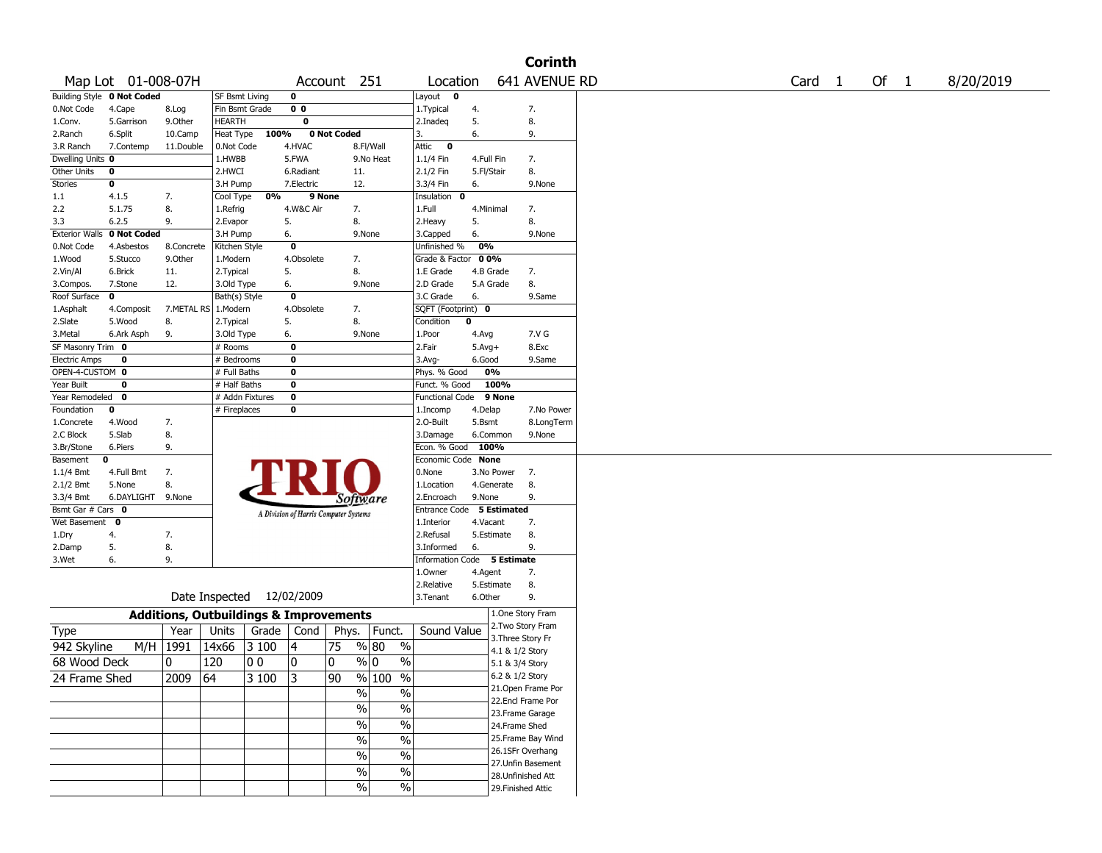|                                         |                            |            |                                                   |       |                                       |             |                          |                          |       |                          | <b>Corinth</b>                       |
|-----------------------------------------|----------------------------|------------|---------------------------------------------------|-------|---------------------------------------|-------------|--------------------------|--------------------------|-------|--------------------------|--------------------------------------|
|                                         | Map Lot 01-008-07H         |            |                                                   |       |                                       | Account 251 |                          | Location                 |       |                          | 641 AVENUE RD                        |
|                                         | Building Style 0 Not Coded |            | SF Bsmt Living                                    |       | 0                                     |             |                          | Layout 0                 |       |                          |                                      |
| 0.Not Code                              | 4.Cape                     | 8.Log      | Fin Bsmt Grade                                    |       | 0 <sub>0</sub>                        |             |                          | 1. Typical               | 4.    |                          | 7.                                   |
| 1.Conv.                                 | 5.Garrison                 | 9.0ther    | <b>HEARTH</b>                                     |       | 0                                     |             |                          | 2.Inadeq                 | 5.    |                          | 8.                                   |
| 2.Ranch                                 | 6.Split                    | 10.Camp    | Heat Type                                         | 100%  |                                       | 0 Not Coded |                          | 3.                       | 6.    |                          | 9.                                   |
| 3.R Ranch<br>Dwelling Units 0           | 7.Contemp                  | 11.Double  | 0.Not Code<br>1.HWBB                              |       | 4.HVAC<br>5.FWA                       |             | 8.Fl/Wall<br>9.No Heat   | Attic 0                  |       |                          | 7.                                   |
| Other Units                             | 0                          |            | 2.HWCI                                            |       | 6.Radiant                             |             | 11.                      | $1.1/4$ Fin<br>2.1/2 Fin |       | 4.Full Fin<br>5.Fl/Stair | 8.                                   |
| <b>Stories</b>                          | 0                          |            | 3.H Pump                                          |       | 7.Electric                            |             | 12.                      | 3.3/4 Fin                | 6.    |                          | 9.None                               |
| 1.1                                     | 4.1.5                      | 7.         | Cool Type                                         | 0%    |                                       | 9 None      |                          | Insulation 0             |       |                          |                                      |
| 2.2                                     | 5.1.75                     | 8.         | 1.Refrig                                          |       | 4.W&C Air                             |             | 7.                       | 1.Full                   |       | 4.Minimal                | 7.                                   |
| 3.3                                     | 6.2.5                      | 9.         | 2.Evapor                                          |       | 5.                                    |             | 8.                       | 2.Heavy                  | 5.    |                          | 8.                                   |
| <b>Exterior Walls</b>                   | 0 Not Coded                |            | 3.H Pump                                          |       | 6.                                    |             | 9.None                   | 3.Capped                 | 6.    |                          | 9.None                               |
| 0.Not Code                              | 4.Asbestos                 | 8.Concrete | Kitchen Style                                     |       | 0                                     |             |                          | Unfinished %             |       | 0%                       |                                      |
| 1.Wood                                  | 5.Stucco                   | 9.0ther    | 1.Modern                                          |       | 4.Obsolete                            |             | 7.                       | Grade & Factor           |       | $00\%$                   |                                      |
| 2.Vin/Al                                | 6.Brick                    | 11.        | 2. Typical                                        |       | 5.                                    |             | 8.                       | 1.E Grade                |       | 4.B Grade                | 7.                                   |
| 3.Compos.                               | 7.Stone                    | 12.        | 3.Old Type                                        |       | 6.                                    |             | 9.None                   | 2.D Grade                |       | 5.A Grade                | 8.                                   |
| Roof Surface                            | 0                          |            | Bath(s) Style                                     |       | 0                                     |             |                          | 3.C Grade                | 6.    |                          | 9.Same                               |
| 1.Asphalt                               | 4.Composit                 |            | 7.METAL RS   1.Modern                             |       | 4.Obsolete                            |             | 7.                       | SQFT (Footprint) 0       |       |                          |                                      |
| 2.Slate                                 | 5.Wood                     | 8.         | 2. Typical                                        |       | 5.                                    |             | 8.                       | Condition                | 0     |                          |                                      |
| 3.Metal                                 | 6.Ark Asph                 | 9.         | 3.Old Type                                        |       | 6.                                    |             | 9.None                   | 1.Poor                   | 4.Avg |                          | 7.V G                                |
| SF Masonry Trim 0                       |                            |            | # Rooms                                           |       | 0                                     |             |                          | 2.Fair                   |       | $5.Avg+$                 | 8.Exc                                |
| <b>Electric Amps</b><br>OPEN-4-CUSTOM 0 | 0                          |            | # Bedrooms<br># Full Baths                        |       | 0<br>0                                |             |                          | 3.Avg-<br>Phys. % Good   |       | 6.Good<br>0%             | 9.Same                               |
| Year Built                              | 0                          |            | # Half Baths                                      |       | 0                                     |             |                          | Funct. % Good            |       | 100%                     |                                      |
| Year Remodeled 0                        |                            |            | # Addn Fixtures                                   |       | 0                                     |             |                          | <b>Functional Code</b>   |       | 9 None                   |                                      |
| Foundation                              | 0                          |            | # Fireplaces                                      |       | 0                                     |             |                          | 1.Incomp                 |       | 4.Delap                  | 7.No Power                           |
| 1.Concrete                              | 4.Wood                     | 7.         |                                                   |       |                                       |             |                          | 2.O-Built                |       | 5.Bsmt                   | 8.LongTerm                           |
| 2.C Block                               | 5.Slab                     | 8.         |                                                   |       |                                       |             |                          | 3.Damage                 |       | 6.Common                 | 9.None                               |
| 3.Br/Stone                              | 6.Piers                    | 9.         |                                                   |       |                                       |             |                          | Econ. % Good             |       | 100%                     |                                      |
| Basement                                | 0                          |            |                                                   |       |                                       |             |                          | Economic Code None       |       |                          |                                      |
| 1.1/4 Bmt                               | 4.Full Bmt                 | 7.         |                                                   |       |                                       |             |                          | 0.None                   |       | 3.No Power               | 7.                                   |
| $2.1/2$ Bmt                             | 5.None                     | 8.         |                                                   |       |                                       |             |                          | 1.Location               |       | 4.Generate               | 8.                                   |
| 3.3/4 Bmt                               | 6.DAYLIGHT 9.None          |            |                                                   |       |                                       |             | Software                 | 2.Encroach               |       | 9.None                   | 9.                                   |
| Bsmt Gar # Cars 0                       |                            |            |                                                   |       | A Division of Harris Computer Systems |             |                          | <b>Entrance Code</b>     |       | <b>5 Estimated</b>       |                                      |
| Wet Basement                            | $\mathbf{0}$               |            |                                                   |       |                                       |             |                          | 1.Interior               |       | 4.Vacant                 | 7.                                   |
| 1.Dry                                   | 4.                         | 7.         |                                                   |       |                                       |             |                          | 2.Refusal                |       | 5.Estimate               | 8.                                   |
| 2.Damp                                  | 5.                         | 8.         |                                                   |       |                                       |             |                          | 3.Informed               | 6.    |                          | 9.                                   |
| 3.Wet                                   | 6.                         | 9.         |                                                   |       |                                       |             |                          | Information              |       | Code 5 Estimate          |                                      |
|                                         |                            |            |                                                   |       |                                       |             |                          | 1.Owner                  |       | 4.Agent                  | 7.                                   |
|                                         |                            |            | Date Inspected 12/02/2009                         |       |                                       |             |                          | 2.Relative               |       | 5.Estimate               | 8.                                   |
|                                         |                            |            |                                                   |       |                                       |             |                          | 3.Tenant                 |       | 6.Other                  | 9.                                   |
|                                         |                            |            | <b>Additions, Outbuildings &amp; Improvements</b> |       |                                       |             |                          |                          |       |                          | 1.One Story Fram                     |
| Type                                    |                            | Year       | Units                                             | Grade | Cond                                  | Phys.       | Funct.                   | Sound Value              |       |                          | 2. Two Story Fram                    |
| 942 Skyline                             | M/H                        | 1991       | 14x66                                             | 3 100 | 4                                     | 75          | % 80                     | %                        |       |                          | 3. Three Story Fr<br>4.1 & 1/2 Story |
| 68 Wood Deck                            |                            | 0          | 120                                               | 00    | 0                                     | 0           | % 0                      | %                        |       |                          | 5.1 & 3/4 Story                      |
|                                         |                            |            |                                                   |       |                                       | 90          |                          |                          |       |                          | 6.2 & 1/2 Story                      |
| 24 Frame Shed                           |                            | $2009$ 64  |                                                   | 3100  | 3                                     |             | % 100 %                  |                          |       |                          | 21. Open Frame Por                   |
|                                         |                            |            |                                                   |       |                                       |             | $\%$                     | $\sqrt{6}$               |       |                          | 22.Encl Frame Por                    |
|                                         |                            |            |                                                   |       |                                       |             | $\frac{1}{2}$            | $\sqrt{20}$              |       |                          | 23. Frame Garage                     |
|                                         |                            |            |                                                   |       |                                       |             | $\%$                     | $\frac{0}{6}$            |       |                          | 24.Frame Shed                        |
|                                         |                            |            |                                                   |       |                                       |             | $\overline{\frac{0}{0}}$ | $\sqrt{20}$              |       |                          | 25. Frame Bay Wind                   |
|                                         |                            |            |                                                   |       |                                       |             |                          | $\frac{0}{6}$            |       |                          | 26.1SFr Overhang                     |
|                                         |                            |            |                                                   |       |                                       |             | $\%$                     |                          |       |                          | 27.Unfin Basement                    |
|                                         |                            |            |                                                   |       |                                       |             | $\%$                     | $\sqrt{6}$               |       |                          | 28. Unfinished Att                   |
|                                         |                            |            |                                                   |       |                                       |             | $\%$                     | $\sqrt{6}$               |       |                          | 29. Finished Attic                   |
|                                         |                            |            |                                                   |       |                                       |             |                          |                          |       |                          |                                      |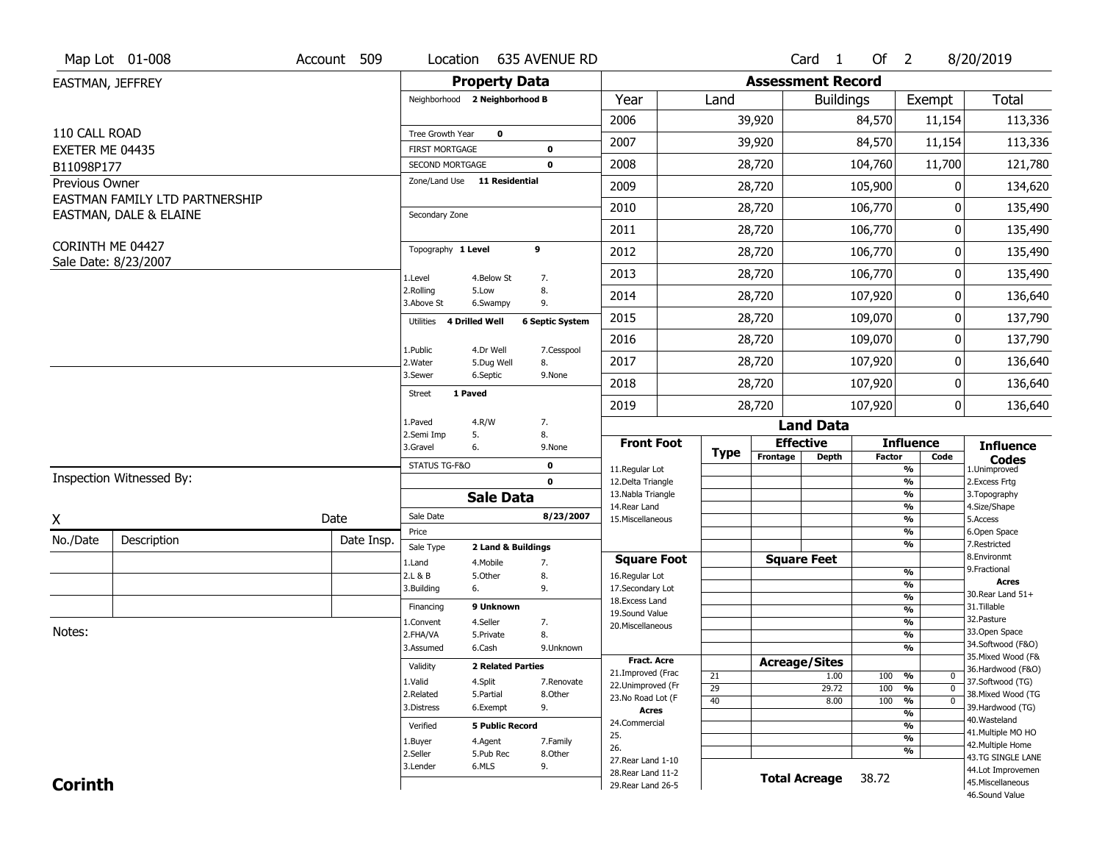|                               | Map Lot 01-008                 | Account 509 | Location                                 |                                 | 635 AVENUE RD          |                                          |                       |                          | Card 1               | Of $2$     |                                      | 8/20/2019                               |
|-------------------------------|--------------------------------|-------------|------------------------------------------|---------------------------------|------------------------|------------------------------------------|-----------------------|--------------------------|----------------------|------------|--------------------------------------|-----------------------------------------|
| EASTMAN, JEFFREY              |                                |             |                                          | <b>Property Data</b>            |                        |                                          |                       | <b>Assessment Record</b> |                      |            |                                      |                                         |
|                               |                                |             | Neighborhood 2 Neighborhood B            |                                 |                        | Year                                     | Land                  |                          | <b>Buildings</b>     |            | Exempt                               | Total                                   |
|                               |                                |             |                                          |                                 |                        | 2006                                     |                       | 39,920                   |                      | 84,570     | 11,154                               | 113,336                                 |
| 110 CALL ROAD                 |                                |             | Tree Growth Year                         | 0                               |                        | 2007                                     |                       | 39,920                   |                      | 84,570     | 11,154                               | 113,336                                 |
| EXETER ME 04435<br>B11098P177 |                                |             | <b>FIRST MORTGAGE</b><br>SECOND MORTGAGE |                                 | 0<br>$\mathbf 0$       | 2008                                     |                       | 28,720                   |                      | 104,760    | 11,700                               | 121,780                                 |
| Previous Owner                |                                |             | Zone/Land Use 11 Residential             |                                 |                        | 2009                                     |                       | 28,720                   |                      | 105,900    | 0                                    | 134,620                                 |
|                               | EASTMAN FAMILY LTD PARTNERSHIP |             |                                          |                                 |                        |                                          |                       |                          |                      |            |                                      |                                         |
|                               | EASTMAN, DALE & ELAINE         |             | Secondary Zone                           |                                 |                        | 2010                                     |                       | 28,720                   |                      | 106,770    | ŋ                                    | 135,490                                 |
|                               |                                |             |                                          |                                 |                        | 2011                                     |                       | 28,720                   |                      | 106,770    | 0                                    | 135,490                                 |
| CORINTH ME 04427              | Sale Date: 8/23/2007           |             | Topography 1 Level                       |                                 | 9                      | 2012                                     |                       | 28,720                   |                      | 106,770    | 0                                    | 135,490                                 |
|                               |                                |             | 1.Level                                  | 4.Below St                      | 7.                     | 2013                                     |                       | 28,720                   |                      | 106,770    | 0                                    | 135,490                                 |
|                               |                                |             | 2.Rolling<br>3.Above St                  | 5.Low<br>6.Swampy               | 8.<br>9.               | 2014                                     |                       | 28,720                   |                      | 107,920    | 0                                    | 136,640                                 |
|                               |                                |             | 4 Drilled Well<br>Utilities              |                                 | <b>6 Septic System</b> | 2015                                     |                       | 28,720                   |                      | 109,070    | 0                                    | 137,790                                 |
|                               |                                |             | 1.Public                                 | 4.Dr Well                       | 7.Cesspool             | 2016                                     |                       | 28,720                   |                      | 109,070    | 0                                    | 137,790                                 |
|                               |                                |             | 2.Water                                  | 5.Dug Well                      | 8.                     | 2017                                     |                       | 28,720                   |                      | 107,920    | 0                                    | 136,640                                 |
|                               |                                |             | 3.Sewer                                  | 6.Septic                        | 9.None                 | 2018                                     |                       | 28,720                   |                      | 107,920    | 0                                    | 136,640                                 |
|                               |                                |             | 1 Paved<br><b>Street</b>                 |                                 |                        | 2019                                     |                       | 28,720                   |                      | 107,920    | 0                                    | 136,640                                 |
|                               |                                |             | 1.Paved                                  | 4.R/W                           | 7.                     |                                          |                       |                          | <b>Land Data</b>     |            |                                      |                                         |
|                               |                                |             | 2.Semi Imp<br>5.<br>3.Gravel<br>6.       |                                 | 8.<br>9.None           | <b>Front Foot</b>                        |                       |                          | <b>Effective</b>     |            | <b>Influence</b>                     | <b>Influence</b>                        |
|                               |                                |             | STATUS TG-F&O                            |                                 | $\mathbf 0$            | 11.Regular Lot                           | <b>Type</b>           | Frontage                 | <b>Depth</b>         | Factor     | Code<br>$\overline{\frac{9}{6}}$     | <b>Codes</b><br>1.Unimproved            |
|                               | Inspection Witnessed By:       |             |                                          |                                 | $\mathbf 0$            | 12.Delta Triangle                        |                       |                          |                      |            | $\frac{9}{6}$                        | 2. Excess Frtg                          |
|                               |                                |             |                                          | <b>Sale Data</b>                |                        | 13. Nabla Triangle<br>14. Rear Land      |                       |                          |                      |            | $\frac{9}{6}$<br>$\frac{9}{6}$       | 3. Topography<br>4.Size/Shape           |
| Χ                             |                                | Date        | Sale Date                                |                                 | 8/23/2007              | 15. Miscellaneous                        |                       |                          |                      |            | $\overline{\frac{9}{6}}$             | 5.Access                                |
| No./Date                      | Description                    | Date Insp.  | Price                                    |                                 |                        |                                          |                       |                          |                      |            | %<br>%                               | 6.Open Space<br>7.Restricted            |
|                               |                                |             | Sale Type<br>1.Land                      | 2 Land & Buildings<br>4. Mobile | 7.                     | <b>Square Foot</b>                       |                       |                          | <b>Square Feet</b>   |            |                                      | 8.Environmt                             |
|                               |                                |             | 2.L & B                                  | 5.Other                         | 8.                     | 16.Regular Lot                           |                       |                          |                      |            | %                                    | 9. Fractional<br><b>Acres</b>           |
|                               |                                |             | 3.Building<br>6.                         |                                 | 9.                     | 17.Secondary Lot                         |                       |                          |                      |            | %<br>%                               | 30. Rear Land 51+                       |
|                               |                                |             | Financing                                | 9 Unknown                       |                        | 18.Excess Land<br>19.Sound Value         |                       |                          |                      |            | $\frac{9}{6}$                        | 31.Tillable                             |
|                               |                                |             | 1.Convent                                | 4.Seller                        | 7.                     | 20.Miscellaneous                         |                       |                          |                      |            | %                                    | 32. Pasture                             |
| Notes:                        |                                |             | 2.FHA/VA                                 | 5.Private                       | 8.                     |                                          |                       |                          |                      |            | %                                    | 33.Open Space                           |
|                               |                                |             | 3.Assumed                                | 6.Cash                          | 9.Unknown              |                                          |                       |                          |                      |            | %                                    | 34.Softwood (F&O)<br>35. Mixed Wood (F& |
|                               |                                |             | Validity                                 | <b>2 Related Parties</b>        |                        | <b>Fract. Acre</b><br>21.Improved (Frac  |                       |                          | <b>Acreage/Sites</b> |            |                                      | 36.Hardwood (F&O)                       |
|                               |                                |             | 1.Valid                                  | 4.Split                         | 7.Renovate             | 22.Unimproved (Fr                        | 21                    |                          | 1.00                 | 100        | %<br>0<br>$\overline{\mathfrak{o}}$  | 37.Softwood (TG)                        |
|                               |                                |             | 2.Related                                | 5.Partial                       | 8.Other                | 23.No Road Lot (F                        | $\overline{29}$<br>40 |                          | 29.72<br>8.00        | 100<br>100 | %<br>$\frac{9}{6}$<br>$\overline{0}$ | 38. Mixed Wood (TG                      |
|                               |                                |             | 3.Distress                               | 6.Exempt                        | 9.                     | <b>Acres</b>                             |                       |                          |                      |            | $\overline{\frac{9}{6}}$             | 39.Hardwood (TG)                        |
|                               |                                |             | Verified                                 | <b>5 Public Record</b>          |                        | 24.Commercial                            |                       |                          |                      |            | $\overline{\frac{9}{6}}$             | 40. Wasteland                           |
|                               |                                |             | 1.Buyer                                  | 4.Agent                         | 7.Family               | 25.                                      |                       |                          |                      |            | $\overline{\frac{9}{6}}$             | 41. Multiple MO HO                      |
|                               |                                |             | 2.Seller                                 | 5.Pub Rec                       | 8.Other                | 26.                                      |                       |                          |                      |            | %                                    | 42. Multiple Home<br>43.TG SINGLE LANE  |
|                               |                                |             |                                          |                                 |                        |                                          |                       |                          |                      |            |                                      |                                         |
|                               |                                |             | 3.Lender                                 | 6.MLS                           | 9.                     | 27. Rear Land 1-10                       |                       |                          |                      |            |                                      |                                         |
| <b>Corinth</b>                |                                |             |                                          |                                 |                        | 28. Rear Land 11-2<br>29. Rear Land 26-5 |                       |                          | <b>Total Acreage</b> | 38.72      |                                      | 44.Lot Improvemen<br>45. Miscellaneous  |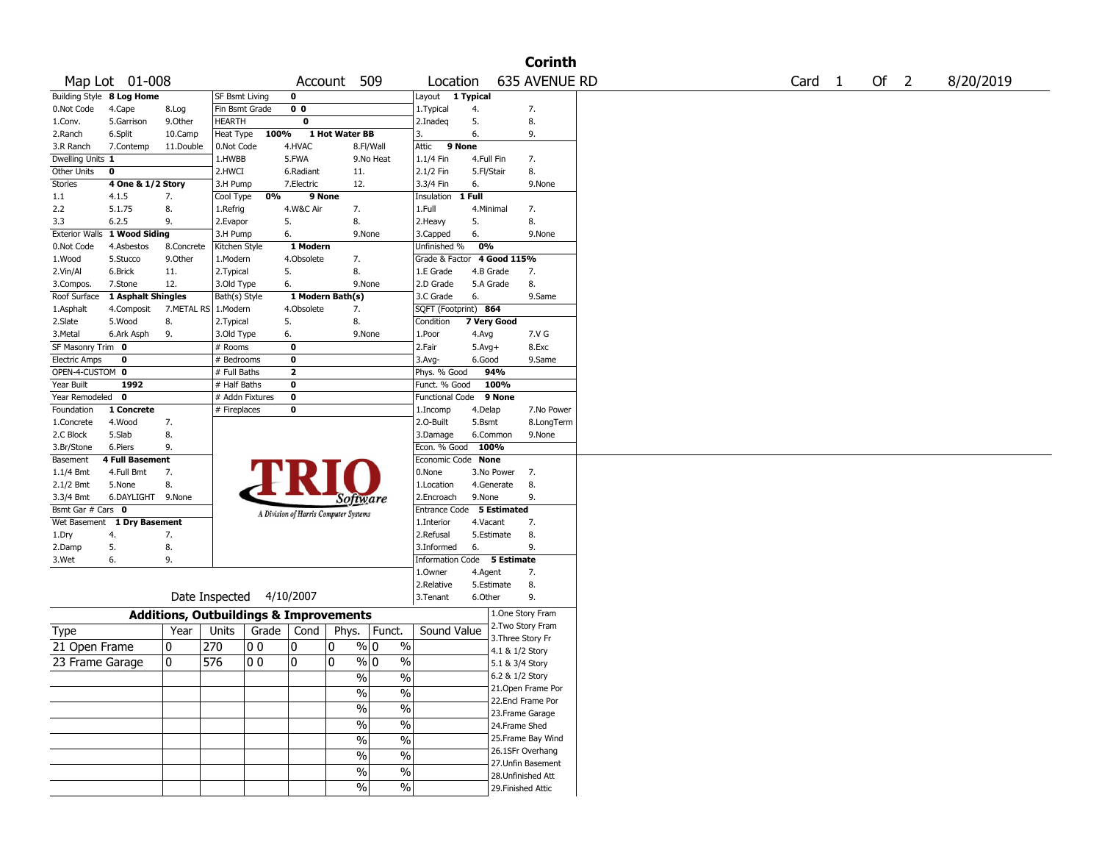|                      |                              |            |                       |                 |                                                   |                       |                          |                             |            |                 | <b>Corinth</b>                           |
|----------------------|------------------------------|------------|-----------------------|-----------------|---------------------------------------------------|-----------------------|--------------------------|-----------------------------|------------|-----------------|------------------------------------------|
|                      | Map Lot 01-008               |            |                       |                 |                                                   | Account               | 509                      | Location                    |            |                 | 635 AVENUE RD                            |
|                      | Building Style 8 Log Home    |            | SF Bsmt Living        |                 | 0                                                 |                       |                          | Layout 1 Typical            |            |                 |                                          |
| 0.Not Code           | 4.Cape                       | 8.Log      |                       | Fin Bsmt Grade  | 0 <sub>0</sub>                                    |                       |                          | 1. Typical                  | 4.         |                 | 7.                                       |
| 1.Conv.              | 5.Garrison                   | 9.0ther    | <b>HEARTH</b>         |                 | 0                                                 |                       |                          | 2.Inadeg                    | 5.         |                 | 8.                                       |
| 2.Ranch              | 6.Split                      | 10.Camp    | Heat Type             | 100%            |                                                   | 1 Hot Water BB        |                          | 3.                          | 6.         |                 | 9.                                       |
| 3.R Ranch            | 7.Contemp                    | 11.Double  | 0.Not Code            |                 | 4.HVAC                                            |                       | 8.Fl/Wall                | Attic<br>9 None             |            |                 |                                          |
| Dwelling Units 1     |                              |            | 1.HWBB                |                 | 5.FWA                                             |                       | 9.No Heat                | 1.1/4 Fin                   | 4.Full Fin |                 | 7.                                       |
| Other Units          | 0                            |            | 2.HWCI                |                 | 6.Radiant                                         | 11.                   |                          | 2.1/2 Fin                   | 5.Fl/Stair |                 | 8.                                       |
| Stories              | 4 One & 1/2 Story            |            | 3.H Pump              |                 | 7.Electric                                        | 12.                   |                          | 3.3/4 Fin                   | 6.         |                 | 9.None                                   |
| 1.1                  | 4.1.5                        | 7.         | Cool Type             | 0%              |                                                   | 9 None                |                          | Insulation                  | 1 Full     |                 |                                          |
| 2.2                  | 5.1.75                       | 8.         | 1.Refrig              |                 | 4.W&C Air                                         | 7.                    |                          | 1.Full                      | 4.Minimal  |                 | 7.                                       |
| 3.3                  | 6.2.5                        | 9.         | 2.Evapor              |                 | 5.                                                | 8.                    |                          | 2. Heavy                    | 5.         |                 | 8.                                       |
|                      | Exterior Walls 1 Wood Siding |            | 3.H Pump              |                 | 6.                                                |                       | 9.None                   | 3.Capped                    | 6.         |                 | 9.None                                   |
| 0.Not Code           | 4.Asbestos                   | 8.Concrete | Kitchen Style         |                 | 1 Modern                                          |                       |                          | Unfinished %                | 0%         |                 |                                          |
| 1.Wood               | 5.Stucco                     | 9.0ther    | 1.Modern              |                 | 4.Obsolete                                        | 7.                    |                          | Grade & Factor 4 Good 115%  |            |                 |                                          |
| 2.Vin/Al             | 6.Brick                      | 11.        | 2. Typical            |                 | 5.                                                | 8.                    |                          | 1.E Grade                   | 4.B Grade  |                 | 7.                                       |
| 3.Compos.            | 7.Stone                      | 12.        | 3.Old Type            |                 | 6.                                                |                       | 9.None                   | 2.D Grade                   | 5.A Grade  |                 | 8.                                       |
| Roof Surface         | 1 Asphalt Shingles           |            | Bath(s) Style         |                 |                                                   | 1 Modern Bath(s)      |                          | 3.C Grade                   | 6.         |                 | 9.Same                                   |
| 1.Asphalt            | 4.Composit                   |            | 7.METAL RS   1.Modern |                 | 4.Obsolete                                        | 7.                    |                          | SQFT (Footprint) 864        |            |                 |                                          |
| 2.Slate              | 5.Wood                       | 8.         | 2. Typical            |                 | 5.                                                | 8.                    |                          | Condition                   |            | 7 Very Good     |                                          |
| 3.Metal              | 6.Ark Asph                   | 9.         | 3.Old Type            |                 | 6.                                                |                       | 9.None                   | 1.Poor                      | 4.Avg      |                 | 7.V G                                    |
| SF Masonry Trim 0    |                              |            | # Rooms               |                 | $\mathbf 0$                                       |                       |                          | 2.Fair                      | $5.Avg+$   |                 | 8.Exc                                    |
| <b>Electric Amps</b> | 0                            |            | # Bedrooms            |                 | $\mathbf 0$                                       |                       |                          | $3.$ Avg-                   | 6.Good     |                 | 9.Same                                   |
| OPEN-4-CUSTOM 0      |                              |            | # Full Baths          |                 | $\overline{2}$                                    |                       |                          | Phys. % Good                |            | 94%             |                                          |
| Year Built           | 1992                         |            | # Half Baths          |                 | $\mathbf 0$                                       |                       |                          | Funct. % Good               |            | 100%            |                                          |
| Year Remodeled       | 0                            |            |                       | # Addn Fixtures | 0                                                 |                       |                          | Functional Code             |            | 9 None          |                                          |
| Foundation           | 1 Concrete                   |            | # Fireplaces          |                 | 0                                                 |                       |                          | 1.Incomp                    | 4.Delap    |                 | 7.No Power                               |
| 1.Concrete           | 4.Wood                       | 7.         |                       |                 |                                                   |                       |                          | 2.O-Built                   | 5.Bsmt     |                 | 8.LongTerm                               |
| 2.C Block            | 5.Slab                       | 8.         |                       |                 |                                                   |                       |                          | 3.Damage                    |            | 6.Common        | 9.None                                   |
| 3.Br/Stone           | 6.Piers                      | 9.         |                       |                 |                                                   |                       |                          | Econ. % Good                | 100%       |                 |                                          |
| Basement             | 4 Full Basement              |            |                       |                 |                                                   |                       |                          | Economic Code None          |            |                 |                                          |
| $1.1/4$ Bmt          | 4.Full Bmt                   | 7.         |                       |                 |                                                   |                       |                          | 0.None                      |            | 3.No Power      | 7.                                       |
| 2.1/2 Bmt            | 5.None                       | 8.         |                       |                 |                                                   |                       |                          | 1.Location                  |            | 4.Generate      | 8.                                       |
| 3.3/4 Bmt            | 6.DAYLIGHT 9.None            |            |                       |                 |                                                   | Software              |                          | 2.Encroach                  | 9.None     |                 | 9.                                       |
| Bsmt Gar # Cars 0    |                              |            |                       |                 | A Division of Harris Computer Systems             |                       |                          | Entrance Code               |            | 5 Estimated     |                                          |
|                      | Wet Basement 1 Dry Basement  |            |                       |                 |                                                   |                       |                          | 1.Interior                  | 4.Vacant   |                 | 7.                                       |
| 1.Dry                | 4.                           | 7.         |                       |                 |                                                   |                       |                          | 2.Refusal                   |            | 5.Estimate      | 8.                                       |
| 2.Damp               | 5.                           | 8.         |                       |                 |                                                   |                       |                          | 3.Informed                  | 6.         |                 | 9.                                       |
| 3.Wet                | 6.                           | 9.         |                       |                 |                                                   |                       |                          | Information Code 5 Estimate |            |                 |                                          |
|                      |                              |            |                       |                 |                                                   |                       |                          | 1.Owner                     | 4.Agent    |                 | 7.                                       |
|                      |                              |            |                       |                 |                                                   |                       |                          | 2.Relative                  |            | 5.Estimate      | 8.                                       |
|                      |                              |            | Date Inspected        |                 | 4/10/2007                                         |                       |                          | 3. Tenant                   | 6.Other    |                 | 9.                                       |
|                      |                              |            |                       |                 | <b>Additions, Outbuildings &amp; Improvements</b> |                       |                          |                             |            |                 | 1.One Story Fram                         |
| Type                 |                              | Year       | Units                 | Grade           | Cond                                              | Phys.                 | Funct.                   | Sound Value                 |            |                 | 2. Two Story Fram                        |
| 21 Open Frame        |                              | 0          | 270                   | 0 0             | 0                                                 | 10                    | $\frac{9}{0}$ 0<br>$\%$  |                             |            |                 | 3. Three Story Fr                        |
|                      |                              |            |                       |                 |                                                   |                       |                          |                             |            | 4.1 & 1/2 Story |                                          |
| 23 Frame Garage      |                              | 10         | 576                   | 00              | 0                                                 | 10                    | $\frac{9}{0}$ 0<br>$\%$  |                             |            | 5.1 & 3/4 Story |                                          |
|                      |                              |            |                       |                 |                                                   | %                     | $\%$                     |                             |            | 6.2 & 1/2 Story |                                          |
|                      |                              |            |                       |                 |                                                   | $\frac{1}{2}$         | $\overline{\frac{0}{0}}$ |                             |            |                 | 21.Open Frame Por                        |
|                      |                              |            |                       |                 |                                                   | $\frac{0}{0}$         | $\overline{\frac{0}{0}}$ |                             |            |                 | 22.Encl Frame Por                        |
|                      |                              |            |                       |                 |                                                   |                       |                          |                             |            |                 | 23. Frame Garage                         |
|                      |                              |            |                       |                 |                                                   | $\%$                  | $\overline{\frac{0}{0}}$ |                             |            | 24.Frame Shed   |                                          |
|                      |                              |            |                       |                 |                                                   | $\%$                  | $\overline{\frac{0}{0}}$ |                             |            |                 | 25. Frame Bay Wind                       |
|                      |                              |            |                       |                 |                                                   |                       |                          |                             |            |                 |                                          |
|                      |                              |            |                       |                 |                                                   |                       |                          |                             |            |                 | 26.1SFr Overhang                         |
|                      |                              |            |                       |                 |                                                   | $\%$                  | $\overline{\frac{0}{0}}$ |                             |            |                 | 27.Unfin Basement                        |
|                      |                              |            |                       |                 |                                                   | $\%$<br>$\frac{0}{0}$ | $\%$<br>$\frac{0}{0}$    |                             |            |                 | 28. Unfinished Att<br>29. Finished Attic |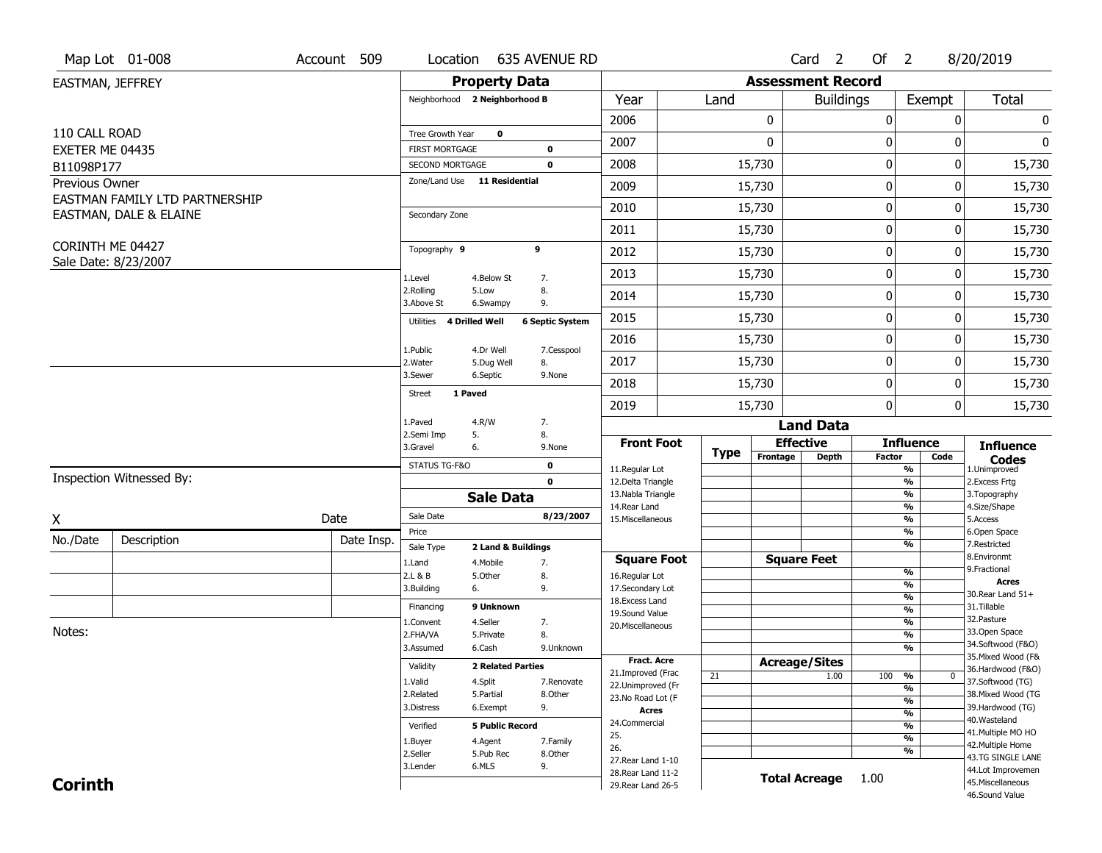|                               | Map Lot 01-008                 | Account 509 | Location                                 | 635 AVENUE RD                               |                                          |             |          | Card <sub>2</sub>        | Of $2$           |                                  | 8/20/2019                               |
|-------------------------------|--------------------------------|-------------|------------------------------------------|---------------------------------------------|------------------------------------------|-------------|----------|--------------------------|------------------|----------------------------------|-----------------------------------------|
| EASTMAN, JEFFREY              |                                |             |                                          | <b>Property Data</b>                        |                                          |             |          | <b>Assessment Record</b> |                  |                                  |                                         |
|                               |                                |             | Neighborhood 2 Neighborhood B            |                                             | Year                                     | Land        |          | <b>Buildings</b>         |                  | Exempt                           | Total                                   |
|                               |                                |             |                                          |                                             | 2006                                     |             | 0        |                          | $\boldsymbol{0}$ | 0                                | 0                                       |
| 110 CALL ROAD                 |                                |             | Tree Growth Year                         | $\mathbf 0$                                 | 2007                                     |             | 0        |                          | 0                | 0                                | 0                                       |
| EXETER ME 04435<br>B11098P177 |                                |             | <b>FIRST MORTGAGE</b><br>SECOND MORTGAGE | 0<br>$\mathbf 0$                            | 2008                                     |             | 15,730   |                          | $\boldsymbol{0}$ | 0                                | 15,730                                  |
| <b>Previous Owner</b>         |                                |             | Zone/Land Use 11 Residential             |                                             | 2009                                     |             | 15,730   |                          | $\mathbf 0$      | 0                                | 15,730                                  |
|                               | EASTMAN FAMILY LTD PARTNERSHIP |             |                                          |                                             |                                          |             |          |                          |                  |                                  |                                         |
|                               | EASTMAN, DALE & ELAINE         |             | Secondary Zone                           |                                             | 2010                                     |             | 15,730   |                          | $\mathbf 0$      | 0                                | 15,730                                  |
|                               |                                |             |                                          |                                             | 2011                                     |             | 15,730   |                          | $\mathbf 0$      | 0                                | 15,730                                  |
| CORINTH ME 04427              | Sale Date: 8/23/2007           |             | Topography 9                             | 9                                           | 2012                                     |             | 15,730   |                          | $\boldsymbol{0}$ | 0                                | 15,730                                  |
|                               |                                |             | 1.Level                                  | 4.Below St<br>7.                            | 2013                                     |             | 15,730   |                          | $\mathbf 0$      | 0                                | 15,730                                  |
|                               |                                |             | 2.Rolling<br>3.Above St                  | 5.Low<br>8.<br>6.Swampy<br>9.               | 2014                                     |             | 15,730   |                          | 0                | 0                                | 15,730                                  |
|                               |                                |             | 4 Drilled Well<br>Utilities              | <b>6 Septic System</b>                      | 2015                                     |             | 15,730   |                          | $\mathbf 0$      | 0                                | 15,730                                  |
|                               |                                |             |                                          |                                             | 2016                                     |             | 15,730   |                          | $\boldsymbol{0}$ | 0                                | 15,730                                  |
|                               |                                |             | 1.Public<br>2. Water                     | 4.Dr Well<br>7.Cesspool<br>5.Dug Well<br>8. | 2017                                     |             | 15,730   |                          | $\mathbf 0$      | 0                                | 15,730                                  |
|                               |                                |             | 3.Sewer                                  | 6.Septic<br>9.None                          | 2018                                     |             | 15,730   |                          | $\mathbf 0$      | 0                                | 15,730                                  |
|                               |                                |             | 1 Paved<br><b>Street</b>                 |                                             | 2019                                     |             | 15,730   |                          | $\boldsymbol{0}$ | 0                                | 15,730                                  |
|                               |                                |             | 1.Paved                                  | 4.R/W<br>7.                                 |                                          |             |          | <b>Land Data</b>         |                  |                                  |                                         |
|                               |                                |             | 2.Semi Imp<br>5.<br>3.Gravel<br>6.       | 8.<br>9.None                                | <b>Front Foot</b>                        |             |          | <b>Effective</b>         |                  | <b>Influence</b>                 | <b>Influence</b>                        |
|                               |                                |             | STATUS TG-F&O                            | 0                                           | 11.Regular Lot                           | <b>Type</b> | Frontage | <b>Depth</b>             | <b>Factor</b>    | Code<br>$\overline{\frac{9}{6}}$ | <b>Codes</b><br>1.Unimproved            |
| Inspection Witnessed By:      |                                |             |                                          |                                             |                                          |             |          |                          |                  |                                  | 2.Excess Frtg                           |
|                               |                                |             |                                          | $\mathbf 0$                                 | 12.Delta Triangle                        |             |          |                          |                  | $\frac{9}{6}$                    |                                         |
|                               |                                |             |                                          | <b>Sale Data</b>                            | 13. Nabla Triangle                       |             |          |                          |                  | $\frac{9}{6}$                    | 3. Topography                           |
|                               |                                | Date        | Sale Date                                | 8/23/2007                                   | 14. Rear Land<br>15. Miscellaneous       |             |          |                          |                  | $\frac{9}{6}$<br>$\frac{9}{6}$   | 4.Size/Shape<br>5.Access                |
| Χ                             |                                |             | Price                                    |                                             |                                          |             |          |                          |                  | $\frac{9}{6}$                    | 6.Open Space                            |
| No./Date                      | Description                    | Date Insp.  | Sale Type                                | 2 Land & Buildings                          |                                          |             |          |                          |                  | $\overline{\frac{9}{6}}$         | 7.Restricted<br>8.Environmt             |
|                               |                                |             | 1.Land<br>2.L & B                        | 7.<br>4. Mobile<br>8.<br>5.Other            | <b>Square Foot</b><br>16.Regular Lot     |             |          | <b>Square Feet</b>       |                  | $\frac{9}{6}$                    | 9. Fractional                           |
|                               |                                |             | 6.<br>3.Building                         | 9.                                          | 17.Secondary Lot                         |             |          |                          |                  | %                                | <b>Acres</b><br>30. Rear Land 51+       |
|                               |                                |             | Financing                                | 9 Unknown                                   | 18. Excess Land                          |             |          |                          |                  | %<br>$\frac{9}{6}$               | 31.Tillable                             |
|                               |                                |             | 1.Convent                                | 4.Seller<br>7.                              | 19.Sound Value<br>20.Miscellaneous       |             |          |                          |                  | $\frac{9}{6}$                    | 32.Pasture                              |
| Notes:                        |                                |             | 2.FHA/VA                                 | 5.Private<br>8.                             |                                          |             |          |                          |                  | $\frac{9}{6}$                    | 33.Open Space                           |
|                               |                                |             | 3.Assumed                                | 9.Unknown<br>6.Cash                         |                                          |             |          |                          |                  | %                                | 34.Softwood (F&O)                       |
|                               |                                |             | Validity                                 | <b>2 Related Parties</b>                    | <b>Fract. Acre</b>                       |             |          | <b>Acreage/Sites</b>     |                  |                                  | 35. Mixed Wood (F&<br>36.Hardwood (F&O) |
|                               |                                |             | 1.Valid                                  | 4.Split<br>7.Renovate                       | 21.Improved (Frac<br>22.Unimproved (Fr   | 21          |          | 1.00                     | 100              | %<br>$\bf{0}$                    | 37.Softwood (TG)                        |
|                               |                                |             | 2.Related                                | 8.Other<br>5.Partial                        | 23.No Road Lot (F                        |             |          |                          |                  | %<br>%                           | 38. Mixed Wood (TG                      |
|                               |                                |             | 3.Distress                               | 9.<br>6.Exempt                              | <b>Acres</b>                             |             |          |                          |                  | $\frac{9}{6}$                    | 39.Hardwood (TG)                        |
|                               |                                |             | Verified                                 | <b>5 Public Record</b>                      | 24.Commercial                            |             |          |                          |                  | $\frac{9}{6}$                    | 40. Wasteland<br>41. Multiple MO HO     |
|                               |                                |             | 1.Buyer                                  | 4.Agent<br>7.Family                         | 25.<br>26.                               |             |          |                          |                  | $\overline{\frac{9}{6}}$         | 42. Multiple Home                       |
|                               |                                |             | 2.Seller                                 | 5.Pub Rec<br>8.Other                        | 27. Rear Land 1-10                       |             |          |                          |                  | %                                | 43.TG SINGLE LANE                       |
| <b>Corinth</b>                |                                |             | 3.Lender                                 | 9.<br>6.MLS                                 | 28. Rear Land 11-2<br>29. Rear Land 26-5 |             |          | <b>Total Acreage</b>     | 1.00             |                                  | 44.Lot Improvemen<br>45. Miscellaneous  |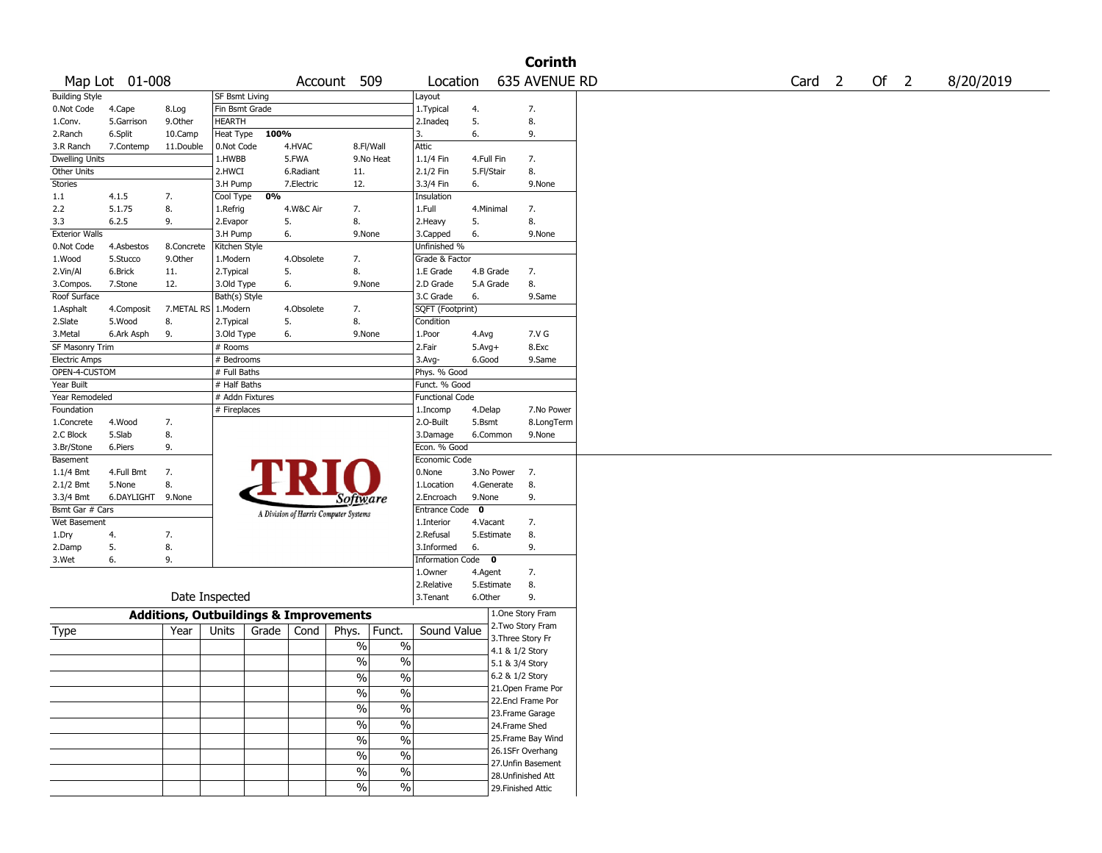|                       |                |                                                   |                       |       |            |                                       |               |                        |              |                    | <b>Corinth</b>                         |                   |      |           |
|-----------------------|----------------|---------------------------------------------------|-----------------------|-------|------------|---------------------------------------|---------------|------------------------|--------------|--------------------|----------------------------------------|-------------------|------|-----------|
|                       | Map Lot 01-008 |                                                   |                       |       |            | Account 509                           |               | Location               |              |                    | 635 AVENUE RD                          | Card <sub>2</sub> | Of 2 | 8/20/2019 |
| <b>Building Style</b> |                |                                                   | <b>SF Bsmt Living</b> |       |            |                                       |               | Layout                 |              |                    |                                        |                   |      |           |
| 0.Not Code            | 4.Cape         | 8.Log                                             | Fin Bsmt Grade        |       |            |                                       |               | 1. Typical             | 4.           |                    | 7.                                     |                   |      |           |
| 1.Conv.               | 5.Garrison     | 9.0ther                                           | HEARTH                |       |            |                                       |               | 2.Inadeq               | 5.           |                    | 8.                                     |                   |      |           |
| 2.Ranch               | 6.Split        | 10.Camp                                           | Heat Type             | 100%  |            |                                       |               | 3.                     | 6.           |                    | 9.                                     |                   |      |           |
| 3.R Ranch             | 7.Contemp      | 11.Double                                         | 0.Not Code            |       | 4.HVAC     | 8.Fl/Wall                             |               | Attic                  |              |                    |                                        |                   |      |           |
| <b>Dwelling Units</b> |                |                                                   | 1.HWBB                |       | 5.FWA      |                                       | 9.No Heat     | 1.1/4 Fin              | 4.Full Fin   |                    | 7.                                     |                   |      |           |
| Other Units           |                |                                                   | 2.HWCI                |       | 6.Radiant  | 11.                                   |               | 2.1/2 Fin              | 5.Fl/Stair   |                    | 8.                                     |                   |      |           |
| <b>Stories</b>        |                |                                                   | 3.H Pump              |       | 7.Electric | 12.                                   |               | 3.3/4 Fin              | 6.           |                    | 9.None                                 |                   |      |           |
| 1.1                   | 4.1.5          | 7.                                                | Cool Type             | 0%    |            |                                       |               | Insulation             |              |                    |                                        |                   |      |           |
| 2.2                   | 5.1.75         | 8.                                                | 1.Refrig              |       | 4.W&C Air  | 7.                                    |               | 1.Full                 | 4.Minimal    |                    | 7.                                     |                   |      |           |
| 3.3                   | 6.2.5          | 9.                                                | 2.Evapor              | 5.    |            | 8.                                    |               | 2.Heavy                | 5.           |                    | 8.                                     |                   |      |           |
| <b>Exterior Walls</b> |                |                                                   | 3.H Pump              | 6.    |            | 9.None                                |               | 3.Capped               | 6.           |                    | 9.None                                 |                   |      |           |
| 0.Not Code            | 4.Asbestos     | 8.Concrete                                        | Kitchen Style         |       |            |                                       |               | Unfinished %           |              |                    |                                        |                   |      |           |
| 1.Wood                | 5.Stucco       | 9.Other                                           | 1.Modern              |       | 4.Obsolete | 7.                                    |               | Grade & Factor         |              |                    |                                        |                   |      |           |
| 2.Vin/Al              | 6.Brick        | 11.                                               | 2. Typical            | 5.    |            | 8.                                    |               | 1.E Grade              |              | 4.B Grade          | 7.                                     |                   |      |           |
| 3.Compos.             | 7.Stone        | 12.                                               | 3.Old Type            | 6.    |            | 9.None                                |               | 2.D Grade              |              | 5.A Grade          | 8.                                     |                   |      |           |
| Roof Surface          |                |                                                   | Bath(s) Style         |       |            |                                       |               | 3.C Grade              | 6.           |                    | 9.Same                                 |                   |      |           |
| 1.Asphalt             | 4.Composit     | 7.METAL RS                                        | 1.Modern              |       | 4.Obsolete | 7.                                    |               | SQFT (Footprint)       |              |                    |                                        |                   |      |           |
| 2.Slate               | 5.Wood         | 8.                                                | 2. Typical            | 5.    |            | 8.                                    |               | Condition              |              |                    |                                        |                   |      |           |
| 3.Metal               | 6.Ark Asph     | 9.                                                | 3.Old Type            | 6.    |            | 9.None                                |               | 1.Poor                 | 4.Avg        |                    | 7.V G                                  |                   |      |           |
| SF Masonry Trim       |                |                                                   | # Rooms               |       |            |                                       |               | 2.Fair                 | $5.$ Avg $+$ |                    | 8.Exc                                  |                   |      |           |
| <b>Electric Amps</b>  |                |                                                   | # Bedrooms            |       |            |                                       |               | $3.$ Avg-              | 6.Good       |                    | 9.Same                                 |                   |      |           |
| OPEN-4-CUSTOM         |                |                                                   | # Full Baths          |       |            |                                       |               | Phys. % Good           |              |                    |                                        |                   |      |           |
| Year Built            |                |                                                   | # Half Baths          |       |            |                                       |               | Funct. % Good          |              |                    |                                        |                   |      |           |
| Year Remodeled        |                |                                                   | # Addn Fixtures       |       |            |                                       |               | <b>Functional Code</b> |              |                    |                                        |                   |      |           |
| Foundation            |                |                                                   | # Fireplaces          |       |            |                                       |               | 1.Incomp               | 4.Delap      |                    | 7.No Power                             |                   |      |           |
| 1.Concrete            | 4.Wood         | 7.                                                |                       |       |            |                                       |               | 2.O-Built              | 5.Bsmt       |                    | 8.LongTerm                             |                   |      |           |
| 2.C Block             | 5.Slab         | 8.                                                |                       |       |            |                                       |               | 3.Damage               |              | 6.Common           | 9.None                                 |                   |      |           |
| 3.Br/Stone            | 6.Piers        | 9.                                                |                       |       |            |                                       |               | Econ. % Good           |              |                    |                                        |                   |      |           |
| Basement              |                |                                                   |                       |       |            |                                       |               | Economic Code          |              |                    |                                        |                   |      |           |
| 1.1/4 Bmt             | 4.Full Bmt     | 7.                                                |                       |       |            |                                       |               | 0.None                 |              | 3.No Power         | $\overline{7}$ .                       |                   |      |           |
| 2.1/2 Bmt             | 5.None         | 8.                                                |                       |       |            |                                       |               | 1.Location             |              | 4.Generate         | 8.                                     |                   |      |           |
| 3.3/4 Bmt             | 6.DAYLIGHT     | 9.None                                            |                       |       |            | Software                              |               | 2.Encroach             | 9.None       |                    | 9.                                     |                   |      |           |
| Bsmt Gar # Cars       |                |                                                   |                       |       |            | A Division of Harris Computer Systems |               | Entrance Code          | $\mathbf 0$  |                    |                                        |                   |      |           |
| Wet Basement          |                |                                                   |                       |       |            |                                       |               | 1.Interior             | 4.Vacant     |                    | 7.                                     |                   |      |           |
| 1.Dry                 | 4.             | 7.                                                |                       |       |            |                                       |               | 2.Refusal              |              | 5.Estimate         | 8.                                     |                   |      |           |
| 2.Damp                | 5.             | 8.                                                |                       |       |            |                                       |               | 3.Informed             | 6.           |                    | 9.                                     |                   |      |           |
| 3.Wet                 | 6.             | 9.                                                |                       |       |            |                                       |               | Information Code 0     |              |                    |                                        |                   |      |           |
|                       |                |                                                   |                       |       |            |                                       |               | 1.Owner                | 4.Agent      |                    | 7.                                     |                   |      |           |
|                       |                |                                                   |                       |       |            |                                       |               | 2.Relative             |              | 5.Estimate         | 8.                                     |                   |      |           |
|                       |                | Date Inspected                                    |                       |       |            |                                       |               | 3. Tenant              | 6.Other      |                    | 9.                                     |                   |      |           |
|                       |                | <b>Additions, Outbuildings &amp; Improvements</b> |                       |       |            |                                       |               |                        |              | 1.One Story Fram   |                                        |                   |      |           |
| Type                  |                | Year                                              | Units                 | Grade | Cond       | Phys.                                 | Funct.        | Sound Value            |              |                    | 2.Two Story Fram                       |                   |      |           |
|                       |                |                                                   |                       |       |            | $\%$                                  | $\%$          |                        |              | 3. Three Story Fr  |                                        |                   |      |           |
|                       |                |                                                   |                       |       |            |                                       |               |                        |              | 4.1 & 1/2 Story    |                                        |                   |      |           |
|                       |                |                                                   |                       |       |            | $\%$                                  | $\%$          |                        |              | 5.1 & 3/4 Story    |                                        |                   |      |           |
|                       |                |                                                   |                       |       |            | $\frac{1}{2}$                         | $\frac{1}{2}$ |                        |              | 6.2 & 1/2 Story    |                                        |                   |      |           |
|                       |                |                                                   |                       |       |            | $\sqrt{2}$                            | $\sqrt{2}$    |                        |              |                    | 21. Open Frame Por                     |                   |      |           |
|                       |                |                                                   |                       |       |            | $\frac{1}{2}$                         | $\frac{0}{6}$ |                        |              |                    | 22.Encl Frame Por                      |                   |      |           |
|                       |                |                                                   |                       |       |            | $\frac{1}{2}$                         | $\frac{0}{6}$ |                        |              | 23. Frame Garage   |                                        |                   |      |           |
|                       |                |                                                   |                       |       |            |                                       |               |                        |              | 24.Frame Shed      |                                        |                   |      |           |
|                       |                |                                                   |                       |       |            | $\frac{0}{6}$                         | $\frac{0}{6}$ |                        |              |                    | 25. Frame Bay Wind<br>26.1SFr Overhang |                   |      |           |
|                       |                |                                                   |                       |       |            | $\%$                                  | $\sqrt{2}$    |                        |              |                    | 27.Unfin Basement                      |                   |      |           |
|                       |                |                                                   |                       |       |            | $\%$                                  | $\frac{1}{2}$ |                        |              | 28. Unfinished Att |                                        |                   |      |           |
|                       |                |                                                   |                       |       |            | $\frac{1}{2}$                         | $\frac{1}{2}$ |                        |              | 29. Finished Attic |                                        |                   |      |           |
|                       |                |                                                   |                       |       |            |                                       |               |                        |              |                    |                                        |                   |      |           |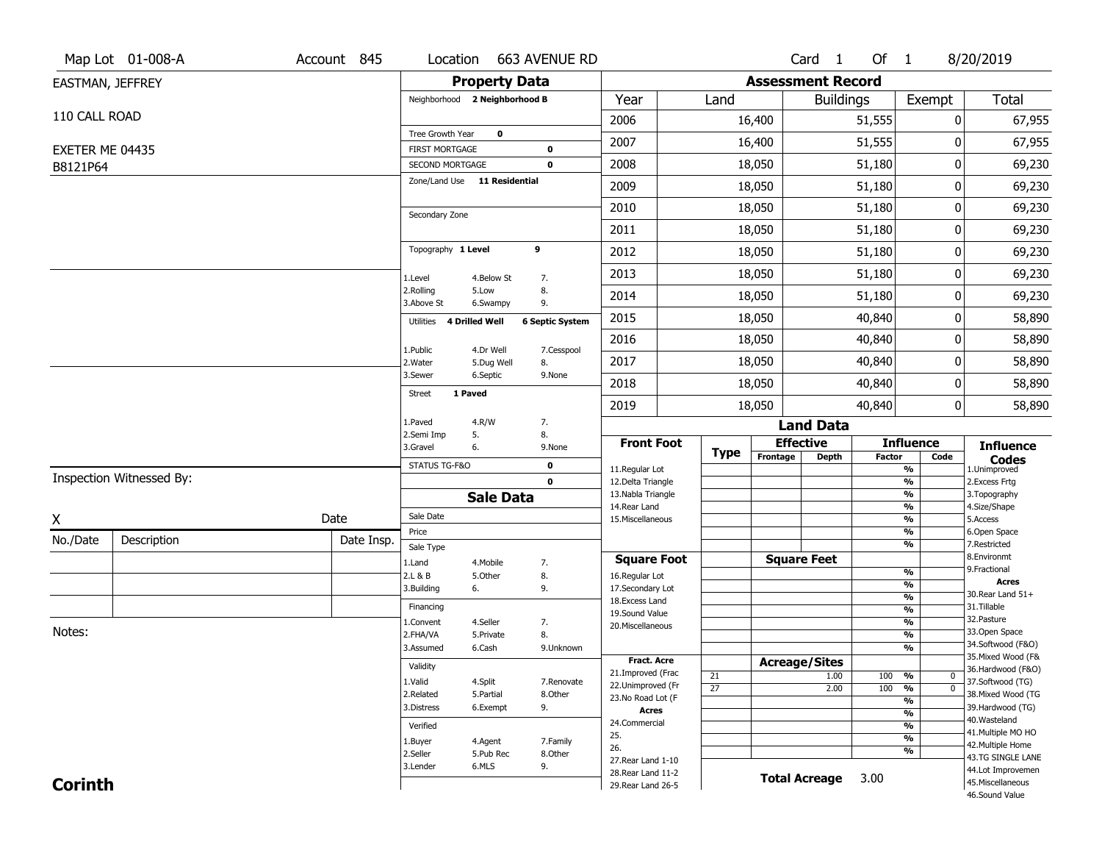|                  | Map Lot 01-008-A         | Account 845 | Location                                 |                      | 663 AVENUE RD              |                                          |                 |                          | Card <sub>1</sub> | Of 1   |                                           | 8/20/2019                               |
|------------------|--------------------------|-------------|------------------------------------------|----------------------|----------------------------|------------------------------------------|-----------------|--------------------------|-------------------|--------|-------------------------------------------|-----------------------------------------|
| EASTMAN, JEFFREY |                          |             |                                          | <b>Property Data</b> |                            |                                          |                 | <b>Assessment Record</b> |                   |        |                                           |                                         |
|                  |                          |             | Neighborhood 2 Neighborhood B            |                      |                            | Year                                     | Land            |                          | <b>Buildings</b>  |        | Exempt                                    | Total                                   |
| 110 CALL ROAD    |                          |             |                                          |                      |                            | 2006                                     |                 | 16,400                   |                   | 51,555 | 0                                         | 67,955                                  |
|                  |                          |             | Tree Growth Year                         | $\mathbf 0$          |                            | 2007                                     |                 | 16,400                   |                   | 51,555 | 0                                         | 67,955                                  |
| EXETER ME 04435  |                          |             | <b>FIRST MORTGAGE</b><br>SECOND MORTGAGE |                      | $\mathbf 0$<br>$\mathbf 0$ | 2008                                     |                 | 18,050                   |                   | 51,180 | 0                                         | 69,230                                  |
| B8121P64         |                          |             | Zone/Land Use 11 Residential             |                      |                            |                                          |                 |                          |                   |        |                                           |                                         |
|                  |                          |             |                                          |                      |                            | 2009                                     |                 | 18,050                   |                   | 51,180 | 0                                         | 69,230                                  |
|                  |                          |             | Secondary Zone                           |                      |                            | 2010                                     |                 | 18,050                   |                   | 51,180 | 0                                         | 69,230                                  |
|                  |                          |             |                                          |                      |                            | 2011                                     |                 | 18,050                   |                   | 51,180 | 0                                         | 69,230                                  |
|                  |                          |             | Topography 1 Level                       |                      | 9                          | 2012                                     |                 | 18,050                   |                   | 51,180 | 0                                         | 69,230                                  |
|                  |                          |             | 1.Level                                  | 4.Below St           | 7.                         | 2013                                     |                 | 18,050                   |                   | 51,180 | 0                                         | 69,230                                  |
|                  |                          |             | 2.Rolling<br>3.Above St                  | 5.Low<br>6.Swampy    | 8.<br>9.                   | 2014                                     |                 | 18,050                   |                   | 51,180 | 0                                         | 69,230                                  |
|                  |                          |             | 4 Drilled Well<br><b>Utilities</b>       |                      | <b>6 Septic System</b>     | 2015                                     |                 | 18,050                   |                   | 40,840 | 0                                         | 58,890                                  |
|                  |                          |             | 1.Public                                 | 4.Dr Well            | 7.Cesspool                 | 2016                                     |                 | 18,050                   |                   | 40,840 | 0                                         | 58,890                                  |
|                  |                          |             | 2. Water                                 | 5.Dug Well           | 8.                         | 2017                                     |                 | 18,050                   |                   | 40,840 | 0                                         | 58,890                                  |
|                  |                          |             | 3.Sewer                                  | 6.Septic             | 9.None                     | 2018                                     |                 | 18,050                   |                   | 40,840 | 0                                         | 58,890                                  |
|                  |                          |             | 1 Paved<br><b>Street</b>                 |                      |                            | 2019                                     |                 | 18,050                   |                   | 40,840 | 0                                         | 58,890                                  |
|                  |                          |             | 1.Paved                                  | 4.R/W                | 7.                         |                                          |                 |                          | <b>Land Data</b>  |        |                                           |                                         |
|                  |                          |             | 2.Semi Imp<br>3.Gravel                   | 5.<br>6.             | 8.<br>9.None               | <b>Front Foot</b>                        |                 | <b>Effective</b>         |                   |        | <b>Influence</b>                          | <b>Influence</b>                        |
|                  |                          |             | STATUS TG-F&O                            |                      | $\mathbf 0$                | 11.Regular Lot                           | Type            | Frontage                 | <b>Depth</b>      | Factor | Code<br>$\overline{\frac{9}{6}}$          | <b>Codes</b><br>1.Unimproved            |
|                  | Inspection Witnessed By: |             |                                          |                      | $\mathbf 0$                | 12.Delta Triangle                        |                 |                          |                   |        | $\frac{9}{6}$                             | 2.Excess Frtg                           |
|                  |                          |             |                                          | <b>Sale Data</b>     |                            | 13. Nabla Triangle<br>14. Rear Land      |                 |                          |                   |        | $\overline{\frac{9}{6}}$<br>$\frac{9}{6}$ | 3. Topography<br>4.Size/Shape           |
| Χ                |                          | Date        | Sale Date                                |                      |                            | 15. Miscellaneous                        |                 |                          |                   |        | $\overline{\frac{9}{6}}$                  | 5.Access                                |
| No./Date         | Description              | Date Insp.  | Price                                    |                      |                            |                                          |                 |                          |                   |        | %                                         | 6.Open Space                            |
|                  |                          |             | Sale Type                                |                      |                            | <b>Square Foot</b>                       |                 | <b>Square Feet</b>       |                   |        | $\overline{\frac{9}{6}}$                  | 7.Restricted<br>8.Environmt             |
|                  |                          |             | 1.Land<br>2.L & B                        | 4. Mobile<br>5.Other | 7.<br>8.                   | 16.Regular Lot                           |                 |                          |                   |        | $\frac{9}{6}$                             | 9. Fractional                           |
|                  |                          |             | 3.Building                               | 6.                   | 9.                         | 17.Secondary Lot                         |                 |                          |                   |        | %                                         | <b>Acres</b><br>30. Rear Land 51+       |
|                  |                          |             | Financing                                |                      |                            | 18.Excess Land                           |                 |                          |                   |        | $\frac{9}{6}$<br>$\frac{9}{6}$            | 31.Tillable                             |
|                  |                          |             | 1.Convent                                | 4.Seller             | 7.                         | 19.Sound Value<br>20.Miscellaneous       |                 |                          |                   |        | $\frac{9}{6}$                             | 32.Pasture                              |
| Notes:           |                          |             | 2.FHA/VA                                 | 5.Private            | 8.                         |                                          |                 |                          |                   |        | $\frac{9}{6}$                             | 33.Open Space                           |
|                  |                          |             | 3.Assumed                                | 6.Cash               | 9.Unknown                  |                                          |                 |                          |                   |        | %                                         | 34.Softwood (F&O)                       |
|                  |                          |             | Validity                                 |                      |                            | <b>Fract. Acre</b>                       |                 | <b>Acreage/Sites</b>     |                   |        |                                           | 35. Mixed Wood (F&<br>36.Hardwood (F&O) |
|                  |                          |             | 1.Valid                                  | 4.Split              | 7.Renovate                 | 21.Improved (Frac                        | 21              |                          | 1.00              | 100    | %<br>$\bf{0}$                             | 37.Softwood (TG)                        |
|                  |                          |             | 2.Related                                | 5.Partial            | 8.Other                    | 22.Unimproved (Fr<br>23.No Road Lot (F   | $\overline{27}$ |                          | 2.00              | 100    | $\overline{\mathfrak{o}}$<br>%            | 38. Mixed Wood (TG                      |
|                  |                          |             | 3.Distress                               | 6.Exempt             | 9.                         | <b>Acres</b>                             |                 |                          |                   |        | $\overline{\frac{9}{6}}$<br>$\frac{9}{6}$ | 39.Hardwood (TG)                        |
|                  |                          |             | Verified                                 |                      |                            | 24.Commercial                            |                 |                          |                   |        | %                                         | 40. Wasteland                           |
|                  |                          |             | 1.Buyer                                  | 4.Agent              | 7.Family                   | 25.                                      |                 |                          |                   |        | $\overline{\frac{9}{6}}$                  | 41. Multiple MO HO                      |
|                  |                          |             |                                          |                      |                            |                                          |                 |                          |                   |        |                                           |                                         |
|                  |                          |             |                                          |                      |                            | 26.                                      |                 |                          |                   |        | %                                         | 42. Multiple Home                       |
|                  |                          |             | 2.Seller<br>3.Lender                     | 5.Pub Rec<br>6.MLS   | 8.Other<br>9.              | 27. Rear Land 1-10                       |                 |                          |                   |        |                                           | 43.TG SINGLE LANE                       |
| <b>Corinth</b>   |                          |             |                                          |                      |                            | 28. Rear Land 11-2<br>29. Rear Land 26-5 |                 | <b>Total Acreage</b>     |                   | 3.00   |                                           | 44.Lot Improvemen<br>45. Miscellaneous  |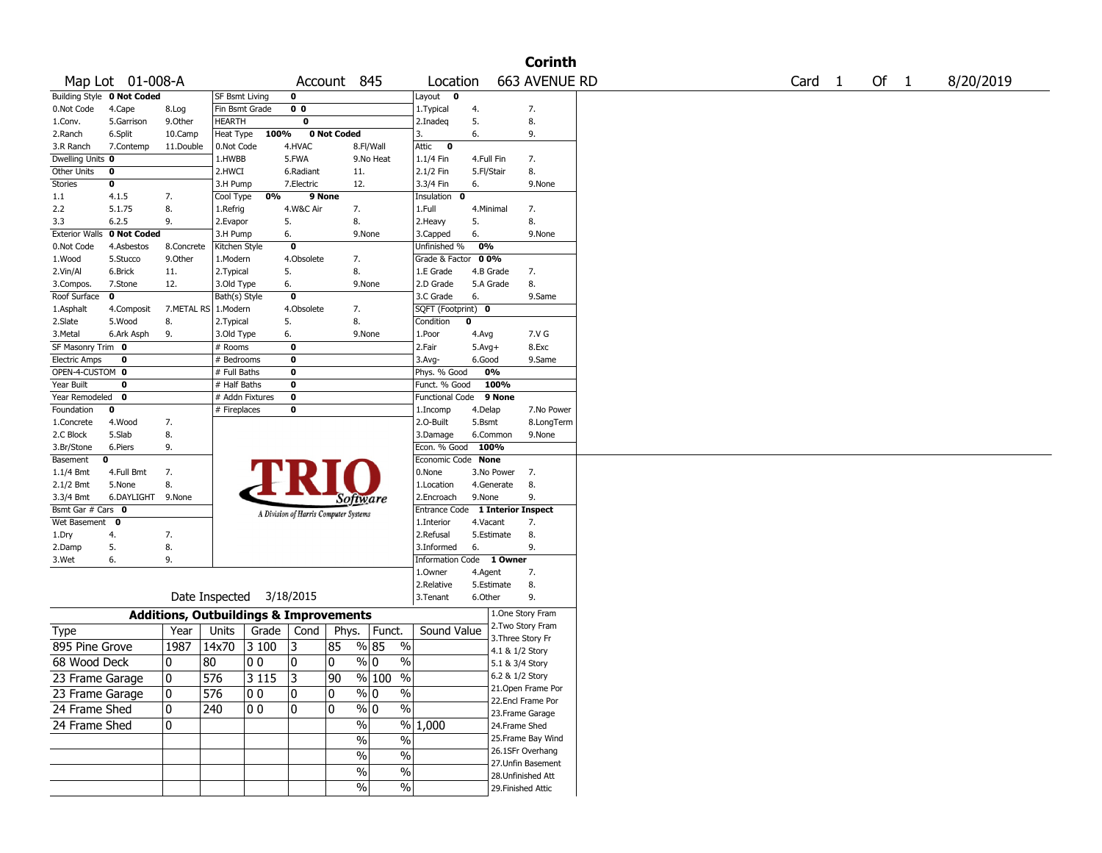|                       |                            |                                                   |                |                          |                |                                       |                             |                                  |            |                   | <b>Corinth</b>                          |        |        |           |
|-----------------------|----------------------------|---------------------------------------------------|----------------|--------------------------|----------------|---------------------------------------|-----------------------------|----------------------------------|------------|-------------------|-----------------------------------------|--------|--------|-----------|
|                       | Map Lot 01-008-A           |                                                   |                |                          |                | Account 845                           |                             | Location                         |            |                   | 663 AVENUE RD                           | Card 1 | Of $1$ | 8/20/2019 |
|                       | Building Style 0 Not Coded |                                                   | SF Bsmt Living |                          | 0              |                                       |                             | Layout $\mathbf 0$               |            |                   |                                         |        |        |           |
| 0.Not Code            | 4.Cape                     | 8.Log                                             | Fin Bsmt Grade |                          | 0 <sub>0</sub> |                                       |                             | 1. Typical                       | 4.         |                   | 7.                                      |        |        |           |
| 1.Conv.               | 5.Garrison                 | 9.0ther                                           | <b>HEARTH</b>  |                          | 0              |                                       |                             | 2.Inadeq                         | 5.         |                   | 8.                                      |        |        |           |
| 2.Ranch               | 6.Split                    | 10.Camp                                           | Heat Type      | 100%                     |                | 0 Not Coded                           |                             | 3.                               | 6.         |                   | 9.                                      |        |        |           |
| 3.R Ranch             | 7.Contemp                  | 11.Double                                         | 0.Not Code     |                          | 4.HVAC         |                                       | 8.Fl/Wall                   | Attic<br>$\mathbf{0}$            |            |                   |                                         |        |        |           |
| Dwelling Units 0      |                            |                                                   | 1.HWBB         |                          | 5.FWA          |                                       | 9.No Heat                   | 1.1/4 Fin                        | 4.Full Fin |                   | 7.                                      |        |        |           |
| Other Units           | 0                          |                                                   | 2.HWCI         |                          | 6.Radiant      | 11.                                   |                             | 2.1/2 Fin                        | 5.Fl/Stair |                   | 8.                                      |        |        |           |
| <b>Stories</b>        | 0                          |                                                   | 3.H Pump       |                          | 7.Electric     | 12.                                   |                             | 3.3/4 Fin                        | 6.         |                   | 9.None                                  |        |        |           |
| 1.1                   | 4.1.5                      | 7.                                                | Cool Type      | 0%                       |                | 9 None                                |                             | Insulation<br>$\mathbf{o}$       |            |                   |                                         |        |        |           |
| 2.2                   | 5.1.75                     | 8.                                                | 1.Refrig       |                          | 4.W&C Air      | 7.                                    |                             | 1.Full                           | 4.Minimal  |                   | 7.                                      |        |        |           |
| 3.3                   | 6.2.5                      | 9.                                                | 2.Evapor       |                          | 5.             | 8.                                    |                             | 2. Heavy                         | 5.         |                   | 8.                                      |        |        |           |
| <b>Exterior Walls</b> | 0 Not Coded                |                                                   | 3.H Pump       |                          | 6.             |                                       | 9.None                      | 3.Capped                         | 6.         |                   | 9.None                                  |        |        |           |
| 0.Not Code            | 4.Asbestos                 | 8.Concrete                                        | Kitchen Style  |                          | 0              |                                       |                             | Unfinished %                     | 0%         |                   |                                         |        |        |           |
| 1.Wood                | 5.Stucco                   | 9.0ther                                           | 1.Modern       |                          | 4.Obsolete     | 7.                                    |                             | Grade & Factor 00%               |            |                   |                                         |        |        |           |
| 2.Vin/Al              | 6.Brick                    | 11.                                               | 2. Typical     |                          | 5.             | 8.                                    |                             | 1.E Grade                        | 4.B Grade  |                   | 7.                                      |        |        |           |
| 3.Compos.             | 7.Stone                    | 12.                                               | 3.Old Type     |                          | 6.             |                                       | 9.None                      | 2.D Grade                        | 5.A Grade  |                   | 8.                                      |        |        |           |
| Roof Surface          | 0                          |                                                   | Bath(s) Style  |                          | 0              |                                       |                             | 3.C Grade                        | 6.         |                   | 9.Same                                  |        |        |           |
| 1.Asphalt             | 4.Composit                 | 7.METAL RS   1.Modern                             |                |                          | 4.Obsolete     | 7.                                    |                             | SQFT (Footprint) 0               |            |                   |                                         |        |        |           |
| 2.Slate               | 5.Wood                     | 8.                                                | 2. Typical     |                          | 5.             | 8.                                    |                             | Condition                        | 0          |                   |                                         |        |        |           |
| 3.Metal               | 6.Ark Asph                 | 9.                                                | 3.Old Type     |                          | 6.             |                                       | 9.None                      | 1.Poor                           | 4.Avg      |                   | 7.V G                                   |        |        |           |
| SF Masonry Trim 0     |                            |                                                   | # Rooms        |                          | 0              |                                       |                             | 2.Fair                           | $5.Avg+$   |                   | 8.Exc                                   |        |        |           |
| <b>Electric Amps</b>  | 0                          |                                                   | # Bedrooms     |                          | 0              |                                       |                             | $3.Avg-$                         | 6.Good     |                   | 9.Same                                  |        |        |           |
| OPEN-4-CUSTOM 0       |                            |                                                   | # Full Baths   |                          | 0              |                                       |                             | Phys. % Good                     | 0%         |                   |                                         |        |        |           |
| Year Built            | 0                          |                                                   | # Half Baths   |                          | 0              |                                       |                             | Funct. % Good                    |            | 100%              |                                         |        |        |           |
| Year Remodeled 0      |                            |                                                   |                | # Addn Fixtures          | 0              |                                       |                             | Functional Code 9 None           |            |                   |                                         |        |        |           |
| Foundation            | 0                          |                                                   | # Fireplaces   |                          | 0              |                                       |                             | 1.Incomp                         | 4.Delap    |                   | 7.No Power                              |        |        |           |
| 1.Concrete            | 4.Wood                     | 7.                                                |                |                          |                |                                       |                             | 2.0-Built                        | 5.Bsmt     |                   | 8.LongTerm                              |        |        |           |
| 2.C Block             | 5.Slab                     | 8.                                                |                |                          |                |                                       |                             | 3.Damage                         | 6.Common   |                   | 9.None                                  |        |        |           |
| 3.Br/Stone            | 6.Piers                    | 9.                                                |                |                          |                |                                       |                             | Econ. % Good                     | 100%       |                   |                                         |        |        |           |
| Basement              | 0                          |                                                   |                |                          |                |                                       |                             | Economic Code None               |            |                   |                                         |        |        |           |
| $1.1/4$ Bmt           | 4.Full Bmt                 | 7.                                                |                |                          |                |                                       |                             | 0.None                           | 3.No Power |                   | 7.                                      |        |        |           |
| $2.1/2$ Bmt           | 5.None                     | 8.                                                |                |                          |                |                                       |                             | 1.Location                       | 4.Generate |                   | 8.                                      |        |        |           |
| 3.3/4 Bmt             | 6.DAYLIGHT 9.None          |                                                   |                |                          |                | <i>Software</i>                       |                             | 2.Encroach                       | 9.None     |                   | 9.                                      |        |        |           |
| Bsmt Gar # Cars 0     |                            |                                                   |                |                          |                | A Division of Harris Computer Systems |                             | Entrance Code 1 Interior Inspect |            |                   |                                         |        |        |           |
| Wet Basement 0        |                            |                                                   |                |                          |                |                                       |                             | 1.Interior                       | 4.Vacant   |                   | 7.                                      |        |        |           |
| 1.Dry                 | 4.                         | 7.                                                |                |                          |                |                                       |                             | 2.Refusal                        | 5.Estimate |                   | 8.                                      |        |        |           |
| 2.Damp                | 5.                         | 8.                                                |                |                          |                |                                       |                             | 3.Informed                       | 6.         |                   | 9.                                      |        |        |           |
| 3.Wet                 | 6.                         | 9.                                                |                |                          |                |                                       |                             | Information Code 1 Owner         |            |                   |                                         |        |        |           |
|                       |                            |                                                   |                |                          |                |                                       |                             | 1.0wner                          | 4.Agent    |                   | 7.                                      |        |        |           |
|                       |                            |                                                   |                |                          |                |                                       |                             | 2.Relative                       | 5.Estimate |                   | 8.                                      |        |        |           |
|                       |                            |                                                   |                | Date Inspected 3/18/2015 |                |                                       |                             | 3.Tenant                         | 6.Other    |                   | 9.                                      |        |        |           |
|                       |                            | <b>Additions, Outbuildings &amp; Improvements</b> |                |                          |                |                                       |                             |                                  |            |                   | 1.One Story Fram                        |        |        |           |
| Type                  |                            | Year                                              | Units          | Grade                    | Cond           |                                       | Phys.   Funct.              | Sound Value                      |            |                   | 2. Two Story Fram                       |        |        |           |
|                       |                            |                                                   |                |                          |                |                                       |                             |                                  |            | 3. Three Story Fr |                                         |        |        |           |
| 895 Pine Grove        |                            | 1987                                              | 14x70          | 3 100                    | 3              | 85                                    | % 85<br>$\%$                |                                  |            | 4.1 & 1/2 Story   |                                         |        |        |           |
| 68 Wood Deck          |                            | 0                                                 | 80             | 00                       | 0              | 0                                     | % 0<br>$\%$                 |                                  |            | 5.1 & 3/4 Story   |                                         |        |        |           |
| 23 Frame Garage       |                            | 0                                                 | 576            | 3 1 1 5                  | $\overline{3}$ | $\overline{90}$                       | $\frac{9}{6}$ 100 %         |                                  |            | 6.2 & 1/2 Story   |                                         |        |        |           |
| 23 Frame Garage       |                            | 0                                                 | 576            | 00                       | 0              | 10                                    | $\frac{9}{0}$ 0<br>%        |                                  |            |                   | 21.Open Frame Por                       |        |        |           |
|                       |                            |                                                   |                |                          |                |                                       | $\frac{9}{6}$               |                                  |            |                   | 22.Encl Frame Por                       |        |        |           |
| 24 Frame Shed         |                            | $\pmb{0}$                                         | 240            | 00                       | 0              | 10                                    | $\sqrt[6]{0}$               |                                  |            |                   | 23. Frame Garage                        |        |        |           |
| 24 Frame Shed         |                            | $\pmb{0}$                                         |                |                          |                | $\%$                                  |                             | % 1,000                          |            | 24.Frame Shed     |                                         |        |        |           |
|                       |                            |                                                   |                |                          |                | $\%$                                  | $\%$                        |                                  |            |                   | 25.Frame Bay Wind                       |        |        |           |
|                       |                            |                                                   |                |                          |                | $\%$                                  | $\%$                        |                                  |            |                   | 26.1SFr Overhang                        |        |        |           |
|                       |                            |                                                   |                |                          |                |                                       |                             |                                  |            |                   | 27.Unfin Basement                       |        |        |           |
|                       |                            |                                                   |                |                          |                |                                       |                             |                                  |            |                   |                                         |        |        |           |
|                       |                            |                                                   |                |                          |                | $\%$<br>$\%$                          | $\frac{1}{2}$<br>$\sqrt{6}$ |                                  |            |                   | 28.Unfinished Att<br>29. Finished Attic |        |        |           |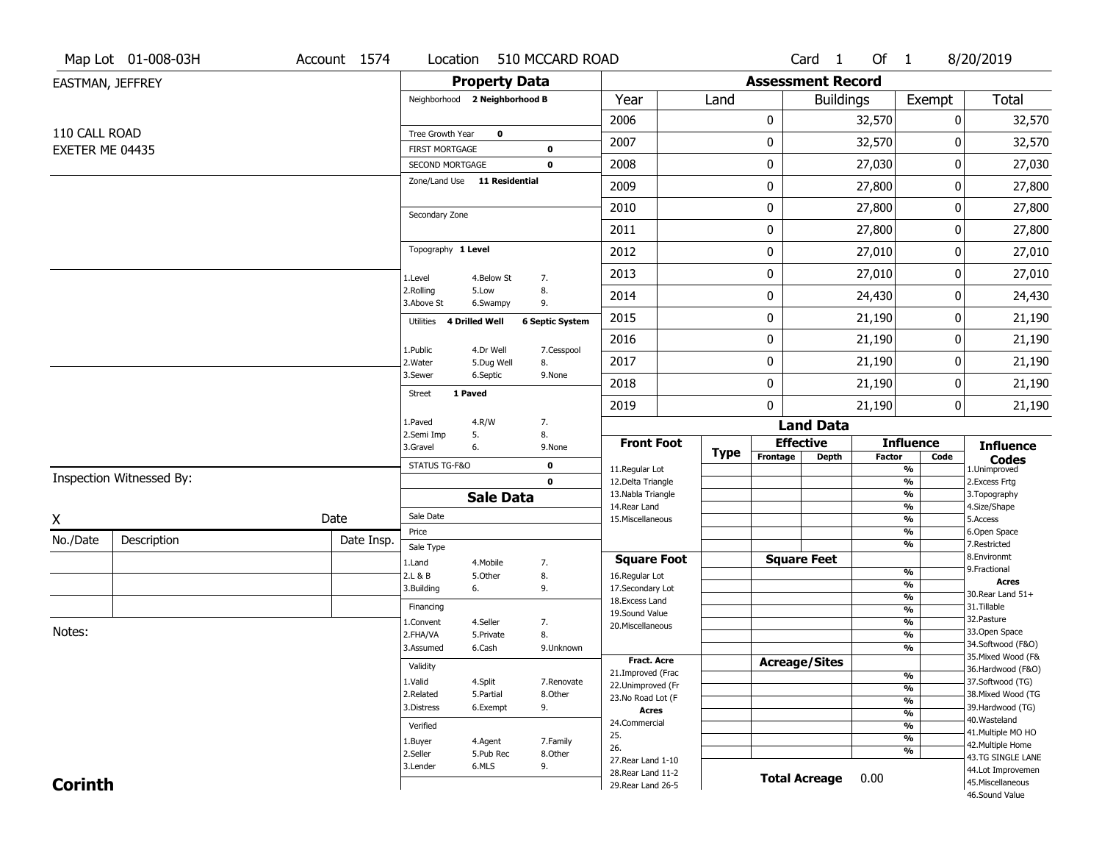|                  | Map Lot 01-008-03H       | Account 1574 | Location                                 |                         | 510 MCCARD ROAD        |                                          |             |                              | Card 1           | Of $1$ |                                                      | 8/20/2019                              |
|------------------|--------------------------|--------------|------------------------------------------|-------------------------|------------------------|------------------------------------------|-------------|------------------------------|------------------|--------|------------------------------------------------------|----------------------------------------|
| EASTMAN, JEFFREY |                          |              |                                          | <b>Property Data</b>    |                        |                                          |             | <b>Assessment Record</b>     |                  |        |                                                      |                                        |
|                  |                          |              | Neighborhood 2 Neighborhood B            |                         |                        | Year                                     | Land        |                              | <b>Buildings</b> |        | Exempt                                               | Total                                  |
|                  |                          |              |                                          |                         |                        | 2006                                     |             | 0                            |                  | 32,570 | 0                                                    | 32,570                                 |
| 110 CALL ROAD    |                          |              | Tree Growth Year                         | $\mathbf 0$             |                        | 2007                                     |             | 0                            |                  | 32,570 | 0                                                    | 32,570                                 |
| EXETER ME 04435  |                          |              | <b>FIRST MORTGAGE</b><br>SECOND MORTGAGE |                         | 0<br>$\mathbf 0$       | 2008                                     |             | 0                            |                  | 27,030 | 0                                                    | 27,030                                 |
|                  |                          |              | Zone/Land Use 11 Residential             |                         |                        | 2009                                     |             | 0                            |                  | 27,800 | 0                                                    | 27,800                                 |
|                  |                          |              |                                          |                         |                        | 2010                                     |             | 0                            |                  | 27,800 | 0                                                    | 27,800                                 |
|                  |                          |              | Secondary Zone                           |                         |                        | 2011                                     |             | 0                            |                  | 27,800 | 0                                                    | 27,800                                 |
|                  |                          |              | Topography 1 Level                       |                         |                        | 2012                                     |             | 0                            |                  | 27,010 | 0                                                    | 27,010                                 |
|                  |                          |              | 1.Level                                  | 4.Below St              | 7.                     | 2013                                     |             | 0                            |                  | 27,010 | 0                                                    | 27,010                                 |
|                  |                          |              | 2.Rolling<br>3.Above St                  | 5.Low<br>6.Swampy       | 8.<br>9.               | 2014                                     |             | 0                            |                  | 24,430 | 0                                                    | 24,430                                 |
|                  |                          |              | 4 Drilled Well<br>Utilities              |                         | <b>6 Septic System</b> | 2015                                     |             | 0                            |                  | 21,190 | 0                                                    | 21,190                                 |
|                  |                          |              |                                          |                         |                        | 2016                                     |             | 0                            |                  | 21,190 | 0                                                    | 21,190                                 |
|                  |                          |              | 1.Public<br>2.Water                      | 4.Dr Well<br>5.Dug Well | 7.Cesspool<br>8.       | 2017                                     |             | 0                            |                  | 21,190 | 0                                                    | 21,190                                 |
|                  |                          |              | 3.Sewer                                  | 6.Septic                | 9.None                 | 2018                                     |             | 0                            |                  | 21,190 | 0                                                    | 21,190                                 |
|                  |                          |              | 1 Paved<br><b>Street</b>                 |                         |                        | 2019                                     |             | 0                            |                  | 21,190 | 0                                                    | 21,190                                 |
|                  |                          |              | 1.Paved<br>2.Semi Imp<br>5.              | 4.R/W                   | 7.<br>8.               |                                          |             |                              | <b>Land Data</b> |        |                                                      |                                        |
|                  |                          |              | 3.Gravel<br>6.                           |                         | 9.None                 | <b>Front Foot</b>                        | <b>Type</b> | <b>Effective</b><br>Frontage | Depth            | Factor | <b>Influence</b><br>Code                             | <b>Influence</b>                       |
|                  |                          |              | STATUS TG-F&O                            |                         | $\mathbf 0$            | 11.Regular Lot                           |             |                              |                  |        | $\overline{\frac{9}{6}}$                             | <b>Codes</b><br>1.Unimproved           |
|                  | Inspection Witnessed By: |              |                                          |                         | $\mathbf 0$            | 12.Delta Triangle<br>13. Nabla Triangle  |             |                              |                  |        | $\overline{\frac{9}{6}}$<br>$\overline{\frac{9}{6}}$ | 2. Excess Frtg<br>3. Topography        |
|                  |                          |              |                                          | <b>Sale Data</b>        |                        | 14. Rear Land                            |             |                              |                  |        | $\frac{9}{6}$                                        | 4.Size/Shape                           |
| X                |                          | Date         | Sale Date<br>Price                       |                         |                        | 15. Miscellaneous                        |             |                              |                  |        | $\overline{\frac{9}{6}}$<br>%                        | 5.Access<br>6.Open Space               |
| No./Date         | Description              | Date Insp.   | Sale Type                                |                         |                        |                                          |             |                              |                  |        | $\frac{9}{6}$                                        | 7.Restricted                           |
|                  |                          |              | 1.Land                                   | 4. Mobile               | 7.                     | <b>Square Foot</b>                       |             | <b>Square Feet</b>           |                  |        |                                                      | 8.Environmt                            |
|                  |                          |              | 2.L & B                                  | 5.0ther                 | 8.                     | 16.Regular Lot                           |             |                              |                  |        | %                                                    | 9. Fractional<br><b>Acres</b>          |
|                  |                          |              | 3.Building<br>6.                         |                         | 9.                     | 17.Secondary Lot                         |             |                              |                  |        | %<br>$\frac{9}{6}$                                   | 30. Rear Land 51+                      |
|                  |                          |              | Financing                                |                         |                        | 18.Excess Land<br>19.Sound Value         |             |                              |                  |        | $\frac{9}{6}$                                        | 31.Tillable                            |
|                  |                          |              | 1.Convent                                | 4.Seller                | 7.                     | 20.Miscellaneous                         |             |                              |                  |        | %                                                    | 32. Pasture                            |
| Notes:           |                          |              | 2.FHA/VA                                 | 5.Private               | 8.                     |                                          |             |                              |                  |        | $\frac{9}{6}$                                        | 33.Open Space<br>34.Softwood (F&O)     |
|                  |                          |              | 3.Assumed                                | 6.Cash                  | 9.Unknown              | <b>Fract. Acre</b>                       |             |                              |                  |        | %                                                    | 35. Mixed Wood (F&                     |
|                  |                          |              | Validity                                 |                         |                        | 21.Improved (Frac                        |             | <b>Acreage/Sites</b>         |                  |        |                                                      | 36.Hardwood (F&O)                      |
|                  |                          |              | 1.Valid                                  | 4.Split                 | 7.Renovate             | 22.Unimproved (Fr                        |             |                              |                  |        | %<br>$\frac{9}{6}$                                   | 37.Softwood (TG)                       |
|                  |                          |              | 2.Related                                | 5.Partial               | 8.Other                | 23.No Road Lot (F                        |             |                              |                  |        | $\frac{9}{6}$                                        | 38. Mixed Wood (TG                     |
|                  |                          |              | 3.Distress                               | 6.Exempt                | 9.                     | <b>Acres</b>                             |             |                              |                  |        | $\frac{9}{6}$                                        | 39.Hardwood (TG)                       |
|                  |                          |              | Verified                                 |                         |                        | 24.Commercial                            |             |                              |                  |        | $\frac{9}{6}$                                        | 40. Wasteland<br>41. Multiple MO HO    |
|                  |                          |              | 1.Buyer                                  | 4.Agent                 | 7.Family               | 25.<br>26.                               |             |                              |                  |        | $\frac{9}{6}$                                        | 42. Multiple Home                      |
|                  |                          |              | 2.Seller                                 | 5.Pub Rec               | 8.Other                |                                          |             |                              |                  |        | %                                                    | 43.TG SINGLE LANE                      |
|                  |                          |              |                                          |                         |                        |                                          |             |                              |                  |        |                                                      |                                        |
| <b>Corinth</b>   |                          |              | 3.Lender                                 | 6.MLS                   | 9.                     | 27. Rear Land 1-10<br>28. Rear Land 11-2 |             | <b>Total Acreage</b>         |                  | 0.00   |                                                      | 44.Lot Improvemen<br>45. Miscellaneous |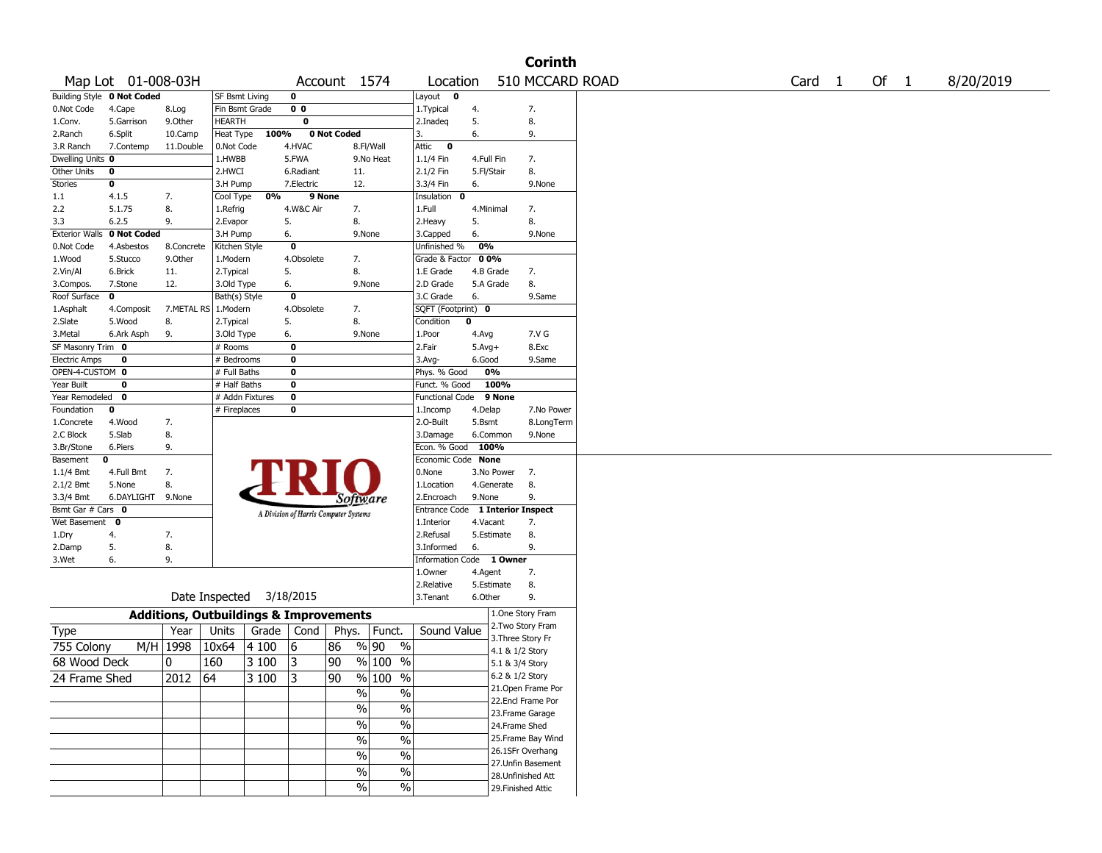|                       |                            |                                                   |                       |       |                |                                       |                          |                          |            |                                      | <b>Corinth</b>     |                   |      |           |
|-----------------------|----------------------------|---------------------------------------------------|-----------------------|-------|----------------|---------------------------------------|--------------------------|--------------------------|------------|--------------------------------------|--------------------|-------------------|------|-----------|
|                       | Map Lot 01-008-03H         |                                                   |                       |       |                | Account 1574                          |                          | Location                 |            |                                      | 510 MCCARD ROAD    | Card <sub>1</sub> | Of 1 | 8/20/2019 |
|                       | Building Style 0 Not Coded |                                                   | <b>SF Bsmt Living</b> |       | 0              |                                       |                          | Layout 0                 |            |                                      |                    |                   |      |           |
| 0.Not Code            | 4.Cape                     | 8.Log                                             | Fin Bsmt Grade        |       | 0 <sub>0</sub> |                                       |                          | 1.Typical                | 4.         |                                      | 7.                 |                   |      |           |
| 1.Conv.               | 5.Garrison                 | 9.0ther                                           | <b>HEARTH</b>         |       | 0              |                                       |                          | 2.Inadeq                 | 5.         |                                      | 8.                 |                   |      |           |
| 2.Ranch               | 6.Split                    | 10.Camp                                           | Heat Type             | 100%  |                | 0 Not Coded                           |                          | 3.                       | 6.         |                                      | 9.                 |                   |      |           |
| 3.R Ranch             | 7.Contemp                  | 11.Double                                         | 0.Not Code            |       | 4.HVAC         |                                       | 8.Fl/Wall                | Attic<br>$\bullet$       |            |                                      |                    |                   |      |           |
| Dwelling Units 0      |                            |                                                   | 1.HWBB                |       | 5.FWA          |                                       | 9.No Heat                | 1.1/4 Fin                | 4.Full Fin |                                      | 7.                 |                   |      |           |
| Other Units           | 0                          |                                                   | 2.HWCI                |       | 6.Radiant      | 11.                                   |                          | 2.1/2 Fin                | 5.Fl/Stair |                                      | 8.                 |                   |      |           |
| Stories               | 0                          |                                                   | 3.H Pump              |       | 7.Electric     | 12.                                   |                          | 3.3/4 Fin                | 6.         |                                      | 9.None             |                   |      |           |
| 1.1                   | 4.1.5                      | 7.                                                | Cool Type             | 0%    |                | 9 None                                |                          | Insulation<br>0          |            |                                      |                    |                   |      |           |
| 2.2                   | 5.1.75                     | 8.                                                | 1.Refrig              |       | 4.W&C Air      | 7.                                    |                          | 1.Full                   | 4.Minimal  |                                      | 7.                 |                   |      |           |
| 3.3                   | 6.2.5                      | 9.                                                | 2.Evapor              |       | 5.             | 8.                                    |                          | 2.Heavy                  | 5.         |                                      | 8.                 |                   |      |           |
| <b>Exterior Walls</b> | 0 Not Coded                |                                                   | 3.H Pump              |       | 6.             |                                       | 9.None                   | 3.Capped                 | 6.         |                                      | 9.None             |                   |      |           |
| 0.Not Code            | 4.Asbestos                 | 8.Concrete                                        | Kitchen Style         |       | 0              |                                       |                          | Unfinished %             | 0%         |                                      |                    |                   |      |           |
| 1.Wood                | 5.Stucco                   | 9.Other                                           | 1.Modern              |       | 4.Obsolete     | 7.                                    |                          | Grade & Factor           | 00%        |                                      |                    |                   |      |           |
| 2.Vin/Al              | 6.Brick                    | 11.                                               | 2.Typical             |       | 5.             | 8.                                    |                          | 1.E Grade                |            | 4.B Grade                            | 7.                 |                   |      |           |
| 3.Compos.             | 7.Stone                    | 12.                                               | 3.Old Type            |       | 6.             |                                       | 9.None                   | 2.D Grade                |            | 5.A Grade                            | 8.                 |                   |      |           |
| Roof Surface          | 0                          |                                                   | Bath(s) Style         |       | 0              |                                       |                          | 3.C Grade                | 6.         |                                      | 9.Same             |                   |      |           |
| 1.Asphalt             | 4.Composit                 | 7.METAL RS 1.Modern                               |                       |       | 4.Obsolete     | 7.                                    |                          | SQFT (Footprint) 0       |            |                                      |                    |                   |      |           |
| 2.Slate               | 5.Wood                     | 8.                                                | 2. Typical            |       | 5.             | 8.                                    |                          | Condition                | 0          |                                      |                    |                   |      |           |
| 3.Metal               | 6.Ark Asph                 | 9.                                                | 3.Old Type            |       | 6.             |                                       | 9.None                   | 1.Poor                   | 4.Avg      |                                      | 7.V G              |                   |      |           |
| SF Masonry Trim 0     |                            |                                                   | # Rooms               |       | 0              |                                       |                          | 2.Fair                   | $5.Avg+$   |                                      | 8.Exc              |                   |      |           |
| <b>Electric Amps</b>  | 0                          |                                                   | # Bedrooms            |       | 0              |                                       |                          | 3.Avg-                   | 6.Good     |                                      | 9.Same             |                   |      |           |
| OPEN-4-CUSTOM 0       |                            |                                                   | # Full Baths          |       | 0              |                                       |                          | Phys. % Good             |            | 0%                                   |                    |                   |      |           |
| Year Built            | 0                          |                                                   | # Half Baths          |       | 0              |                                       |                          | Funct. % Good            |            | 100%                                 |                    |                   |      |           |
| Year Remodeled        | 0                          |                                                   | # Addn Fixtures       |       | 0              |                                       |                          | Functional Code 9 None   |            |                                      |                    |                   |      |           |
| Foundation            | 0                          |                                                   | # Fireplaces          |       | 0              |                                       |                          | 1.Incomp                 | 4.Delap    |                                      | 7.No Power         |                   |      |           |
| 1.Concrete            | 4.Wood                     | 7.                                                |                       |       |                |                                       |                          | 2.O-Built                | 5.Bsmt     |                                      | 8.LongTerm         |                   |      |           |
| 2.C Block             | 5.Slab                     | 8.                                                |                       |       |                |                                       |                          | 3.Damage                 |            | 6.Common                             | 9.None             |                   |      |           |
| 3.Br/Stone            | 6.Piers                    | 9.                                                |                       |       |                |                                       |                          | Econ. % Good             |            | 100%                                 |                    |                   |      |           |
| Basement              | 0                          |                                                   |                       |       |                |                                       |                          | Economic Code None       |            |                                      |                    |                   |      |           |
| 1.1/4 Bmt             | 4.Full Bmt                 | 7.                                                |                       |       |                |                                       |                          | 0.None                   |            | 3.No Power                           | 7.                 |                   |      |           |
| 2.1/2 Bmt             | 5.None                     | 8.                                                |                       |       |                |                                       |                          | 1.Location               |            | 4.Generate                           | 8.                 |                   |      |           |
| 3.3/4 Bmt             | 6.DAYLIGHT                 | 9.None                                            |                       |       |                | Software                              |                          | 2.Encroach               | 9.None     |                                      | 9.                 |                   |      |           |
| Bsmt Gar # Cars 0     |                            |                                                   |                       |       |                | A Division of Harris Computer Systems |                          | <b>Entrance Code</b>     |            |                                      | 1 Interior Inspect |                   |      |           |
| Wet Basement          | $\mathbf 0$                |                                                   |                       |       |                |                                       |                          | 1.Interior               | 4.Vacant   |                                      | 7.                 |                   |      |           |
| 1.Dry                 | 4.                         | 7.                                                |                       |       |                |                                       |                          | 2.Refusal                |            | 5.Estimate                           | 8.                 |                   |      |           |
| 2.Damp                | 5.                         | 8.                                                |                       |       |                |                                       |                          | 3.Informed               | 6.         |                                      | 9.                 |                   |      |           |
| 3.Wet                 | 6.                         | 9.                                                |                       |       |                |                                       |                          | Information Code 1 Owner |            |                                      |                    |                   |      |           |
|                       |                            |                                                   |                       |       |                |                                       |                          | 1.0wner                  | 4.Agent    |                                      | 7.                 |                   |      |           |
|                       |                            |                                                   |                       |       |                |                                       |                          | 2.Relative               |            | 5.Estimate                           | 8.                 |                   |      |           |
|                       |                            |                                                   | Date Inspected        |       | 3/18/2015      |                                       |                          | 3. Tenant                | 6.Other    |                                      | 9.                 |                   |      |           |
|                       |                            | <b>Additions, Outbuildings &amp; Improvements</b> |                       |       |                |                                       |                          |                          |            |                                      | 1.One Story Fram   |                   |      |           |
| Type                  |                            | Year                                              | Units                 | Grade | Cond           | Phys.                                 | Funct.                   | Sound Value              |            |                                      | 2. Two Story Fram  |                   |      |           |
| 755 Colony            |                            | $M/H$ 1998                                        | 10x64                 | 4100  | 6              | 86                                    | % 90<br>$\%$             |                          |            | 3. Three Story Fr<br>4.1 & 1/2 Story |                    |                   |      |           |
| 68 Wood Deck          |                            | 10                                                | 160                   | 3 100 | 3              | 90                                    | $%100$ %                 |                          |            |                                      |                    |                   |      |           |
|                       |                            |                                                   |                       |       |                |                                       |                          |                          |            | 5.1 & 3/4 Story                      |                    |                   |      |           |
| 24 Frame Shed         |                            | 2012                                              | 64                    | 3 100 | 3              | 90                                    | % 100 %                  |                          |            | 6.2 & 1/2 Story                      |                    |                   |      |           |
|                       |                            |                                                   |                       |       |                | $\%$                                  | $\%$                     |                          |            |                                      | 21.Open Frame Por  |                   |      |           |
|                       |                            |                                                   |                       |       |                | %                                     | $\%$                     |                          |            |                                      | 22.Encl Frame Por  |                   |      |           |
|                       |                            |                                                   |                       |       |                |                                       |                          |                          |            |                                      | 23. Frame Garage   |                   |      |           |
|                       |                            |                                                   |                       |       |                | $\frac{1}{2}$                         | $\overline{\frac{0}{6}}$ |                          |            | 24.Frame Shed                        |                    |                   |      |           |
|                       |                            |                                                   |                       |       |                | $\%$                                  | $\overline{\frac{0}{6}}$ |                          |            |                                      | 25. Frame Bay Wind |                   |      |           |
|                       |                            |                                                   |                       |       |                | $\frac{1}{2}$                         | $\%$                     |                          |            |                                      | 26.1SFr Overhang   |                   |      |           |
|                       |                            |                                                   |                       |       |                | $\%$                                  | $\%$                     |                          |            |                                      | 27. Unfin Basement |                   |      |           |
|                       |                            |                                                   |                       |       |                |                                       |                          |                          |            |                                      | 28. Unfinished Att |                   |      |           |
|                       |                            |                                                   |                       |       |                | $\sqrt{96}$                           | $\%$                     |                          |            |                                      | 29. Finished Attic |                   |      |           |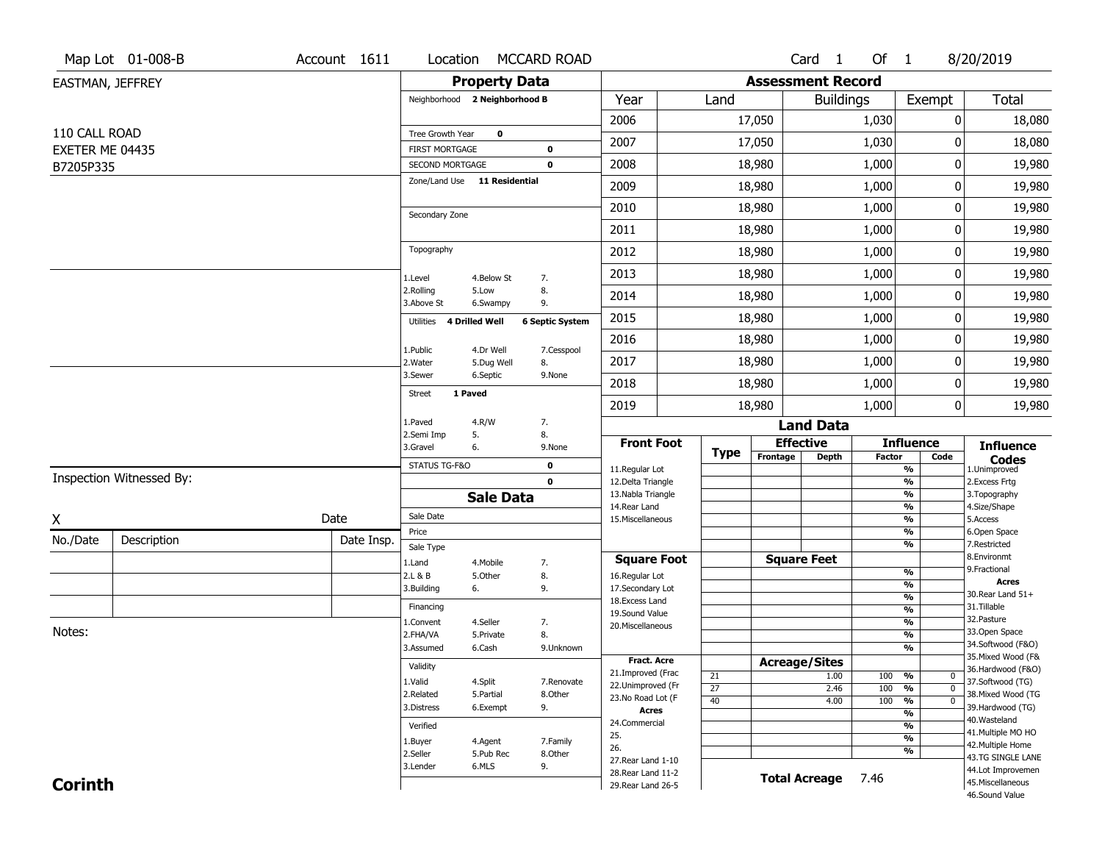|                  | Map Lot 01-008-B         | Account 1611 | Location                                 |                      | <b>MCCARD ROAD</b>         |                                          |                 |      |                          | Card <sub>1</sub> | Of 1   |                                           | 8/20/2019                              |
|------------------|--------------------------|--------------|------------------------------------------|----------------------|----------------------------|------------------------------------------|-----------------|------|--------------------------|-------------------|--------|-------------------------------------------|----------------------------------------|
| EASTMAN, JEFFREY |                          |              |                                          | <b>Property Data</b> |                            |                                          |                 |      | <b>Assessment Record</b> |                   |        |                                           |                                        |
|                  |                          |              | Neighborhood 2 Neighborhood B            |                      |                            | Year                                     |                 | Land |                          | <b>Buildings</b>  |        | Exempt                                    | <b>Total</b>                           |
|                  |                          |              |                                          |                      |                            | 2006                                     |                 |      | 17,050                   |                   | 1,030  | 0                                         | 18,080                                 |
| 110 CALL ROAD    |                          |              | Tree Growth Year                         | $\mathbf 0$          |                            | 2007                                     |                 |      | 17,050                   |                   | 1,030  | 0                                         | 18,080                                 |
| EXETER ME 04435  |                          |              | <b>FIRST MORTGAGE</b><br>SECOND MORTGAGE |                      | $\mathbf 0$<br>$\mathbf 0$ | 2008                                     |                 |      | 18,980                   |                   | 1,000  | 0                                         | 19,980                                 |
| B7205P335        |                          |              | Zone/Land Use 11 Residential             |                      |                            | 2009                                     |                 |      | 18,980                   |                   | 1,000  | 0                                         | 19,980                                 |
|                  |                          |              |                                          |                      |                            | 2010                                     |                 |      | 18,980                   |                   | 1,000  | 0                                         | 19,980                                 |
|                  |                          |              | Secondary Zone                           |                      |                            |                                          |                 |      |                          |                   |        |                                           |                                        |
|                  |                          |              | Topography                               |                      |                            | 2011                                     |                 |      | 18,980                   |                   | 1,000  | 0                                         | 19,980                                 |
|                  |                          |              |                                          |                      |                            | 2012                                     |                 |      | 18,980                   |                   | 1,000  | 0                                         | 19,980                                 |
|                  |                          |              | 1.Level                                  | 4.Below St           | 7.                         | 2013                                     |                 |      | 18,980                   |                   | 1,000  | 0                                         | 19,980                                 |
|                  |                          |              | 2.Rolling<br>3.Above St                  | 5.Low<br>6.Swampy    | 8.<br>9.                   | 2014                                     |                 |      | 18,980                   |                   | 1,000  | 0                                         | 19,980                                 |
|                  |                          |              | Utilities                                | 4 Drilled Well       | <b>6 Septic System</b>     | 2015                                     |                 |      | 18,980                   |                   | 1,000  | 0                                         | 19,980                                 |
|                  |                          |              | 1.Public                                 | 4.Dr Well            | 7.Cesspool                 | 2016                                     |                 |      | 18,980                   |                   | 1,000  | 0                                         | 19,980                                 |
|                  |                          |              | 2. Water                                 | 5.Dug Well           | 8.                         | 2017                                     |                 |      | 18,980                   |                   | 1,000  | 0                                         | 19,980                                 |
|                  |                          |              | 3.Sewer<br>1 Paved                       | 6.Septic             | 9.None                     | 2018                                     |                 |      | 18,980                   |                   | 1,000  | 0                                         | 19,980                                 |
|                  |                          |              | <b>Street</b>                            |                      |                            | 2019                                     |                 |      | 18,980                   |                   | 1,000  | 0                                         | 19,980                                 |
|                  |                          |              | 1.Paved<br>2.Semi Imp                    | 4.R/W                | 7.<br>8.                   |                                          |                 |      |                          | <b>Land Data</b>  |        |                                           |                                        |
|                  |                          |              | 3.Gravel                                 | 5.<br>6.             | 9.None                     | <b>Front Foot</b>                        |                 | Type | <b>Effective</b>         |                   |        | <b>Influence</b>                          | <b>Influence</b>                       |
|                  |                          |              | STATUS TG-F&O                            |                      | $\mathbf 0$                | 11.Regular Lot                           |                 |      | Frontage                 | <b>Depth</b>      | Factor | Code<br>$\overline{\frac{9}{6}}$          | <b>Codes</b><br>1.Unimproved           |
|                  | Inspection Witnessed By: |              |                                          |                      | $\mathbf 0$                | 12.Delta Triangle                        |                 |      |                          |                   |        | $\frac{9}{6}$                             | 2.Excess Frtg                          |
|                  |                          |              |                                          | <b>Sale Data</b>     |                            | 13. Nabla Triangle<br>14. Rear Land      |                 |      |                          |                   |        | $\overline{\frac{9}{6}}$<br>$\frac{9}{6}$ | 3. Topography<br>4.Size/Shape          |
| Χ                |                          | Date         | Sale Date                                |                      |                            | 15. Miscellaneous                        |                 |      |                          |                   |        | $\overline{\frac{9}{6}}$                  | 5.Access                               |
| No./Date         | Description              | Date Insp.   | Price<br>Sale Type                       |                      |                            |                                          |                 |      |                          |                   |        | %<br>$\overline{\frac{9}{6}}$             | 6.Open Space<br>7.Restricted           |
|                  |                          |              | 1.Land                                   | 4. Mobile            | 7.                         | <b>Square Foot</b>                       |                 |      | <b>Square Feet</b>       |                   |        |                                           | 8.Environmt                            |
|                  |                          |              | 2.L & B                                  | 5.Other              | 8.                         | 16.Regular Lot                           |                 |      |                          |                   |        | $\frac{9}{6}$                             | 9. Fractional<br><b>Acres</b>          |
|                  |                          |              | 3.Building                               | 6.                   | 9.                         | 17.Secondary Lot                         |                 |      |                          |                   |        | %<br>$\frac{9}{6}$                        | 30. Rear Land 51+                      |
|                  |                          |              | Financing                                |                      |                            | 18. Excess Land<br>19.Sound Value        |                 |      |                          |                   |        | $\frac{9}{6}$                             | 31.Tillable                            |
|                  |                          |              | 1.Convent                                | 4.Seller             | 7.                         | 20.Miscellaneous                         |                 |      |                          |                   |        | $\frac{9}{6}$                             | 32.Pasture                             |
| Notes:           |                          |              | 2.FHA/VA                                 | 5.Private            | 8.                         |                                          |                 |      |                          |                   |        | $\frac{9}{6}$                             | 33.Open Space<br>34.Softwood (F&O)     |
|                  |                          |              | 3.Assumed                                | 6.Cash               | 9.Unknown                  | <b>Fract. Acre</b>                       |                 |      | <b>Acreage/Sites</b>     |                   |        | %                                         | 35. Mixed Wood (F&                     |
|                  |                          |              | Validity                                 |                      |                            | 21.Improved (Frac                        | 21              |      |                          | 1.00              | 100    | %<br>$\mathbf{0}$                         | 36.Hardwood (F&O)                      |
|                  |                          |              | 1.Valid                                  | 4.Split              | 7.Renovate                 | 22.Unimproved (Fr                        | $\overline{27}$ |      |                          | 2.46              | 100    | $\overline{0}$<br>%                       | 37.Softwood (TG)                       |
|                  |                          |              | 2.Related                                | 5.Partial            | 8.Other                    | 23.No Road Lot (F                        | 40              |      |                          | 4.00              | 100    | $\frac{9}{6}$<br>$\overline{0}$           | 38. Mixed Wood (TG                     |
|                  |                          |              | 3.Distress                               | 6.Exempt             | 9.                         | <b>Acres</b>                             |                 |      |                          |                   |        | $\overline{\frac{9}{6}}$                  | 39.Hardwood (TG)<br>40. Wasteland      |
|                  |                          |              | Verified                                 |                      |                            | 24.Commercial<br>25.                     |                 |      |                          |                   |        | %                                         | 41. Multiple MO HO                     |
|                  |                          |              | 1.Buyer                                  | 4.Agent              | 7.Family                   | 26.                                      |                 |      |                          |                   |        | $\overline{\frac{9}{6}}$<br>%             | 42. Multiple Home                      |
|                  |                          |              | 2.Seller                                 | 5.Pub Rec            | 8.Other                    | 27. Rear Land 1-10                       |                 |      |                          |                   |        |                                           | 43.TG SINGLE LANE                      |
|                  |                          |              |                                          |                      |                            |                                          |                 |      |                          |                   |        |                                           |                                        |
| <b>Corinth</b>   |                          |              | 3.Lender                                 | 6.MLS                | 9.                         | 28. Rear Land 11-2<br>29. Rear Land 26-5 |                 |      | <b>Total Acreage</b>     |                   | 7.46   |                                           | 44.Lot Improvemen<br>45. Miscellaneous |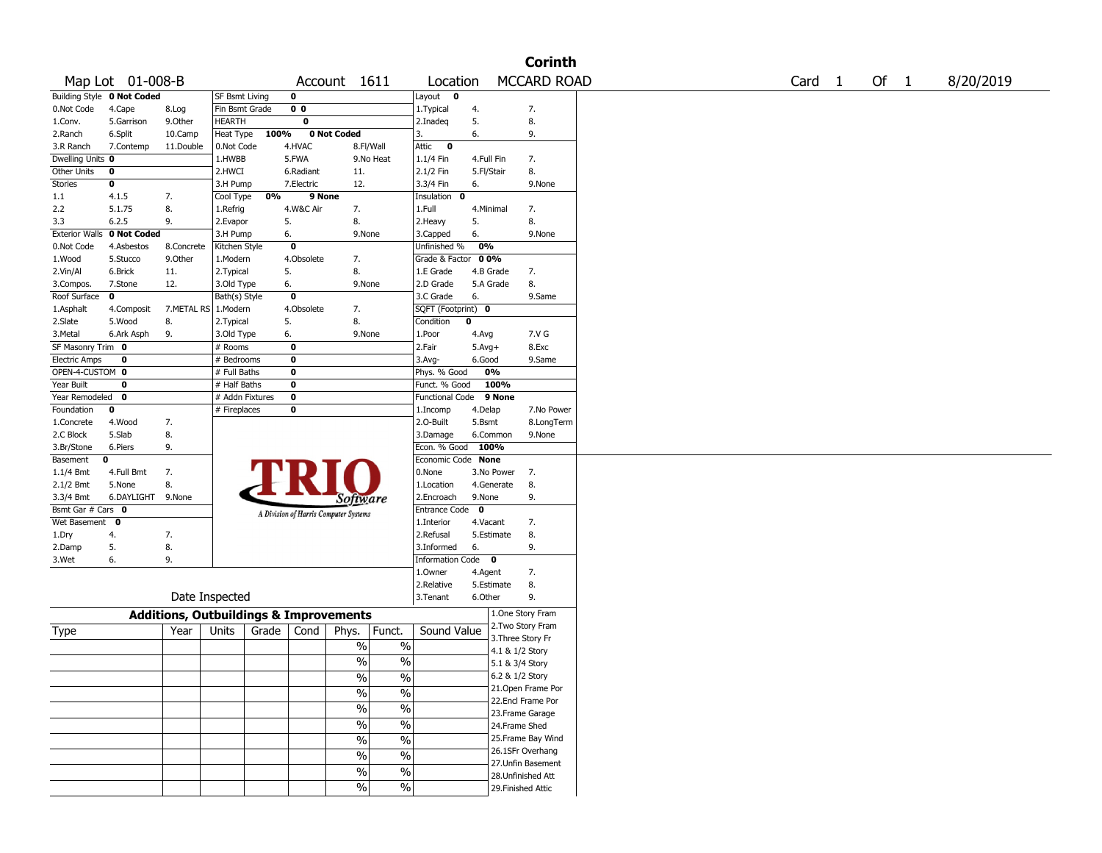|                             |                                   |            |                                                   |                                       |                 |                          |                  | <b>Corinth</b>                          |                             |           |
|-----------------------------|-----------------------------------|------------|---------------------------------------------------|---------------------------------------|-----------------|--------------------------|------------------|-----------------------------------------|-----------------------------|-----------|
|                             | Map Lot 01-008-B                  |            |                                                   |                                       | Account 1611    | Location                 |                  | <b>MCCARD ROAD</b>                      | Card <sub>1</sub><br>Of $1$ | 8/20/2019 |
|                             | <b>Building Style 0 Not Coded</b> |            | <b>SF Bsmt Living</b>                             | $\mathbf 0$                           |                 | Layout<br>$\mathbf{o}$   |                  |                                         |                             |           |
| 0.Not Code                  | 4.Cape                            | 8.Log      | Fin Bsmt Grade                                    | 0 <sub>0</sub>                        |                 | 1. Typical               | 4.               | 7.                                      |                             |           |
| 1.Conv.                     | 5.Garrison                        | 9.0ther    | <b>HEARTH</b>                                     | 0                                     |                 | 2.Inadeq                 | 5.               | 8.                                      |                             |           |
| 2.Ranch                     | 6.Split                           | 10.Camp    | 100%<br>Heat Type                                 |                                       | 0 Not Coded     | 3.                       | 6.               | 9.                                      |                             |           |
| 3.R Ranch                   | 7.Contemp                         | 11.Double  | 0.Not Code                                        | 4.HVAC                                | 8.Fl/Wall       | Attic<br>0               |                  |                                         |                             |           |
| Dwelling Units 0            |                                   |            | 1.HWBB                                            | 5.FWA                                 | 9.No Heat       | 1.1/4 Fin                | 4.Full Fin       | 7.                                      |                             |           |
| Other Units                 | $\bf{0}$                          |            | 2.HWCI                                            | 6.Radiant                             | 11.             | 2.1/2 Fin                | 5.Fl/Stair       | 8.                                      |                             |           |
| <b>Stories</b>              | $\bf o$                           |            | 3.H Pump                                          | 7.Electric                            | 12.             | 3.3/4 Fin                | 6.               | 9.None                                  |                             |           |
| 1.1                         | 4.1.5                             | 7.         | 0%<br>Cool Type                                   | 9 None                                |                 | Insulation<br>0          |                  |                                         |                             |           |
| 2.2                         | 5.1.75                            | 8.         | 1.Refrig                                          | 4.W&C Air                             | 7.              | 1.Full                   | 4.Minimal        | 7.                                      |                             |           |
| 3.3                         | 6.2.5                             | 9.         | 2.Evapor                                          | 5.                                    | 8.              | 2.Heavy                  | 5.               | 8.                                      |                             |           |
| <b>Exterior Walls</b>       | 0 Not Coded                       |            | 3.H Pump                                          | 6.                                    | 9.None          | 3.Capped                 | 6.               | 9.None                                  |                             |           |
| 0.Not Code                  | 4.Asbestos                        | 8.Concrete | Kitchen Style                                     | $\mathbf 0$                           |                 | Unfinished %             | 0%               |                                         |                             |           |
| 1.Wood                      | 5.Stucco                          | 9.0ther    | 1.Modern                                          | 4.Obsolete                            | 7.              | Grade & Factor           | 00%              |                                         |                             |           |
| 2.Vin/Al                    | 6.Brick                           | 11.        | 2. Typical                                        | 5.                                    | 8.              | 1.E Grade                | 4.B Grade        | 7.                                      |                             |           |
|                             | 7.Stone                           | 12.        |                                                   | 6.                                    | 9.None          | 2.D Grade                | 5.A Grade        | 8.                                      |                             |           |
| 3.Compos.<br>Roof Surface   | $\mathbf 0$                       |            | 3.Old Type                                        | $\mathbf 0$                           |                 | 3.C Grade                | 6.               | 9.Same                                  |                             |           |
|                             |                                   |            | Bath(s) Style                                     |                                       |                 |                          |                  |                                         |                             |           |
| 1.Asphalt                   | 4.Composit                        |            | 7.METAL RS   1.Modern                             | 4.Obsolete                            | 7.<br>8.        | SQFT (Footprint) 0       | 0                |                                         |                             |           |
| 2.Slate                     | 5.Wood                            | 8.         | 2. Typical                                        | 5.                                    |                 | Condition                |                  |                                         |                             |           |
| 3.Metal                     | 6.Ark Asph                        | 9.         | 3.Old Type                                        | 6.                                    | 9.None          | 1.Poor                   | 4.Avg            | 7.V G                                   |                             |           |
| SF Masonry Trim 0           |                                   |            | # Rooms                                           | $\bf{0}$                              |                 | 2.Fair                   | $5.Avg+$         | 8.Exc                                   |                             |           |
| <b>Electric Amps</b>        | $\bf{0}$                          |            | # Bedrooms                                        | $\overline{\mathbf{0}}$               |                 | 3.Avg-                   | 6.Good           | 9.Same                                  |                             |           |
| OPEN-4-CUSTOM 0             |                                   |            | # Full Baths                                      | $\mathbf 0$                           |                 | Phys. % Good             | 0%               |                                         |                             |           |
| Year Built                  | 0                                 |            | # Half Baths                                      | $\mathbf 0$                           |                 | Funct. % Good            | 100%             |                                         |                             |           |
| Year Remodeled              | $\mathbf 0$                       |            | # Addn Fixtures                                   | $\overline{\mathbf{0}}$               |                 | <b>Functional Code</b>   | 9 None           |                                         |                             |           |
| Foundation                  | 0                                 |            | # Fireplaces                                      | $\mathbf 0$                           |                 | 1.Incomp                 | 4.Delap          | 7.No Power                              |                             |           |
| 1.Concrete                  | 4.Wood                            | 7.         |                                                   |                                       |                 | 2.O-Built                | 5.Bsmt           | 8.LongTerm                              |                             |           |
| 2.C Block                   | 5.Slab                            | 8.         |                                                   |                                       |                 | 3.Damage                 | 6.Common         | 9.None                                  |                             |           |
| 3.Br/Stone                  | 6.Piers                           | 9.         |                                                   |                                       |                 | Econ. % Good             | 100%             |                                         |                             |           |
| Basement                    | 0                                 |            |                                                   |                                       |                 | Economic Code            | <b>None</b>      |                                         |                             |           |
| $1.1/4$ Bmt                 | 4.Full Bmt                        | 7.         |                                                   |                                       |                 | 0.None                   | 3.No Power       | 7.                                      |                             |           |
| 2.1/2 Bmt                   | 5.None                            | 8.         |                                                   |                                       |                 | 1.Location               | 4.Generate       | 8.                                      |                             |           |
| 3.3/4 Bmt                   | 6.DAYLIGHT 9.None                 |            |                                                   |                                       | Software        | 2.Encroach               | 9.None           | 9.                                      |                             |           |
| Bsmt Gar $#$ Cars $\bullet$ |                                   |            |                                                   | A Division of Harris Computer Systems |                 | Entrance Code            | 0                |                                         |                             |           |
| Wet Basement 0              |                                   |            |                                                   |                                       |                 | 1.Interior               | 4.Vacant         | 7.                                      |                             |           |
| 1.Dry                       | 4.                                | 7.         |                                                   |                                       |                 | 2.Refusal                | 5.Estimate       | 8.                                      |                             |           |
| 2.Damp                      | 5.                                | 8.         |                                                   |                                       |                 | 3.Informed               | 6.               | 9.                                      |                             |           |
| 3.Wet                       | 6.                                | 9.         |                                                   |                                       |                 | Information              | Code<br>$\bf{0}$ |                                         |                             |           |
|                             |                                   |            |                                                   |                                       |                 | 1.0wner                  | 4.Agent          | 7.                                      |                             |           |
|                             |                                   |            |                                                   |                                       |                 | 2.Relative               | 5.Estimate       | 8.                                      |                             |           |
|                             |                                   |            | Date Inspected                                    |                                       |                 | 3.Tenant                 | 6.Other          | 9.                                      |                             |           |
|                             |                                   |            | <b>Additions, Outbuildings &amp; Improvements</b> |                                       |                 |                          |                  | 1.One Story Fram                        |                             |           |
| Type                        |                                   | Year       | Grade<br>Units                                    | Cond                                  | Funct.<br>Phys. | Sound Value              |                  | 2. Two Story Fram                       |                             |           |
|                             |                                   |            |                                                   |                                       |                 |                          |                  | 3. Three Story Fr                       |                             |           |
|                             |                                   |            |                                                   |                                       | $\%$            | $\%$                     |                  | 4.1 & 1/2 Story                         |                             |           |
|                             |                                   |            |                                                   |                                       | %               | $\%$                     |                  | 5.1 & 3/4 Story                         |                             |           |
|                             |                                   |            |                                                   |                                       | $\%$            | $\frac{0}{6}$            |                  | 6.2 & 1/2 Story                         |                             |           |
|                             |                                   |            |                                                   |                                       |                 |                          |                  | 21.Open Frame Por                       |                             |           |
|                             |                                   |            |                                                   |                                       | $\%$            | $\%$                     |                  | 22.Encl Frame Por                       |                             |           |
|                             |                                   |            |                                                   |                                       | $\frac{1}{2}$   | $\frac{0}{6}$            |                  | 23. Frame Garage                        |                             |           |
|                             |                                   |            |                                                   |                                       |                 |                          |                  | 24.Frame Shed                           |                             |           |
|                             |                                   |            |                                                   |                                       |                 |                          |                  |                                         |                             |           |
|                             |                                   |            |                                                   |                                       | %               | $\frac{0}{6}$            |                  |                                         |                             |           |
|                             |                                   |            |                                                   |                                       | $\%$            | $\frac{0}{6}$            |                  | 25. Frame Bay Wind                      |                             |           |
|                             |                                   |            |                                                   |                                       | $\%$            | $\sqrt{6}$               |                  | 26.1SFr Overhang                        |                             |           |
|                             |                                   |            |                                                   |                                       |                 |                          |                  | 27.Unfin Basement                       |                             |           |
|                             |                                   |            |                                                   |                                       | $\%$<br>%       | $\sqrt{6}$<br>$\sqrt{6}$ |                  | 28.Unfinished Att<br>29. Finished Attic |                             |           |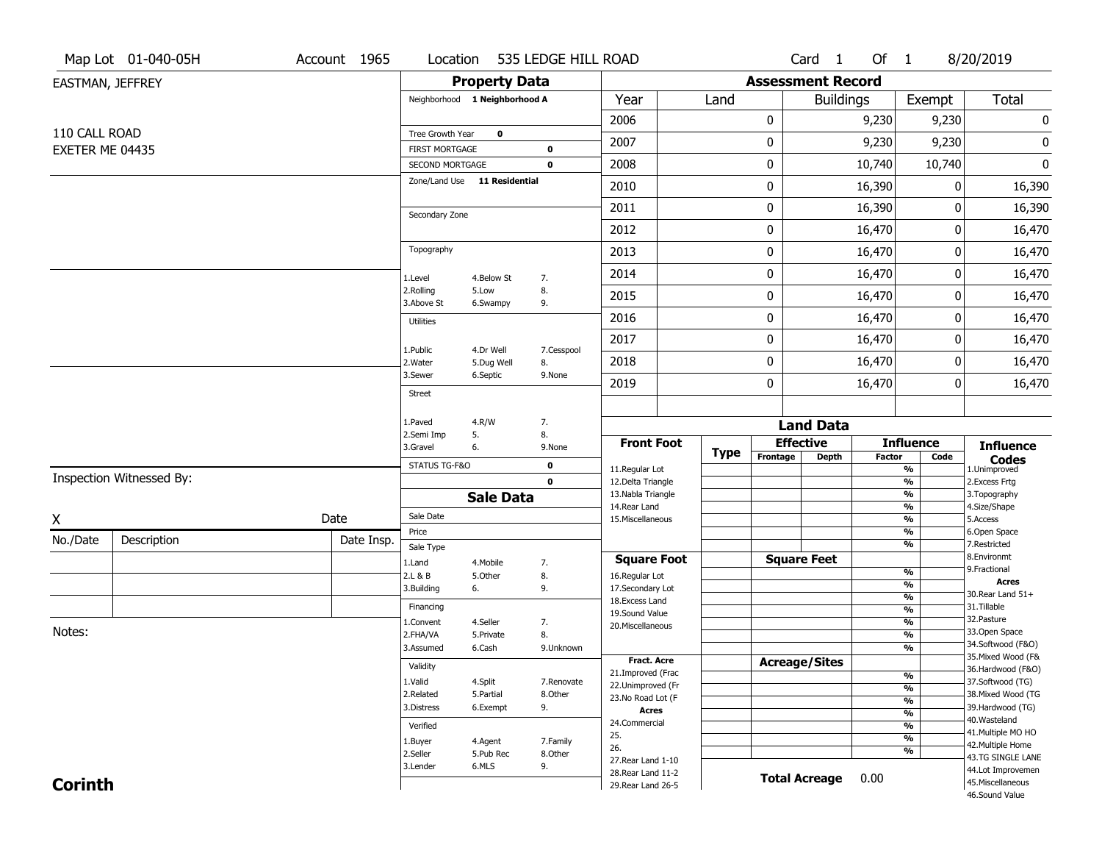|                  | Map Lot 01-040-05H       | Account 1965 | Location                                 |                         | 535 LEDGE HILL ROAD |                                          |             |          | Card <sub>1</sub>                | Of 1          |                                           | 8/20/2019                              |
|------------------|--------------------------|--------------|------------------------------------------|-------------------------|---------------------|------------------------------------------|-------------|----------|----------------------------------|---------------|-------------------------------------------|----------------------------------------|
| EASTMAN, JEFFREY |                          |              |                                          | <b>Property Data</b>    |                     |                                          |             |          | <b>Assessment Record</b>         |               |                                           |                                        |
|                  |                          |              | Neighborhood 1 Neighborhood A            |                         |                     | Year                                     | Land        |          | <b>Buildings</b>                 |               | Exempt                                    | Total                                  |
|                  |                          |              |                                          |                         |                     | 2006                                     |             | 0        |                                  | 9,230         | 9,230                                     | 0                                      |
| 110 CALL ROAD    |                          |              | Tree Growth Year                         | $\mathbf 0$             |                     | 2007                                     |             | 0        |                                  | 9,230         | 9,230                                     | 0                                      |
| EXETER ME 04435  |                          |              | <b>FIRST MORTGAGE</b><br>SECOND MORTGAGE |                         | 0<br>$\mathbf 0$    | 2008                                     |             | 0        |                                  | 10,740        | 10,740                                    | $\bf{0}$                               |
|                  |                          |              | Zone/Land Use 11 Residential             |                         |                     | 2010                                     |             | 0        |                                  | 16,390        | 0                                         | 16,390                                 |
|                  |                          |              |                                          |                         |                     | 2011                                     |             | 0        |                                  | 16,390        | 0                                         | 16,390                                 |
|                  |                          |              | Secondary Zone                           |                         |                     | 2012                                     |             | 0        |                                  | 16,470        | 0                                         | 16,470                                 |
|                  |                          |              | Topography                               |                         |                     | 2013                                     |             | 0        |                                  | 16,470        | 0                                         | 16,470                                 |
|                  |                          |              | 1.Level                                  | 4.Below St              | 7.                  | 2014                                     |             | 0        |                                  | 16,470        | 0                                         | 16,470                                 |
|                  |                          |              | 2.Rolling<br>3.Above St                  | 5.Low<br>6.Swampy       | 8.<br>9.            | 2015                                     |             | 0        |                                  | 16,470        | 0                                         | 16,470                                 |
|                  |                          |              | <b>Utilities</b>                         |                         |                     | 2016                                     |             | 0        |                                  | 16,470        | 0                                         | 16,470                                 |
|                  |                          |              |                                          |                         |                     | 2017                                     |             | 0        |                                  | 16,470        | 0                                         | 16,470                                 |
|                  |                          |              | 1.Public<br>2. Water                     | 4.Dr Well<br>5.Dug Well | 7.Cesspool<br>8.    | 2018                                     |             | 0        |                                  | 16,470        | 0                                         | 16,470                                 |
|                  |                          |              | 3.Sewer                                  | 6.Septic                | 9.None              | 2019                                     |             | 0        |                                  | 16,470        | 0                                         | 16,470                                 |
|                  |                          |              | <b>Street</b>                            |                         |                     |                                          |             |          |                                  |               |                                           |                                        |
|                  |                          |              | 1.Paved<br>2.Semi Imp                    | 4.R/W<br>5.             | 7.<br>8.            |                                          |             |          | <b>Land Data</b>                 |               |                                           |                                        |
|                  |                          |              | 3.Gravel                                 | 6.                      | 9.None              | <b>Front Foot</b>                        | <b>Type</b> | Frontage | <b>Effective</b><br><b>Depth</b> | <b>Factor</b> | <b>Influence</b><br>Code                  | <b>Influence</b>                       |
|                  |                          |              | STATUS TG-F&O                            |                         | 0                   | 11.Regular Lot                           |             |          |                                  |               | $\overline{\frac{9}{6}}$                  | <b>Codes</b><br>1.Unimproved           |
|                  | Inspection Witnessed By: |              |                                          |                         | $\mathbf 0$         | 12.Delta Triangle<br>13. Nabla Triangle  |             |          |                                  |               | $\frac{9}{6}$<br>$\overline{\frac{9}{6}}$ | 2.Excess Frtg<br>3. Topography         |
|                  |                          |              |                                          | <b>Sale Data</b>        |                     | 14. Rear Land                            |             |          |                                  |               | $\frac{9}{6}$                             | 4.Size/Shape                           |
| X                |                          | Date         | Sale Date<br>Price                       |                         |                     | 15. Miscellaneous                        |             |          |                                  |               | $\overline{\frac{9}{6}}$<br>$\frac{9}{6}$ | 5.Access<br>6.Open Space               |
| No./Date         | Description              | Date Insp.   | Sale Type                                |                         |                     |                                          |             |          |                                  |               | $\overline{\frac{9}{6}}$                  | 7.Restricted                           |
|                  |                          |              | 1.Land                                   | 4. Mobile               | 7.                  | <b>Square Foot</b>                       |             |          | <b>Square Feet</b>               |               |                                           | 8.Environmt                            |
|                  |                          |              | 2.L & B                                  | 5.Other                 | 8.                  | 16.Regular Lot                           |             |          |                                  |               | $\frac{9}{6}$                             | 9. Fractional<br><b>Acres</b>          |
|                  |                          |              | 3.Building                               | 6.                      | 9.                  | 17.Secondary Lot                         |             |          |                                  |               | $\frac{9}{6}$<br>$\frac{9}{6}$            | 30. Rear Land 51+                      |
|                  |                          |              | Financing                                |                         |                     | 18. Excess Land<br>19.Sound Value        |             |          |                                  |               | $\frac{9}{6}$                             | 31.Tillable                            |
|                  |                          |              | 1.Convent                                | 4.Seller                | 7.                  | 20.Miscellaneous                         |             |          |                                  |               | $\frac{9}{6}$                             | 32.Pasture                             |
| Notes:           |                          |              | 2.FHA/VA                                 | 5.Private               | 8.                  |                                          |             |          |                                  |               | $\frac{9}{6}$                             | 33.Open Space<br>34.Softwood (F&O)     |
|                  |                          |              | 3.Assumed                                | 6.Cash                  | 9.Unknown           | Fract. Acre                              |             |          |                                  |               | $\frac{9}{6}$                             | 35. Mixed Wood (F&                     |
|                  |                          |              | Validity                                 |                         |                     | 21.Improved (Frac                        |             |          | <b>Acreage/Sites</b>             |               |                                           | 36.Hardwood (F&O)                      |
|                  |                          |              | 1.Valid                                  | 4.Split                 | 7.Renovate          | 22.Unimproved (Fr                        |             |          |                                  |               | %<br>$\frac{9}{6}$                        | 37.Softwood (TG)                       |
|                  |                          |              | 2.Related                                | 5.Partial               | 8.Other             | 23.No Road Lot (F                        |             |          |                                  |               | $\frac{9}{6}$                             | 38. Mixed Wood (TG                     |
|                  |                          |              | 3.Distress                               | 6.Exempt                | 9.                  | Acres                                    |             |          |                                  |               | $\frac{9}{6}$                             | 39.Hardwood (TG)<br>40. Wasteland      |
|                  |                          |              | Verified                                 |                         |                     | 24.Commercial<br>25.                     |             |          |                                  |               | $\frac{9}{6}$                             | 41. Multiple MO HO                     |
|                  |                          |              |                                          | 4.Agent                 | 7.Family            |                                          |             |          |                                  |               | $\overline{\frac{9}{6}}$                  | 42. Multiple Home                      |
|                  |                          |              | 1.Buyer                                  |                         |                     |                                          |             |          |                                  |               |                                           |                                        |
|                  |                          |              | 2.Seller                                 | 5.Pub Rec               | 8.Other             | 26.<br>27. Rear Land 1-10                |             |          |                                  |               | %                                         | 43.TG SINGLE LANE                      |
| <b>Corinth</b>   |                          |              | 3.Lender                                 | 6.MLS                   | 9.                  | 28. Rear Land 11-2<br>29. Rear Land 26-5 |             |          | <b>Total Acreage</b>             | 0.00          |                                           | 44.Lot Improvemen<br>45. Miscellaneous |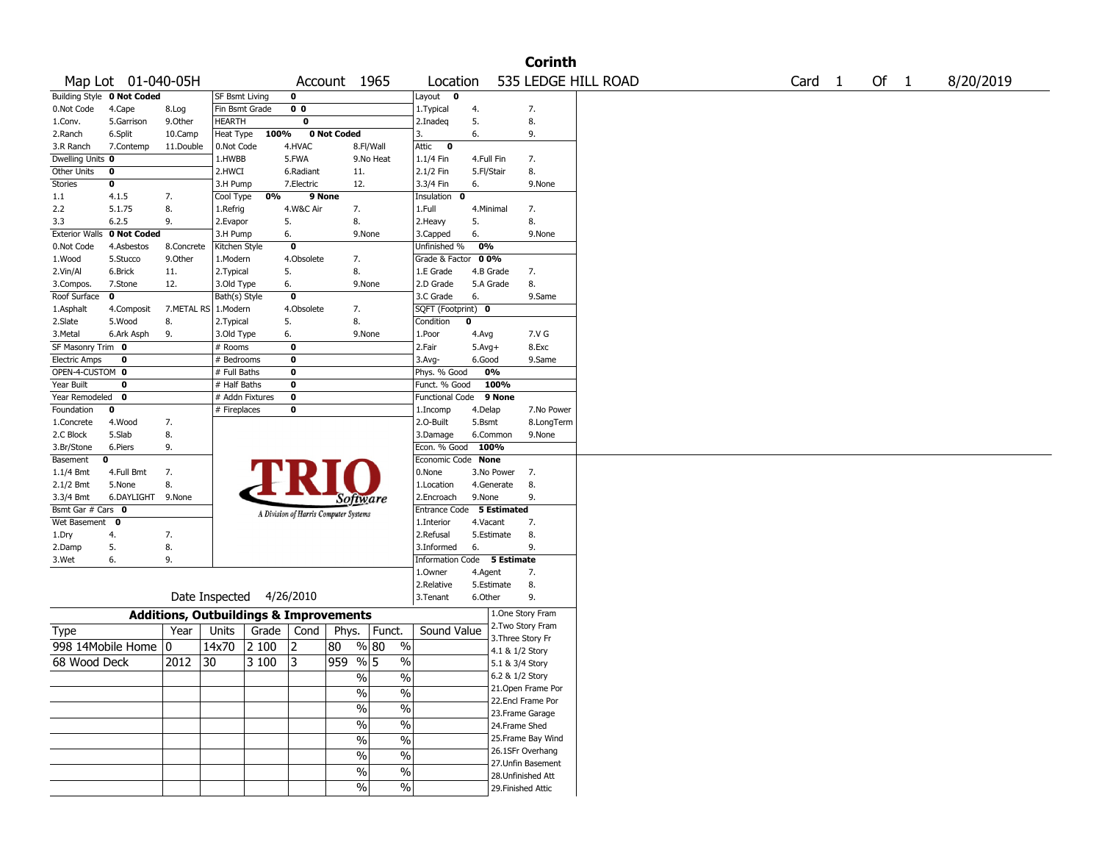|                             |                            |                                                   |                 |       |                         |                                       |                          |                             |              |             | <b>Corinth</b>                           |                     |                   |        |           |
|-----------------------------|----------------------------|---------------------------------------------------|-----------------|-------|-------------------------|---------------------------------------|--------------------------|-----------------------------|--------------|-------------|------------------------------------------|---------------------|-------------------|--------|-----------|
|                             | Map Lot 01-040-05H         |                                                   |                 |       |                         | Account 1965                          |                          | Location                    |              |             |                                          | 535 LEDGE HILL ROAD | Card <sub>1</sub> | Of $1$ | 8/20/2019 |
|                             | Building Style 0 Not Coded |                                                   | SF Bsmt Living  |       | 0                       |                                       |                          | Layout 0                    |              |             |                                          |                     |                   |        |           |
| 0.Not Code                  | 4.Cape                     | 8.Log                                             | Fin Bsmt Grade  |       | 0 <sub>0</sub>          |                                       |                          | 1. Typical                  | 4.           |             | 7.                                       |                     |                   |        |           |
| 1.Conv.                     | 5.Garrison                 | 9.0ther                                           | <b>HEARTH</b>   |       | $\overline{\mathbf{0}}$ |                                       |                          | 2.Inadeq                    | 5.           |             | 8.                                       |                     |                   |        |           |
| 2.Ranch                     | 6.Split                    | 10.Camp                                           | Heat Type       | 100%  |                         | 0 Not Coded                           |                          | 3.                          | 6.           |             | 9.                                       |                     |                   |        |           |
| 3.R Ranch                   | 7.Contemp                  | 11.Double                                         | 0.Not Code      |       | 4.HVAC                  |                                       | 8.Fl/Wall                | Attic<br>$\mathbf 0$        |              |             |                                          |                     |                   |        |           |
| Dwelling Units 0            |                            |                                                   | 1.HWBB          |       | 5.FWA                   |                                       | 9.No Heat                | 1.1/4 Fin                   | 4.Full Fin   |             | 7.                                       |                     |                   |        |           |
| Other Units                 | 0                          |                                                   | 2.HWCI          |       | 6.Radiant               | 11.                                   |                          | 2.1/2 Fin                   | 5.Fl/Stair   |             | 8.                                       |                     |                   |        |           |
| Stories                     | 0                          |                                                   | 3.H Pump        |       | 7.Electric              | 12.                                   |                          | 3.3/4 Fin                   | 6.           |             | 9.None                                   |                     |                   |        |           |
| 1.1                         | 4.1.5                      | 7.                                                | Cool Type       | 0%    |                         | 9 None                                |                          | Insulation<br>- 0           |              |             |                                          |                     |                   |        |           |
| 2.2                         | 5.1.75                     | 8.                                                | 1.Refrig        |       | 4.W&C Air               | 7.                                    |                          | 1.Full                      | 4.Minimal    |             | 7.                                       |                     |                   |        |           |
| 3.3                         | 6.2.5                      | 9.                                                | 2.Evapor        |       | 5.                      | 8.                                    |                          | 2.Heavy                     | 5.           |             | 8.                                       |                     |                   |        |           |
| <b>Exterior Walls</b>       | 0 Not Coded                |                                                   | 3.H Pump        |       | 6.                      |                                       | 9.None                   | 3.Capped                    | 6.           |             | 9.None                                   |                     |                   |        |           |
| 0.Not Code                  | 4.Asbestos                 | 8.Concrete                                        | Kitchen Style   |       | $\overline{\mathbf{0}}$ |                                       |                          | Unfinished %                | 0%           |             |                                          |                     |                   |        |           |
| 1.Wood                      | 5.Stucco                   | 9.0ther                                           | 1.Modern        |       | 4.Obsolete              | 7.                                    |                          | Grade & Factor              | 00%          |             |                                          |                     |                   |        |           |
| 2.Vin/Al                    | 6.Brick                    | 11.                                               | 2. Typical      |       | 5.                      | 8.                                    |                          | 1.E Grade                   |              | 4.B Grade   | 7.                                       |                     |                   |        |           |
| 3.Compos.                   | 7.Stone                    | 12.                                               | 3.Old Type      |       | 6.                      |                                       | 9.None                   | 2.D Grade                   |              | 5.A Grade   | 8.                                       |                     |                   |        |           |
| Roof Surface                | $\mathbf 0$                |                                                   | Bath(s) Style   |       | $\overline{\mathbf{0}}$ |                                       |                          | 3.C Grade                   | 6.           |             | 9.Same                                   |                     |                   |        |           |
| 1.Asphalt                   | 4.Composit                 | 7.METAL RS                                        | 1.Modern        |       | 4.Obsolete              | 7.                                    |                          | SQFT (Footprint) 0          |              |             |                                          |                     |                   |        |           |
| 2.Slate                     | 5.Wood                     | 8.                                                | 2. Typical      |       | 5.                      | 8.                                    |                          | Condition                   | $\mathbf{0}$ |             |                                          |                     |                   |        |           |
| 3.Metal                     | 6.Ark Asph                 | 9.                                                | 3.Old Type      |       | 6.                      |                                       | 9.None                   | 1. <sub>Poor</sub>          | 4.Avg        |             | 7.V G                                    |                     |                   |        |           |
| SF Masonry Trim 0           |                            |                                                   | # Rooms         |       | 0                       |                                       |                          | 2.Fair                      | $5.Avg+$     |             | 8.Exc                                    |                     |                   |        |           |
| <b>Electric Amps</b>        | 0                          |                                                   | # Bedrooms      |       | 0                       |                                       |                          | 3.Avg-                      | 6.Good       |             | 9.Same                                   |                     |                   |        |           |
| OPEN-4-CUSTOM 0             |                            |                                                   | # Full Baths    |       | $\bf{0}$                |                                       |                          | Phys. % Good                |              | 0%          |                                          |                     |                   |        |           |
| Year Built                  | 0                          |                                                   | # Half Baths    |       | $\bf o$                 |                                       |                          | Funct. % Good               |              | 100%        |                                          |                     |                   |        |           |
| Year Remodeled              | 0                          |                                                   | # Addn Fixtures |       | $\bf{0}$                |                                       |                          | Functional Code             |              | 9 None      |                                          |                     |                   |        |           |
| Foundation                  | 0                          |                                                   | # Fireplaces    |       | 0                       |                                       |                          | 1.Incomp                    | 4.Delap      |             | 7.No Power                               |                     |                   |        |           |
| 1.Concrete                  | 4.Wood                     | 7.                                                |                 |       |                         |                                       |                          | 2.O-Built                   | 5.Bsmt       |             | 8.LongTerm                               |                     |                   |        |           |
| 2.C Block                   | 5.Slab                     | 8.                                                |                 |       |                         |                                       |                          | 3.Damage                    |              | 6.Common    | 9.None                                   |                     |                   |        |           |
| 3.Br/Stone                  | 6.Piers                    | 9.                                                |                 |       |                         |                                       |                          | Econ. % Good                | 100%         |             |                                          |                     |                   |        |           |
| Basement                    | 0                          |                                                   |                 |       |                         |                                       |                          | Economic Code None          |              |             |                                          |                     |                   |        |           |
| 1.1/4 Bmt                   | 4.Full Bmt                 | 7.                                                |                 |       |                         |                                       |                          | 0.None                      |              | 3.No Power  | 7.                                       |                     |                   |        |           |
| $2.1/2$ Bmt                 | 5.None                     | 8.                                                |                 |       |                         |                                       |                          | 1.Location                  |              | 4.Generate  | 8.                                       |                     |                   |        |           |
| 3.3/4 Bmt                   | 6.DAYLIGHT 9.None          |                                                   |                 |       |                         | Software                              |                          | 2.Encroach                  | 9.None       |             | 9.                                       |                     |                   |        |           |
| Bsmt Gar $#$ Cars $\bullet$ |                            |                                                   |                 |       |                         | A Division of Harris Computer Systems |                          | Entrance Code               |              | 5 Estimated |                                          |                     |                   |        |           |
| Wet Basement                | 0                          |                                                   |                 |       |                         |                                       |                          | 1.Interior                  | 4.Vacant     |             | 7.                                       |                     |                   |        |           |
| 1.Dry                       | 4.                         | 7.                                                |                 |       |                         |                                       |                          | 2.Refusal                   |              | 5.Estimate  | 8.                                       |                     |                   |        |           |
| 2.Damp                      | 5.                         | 8.                                                |                 |       |                         |                                       |                          | 3.Informed                  | 6.           |             | 9.                                       |                     |                   |        |           |
| 3.Wet                       | 6.                         | 9.                                                |                 |       |                         |                                       |                          | Information Code 5 Estimate |              |             |                                          |                     |                   |        |           |
|                             |                            |                                                   |                 |       |                         |                                       |                          | 1.0wner                     | 4.Agent      |             | 7.                                       |                     |                   |        |           |
|                             |                            |                                                   |                 |       |                         |                                       |                          | 2.Relative                  |              | 5.Estimate  | 8.                                       |                     |                   |        |           |
|                             |                            |                                                   | Date Inspected  |       | 4/26/2010               |                                       |                          | 3.Tenant                    | 6.Other      |             | 9.                                       |                     |                   |        |           |
|                             |                            | <b>Additions, Outbuildings &amp; Improvements</b> |                 |       |                         |                                       |                          |                             |              |             | 1.One Story Fram                         |                     |                   |        |           |
| <b>Type</b>                 |                            | Year                                              | Units           | Grade | Cond                    | Phys.                                 | Funct.                   | Sound Value                 |              |             | 2. Two Story Fram<br>3. Three Story Fr   |                     |                   |        |           |
|                             | 998 14Mobile Home          | 0                                                 | 14x70           | 2 100 | 2                       | 80                                    | % 80<br>$\%$             |                             |              |             |                                          |                     |                   |        |           |
| 68 Wood Deck                |                            | 2012                                              | 30              | 3 100 | 3                       | 959                                   | $\frac{9}{6}$ 5<br>$\%$  |                             |              |             | 4.1 & 1/2 Story                          |                     |                   |        |           |
|                             |                            |                                                   |                 |       |                         |                                       |                          |                             |              |             | 5.1 & 3/4 Story                          |                     |                   |        |           |
|                             |                            |                                                   |                 |       |                         | %                                     | $\%$                     |                             |              |             | 6.2 & 1/2 Story                          |                     |                   |        |           |
|                             |                            |                                                   |                 |       |                         | $\sqrt{20}$                           | $\%$                     |                             |              |             | 21. Open Frame Por<br>22.Encl Frame Por  |                     |                   |        |           |
|                             |                            |                                                   |                 |       |                         | $\sqrt{6}$                            | $\overline{\frac{0}{6}}$ |                             |              |             |                                          |                     |                   |        |           |
|                             |                            |                                                   |                 |       |                         | $\sqrt{6}$                            | $\%$                     |                             |              |             | 23. Frame Garage                         |                     |                   |        |           |
|                             |                            |                                                   |                 |       |                         |                                       |                          |                             |              |             | 24.Frame Shed                            |                     |                   |        |           |
|                             |                            |                                                   |                 |       |                         | $\sqrt{6}$                            | $\overline{\frac{0}{6}}$ |                             |              |             | 25. Frame Bay Wind                       |                     |                   |        |           |
|                             |                            |                                                   |                 |       |                         | $\%$                                  | $\%$                     |                             |              |             | 26.1SFr Overhang                         |                     |                   |        |           |
|                             |                            |                                                   |                 |       |                         | $\sqrt{6}$                            | $\%$                     |                             |              |             | 27.Unfin Basement                        |                     |                   |        |           |
|                             |                            |                                                   |                 |       |                         | $\sqrt{20}$                           | $\sqrt{6}$               |                             |              |             | 28. Unfinished Att<br>29. Finished Attic |                     |                   |        |           |
|                             |                            |                                                   |                 |       |                         |                                       |                          |                             |              |             |                                          |                     |                   |        |           |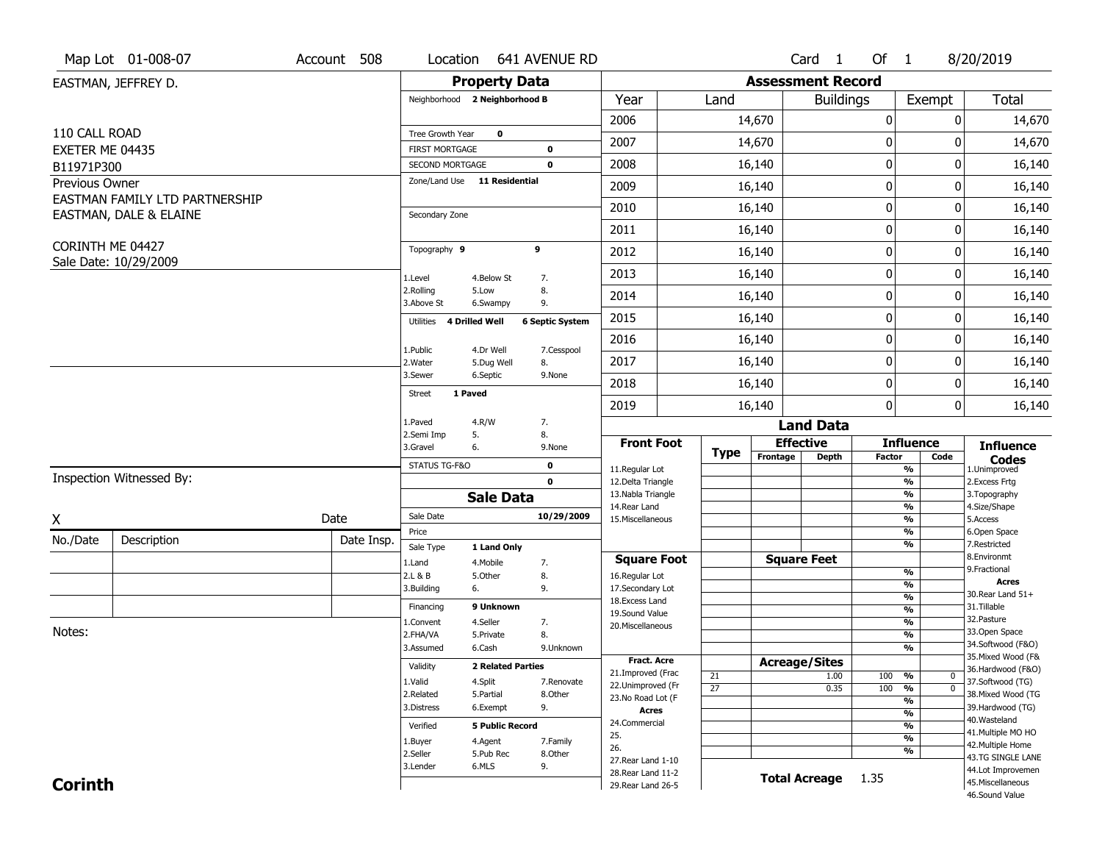| <b>Property Data</b><br><b>Assessment Record</b><br>EASTMAN, JEFFREY D.<br><b>Total</b><br>Neighborhood 2 Neighborhood B<br>Year<br>Land<br><b>Buildings</b><br>Exempt<br>2006<br>$\boldsymbol{0}$<br>14,670<br>14,670<br>0<br>110 CALL ROAD<br>Tree Growth Year<br>$\mathbf 0$<br>$\boldsymbol{0}$<br>2007<br>14,670<br>14,670<br>0<br>EXETER ME 04435<br><b>FIRST MORTGAGE</b><br>0<br>$\mathbf 0$<br>2008<br>0<br>16,140<br>16,140<br>SECOND MORTGAGE<br>0<br>B11971P300<br>Zone/Land Use 11 Residential<br>Previous Owner<br>$\mathbf 0$<br>2009<br>16,140<br>16,140<br>0<br>EASTMAN FAMILY LTD PARTNERSHIP<br>$\mathbf 0$<br>2010<br>16,140<br>16,140<br>0<br>EASTMAN, DALE & ELAINE<br>Secondary Zone<br>$\boldsymbol{0}$<br>2011<br>0<br>16,140<br>16,140<br>CORINTH ME 04427<br>Topography 9<br>9<br>$\mathbf 0$<br>2012<br>16,140<br>16,140<br>0<br>Sale Date: 10/29/2009<br>$\mathbf 0$<br>2013<br>16,140<br>0<br>16,140<br>1.Level<br>4.Below St<br>7.<br>8.<br>2.Rolling<br>5.Low<br>$\mathbf 0$<br>16,140<br>16,140<br>2014<br>0<br>3.Above St<br>9.<br>6.Swampy<br>$\boldsymbol{0}$<br>2015<br>16,140<br>16,140<br>0<br>4 Drilled Well<br><b>6 Septic System</b><br>Utilities<br>$\mathbf 0$<br>2016<br>16,140<br>0<br>16,140<br>4.Dr Well<br>1.Public<br>7.Cesspool<br>2017<br>$\mathbf 0$<br>16,140<br>16,140<br>0<br>2. Water<br>5.Dug Well<br>8.<br>3.Sewer<br>6.Septic<br>9.None<br>$\mathbf 0$<br>2018<br>16,140<br>16,140<br>0<br>1 Paved<br>Street<br>$\mathbf 0$<br>2019<br>16,140<br>0<br>16,140<br>1.Paved<br>4.R/W<br>7.<br><b>Land Data</b><br>2.Semi Imp<br>5.<br>8.<br><b>Front Foot</b><br><b>Effective</b><br><b>Influence</b><br><b>Influence</b><br>3.Gravel<br>6.<br>9.None<br><b>Type</b><br>Frontage<br><b>Depth</b><br><b>Factor</b><br>Code<br><b>Codes</b><br>STATUS TG-F&O<br>$\mathbf 0$<br>11.Regular Lot<br>%<br>1.Unimproved<br>Inspection Witnessed By:<br>$\mathbf{0}$<br>12.Delta Triangle<br>$\frac{9}{6}$<br>2.Excess Frtg<br>13. Nabla Triangle<br>%<br>3. Topography<br><b>Sale Data</b><br>14. Rear Land<br>4.Size/Shape<br>%<br>Sale Date<br>10/29/2009<br>Date<br>X<br>5.Access<br>15. Miscellaneous<br>%<br>6.Open Space<br>%<br>Price<br>No./Date<br>Description<br>Date Insp.<br>7.Restricted<br>%<br>Sale Type<br>1 Land Only<br>8.Environmt<br><b>Square Feet</b><br><b>Square Foot</b><br>1.Land<br>4. Mobile<br>7.<br>9. Fractional<br>$\frac{9}{6}$<br>2.L & B<br>5.0ther<br>8.<br>16.Regular Lot<br><b>Acres</b><br>$\frac{9}{6}$<br>3.Building<br>9.<br>17.Secondary Lot<br>6.<br>30. Rear Land 51+<br>$\frac{9}{6}$<br>18. Excess Land<br>9 Unknown<br>31.Tillable<br>Financing<br>$\frac{9}{6}$<br>19.Sound Value<br>32. Pasture<br>4.Seller<br>$\frac{9}{6}$<br>7.<br>1.Convent<br>20.Miscellaneous<br>Notes:<br>33.Open Space<br>8.<br>$\frac{9}{6}$<br>2.FHA/VA<br>5.Private<br>34.Softwood (F&O)<br>3.Assumed<br>6.Cash<br>%<br>9.Unknown<br>35. Mixed Wood (F&<br><b>Fract, Acre</b><br><b>Acreage/Sites</b><br>Validity<br><b>2 Related Parties</b><br>36.Hardwood (F&O)<br>21.Improved (Frac<br>21<br>1.00<br>100<br>%<br>$\bm{0}$<br>37.Softwood (TG)<br>1.Valid<br>4.Split<br>7.Renovate<br>22.Unimproved (Fr<br>$\overline{27}$<br>$\overline{0}$<br>0.35<br>100<br>%<br>38. Mixed Wood (TG<br>2.Related<br>5.Partial<br>8.Other<br>23.No Road Lot (F<br>%<br>3.Distress<br>6.Exempt<br>9.<br>39.Hardwood (TG)<br><b>Acres</b><br>$\frac{9}{6}$<br>40. Wasteland<br>24.Commercial<br><b>5 Public Record</b><br>%<br>Verified<br>41. Multiple MO HO<br>25.<br>$\frac{9}{6}$<br>4.Agent<br>7.Family<br>1.Buyer<br>42. Multiple Home<br>26.<br>%<br>2.Seller<br>5.Pub Rec<br>8.Other<br>43.TG SINGLE LANE<br>27. Rear Land 1-10<br>6.MLS<br>9.<br>3.Lender<br>44.Lot Improvemen<br>28. Rear Land 11-2<br><b>Total Acreage</b><br>1.35<br><b>Corinth</b><br>45. Miscellaneous<br>29. Rear Land 26-5<br>46.Sound Value | Map Lot 01-008-07 | Account 508 | Location | 641 AVENUE RD |  | Card <sub>1</sub> | Of 1 | 8/20/2019 |
|-----------------------------------------------------------------------------------------------------------------------------------------------------------------------------------------------------------------------------------------------------------------------------------------------------------------------------------------------------------------------------------------------------------------------------------------------------------------------------------------------------------------------------------------------------------------------------------------------------------------------------------------------------------------------------------------------------------------------------------------------------------------------------------------------------------------------------------------------------------------------------------------------------------------------------------------------------------------------------------------------------------------------------------------------------------------------------------------------------------------------------------------------------------------------------------------------------------------------------------------------------------------------------------------------------------------------------------------------------------------------------------------------------------------------------------------------------------------------------------------------------------------------------------------------------------------------------------------------------------------------------------------------------------------------------------------------------------------------------------------------------------------------------------------------------------------------------------------------------------------------------------------------------------------------------------------------------------------------------------------------------------------------------------------------------------------------------------------------------------------------------------------------------------------------------------------------------------------------------------------------------------------------------------------------------------------------------------------------------------------------------------------------------------------------------------------------------------------------------------------------------------------------------------------------------------------------------------------------------------------------------------------------------------------------------------------------------------------------------------------------------------------------------------------------------------------------------------------------------------------------------------------------------------------------------------------------------------------------------------------------------------------------------------------------------------------------------------------------------------------------------------------------------------------------------------------------------------------------------------------------------------------------------------------------------------------------------------------------------------------------------------------------------------------------------------------------------------------------------------------------------------------------------------------------------------------------------------------------------------------------------------------------------------------------------------------------------------------------------------------------------------------------------------------------------------------------------------------------------------------------------------------------|-------------------|-------------|----------|---------------|--|-------------------|------|-----------|
|                                                                                                                                                                                                                                                                                                                                                                                                                                                                                                                                                                                                                                                                                                                                                                                                                                                                                                                                                                                                                                                                                                                                                                                                                                                                                                                                                                                                                                                                                                                                                                                                                                                                                                                                                                                                                                                                                                                                                                                                                                                                                                                                                                                                                                                                                                                                                                                                                                                                                                                                                                                                                                                                                                                                                                                                                                                                                                                                                                                                                                                                                                                                                                                                                                                                                                                                                                                                                                                                                                                                                                                                                                                                                                                                                                                                                                                                                               |                   |             |          |               |  |                   |      |           |
|                                                                                                                                                                                                                                                                                                                                                                                                                                                                                                                                                                                                                                                                                                                                                                                                                                                                                                                                                                                                                                                                                                                                                                                                                                                                                                                                                                                                                                                                                                                                                                                                                                                                                                                                                                                                                                                                                                                                                                                                                                                                                                                                                                                                                                                                                                                                                                                                                                                                                                                                                                                                                                                                                                                                                                                                                                                                                                                                                                                                                                                                                                                                                                                                                                                                                                                                                                                                                                                                                                                                                                                                                                                                                                                                                                                                                                                                                               |                   |             |          |               |  |                   |      |           |
|                                                                                                                                                                                                                                                                                                                                                                                                                                                                                                                                                                                                                                                                                                                                                                                                                                                                                                                                                                                                                                                                                                                                                                                                                                                                                                                                                                                                                                                                                                                                                                                                                                                                                                                                                                                                                                                                                                                                                                                                                                                                                                                                                                                                                                                                                                                                                                                                                                                                                                                                                                                                                                                                                                                                                                                                                                                                                                                                                                                                                                                                                                                                                                                                                                                                                                                                                                                                                                                                                                                                                                                                                                                                                                                                                                                                                                                                                               |                   |             |          |               |  |                   |      |           |
|                                                                                                                                                                                                                                                                                                                                                                                                                                                                                                                                                                                                                                                                                                                                                                                                                                                                                                                                                                                                                                                                                                                                                                                                                                                                                                                                                                                                                                                                                                                                                                                                                                                                                                                                                                                                                                                                                                                                                                                                                                                                                                                                                                                                                                                                                                                                                                                                                                                                                                                                                                                                                                                                                                                                                                                                                                                                                                                                                                                                                                                                                                                                                                                                                                                                                                                                                                                                                                                                                                                                                                                                                                                                                                                                                                                                                                                                                               |                   |             |          |               |  |                   |      |           |
|                                                                                                                                                                                                                                                                                                                                                                                                                                                                                                                                                                                                                                                                                                                                                                                                                                                                                                                                                                                                                                                                                                                                                                                                                                                                                                                                                                                                                                                                                                                                                                                                                                                                                                                                                                                                                                                                                                                                                                                                                                                                                                                                                                                                                                                                                                                                                                                                                                                                                                                                                                                                                                                                                                                                                                                                                                                                                                                                                                                                                                                                                                                                                                                                                                                                                                                                                                                                                                                                                                                                                                                                                                                                                                                                                                                                                                                                                               |                   |             |          |               |  |                   |      |           |
|                                                                                                                                                                                                                                                                                                                                                                                                                                                                                                                                                                                                                                                                                                                                                                                                                                                                                                                                                                                                                                                                                                                                                                                                                                                                                                                                                                                                                                                                                                                                                                                                                                                                                                                                                                                                                                                                                                                                                                                                                                                                                                                                                                                                                                                                                                                                                                                                                                                                                                                                                                                                                                                                                                                                                                                                                                                                                                                                                                                                                                                                                                                                                                                                                                                                                                                                                                                                                                                                                                                                                                                                                                                                                                                                                                                                                                                                                               |                   |             |          |               |  |                   |      |           |
|                                                                                                                                                                                                                                                                                                                                                                                                                                                                                                                                                                                                                                                                                                                                                                                                                                                                                                                                                                                                                                                                                                                                                                                                                                                                                                                                                                                                                                                                                                                                                                                                                                                                                                                                                                                                                                                                                                                                                                                                                                                                                                                                                                                                                                                                                                                                                                                                                                                                                                                                                                                                                                                                                                                                                                                                                                                                                                                                                                                                                                                                                                                                                                                                                                                                                                                                                                                                                                                                                                                                                                                                                                                                                                                                                                                                                                                                                               |                   |             |          |               |  |                   |      |           |
|                                                                                                                                                                                                                                                                                                                                                                                                                                                                                                                                                                                                                                                                                                                                                                                                                                                                                                                                                                                                                                                                                                                                                                                                                                                                                                                                                                                                                                                                                                                                                                                                                                                                                                                                                                                                                                                                                                                                                                                                                                                                                                                                                                                                                                                                                                                                                                                                                                                                                                                                                                                                                                                                                                                                                                                                                                                                                                                                                                                                                                                                                                                                                                                                                                                                                                                                                                                                                                                                                                                                                                                                                                                                                                                                                                                                                                                                                               |                   |             |          |               |  |                   |      |           |
|                                                                                                                                                                                                                                                                                                                                                                                                                                                                                                                                                                                                                                                                                                                                                                                                                                                                                                                                                                                                                                                                                                                                                                                                                                                                                                                                                                                                                                                                                                                                                                                                                                                                                                                                                                                                                                                                                                                                                                                                                                                                                                                                                                                                                                                                                                                                                                                                                                                                                                                                                                                                                                                                                                                                                                                                                                                                                                                                                                                                                                                                                                                                                                                                                                                                                                                                                                                                                                                                                                                                                                                                                                                                                                                                                                                                                                                                                               |                   |             |          |               |  |                   |      |           |
|                                                                                                                                                                                                                                                                                                                                                                                                                                                                                                                                                                                                                                                                                                                                                                                                                                                                                                                                                                                                                                                                                                                                                                                                                                                                                                                                                                                                                                                                                                                                                                                                                                                                                                                                                                                                                                                                                                                                                                                                                                                                                                                                                                                                                                                                                                                                                                                                                                                                                                                                                                                                                                                                                                                                                                                                                                                                                                                                                                                                                                                                                                                                                                                                                                                                                                                                                                                                                                                                                                                                                                                                                                                                                                                                                                                                                                                                                               |                   |             |          |               |  |                   |      |           |
|                                                                                                                                                                                                                                                                                                                                                                                                                                                                                                                                                                                                                                                                                                                                                                                                                                                                                                                                                                                                                                                                                                                                                                                                                                                                                                                                                                                                                                                                                                                                                                                                                                                                                                                                                                                                                                                                                                                                                                                                                                                                                                                                                                                                                                                                                                                                                                                                                                                                                                                                                                                                                                                                                                                                                                                                                                                                                                                                                                                                                                                                                                                                                                                                                                                                                                                                                                                                                                                                                                                                                                                                                                                                                                                                                                                                                                                                                               |                   |             |          |               |  |                   |      |           |
|                                                                                                                                                                                                                                                                                                                                                                                                                                                                                                                                                                                                                                                                                                                                                                                                                                                                                                                                                                                                                                                                                                                                                                                                                                                                                                                                                                                                                                                                                                                                                                                                                                                                                                                                                                                                                                                                                                                                                                                                                                                                                                                                                                                                                                                                                                                                                                                                                                                                                                                                                                                                                                                                                                                                                                                                                                                                                                                                                                                                                                                                                                                                                                                                                                                                                                                                                                                                                                                                                                                                                                                                                                                                                                                                                                                                                                                                                               |                   |             |          |               |  |                   |      |           |
|                                                                                                                                                                                                                                                                                                                                                                                                                                                                                                                                                                                                                                                                                                                                                                                                                                                                                                                                                                                                                                                                                                                                                                                                                                                                                                                                                                                                                                                                                                                                                                                                                                                                                                                                                                                                                                                                                                                                                                                                                                                                                                                                                                                                                                                                                                                                                                                                                                                                                                                                                                                                                                                                                                                                                                                                                                                                                                                                                                                                                                                                                                                                                                                                                                                                                                                                                                                                                                                                                                                                                                                                                                                                                                                                                                                                                                                                                               |                   |             |          |               |  |                   |      |           |
|                                                                                                                                                                                                                                                                                                                                                                                                                                                                                                                                                                                                                                                                                                                                                                                                                                                                                                                                                                                                                                                                                                                                                                                                                                                                                                                                                                                                                                                                                                                                                                                                                                                                                                                                                                                                                                                                                                                                                                                                                                                                                                                                                                                                                                                                                                                                                                                                                                                                                                                                                                                                                                                                                                                                                                                                                                                                                                                                                                                                                                                                                                                                                                                                                                                                                                                                                                                                                                                                                                                                                                                                                                                                                                                                                                                                                                                                                               |                   |             |          |               |  |                   |      |           |
|                                                                                                                                                                                                                                                                                                                                                                                                                                                                                                                                                                                                                                                                                                                                                                                                                                                                                                                                                                                                                                                                                                                                                                                                                                                                                                                                                                                                                                                                                                                                                                                                                                                                                                                                                                                                                                                                                                                                                                                                                                                                                                                                                                                                                                                                                                                                                                                                                                                                                                                                                                                                                                                                                                                                                                                                                                                                                                                                                                                                                                                                                                                                                                                                                                                                                                                                                                                                                                                                                                                                                                                                                                                                                                                                                                                                                                                                                               |                   |             |          |               |  |                   |      |           |
|                                                                                                                                                                                                                                                                                                                                                                                                                                                                                                                                                                                                                                                                                                                                                                                                                                                                                                                                                                                                                                                                                                                                                                                                                                                                                                                                                                                                                                                                                                                                                                                                                                                                                                                                                                                                                                                                                                                                                                                                                                                                                                                                                                                                                                                                                                                                                                                                                                                                                                                                                                                                                                                                                                                                                                                                                                                                                                                                                                                                                                                                                                                                                                                                                                                                                                                                                                                                                                                                                                                                                                                                                                                                                                                                                                                                                                                                                               |                   |             |          |               |  |                   |      |           |
|                                                                                                                                                                                                                                                                                                                                                                                                                                                                                                                                                                                                                                                                                                                                                                                                                                                                                                                                                                                                                                                                                                                                                                                                                                                                                                                                                                                                                                                                                                                                                                                                                                                                                                                                                                                                                                                                                                                                                                                                                                                                                                                                                                                                                                                                                                                                                                                                                                                                                                                                                                                                                                                                                                                                                                                                                                                                                                                                                                                                                                                                                                                                                                                                                                                                                                                                                                                                                                                                                                                                                                                                                                                                                                                                                                                                                                                                                               |                   |             |          |               |  |                   |      |           |
|                                                                                                                                                                                                                                                                                                                                                                                                                                                                                                                                                                                                                                                                                                                                                                                                                                                                                                                                                                                                                                                                                                                                                                                                                                                                                                                                                                                                                                                                                                                                                                                                                                                                                                                                                                                                                                                                                                                                                                                                                                                                                                                                                                                                                                                                                                                                                                                                                                                                                                                                                                                                                                                                                                                                                                                                                                                                                                                                                                                                                                                                                                                                                                                                                                                                                                                                                                                                                                                                                                                                                                                                                                                                                                                                                                                                                                                                                               |                   |             |          |               |  |                   |      |           |
|                                                                                                                                                                                                                                                                                                                                                                                                                                                                                                                                                                                                                                                                                                                                                                                                                                                                                                                                                                                                                                                                                                                                                                                                                                                                                                                                                                                                                                                                                                                                                                                                                                                                                                                                                                                                                                                                                                                                                                                                                                                                                                                                                                                                                                                                                                                                                                                                                                                                                                                                                                                                                                                                                                                                                                                                                                                                                                                                                                                                                                                                                                                                                                                                                                                                                                                                                                                                                                                                                                                                                                                                                                                                                                                                                                                                                                                                                               |                   |             |          |               |  |                   |      |           |
|                                                                                                                                                                                                                                                                                                                                                                                                                                                                                                                                                                                                                                                                                                                                                                                                                                                                                                                                                                                                                                                                                                                                                                                                                                                                                                                                                                                                                                                                                                                                                                                                                                                                                                                                                                                                                                                                                                                                                                                                                                                                                                                                                                                                                                                                                                                                                                                                                                                                                                                                                                                                                                                                                                                                                                                                                                                                                                                                                                                                                                                                                                                                                                                                                                                                                                                                                                                                                                                                                                                                                                                                                                                                                                                                                                                                                                                                                               |                   |             |          |               |  |                   |      |           |
|                                                                                                                                                                                                                                                                                                                                                                                                                                                                                                                                                                                                                                                                                                                                                                                                                                                                                                                                                                                                                                                                                                                                                                                                                                                                                                                                                                                                                                                                                                                                                                                                                                                                                                                                                                                                                                                                                                                                                                                                                                                                                                                                                                                                                                                                                                                                                                                                                                                                                                                                                                                                                                                                                                                                                                                                                                                                                                                                                                                                                                                                                                                                                                                                                                                                                                                                                                                                                                                                                                                                                                                                                                                                                                                                                                                                                                                                                               |                   |             |          |               |  |                   |      |           |
|                                                                                                                                                                                                                                                                                                                                                                                                                                                                                                                                                                                                                                                                                                                                                                                                                                                                                                                                                                                                                                                                                                                                                                                                                                                                                                                                                                                                                                                                                                                                                                                                                                                                                                                                                                                                                                                                                                                                                                                                                                                                                                                                                                                                                                                                                                                                                                                                                                                                                                                                                                                                                                                                                                                                                                                                                                                                                                                                                                                                                                                                                                                                                                                                                                                                                                                                                                                                                                                                                                                                                                                                                                                                                                                                                                                                                                                                                               |                   |             |          |               |  |                   |      |           |
|                                                                                                                                                                                                                                                                                                                                                                                                                                                                                                                                                                                                                                                                                                                                                                                                                                                                                                                                                                                                                                                                                                                                                                                                                                                                                                                                                                                                                                                                                                                                                                                                                                                                                                                                                                                                                                                                                                                                                                                                                                                                                                                                                                                                                                                                                                                                                                                                                                                                                                                                                                                                                                                                                                                                                                                                                                                                                                                                                                                                                                                                                                                                                                                                                                                                                                                                                                                                                                                                                                                                                                                                                                                                                                                                                                                                                                                                                               |                   |             |          |               |  |                   |      |           |
|                                                                                                                                                                                                                                                                                                                                                                                                                                                                                                                                                                                                                                                                                                                                                                                                                                                                                                                                                                                                                                                                                                                                                                                                                                                                                                                                                                                                                                                                                                                                                                                                                                                                                                                                                                                                                                                                                                                                                                                                                                                                                                                                                                                                                                                                                                                                                                                                                                                                                                                                                                                                                                                                                                                                                                                                                                                                                                                                                                                                                                                                                                                                                                                                                                                                                                                                                                                                                                                                                                                                                                                                                                                                                                                                                                                                                                                                                               |                   |             |          |               |  |                   |      |           |
|                                                                                                                                                                                                                                                                                                                                                                                                                                                                                                                                                                                                                                                                                                                                                                                                                                                                                                                                                                                                                                                                                                                                                                                                                                                                                                                                                                                                                                                                                                                                                                                                                                                                                                                                                                                                                                                                                                                                                                                                                                                                                                                                                                                                                                                                                                                                                                                                                                                                                                                                                                                                                                                                                                                                                                                                                                                                                                                                                                                                                                                                                                                                                                                                                                                                                                                                                                                                                                                                                                                                                                                                                                                                                                                                                                                                                                                                                               |                   |             |          |               |  |                   |      |           |
|                                                                                                                                                                                                                                                                                                                                                                                                                                                                                                                                                                                                                                                                                                                                                                                                                                                                                                                                                                                                                                                                                                                                                                                                                                                                                                                                                                                                                                                                                                                                                                                                                                                                                                                                                                                                                                                                                                                                                                                                                                                                                                                                                                                                                                                                                                                                                                                                                                                                                                                                                                                                                                                                                                                                                                                                                                                                                                                                                                                                                                                                                                                                                                                                                                                                                                                                                                                                                                                                                                                                                                                                                                                                                                                                                                                                                                                                                               |                   |             |          |               |  |                   |      |           |
|                                                                                                                                                                                                                                                                                                                                                                                                                                                                                                                                                                                                                                                                                                                                                                                                                                                                                                                                                                                                                                                                                                                                                                                                                                                                                                                                                                                                                                                                                                                                                                                                                                                                                                                                                                                                                                                                                                                                                                                                                                                                                                                                                                                                                                                                                                                                                                                                                                                                                                                                                                                                                                                                                                                                                                                                                                                                                                                                                                                                                                                                                                                                                                                                                                                                                                                                                                                                                                                                                                                                                                                                                                                                                                                                                                                                                                                                                               |                   |             |          |               |  |                   |      |           |
|                                                                                                                                                                                                                                                                                                                                                                                                                                                                                                                                                                                                                                                                                                                                                                                                                                                                                                                                                                                                                                                                                                                                                                                                                                                                                                                                                                                                                                                                                                                                                                                                                                                                                                                                                                                                                                                                                                                                                                                                                                                                                                                                                                                                                                                                                                                                                                                                                                                                                                                                                                                                                                                                                                                                                                                                                                                                                                                                                                                                                                                                                                                                                                                                                                                                                                                                                                                                                                                                                                                                                                                                                                                                                                                                                                                                                                                                                               |                   |             |          |               |  |                   |      |           |
|                                                                                                                                                                                                                                                                                                                                                                                                                                                                                                                                                                                                                                                                                                                                                                                                                                                                                                                                                                                                                                                                                                                                                                                                                                                                                                                                                                                                                                                                                                                                                                                                                                                                                                                                                                                                                                                                                                                                                                                                                                                                                                                                                                                                                                                                                                                                                                                                                                                                                                                                                                                                                                                                                                                                                                                                                                                                                                                                                                                                                                                                                                                                                                                                                                                                                                                                                                                                                                                                                                                                                                                                                                                                                                                                                                                                                                                                                               |                   |             |          |               |  |                   |      |           |
|                                                                                                                                                                                                                                                                                                                                                                                                                                                                                                                                                                                                                                                                                                                                                                                                                                                                                                                                                                                                                                                                                                                                                                                                                                                                                                                                                                                                                                                                                                                                                                                                                                                                                                                                                                                                                                                                                                                                                                                                                                                                                                                                                                                                                                                                                                                                                                                                                                                                                                                                                                                                                                                                                                                                                                                                                                                                                                                                                                                                                                                                                                                                                                                                                                                                                                                                                                                                                                                                                                                                                                                                                                                                                                                                                                                                                                                                                               |                   |             |          |               |  |                   |      |           |
|                                                                                                                                                                                                                                                                                                                                                                                                                                                                                                                                                                                                                                                                                                                                                                                                                                                                                                                                                                                                                                                                                                                                                                                                                                                                                                                                                                                                                                                                                                                                                                                                                                                                                                                                                                                                                                                                                                                                                                                                                                                                                                                                                                                                                                                                                                                                                                                                                                                                                                                                                                                                                                                                                                                                                                                                                                                                                                                                                                                                                                                                                                                                                                                                                                                                                                                                                                                                                                                                                                                                                                                                                                                                                                                                                                                                                                                                                               |                   |             |          |               |  |                   |      |           |
|                                                                                                                                                                                                                                                                                                                                                                                                                                                                                                                                                                                                                                                                                                                                                                                                                                                                                                                                                                                                                                                                                                                                                                                                                                                                                                                                                                                                                                                                                                                                                                                                                                                                                                                                                                                                                                                                                                                                                                                                                                                                                                                                                                                                                                                                                                                                                                                                                                                                                                                                                                                                                                                                                                                                                                                                                                                                                                                                                                                                                                                                                                                                                                                                                                                                                                                                                                                                                                                                                                                                                                                                                                                                                                                                                                                                                                                                                               |                   |             |          |               |  |                   |      |           |
|                                                                                                                                                                                                                                                                                                                                                                                                                                                                                                                                                                                                                                                                                                                                                                                                                                                                                                                                                                                                                                                                                                                                                                                                                                                                                                                                                                                                                                                                                                                                                                                                                                                                                                                                                                                                                                                                                                                                                                                                                                                                                                                                                                                                                                                                                                                                                                                                                                                                                                                                                                                                                                                                                                                                                                                                                                                                                                                                                                                                                                                                                                                                                                                                                                                                                                                                                                                                                                                                                                                                                                                                                                                                                                                                                                                                                                                                                               |                   |             |          |               |  |                   |      |           |
|                                                                                                                                                                                                                                                                                                                                                                                                                                                                                                                                                                                                                                                                                                                                                                                                                                                                                                                                                                                                                                                                                                                                                                                                                                                                                                                                                                                                                                                                                                                                                                                                                                                                                                                                                                                                                                                                                                                                                                                                                                                                                                                                                                                                                                                                                                                                                                                                                                                                                                                                                                                                                                                                                                                                                                                                                                                                                                                                                                                                                                                                                                                                                                                                                                                                                                                                                                                                                                                                                                                                                                                                                                                                                                                                                                                                                                                                                               |                   |             |          |               |  |                   |      |           |
|                                                                                                                                                                                                                                                                                                                                                                                                                                                                                                                                                                                                                                                                                                                                                                                                                                                                                                                                                                                                                                                                                                                                                                                                                                                                                                                                                                                                                                                                                                                                                                                                                                                                                                                                                                                                                                                                                                                                                                                                                                                                                                                                                                                                                                                                                                                                                                                                                                                                                                                                                                                                                                                                                                                                                                                                                                                                                                                                                                                                                                                                                                                                                                                                                                                                                                                                                                                                                                                                                                                                                                                                                                                                                                                                                                                                                                                                                               |                   |             |          |               |  |                   |      |           |
|                                                                                                                                                                                                                                                                                                                                                                                                                                                                                                                                                                                                                                                                                                                                                                                                                                                                                                                                                                                                                                                                                                                                                                                                                                                                                                                                                                                                                                                                                                                                                                                                                                                                                                                                                                                                                                                                                                                                                                                                                                                                                                                                                                                                                                                                                                                                                                                                                                                                                                                                                                                                                                                                                                                                                                                                                                                                                                                                                                                                                                                                                                                                                                                                                                                                                                                                                                                                                                                                                                                                                                                                                                                                                                                                                                                                                                                                                               |                   |             |          |               |  |                   |      |           |
|                                                                                                                                                                                                                                                                                                                                                                                                                                                                                                                                                                                                                                                                                                                                                                                                                                                                                                                                                                                                                                                                                                                                                                                                                                                                                                                                                                                                                                                                                                                                                                                                                                                                                                                                                                                                                                                                                                                                                                                                                                                                                                                                                                                                                                                                                                                                                                                                                                                                                                                                                                                                                                                                                                                                                                                                                                                                                                                                                                                                                                                                                                                                                                                                                                                                                                                                                                                                                                                                                                                                                                                                                                                                                                                                                                                                                                                                                               |                   |             |          |               |  |                   |      |           |
|                                                                                                                                                                                                                                                                                                                                                                                                                                                                                                                                                                                                                                                                                                                                                                                                                                                                                                                                                                                                                                                                                                                                                                                                                                                                                                                                                                                                                                                                                                                                                                                                                                                                                                                                                                                                                                                                                                                                                                                                                                                                                                                                                                                                                                                                                                                                                                                                                                                                                                                                                                                                                                                                                                                                                                                                                                                                                                                                                                                                                                                                                                                                                                                                                                                                                                                                                                                                                                                                                                                                                                                                                                                                                                                                                                                                                                                                                               |                   |             |          |               |  |                   |      |           |
|                                                                                                                                                                                                                                                                                                                                                                                                                                                                                                                                                                                                                                                                                                                                                                                                                                                                                                                                                                                                                                                                                                                                                                                                                                                                                                                                                                                                                                                                                                                                                                                                                                                                                                                                                                                                                                                                                                                                                                                                                                                                                                                                                                                                                                                                                                                                                                                                                                                                                                                                                                                                                                                                                                                                                                                                                                                                                                                                                                                                                                                                                                                                                                                                                                                                                                                                                                                                                                                                                                                                                                                                                                                                                                                                                                                                                                                                                               |                   |             |          |               |  |                   |      |           |
|                                                                                                                                                                                                                                                                                                                                                                                                                                                                                                                                                                                                                                                                                                                                                                                                                                                                                                                                                                                                                                                                                                                                                                                                                                                                                                                                                                                                                                                                                                                                                                                                                                                                                                                                                                                                                                                                                                                                                                                                                                                                                                                                                                                                                                                                                                                                                                                                                                                                                                                                                                                                                                                                                                                                                                                                                                                                                                                                                                                                                                                                                                                                                                                                                                                                                                                                                                                                                                                                                                                                                                                                                                                                                                                                                                                                                                                                                               |                   |             |          |               |  |                   |      |           |
|                                                                                                                                                                                                                                                                                                                                                                                                                                                                                                                                                                                                                                                                                                                                                                                                                                                                                                                                                                                                                                                                                                                                                                                                                                                                                                                                                                                                                                                                                                                                                                                                                                                                                                                                                                                                                                                                                                                                                                                                                                                                                                                                                                                                                                                                                                                                                                                                                                                                                                                                                                                                                                                                                                                                                                                                                                                                                                                                                                                                                                                                                                                                                                                                                                                                                                                                                                                                                                                                                                                                                                                                                                                                                                                                                                                                                                                                                               |                   |             |          |               |  |                   |      |           |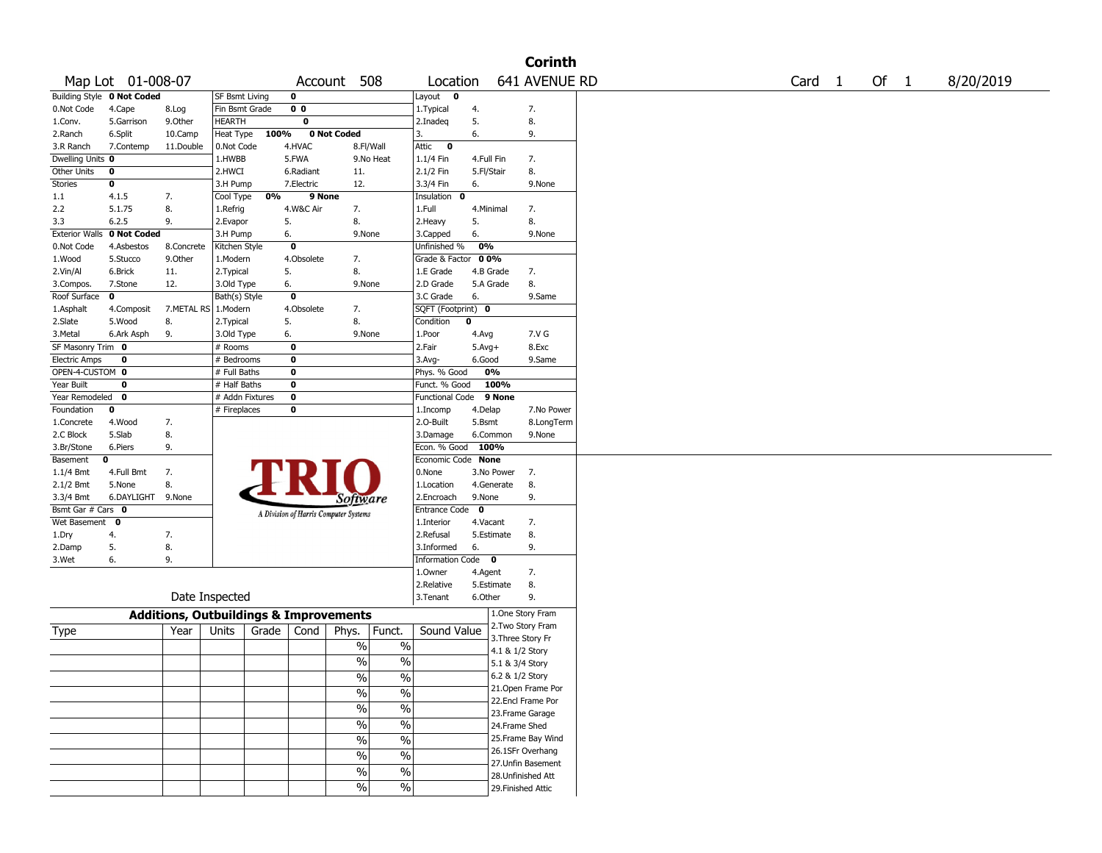|                       |                            |                                                   |                 |       |                |                                       |                          |                        |            |                    | <b>Corinth</b>     |        |      |           |
|-----------------------|----------------------------|---------------------------------------------------|-----------------|-------|----------------|---------------------------------------|--------------------------|------------------------|------------|--------------------|--------------------|--------|------|-----------|
|                       | Map Lot 01-008-07          |                                                   |                 |       |                | Account 508                           |                          | Location               |            |                    | 641 AVENUE RD      | Card 1 | Of 1 | 8/20/2019 |
|                       | Building Style 0 Not Coded |                                                   | SF Bsmt Living  |       | 0              |                                       |                          | Layout 0               |            |                    |                    |        |      |           |
| 0.Not Code            | 4.Cape                     | 8.Log                                             | Fin Bsmt Grade  |       | 0 <sub>0</sub> |                                       |                          | 1.Typical              | 4.         |                    | 7.                 |        |      |           |
| 1.Conv.               | 5.Garrison                 | 9.Other                                           | <b>HEARTH</b>   |       | 0              |                                       |                          | 2.Inadeq               | 5.         |                    | 8.                 |        |      |           |
| 2.Ranch               | 6.Split                    | 10.Camp                                           | Heat Type       | 100%  |                | 0 Not Coded                           |                          | 3.                     | 6.         |                    | 9.                 |        |      |           |
| 3.R Ranch             | 7.Contemp                  | 11.Double                                         | 0.Not Code      |       | 4.HVAC         |                                       | 8.Fl/Wall                | Attic<br>$\mathbf{o}$  |            |                    |                    |        |      |           |
| Dwelling Units 0      |                            |                                                   | 1.HWBB          |       | 5.FWA          |                                       | 9.No Heat                | $1.1/4$ Fin            | 4.Full Fin |                    | 7.                 |        |      |           |
| <b>Other Units</b>    | 0                          |                                                   | 2.HWCI          |       | 6.Radiant      | 11.                                   |                          | 2.1/2 Fin              | 5.Fl/Stair |                    | 8.                 |        |      |           |
| Stories               | 0                          |                                                   | 3.H Pump        |       | 7.Electric     | 12.                                   |                          | 3.3/4 Fin              | 6.         |                    | 9.None             |        |      |           |
| 1.1                   | 4.1.5                      | 7.                                                | Cool Type       | 0%    | 9 None         |                                       |                          | Insulation 0           |            |                    |                    |        |      |           |
| 2.2                   | 5.1.75                     | 8.                                                | 1.Refrig        |       | 4.W&C Air      | 7.                                    |                          | 1.Full                 | 4.Minimal  |                    | 7.                 |        |      |           |
| 3.3                   | 6.2.5                      | 9.                                                | 2.Evapor        |       | 5.             | 8.                                    |                          | 2. Heavy               | 5.         |                    | 8.                 |        |      |           |
| <b>Exterior Walls</b> | 0 Not Coded                |                                                   | 3.H Pump        |       | 6.             | 9.None                                |                          | 3.Capped               | 6.         |                    | 9.None             |        |      |           |
| 0.Not Code            | 4.Asbestos                 | 8.Concrete                                        | Kitchen Style   |       | 0              |                                       |                          | Unfinished %           | 0%         |                    |                    |        |      |           |
| 1.Wood                | 5.Stucco                   | 9.0ther                                           | 1.Modern        |       | 4.Obsolete     | 7.                                    |                          | Grade & Factor         | 00%        |                    |                    |        |      |           |
| 2.Vin/Al              | 6.Brick                    | 11.                                               | 2. Typical      |       | 5.             | 8.                                    |                          | 1.E Grade              | 4.B Grade  |                    | 7.                 |        |      |           |
| 3.Compos.             | 7.Stone                    | 12.                                               | 3.Old Type      |       | 6.             | 9.None                                |                          | 2.D Grade              | 5.A Grade  |                    | 8.                 |        |      |           |
| Roof Surface          | 0                          |                                                   | Bath(s) Style   |       | 0              |                                       |                          | 3.C Grade              | 6.         |                    | 9.Same             |        |      |           |
| 1.Asphalt             | 4.Composit                 | 7.METAL RS   1.Modern                             |                 |       | 4.Obsolete     | 7.                                    |                          | SQFT (Footprint) 0     |            |                    |                    |        |      |           |
| 2.Slate               | 5.Wood                     | 8.                                                | 2. Typical      |       | 5.             | 8.                                    |                          | Condition              | 0          |                    |                    |        |      |           |
| 3.Metal               | 6.Ark Asph                 | 9.                                                | 3.Old Type      |       | 6.             | 9.None                                |                          | 1.Poor                 | 4.Avg      |                    | 7.V G              |        |      |           |
| SF Masonry Trim 0     |                            |                                                   | # Rooms         |       | 0              |                                       |                          | 2.Fair                 | $5.Avg+$   |                    | 8.Exc              |        |      |           |
| <b>Electric Amps</b>  | 0                          |                                                   | # Bedrooms      |       | 0              |                                       |                          | $3.$ Avg-              | 6.Good     |                    | 9.Same             |        |      |           |
| OPEN-4-CUSTOM 0       |                            |                                                   | # Full Baths    |       | $\bf{0}$       |                                       |                          | Phys. % Good           | 0%         |                    |                    |        |      |           |
| Year Built            | 0                          |                                                   | $#$ Half Baths  |       | 0              |                                       |                          | Funct. % Good          |            | 100%               |                    |        |      |           |
| Year Remodeled        | $\mathbf{0}$               |                                                   | # Addn Fixtures |       | $\bf{0}$       |                                       |                          | <b>Functional Code</b> |            | 9 None             |                    |        |      |           |
| Foundation            | 0                          |                                                   | # Fireplaces    |       | 0              |                                       |                          | 1.Incomp               | 4.Delap    |                    | 7.No Power         |        |      |           |
| 1.Concrete            | 4.Wood                     | 7.                                                |                 |       |                |                                       |                          | 2.0-Built              | 5.Bsmt     |                    | 8.LongTerm         |        |      |           |
| 2.C Block             | 5.Slab                     | 8.                                                |                 |       |                |                                       |                          | 3.Damage               | 6.Common   |                    | 9.None             |        |      |           |
| 3.Br/Stone            | 6.Piers                    | 9.                                                |                 |       |                |                                       |                          | Econ. % Good           | 100%       |                    |                    |        |      |           |
| Basement              | 0                          |                                                   |                 |       |                |                                       |                          | Economic Code None     |            |                    |                    |        |      |           |
| 1.1/4 Bmt             | 4.Full Bmt                 | 7.                                                |                 |       |                |                                       |                          | 0.None                 | 3.No Power |                    | 7.                 |        |      |           |
| $2.1/2$ Bmt           | 5.None                     | 8.                                                |                 |       |                |                                       |                          | 1.Location             | 4.Generate |                    | 8.                 |        |      |           |
| 3.3/4 Bmt             | 6.DAYLIGHT                 | 9.None                                            |                 |       |                | Software                              |                          | 2.Encroach             | 9.None     |                    | 9.                 |        |      |           |
| Bsmt Gar # Cars 0     |                            |                                                   |                 |       |                | A Division of Harris Computer Systems |                          | Entrance Code 0        |            |                    |                    |        |      |           |
| Wet Basement 0        |                            |                                                   |                 |       |                |                                       |                          | 1.Interior             | 4.Vacant   |                    | 7.                 |        |      |           |
| 1.Dry                 | 4.                         | 7.                                                |                 |       |                |                                       |                          | 2.Refusal              | 5.Estimate |                    | 8.                 |        |      |           |
| 2.Damp                | 5.                         | 8.                                                |                 |       |                |                                       |                          | 3.Informed             | 6.         |                    | 9.                 |        |      |           |
| 3.Wet                 | 6.                         | 9.                                                |                 |       |                |                                       |                          | Information Code 0     |            |                    |                    |        |      |           |
|                       |                            |                                                   |                 |       |                |                                       |                          | 1.Owner                | 4.Agent    |                    | 7.                 |        |      |           |
|                       |                            |                                                   |                 |       |                |                                       |                          | 2.Relative             | 5.Estimate |                    | 8.                 |        |      |           |
|                       |                            | Date Inspected                                    |                 |       |                |                                       |                          | 3.Tenant               | 6.Other    |                    | 9.                 |        |      |           |
|                       |                            | <b>Additions, Outbuildings &amp; Improvements</b> |                 |       |                |                                       |                          |                        |            | 1.One Story Fram   |                    |        |      |           |
| Type                  |                            | Year                                              | Units           | Grade | Cond           | Phys.                                 | Funct.                   | Sound Value            |            | 2. Two Story Fram  |                    |        |      |           |
|                       |                            |                                                   |                 |       |                | %                                     | $\%$                     |                        |            | 3. Three Story Fr  |                    |        |      |           |
|                       |                            |                                                   |                 |       |                |                                       |                          |                        |            | 4.1 & 1/2 Story    |                    |        |      |           |
|                       |                            |                                                   |                 |       |                | $\frac{0}{0}$                         | %                        |                        |            | 5.1 & 3/4 Story    |                    |        |      |           |
|                       |                            |                                                   |                 |       |                | $\%$                                  | %                        |                        |            | 6.2 & 1/2 Story    |                    |        |      |           |
|                       |                            |                                                   |                 |       |                | $\overline{\frac{0}{6}}$              | $\frac{0}{6}$            |                        |            |                    | 21. Open Frame Por |        |      |           |
|                       |                            |                                                   |                 |       |                | $\%$                                  | $\frac{0}{6}$            |                        |            | 22.Encl Frame Por  |                    |        |      |           |
|                       |                            |                                                   |                 |       |                |                                       |                          |                        |            | 23. Frame Garage   |                    |        |      |           |
|                       |                            |                                                   |                 |       |                | $\%$                                  | $\overline{\frac{0}{6}}$ |                        |            | 24.Frame Shed      |                    |        |      |           |
|                       |                            |                                                   |                 |       |                | $\overline{\frac{0}{0}}$              | $\frac{0}{6}$            |                        |            |                    | 25. Frame Bay Wind |        |      |           |
|                       |                            |                                                   |                 |       |                | $\%$                                  | $\frac{0}{6}$            |                        |            | 26.1SFr Overhang   |                    |        |      |           |
|                       |                            |                                                   |                 |       |                | $\%$                                  | $\frac{1}{2}$            |                        |            |                    | 27.Unfin Basement  |        |      |           |
|                       |                            |                                                   |                 |       |                |                                       |                          |                        |            | 28. Unfinished Att |                    |        |      |           |
|                       |                            |                                                   |                 |       |                | $\%$                                  | $\frac{0}{6}$            |                        |            | 29. Finished Attic |                    |        |      |           |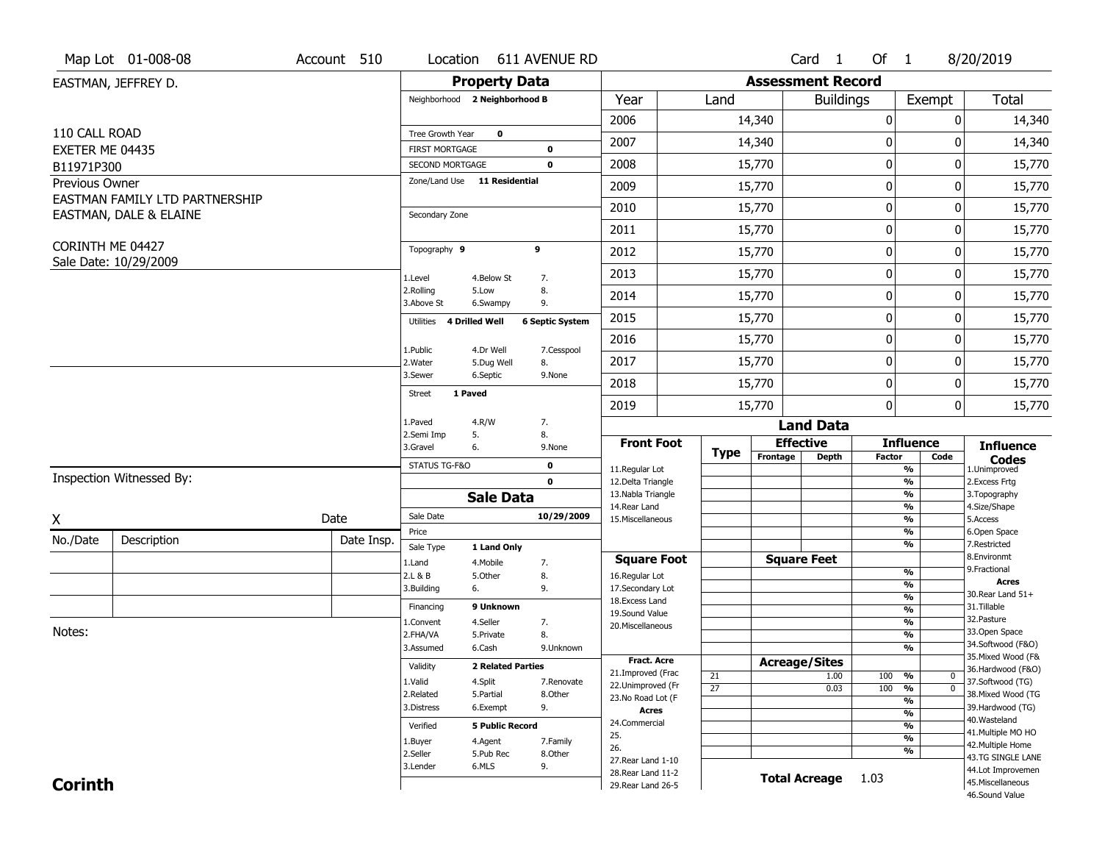|                 | Map Lot 01-008-08              | Account 510 | Location                                        |                          | 611 AVENUE RD          |                                        |                 |                          | Card 1               | Of 1             |                                           | 8/20/2019                               |
|-----------------|--------------------------------|-------------|-------------------------------------------------|--------------------------|------------------------|----------------------------------------|-----------------|--------------------------|----------------------|------------------|-------------------------------------------|-----------------------------------------|
|                 | EASTMAN, JEFFREY D.            |             |                                                 | <b>Property Data</b>     |                        |                                        |                 | <b>Assessment Record</b> |                      |                  |                                           |                                         |
|                 |                                |             | Neighborhood 2 Neighborhood B                   |                          |                        | Year                                   | Land            |                          | <b>Buildings</b>     |                  | Exempt                                    | <b>Total</b>                            |
|                 |                                |             |                                                 |                          |                        | 2006                                   |                 | 14,340                   |                      | $\boldsymbol{0}$ | 0                                         | 14,340                                  |
| 110 CALL ROAD   |                                |             | Tree Growth Year                                | $\mathbf 0$              |                        | 2007                                   |                 | 14,340                   |                      | 0                | 0                                         | 14,340                                  |
| EXETER ME 04435 |                                |             | <b>FIRST MORTGAGE</b>                           |                          | 0                      | 2008                                   |                 |                          |                      | $\pmb{0}$        | 0                                         |                                         |
| B11971P300      |                                |             | SECOND MORTGAGE<br>Zone/Land Use 11 Residential |                          | 0                      |                                        |                 | 15,770                   |                      |                  |                                           | 15,770                                  |
| Previous Owner  | EASTMAN FAMILY LTD PARTNERSHIP |             |                                                 |                          |                        | 2009                                   |                 | 15,770                   |                      | $\mathbf 0$      | 0                                         | 15,770                                  |
|                 | EASTMAN, DALE & ELAINE         |             | Secondary Zone                                  |                          |                        | 2010                                   |                 | 15,770                   |                      | $\mathbf 0$      | 0                                         | 15,770                                  |
|                 |                                |             |                                                 |                          |                        | 2011                                   |                 | 15,770                   |                      | $\boldsymbol{0}$ | 0                                         | 15,770                                  |
|                 | CORINTH ME 04427               |             | Topography 9                                    |                          | 9                      | 2012                                   |                 | 15,770                   |                      | $\boldsymbol{0}$ | 0                                         | 15,770                                  |
|                 | Sale Date: 10/29/2009          |             | 1.Level                                         | 4.Below St               | 7.                     | 2013                                   |                 | 15,770                   |                      | $\mathbf 0$      | 0                                         | 15,770                                  |
|                 |                                |             | 2.Rolling<br>3.Above St                         | 5.Low<br>6.Swampy        | 8.<br>9.               | 2014                                   |                 | 15,770                   |                      | $\mathbf 0$      | 0                                         | 15,770                                  |
|                 |                                |             | 4 Drilled Well<br>Utilities                     |                          | <b>6 Septic System</b> | 2015                                   |                 | 15,770                   |                      | $\boldsymbol{0}$ | 0                                         | 15,770                                  |
|                 |                                |             |                                                 |                          |                        | 2016                                   |                 | 15,770                   |                      | $\mathbf 0$      | 0                                         | 15,770                                  |
|                 |                                |             | 1.Public<br>2. Water                            | 4.Dr Well<br>5.Dug Well  | 7.Cesspool<br>8.       | 2017                                   |                 | 15,770                   |                      | $\mathbf 0$      | 0                                         | 15,770                                  |
|                 |                                |             | 3.Sewer                                         | 6.Septic                 | 9.None                 | 2018                                   |                 | 15,770                   |                      | $\mathbf 0$      | 0                                         | 15,770                                  |
|                 |                                |             | 1 Paved<br>Street                               |                          |                        | 2019                                   |                 | 15,770                   |                      | $\mathbf 0$      | 0                                         | 15,770                                  |
|                 |                                |             | 1.Paved                                         | 4.R/W                    | 7.                     |                                        |                 |                          | <b>Land Data</b>     |                  |                                           |                                         |
|                 |                                |             | 2.Semi Imp<br>5.<br>3.Gravel<br>6.              |                          | 8.<br>9.None           | <b>Front Foot</b>                      |                 |                          | <b>Effective</b>     |                  | <b>Influence</b>                          | <b>Influence</b>                        |
|                 |                                |             | STATUS TG-F&O                                   |                          | $\mathbf 0$            |                                        | <b>Type</b>     | Frontage                 | <b>Depth</b>         | <b>Factor</b>    | Code                                      | <b>Codes</b>                            |
|                 | Inspection Witnessed By:       |             |                                                 |                          | $\mathbf{0}$           | 11.Regular Lot<br>12.Delta Triangle    |                 |                          |                      |                  | %<br>$\frac{9}{6}$                        | 1.Unimproved<br>2.Excess Frtg           |
|                 |                                |             |                                                 | <b>Sale Data</b>         |                        | 13. Nabla Triangle                     |                 |                          |                      |                  | %                                         | 3. Topography                           |
| X               |                                | Date        | Sale Date                                       |                          | 10/29/2009             | 14. Rear Land<br>15. Miscellaneous     |                 |                          |                      |                  | %<br>%                                    | 4.Size/Shape<br>5.Access                |
| No./Date        |                                | Date Insp.  | Price                                           |                          |                        |                                        |                 |                          |                      |                  | %                                         | 6.Open Space                            |
|                 | Description                    |             | Sale Type                                       | 1 Land Only              |                        |                                        |                 |                          |                      |                  | %                                         | 7.Restricted<br>8.Environmt             |
|                 |                                |             | 1.Land<br>2.L & B                               | 4. Mobile<br>5.0ther     | 7.<br>8.               | <b>Square Foot</b><br>16.Regular Lot   |                 |                          | <b>Square Feet</b>   |                  | $\frac{9}{6}$                             | 9. Fractional                           |
|                 |                                |             | 3.Building<br>6.                                |                          | 9.                     | 17.Secondary Lot                       |                 |                          |                      |                  | $\overline{\frac{9}{6}}$                  | <b>Acres</b>                            |
|                 |                                |             | Financing                                       | 9 Unknown                |                        | 18. Excess Land                        |                 |                          |                      |                  | $\frac{9}{6}$                             | 30. Rear Land 51+<br>31.Tillable        |
|                 |                                |             | 1.Convent                                       | 4.Seller                 | 7.                     | 19.Sound Value                         |                 |                          |                      |                  | $\overline{\frac{9}{6}}$<br>$\frac{9}{6}$ | 32. Pasture                             |
| Notes:          |                                |             | 2.FHA/VA                                        | 5.Private                | 8.                     | 20.Miscellaneous                       |                 |                          |                      |                  | $\frac{9}{6}$                             | 33.Open Space                           |
|                 |                                |             | 3.Assumed                                       | 6.Cash                   | 9.Unknown              |                                        |                 |                          |                      |                  | %                                         | 34.Softwood (F&O)                       |
|                 |                                |             | Validity                                        | <b>2 Related Parties</b> |                        | <b>Fract, Acre</b>                     |                 |                          | <b>Acreage/Sites</b> |                  |                                           | 35. Mixed Wood (F&<br>36.Hardwood (F&O) |
|                 |                                |             | 1.Valid                                         | 4.Split                  | 7.Renovate             | 21.Improved (Frac<br>22.Unimproved (Fr | 21              |                          | 1.00                 | 100              | %<br>$\bm{0}$                             | 37.Softwood (TG)                        |
|                 |                                |             | 2.Related                                       | 5.Partial                | 8.Other                | 23.No Road Lot (F                      | $\overline{27}$ |                          | 0.03                 | 100              | $\overline{\mathfrak{o}}$<br>%            | 38. Mixed Wood (TG                      |
|                 |                                |             | 3.Distress                                      | 6.Exempt                 | 9.                     | <b>Acres</b>                           |                 |                          |                      |                  | %<br>$\frac{9}{6}$                        | 39.Hardwood (TG)                        |
|                 |                                |             | Verified                                        | <b>5 Public Record</b>   |                        | 24.Commercial                          |                 |                          |                      |                  | %                                         | 40. Wasteland                           |
|                 |                                |             | 1.Buyer                                         | 4.Agent                  | 7.Family               | 25.                                    |                 |                          |                      |                  | $\frac{9}{6}$                             | 41. Multiple MO HO                      |
|                 |                                |             | 2.Seller                                        | 5.Pub Rec                | 8.Other                | 26.                                    |                 |                          |                      |                  | %                                         | 42. Multiple Home<br>43.TG SINGLE LANE  |
|                 |                                |             | 3.Lender                                        | 6.MLS                    | 9.                     | 27. Rear Land 1-10                     |                 |                          |                      |                  |                                           | 44.Lot Improvemen                       |
|                 |                                |             |                                                 |                          |                        | 28. Rear Land 11-2                     |                 |                          |                      |                  |                                           |                                         |
| <b>Corinth</b>  |                                |             |                                                 |                          |                        | 29. Rear Land 26-5                     |                 | <b>Total Acreage</b>     |                      | 1.03             |                                           | 45. Miscellaneous                       |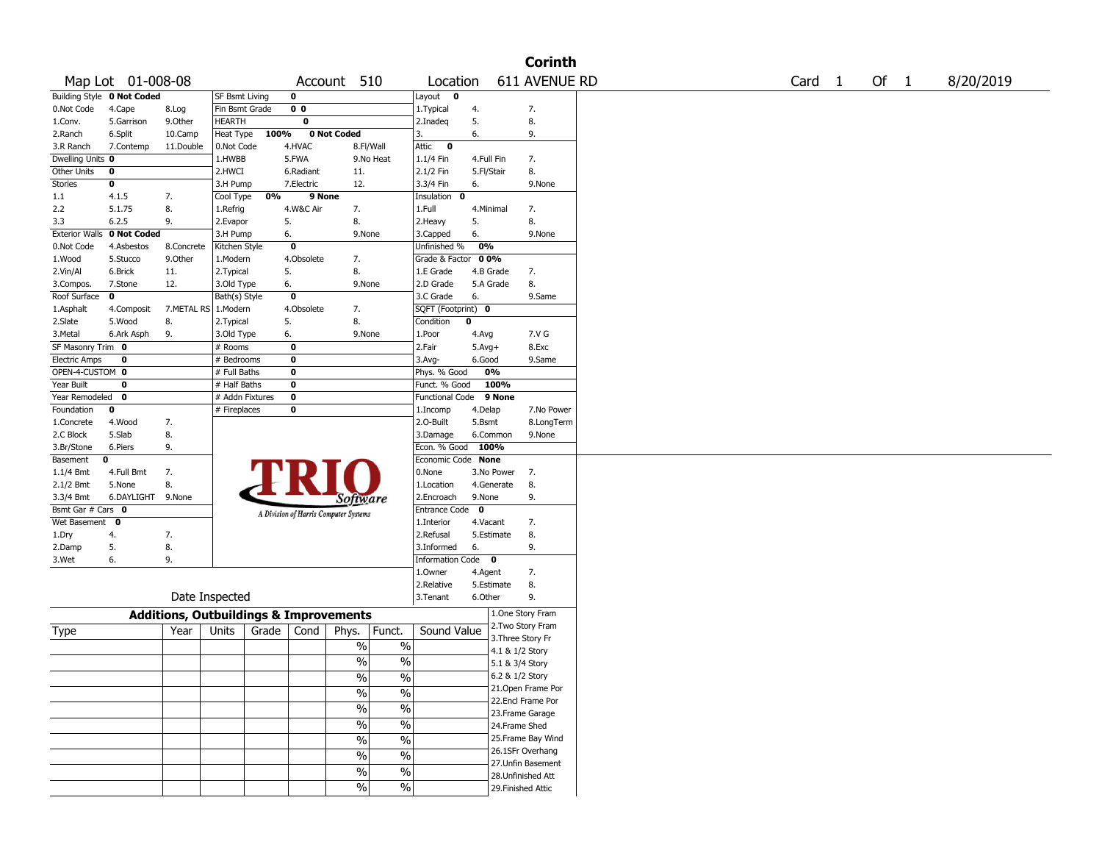|                                   |                   |            |                                                   |                                       |                 |                          |                        |              | <b>Corinth</b>                          |  |                   |      |           |
|-----------------------------------|-------------------|------------|---------------------------------------------------|---------------------------------------|-----------------|--------------------------|------------------------|--------------|-----------------------------------------|--|-------------------|------|-----------|
|                                   | Map Lot 01-008-08 |            |                                                   |                                       | Account 510     |                          | Location               |              | 611 AVENUE RD                           |  | Card <sub>1</sub> | Of 1 | 8/20/2019 |
| <b>Building Style 0 Not Coded</b> |                   |            | SF Bsmt Living                                    | 0                                     |                 |                          | Layout 0               |              |                                         |  |                   |      |           |
| 0.Not Code                        | 4.Cape            | 8.Log      | Fin Bsmt Grade                                    | 0 <sub>0</sub>                        |                 |                          | 1. Typical             | 4.           | 7.                                      |  |                   |      |           |
| 1.Conv.                           | 5.Garrison        | 9.0ther    | <b>HEARTH</b>                                     | 0                                     |                 |                          | 2.Inadeg               | 5.           | 8.                                      |  |                   |      |           |
| 2.Ranch                           | 6.Split           | 10.Camp    | Heat Type                                         | 100%                                  | 0 Not Coded     |                          | 3.                     | 6.           | 9.                                      |  |                   |      |           |
| 3.R Ranch                         | 7.Contemp         | 11.Double  | 0.Not Code                                        | 4.HVAC                                |                 | 8.Fl/Wall                | Attic<br>$\mathbf 0$   |              |                                         |  |                   |      |           |
| Dwelling Units 0                  |                   |            | 1.HWBB                                            | 5.FWA                                 |                 | 9.No Heat                | 1.1/4 Fin              | 4.Full Fin   | 7.                                      |  |                   |      |           |
| Other Units                       | 0                 |            | 2.HWCI                                            | 6.Radiant                             | 11.             |                          | 2.1/2 Fin              | 5.Fl/Stair   | 8.                                      |  |                   |      |           |
| <b>Stories</b>                    | 0                 |            | 3.H Pump                                          | 7.Electric                            | 12.             |                          | 3.3/4 Fin              | 6.           | 9.None                                  |  |                   |      |           |
| 1.1                               | 4.1.5             | 7.         | Cool Type                                         | 0%                                    | 9 None          |                          | Insulation<br>0        |              |                                         |  |                   |      |           |
| 2.2                               | 5.1.75            | 8.         | 1.Refrig                                          | 4.W&C Air                             | 7.              |                          | 1.Full                 | 4.Minimal    | 7.                                      |  |                   |      |           |
| 3.3                               | 6.2.5             | 9.         | 2.Evapor                                          | 5.                                    | 8.              |                          | 2.Heavy                | 5.           | 8.                                      |  |                   |      |           |
| <b>Exterior Walls</b>             | 0 Not Coded       |            | 3.H Pump                                          | 6.                                    | 9.None          |                          | 3.Capped               | 6.           | 9.None                                  |  |                   |      |           |
| 0.Not Code                        | 4.Asbestos        | 8.Concrete | Kitchen Style                                     | $\overline{\mathbf{0}}$               |                 |                          | Unfinished %           | 0%           |                                         |  |                   |      |           |
| 1.Wood                            | 5.Stucco          | 9.0ther    | 1.Modern                                          | 4.Obsolete                            | 7.              |                          | Grade & Factor 00%     |              |                                         |  |                   |      |           |
| 2.Vin/Al                          | 6.Brick           | 11.        | 2. Typical                                        | 5.                                    | 8.              |                          | 1.E Grade              | 4.B Grade    | 7.                                      |  |                   |      |           |
| 3.Compos.                         | 7.Stone           | 12.        | 3.Old Type                                        | 6.                                    | 9.None          |                          | 2.D Grade              | 5.A Grade    | 8.                                      |  |                   |      |           |
| Roof Surface                      | $\mathbf 0$       |            | Bath(s) Style                                     | $\mathbf 0$                           |                 |                          | 3.C Grade              | 6.           | 9.Same                                  |  |                   |      |           |
| 1.Asphalt                         | 4.Composit        |            | 7.METAL RS 1.Modern                               | 4.Obsolete                            | 7.              |                          | SQFT (Footprint) 0     |              |                                         |  |                   |      |           |
| 2.Slate                           | 5.Wood            | 8.         | 2. Typical                                        | 5.                                    | 8.              |                          | Condition              | 0            |                                         |  |                   |      |           |
| 3.Metal                           | 6.Ark Asph        | 9.         | 3.Old Type                                        | 6.                                    | 9.None          |                          | 1.Poor                 | 4.Avg        | 7.V G                                   |  |                   |      |           |
| SF Masonry Trim 0                 |                   |            | # Rooms                                           | $\mathbf 0$                           |                 |                          | 2.Fair                 | $5.Avg+$     | 8.Exc                                   |  |                   |      |           |
| <b>Electric Amps</b>              | 0                 |            | # Bedrooms                                        | $\mathbf 0$                           |                 |                          | $3.$ Avg-              | 6.Good       | 9.Same                                  |  |                   |      |           |
| OPEN-4-CUSTOM 0                   |                   |            | # Full Baths                                      | $\mathbf 0$                           |                 |                          | Phys. % Good           | 0%           |                                         |  |                   |      |           |
| Year Built                        | 0                 |            | # Half Baths                                      | $\mathbf 0$                           |                 |                          | Funct. % Good          |              | 100%                                    |  |                   |      |           |
| Year Remodeled                    | $\mathbf 0$       |            | # Addn Fixtures                                   | $\mathbf 0$                           |                 |                          | <b>Functional Code</b> |              | 9 None                                  |  |                   |      |           |
| Foundation                        | $\mathbf 0$       |            | # Fireplaces                                      | 0                                     |                 |                          | 1.Incomp               | 4.Delap      | 7.No Power                              |  |                   |      |           |
| 1.Concrete                        | 4.Wood            | 7.         |                                                   |                                       |                 |                          | 2.O-Built              | 5.Bsmt       | 8.LongTerm                              |  |                   |      |           |
| 2.C Block                         | 5.Slab            | 8.         |                                                   |                                       |                 |                          | 3.Damage               | 6.Common     | 9.None                                  |  |                   |      |           |
| 3.Br/Stone                        | 6.Piers           | 9.         |                                                   |                                       |                 |                          | Econ. % Good           | 100%         |                                         |  |                   |      |           |
| Basement<br>0                     |                   |            |                                                   |                                       |                 |                          | Economic Code None     |              |                                         |  |                   |      |           |
| 1.1/4 Bmt                         | 4.Full Bmt        | 7.         |                                                   |                                       |                 |                          | 0.None                 | 3.No Power   | 7.                                      |  |                   |      |           |
| 2.1/2 Bmt                         | 5.None            | 8.         |                                                   |                                       |                 |                          | 1.Location             | 4.Generate   | 8.                                      |  |                   |      |           |
| 3.3/4 Bmt                         | 6.DAYLIGHT 9.None |            |                                                   |                                       | <i>Software</i> |                          | 2.Encroach             | 9.None       | 9.                                      |  |                   |      |           |
| Bsmt Gar # Cars 0                 |                   |            |                                                   | A Division of Harris Computer Systems |                 |                          | Entrance Code          | $\mathbf{0}$ |                                         |  |                   |      |           |
| Wet Basement 0                    |                   |            |                                                   |                                       |                 |                          | 1.Interior             | 4.Vacant     | 7.                                      |  |                   |      |           |
| 1.Dry                             | 4.                | 7.         |                                                   |                                       |                 |                          | 2.Refusal              | 5.Estimate   | 8.                                      |  |                   |      |           |
| 2.Damp                            | 5.                | 8.         |                                                   |                                       |                 |                          | 3.Informed             | 6.           | 9.                                      |  |                   |      |           |
| 3.Wet                             | 6.                | 9.         |                                                   |                                       |                 |                          | Information Code 0     |              |                                         |  |                   |      |           |
|                                   |                   |            |                                                   |                                       |                 |                          | 1.Owner                | 4.Agent      | 7.                                      |  |                   |      |           |
|                                   |                   |            |                                                   |                                       |                 |                          | 2.Relative             | 5.Estimate   | 8.                                      |  |                   |      |           |
|                                   |                   |            | Date Inspected                                    |                                       |                 |                          | 3. Tenant              | 6.Other      | 9.                                      |  |                   |      |           |
|                                   |                   |            | <b>Additions, Outbuildings &amp; Improvements</b> |                                       |                 |                          |                        |              | 1.One Story Fram                        |  |                   |      |           |
| Type                              |                   | Year       | Units                                             | Grade<br>Cond                         | Phys.           | Funct.                   | Sound Value            |              | 2. Two Story Fram                       |  |                   |      |           |
|                                   |                   |            |                                                   |                                       |                 |                          |                        |              | 3. Three Story Fr                       |  |                   |      |           |
|                                   |                   |            |                                                   |                                       | $\%$            | $\%$                     |                        |              | 4.1 & 1/2 Story                         |  |                   |      |           |
|                                   |                   |            |                                                   |                                       | $\%$            | $\%$                     |                        |              | 5.1 & 3/4 Story                         |  |                   |      |           |
|                                   |                   |            |                                                   |                                       | %               | $\frac{9}{6}$            |                        |              | 6.2 & 1/2 Story                         |  |                   |      |           |
|                                   |                   |            |                                                   |                                       | $\frac{1}{2}$   | $\overline{\frac{0}{0}}$ |                        |              | 21. Open Frame Por                      |  |                   |      |           |
|                                   |                   |            |                                                   |                                       |                 |                          |                        |              | 22.Encl Frame Por                       |  |                   |      |           |
|                                   |                   |            |                                                   |                                       | $\%$            | $\overline{\frac{0}{0}}$ |                        |              | 23. Frame Garage                        |  |                   |      |           |
|                                   |                   |            |                                                   |                                       | $\%$            | $\overline{\frac{0}{0}}$ |                        |              | 24.Frame Shed                           |  |                   |      |           |
|                                   |                   |            |                                                   |                                       |                 |                          |                        |              |                                         |  |                   |      |           |
|                                   |                   |            |                                                   |                                       |                 |                          |                        |              |                                         |  |                   |      |           |
|                                   |                   |            |                                                   |                                       | $\%$            | $\sqrt{6}$               |                        |              | 25. Frame Bay Wind                      |  |                   |      |           |
|                                   |                   |            |                                                   |                                       | $\%$            | $\overline{\frac{0}{0}}$ |                        |              | 26.1SFr Overhang                        |  |                   |      |           |
|                                   |                   |            |                                                   |                                       | $\%$            | $\overline{\frac{0}{0}}$ |                        |              | 27.Unfin Basement<br>28. Unfinished Att |  |                   |      |           |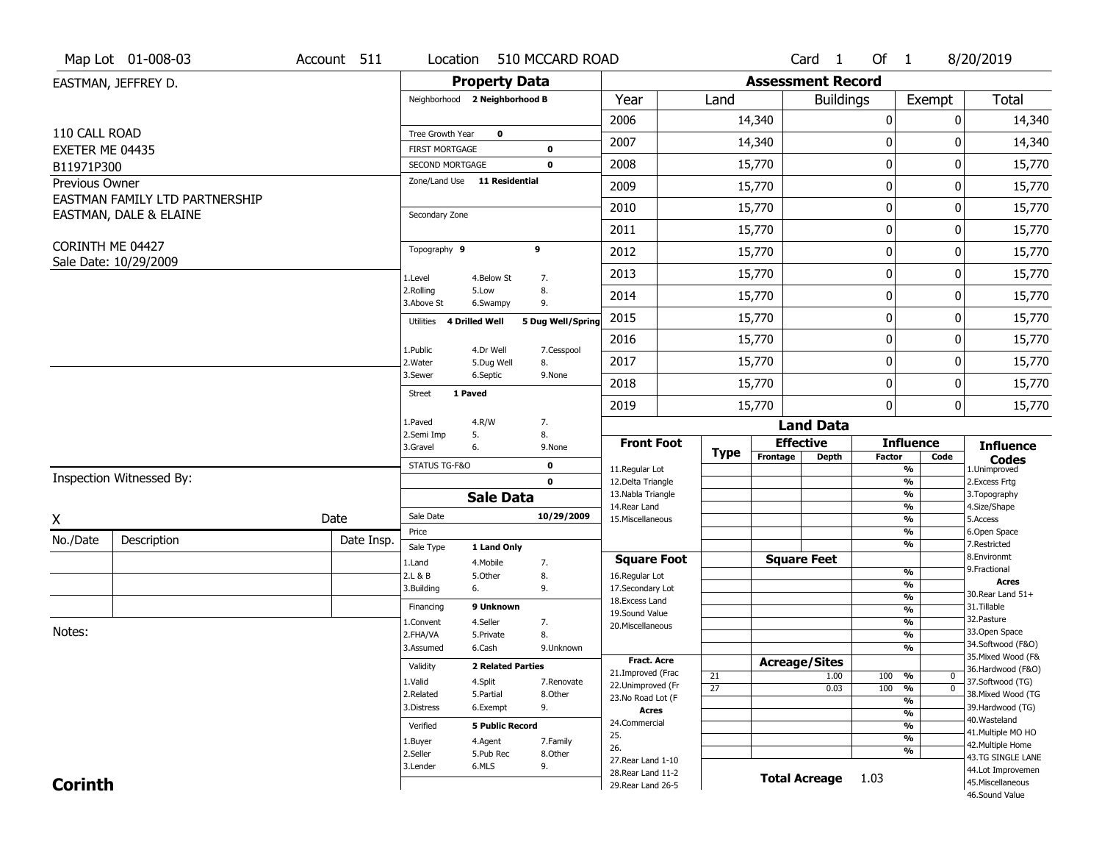|                 | Map Lot 01-008-03              | Account 511 | Location                      |                          | 510 MCCARD ROAD             |                                     |                 |                          | Card 1               | Of 1             |                                           | 8/20/2019                         |
|-----------------|--------------------------------|-------------|-------------------------------|--------------------------|-----------------------------|-------------------------------------|-----------------|--------------------------|----------------------|------------------|-------------------------------------------|-----------------------------------|
|                 | EASTMAN, JEFFREY D.            |             |                               | <b>Property Data</b>     |                             |                                     |                 | <b>Assessment Record</b> |                      |                  |                                           |                                   |
|                 |                                |             | Neighborhood 2 Neighborhood B |                          |                             | Year                                | Land            |                          | <b>Buildings</b>     |                  | Exempt                                    | <b>Total</b>                      |
|                 |                                |             |                               |                          |                             | 2006                                |                 | 14,340                   |                      | $\boldsymbol{0}$ | 0                                         | 14,340                            |
| 110 CALL ROAD   |                                |             | Tree Growth Year              | $\mathbf 0$              |                             | 2007                                |                 | 14,340                   |                      | 0                | 0                                         | 14,340                            |
| EXETER ME 04435 |                                |             | <b>FIRST MORTGAGE</b>         |                          | 0                           |                                     |                 |                          |                      |                  |                                           |                                   |
| B11971P300      |                                |             | SECOND MORTGAGE               |                          | 0                           | 2008                                |                 | 15,770                   |                      | $\mathbf 0$      | 0                                         | 15,770                            |
| Previous Owner  | EASTMAN FAMILY LTD PARTNERSHIP |             | Zone/Land Use 11 Residential  |                          |                             | 2009                                |                 | 15,770                   |                      | $\mathbf 0$      | 0                                         | 15,770                            |
|                 | EASTMAN, DALE & ELAINE         |             | Secondary Zone                |                          |                             | 2010                                |                 | 15,770                   |                      | $\mathbf 0$      | 0                                         | 15,770                            |
|                 |                                |             |                               |                          |                             | 2011                                |                 | 15,770                   |                      | $\boldsymbol{0}$ | 0                                         | 15,770                            |
|                 | CORINTH ME 04427               |             | Topography 9                  |                          | 9                           | 2012                                |                 | 15,770                   |                      | $\boldsymbol{0}$ | 0                                         | 15,770                            |
|                 | Sale Date: 10/29/2009          |             | 1.Level                       | 4.Below St               | 7.                          | 2013                                |                 | 15,770                   |                      | $\mathbf 0$      | 0                                         | 15,770                            |
|                 |                                |             | 2.Rolling<br>3.Above St       | 5.Low<br>6.Swampy        | 8.<br>9.                    | 2014                                |                 | 15,770                   |                      | $\mathbf 0$      | 0                                         | 15,770                            |
|                 |                                |             | Utilities                     | 4 Drilled Well           | 5 Dug Well/Spring           | 2015                                |                 | 15,770                   |                      | $\boldsymbol{0}$ | 0                                         | 15,770                            |
|                 |                                |             |                               |                          |                             | 2016                                |                 | 15,770                   |                      | $\mathbf 0$      | 0                                         | 15,770                            |
|                 |                                |             | 1.Public<br>2. Water          | 4.Dr Well<br>5.Dug Well  | 7.Cesspool<br>8.            | 2017                                |                 | 15,770                   |                      | $\mathbf 0$      | 0                                         | 15,770                            |
|                 |                                |             | 3.Sewer                       | 6.Septic                 | 9.None                      | 2018                                |                 | 15,770                   |                      | $\mathbf 0$      | 0                                         | 15,770                            |
|                 |                                |             | 1 Paved<br>Street             |                          |                             | 2019                                |                 | 15,770                   |                      | $\mathbf 0$      | 0                                         | 15,770                            |
|                 |                                |             | 1.Paved                       | 4.R/W                    | 7.                          |                                     |                 |                          | <b>Land Data</b>     |                  |                                           |                                   |
|                 |                                |             | 2.Semi Imp                    | 5.                       | 8.                          | <b>Front Foot</b>                   |                 | <b>Effective</b>         |                      |                  | <b>Influence</b>                          | <b>Influence</b>                  |
|                 |                                |             | 3.Gravel                      | 6.                       | 9.None                      |                                     | <b>Type</b>     | Frontage                 | <b>Depth</b>         | <b>Factor</b>    | Code                                      | <b>Codes</b>                      |
|                 | Inspection Witnessed By:       |             | STATUS TG-F&O                 |                          | $\mathbf 0$<br>$\mathbf{0}$ | 11.Regular Lot<br>12.Delta Triangle |                 |                          |                      |                  | %<br>$\frac{9}{6}$                        | 1.Unimproved<br>2.Excess Frtg     |
|                 |                                |             |                               | <b>Sale Data</b>         |                             | 13. Nabla Triangle                  |                 |                          |                      |                  | %                                         | 3. Topography                     |
|                 |                                | Date        | Sale Date                     |                          | 10/29/2009                  | 14. Rear Land                       |                 |                          |                      |                  | %                                         | 4.Size/Shape                      |
| X               |                                |             | Price                         |                          |                             | 15. Miscellaneous                   |                 |                          |                      |                  | %<br>%                                    | 5.Access<br>6.Open Space          |
| No./Date        | Description                    | Date Insp.  | Sale Type                     | 1 Land Only              |                             |                                     |                 |                          |                      |                  | %                                         | 7.Restricted                      |
|                 |                                |             | 1.Land                        | 4. Mobile                | 7.                          | <b>Square Foot</b>                  |                 |                          | <b>Square Feet</b>   |                  |                                           | 8.Environmt<br>9. Fractional      |
|                 |                                |             | 2.L & B<br>3.Building         | 5.0ther<br>6.            | 8.<br>9.                    | 16.Regular Lot<br>17.Secondary Lot  |                 |                          |                      |                  | $\frac{9}{6}$<br>$\overline{\frac{9}{6}}$ | <b>Acres</b>                      |
|                 |                                |             |                               |                          |                             | 18. Excess Land                     |                 |                          |                      |                  | $\frac{9}{6}$                             | 30. Rear Land 51+                 |
|                 |                                |             | Financing                     | 9 Unknown                |                             | 19.Sound Value                      |                 |                          |                      |                  | $\overline{\frac{9}{6}}$                  | 31.Tillable<br>32. Pasture        |
| Notes:          |                                |             | 1.Convent                     | 4.Seller                 | 7.                          | 20.Miscellaneous                    |                 |                          |                      |                  | $\frac{9}{6}$                             | 33.Open Space                     |
|                 |                                |             | 2.FHA/VA<br>3.Assumed         | 5.Private<br>6.Cash      | 8.<br>9.Unknown             |                                     |                 |                          |                      |                  | $\frac{9}{6}$<br>%                        | 34.Softwood (F&O)                 |
|                 |                                |             |                               |                          |                             | <b>Fract, Acre</b>                  |                 | <b>Acreage/Sites</b>     |                      |                  |                                           | 35. Mixed Wood (F&                |
|                 |                                |             | Validity                      | <b>2 Related Parties</b> |                             | 21.Improved (Frac                   | 21              |                          | 1.00                 | 100              | %<br>$\bm{0}$                             | 36.Hardwood (F&O)                 |
|                 |                                |             | 1.Valid                       | 4.Split                  | 7.Renovate                  | 22.Unimproved (Fr                   | $\overline{27}$ |                          | 0.03                 | 100              | $\overline{\mathfrak{o}}$<br>%            | 37.Softwood (TG)                  |
|                 |                                |             | 2.Related                     | 5.Partial                | 8.Other                     | 23.No Road Lot (F                   |                 |                          |                      |                  | %                                         | 38. Mixed Wood (TG                |
|                 |                                |             | 3.Distress                    | 6.Exempt                 | 9.                          | <b>Acres</b>                        |                 |                          |                      |                  | $\frac{9}{6}$                             | 39.Hardwood (TG)<br>40. Wasteland |
|                 |                                |             | Verified                      | <b>5 Public Record</b>   |                             | 24.Commercial                       |                 |                          |                      |                  | %                                         | 41. Multiple MO HO                |
|                 |                                |             | 1.Buyer                       | 4.Agent                  | 7.Family                    | 25.<br>26.                          |                 |                          |                      |                  | $\frac{9}{6}$                             | 42. Multiple Home                 |
|                 |                                |             | 2.Seller                      | 5.Pub Rec                | 8.Other                     | 27. Rear Land 1-10                  |                 |                          |                      |                  | %                                         | 43.TG SINGLE LANE                 |
|                 |                                |             | 3.Lender                      | 6.MLS                    | 9.                          | 28. Rear Land 11-2                  |                 |                          |                      |                  |                                           | 44.Lot Improvemen                 |
| <b>Corinth</b>  |                                |             |                               |                          |                             | 29. Rear Land 26-5                  |                 |                          | <b>Total Acreage</b> | 1.03             |                                           | 45. Miscellaneous                 |
|                 |                                |             |                               |                          |                             |                                     |                 |                          |                      |                  |                                           | 46.Sound Value                    |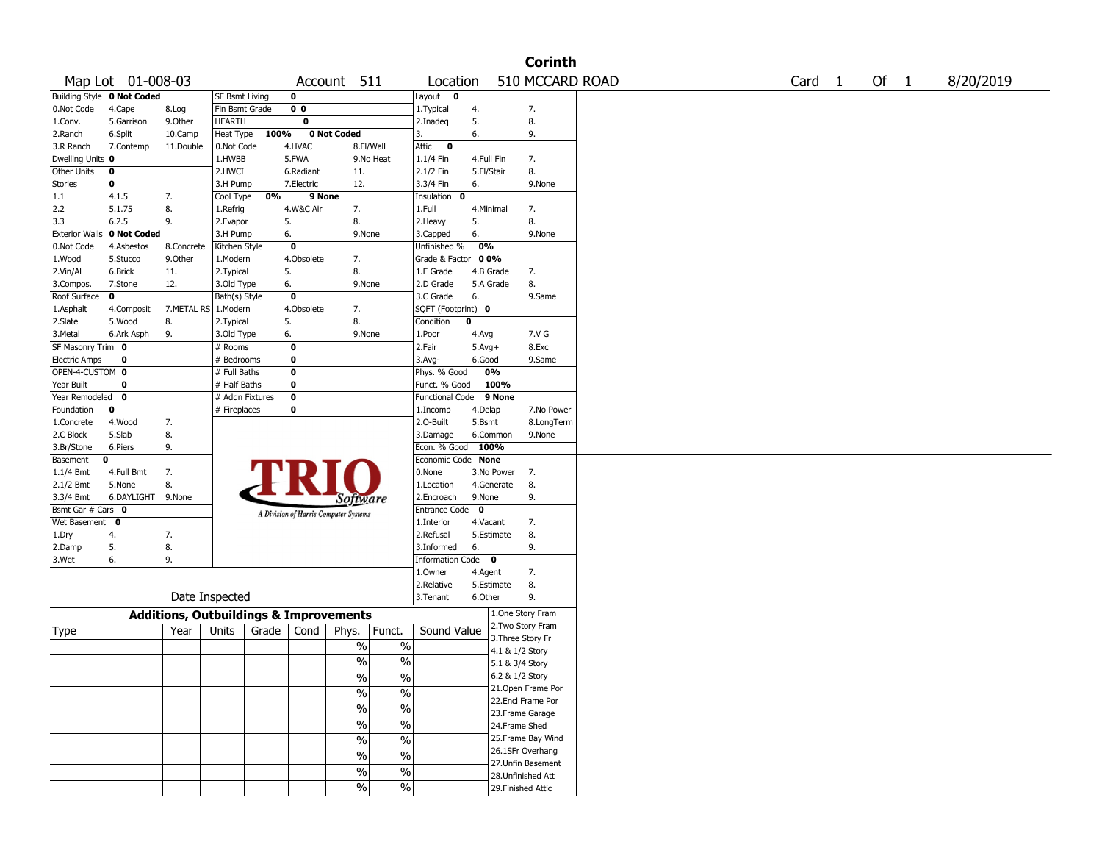|                       |                            |                                                   |                 |                                       |             |                                           |                         |             |                    | <b>Corinth</b>     |        |        |           |
|-----------------------|----------------------------|---------------------------------------------------|-----------------|---------------------------------------|-------------|-------------------------------------------|-------------------------|-------------|--------------------|--------------------|--------|--------|-----------|
|                       | Map Lot 01-008-03          |                                                   |                 |                                       |             | Account 511                               | Location                |             |                    | 510 MCCARD ROAD    | Card 1 | Of $1$ | 8/20/2019 |
|                       | Building Style 0 Not Coded |                                                   | SF Bsmt Living  | 0                                     |             |                                           | Layout $\qquad \bullet$ |             |                    |                    |        |        |           |
| 0.Not Code            | 4.Cape                     | 8.Log                                             | Fin Bsmt Grade  | 0 <sub>0</sub>                        |             |                                           | 1. Typical              | 4.          |                    | 7.                 |        |        |           |
| 1.Conv.               | 5.Garrison                 | 9.Other                                           | HEARTH          | 0                                     |             |                                           | 2.Inadeq                | 5.          |                    | 8.                 |        |        |           |
| 2.Ranch               | 6.Split                    | 10.Camp                                           | Heat Type       | 100%                                  | 0 Not Coded |                                           | 3.                      | 6.          |                    | 9.                 |        |        |           |
| 3.R Ranch             | 7.Contemp                  | 11.Double                                         | 0.Not Code      | 4.HVAC                                |             | 8.Fl/Wall                                 | Attic<br>$\bullet$      |             |                    |                    |        |        |           |
| Dwelling Units 0      |                            |                                                   | 1.HWBB          | 5.FWA                                 |             | 9.No Heat                                 | 1.1/4 Fin               | 4.Full Fin  |                    | 7.                 |        |        |           |
| Other Units           | 0                          |                                                   | 2.HWCI          | 6.Radiant                             |             | 11.                                       | 2.1/2 Fin               | 5.Fl/Stair  |                    | 8.                 |        |        |           |
| Stories               | 0                          |                                                   | 3.H Pump        | 7.Electric                            |             | 12.                                       | 3.3/4 Fin               | 6.          |                    | 9.None             |        |        |           |
| 1.1                   | 4.1.5                      | 7.                                                | Cool Type       | 0%                                    | 9 None      |                                           | Insulation 0            |             |                    |                    |        |        |           |
| 2.2                   | 5.1.75                     | 8.                                                | 1.Refrig        | 4.W&C Air                             |             | 7.                                        | 1.Full                  | 4.Minimal   |                    | 7.                 |        |        |           |
| 3.3                   | 6.2.5                      | 9.                                                | 2.Evapor        | 5.                                    |             | 8.                                        | 2.Heavy                 | 5.          |                    | 8.                 |        |        |           |
| <b>Exterior Walls</b> | 0 Not Coded                |                                                   | 3.H Pump        | 6.                                    |             | 9.None                                    | 3.Capped                | 6.          |                    | 9.None             |        |        |           |
| 0.Not Code            | 4.Asbestos                 | 8.Concrete                                        | Kitchen Style   | 0                                     |             |                                           | Unfinished %            | 0%          |                    |                    |        |        |           |
| 1.Wood                | 5.Stucco                   | 9.0ther                                           | 1.Modern        | 4.Obsolete                            |             | 7.                                        | Grade & Factor          | 00%         |                    |                    |        |        |           |
| 2.Vin/Al              | 6.Brick                    | 11.                                               | 2.Typical       | 5.                                    |             | 8.                                        | 1.E Grade               | 4.B Grade   |                    | 7.                 |        |        |           |
| 3.Compos.             | 7.Stone                    | 12.                                               | 3.Old Type      | 6.                                    |             | 9.None                                    | 2.D Grade               | 5.A Grade   |                    | 8.                 |        |        |           |
| Roof Surface          | 0                          |                                                   | Bath(s) Style   | 0                                     |             |                                           | 3.C Grade               | 6.          |                    | 9.Same             |        |        |           |
| 1.Asphalt             | 4.Composit                 | 7.METAL RS 1.Modern                               |                 | 4.Obsolete                            |             | 7.                                        | SQFT (Footprint) 0      |             |                    |                    |        |        |           |
| 2.Slate               | 5.Wood                     | 8.                                                | 2. Typical      | 5.                                    |             | 8.                                        | Condition               | $\mathbf 0$ |                    |                    |        |        |           |
| 3.Metal               | 6.Ark Asph                 | 9.                                                | 3.Old Type      | 6.                                    |             | 9.None                                    | 1.Poor                  | 4.Avg       |                    | 7.V G              |        |        |           |
| SF Masonry Trim 0     |                            |                                                   | # Rooms         | 0                                     |             |                                           | 2.Fair                  | $5.Avg+$    |                    | 8.Exc              |        |        |           |
| <b>Electric Amps</b>  | 0                          |                                                   | # Bedrooms      | 0                                     |             |                                           | 3.Avg-                  | 6.Good      |                    | 9.Same             |        |        |           |
| OPEN-4-CUSTOM 0       |                            |                                                   | # Full Baths    | 0                                     |             |                                           | Phys. % Good            | 0%          |                    |                    |        |        |           |
| Year Built            | 0                          |                                                   | # Half Baths    | 0                                     |             |                                           | Funct. % Good           |             | 100%               |                    |        |        |           |
| Year Remodeled        | 0                          |                                                   | # Addn Fixtures | $\pmb{0}$                             |             |                                           | Functional Code         |             | 9 None             |                    |        |        |           |
| Foundation            | 0                          |                                                   | # Fireplaces    | 0                                     |             |                                           | 1.Incomp                | 4.Delap     |                    | 7.No Power         |        |        |           |
| 1.Concrete            | 4.Wood                     | 7.                                                |                 |                                       |             |                                           | 2.O-Built               | 5.Bsmt      |                    | 8.LongTerm         |        |        |           |
| 2.C Block             | 5.Slab                     | 8.                                                |                 |                                       |             |                                           | 3.Damage                | 6.Common    |                    | 9.None             |        |        |           |
| 3.Br/Stone            | 6.Piers                    | 9.                                                |                 |                                       |             |                                           | Econ. % Good            | 100%        |                    |                    |        |        |           |
| Basement              | 0                          |                                                   |                 |                                       |             |                                           | Economic Code None      |             |                    |                    |        |        |           |
| 1.1/4 Bmt             | 4.Full Bmt                 | 7.                                                |                 |                                       |             |                                           | 0.None                  | 3.No Power  |                    | 7.                 |        |        |           |
| 2.1/2 Bmt             | 5.None                     | 8.                                                |                 |                                       |             |                                           | 1.Location              | 4.Generate  |                    | 8.                 |        |        |           |
| 3.3/4 Bmt             | 6.DAYLIGHT 9.None          |                                                   |                 |                                       |             | Software                                  | 2.Encroach              | 9.None      |                    | 9.                 |        |        |           |
| Bsmt Gar # Cars 0     |                            |                                                   |                 | A Division of Harris Computer Systems |             |                                           | Entrance Code           | $\mathbf 0$ |                    |                    |        |        |           |
| Wet Basement          | $\mathbf 0$                |                                                   |                 |                                       |             |                                           | 1.Interior              | 4.Vacant    |                    | 7.                 |        |        |           |
| 1.Dry                 | 4.                         | 7.                                                |                 |                                       |             |                                           | 2.Refusal               | 5.Estimate  |                    | 8.                 |        |        |           |
| 2.Damp                | 5.                         | 8.                                                |                 |                                       |             |                                           | 3.Informed              | 6.          |                    | 9.                 |        |        |           |
| 3.Wet                 | 6.                         | 9.                                                |                 |                                       |             |                                           | Information Code 0      |             |                    |                    |        |        |           |
|                       |                            |                                                   |                 |                                       |             |                                           | 1.Owner                 | 4.Agent     |                    | 7.                 |        |        |           |
|                       |                            |                                                   |                 |                                       |             |                                           | 2.Relative              | 5.Estimate  |                    | 8.                 |        |        |           |
|                       |                            | Date Inspected                                    |                 |                                       |             |                                           | 3.Tenant                | 6.Other     |                    | 9.                 |        |        |           |
|                       |                            | <b>Additions, Outbuildings &amp; Improvements</b> |                 |                                       |             |                                           |                         |             |                    | 1.One Story Fram   |        |        |           |
| Type                  |                            | Year                                              | Units           | Grade                                 | Cond        | Funct.<br>Phys.                           | Sound Value             |             |                    | 2. Two Story Fram  |        |        |           |
|                       |                            |                                                   |                 |                                       |             | $\%$<br>%                                 |                         |             | 3. Three Story Fr  |                    |        |        |           |
|                       |                            |                                                   |                 |                                       |             | $\%$<br>$\%$                              |                         |             | 4.1 & 1/2 Story    |                    |        |        |           |
|                       |                            |                                                   |                 |                                       |             |                                           |                         |             | 5.1 & 3/4 Story    |                    |        |        |           |
|                       |                            |                                                   |                 |                                       |             | $\overline{\frac{0}{0}}$<br>$\frac{1}{2}$ |                         |             | 6.2 & 1/2 Story    |                    |        |        |           |
|                       |                            |                                                   |                 |                                       |             | $\%$<br>$\%$                              |                         |             |                    | 21.Open Frame Por  |        |        |           |
|                       |                            |                                                   |                 |                                       |             | %<br>$\%$                                 |                         |             |                    | 22.Encl Frame Por  |        |        |           |
|                       |                            |                                                   |                 |                                       |             |                                           |                         |             |                    | 23. Frame Garage   |        |        |           |
|                       |                            |                                                   |                 |                                       |             | $\overline{\frac{0}{6}}$<br>$\sqrt{6}$    |                         |             | 24.Frame Shed      |                    |        |        |           |
|                       |                            |                                                   |                 |                                       |             | $\overline{\frac{0}{6}}$<br>$\sqrt{6}$    |                         |             |                    | 25. Frame Bay Wind |        |        |           |
|                       |                            |                                                   |                 |                                       |             | $\overline{\frac{0}{6}}$<br>$\sqrt{6}$    |                         |             |                    | 26.1SFr Overhang   |        |        |           |
|                       |                            |                                                   |                 |                                       |             | $\overline{\frac{0}{6}}$<br>$\%$          |                         |             |                    | 27.Unfin Basement  |        |        |           |
|                       |                            |                                                   |                 |                                       |             |                                           |                         |             |                    | 28.Unfinished Att  |        |        |           |
|                       |                            |                                                   |                 |                                       |             | $\frac{1}{2}$<br>$\%$                     |                         |             | 29. Finished Attic |                    |        |        |           |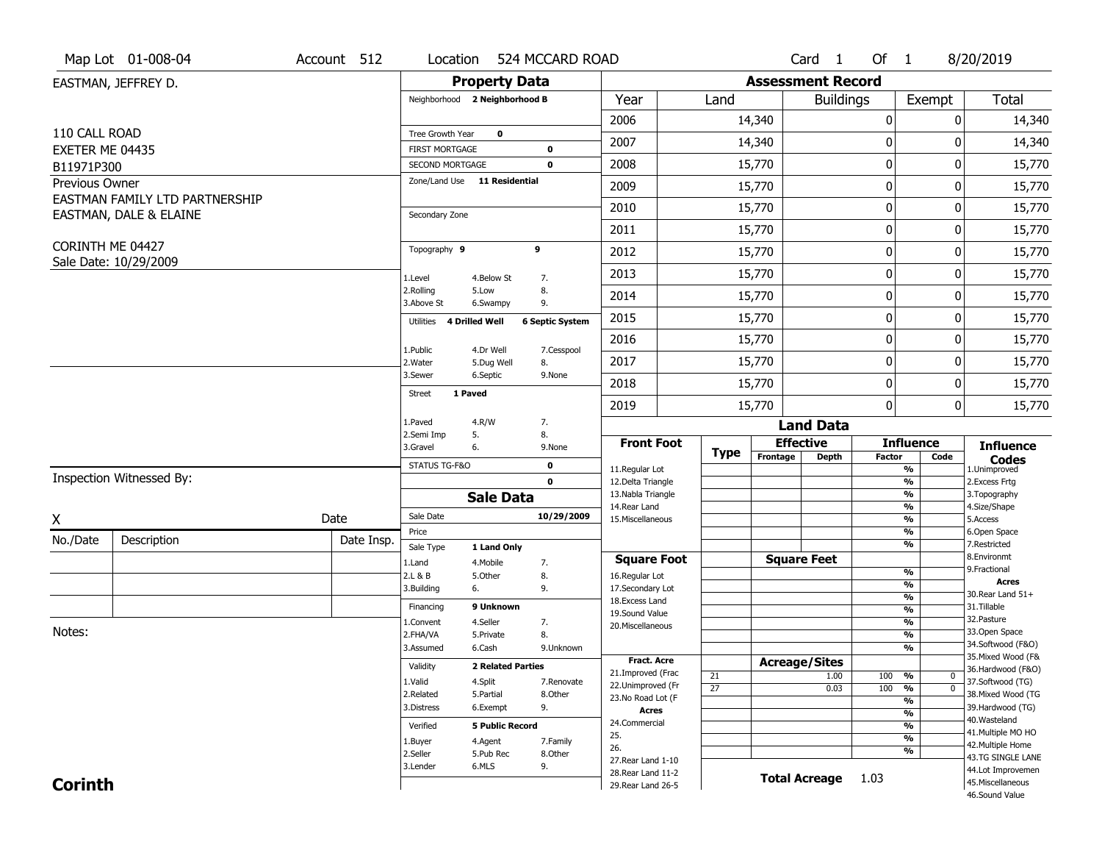|                 | Map Lot 01-008-04              | Account 512 | Location                      |                          | 524 MCCARD ROAD        |                                        |                 |                          | Card 1           | Of 1             |                                           | 8/20/2019                              |
|-----------------|--------------------------------|-------------|-------------------------------|--------------------------|------------------------|----------------------------------------|-----------------|--------------------------|------------------|------------------|-------------------------------------------|----------------------------------------|
|                 | EASTMAN, JEFFREY D.            |             |                               | <b>Property Data</b>     |                        |                                        |                 | <b>Assessment Record</b> |                  |                  |                                           |                                        |
|                 |                                |             | Neighborhood 2 Neighborhood B |                          |                        | Year                                   | Land            |                          | <b>Buildings</b> |                  | Exempt                                    | <b>Total</b>                           |
|                 |                                |             |                               |                          |                        | 2006                                   |                 | 14,340                   |                  | $\boldsymbol{0}$ | 0                                         | 14,340                                 |
| 110 CALL ROAD   |                                |             | Tree Growth Year              | $\mathbf 0$              |                        | 2007                                   |                 | 14,340                   |                  | 0                | 0                                         | 14,340                                 |
| EXETER ME 04435 |                                |             | <b>FIRST MORTGAGE</b>         |                          | 0                      |                                        |                 |                          |                  |                  |                                           |                                        |
| B11971P300      |                                |             | SECOND MORTGAGE               |                          | 0                      | 2008                                   |                 | 15,770                   |                  | $\mathbf 0$      | 0                                         | 15,770                                 |
| Previous Owner  | EASTMAN FAMILY LTD PARTNERSHIP |             | Zone/Land Use 11 Residential  |                          |                        | 2009                                   |                 | 15,770                   |                  | $\mathbf 0$      | 0                                         | 15,770                                 |
|                 | EASTMAN, DALE & ELAINE         |             | Secondary Zone                |                          |                        | 2010                                   |                 | 15,770                   |                  | $\mathbf 0$      | 0                                         | 15,770                                 |
|                 |                                |             |                               |                          |                        | 2011                                   |                 | 15,770                   |                  | $\boldsymbol{0}$ | 0                                         | 15,770                                 |
|                 | CORINTH ME 04427               |             | Topography 9                  |                          | 9                      | 2012                                   |                 | 15,770                   |                  | $\boldsymbol{0}$ | 0                                         | 15,770                                 |
|                 | Sale Date: 10/29/2009          |             | 1.Level                       | 4.Below St               | 7.                     | 2013                                   |                 | 15,770                   |                  | $\mathbf 0$      | 0                                         | 15,770                                 |
|                 |                                |             | 2.Rolling<br>3.Above St       | 5.Low<br>6.Swampy        | 8.<br>9.               | 2014                                   |                 | 15,770                   |                  | $\mathbf 0$      | 0                                         | 15,770                                 |
|                 |                                |             | 4 Drilled Well<br>Utilities   |                          | <b>6 Septic System</b> | 2015                                   |                 | 15,770                   |                  | $\boldsymbol{0}$ | 0                                         | 15,770                                 |
|                 |                                |             |                               |                          |                        | 2016                                   |                 | 15,770                   |                  | $\mathbf 0$      | 0                                         | 15,770                                 |
|                 |                                |             | 1.Public<br>2. Water          | 4.Dr Well<br>5.Dug Well  | 7.Cesspool<br>8.       | 2017                                   |                 | 15,770                   |                  | $\mathbf 0$      | 0                                         | 15,770                                 |
|                 |                                |             | 3.Sewer                       | 6.Septic                 | 9.None                 | 2018                                   |                 | 15,770                   |                  | $\mathbf 0$      | 0                                         | 15,770                                 |
|                 |                                |             | 1 Paved<br>Street             |                          |                        | 2019                                   |                 | 15,770                   |                  | $\mathbf 0$      |                                           | 0<br>15,770                            |
|                 |                                |             | 1.Paved                       | 4.R/W                    | 7.                     |                                        |                 |                          | <b>Land Data</b> |                  |                                           |                                        |
|                 |                                |             | 2.Semi Imp<br>3.Gravel        | 5.<br>6.                 | 8.<br>9.None           | <b>Front Foot</b>                      |                 | <b>Effective</b>         |                  |                  | <b>Influence</b>                          | <b>Influence</b>                       |
|                 |                                |             | STATUS TG-F&O                 |                          | $\mathbf 0$            |                                        | <b>Type</b>     | Frontage                 | <b>Depth</b>     | <b>Factor</b>    | Code                                      | <b>Codes</b>                           |
|                 | Inspection Witnessed By:       |             |                               |                          | $\mathbf{0}$           | 11.Regular Lot<br>12.Delta Triangle    |                 |                          |                  |                  | %<br>$\frac{9}{6}$                        | 1.Unimproved<br>2.Excess Frtg          |
|                 |                                |             |                               | <b>Sale Data</b>         |                        | 13. Nabla Triangle                     |                 |                          |                  |                  | %                                         | 3. Topography                          |
| X               |                                | Date        | Sale Date                     |                          | 10/29/2009             | 14. Rear Land<br>15. Miscellaneous     |                 |                          |                  |                  | %<br>%                                    | 4.Size/Shape<br>5.Access               |
|                 |                                |             | Price                         |                          |                        |                                        |                 |                          |                  |                  | %                                         | 6.Open Space                           |
| No./Date        | Description                    | Date Insp.  | Sale Type                     | 1 Land Only              |                        |                                        |                 |                          |                  |                  | %                                         | 7.Restricted<br>8.Environmt            |
|                 |                                |             | 1.Land                        | 4. Mobile                | 7.                     | <b>Square Foot</b>                     |                 | <b>Square Feet</b>       |                  |                  | $\frac{9}{6}$                             | 9. Fractional                          |
|                 |                                |             | 2.L & B<br>3.Building         | 5.0ther<br>6.            | 8.<br>9.               | 16.Regular Lot<br>17.Secondary Lot     |                 |                          |                  |                  | $\frac{9}{6}$                             | <b>Acres</b>                           |
|                 |                                |             | Financing                     | 9 Unknown                |                        | 18. Excess Land                        |                 |                          |                  |                  | $\frac{9}{6}$                             | 30. Rear Land 51+<br>31.Tillable       |
|                 |                                |             | 1.Convent                     | 4.Seller                 | 7.                     | 19.Sound Value                         |                 |                          |                  |                  | $\overline{\frac{9}{6}}$<br>$\frac{9}{6}$ | 32. Pasture                            |
| Notes:          |                                |             | 2.FHA/VA                      | 5.Private                | 8.                     | 20.Miscellaneous                       |                 |                          |                  |                  | $\frac{9}{6}$                             | 33.Open Space                          |
|                 |                                |             | 3.Assumed                     | 6.Cash                   | 9.Unknown              |                                        |                 |                          |                  |                  | %                                         | 34.Softwood (F&O)                      |
|                 |                                |             | Validity                      | <b>2 Related Parties</b> |                        | <b>Fract, Acre</b>                     |                 | <b>Acreage/Sites</b>     |                  |                  |                                           | 35. Mixed Wood (F&                     |
|                 |                                |             | 1.Valid                       | 4.Split                  | 7.Renovate             | 21.Improved (Frac                      | 21              |                          | 1.00             | 100              | %<br>$\bm{0}$                             | 36.Hardwood (F&O)<br>37.Softwood (TG)  |
|                 |                                |             | 2.Related                     | 5.Partial                | 8.Other                | 22.Unimproved (Fr<br>23.No Road Lot (F | $\overline{27}$ |                          | 0.03             | 100              | $\overline{0}$<br>%                       | 38. Mixed Wood (TG                     |
|                 |                                |             | 3.Distress                    | 6.Exempt                 | 9.                     | <b>Acres</b>                           |                 |                          |                  |                  | %                                         | 39.Hardwood (TG)                       |
|                 |                                |             | Verified                      | <b>5 Public Record</b>   |                        | 24.Commercial                          |                 |                          |                  |                  | $\frac{9}{6}$<br>%                        | 40. Wasteland                          |
|                 |                                |             |                               |                          |                        | 25.                                    |                 |                          |                  |                  | $\frac{9}{6}$                             | 41. Multiple MO HO                     |
|                 |                                |             | 1.Buyer<br>2.Seller           | 4.Agent<br>5.Pub Rec     | 7.Family<br>8.Other    | 26.                                    |                 |                          |                  |                  | %                                         | 42. Multiple Home                      |
|                 |                                |             | 3.Lender                      | 6.MLS                    | 9.                     | 27. Rear Land 1-10                     |                 |                          |                  |                  |                                           | 43.TG SINGLE LANE<br>44.Lot Improvemen |
|                 |                                |             |                               |                          |                        | 28. Rear Land 11-2                     |                 |                          |                  |                  |                                           |                                        |
| <b>Corinth</b>  |                                |             |                               |                          |                        | 29. Rear Land 26-5                     |                 | <b>Total Acreage</b>     |                  | 1.03             |                                           | 45. Miscellaneous                      |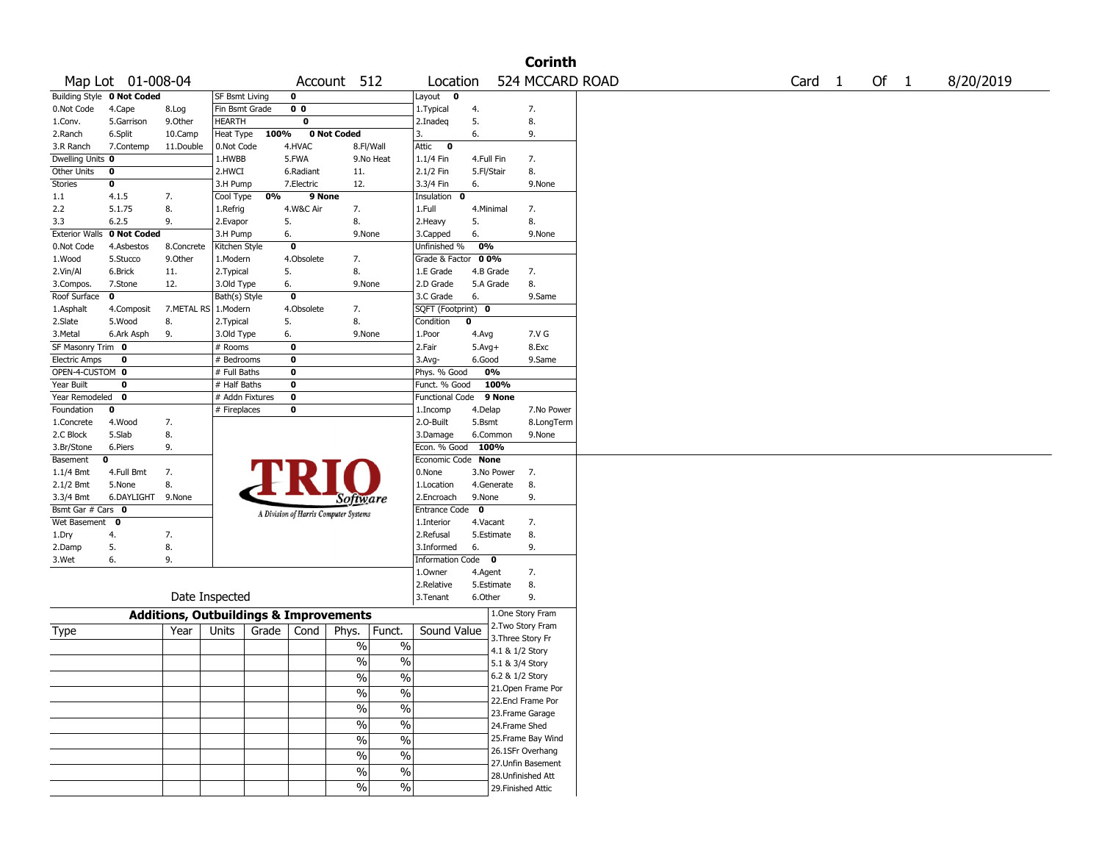|                       |                            |                                                   |                       |       |                |                                       |                          |                    |             |                   | <b>Corinth</b>     |        |      |           |
|-----------------------|----------------------------|---------------------------------------------------|-----------------------|-------|----------------|---------------------------------------|--------------------------|--------------------|-------------|-------------------|--------------------|--------|------|-----------|
|                       | Map Lot 01-008-04          |                                                   |                       |       | Account        |                                       | 512                      | Location           |             |                   | 524 MCCARD ROAD    | Card 1 | Of 1 | 8/20/2019 |
|                       | Building Style 0 Not Coded |                                                   | <b>SF Bsmt Living</b> |       | 0              |                                       |                          | Layout 0           |             |                   |                    |        |      |           |
| 0.Not Code            | 4.Cape                     | 8.Log                                             | Fin Bsmt Grade        |       | 0 <sub>0</sub> |                                       |                          | 1. Typical         | 4.          |                   | 7.                 |        |      |           |
| 1.Conv.               | 5.Garrison                 | 9.0ther                                           | <b>HEARTH</b>         |       | 0              |                                       |                          | 2.Inadeq           | 5.          |                   | 8.                 |        |      |           |
| 2.Ranch               | 6.Split                    | 10.Camp                                           | Heat Type             | 100%  |                | <b>0 Not Coded</b>                    |                          | 3.                 | 6.          |                   | 9.                 |        |      |           |
| 3.R Ranch             | 7.Contemp                  | 11.Double                                         | 0.Not Code            |       | 4.HVAC         | 8.Fl/Wall                             |                          | $\bullet$<br>Attic |             |                   |                    |        |      |           |
| Dwelling Units 0      |                            |                                                   | 1.HWBB                |       | 5.FWA          |                                       | 9.No Heat                | 1.1/4 Fin          | 4.Full Fin  |                   | 7.                 |        |      |           |
| Other Units           | 0                          |                                                   | 2.HWCI                |       | 6.Radiant      | 11.                                   |                          | 2.1/2 Fin          | 5.Fl/Stair  |                   | 8.                 |        |      |           |
| Stories               | 0                          |                                                   | 3.H Pump              |       | 7.Electric     | 12.                                   |                          | 3.3/4 Fin          | 6.          |                   | 9.None             |        |      |           |
| 1.1                   | 4.1.5                      | 7.                                                | Cool Type             | 0%    | 9 None         |                                       |                          | Insulation<br>0    |             |                   |                    |        |      |           |
| 2.2                   | 5.1.75                     | 8.                                                | 1.Refrig              |       | 4.W&C Air      | 7.                                    |                          | 1.Full             | 4.Minimal   |                   | 7.                 |        |      |           |
| 3.3                   | 6.2.5                      | 9.                                                | 2.Evapor              |       | 5.             | 8.                                    |                          | 2. Heavy           | 5.          |                   | 8.                 |        |      |           |
| <b>Exterior Walls</b> | 0 Not Coded                |                                                   | 3.H Pump              |       | 6.             | 9.None                                |                          | 3.Capped           | 6.          |                   | 9.None             |        |      |           |
| 0.Not Code            | 4.Asbestos                 | 8.Concrete                                        | Kitchen Style         |       | $\mathbf 0$    |                                       |                          | Unfinished %       | 0%          |                   |                    |        |      |           |
| 1.Wood                | 5.Stucco                   | 9.0ther                                           | 1.Modern              |       | 4.Obsolete     | 7.                                    |                          | Grade & Factor     | 0 0%        |                   |                    |        |      |           |
| 2.Vin/Al              | 6.Brick                    | 11.                                               | 2.Typical             |       | 5.             | 8.                                    |                          | 1.E Grade          | 4.B Grade   |                   | 7.                 |        |      |           |
| 3.Compos.             | 7.Stone                    | 12.                                               | 3.Old Type            |       | 6.             | 9.None                                |                          | 2.D Grade          | 5.A Grade   |                   | 8.                 |        |      |           |
| Roof Surface          | $\mathbf 0$                |                                                   | Bath(s) Style         |       | $\mathbf 0$    |                                       |                          | 3.C Grade          | 6.          |                   | 9.Same             |        |      |           |
| 1.Asphalt             | 4.Composit                 | 7.METAL RS 1.Modern                               |                       |       | 4.Obsolete     | 7.                                    |                          | SQFT (Footprint) 0 |             |                   |                    |        |      |           |
| 2.Slate               | 5.Wood                     | 8.                                                | 2. Typical            |       | 5.             | 8.                                    |                          | Condition          | 0           |                   |                    |        |      |           |
| 3.Metal               | 6.Ark Asph                 | 9.                                                | 3.Old Type            |       | 6.             | 9.None                                |                          | 1.Poor             | 4.Avg       |                   | 7.V G              |        |      |           |
| SF Masonry Trim 0     |                            |                                                   | # Rooms               |       | 0              |                                       |                          | 2.Fair             | $5.Avg+$    |                   | 8.Exc              |        |      |           |
| <b>Electric Amps</b>  | 0                          |                                                   | # Bedrooms            |       | 0              |                                       |                          | 3.Avg-             | 6.Good      |                   | 9.Same             |        |      |           |
| OPEN-4-CUSTOM 0       |                            |                                                   | # Full Baths          |       | 0              |                                       |                          | Phys. % Good       | 0%          |                   |                    |        |      |           |
| Year Built            | $\mathbf 0$                |                                                   | # Half Baths          |       | 0              |                                       |                          | Funct. % Good      |             | 100%              |                    |        |      |           |
| Year Remodeled 0      |                            |                                                   | # Addn Fixtures       |       | $\mathbf 0$    |                                       |                          | Functional Code    |             | 9 None            |                    |        |      |           |
| Foundation            | 0                          |                                                   | # Fireplaces          |       | 0              |                                       |                          | 1.Incomp           | 4.Delap     |                   | 7.No Power         |        |      |           |
| 1.Concrete            | 4.Wood                     | 7.                                                |                       |       |                |                                       |                          | 2.0-Built          | 5.Bsmt      |                   | 8.LongTerm         |        |      |           |
| 2.C Block             | 5.Slab                     | 8.                                                |                       |       |                |                                       |                          | 3.Damage           | 6.Common    |                   | 9.None             |        |      |           |
| 3.Br/Stone            | 6.Piers                    | 9.                                                |                       |       |                |                                       |                          | Econ. % Good       | 100%        |                   |                    |        |      |           |
| Basement              | 0                          |                                                   |                       |       |                |                                       |                          | Economic Code None |             |                   |                    |        |      |           |
| $1.1/4$ Bmt           | 4.Full Bmt                 | 7.                                                |                       |       |                |                                       |                          | 0.None             |             | 3.No Power        | 7.                 |        |      |           |
| 2.1/2 Bmt             | 5.None                     | 8.                                                |                       |       |                |                                       |                          | 1.Location         |             | 4.Generate        | 8.                 |        |      |           |
| 3.3/4 Bmt             | 6.DAYLIGHT 9.None          |                                                   |                       |       |                | Software                              |                          | 2.Encroach         | 9.None      |                   | 9.                 |        |      |           |
| Bsmt Gar # Cars 0     |                            |                                                   |                       |       |                |                                       |                          | Entrance Code      | $\mathbf 0$ |                   |                    |        |      |           |
| Wet Basement          | $\mathbf{o}$               |                                                   |                       |       |                | A Division of Harris Computer Systems |                          | 1.Interior         | 4.Vacant    |                   | 7.                 |        |      |           |
| 1.Dry                 | 4.                         | 7.                                                |                       |       |                |                                       |                          | 2.Refusal          |             | 5.Estimate        | 8.                 |        |      |           |
| 2.Damp                | 5.                         | 8.                                                |                       |       |                |                                       |                          | 3.Informed         | 6.          |                   | 9.                 |        |      |           |
| 3.Wet                 | 6.                         | 9.                                                |                       |       |                |                                       |                          | Information Code 0 |             |                   |                    |        |      |           |
|                       |                            |                                                   |                       |       |                |                                       |                          | 1.Owner            | 4.Agent     |                   | 7.                 |        |      |           |
|                       |                            |                                                   |                       |       |                |                                       |                          | 2.Relative         |             | 5.Estimate        | 8.                 |        |      |           |
|                       |                            |                                                   | Date Inspected        |       |                |                                       |                          | 3.Tenant           | 6.Other     |                   | 9.                 |        |      |           |
|                       |                            | <b>Additions, Outbuildings &amp; Improvements</b> |                       |       |                |                                       |                          |                    |             |                   | 1.One Story Fram   |        |      |           |
|                       |                            |                                                   |                       |       |                |                                       |                          |                    |             |                   | 2. Two Story Fram  |        |      |           |
| Type                  |                            | Year                                              | Units                 | Grade | Cond           | Phys.                                 | Funct.                   | Sound Value        |             | 3. Three Story Fr |                    |        |      |           |
|                       |                            |                                                   |                       |       |                | $\%$                                  | $\%$                     |                    |             | 4.1 & 1/2 Story   |                    |        |      |           |
|                       |                            |                                                   |                       |       |                | $\%$                                  | $\%$                     |                    |             | 5.1 & 3/4 Story   |                    |        |      |           |
|                       |                            |                                                   |                       |       |                | $\%$                                  | $\%$                     |                    |             | 6.2 & 1/2 Story   |                    |        |      |           |
|                       |                            |                                                   |                       |       |                |                                       |                          |                    |             |                   | 21. Open Frame Por |        |      |           |
|                       |                            |                                                   |                       |       |                | $\frac{1}{2}$                         | $\frac{0}{0}$            |                    |             |                   | 22.Encl Frame Por  |        |      |           |
|                       |                            |                                                   |                       |       |                | $\frac{9}{6}$                         | $\overline{\frac{0}{0}}$ |                    |             |                   | 23. Frame Garage   |        |      |           |
|                       |                            |                                                   |                       |       |                | $\frac{9}{6}$                         | $\overline{\frac{0}{0}}$ |                    |             | 24.Frame Shed     |                    |        |      |           |
|                       |                            |                                                   |                       |       |                | $\frac{0}{0}$                         | $\overline{\frac{0}{0}}$ |                    |             |                   | 25. Frame Bay Wind |        |      |           |
|                       |                            |                                                   |                       |       |                |                                       |                          |                    |             |                   | 26.1SFr Overhang   |        |      |           |
|                       |                            |                                                   |                       |       |                | $\%$                                  | $\overline{\frac{0}{0}}$ |                    |             |                   | 27.Unfin Basement  |        |      |           |
|                       |                            |                                                   |                       |       |                | $\%$                                  | $\overline{\frac{0}{0}}$ |                    |             |                   | 28. Unfinished Att |        |      |           |
|                       |                            |                                                   |                       |       |                | %                                     | $\overline{\frac{0}{0}}$ |                    |             |                   | 29. Finished Attic |        |      |           |
|                       |                            |                                                   |                       |       |                |                                       |                          |                    |             |                   |                    |        |      |           |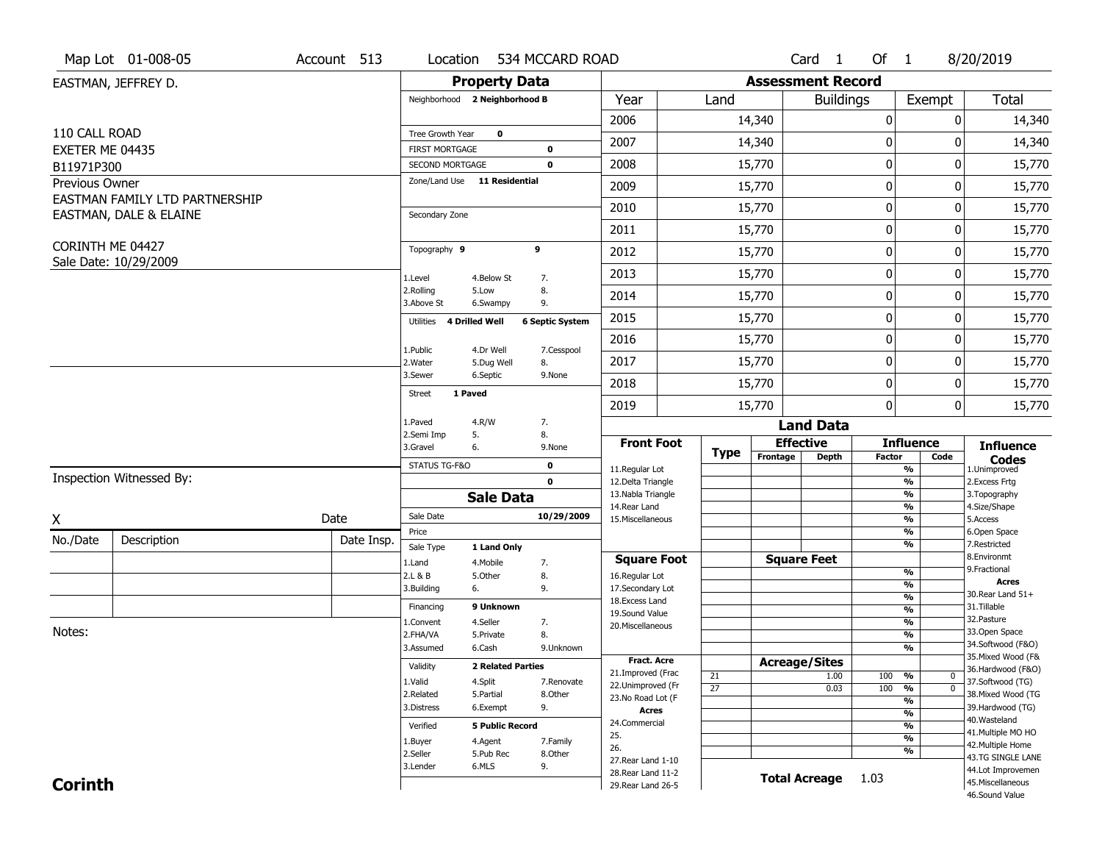|                  | Map Lot 01-008-05              | Account 513 | Location                           |                          | 534 MCCARD ROAD        |                                          |                 |                          | Card 1               | Of 1             |                                           | 8/20/2019                              |
|------------------|--------------------------------|-------------|------------------------------------|--------------------------|------------------------|------------------------------------------|-----------------|--------------------------|----------------------|------------------|-------------------------------------------|----------------------------------------|
|                  | EASTMAN, JEFFREY D.            |             |                                    | <b>Property Data</b>     |                        |                                          |                 | <b>Assessment Record</b> |                      |                  |                                           |                                        |
|                  |                                |             | Neighborhood 2 Neighborhood B      |                          |                        | Year                                     | Land            |                          | <b>Buildings</b>     |                  | Exempt                                    | <b>Total</b>                           |
|                  |                                |             |                                    |                          |                        | 2006                                     |                 | 14,340                   |                      | $\boldsymbol{0}$ | 0                                         | 14,340                                 |
| 110 CALL ROAD    |                                |             | Tree Growth Year                   | $\mathbf 0$              |                        | 2007                                     |                 | 14,340                   |                      | 0                | 0                                         | 14,340                                 |
| EXETER ME 04435  |                                |             | <b>FIRST MORTGAGE</b>              |                          | 0                      |                                          |                 |                          |                      |                  |                                           |                                        |
| B11971P300       |                                |             | SECOND MORTGAGE                    |                          | 0                      | 2008                                     |                 | 15,770                   |                      | $\mathbf 0$      | 0                                         | 15,770                                 |
| Previous Owner   | EASTMAN FAMILY LTD PARTNERSHIP |             | Zone/Land Use 11 Residential       |                          |                        | 2009                                     |                 | 15,770                   |                      | $\mathbf 0$      | 0                                         | 15,770                                 |
|                  | EASTMAN, DALE & ELAINE         |             | Secondary Zone                     |                          |                        | 2010                                     |                 | 15,770                   |                      | $\mathbf 0$      | 0                                         | 15,770                                 |
|                  |                                |             |                                    |                          |                        | 2011                                     |                 | 15,770                   |                      | $\boldsymbol{0}$ | 0                                         | 15,770                                 |
| CORINTH ME 04427 |                                |             | Topography 9                       |                          | 9                      | 2012                                     |                 | 15,770                   |                      | $\boldsymbol{0}$ | 0                                         | 15,770                                 |
|                  | Sale Date: 10/29/2009          |             | 1.Level                            | 4.Below St               | 7.                     | 2013                                     |                 | 15,770                   |                      | $\mathbf 0$      | 0                                         | 15,770                                 |
|                  |                                |             | 2.Rolling<br>3.Above St            | 5.Low<br>6.Swampy        | 8.<br>9.               | 2014                                     |                 | 15,770                   |                      | $\mathbf 0$      | 0                                         | 15,770                                 |
|                  |                                |             | 4 Drilled Well<br>Utilities        |                          | <b>6 Septic System</b> | 2015                                     |                 | 15,770                   |                      | $\boldsymbol{0}$ | 0                                         | 15,770                                 |
|                  |                                |             |                                    |                          |                        | 2016                                     |                 | 15,770                   |                      | $\mathbf 0$      | 0                                         | 15,770                                 |
|                  |                                |             | 1.Public<br>2. Water               | 4.Dr Well<br>5.Dug Well  | 7.Cesspool<br>8.       | 2017                                     |                 | 15,770                   |                      | $\mathbf 0$      | 0                                         | 15,770                                 |
|                  |                                |             | 3.Sewer                            | 6.Septic                 | 9.None                 | 2018                                     |                 | 15,770                   |                      | $\mathbf 0$      | 0                                         | 15,770                                 |
|                  |                                |             | 1 Paved<br>Street                  |                          |                        | 2019                                     |                 | 15,770                   |                      | $\mathbf 0$      | 0                                         | 15,770                                 |
|                  |                                |             | 1.Paved                            | 4.R/W                    | 7.                     |                                          |                 |                          | <b>Land Data</b>     |                  |                                           |                                        |
|                  |                                |             | 2.Semi Imp<br>5.<br>3.Gravel<br>6. |                          | 8.<br>9.None           | <b>Front Foot</b>                        |                 |                          | <b>Effective</b>     |                  | <b>Influence</b>                          | <b>Influence</b>                       |
|                  |                                |             | STATUS TG-F&O                      |                          | $\mathbf 0$            |                                          | <b>Type</b>     | Frontage                 | <b>Depth</b>         | <b>Factor</b>    | Code                                      | <b>Codes</b>                           |
|                  | Inspection Witnessed By:       |             |                                    |                          | $\mathbf{0}$           | 11.Regular Lot<br>12.Delta Triangle      |                 |                          |                      |                  | %<br>$\frac{9}{6}$                        | 1.Unimproved<br>2.Excess Frtg          |
|                  |                                |             |                                    | <b>Sale Data</b>         |                        | 13. Nabla Triangle                       |                 |                          |                      |                  | %                                         | 3. Topography                          |
| X                |                                | Date        | Sale Date                          |                          | 10/29/2009             | 14. Rear Land<br>15. Miscellaneous       |                 |                          |                      |                  | %<br>%                                    | 4.Size/Shape<br>5.Access               |
|                  |                                |             | Price                              |                          |                        |                                          |                 |                          |                      |                  | %                                         | 6.Open Space                           |
| No./Date         | Description                    | Date Insp.  | Sale Type                          | 1 Land Only              |                        |                                          |                 |                          |                      |                  | %                                         | 7.Restricted<br>8.Environmt            |
|                  |                                |             | 1.Land                             | 4. Mobile                | 7.                     | <b>Square Foot</b>                       |                 |                          | <b>Square Feet</b>   |                  | $\frac{9}{6}$                             | 9. Fractional                          |
|                  |                                |             | 2.L & B<br>3.Building<br>6.        | 5.0ther                  | 8.<br>9.               | 16.Regular Lot<br>17.Secondary Lot       |                 |                          |                      |                  | $\frac{9}{6}$                             | <b>Acres</b>                           |
|                  |                                |             | Financing                          | 9 Unknown                |                        | 18. Excess Land                          |                 |                          |                      |                  | $\frac{9}{6}$                             | 30. Rear Land 51+<br>31.Tillable       |
|                  |                                |             | 1.Convent                          | 4.Seller                 | 7.                     | 19.Sound Value                           |                 |                          |                      |                  | $\overline{\frac{9}{6}}$<br>$\frac{9}{6}$ | 32. Pasture                            |
| Notes:           |                                |             | 2.FHA/VA                           | 5.Private                | 8.                     | 20.Miscellaneous                         |                 |                          |                      |                  | $\frac{9}{6}$                             | 33.Open Space                          |
|                  |                                |             | 3.Assumed                          | 6.Cash                   | 9.Unknown              |                                          |                 |                          |                      |                  | %                                         | 34.Softwood (F&O)                      |
|                  |                                |             | Validity                           | <b>2 Related Parties</b> |                        | <b>Fract, Acre</b>                       |                 |                          | <b>Acreage/Sites</b> |                  |                                           | 35. Mixed Wood (F&                     |
|                  |                                |             | 1.Valid                            | 4.Split                  | 7.Renovate             | 21.Improved (Frac                        | 21              |                          | 1.00                 | 100              | %<br>$\bm{0}$                             | 36.Hardwood (F&O)<br>37.Softwood (TG)  |
|                  |                                |             | 2.Related                          | 5.Partial                | 8.Other                | 22.Unimproved (Fr<br>23.No Road Lot (F   | $\overline{27}$ |                          | 0.03                 | 100              | $\overline{0}$<br>%                       | 38. Mixed Wood (TG                     |
|                  |                                |             | 3.Distress                         | 6.Exempt                 | 9.                     | <b>Acres</b>                             |                 |                          |                      |                  | %                                         | 39.Hardwood (TG)                       |
|                  |                                |             | Verified                           | <b>5 Public Record</b>   |                        | 24.Commercial                            |                 |                          |                      |                  | $\frac{9}{6}$<br>%                        | 40. Wasteland                          |
|                  |                                |             |                                    |                          |                        | 25.                                      |                 |                          |                      |                  | $\frac{9}{6}$                             | 41. Multiple MO HO                     |
|                  |                                |             | 1.Buyer<br>2.Seller                | 4.Agent<br>5.Pub Rec     | 7.Family<br>8.Other    | 26.                                      |                 |                          |                      |                  | %                                         | 42. Multiple Home                      |
|                  |                                |             | 3.Lender                           | 6.MLS                    | 9.                     | 27. Rear Land 1-10                       |                 |                          |                      |                  |                                           | 43.TG SINGLE LANE<br>44.Lot Improvemen |
|                  |                                |             |                                    |                          |                        |                                          |                 |                          |                      |                  |                                           |                                        |
| <b>Corinth</b>   |                                |             |                                    |                          |                        | 28. Rear Land 11-2<br>29. Rear Land 26-5 |                 |                          | <b>Total Acreage</b> | 1.03             |                                           | 45. Miscellaneous                      |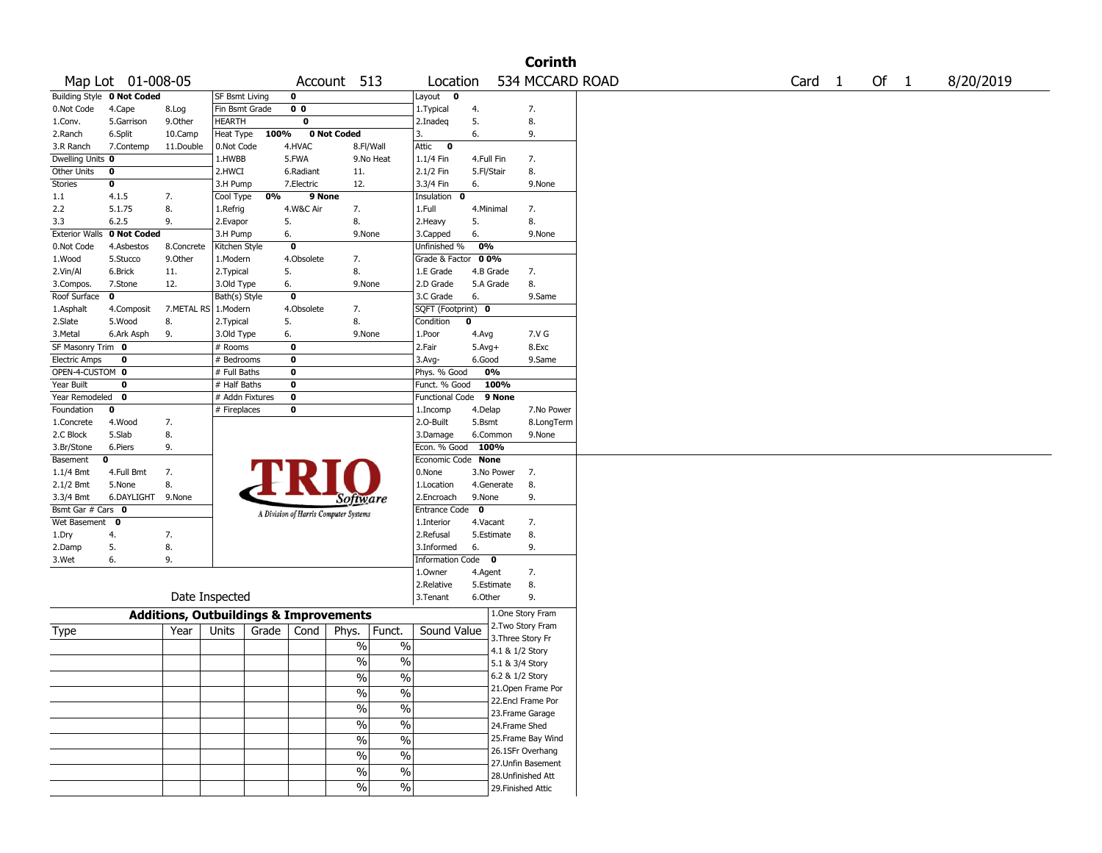|                      |                            |                                                   |                 |       |                |                                       |                          |                        |             |                    | <b>Corinth</b>     |                   |      |           |
|----------------------|----------------------------|---------------------------------------------------|-----------------|-------|----------------|---------------------------------------|--------------------------|------------------------|-------------|--------------------|--------------------|-------------------|------|-----------|
|                      | Map Lot 01-008-05          |                                                   |                 |       |                | Account 513                           |                          | Location               |             |                    | 534 MCCARD ROAD    | Card <sub>1</sub> | Of 1 | 8/20/2019 |
|                      | Building Style 0 Not Coded |                                                   | SF Bsmt Living  |       | 0              |                                       |                          | Layout 0               |             |                    |                    |                   |      |           |
| 0.Not Code           | 4.Cape                     | 8.Log                                             | Fin Bsmt Grade  |       | 0 <sub>0</sub> |                                       |                          | 1.Typical              | 4.          |                    | 7.                 |                   |      |           |
| 1.Conv.              | 5.Garrison                 | 9.Other                                           | <b>HEARTH</b>   |       | 0              |                                       |                          | 2.Inadeq               | 5.          |                    | 8.                 |                   |      |           |
| 2.Ranch              | 6.Split                    | 10.Camp                                           | Heat Type       | 100%  |                | 0 Not Coded                           |                          | 3.                     | 6.          |                    | 9.                 |                   |      |           |
| 3.R Ranch            | 7.Contemp                  | 11.Double                                         | 0.Not Code      |       | 4.HVAC         | 8.Fl/Wall                             |                          | $\bullet$<br>Attic     |             |                    |                    |                   |      |           |
| Dwelling Units 0     |                            |                                                   | 1.HWBB          |       | 5.FWA          |                                       | 9.No Heat                | 1.1/4 Fin              | 4.Full Fin  |                    | 7.                 |                   |      |           |
| Other Units          | 0                          |                                                   | 2.HWCI          |       | 6.Radiant      | 11.                                   |                          | 2.1/2 Fin              | 5.Fl/Stair  |                    | 8.                 |                   |      |           |
| <b>Stories</b>       | 0                          |                                                   | 3.H Pump        |       | 7.Electric     | 12.                                   |                          | 3.3/4 Fin              | 6.          |                    | 9.None             |                   |      |           |
| 1.1                  | 4.1.5                      | 7.                                                | Cool Type       | 0%    | 9 None         |                                       |                          | Insulation 0           |             |                    |                    |                   |      |           |
| 2.2                  | 5.1.75                     | 8.                                                | 1.Refrig        |       | 4.W&C Air      | 7.                                    |                          | 1.Full                 | 4.Minimal   |                    | 7.                 |                   |      |           |
| 3.3                  | 6.2.5                      | 9.                                                | 2.Evapor        |       | 5.             | 8.                                    |                          | 2. Heavy               | 5.          |                    | 8.                 |                   |      |           |
|                      | Exterior Walls 0 Not Coded |                                                   | 3.H Pump        |       | 6.             | 9.None                                |                          | 3.Capped               | 6.          |                    | 9.None             |                   |      |           |
| 0.Not Code           | 4.Asbestos                 | 8.Concrete                                        | Kitchen Style   |       | 0              |                                       |                          | Unfinished %           | 0%          |                    |                    |                   |      |           |
| 1.Wood               | 5.Stucco                   | 9.0ther                                           | 1.Modern        |       | 4.Obsolete     | 7.                                    |                          | Grade & Factor         | 00%         |                    |                    |                   |      |           |
| 2.Vin/Al             | 6.Brick                    | 11.                                               | 2.Typical       |       | 5.             | 8.                                    |                          | 1.E Grade              | 4.B Grade   |                    | 7.                 |                   |      |           |
| 3.Compos.            | 7.Stone                    | 12.                                               | 3.Old Type      |       | 6.             | 9.None                                |                          | 2.D Grade              |             | 5.A Grade          | 8.                 |                   |      |           |
| Roof Surface         | 0                          |                                                   | Bath(s) Style   |       | 0              |                                       |                          | 3.C Grade              | 6.          |                    | 9.Same             |                   |      |           |
| 1.Asphalt            | 4.Composit                 | 7.METAL RS                                        | 1.Modern        |       | 4.Obsolete     | 7.                                    |                          | SQFT (Footprint) 0     |             |                    |                    |                   |      |           |
| 2.Slate              | 5.Wood                     | 8.                                                | 2. Typical      |       | 5.             | 8.                                    |                          | Condition              | $\bf{0}$    |                    |                    |                   |      |           |
| 3.Metal              | 6.Ark Asph                 | 9.                                                | 3.Old Type      |       | 6.             | 9.None                                |                          | 1.Poor                 | 4.Avg       |                    | 7.V G              |                   |      |           |
| SF Masonry Trim 0    |                            |                                                   | # Rooms         |       | $\bf o$        |                                       |                          | 2.Fair                 | $5.Avg+$    |                    | 8.Exc              |                   |      |           |
| <b>Electric Amps</b> | 0                          |                                                   | # Bedrooms      |       | 0              |                                       |                          | 3.Avg-                 | 6.Good      |                    | 9.Same             |                   |      |           |
| OPEN-4-CUSTOM 0      |                            |                                                   | # Full Baths    |       | 0              |                                       |                          | Phys. % Good           |             | 0%                 |                    |                   |      |           |
| Year Built           | 0                          |                                                   | $#$ Half Baths  |       | 0              |                                       |                          | Funct. % Good          |             | 100%               |                    |                   |      |           |
| Year Remodeled       | 0                          |                                                   | # Addn Fixtures |       | 0              |                                       |                          | <b>Functional Code</b> |             | 9 None             |                    |                   |      |           |
| Foundation           | 0                          |                                                   | # Fireplaces    |       | 0              |                                       |                          | 1.Incomp               | 4.Delap     |                    | 7.No Power         |                   |      |           |
| 1.Concrete           | 4.Wood                     | 7.                                                |                 |       |                |                                       |                          | 2.0-Built              | 5.Bsmt      |                    | 8.LongTerm         |                   |      |           |
| 2.C Block            | 5.Slab                     | 8.                                                |                 |       |                |                                       |                          | 3.Damage               |             | 6.Common           | 9.None             |                   |      |           |
| 3.Br/Stone           | 6.Piers                    | 9.                                                |                 |       |                |                                       |                          | Econ. % Good 100%      |             |                    |                    |                   |      |           |
| Basement             | 0                          |                                                   |                 |       |                |                                       |                          | Economic Code None     |             |                    |                    |                   |      |           |
| 1.1/4 Bmt            | 4.Full Bmt                 | 7.                                                |                 |       |                |                                       |                          | 0.None                 |             | 3.No Power         | 7.                 |                   |      |           |
| 2.1/2 Bmt            | 5.None                     | 8.                                                |                 |       |                |                                       |                          | 1.Location             |             | 4.Generate         | 8.                 |                   |      |           |
| 3.3/4 Bmt            | 6.DAYLIGHT                 | 9.None                                            |                 |       |                | Software                              |                          | 2.Encroach             | 9.None      |                    | 9.                 |                   |      |           |
| Bsmt Gar # Cars 0    |                            |                                                   |                 |       |                |                                       |                          | Entrance Code          | $\mathbf 0$ |                    |                    |                   |      |           |
| Wet Basement         | $\mathbf{0}$               |                                                   |                 |       |                | A Division of Harris Computer Systems |                          | 1.Interior             | 4.Vacant    |                    | 7.                 |                   |      |           |
| 1.Dry                | 4.                         | 7.                                                |                 |       |                |                                       |                          | 2.Refusal              |             | 5.Estimate         | 8.                 |                   |      |           |
| 2.Damp               | 5.                         | 8.                                                |                 |       |                |                                       |                          | 3.Informed             | 6.          |                    | 9.                 |                   |      |           |
| 3.Wet                | 6.                         | 9.                                                |                 |       |                |                                       |                          | Information Code 0     |             |                    |                    |                   |      |           |
|                      |                            |                                                   |                 |       |                |                                       |                          | 1.0wner                | 4.Agent     |                    | 7.                 |                   |      |           |
|                      |                            |                                                   |                 |       |                |                                       |                          | 2.Relative             |             | 5.Estimate         | 8.                 |                   |      |           |
|                      |                            |                                                   | Date Inspected  |       |                |                                       |                          | 3.Tenant               | 6.Other     |                    | 9.                 |                   |      |           |
|                      |                            | <b>Additions, Outbuildings &amp; Improvements</b> |                 |       |                |                                       |                          |                        |             |                    | 1.One Story Fram   |                   |      |           |
| Type                 |                            | Year                                              | Units           | Grade | Cond           | Phys.                                 | Funct.                   | Sound Value            |             |                    | 2. Two Story Fram  |                   |      |           |
|                      |                            |                                                   |                 |       |                |                                       |                          |                        |             | 3. Three Story Fr  |                    |                   |      |           |
|                      |                            |                                                   |                 |       |                | %                                     | $\%$                     |                        |             | 4.1 & 1/2 Story    |                    |                   |      |           |
|                      |                            |                                                   |                 |       |                | $\%$                                  | $\%$                     |                        |             | 5.1 & 3/4 Story    |                    |                   |      |           |
|                      |                            |                                                   |                 |       |                | $\%$                                  | $\%$                     |                        |             | 6.2 & 1/2 Story    |                    |                   |      |           |
|                      |                            |                                                   |                 |       |                |                                       |                          |                        |             |                    | 21.Open Frame Por  |                   |      |           |
|                      |                            |                                                   |                 |       |                | $\sqrt{20}$                           | $\%$                     |                        |             |                    | 22.Encl Frame Por  |                   |      |           |
|                      |                            |                                                   |                 |       |                | $\sqrt{96}$                           | $\%$                     |                        |             |                    | 23. Frame Garage   |                   |      |           |
|                      |                            |                                                   |                 |       |                | $\sqrt{6}$                            | $\overline{\frac{0}{0}}$ |                        |             | 24.Frame Shed      |                    |                   |      |           |
|                      |                            |                                                   |                 |       |                | $\sqrt{6}$                            | $\overline{\frac{0}{6}}$ |                        |             |                    | 25. Frame Bay Wind |                   |      |           |
|                      |                            |                                                   |                 |       |                |                                       |                          |                        |             |                    | 26.1SFr Overhang   |                   |      |           |
|                      |                            |                                                   |                 |       |                | $\frac{9}{6}$                         | $\%$                     |                        |             |                    | 27.Unfin Basement  |                   |      |           |
|                      |                            |                                                   |                 |       |                | %                                     | $\%$                     |                        |             |                    | 28.Unfinished Att  |                   |      |           |
|                      |                            |                                                   |                 |       |                | $\frac{9}{6}$                         | $\%$                     |                        |             |                    |                    |                   |      |           |
|                      |                            |                                                   |                 |       |                |                                       |                          |                        |             | 29. Finished Attic |                    |                   |      |           |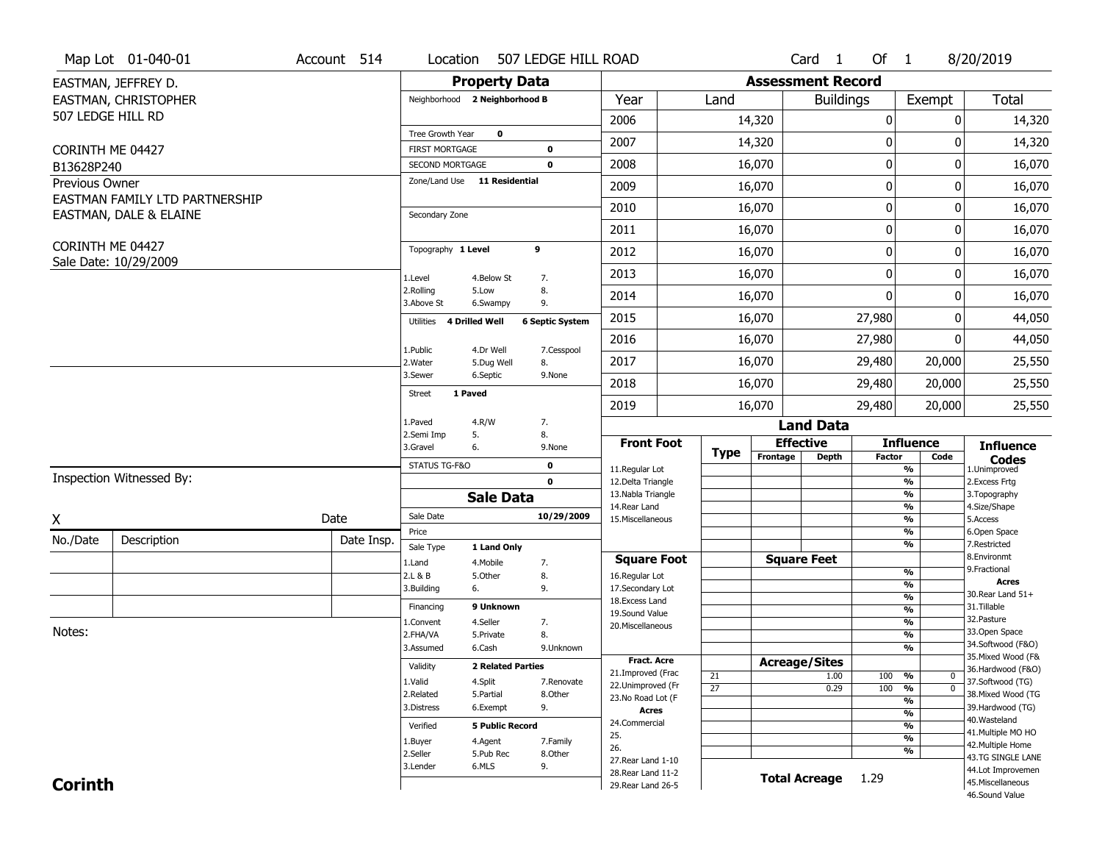|                   | Map Lot 01-040-01              | Account 514 | Location                           | 507 LEDGE HILL ROAD      |                        |                                          |                 |          | Card <sub>1</sub>        | Of $1$        |                                      | 8/20/2019                               |
|-------------------|--------------------------------|-------------|------------------------------------|--------------------------|------------------------|------------------------------------------|-----------------|----------|--------------------------|---------------|--------------------------------------|-----------------------------------------|
|                   | EASTMAN, JEFFREY D.            |             |                                    | <b>Property Data</b>     |                        |                                          |                 |          | <b>Assessment Record</b> |               |                                      |                                         |
|                   | EASTMAN, CHRISTOPHER           |             | Neighborhood 2 Neighborhood B      |                          |                        | Year                                     | Land            |          | <b>Buildings</b>         |               | Exempt                               | <b>Total</b>                            |
| 507 LEDGE HILL RD |                                |             |                                    |                          |                        | 2006                                     |                 | 14,320   |                          | 0             | 0                                    | 14,320                                  |
|                   |                                |             | Tree Growth Year                   | $\mathbf 0$              |                        | 2007                                     |                 | 14,320   |                          | 0             | 0                                    | 14,320                                  |
| CORINTH ME 04427  |                                |             | <b>FIRST MORTGAGE</b>              |                          | $\mathbf 0$            |                                          |                 |          |                          |               |                                      |                                         |
| B13628P240        |                                |             | <b>SECOND MORTGAGE</b>             |                          | $\mathbf 0$            | 2008                                     |                 | 16,070   |                          | $\pmb{0}$     | 0                                    | 16,070                                  |
| Previous Owner    | EASTMAN FAMILY LTD PARTNERSHIP |             | Zone/Land Use 11 Residential       |                          |                        | 2009                                     |                 | 16,070   |                          | 0             | $\Omega$                             | 16,070                                  |
|                   | EASTMAN, DALE & ELAINE         |             | Secondary Zone                     |                          |                        | 2010                                     |                 | 16,070   |                          | 0             | 0                                    | 16,070                                  |
|                   |                                |             |                                    |                          |                        | 2011                                     |                 | 16,070   |                          | 0             | 0                                    | 16,070                                  |
| CORINTH ME 04427  |                                |             | Topography 1 Level                 |                          | 9                      | 2012                                     |                 | 16,070   |                          | $\pmb{0}$     | 0                                    | 16,070                                  |
|                   | Sale Date: 10/29/2009          |             | 1.Level                            | 4.Below St               | 7.                     | 2013                                     |                 | 16,070   |                          | 0             | 0                                    | 16,070                                  |
|                   |                                |             | 2.Rolling<br>3.Above St            | 5.Low<br>6.Swampy        | 8.<br>9.               | 2014                                     |                 | 16,070   |                          | $\Omega$      | 0                                    | 16,070                                  |
|                   |                                |             | <b>4 Drilled Well</b><br>Utilities |                          | <b>6 Septic System</b> | 2015                                     |                 | 16,070   |                          | 27,980        | 0                                    | 44,050                                  |
|                   |                                |             |                                    |                          |                        | 2016                                     |                 | 16,070   |                          | 27,980        | 0                                    | 44,050                                  |
|                   |                                |             | 1.Public<br>2. Water               | 4.Dr Well<br>5.Dug Well  | 7.Cesspool<br>8.       | 2017                                     |                 | 16,070   |                          | 29,480        | 20,000                               | 25,550                                  |
|                   |                                |             | 3.Sewer                            | 6.Septic                 | 9.None                 | 2018                                     |                 | 16,070   |                          | 29,480        | 20,000                               | 25,550                                  |
|                   |                                |             | 1 Paved<br>Street                  |                          |                        | 2019                                     |                 | 16,070   |                          | 29,480        | 20,000                               | 25,550                                  |
|                   |                                |             | 1.Paved                            | 4.R/W                    | 7.                     |                                          |                 |          | <b>Land Data</b>         |               |                                      |                                         |
|                   |                                |             | 2.Semi Imp<br>5.<br>3.Gravel<br>6. |                          | 8.<br>9.None           | <b>Front Foot</b>                        |                 |          | <b>Effective</b>         |               | <b>Influence</b>                     | <b>Influence</b>                        |
|                   |                                |             | STATUS TG-F&O                      |                          | $\mathbf 0$            |                                          | <b>Type</b>     | Frontage | <b>Depth</b>             | <b>Factor</b> | Code                                 | <b>Codes</b>                            |
|                   | Inspection Witnessed By:       |             |                                    |                          | $\mathbf 0$            | 11.Regular Lot<br>12.Delta Triangle      |                 |          |                          |               | %<br>%                               | 1.Unimproved<br>2. Excess Frtg          |
|                   |                                |             |                                    |                          |                        |                                          |                 |          |                          |               |                                      | 3. Topography                           |
|                   |                                |             |                                    |                          |                        | 13. Nabla Triangle                       |                 |          |                          |               | %                                    |                                         |
|                   |                                |             | Sale Date                          | <b>Sale Data</b>         | 10/29/2009             | 14.Rear Land                             |                 |          |                          |               | %                                    | 4.Size/Shape                            |
| X                 |                                | Date        | Price                              |                          |                        | 15. Miscellaneous                        |                 |          |                          |               | $\frac{9}{6}$<br>%                   | 5.Access<br>6.Open Space                |
| No./Date          | Description                    | Date Insp.  | Sale Type                          | 1 Land Only              |                        |                                          |                 |          |                          |               | %                                    | 7.Restricted                            |
|                   |                                |             | 1.Land                             | 4. Mobile                | 7.                     | <b>Square Foot</b>                       |                 |          | <b>Square Feet</b>       |               |                                      | 8.Environmt                             |
|                   |                                |             | 2.L & B                            | 5.Other                  | 8.                     | 16.Regular Lot                           |                 |          |                          |               | $\frac{9}{6}$                        | 9. Fractional<br><b>Acres</b>           |
|                   |                                |             | 3.Building                         | 6.                       | 9.                     | 17.Secondary Lot<br>18.Excess Land       |                 |          |                          |               | $\frac{9}{6}$<br>$\frac{9}{6}$       | 30. Rear Land 51+                       |
|                   |                                |             | Financing                          | 9 Unknown                |                        | 19.Sound Value                           |                 |          |                          |               | $\frac{9}{6}$                        | 31.Tillable                             |
|                   |                                |             | 1.Convent                          | 4.Seller                 | 7.                     | 20.Miscellaneous                         |                 |          |                          |               | $\frac{9}{6}$                        | 32.Pasture                              |
| Notes:            |                                |             | 2.FHA/VA                           | 5.Private                | 8.                     |                                          |                 |          |                          |               | $\frac{9}{6}$                        | 33.Open Space                           |
|                   |                                |             | 3.Assumed                          | 6.Cash                   | 9.Unknown              |                                          |                 |          |                          |               | $\frac{9}{6}$                        | 34.Softwood (F&O)<br>35. Mixed Wood (F& |
|                   |                                |             | Validity                           | <b>2 Related Parties</b> |                        | <b>Fract, Acre</b>                       |                 |          | <b>Acreage/Sites</b>     |               |                                      | 36.Hardwood (F&O)                       |
|                   |                                |             | 1.Valid                            | 4.Split                  | 7.Renovate             | 21.Improved (Frac<br>22.Unimproved (Fr   | 21              |          | 1.00                     | 100           | %<br>0                               | 37.Softwood (TG)                        |
|                   |                                |             | 2.Related                          | 5.Partial                | 8.Other                | 23. No Road Lot (F                       | $\overline{27}$ |          | 0.29                     | 100           | $\overline{0}$<br>%<br>$\frac{9}{6}$ | 38. Mixed Wood (TG                      |
|                   |                                |             | 3.Distress                         | 6.Exempt                 | 9.                     | <b>Acres</b>                             |                 |          |                          |               | $\frac{9}{6}$                        | 39.Hardwood (TG)                        |
|                   |                                |             | Verified                           | <b>5 Public Record</b>   |                        | 24.Commercial                            |                 |          |                          |               | $\frac{9}{6}$                        | 40. Wasteland                           |
|                   |                                |             | 1.Buyer                            | 4.Agent                  | 7.Family               | 25.                                      |                 |          |                          |               | $\frac{9}{6}$                        | 41. Multiple MO HO<br>42. Multiple Home |
|                   |                                |             | 2.Seller                           | 5.Pub Rec                | 8.Other                | 26.                                      |                 |          |                          |               | %                                    | 43.TG SINGLE LANE                       |
|                   |                                |             | 3.Lender                           | 6.MLS                    | 9.                     | 27. Rear Land 1-10<br>28. Rear Land 11-2 |                 |          |                          |               |                                      | 44.Lot Improvemen                       |
| <b>Corinth</b>    |                                |             |                                    |                          |                        | 29. Rear Land 26-5                       |                 |          | <b>Total Acreage</b>     | 1.29          |                                      | 45. Miscellaneous<br>46.Sound Value     |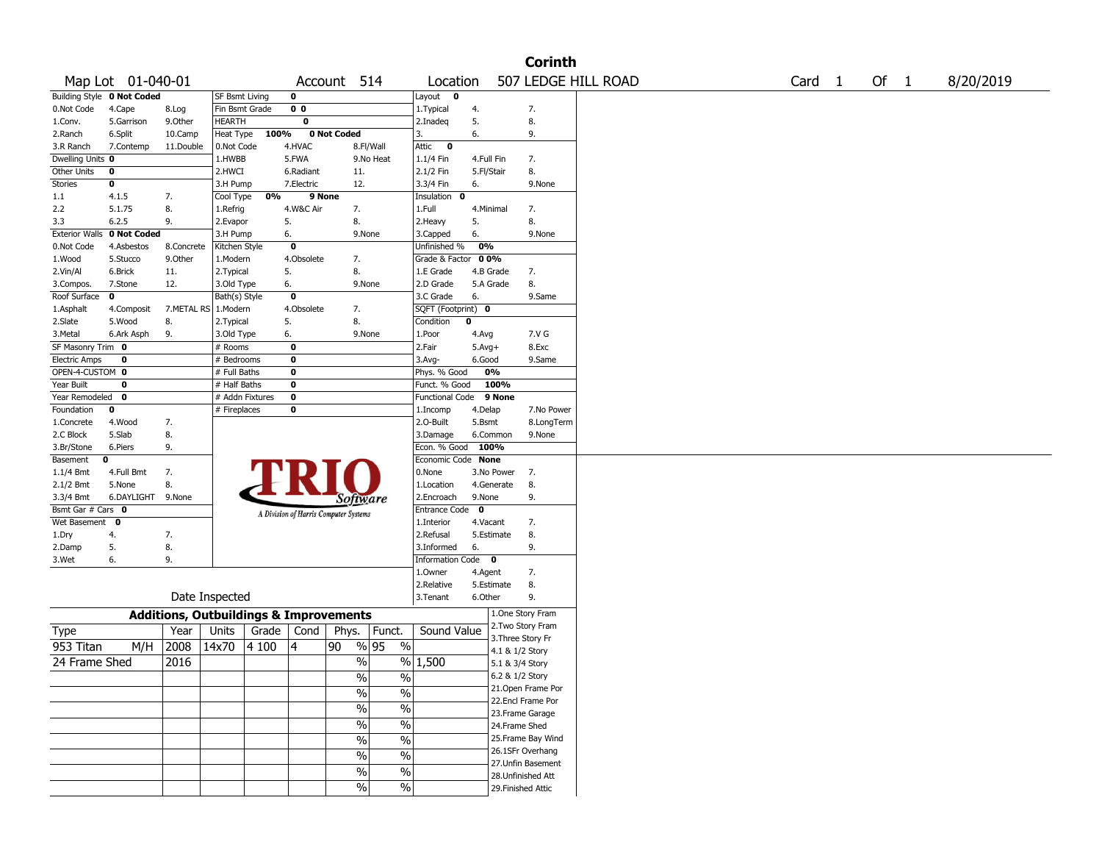|                       |                                   |                                                   |                 |       |                |                                       |                          |                       |             |                    | <b>Corinth</b>     |                     |        |      |           |
|-----------------------|-----------------------------------|---------------------------------------------------|-----------------|-------|----------------|---------------------------------------|--------------------------|-----------------------|-------------|--------------------|--------------------|---------------------|--------|------|-----------|
|                       | Map Lot 01-040-01                 |                                                   |                 |       |                | Account 514                           |                          | Location              |             |                    |                    | 507 LEDGE HILL ROAD | Card 1 | Of 1 | 8/20/2019 |
|                       | <b>Building Style 0 Not Coded</b> |                                                   | SF Bsmt Living  |       | $\mathbf 0$    |                                       |                          | Layout<br>$\mathbf 0$ |             |                    |                    |                     |        |      |           |
| 0.Not Code            | 4.Cape                            | 8.Log                                             | Fin Bsmt Grade  |       | 0 <sub>0</sub> |                                       |                          | 1. Typical            | 4.          |                    | 7.                 |                     |        |      |           |
| 1.Conv.               | 5.Garrison                        | 9.0ther                                           | HEARTH          |       | 0              |                                       |                          | 2.Inadeq              | 5.          |                    | 8.                 |                     |        |      |           |
| 2.Ranch               | 6.Split                           | 10.Camp                                           | Heat Type       | 100%  |                | 0 Not Coded                           |                          | 3.                    | 6.          |                    | 9.                 |                     |        |      |           |
| 3.R Ranch             | 7.Contemp                         | 11.Double                                         | 0.Not Code      |       | 4.HVAC         |                                       | 8.Fl/Wall                | Attic<br>$\mathbf 0$  |             |                    |                    |                     |        |      |           |
| Dwelling Units 0      |                                   |                                                   | 1.HWBB          |       | 5.FWA          |                                       | 9.No Heat                | 1.1/4 Fin             | 4.Full Fin  |                    | 7.                 |                     |        |      |           |
| Other Units           | 0                                 |                                                   | 2.HWCI          |       | 6.Radiant      | 11.                                   |                          | 2.1/2 Fin             | 5.Fl/Stair  |                    | 8.                 |                     |        |      |           |
| Stories               | 0                                 |                                                   | 3.H Pump        |       | 7.Electric     | 12.                                   |                          | 3.3/4 Fin             | 6.          |                    | 9.None             |                     |        |      |           |
| 1.1                   | 4.1.5                             | 7.                                                | Cool Type       | 0%    | 9 None         |                                       |                          | Insulation<br>0       |             |                    |                    |                     |        |      |           |
| 2.2                   | 5.1.75                            | 8.                                                | 1.Refrig        |       | 4.W&C Air      | 7.                                    |                          | 1.Full                | 4.Minimal   |                    | 7.                 |                     |        |      |           |
| 3.3                   | 6.2.5                             | 9.                                                | 2.Evapor        |       | 5.             | 8.                                    |                          | 2.Heavy               | 5.          |                    | 8.                 |                     |        |      |           |
| <b>Exterior Walls</b> | 0 Not Coded                       |                                                   | 3.H Pump        |       | 6.             |                                       | 9.None                   | 3.Capped              | 6.          |                    | 9.None             |                     |        |      |           |
| 0.Not Code            | 4.Asbestos                        | 8.Concrete                                        | Kitchen Style   |       | $\mathbf 0$    |                                       |                          | Unfinished %          | 0%          |                    |                    |                     |        |      |           |
| 1.Wood                | 5.Stucco                          | 9.Other                                           | 1.Modern        |       | 4.Obsolete     | 7.                                    |                          | Grade & Factor        | 00%         |                    |                    |                     |        |      |           |
| 2.Vin/Al              | 6.Brick                           | 11.                                               | 2. Typical      |       | 5.             | 8.                                    |                          | 1.E Grade             | 4.B Grade   |                    | 7.                 |                     |        |      |           |
| 3.Compos.             | 7.Stone                           | 12.                                               | 3.Old Type      |       | 6.             |                                       | 9.None                   | 2.D Grade             | 5.A Grade   |                    | 8.                 |                     |        |      |           |
| Roof Surface          | 0                                 |                                                   | Bath(s) Style   |       | $\mathbf 0$    |                                       |                          | 3.C Grade             | 6.          |                    | 9.Same             |                     |        |      |           |
| 1.Asphalt             | 4.Composit                        | 7.METAL RS   1.Modern                             |                 |       | 4.Obsolete     | 7.                                    |                          | SQFT (Footprint) 0    |             |                    |                    |                     |        |      |           |
| 2.Slate               | 5.Wood                            | 8.                                                | 2. Typical      |       | 5.             | 8.                                    |                          | Condition             | $\mathbf 0$ |                    |                    |                     |        |      |           |
| 3.Metal               | 6.Ark Asph                        | 9.                                                | 3.Old Type      |       | 6.             |                                       | 9.None                   | 1.Poor                | 4.Avg       |                    | 7.V G              |                     |        |      |           |
| SF Masonry Trim 0     |                                   |                                                   | # Rooms         |       | 0              |                                       |                          | 2.Fair                | $5.Avg+$    |                    | 8.Exc              |                     |        |      |           |
| <b>Electric Amps</b>  | 0                                 |                                                   | # Bedrooms      |       | 0              |                                       |                          | $3.$ Avg-             | 6.Good      |                    | 9.Same             |                     |        |      |           |
| OPEN-4-CUSTOM 0       |                                   |                                                   | # Full Baths    |       | $\bf{0}$       |                                       |                          | Phys. % Good          |             | 0%                 |                    |                     |        |      |           |
| Year Built            | 0                                 |                                                   | # Half Baths    |       | $\bf{0}$       |                                       |                          | Funct. % Good         |             | 100%               |                    |                     |        |      |           |
| Year Remodeled        | 0                                 |                                                   | # Addn Fixtures |       | $\bf o$        |                                       |                          | Functional Code       |             | 9 None             |                    |                     |        |      |           |
| Foundation            | 0                                 |                                                   | # Fireplaces    |       | $\bf{0}$       |                                       |                          | 1.Incomp              | 4.Delap     |                    | 7.No Power         |                     |        |      |           |
| 1.Concrete            | 4.Wood                            | 7.                                                |                 |       |                |                                       |                          | 2.O-Built             | 5.Bsmt      |                    | 8.LongTerm         |                     |        |      |           |
| 2.C Block             | 5.Slab                            | 8.                                                |                 |       |                |                                       |                          | 3.Damage              | 6.Common    |                    | 9.None             |                     |        |      |           |
| 3.Br/Stone            | 6.Piers                           | 9.                                                |                 |       |                |                                       |                          | Econ. % Good          | 100%        |                    |                    |                     |        |      |           |
| Basement              | 0                                 |                                                   |                 |       |                |                                       |                          | Economic Code None    |             |                    |                    |                     |        |      |           |
| 1.1/4 Bmt             | 4.Full Bmt                        | 7.                                                |                 |       |                |                                       |                          | 0.None                |             | 3.No Power         | 7.                 |                     |        |      |           |
| 2.1/2 Bmt             | 5.None                            | 8.                                                |                 |       |                |                                       |                          | 1.Location            |             | 4.Generate         | 8.                 |                     |        |      |           |
| 3.3/4 Bmt             | 6.DAYLIGHT 9.None                 |                                                   |                 |       |                | Software                              |                          | 2.Encroach            | 9.None      |                    | 9.                 |                     |        |      |           |
| Bsmt Gar # Cars 0     |                                   |                                                   |                 |       |                | A Division of Harris Computer Systems |                          | Entrance Code         | 0           |                    |                    |                     |        |      |           |
| Wet Basement          | $\mathbf 0$                       |                                                   |                 |       |                |                                       |                          | 1.Interior            | 4.Vacant    |                    | 7.                 |                     |        |      |           |
| 1.Dry                 | 4.                                | 7.                                                |                 |       |                |                                       |                          | 2.Refusal             | 5.Estimate  |                    | 8.                 |                     |        |      |           |
| 2.Damp                | 5.                                | 8.                                                |                 |       |                |                                       |                          | 3.Informed            | 6.          |                    | 9.                 |                     |        |      |           |
| 3.Wet                 | 6.                                | 9.                                                |                 |       |                |                                       |                          | Information Code 0    |             |                    |                    |                     |        |      |           |
|                       |                                   |                                                   |                 |       |                |                                       |                          | 1.Owner               | 4.Agent     |                    | 7.                 |                     |        |      |           |
|                       |                                   |                                                   |                 |       |                |                                       |                          | 2.Relative            | 5.Estimate  |                    | 8.                 |                     |        |      |           |
|                       |                                   |                                                   | Date Inspected  |       |                |                                       |                          | 3. Tenant             | 6.Other     |                    | 9.                 |                     |        |      |           |
|                       |                                   | <b>Additions, Outbuildings &amp; Improvements</b> |                 |       |                |                                       |                          |                       |             |                    | 1.One Story Fram   |                     |        |      |           |
| Type                  |                                   | Year                                              | Units           | Grade | Cond           | Phys.                                 | Funct.                   | Sound Value           |             |                    | 2. Two Story Fram  |                     |        |      |           |
| 953 Titan             | M/H                               | 2008                                              | 14x70           | 4 100 | 14             | 90                                    | % 95<br>$\%$             |                       |             | 3. Three Story Fr  |                    |                     |        |      |           |
|                       |                                   |                                                   |                 |       |                |                                       |                          |                       |             | 4.1 & 1/2 Story    |                    |                     |        |      |           |
| 24 Frame Shed         |                                   | 2016                                              |                 |       |                | $\%$                                  | %                        | 1,500                 |             | 5.1 & 3/4 Story    |                    |                     |        |      |           |
|                       |                                   |                                                   |                 |       |                | $\frac{0}{0}$                         | $\frac{0}{0}$            |                       |             | 6.2 & 1/2 Story    |                    |                     |        |      |           |
|                       |                                   |                                                   |                 |       |                | $\sqrt{6}$                            | $\%$                     |                       |             |                    | 21.Open Frame Por  |                     |        |      |           |
|                       |                                   |                                                   |                 |       |                | $\frac{0}{6}$                         | $\overline{\frac{0}{6}}$ |                       |             |                    | 22.Encl Frame Por  |                     |        |      |           |
|                       |                                   |                                                   |                 |       |                |                                       |                          |                       |             |                    | 23. Frame Garage   |                     |        |      |           |
|                       |                                   |                                                   |                 |       |                | $\sqrt{6}$                            | $\overline{\frac{0}{6}}$ |                       |             | 24.Frame Shed      |                    |                     |        |      |           |
|                       |                                   |                                                   |                 |       |                | $\frac{0}{6}$                         | $\overline{\frac{0}{6}}$ |                       |             |                    | 25. Frame Bay Wind |                     |        |      |           |
|                       |                                   |                                                   |                 |       |                | $\sqrt{6}$                            | $\%$                     |                       |             |                    | 26.1SFr Overhang   |                     |        |      |           |
|                       |                                   |                                                   |                 |       |                |                                       |                          |                       |             |                    | 27.Unfin Basement  |                     |        |      |           |
|                       |                                   |                                                   |                 |       |                | $\%$                                  | $\%$                     |                       |             |                    | 28. Unfinished Att |                     |        |      |           |
|                       |                                   |                                                   |                 |       |                | $\sqrt{6}$                            | $\%$                     |                       |             | 29. Finished Attic |                    |                     |        |      |           |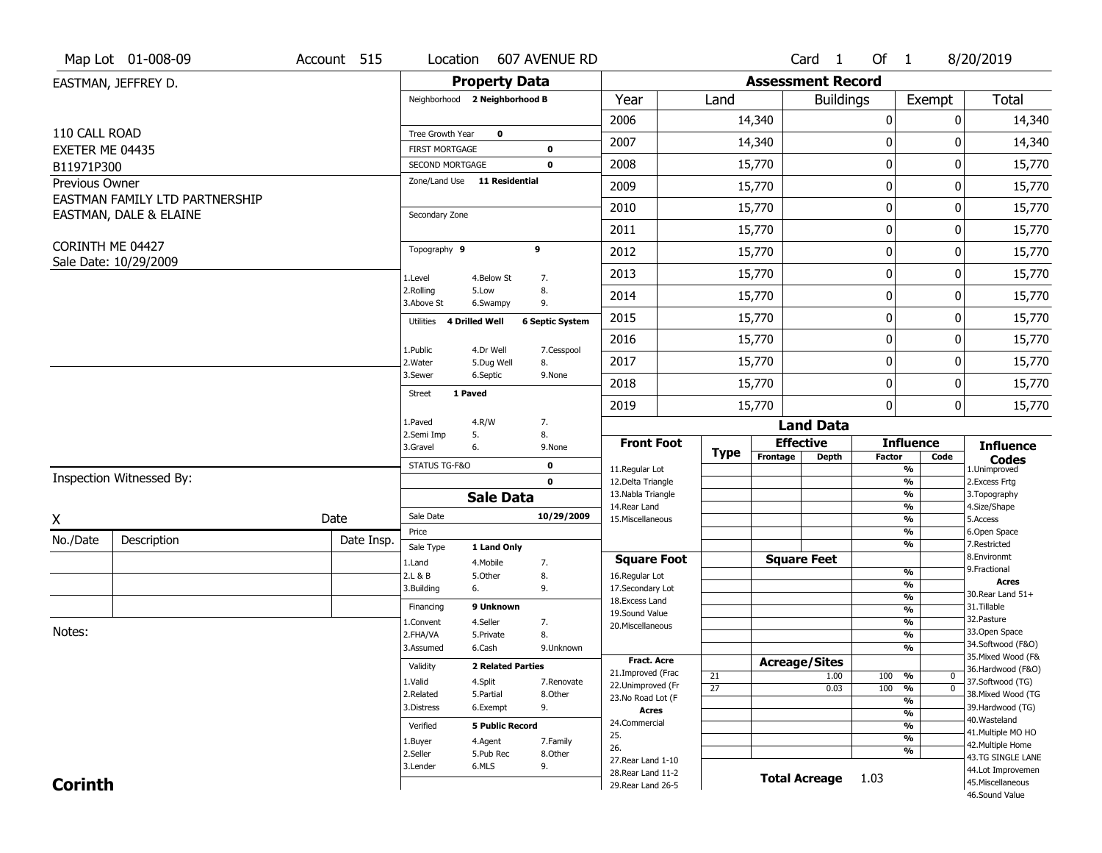|                               | Map Lot 01-008-09                         | Account 515 | Location                                 |                          | 607 AVENUE RD          |                                         |                       |                          | Card 1               | Of $1$           |                                                      | 8/20/2019                               |
|-------------------------------|-------------------------------------------|-------------|------------------------------------------|--------------------------|------------------------|-----------------------------------------|-----------------------|--------------------------|----------------------|------------------|------------------------------------------------------|-----------------------------------------|
|                               | EASTMAN, JEFFREY D.                       |             |                                          | <b>Property Data</b>     |                        |                                         |                       | <b>Assessment Record</b> |                      |                  |                                                      |                                         |
|                               |                                           |             | Neighborhood 2 Neighborhood B            |                          |                        | Year                                    | Land                  |                          | <b>Buildings</b>     |                  | Exempt                                               | Total                                   |
|                               |                                           |             |                                          |                          |                        | 2006                                    |                       | 14,340                   |                      | $\mathbf 0$      | 0                                                    | 14,340                                  |
| 110 CALL ROAD                 |                                           |             | Tree Growth Year                         | 0                        |                        | 2007                                    |                       | 14,340                   |                      | 0                | O                                                    | 14,340                                  |
| EXETER ME 04435<br>B11971P300 |                                           |             | <b>FIRST MORTGAGE</b><br>SECOND MORTGAGE |                          | 0<br>$\mathbf 0$       | 2008                                    |                       | 15,770                   |                      | $\pmb{0}$        | 0                                                    | 15,770                                  |
| Previous Owner                |                                           |             | Zone/Land Use 11 Residential             |                          |                        |                                         |                       |                          |                      |                  | 0                                                    |                                         |
|                               | EASTMAN FAMILY LTD PARTNERSHIP            |             |                                          |                          |                        | 2009                                    |                       | 15,770                   |                      | 0                |                                                      | 15,770                                  |
|                               | EASTMAN, DALE & ELAINE                    |             | Secondary Zone                           |                          |                        | 2010                                    |                       | 15,770                   |                      | $\mathbf 0$      | 0                                                    | 15,770                                  |
|                               |                                           |             |                                          |                          |                        | 2011                                    |                       | 15,770                   |                      | $\boldsymbol{0}$ | 0                                                    | 15,770                                  |
|                               | CORINTH ME 04427<br>Sale Date: 10/29/2009 |             | Topography 9                             |                          | 9                      | 2012                                    |                       | 15,770                   |                      | $\boldsymbol{0}$ | 0                                                    | 15,770                                  |
|                               |                                           |             | 1.Level                                  | 4.Below St               | 7.                     | 2013                                    |                       | 15,770                   |                      | $\boldsymbol{0}$ | 0                                                    | 15,770                                  |
|                               |                                           |             | 2.Rolling<br>3.Above St                  | 5.Low<br>6.Swampy        | 8.<br>9.               | 2014                                    |                       | 15,770                   |                      | $\mathbf 0$      | 0                                                    | 15,770                                  |
|                               |                                           |             | Utilities                                | 4 Drilled Well           | <b>6 Septic System</b> | 2015                                    |                       | 15,770                   |                      | $\boldsymbol{0}$ | 0                                                    | 15,770                                  |
|                               |                                           |             |                                          |                          |                        | 2016                                    |                       | 15,770                   |                      | $\boldsymbol{0}$ | 0                                                    | 15,770                                  |
|                               |                                           |             | 1.Public<br>2.Water                      | 4.Dr Well<br>5.Dug Well  | 7.Cesspool<br>8.       | 2017                                    |                       | 15,770                   |                      | 0                | 0                                                    | 15,770                                  |
|                               |                                           |             | 3.Sewer                                  | 6.Septic                 | 9.None                 | 2018                                    |                       | 15,770                   |                      | $\mathbf 0$      | 0                                                    | 15,770                                  |
|                               |                                           |             | 1 Paved<br><b>Street</b>                 |                          |                        | 2019                                    |                       | 15,770                   |                      | $\mathbf{0}$     | 0                                                    | 15,770                                  |
|                               |                                           |             | 1.Paved                                  | 4.R/W                    | 7.                     |                                         |                       |                          | <b>Land Data</b>     |                  |                                                      |                                         |
|                               |                                           |             | 2.Semi Imp<br>3.Gravel                   | 5.<br>6.                 | 8.<br>9.None           | <b>Front Foot</b>                       |                       | <b>Effective</b>         |                      |                  | <b>Influence</b>                                     | <b>Influence</b>                        |
|                               |                                           |             | STATUS TG-F&O                            |                          | $\mathbf 0$            |                                         | <b>Type</b>           | Frontage                 | <b>Depth</b>         | Factor           | Code                                                 | <b>Codes</b>                            |
|                               | Inspection Witnessed By:                  |             |                                          |                          | $\mathbf 0$            | 11.Regular Lot<br>12.Delta Triangle     |                       |                          |                      |                  | $\overline{\frac{9}{6}}$<br>$\frac{9}{6}$            | 1.Unimproved<br>2. Excess Frtg          |
|                               |                                           |             |                                          | <b>Sale Data</b>         |                        | 13. Nabla Triangle                      |                       |                          |                      |                  | $\overline{\frac{9}{6}}$                             | 3. Topography                           |
| X                             |                                           | Date        | Sale Date                                |                          | 10/29/2009             | 14. Rear Land<br>15. Miscellaneous      |                       |                          |                      |                  | $\overline{\frac{9}{6}}$<br>$\overline{\frac{9}{6}}$ | 4.Size/Shape<br>5.Access                |
| No./Date                      | Description                               | Date Insp.  | Price                                    |                          |                        |                                         |                       |                          |                      |                  | %                                                    | 6.Open Space                            |
|                               |                                           |             | Sale Type                                | 1 Land Only              |                        | <b>Square Foot</b>                      |                       | <b>Square Feet</b>       |                      |                  | %                                                    | 7.Restricted<br>8.Environmt             |
|                               |                                           |             | 1.Land<br>2.L & B                        | 4. Mobile<br>5.0ther     | 7.<br>8.               | 16.Regular Lot                          |                       |                          |                      |                  | %                                                    | 9. Fractional                           |
|                               |                                           |             | 3.Building                               | 6.                       | 9.                     | 17.Secondary Lot                        |                       |                          |                      |                  | %                                                    | <b>Acres</b><br>30. Rear Land 51+       |
|                               |                                           |             | Financing                                | 9 Unknown                |                        | 18.Excess Land                          |                       |                          |                      |                  | %<br>$\frac{9}{6}$                                   | 31.Tillable                             |
|                               |                                           |             | 1.Convent                                | 4.Seller                 | 7.                     | 19.Sound Value<br>20.Miscellaneous      |                       |                          |                      |                  | %                                                    | 32. Pasture                             |
| Notes:                        |                                           |             | 2.FHA/VA                                 | 5.Private                | 8.                     |                                         |                       |                          |                      |                  | %                                                    | 33.Open Space                           |
|                               |                                           |             | 3.Assumed                                | 6.Cash                   | 9.Unknown              |                                         |                       |                          |                      |                  | %                                                    | 34.Softwood (F&O)<br>35. Mixed Wood (F& |
|                               |                                           |             | Validity                                 | <b>2 Related Parties</b> |                        | <b>Fract. Acre</b><br>21.Improved (Frac |                       | <b>Acreage/Sites</b>     |                      |                  |                                                      | 36.Hardwood (F&O)                       |
|                               |                                           |             | 1.Valid                                  | 4.Split                  | 7.Renovate             | 22.Unimproved (Fr                       | 21<br>$\overline{27}$ |                          | 1.00<br>0.03         | 100<br>100       | %<br>0<br>$\overline{\mathfrak{o}}$<br>%             | 37.Softwood (TG)                        |
|                               |                                           |             | 2.Related                                | 5.Partial                | 8.Other                | 23.No Road Lot (F                       |                       |                          |                      |                  | $\overline{\frac{9}{6}}$                             | 38. Mixed Wood (TG                      |
|                               |                                           |             | 3.Distress                               | 6.Exempt                 | 9.                     | <b>Acres</b>                            |                       |                          |                      |                  | $\frac{9}{6}$                                        | 39.Hardwood (TG)                        |
|                               |                                           |             | Verified                                 | <b>5 Public Record</b>   |                        | 24.Commercial                           |                       |                          |                      |                  | $\overline{\frac{9}{6}}$                             | 40. Wasteland                           |
|                               |                                           |             | 1.Buyer                                  | 4.Agent                  | 7.Family               | 25.                                     |                       |                          |                      |                  | $\overline{\frac{9}{6}}$                             | 41. Multiple MO HO<br>42. Multiple Home |
|                               |                                           |             | 2.Seller                                 | 5.Pub Rec                | 8.Other                | 26.<br>27. Rear Land 1-10               |                       |                          |                      |                  | %                                                    | 43.TG SINGLE LANE                       |
|                               |                                           |             | 3.Lender                                 | 6.MLS                    | 9.                     | 28. Rear Land 11-2                      |                       |                          |                      |                  |                                                      | 44.Lot Improvemen                       |
| <b>Corinth</b>                |                                           |             |                                          |                          |                        | 29. Rear Land 26-5                      |                       |                          | <b>Total Acreage</b> | 1.03             |                                                      | 45. Miscellaneous                       |
|                               |                                           |             |                                          |                          |                        |                                         |                       |                          |                      |                  |                                                      | 46.Sound Value                          |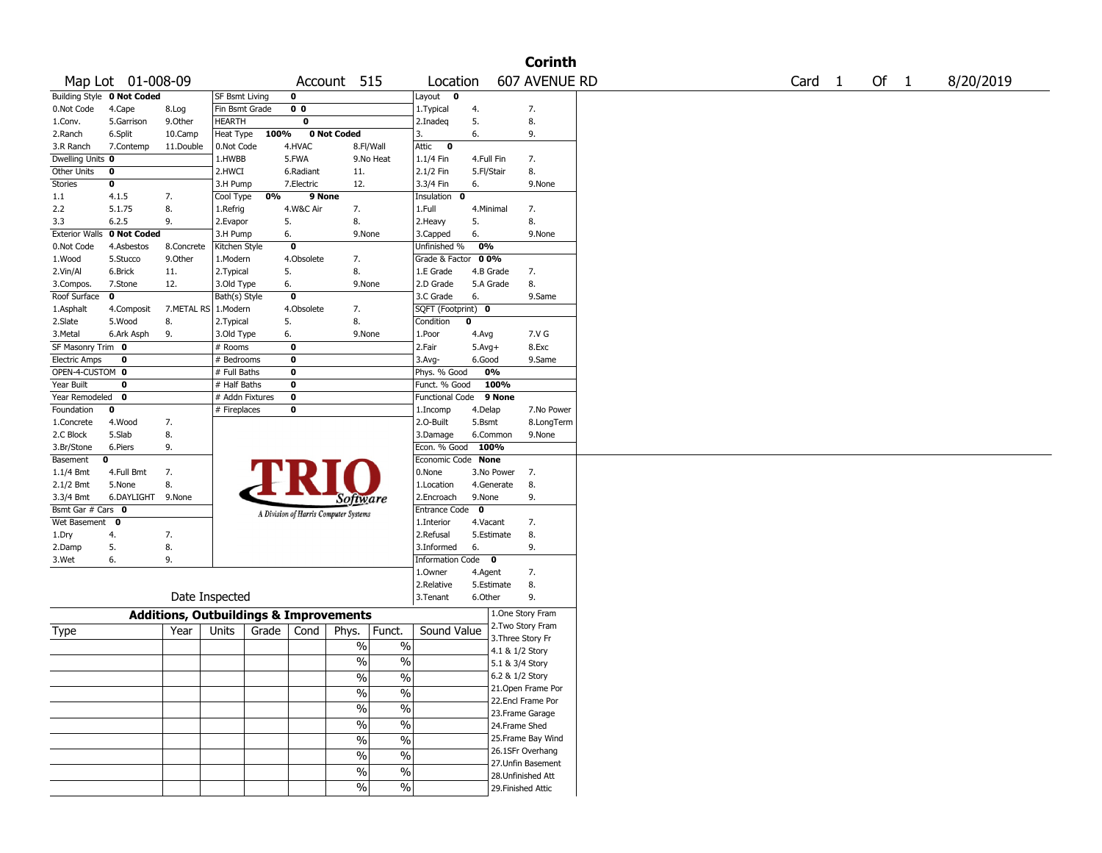|                       |                            |                                                   |                       |      |                                       |                          |               |                        |            |                    | <b>Corinth</b> |      |              |        |           |
|-----------------------|----------------------------|---------------------------------------------------|-----------------------|------|---------------------------------------|--------------------------|---------------|------------------------|------------|--------------------|----------------|------|--------------|--------|-----------|
|                       | Map Lot 01-008-09          |                                                   |                       |      |                                       | Account 515              |               | Location               |            |                    | 607 AVENUE RD  | Card | $\mathbf{1}$ | Of $1$ | 8/20/2019 |
|                       | Building Style 0 Not Coded |                                                   | <b>SF Bsmt Living</b> |      | 0                                     |                          |               | Layout 0               |            |                    |                |      |              |        |           |
| 0.Not Code            | 4.Cape                     | 8.Log                                             | Fin Bsmt Grade        |      | 0 <sub>0</sub>                        |                          |               | 1. Typical             | 4.         | 7.                 |                |      |              |        |           |
| 1.Conv.               | 5.Garrison                 | 9.0ther                                           | <b>HEARTH</b>         |      | 0                                     |                          |               | 2.Inadeq               | 5.         | 8.                 |                |      |              |        |           |
| 2.Ranch               | 6.Split                    | 10.Camp                                           | Heat Type             | 100% |                                       | 0 Not Coded              |               | 3.                     | 6.         | 9.                 |                |      |              |        |           |
| 3.R Ranch             | 7.Contemp                  | 11.Double                                         | 0.Not Code            |      | 4.HVAC                                | 8.Fl/Wall                |               | Attic 0                |            |                    |                |      |              |        |           |
| Dwelling Units 0      |                            |                                                   | 1.HWBB                |      | 5.FWA                                 |                          | 9.No Heat     | $1.1/4$ Fin            | 4.Full Fin | 7.                 |                |      |              |        |           |
| Other Units           | 0                          |                                                   | 2.HWCI                |      | 6.Radiant                             | 11.                      |               | 2.1/2 Fin              | 5.Fl/Stair | 8.                 |                |      |              |        |           |
| Stories               | 0                          |                                                   | 3.H Pump              |      | 7.Electric                            | 12.                      |               | 3.3/4 Fin              | 6.         |                    | 9.None         |      |              |        |           |
| 1.1                   | 4.1.5                      | 7.                                                | Cool Type             | 0%   | 9 None                                |                          |               | Insulation 0           |            |                    |                |      |              |        |           |
| 2.2                   | 5.1.75                     | 8.                                                | 1.Refrig              |      | 4.W&C Air                             | 7.                       |               | 1.Full                 | 4.Minimal  | 7.                 |                |      |              |        |           |
| 3.3                   | 6.2.5                      | 9.                                                | 2.Evapor              |      | 5.                                    | 8.                       |               | 2.Heavy                | 5.         | 8.                 |                |      |              |        |           |
| <b>Exterior Walls</b> | 0 Not Coded                |                                                   | 3.H Pump              |      | 6.                                    | 9.None                   |               | 3.Capped               | 6.         |                    | 9.None         |      |              |        |           |
| 0.Not Code            | 4.Asbestos                 | 8.Concrete                                        | Kitchen Style         |      | 0                                     |                          |               | Unfinished %           | 0%         |                    |                |      |              |        |           |
| 1.Wood                | 5.Stucco                   | 9.0ther                                           | 1.Modern              |      | 4.Obsolete                            | 7.                       |               | Grade & Factor 00%     |            |                    |                |      |              |        |           |
| 2.Vin/Al              | 6.Brick                    | 11.                                               | 2.Typical             |      | 5.                                    | 8.                       |               | 1.E Grade              | 4.B Grade  | 7.                 |                |      |              |        |           |
| 3.Compos.             | 7.Stone                    | 12.                                               | 3.Old Type            |      | 6.                                    | 9.None                   |               | 2.D Grade              | 5.A Grade  | 8.                 |                |      |              |        |           |
| Roof Surface          | 0                          |                                                   | Bath(s) Style         |      | 0                                     |                          |               | 3.C Grade              | 6.         |                    | 9.Same         |      |              |        |           |
| 1.Asphalt             | 4.Composit                 | 7.METAL RS                                        | 1.Modern              |      | 4.Obsolete                            | 7.                       |               | SQFT (Footprint) 0     |            |                    |                |      |              |        |           |
| 2.Slate               | 5.Wood                     | 8.                                                | 2.Typical             |      | 5.                                    | 8.                       |               | Condition              | 0          |                    |                |      |              |        |           |
| 3.Metal               | 6.Ark Asph                 | 9.                                                | 3.Old Type            |      | 6.                                    | 9.None                   |               | 1.Poor                 | 4.Avg      |                    | 7.V G          |      |              |        |           |
| SF Masonry Trim 0     |                            |                                                   | # Rooms               |      | 0                                     |                          |               | 2.Fair                 | $5.Avg+$   |                    | 8.Exc          |      |              |        |           |
| <b>Electric Amps</b>  | 0                          |                                                   | # Bedrooms            |      | 0                                     |                          |               | $3.$ Avg-              | 6.Good     |                    | 9.Same         |      |              |        |           |
| OPEN-4-CUSTOM 0       |                            |                                                   | # Full Baths          |      | 0                                     |                          |               | Phys. % Good           | 0%         |                    |                |      |              |        |           |
| Year Built            | 0                          |                                                   | # Half Baths          |      | $\pmb{0}$                             |                          |               | Funct. % Good          |            | 100%               |                |      |              |        |           |
| Year Remodeled        | 0                          |                                                   | # Addn Fixtures       |      | 0                                     |                          |               | Functional Code 9 None |            |                    |                |      |              |        |           |
| Foundation            | 0                          |                                                   | # Fireplaces          |      | 0                                     |                          |               | 1.Incomp               | 4.Delap    |                    | 7.No Power     |      |              |        |           |
| 1.Concrete            | 4.Wood                     | 7.                                                |                       |      |                                       |                          |               | 2.0-Built              | 5.Bsmt     |                    | 8.LongTerm     |      |              |        |           |
| 2.C Block             | 5.Slab                     | 8.                                                |                       |      |                                       |                          |               | 3.Damage               | 6.Common   |                    | 9.None         |      |              |        |           |
| 3.Br/Stone            | 6.Piers                    | 9.                                                |                       |      |                                       |                          |               | Econ. % Good 100%      |            |                    |                |      |              |        |           |
| Basement              | 0                          |                                                   |                       |      |                                       |                          |               | Economic Code None     |            |                    |                |      |              |        |           |
| $1.1/4$ Bmt           | 4.Full Bmt                 | 7.                                                |                       |      |                                       |                          |               | 0.None                 | 3.No Power | - 7.               |                |      |              |        |           |
| $2.1/2$ Bmt           | 5.None                     | 8.                                                |                       |      |                                       |                          |               | 1.Location             | 4.Generate | 8.                 |                |      |              |        |           |
| 3.3/4 Bmt             | 6.DAYLIGHT 9.None          |                                                   |                       |      |                                       | <i>Software</i>          |               | 2.Encroach             | 9.None     | 9.                 |                |      |              |        |           |
| Bsmt Gar # Cars 0     |                            |                                                   |                       |      | A Division of Harris Computer Systems |                          |               | Entrance Code          | $\bf{0}$   |                    |                |      |              |        |           |
| Wet Basement 0        |                            |                                                   |                       |      |                                       |                          |               | 1.Interior             | 4.Vacant   | 7.                 |                |      |              |        |           |
| 1.Dry                 | 4.                         | 7.                                                |                       |      |                                       |                          |               | 2.Refusal              | 5.Estimate | 8.                 |                |      |              |        |           |
| 2.Damp                | 5.                         | 8.                                                |                       |      |                                       |                          |               | 3.Informed             | 6.         | 9.                 |                |      |              |        |           |
| 3.Wet                 | 6.                         | 9.                                                |                       |      |                                       |                          |               | Information Code 0     |            |                    |                |      |              |        |           |
|                       |                            |                                                   |                       |      |                                       |                          |               | 1.0wner                | 4.Agent    | 7.                 |                |      |              |        |           |
|                       |                            |                                                   |                       |      |                                       |                          |               | 2.Relative             | 5.Estimate | 8.                 |                |      |              |        |           |
|                       |                            |                                                   | Date Inspected        |      |                                       |                          |               | 3.Tenant               | 6.Other    | 9.                 |                |      |              |        |           |
|                       |                            | <b>Additions, Outbuildings &amp; Improvements</b> |                       |      |                                       |                          |               |                        |            | 1.One Story Fram   |                |      |              |        |           |
| Type                  |                            | Year                                              | Units                 |      | Grade   Cond                          | Phys.                    | Funct.        | Sound Value            |            | 2. Two Story Fram  |                |      |              |        |           |
|                       |                            |                                                   |                       |      |                                       | $\%$                     | $\%$          |                        |            | 3. Three Story Fr  |                |      |              |        |           |
|                       |                            |                                                   |                       |      |                                       |                          |               |                        |            | 4.1 & 1/2 Story    |                |      |              |        |           |
|                       |                            |                                                   |                       |      |                                       | $\frac{0}{0}$            | $\frac{0}{0}$ |                        |            | 5.1 & 3/4 Story    |                |      |              |        |           |
|                       |                            |                                                   |                       |      |                                       | $\%$                     | $\sqrt{6}$    |                        |            | 6.2 & 1/2 Story    |                |      |              |        |           |
|                       |                            |                                                   |                       |      |                                       | $\%$                     | $\frac{9}{6}$ |                        |            | 21.Open Frame Por  |                |      |              |        |           |
|                       |                            |                                                   |                       |      |                                       |                          |               |                        |            | 22.Encl Frame Por  |                |      |              |        |           |
|                       |                            |                                                   |                       |      |                                       | $\%$                     | $\frac{0}{6}$ |                        |            | 23.Frame Garage    |                |      |              |        |           |
|                       |                            |                                                   |                       |      |                                       | $\%$                     | $\frac{0}{6}$ |                        |            | 24.Frame Shed      |                |      |              |        |           |
|                       |                            |                                                   |                       |      |                                       | $\%$                     | $\frac{1}{2}$ |                        |            | 25. Frame Bay Wind |                |      |              |        |           |
|                       |                            |                                                   |                       |      |                                       | $\overline{\frac{0}{6}}$ | $\frac{0}{6}$ |                        |            | 26.1SFr Overhang   |                |      |              |        |           |
|                       |                            |                                                   |                       |      |                                       |                          |               |                        |            | 27.Unfin Basement  |                |      |              |        |           |
|                       |                            |                                                   |                       |      |                                       | $\frac{1}{2}$            | $\sqrt{20}$   |                        |            | 28. Unfinished Att |                |      |              |        |           |
|                       |                            |                                                   |                       |      |                                       | $\frac{1}{2}$            | $\sqrt{20}$   |                        |            | 29. Finished Attic |                |      |              |        |           |
|                       |                            |                                                   |                       |      |                                       |                          |               |                        |            |                    |                |      |              |        |           |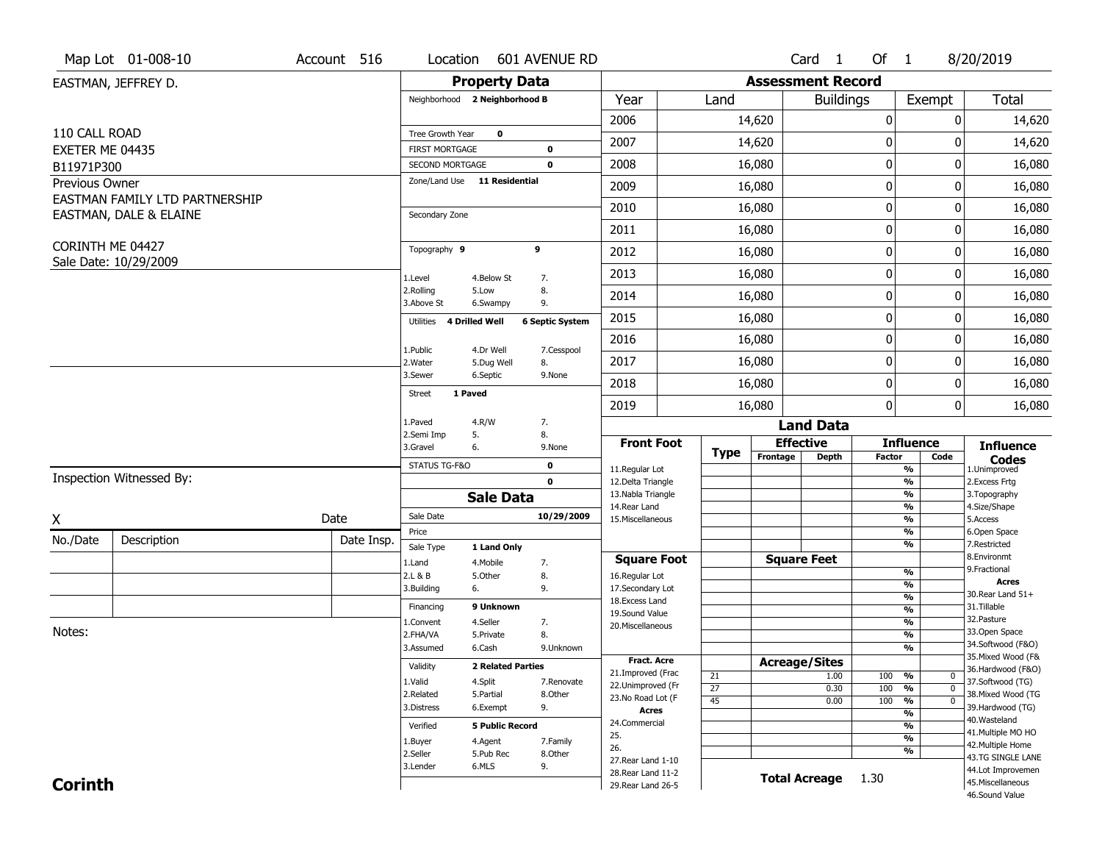|                 | Map Lot 01-008-10              | Account 516 | Location                                        |                          | 601 AVENUE RD                |                                         |                 |                          | Card 1                               | Of $1$           |                                           | 8/20/2019                         |
|-----------------|--------------------------------|-------------|-------------------------------------------------|--------------------------|------------------------------|-----------------------------------------|-----------------|--------------------------|--------------------------------------|------------------|-------------------------------------------|-----------------------------------|
|                 | EASTMAN, JEFFREY D.            |             |                                                 | <b>Property Data</b>     |                              |                                         |                 | <b>Assessment Record</b> |                                      |                  |                                           |                                   |
|                 |                                |             | Neighborhood 2 Neighborhood B                   |                          |                              | Year                                    | Land            |                          | <b>Buildings</b>                     |                  | Exempt                                    | Total                             |
|                 |                                |             |                                                 |                          |                              | 2006                                    |                 | 14,620                   |                                      | $\boldsymbol{0}$ | 0                                         | 14,620                            |
| 110 CALL ROAD   |                                |             | Tree Growth Year                                | 0                        |                              | 2007                                    |                 | 14,620                   |                                      | 0                | O                                         | 14,620                            |
| EXETER ME 04435 |                                |             | <b>FIRST MORTGAGE</b>                           |                          | 0<br>$\mathbf 0$             | 2008                                    |                 |                          |                                      | $\pmb{0}$        | 0                                         |                                   |
| B11971P300      |                                |             | SECOND MORTGAGE<br>Zone/Land Use 11 Residential |                          |                              |                                         |                 | 16,080                   |                                      |                  |                                           | 16,080                            |
| Previous Owner  | EASTMAN FAMILY LTD PARTNERSHIP |             |                                                 |                          |                              | 2009                                    |                 | 16,080                   |                                      | 0                | 0                                         | 16,080                            |
|                 | EASTMAN, DALE & ELAINE         |             | Secondary Zone                                  |                          |                              | 2010                                    |                 | 16,080                   |                                      | $\mathbf 0$      | 0                                         | 16,080                            |
|                 |                                |             |                                                 |                          |                              | 2011                                    |                 | 16,080                   |                                      | 0                | 0                                         | 16,080                            |
|                 | CORINTH ME 04427               |             | Topography 9                                    |                          | 9                            | 2012                                    |                 | 16,080                   |                                      | $\boldsymbol{0}$ | 0                                         | 16,080                            |
|                 | Sale Date: 10/29/2009          |             | 1.Level                                         | 4.Below St               |                              | 2013                                    |                 | 16,080                   |                                      | $\boldsymbol{0}$ | 0                                         | 16,080                            |
|                 |                                |             | 2.Rolling                                       | 5.Low                    | 7.<br>8.                     | 2014                                    |                 | 16,080                   |                                      | $\mathbf 0$      | 0                                         | 16,080                            |
|                 |                                |             | 3.Above St<br>4 Drilled Well<br>Utilities       | 6.Swampy                 | 9.<br><b>6 Septic System</b> | 2015                                    |                 | 16,080                   |                                      | 0                | 0                                         | 16,080                            |
|                 |                                |             |                                                 |                          |                              | 2016                                    |                 | 16,080                   |                                      | $\boldsymbol{0}$ | 0                                         | 16,080                            |
|                 |                                |             | 1.Public<br>2.Water                             | 4.Dr Well<br>5.Dug Well  | 7.Cesspool<br>8.             | 2017                                    |                 | 16,080                   |                                      | 0                | 0                                         | 16,080                            |
|                 |                                |             | 3.Sewer                                         | 6.Septic                 | 9.None                       | 2018                                    |                 |                          |                                      | $\mathbf 0$      | 0                                         |                                   |
|                 |                                |             | 1 Paved<br><b>Street</b>                        |                          |                              |                                         |                 | 16,080                   |                                      | $\boldsymbol{0}$ | 0                                         | 16,080                            |
|                 |                                |             | 1.Paved                                         | 4.R/W                    | 7.                           | 2019                                    |                 | 16,080                   |                                      |                  |                                           | 16,080                            |
|                 |                                |             | 2.Semi Imp<br>5.                                |                          | 8.                           | <b>Front Foot</b>                       |                 |                          | <b>Land Data</b><br><b>Effective</b> |                  | <b>Influence</b>                          |                                   |
|                 |                                |             | 3.Gravel<br>6.                                  |                          | 9.None                       |                                         | <b>Type</b>     | Frontage                 | <b>Depth</b>                         | Factor           | Code                                      | <b>Influence</b><br><b>Codes</b>  |
|                 | Inspection Witnessed By:       |             | STATUS TG-F&O                                   |                          | $\mathbf 0$                  | 11.Regular Lot                          |                 |                          |                                      |                  | $\overline{\frac{9}{6}}$                  | 1.Unimproved                      |
|                 |                                |             |                                                 | <b>Sale Data</b>         | $\mathbf 0$                  | 12.Delta Triangle<br>13. Nabla Triangle |                 |                          |                                      |                  | $\frac{9}{6}$<br>$\overline{\frac{9}{6}}$ | 2. Excess Frtg<br>3. Topography   |
|                 |                                |             | Sale Date                                       |                          | 10/29/2009                   | 14. Rear Land                           |                 |                          |                                      |                  | $\overline{\frac{9}{6}}$                  | 4.Size/Shape                      |
| Χ               |                                | Date        | Price                                           |                          |                              | 15. Miscellaneous                       |                 |                          |                                      |                  | $\overline{\frac{9}{6}}$<br>%             | 5.Access<br>6.Open Space          |
| No./Date        | Description                    | Date Insp.  | Sale Type                                       | 1 Land Only              |                              |                                         |                 |                          |                                      |                  | %                                         | 7.Restricted                      |
|                 |                                |             | 1.Land                                          | 4. Mobile                | 7.                           | <b>Square Foot</b>                      |                 |                          | <b>Square Feet</b>                   |                  |                                           | 8.Environmt<br>9. Fractional      |
|                 |                                |             | 2.L & B<br>3.Building                           | 5.0ther<br>6.            | 8.<br>9.                     | 16.Regular Lot<br>17.Secondary Lot      |                 |                          |                                      |                  | %<br>%                                    | <b>Acres</b>                      |
|                 |                                |             |                                                 |                          |                              | 18.Excess Land                          |                 |                          |                                      |                  | %                                         | 30. Rear Land 51+                 |
|                 |                                |             | Financing                                       | 9 Unknown                |                              | 19.Sound Value                          |                 |                          |                                      |                  | %                                         | 31.Tillable<br>32. Pasture        |
| Notes:          |                                |             | 1.Convent                                       | 4.Seller                 | 7.                           | 20.Miscellaneous                        |                 |                          |                                      |                  | %                                         | 33.Open Space                     |
|                 |                                |             | 2.FHA/VA<br>3.Assumed                           | 5.Private<br>6.Cash      | 8.<br>9.Unknown              |                                         |                 |                          |                                      |                  | %<br>%                                    | 34.Softwood (F&O)                 |
|                 |                                |             |                                                 |                          |                              | <b>Fract. Acre</b>                      |                 |                          | <b>Acreage/Sites</b>                 |                  |                                           | 35. Mixed Wood (F&                |
|                 |                                |             | Validity                                        | <b>2 Related Parties</b> |                              | 21.Improved (Frac                       | 21              |                          | 1.00                                 | 100              | %<br>0                                    | 36.Hardwood (F&O)                 |
|                 |                                |             | 1.Valid                                         | 4.Split                  | 7.Renovate                   | 22.Unimproved (Fr                       | $\overline{27}$ |                          | 0.30                                 | 100              | $\overline{\mathfrak{o}}$<br>%            | 37.Softwood (TG)                  |
|                 |                                |             | 2.Related                                       | 5.Partial                | 8.Other                      | 23.No Road Lot (F                       | $\overline{45}$ |                          | 0.00                                 | 100              | $\frac{9}{6}$<br>$\overline{0}$           | 38. Mixed Wood (TG                |
|                 |                                |             | 3.Distress                                      | 6.Exempt                 | 9.                           | <b>Acres</b>                            |                 |                          |                                      |                  | $\overline{\frac{9}{6}}$                  | 39.Hardwood (TG)<br>40. Wasteland |
|                 |                                |             | Verified                                        | <b>5 Public Record</b>   |                              | 24.Commercial                           |                 |                          |                                      |                  | $\overline{\frac{9}{6}}$                  | 41. Multiple MO HO                |
|                 |                                |             | 1.Buyer                                         | 4.Agent                  | 7.Family                     | 25.                                     |                 |                          |                                      |                  | $\overline{\frac{9}{6}}$                  | 42. Multiple Home                 |
|                 |                                |             | 2.Seller                                        | 5.Pub Rec                | 8.Other                      | 26.<br>27. Rear Land 1-10               |                 |                          |                                      |                  | %                                         | 43.TG SINGLE LANE                 |
|                 |                                |             | 3.Lender                                        | 6.MLS                    | 9.                           | 28. Rear Land 11-2                      |                 |                          |                                      |                  |                                           | 44.Lot Improvemen                 |
| <b>Corinth</b>  |                                |             |                                                 |                          |                              | 29. Rear Land 26-5                      |                 |                          | <b>Total Acreage</b>                 | 1.30             |                                           | 45. Miscellaneous                 |
|                 |                                |             |                                                 |                          |                              |                                         |                 |                          |                                      |                  |                                           |                                   |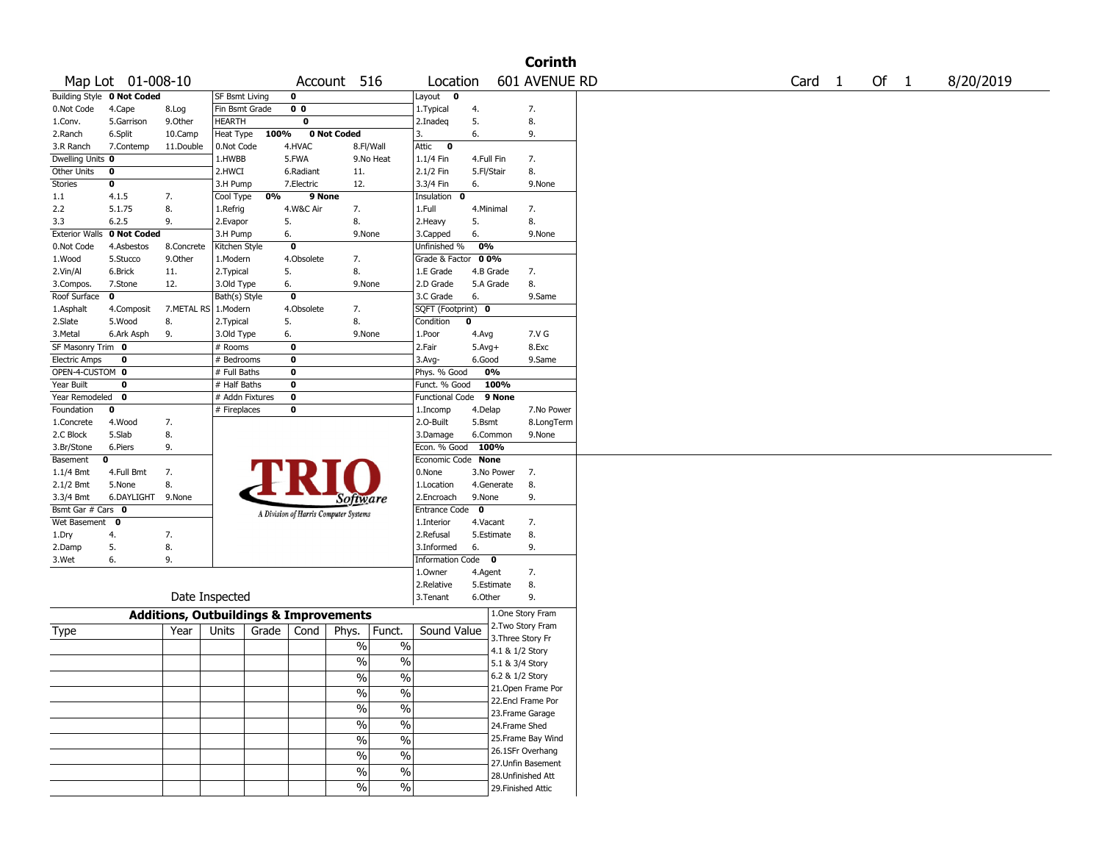|                       |                                   |            |                                                   |                         |                                       |                          |                        |              |                    | <b>Corinth</b> |  |  |                   |  |      |           |
|-----------------------|-----------------------------------|------------|---------------------------------------------------|-------------------------|---------------------------------------|--------------------------|------------------------|--------------|--------------------|----------------|--|--|-------------------|--|------|-----------|
|                       | Map Lot 01-008-10                 |            |                                                   |                         | Account 516                           |                          | Location               |              | 601 AVENUE RD      |                |  |  | Card <sub>1</sub> |  | Of 1 | 8/20/2019 |
|                       | <b>Building Style 0 Not Coded</b> |            | SF Bsmt Living                                    | 0                       |                                       |                          | Layout 0               |              |                    |                |  |  |                   |  |      |           |
| 0.Not Code            | 4.Cape                            | 8.Log      | Fin Bsmt Grade                                    | 0 <sub>0</sub>          |                                       |                          | 1. Typical             | 4.           | 7.                 |                |  |  |                   |  |      |           |
| 1.Conv.               | 5.Garrison                        | 9.0ther    | <b>HEARTH</b>                                     | 0                       |                                       |                          | 2.Inadeg               | 5.           | 8.                 |                |  |  |                   |  |      |           |
| 2.Ranch               | 6.Split                           | 10.Camp    | Heat Type                                         | 100%                    | 0 Not Coded                           |                          | 3.                     | 6.           | 9.                 |                |  |  |                   |  |      |           |
| 3.R Ranch             | 7.Contemp                         | 11.Double  | 0.Not Code                                        | 4.HVAC                  |                                       | 8.Fl/Wall                | Attic<br>$\mathbf 0$   |              |                    |                |  |  |                   |  |      |           |
| Dwelling Units 0      |                                   |            | 1.HWBB                                            | 5.FWA                   |                                       | 9.No Heat                | 1.1/4 Fin              |              | 7.<br>4.Full Fin   |                |  |  |                   |  |      |           |
| Other Units           | 0                                 |            | 2.HWCI                                            | 6.Radiant               | 11.                                   |                          | 2.1/2 Fin              | 5.Fl/Stair   | 8.                 |                |  |  |                   |  |      |           |
| <b>Stories</b>        | 0                                 |            | 3.H Pump                                          | 7.Electric              | 12.                                   |                          | 3.3/4 Fin              | 6.           | 9.None             |                |  |  |                   |  |      |           |
| 1.1                   | 4.1.5                             | 7.         | Cool Type                                         | 0%                      | 9 None                                |                          | Insulation<br>0        |              |                    |                |  |  |                   |  |      |           |
| 2.2                   | 5.1.75                            | 8.         | 1.Refrig                                          | 4.W&C Air               | 7.                                    |                          | 1.Full                 |              | 4.Minimal<br>7.    |                |  |  |                   |  |      |           |
| 3.3                   | 6.2.5                             | 9.         | 2.Evapor                                          | 5.                      | 8.                                    |                          | 2.Heavy                | 5.           | 8.                 |                |  |  |                   |  |      |           |
| <b>Exterior Walls</b> | 0 Not Coded                       |            | 3.H Pump                                          | 6.                      |                                       | 9.None                   | 3.Capped               | 6.           | 9.None             |                |  |  |                   |  |      |           |
| 0.Not Code            | 4.Asbestos                        | 8.Concrete | Kitchen Style                                     | $\overline{\mathbf{0}}$ |                                       |                          | Unfinished %           | 0%           |                    |                |  |  |                   |  |      |           |
| 1.Wood                | 5.Stucco                          | 9.0ther    | 1.Modern                                          | 4.Obsolete              | 7.                                    |                          | Grade & Factor 00%     |              |                    |                |  |  |                   |  |      |           |
| 2.Vin/Al              | 6.Brick                           | 11.        | 2. Typical                                        | 5.                      | 8.                                    |                          | 1.E Grade              |              | 4.B Grade<br>7.    |                |  |  |                   |  |      |           |
| 3.Compos.             | 7.Stone                           | 12.        | 3.Old Type                                        | 6.                      |                                       | 9.None                   | 2.D Grade              |              | 8.<br>5.A Grade    |                |  |  |                   |  |      |           |
| Roof Surface          | $\mathbf 0$                       |            | Bath(s) Style                                     | $\mathbf 0$             |                                       |                          | 3.C Grade              | 6.           | 9.Same             |                |  |  |                   |  |      |           |
| 1.Asphalt             | 4.Composit                        |            | 7.METAL RS 1.Modern                               | 4.Obsolete              | 7.                                    |                          | SQFT (Footprint) 0     |              |                    |                |  |  |                   |  |      |           |
| 2.Slate               | 5.Wood                            | 8.         | 2. Typical                                        | 5.                      | 8.                                    |                          | Condition              | 0            |                    |                |  |  |                   |  |      |           |
| 3.Metal               | 6.Ark Asph                        | 9.         | 3.Old Type                                        | 6.                      |                                       | 9.None                   | 1.Poor                 | 4.Avg        | 7.V G              |                |  |  |                   |  |      |           |
| SF Masonry Trim 0     |                                   |            | # Rooms                                           | $\mathbf 0$             |                                       |                          | 2.Fair                 | $5.Avg+$     | 8.Exc              |                |  |  |                   |  |      |           |
| <b>Electric Amps</b>  | 0                                 |            | # Bedrooms                                        | $\mathbf 0$             |                                       |                          | $3.$ Avg-              | 6.Good       | 9.Same             |                |  |  |                   |  |      |           |
| OPEN-4-CUSTOM 0       |                                   |            | # Full Baths                                      | $\mathbf 0$             |                                       |                          | Phys. % Good           |              | 0%                 |                |  |  |                   |  |      |           |
| Year Built            | 0                                 |            | # Half Baths                                      | $\mathbf 0$             |                                       |                          | Funct. % Good          |              | 100%               |                |  |  |                   |  |      |           |
| Year Remodeled        | $\mathbf 0$                       |            | # Addn Fixtures                                   | $\mathbf 0$             |                                       |                          | <b>Functional Code</b> |              | 9 None             |                |  |  |                   |  |      |           |
| Foundation            | $\mathbf 0$                       |            | # Fireplaces                                      | 0                       |                                       |                          | 1.Incomp               | 4.Delap      |                    | 7.No Power     |  |  |                   |  |      |           |
| 1.Concrete            | 4.Wood                            | 7.         |                                                   |                         |                                       |                          | 2.O-Built              | 5.Bsmt       |                    | 8.LongTerm     |  |  |                   |  |      |           |
| 2.C Block             | 5.Slab                            | 8.         |                                                   |                         |                                       |                          | 3.Damage               |              | 6.Common<br>9.None |                |  |  |                   |  |      |           |
| 3.Br/Stone            | 6.Piers                           | 9.         |                                                   |                         |                                       |                          | Econ. % Good           | 100%         |                    |                |  |  |                   |  |      |           |
| Basement              | 0                                 |            |                                                   |                         |                                       |                          | Economic Code None     |              |                    |                |  |  |                   |  |      |           |
| 1.1/4 Bmt             | 4.Full Bmt                        | 7.         |                                                   |                         |                                       |                          | 0.None                 |              | 3.No Power<br>7.   |                |  |  |                   |  |      |           |
| 2.1/2 Bmt             | 5.None                            | 8.         |                                                   |                         |                                       |                          | 1.Location             |              | 8.<br>4.Generate   |                |  |  |                   |  |      |           |
| 3.3/4 Bmt             | 6.DAYLIGHT 9.None                 |            |                                                   |                         | <i>Software</i>                       |                          | 2.Encroach             | 9.None       | 9.                 |                |  |  |                   |  |      |           |
| Bsmt Gar # Cars 0     |                                   |            |                                                   |                         | A Division of Harris Computer Systems |                          | Entrance Code          | $\mathbf{0}$ |                    |                |  |  |                   |  |      |           |
| Wet Basement 0        |                                   |            |                                                   |                         |                                       |                          | 1.Interior             | 4.Vacant     | 7.                 |                |  |  |                   |  |      |           |
| 1.Dry                 | 4.                                | 7.         |                                                   |                         |                                       |                          | 2.Refusal              |              | 8.<br>5.Estimate   |                |  |  |                   |  |      |           |
| 2.Damp                | 5.                                | 8.         |                                                   |                         |                                       |                          | 3.Informed             | 6.           | 9.                 |                |  |  |                   |  |      |           |
| 3.Wet                 | 6.                                | 9.         |                                                   |                         |                                       |                          | Information Code 0     |              |                    |                |  |  |                   |  |      |           |
|                       |                                   |            |                                                   |                         |                                       |                          | 1.Owner                | 4.Agent      | 7.                 |                |  |  |                   |  |      |           |
|                       |                                   |            |                                                   |                         |                                       |                          | 2.Relative             |              | 8.<br>5.Estimate   |                |  |  |                   |  |      |           |
|                       |                                   |            | Date Inspected                                    |                         |                                       |                          | 3. Tenant              | 6.Other      | 9.                 |                |  |  |                   |  |      |           |
|                       |                                   |            | <b>Additions, Outbuildings &amp; Improvements</b> |                         |                                       |                          |                        |              | 1.One Story Fram   |                |  |  |                   |  |      |           |
|                       |                                   | Year       | Units                                             | Grade<br>Cond           | Phys.                                 | Funct.                   | Sound Value            |              | 2. Two Story Fram  |                |  |  |                   |  |      |           |
| Type                  |                                   |            |                                                   |                         |                                       |                          |                        |              | 3. Three Story Fr  |                |  |  |                   |  |      |           |
|                       |                                   |            |                                                   |                         | $\%$                                  | $\%$                     |                        |              | 4.1 & 1/2 Story    |                |  |  |                   |  |      |           |
|                       |                                   |            |                                                   |                         | $\%$                                  | $\%$                     |                        |              | 5.1 & 3/4 Story    |                |  |  |                   |  |      |           |
|                       |                                   |            |                                                   |                         | %                                     | $\frac{9}{6}$            |                        |              | 6.2 & 1/2 Story    |                |  |  |                   |  |      |           |
|                       |                                   |            |                                                   |                         |                                       |                          |                        |              | 21. Open Frame Por |                |  |  |                   |  |      |           |
|                       |                                   |            |                                                   |                         | $\frac{1}{2}$                         | $\overline{\frac{0}{0}}$ |                        |              | 22.Encl Frame Por  |                |  |  |                   |  |      |           |
|                       |                                   |            |                                                   |                         | $\%$                                  | $\overline{\frac{0}{0}}$ |                        |              | 23. Frame Garage   |                |  |  |                   |  |      |           |
|                       |                                   |            |                                                   |                         | $\%$                                  | $\overline{\frac{0}{0}}$ |                        |              | 24.Frame Shed      |                |  |  |                   |  |      |           |
|                       |                                   |            |                                                   |                         |                                       | $\sqrt{6}$               |                        |              | 25. Frame Bay Wind |                |  |  |                   |  |      |           |
|                       |                                   |            |                                                   |                         | $\%$                                  |                          |                        |              | 26.1SFr Overhang   |                |  |  |                   |  |      |           |
|                       |                                   |            |                                                   |                         | $\%$                                  | $\overline{\frac{0}{0}}$ |                        |              | 27.Unfin Basement  |                |  |  |                   |  |      |           |
|                       |                                   |            |                                                   |                         | $\%$                                  | $\overline{\frac{0}{0}}$ |                        |              | 28. Unfinished Att |                |  |  |                   |  |      |           |
|                       |                                   |            |                                                   |                         | $\frac{0}{0}$                         | $\sqrt{6}$               |                        |              |                    |                |  |  |                   |  |      |           |
|                       |                                   |            |                                                   |                         |                                       |                          |                        |              | 29. Finished Attic |                |  |  |                   |  |      |           |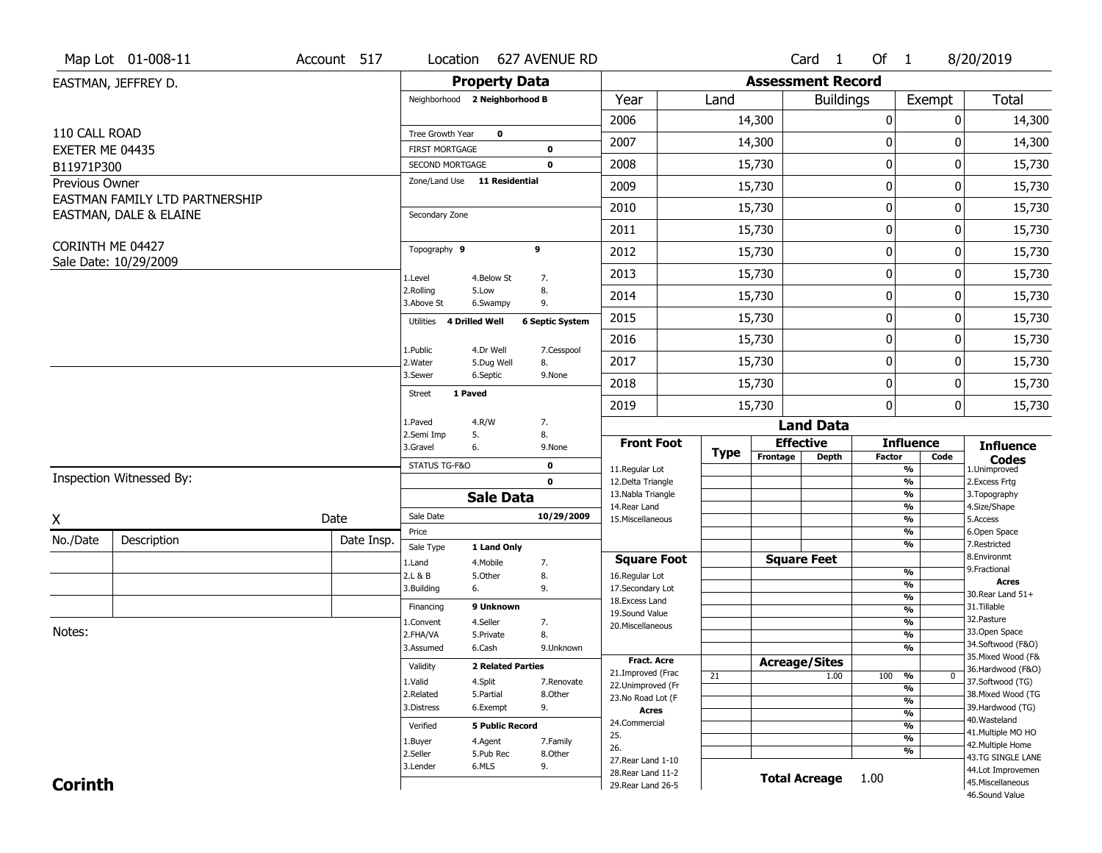| <b>Property Data</b><br><b>Assessment Record</b><br>EASTMAN, JEFFREY D.                                         |                                     |
|-----------------------------------------------------------------------------------------------------------------|-------------------------------------|
| Neighborhood 2 Neighborhood B<br>Year<br>Land<br>Exempt<br><b>Buildings</b>                                     | <b>Total</b>                        |
| 2006<br>14,300<br>0                                                                                             | 14,300<br>0                         |
| 110 CALL ROAD<br>Tree Growth Year<br>$\mathbf 0$<br>$\bf{0}$<br>2007<br>14,300                                  | 14,300<br>0                         |
| EXETER ME 04435<br><b>FIRST MORTGAGE</b><br>$\mathbf 0$                                                         |                                     |
| $\pmb{0}$<br>2008<br>15,730<br>SECOND MORTGAGE<br>$\mathbf 0$<br>B11971P300                                     | 0<br>15,730                         |
| Zone/Land Use 11 Residential<br>Previous Owner<br>0<br>2009<br>15,730<br>EASTMAN FAMILY LTD PARTNERSHIP         | 15,730<br>0                         |
| $\mathbf 0$<br>2010<br>15,730<br>EASTMAN, DALE & ELAINE<br>Secondary Zone                                       | 15,730<br>0                         |
| $\pmb{0}$<br>2011<br>15,730                                                                                     | 0<br>15,730                         |
| CORINTH ME 04427<br>Topography 9<br>9<br>$\mathbf 0$<br>2012<br>15,730                                          | 15,730<br>0                         |
| Sale Date: 10/29/2009<br>0<br>2013<br>15,730<br>1.Level<br>4.Below St<br>7.                                     | 0<br>15,730                         |
| 8.<br>2.Rolling<br>5.Low<br>0<br>15,730<br>2014<br>3.Above St<br>9.<br>6.Swampy                                 | 0<br>15,730                         |
| $\pmb{0}$<br>2015<br>15,730<br>4 Drilled Well<br><b>6 Septic System</b><br>Utilities                            | 0<br>15,730                         |
| $\pmb{0}$<br>2016<br>15,730                                                                                     | 0<br>15,730                         |
| 4.Dr Well<br>1.Public<br>7.Cesspool<br>0<br>2017<br>15,730<br>2. Water<br>5.Dug Well<br>8.                      | 15,730<br>0                         |
| 3.Sewer<br>6.Septic<br>9.None<br>$\mathbf 0$<br>2018<br>15,730                                                  | 15,730<br>0                         |
| 1 Paved<br><b>Street</b><br>0<br>2019<br>15,730                                                                 | 0<br>15,730                         |
| 1.Paved<br>4.R/W<br>7.<br><b>Land Data</b>                                                                      |                                     |
| 2.Semi Imp<br>5.<br>8.<br><b>Effective</b><br><b>Front Foot</b><br><b>Influence</b><br>3.Gravel<br>6.<br>9.None | <b>Influence</b>                    |
| <b>Type</b><br>Frontage<br><b>Depth</b><br>Factor<br>STATUS TG-F&O<br>$\mathbf 0$                               | Code<br><b>Codes</b>                |
| 11.Regular Lot<br>%<br>Inspection Witnessed By:<br>$\mathbf 0$<br>12.Delta Triangle<br>$\frac{9}{6}$            | 1.Unimproved<br>2. Excess Frtg      |
| 13. Nabla Triangle<br>$\frac{9}{6}$<br><b>Sale Data</b>                                                         | 3. Topography                       |
| 14. Rear Land<br>%<br>Sale Date<br>10/29/2009<br>Date<br>X<br>15. Miscellaneous<br>%                            | 4.Size/Shape<br>5.Access            |
| Price<br>%                                                                                                      | 6.Open Space                        |
| No./Date<br>Description<br>Date Insp.<br>%<br>Sale Type<br>1 Land Only                                          | 7.Restricted                        |
| <b>Square Feet</b><br><b>Square Foot</b><br>1.Land<br>4. Mobile<br>7.<br>$\frac{9}{6}$                          | 8.Environmt<br>9. Fractional        |
| 2.L & B<br>8.<br>5.Other<br>16.Regular Lot<br>$\frac{9}{6}$<br>3.Building<br>9.<br>17.Secondary Lot<br>6.       | <b>Acres</b>                        |
| $\frac{9}{6}$<br>18. Excess Land                                                                                | 30. Rear Land 51+                   |
| 9 Unknown<br>Financing<br>$\frac{9}{6}$<br>19.Sound Value                                                       | 31.Tillable<br>32.Pasture           |
| 4.Seller<br>$\frac{9}{6}$<br>7.<br>1.Convent<br>20.Miscellaneous<br>Notes:<br>8.<br>$\frac{9}{6}$               | 33.Open Space                       |
| 2.FHA/VA<br>5.Private<br>$\frac{9}{6}$<br>3.Assumed<br>6.Cash<br>9.Unknown                                      | 34.Softwood (F&O)                   |
| <b>Fract. Acre</b><br><b>Acreage/Sites</b>                                                                      | 35. Mixed Wood (F&                  |
| Validity<br><b>2 Related Parties</b><br>21.Improved (Frac<br>21<br>1.00<br>100 %                                | 36.Hardwood (F&O)<br>$\bf{0}$       |
| 1.Valid<br>4.Split<br>7.Renovate<br>22.Unimproved (Fr<br>%                                                      | 37.Softwood (TG)                    |
| 2.Related<br>5.Partial<br>8.Other<br>23. No Road Lot (F<br>$\frac{9}{6}$                                        | 38. Mixed Wood (TG                  |
| 6.Exempt<br>9.<br>3.Distress<br>Acres<br>$\frac{9}{6}$                                                          | 39.Hardwood (TG)<br>40. Wasteland   |
| 24.Commercial<br>$\frac{9}{6}$<br><b>5 Public Record</b><br>Verified                                            | 41. Multiple MO HO                  |
| 25.<br>$\frac{9}{6}$<br>4.Agent<br>7.Family<br>1.Buyer<br>26.                                                   | 42. Multiple Home                   |
| %<br>2.Seller<br>5.Pub Rec<br>8.Other<br>27. Rear Land 1-10                                                     | 43.TG SINGLE LANE                   |
| 6.MLS<br>9.<br>3.Lender<br>28. Rear Land 11-2                                                                   | 44.Lot Improvemen                   |
| <b>Total Acreage</b><br>1.00<br><b>Corinth</b><br>29. Rear Land 26-5                                            | 45. Miscellaneous<br>46.Sound Value |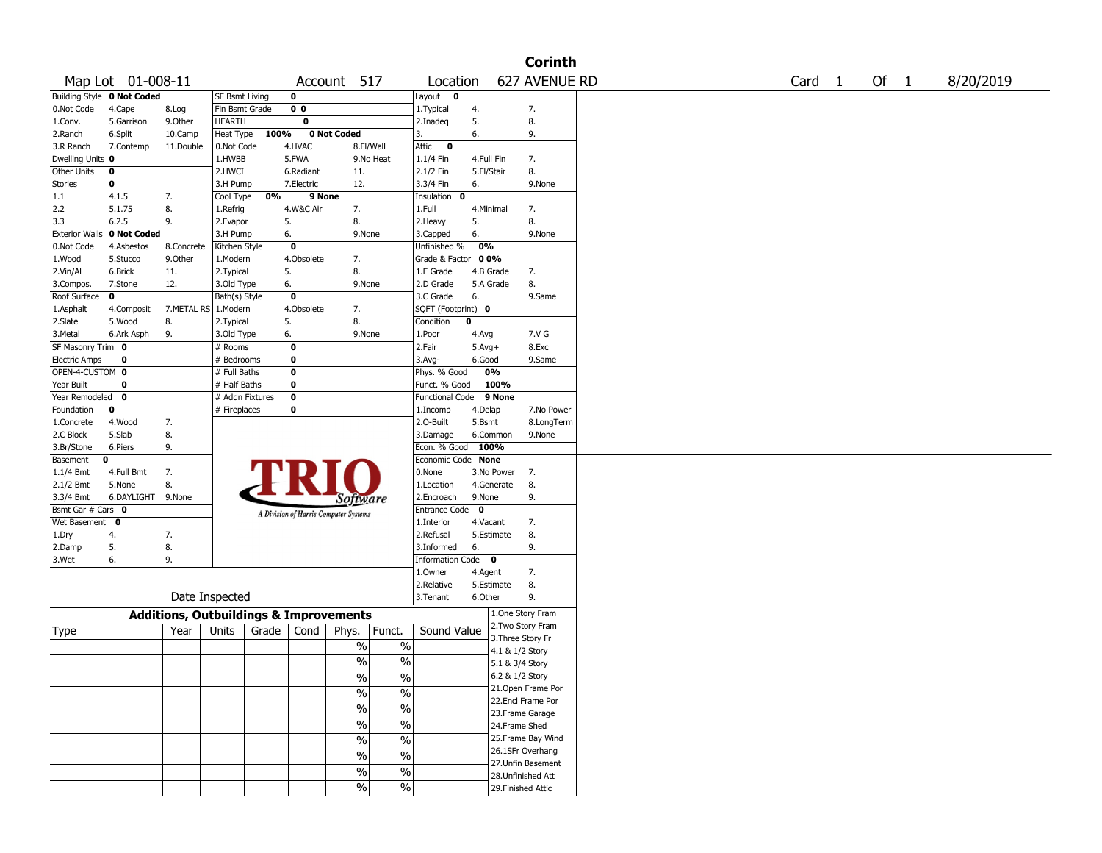|                              |                                   |            |                                                   |                                       |             |                              |                           |              | <b>Corinth</b>     |  |                   |  |      |           |
|------------------------------|-----------------------------------|------------|---------------------------------------------------|---------------------------------------|-------------|------------------------------|---------------------------|--------------|--------------------|--|-------------------|--|------|-----------|
|                              | Map Lot 01-008-11                 |            |                                                   |                                       | Account 517 |                              | Location                  |              | 627 AVENUE RD      |  | Card <sub>1</sub> |  | Of 1 | 8/20/2019 |
|                              | <b>Building Style 0 Not Coded</b> |            | <b>SF Bsmt Living</b>                             | $\mathbf 0$                           |             |                              | Layout 0                  |              |                    |  |                   |  |      |           |
| 0.Not Code                   | 4.Cape                            | 8.Log      | Fin Bsmt Grade                                    | 0 <sub>0</sub>                        |             |                              | 1. Typical                | 4.           | 7.                 |  |                   |  |      |           |
| 1.Conv.                      | 5.Garrison                        | 9.0ther    | <b>HEARTH</b>                                     | 0                                     |             |                              | 2.Inadeq                  | 5.           | 8.                 |  |                   |  |      |           |
| 2.Ranch                      | 6.Split                           | 10.Camp    | Heat Type                                         | 100%                                  | 0 Not Coded |                              | 3.                        | 6.           | 9.                 |  |                   |  |      |           |
| 3.R Ranch                    | 7.Contemp                         | 11.Double  | 0.Not Code                                        | 4.HVAC                                |             | 8.Fl/Wall                    | Attic<br>$\mathbf 0$      |              |                    |  |                   |  |      |           |
| Dwelling Units 0             |                                   |            | 1.HWBB                                            | 5.FWA                                 |             | 9.No Heat                    | 1.1/4 Fin                 | 4.Full Fin   | 7.                 |  |                   |  |      |           |
| Other Units                  | 0                                 |            | 2.HWCI                                            | 6.Radiant                             | 11.         |                              | 2.1/2 Fin                 | 5.Fl/Stair   | 8.                 |  |                   |  |      |           |
| Stories                      | 0                                 |            | 3.H Pump                                          | 7.Electric                            | 12.         |                              | 3.3/4 Fin                 | 6.           | 9.None             |  |                   |  |      |           |
| 1.1                          | 4.1.5                             | 7.         | Cool Type                                         | 0%                                    | 9 None      |                              | Insulation 0              |              |                    |  |                   |  |      |           |
| 2.2                          | 5.1.75                            | 8.         | 1.Refrig                                          | 4.W&C Air                             | 7.          |                              | 1.Full                    | 4.Minimal    | 7.                 |  |                   |  |      |           |
| 3.3                          | 6.2.5                             | 9.         | 2.Evapor                                          | 5.                                    | 8.          |                              | 2. Heavy                  | 5.           | 8.                 |  |                   |  |      |           |
|                              | Exterior Walls 0 Not Coded        |            | 3.H Pump                                          | 6.                                    |             | 9.None                       | 3.Capped                  | 6.           | 9.None             |  |                   |  |      |           |
| 0.Not Code                   | 4.Asbestos                        | 8.Concrete | Kitchen Style                                     | $\mathbf 0$                           |             |                              | Unfinished %              | 0%           |                    |  |                   |  |      |           |
| 1.Wood                       | 5.Stucco                          | 9.0ther    | 1.Modern                                          | 4.Obsolete                            | 7.          |                              | Grade & Factor            | 00%          |                    |  |                   |  |      |           |
| 2.Vin/Al                     | 6.Brick                           | 11.        | 2. Typical                                        | 5.                                    | 8.          |                              | 1.E Grade                 | 4.B Grade    | 7.                 |  |                   |  |      |           |
| 3.Compos.                    | 7.Stone                           | 12.        | 3.Old Type                                        | 6.                                    |             | 9.None                       | 2.D Grade                 | 5.A Grade    | 8.                 |  |                   |  |      |           |
| Roof Surface                 | $\mathbf 0$                       |            | Bath(s) Style                                     | $\mathbf 0$                           |             |                              | 3.C Grade                 | 6.           | 9.Same             |  |                   |  |      |           |
| 1.Asphalt                    | 4.Composit                        |            | 7.METAL RS 1.Modern                               | 4.Obsolete                            | 7.          |                              | SQFT (Footprint) 0        |              |                    |  |                   |  |      |           |
| 2.Slate                      | 5.Wood                            | 8.         | 2. Typical                                        | 5.                                    | 8.          |                              | Condition                 | 0            |                    |  |                   |  |      |           |
| 3.Metal<br>SF Masonry Trim 0 | 6.Ark Asph                        | 9.         | 3.Old Type<br># Rooms                             | 6.<br>$\mathbf 0$                     |             | 9.None                       | 1.Poor<br>2.Fair          | 4.Avg        | 7.V G<br>8.Exc     |  |                   |  |      |           |
| <b>Electric Amps</b>         |                                   |            |                                                   | $\bf{0}$                              |             |                              |                           | $5.$ Avg $+$ |                    |  |                   |  |      |           |
| OPEN-4-CUSTOM 0              | 0                                 |            | # Bedrooms<br># Full Baths                        | $\bf{0}$                              |             |                              | $3.$ Avg-<br>Phys. % Good | 6.Good<br>0% | 9.Same             |  |                   |  |      |           |
| Year Built                   | 0                                 |            | # Half Baths                                      | $\bf{0}$                              |             |                              | Funct. % Good             | 100%         |                    |  |                   |  |      |           |
| Year Remodeled 0             |                                   |            | # Addn Fixtures                                   | $\bf{0}$                              |             |                              | Functional Code           | 9 None       |                    |  |                   |  |      |           |
| Foundation                   | 0                                 |            | # Fireplaces                                      | $\bf{0}$                              |             |                              | 1.Incomp                  | 4.Delap      | 7.No Power         |  |                   |  |      |           |
| 1.Concrete                   | 4.Wood                            | 7.         |                                                   |                                       |             |                              | 2.0-Built                 | 5.Bsmt       | 8.LongTerm         |  |                   |  |      |           |
| 2.C Block                    | 5.Slab                            | 8.         |                                                   |                                       |             |                              | 3.Damage                  | 6.Common     | 9.None             |  |                   |  |      |           |
| 3.Br/Stone                   | 6.Piers                           | 9.         |                                                   |                                       |             |                              | Econ. % Good              | 100%         |                    |  |                   |  |      |           |
| Basement                     | 0                                 |            |                                                   |                                       |             |                              | Economic Code None        |              |                    |  |                   |  |      |           |
| $1.1/4$ Bmt                  | 4.Full Bmt                        | 7.         |                                                   |                                       |             |                              | 0.None                    | 3.No Power   | 7.                 |  |                   |  |      |           |
| 2.1/2 Bmt                    | 5.None                            | 8.         |                                                   |                                       |             |                              | 1.Location                | 4.Generate   | 8.                 |  |                   |  |      |           |
| 3.3/4 Bmt                    | 6.DAYLIGHT 9.None                 |            |                                                   |                                       |             | <i>Software</i>              | 2.Encroach                | 9.None       | 9.                 |  |                   |  |      |           |
| Bsmt Gar # Cars 0            |                                   |            |                                                   |                                       |             |                              | <b>Entrance Code</b>      | $\mathbf{o}$ |                    |  |                   |  |      |           |
| Wet Basement 0               |                                   |            |                                                   | A Division of Harris Computer Systems |             |                              | 1.Interior                | 4.Vacant     | 7.                 |  |                   |  |      |           |
| 1.Dry                        | 4.                                | 7.         |                                                   |                                       |             |                              | 2.Refusal                 | 5.Estimate   | 8.                 |  |                   |  |      |           |
| 2.Damp                       | 5.                                | 8.         |                                                   |                                       |             |                              | 3.Informed                | 6.           | 9.                 |  |                   |  |      |           |
| 3.Wet                        | 6.                                | 9.         |                                                   |                                       |             |                              | Information Code 0        |              |                    |  |                   |  |      |           |
|                              |                                   |            |                                                   |                                       |             |                              | 1.Owner                   | 4.Agent      | 7.                 |  |                   |  |      |           |
|                              |                                   |            |                                                   |                                       |             |                              | 2.Relative                | 5.Estimate   | 8.                 |  |                   |  |      |           |
|                              |                                   |            | Date Inspected                                    |                                       |             |                              | 3.Tenant                  | 6.Other      | 9.                 |  |                   |  |      |           |
|                              |                                   |            | <b>Additions, Outbuildings &amp; Improvements</b> |                                       |             |                              |                           |              | 1.One Story Fram   |  |                   |  |      |           |
| Type                         |                                   | Year       | Units                                             | Grade<br>Cond                         | Phys.       | Funct.                       | Sound Value               |              | 2. Two Story Fram  |  |                   |  |      |           |
|                              |                                   |            |                                                   |                                       |             | $\%$<br>$\%$                 |                           |              | 3. Three Story Fr  |  |                   |  |      |           |
|                              |                                   |            |                                                   |                                       |             |                              |                           |              | 4.1 & 1/2 Story    |  |                   |  |      |           |
|                              |                                   |            |                                                   |                                       |             | $\sqrt{20}$<br>$\frac{0}{0}$ |                           |              | 5.1 & 3/4 Story    |  |                   |  |      |           |
|                              |                                   |            |                                                   |                                       |             | $\frac{1}{2}$<br>$\%$        |                           |              | 6.2 & 1/2 Story    |  |                   |  |      |           |
|                              |                                   |            |                                                   |                                       |             | $\sqrt{20}$<br>$\frac{1}{2}$ |                           |              | 21. Open Frame Por |  |                   |  |      |           |
|                              |                                   |            |                                                   |                                       |             | $\frac{0}{6}$<br>$\sqrt{20}$ |                           |              | 22.Encl Frame Por  |  |                   |  |      |           |
|                              |                                   |            |                                                   |                                       |             |                              |                           |              | 23. Frame Garage   |  |                   |  |      |           |
|                              |                                   |            |                                                   |                                       |             | $\sqrt{6}$<br>$\frac{1}{2}$  |                           |              | 24.Frame Shed      |  |                   |  |      |           |
|                              |                                   |            |                                                   |                                       |             | $\sqrt{6}$<br>$\sqrt{2}$     |                           |              | 25. Frame Bay Wind |  |                   |  |      |           |
|                              |                                   |            |                                                   |                                       |             | $\frac{1}{2}$<br>%           |                           |              | 26.1SFr Overhang   |  |                   |  |      |           |
|                              |                                   |            |                                                   |                                       |             | $\sqrt{6}$<br>$\frac{1}{2}$  |                           |              | 27.Unfin Basement  |  |                   |  |      |           |
|                              |                                   |            |                                                   |                                       |             |                              |                           |              | 28.Unfinished Att  |  |                   |  |      |           |
|                              |                                   |            |                                                   |                                       |             | $\sqrt{6}$<br>$\sqrt{6}$     |                           |              | 29. Finished Attic |  |                   |  |      |           |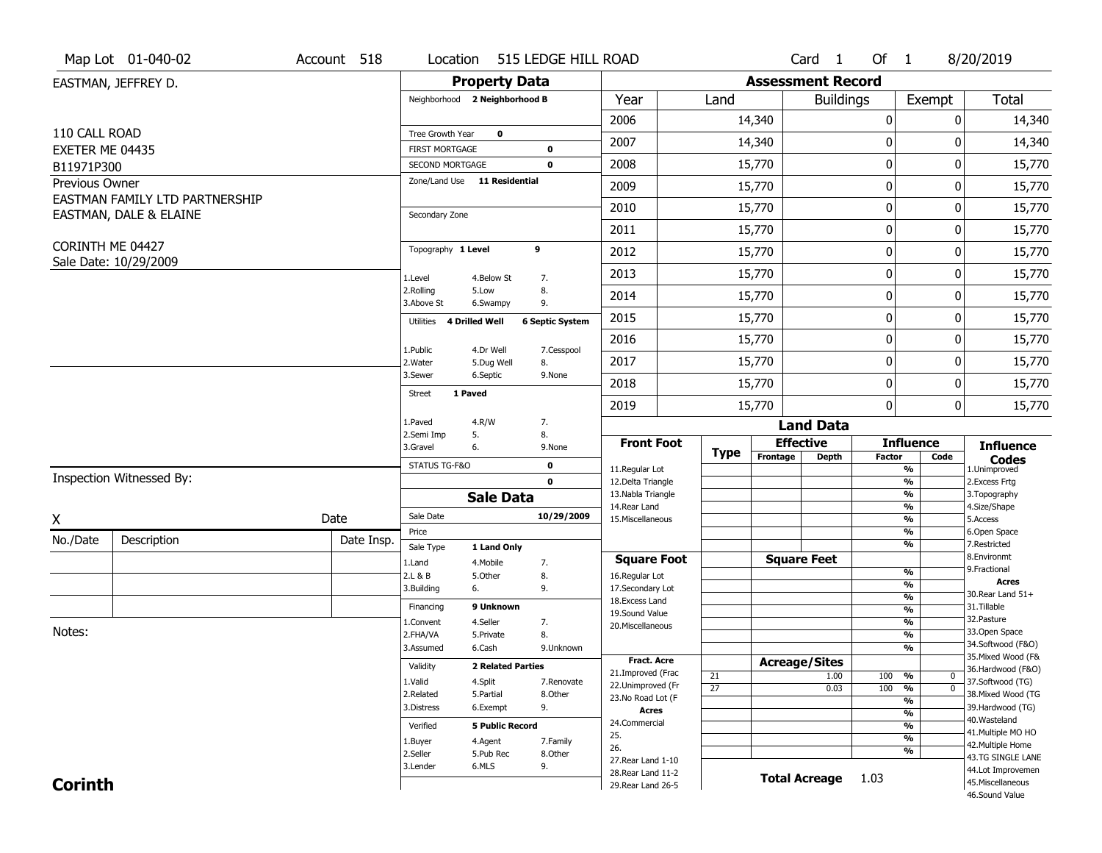|                  | Map Lot 01-040-02              | Account 518 | Location                                        |                          | 515 LEDGE HILL ROAD    |                                    |                 |                          | Card 1               | Of $1$      |                                 | 8/20/2019                              |
|------------------|--------------------------------|-------------|-------------------------------------------------|--------------------------|------------------------|------------------------------------|-----------------|--------------------------|----------------------|-------------|---------------------------------|----------------------------------------|
|                  | EASTMAN, JEFFREY D.            |             |                                                 | <b>Property Data</b>     |                        |                                    |                 | <b>Assessment Record</b> |                      |             |                                 |                                        |
|                  |                                |             | Neighborhood 2 Neighborhood B                   |                          |                        | Year                               | Land            |                          | <b>Buildings</b>     |             | Exempt                          | <b>Total</b>                           |
|                  |                                |             |                                                 |                          |                        | 2006                               |                 | 14,340                   |                      | 0           | 0                               | 14,340                                 |
| 110 CALL ROAD    |                                |             | Tree Growth Year                                | $\mathbf 0$              |                        | 2007                               |                 | 14,340                   |                      | $\bf{0}$    | 0                               | 14,340                                 |
| EXETER ME 04435  |                                |             | <b>FIRST MORTGAGE</b>                           |                          | 0                      |                                    |                 |                          |                      |             |                                 |                                        |
| B11971P300       |                                |             | SECOND MORTGAGE<br>Zone/Land Use 11 Residential |                          | $\mathbf 0$            | 2008                               |                 | 15,770                   |                      | $\pmb{0}$   | 0                               | 15,770                                 |
| Previous Owner   | EASTMAN FAMILY LTD PARTNERSHIP |             |                                                 |                          |                        | 2009                               |                 | 15,770                   |                      | 0           | 0                               | 15,770                                 |
|                  | EASTMAN, DALE & ELAINE         |             | Secondary Zone                                  |                          |                        | 2010                               |                 | 15,770                   |                      | $\mathbf 0$ | 0                               | 15,770                                 |
|                  |                                |             |                                                 |                          |                        | 2011                               |                 | 15,770                   |                      | $\pmb{0}$   | 0                               | 15,770                                 |
| CORINTH ME 04427 |                                |             | Topography 1 Level                              |                          | 9                      | 2012                               |                 | 15,770                   |                      | $\pmb{0}$   | 0                               | 15,770                                 |
|                  | Sale Date: 10/29/2009          |             | 1.Level                                         | 4.Below St               | 7.                     | 2013                               |                 | 15,770                   |                      | 0           | 0                               | 15,770                                 |
|                  |                                |             | 2.Rolling<br>3.Above St                         | 5.Low<br>6.Swampy        | 8.<br>9.               | 2014                               |                 | 15,770                   |                      | 0           | 0                               | 15,770                                 |
|                  |                                |             | Utilities                                       | 4 Drilled Well           | <b>6 Septic System</b> | 2015                               |                 | 15,770                   |                      | $\pmb{0}$   | 0                               | 15,770                                 |
|                  |                                |             | 1.Public                                        | 4.Dr Well                | 7.Cesspool             | 2016                               |                 | 15,770                   |                      | $\pmb{0}$   | 0                               | 15,770                                 |
|                  |                                |             | 2.Water                                         | 5.Dug Well               | 8.                     | 2017                               |                 | 15,770                   |                      | 0           | 0                               | 15,770                                 |
|                  |                                |             | 3.Sewer                                         | 6.Septic                 | 9.None                 | 2018                               |                 | 15,770                   |                      | 0           | 0                               | 15,770                                 |
|                  |                                |             | <b>Street</b>                                   | 1 Paved                  |                        | 2019                               |                 | 15,770                   |                      | 0           | 0                               | 15,770                                 |
|                  |                                |             | 1.Paved                                         | 4.R/W                    | 7.                     |                                    |                 |                          | <b>Land Data</b>     |             |                                 |                                        |
|                  |                                |             | 2.Semi Imp<br>3.Gravel                          | 5.<br>6.                 | 8.<br>9.None           | <b>Front Foot</b>                  |                 | <b>Effective</b>         |                      |             | <b>Influence</b>                | <b>Influence</b>                       |
|                  |                                |             | STATUS TG-F&O                                   |                          | $\mathbf 0$            | 11.Regular Lot                     | <b>Type</b>     | Frontage                 | <b>Depth</b>         | Factor      | Code<br>%                       | <b>Codes</b><br>1.Unimproved           |
|                  | Inspection Witnessed By:       |             |                                                 |                          | $\mathbf 0$            | 12.Delta Triangle                  |                 |                          |                      |             | $\overline{\frac{9}{6}}$        | 2. Excess Frtg                         |
|                  |                                |             |                                                 | <b>Sale Data</b>         |                        | 13. Nabla Triangle                 |                 |                          |                      |             | $\frac{9}{6}$                   | 3. Topography                          |
| X                |                                | Date        | Sale Date                                       |                          | 10/29/2009             | 14. Rear Land<br>15. Miscellaneous |                 |                          |                      |             | $\frac{9}{6}$<br>$\frac{9}{6}$  | 4.Size/Shape<br>5.Access               |
| No./Date         |                                | Date Insp.  | Price                                           |                          |                        |                                    |                 |                          |                      |             | %                               | 6.Open Space                           |
|                  | Description                    |             | Sale Type                                       | 1 Land Only              |                        |                                    |                 |                          |                      |             | %                               | 7.Restricted<br>8.Environmt            |
|                  |                                |             | 1.Land                                          | 4. Mobile                | 7.                     | <b>Square Foot</b>                 |                 | <b>Square Feet</b>       |                      |             | $\frac{9}{6}$                   | 9. Fractional                          |
|                  |                                |             | 2.L & B<br>3.Building                           | 5.Other<br>6.            | 8.<br>9.               | 16.Regular Lot<br>17.Secondary Lot |                 |                          |                      |             | $\overline{\frac{9}{6}}$        | <b>Acres</b>                           |
|                  |                                |             | Financing                                       | 9 Unknown                |                        | 18. Excess Land                    |                 |                          |                      |             | $\frac{9}{6}$                   | 30. Rear Land 51+<br>31.Tillable       |
|                  |                                |             | 1.Convent                                       | 4.Seller                 | 7.                     | 19.Sound Value                     |                 |                          |                      |             | $\frac{9}{6}$<br>$\frac{9}{6}$  | 32.Pasture                             |
| Notes:           |                                |             | 2.FHA/VA                                        | 5.Private                | 8.                     | 20.Miscellaneous                   |                 |                          |                      |             | $\frac{9}{6}$                   | 33.Open Space                          |
|                  |                                |             | 3.Assumed                                       | 6.Cash                   | 9.Unknown              |                                    |                 |                          |                      |             | %                               | 34.Softwood (F&O)                      |
|                  |                                |             |                                                 | <b>2 Related Parties</b> |                        | <b>Fract, Acre</b>                 |                 | <b>Acreage/Sites</b>     |                      |             |                                 | 35. Mixed Wood (F&                     |
|                  |                                |             | Validity                                        |                          |                        | 21.Improved (Frac                  | 21              |                          | 1.00                 | 100         | %<br>0                          | 36.Hardwood (F&O)                      |
|                  |                                |             | 1.Valid<br>2.Related                            | 4.Split<br>5.Partial     | 7.Renovate<br>8.Other  | 22.Unimproved (Fr                  | $\overline{27}$ |                          | 0.03                 | 100         | $\overline{0}$<br>$\frac{9}{6}$ | 37.Softwood (TG)<br>38. Mixed Wood (TG |
|                  |                                |             | 3.Distress                                      | 6.Exempt                 | 9.                     | 23. No Road Lot (F                 |                 |                          |                      |             | $\frac{9}{6}$                   | 39.Hardwood (TG)                       |
|                  |                                |             |                                                 |                          |                        | <b>Acres</b><br>24.Commercial      |                 |                          |                      |             | $\frac{9}{6}$                   | 40. Wasteland                          |
|                  |                                |             | Verified                                        | <b>5 Public Record</b>   |                        | 25.                                |                 |                          |                      |             | $\frac{9}{6}$                   | 41. Multiple MO HO                     |
|                  |                                |             | 1.Buyer<br>2.Seller                             | 4.Agent                  | 7.Family               | 26.                                |                 |                          |                      |             | $\frac{9}{6}$<br>%              | 42. Multiple Home                      |
|                  |                                |             |                                                 | 5.Pub Rec                | 8.Other                | 27. Rear Land 1-10                 |                 |                          |                      |             |                                 | 43.TG SINGLE LANE                      |
|                  |                                |             | 3.Lender                                        | 6.MLS                    | 9.                     | 28. Rear Land 11-2                 |                 |                          | <b>Total Acreage</b> | 1.03        |                                 | 44.Lot Improvemen                      |
| <b>Corinth</b>   |                                |             |                                                 |                          |                        | 29. Rear Land 26-5                 |                 |                          |                      |             |                                 | 45. Miscellaneous<br>46.Sound Value    |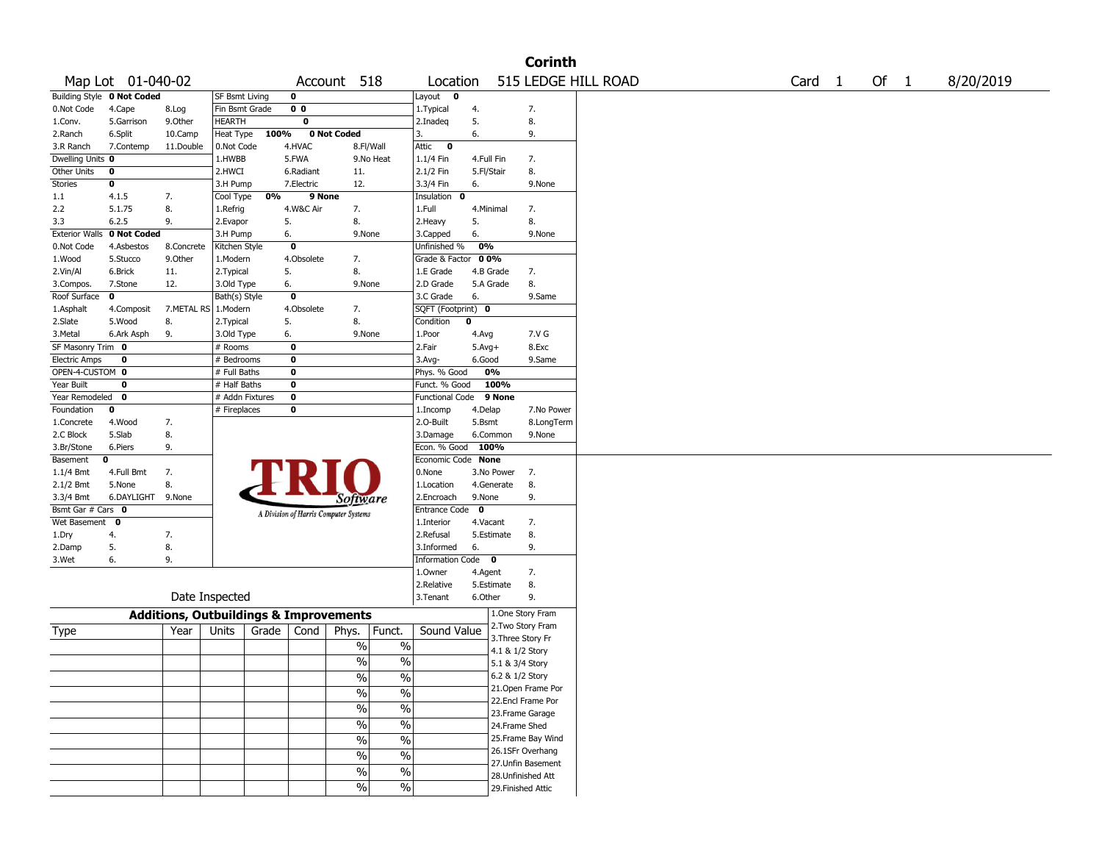|                       |                   |                                                   |                 |       |                |                                       |                          |                        |             |                    | <b>Corinth</b>     |                     |  |                   |      |           |
|-----------------------|-------------------|---------------------------------------------------|-----------------|-------|----------------|---------------------------------------|--------------------------|------------------------|-------------|--------------------|--------------------|---------------------|--|-------------------|------|-----------|
|                       | Map Lot 01-040-02 |                                                   |                 |       |                | Account 518                           |                          | Location               |             |                    |                    | 515 LEDGE HILL ROAD |  | Card <sub>1</sub> | Of 1 | 8/20/2019 |
| <b>Building Style</b> | 0 Not Coded       |                                                   | SF Bsmt Living  |       | $\mathbf 0$    |                                       |                          | Layout<br>0            |             |                    |                    |                     |  |                   |      |           |
| 0.Not Code            | 4.Cape            | 8.Log                                             | Fin Bsmt Grade  |       | 0 <sub>0</sub> |                                       |                          | 1. Typical             | 4.          |                    | 7.                 |                     |  |                   |      |           |
| 1.Conv.               | 5.Garrison        | 9.0ther                                           | HEARTH          |       | $\mathbf 0$    |                                       |                          | 2.Inadeq               | 5.          |                    | 8.                 |                     |  |                   |      |           |
| 2.Ranch               | 6.Split           | 10.Camp                                           | Heat Type       | 100%  |                | 0 Not Coded                           |                          | 3.                     | 6.          |                    | 9.                 |                     |  |                   |      |           |
| 3.R Ranch             | 7.Contemp         | 11.Double                                         | 0.Not Code      |       | 4.HVAC         | 8.Fl/Wall                             |                          | Attic<br>$\mathbf 0$   |             |                    |                    |                     |  |                   |      |           |
| Dwelling Units 0      |                   |                                                   | 1.HWBB          |       | 5.FWA          |                                       | 9.No Heat                | $1.1/4$ Fin            | 4.Full Fin  |                    | 7.                 |                     |  |                   |      |           |
| Other Units           | 0                 |                                                   | 2.HWCI          |       | 6.Radiant      | 11.                                   |                          | 2.1/2 Fin              | 5.Fl/Stair  |                    | 8.                 |                     |  |                   |      |           |
| Stories               | 0                 |                                                   | 3.H Pump        |       | 7.Electric     | 12.                                   |                          | 3.3/4 Fin              | 6.          |                    | 9.None             |                     |  |                   |      |           |
| 1.1                   | 4.1.5             | 7.                                                | Cool Type       | 0%    | 9 None         |                                       |                          | Insulation<br>0        |             |                    |                    |                     |  |                   |      |           |
| 2.2                   | 5.1.75            | 8.                                                | 1.Refrig        |       | 4.W&C Air      | 7.                                    |                          | 1.Full                 | 4.Minimal   |                    | 7.                 |                     |  |                   |      |           |
| 3.3                   | 6.2.5             | 9.                                                | 2.Evapor        | 5.    |                | 8.                                    |                          | 2.Heavy                | 5.          |                    | 8.                 |                     |  |                   |      |           |
| <b>Exterior Walls</b> | 0 Not Coded       |                                                   | 3.H Pump        | 6.    |                | 9.None                                |                          | 3.Capped               | 6.          |                    | 9.None             |                     |  |                   |      |           |
| 0.Not Code            | 4.Asbestos        | 8.Concrete                                        | Kitchen Style   |       | $\bf{0}$       |                                       |                          | Unfinished %           | 0%          |                    |                    |                     |  |                   |      |           |
| 1.Wood                | 5.Stucco          | 9.0ther                                           | 1.Modern        |       | 4.Obsolete     | 7.                                    |                          | Grade & Factor         | 00%         |                    |                    |                     |  |                   |      |           |
| 2.Vin/Al              | 6.Brick           | 11.                                               | 2. Typical      | 5.    |                | 8.                                    |                          | 1.E Grade              | 4.B Grade   |                    | 7.                 |                     |  |                   |      |           |
| 3.Compos.             | 7.Stone           | 12.                                               | 3.Old Type      | 6.    |                | 9.None                                |                          | 2.D Grade              |             | 5.A Grade          | 8.                 |                     |  |                   |      |           |
| Roof Surface          | 0                 |                                                   | Bath(s) Style   |       | $\mathbf 0$    |                                       |                          | 3.C Grade              | 6.          |                    | 9.Same             |                     |  |                   |      |           |
| 1.Asphalt             | 4.Composit        | 7.METAL RS 1.Modern                               |                 |       | 4.Obsolete     | 7.                                    |                          | SQFT (Footprint) 0     |             |                    |                    |                     |  |                   |      |           |
| 2.Slate               | 5.Wood            | 8.                                                | 2. Typical      | 5.    |                | 8.                                    |                          | Condition              | $\mathbf 0$ |                    |                    |                     |  |                   |      |           |
| 3. Metal              | 6.Ark Asph        | 9.                                                | 3.Old Type      | 6.    |                | 9.None                                |                          | 1.Poor                 | 4.Avg       |                    | 7.V G              |                     |  |                   |      |           |
| SF Masonry Trim 0     |                   |                                                   | # Rooms         |       | $\bf{0}$       |                                       |                          | 2.Fair                 | $5.Avg+$    |                    | 8.Exc              |                     |  |                   |      |           |
| <b>Electric Amps</b>  | 0                 |                                                   | # Bedrooms      |       | $\bf{0}$       |                                       |                          | $3.$ Avg-              | 6.Good      |                    | 9.Same             |                     |  |                   |      |           |
| OPEN-4-CUSTOM 0       |                   |                                                   | # Full Baths    |       | $\bf{0}$       |                                       |                          | Phys. % Good           |             | 0%                 |                    |                     |  |                   |      |           |
| Year Built            | 0                 |                                                   | # Half Baths    |       | $\bf{0}$       |                                       |                          | Funct. % Good          |             | 100%               |                    |                     |  |                   |      |           |
| Year Remodeled        | $\mathbf{o}$      |                                                   | # Addn Fixtures |       | $\bf o$        |                                       |                          | <b>Functional Code</b> |             | 9 None             |                    |                     |  |                   |      |           |
| Foundation            | 0                 |                                                   | # Fireplaces    |       | $\bf{0}$       |                                       |                          | 1.Incomp               | 4.Delap     |                    | 7.No Power         |                     |  |                   |      |           |
| 1.Concrete            | 4.Wood            | 7.                                                |                 |       |                |                                       |                          | 2.O-Built              | 5.Bsmt      |                    | 8.LongTerm         |                     |  |                   |      |           |
| 2.C Block             | 5.Slab            | 8.                                                |                 |       |                |                                       |                          | 3.Damage               |             | 6.Common           | 9.None             |                     |  |                   |      |           |
| 3.Br/Stone            | 6.Piers           | 9.                                                |                 |       |                |                                       |                          | Econ. % Good           | 100%        |                    |                    |                     |  |                   |      |           |
| Basement              | 0                 |                                                   |                 |       |                |                                       |                          | Economic Code None     |             |                    |                    |                     |  |                   |      |           |
| $1.1/4$ Bmt           | 4.Full Bmt        | 7.                                                |                 |       |                |                                       |                          | 0.None                 |             | 3.No Power         | 7.                 |                     |  |                   |      |           |
| 2.1/2 Bmt             | 5.None            | 8.                                                |                 |       |                |                                       |                          | 1.Location             |             | 4.Generate         | 8.                 |                     |  |                   |      |           |
| 3.3/4 Bmt             | 6.DAYLIGHT        | 9.None                                            |                 |       |                | Software                              |                          | 2.Encroach             | 9.None      |                    | 9.                 |                     |  |                   |      |           |
| Bsmt Gar # Cars 0     |                   |                                                   |                 |       |                | A Division of Harris Computer Systems |                          | Entrance Code          | 0           |                    |                    |                     |  |                   |      |           |
| Wet Basement          | 0                 |                                                   |                 |       |                |                                       |                          | 1.Interior             | 4.Vacant    |                    | 7.                 |                     |  |                   |      |           |
| 1.Dry                 | 4.                | 7.                                                |                 |       |                |                                       |                          | 2.Refusal              |             | 5.Estimate         | 8.                 |                     |  |                   |      |           |
| 2.Damp                | 5.                | 8.                                                |                 |       |                |                                       |                          | 3.Informed             | 6.          |                    | 9.                 |                     |  |                   |      |           |
| 3.Wet                 | 6.                | 9.                                                |                 |       |                |                                       |                          | Information Code 0     |             |                    |                    |                     |  |                   |      |           |
|                       |                   |                                                   |                 |       |                |                                       |                          | 1.Owner                | 4.Agent     |                    | 7.                 |                     |  |                   |      |           |
|                       |                   |                                                   |                 |       |                |                                       |                          | 2.Relative             |             | 5.Estimate         | 8.                 |                     |  |                   |      |           |
|                       |                   |                                                   | Date Inspected  |       |                |                                       |                          | 3. Tenant              | 6.Other     |                    | 9.                 |                     |  |                   |      |           |
|                       |                   | <b>Additions, Outbuildings &amp; Improvements</b> |                 |       |                |                                       |                          |                        |             | 1.One Story Fram   |                    |                     |  |                   |      |           |
| Type                  |                   | Year                                              | Units           | Grade | Cond           | Phys.                                 | Funct.                   | Sound Value            |             | 2. Two Story Fram  |                    |                     |  |                   |      |           |
|                       |                   |                                                   |                 |       |                |                                       |                          |                        |             | 3. Three Story Fr  |                    |                     |  |                   |      |           |
|                       |                   |                                                   |                 |       |                | $\%$                                  | $\%$                     |                        |             | 4.1 & 1/2 Story    |                    |                     |  |                   |      |           |
|                       |                   |                                                   |                 |       |                | %                                     | $\%$                     |                        |             | 5.1 & 3/4 Story    |                    |                     |  |                   |      |           |
|                       |                   |                                                   |                 |       |                | $\overline{\frac{0}{6}}$              | $\%$                     |                        |             | 6.2 & 1/2 Story    |                    |                     |  |                   |      |           |
|                       |                   |                                                   |                 |       |                | $\sqrt{6}$                            | $\%$                     |                        |             |                    | 21. Open Frame Por |                     |  |                   |      |           |
|                       |                   |                                                   |                 |       |                |                                       |                          |                        |             |                    | 22.Encl Frame Por  |                     |  |                   |      |           |
|                       |                   |                                                   |                 |       |                | $\frac{0}{6}$                         | $\overline{\frac{0}{6}}$ |                        |             | 23. Frame Garage   |                    |                     |  |                   |      |           |
|                       |                   |                                                   |                 |       |                | $\sqrt{6}$                            | $\overline{\frac{0}{6}}$ |                        |             | 24.Frame Shed      |                    |                     |  |                   |      |           |
|                       |                   |                                                   |                 |       |                | $\frac{0}{6}$                         | $\overline{\frac{0}{6}}$ |                        |             |                    | 25. Frame Bay Wind |                     |  |                   |      |           |
|                       |                   |                                                   |                 |       |                | $\sqrt{6}$                            | $\%$                     |                        |             |                    | 26.1SFr Overhang   |                     |  |                   |      |           |
|                       |                   |                                                   |                 |       |                |                                       |                          |                        |             |                    | 27.Unfin Basement  |                     |  |                   |      |           |
|                       |                   |                                                   |                 |       |                | $\sqrt{6}$                            | $\%$                     |                        |             | 28. Unfinished Att |                    |                     |  |                   |      |           |
|                       |                   |                                                   |                 |       |                | $\frac{0}{0}$                         | $\%$                     |                        |             | 29. Finished Attic |                    |                     |  |                   |      |           |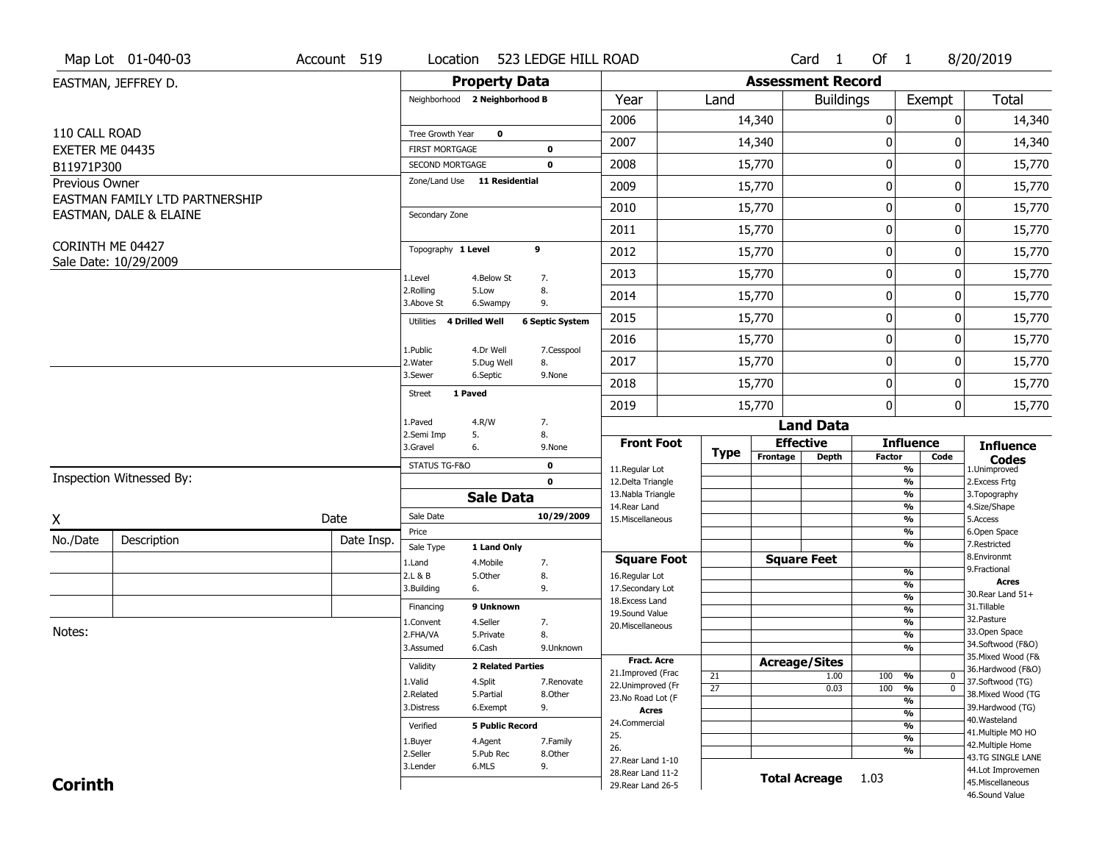|                               | Map Lot 01-040-03              | Account 519 | Location                                 |                          | 523 LEDGE HILL ROAD        |                                     |                       |                          | Card 1               | Of 1          |                                | 8/20/2019                           |
|-------------------------------|--------------------------------|-------------|------------------------------------------|--------------------------|----------------------------|-------------------------------------|-----------------------|--------------------------|----------------------|---------------|--------------------------------|-------------------------------------|
|                               | EASTMAN, JEFFREY D.            |             |                                          | <b>Property Data</b>     |                            |                                     |                       | <b>Assessment Record</b> |                      |               |                                |                                     |
|                               |                                |             | Neighborhood 2 Neighborhood B            |                          |                            | Year                                | Land                  |                          | <b>Buildings</b>     |               | Exempt                         | <b>Total</b>                        |
|                               |                                |             |                                          |                          |                            | 2006                                |                       | 14,340                   |                      | 0             | 0                              | 14,340                              |
| 110 CALL ROAD                 |                                |             | Tree Growth Year                         | $\mathbf 0$              |                            | 2007                                |                       | 14,340                   |                      | 0             | 0                              | 14,340                              |
| EXETER ME 04435<br>B11971P300 |                                |             | <b>FIRST MORTGAGE</b><br>SECOND MORTGAGE |                          | $\mathbf 0$<br>$\mathbf 0$ | 2008                                |                       | 15,770                   |                      | 0             | 0                              | 15,770                              |
| Previous Owner                |                                |             | Zone/Land Use 11 Residential             |                          |                            | 2009                                |                       | 15,770                   |                      | 0             | 0                              | 15,770                              |
|                               | EASTMAN FAMILY LTD PARTNERSHIP |             |                                          |                          |                            |                                     |                       |                          |                      |               |                                |                                     |
|                               | EASTMAN, DALE & ELAINE         |             | Secondary Zone                           |                          |                            | 2010                                |                       | 15,770                   |                      | 0             | 0                              | 15,770                              |
|                               |                                |             |                                          |                          |                            | 2011                                |                       | 15,770                   |                      | 0             | 0                              | 15,770                              |
| CORINTH ME 04427              | Sale Date: 10/29/2009          |             | Topography 1 Level                       |                          | 9                          | 2012                                |                       | 15,770                   |                      | 0             | 0                              | 15,770                              |
|                               |                                |             | 1.Level                                  | 4.Below St               | 7.                         | 2013                                |                       | 15,770                   |                      | 0             | 0                              | 15,770                              |
|                               |                                |             | 2.Rolling<br>3.Above St                  | 5.Low<br>6.Swampy        | 8.<br>9.                   | 2014                                |                       | 15,770                   |                      | 0             | 0                              | 15,770                              |
|                               |                                |             | Utilities                                | 4 Drilled Well           | <b>6 Septic System</b>     | 2015                                |                       | 15,770                   |                      | 0             | $\Omega$                       | 15,770                              |
|                               |                                |             | 1.Public                                 | 4.Dr Well                | 7.Cesspool                 | 2016                                |                       | 15,770                   |                      | 0             | 0                              | 15,770                              |
|                               |                                |             | 2. Water                                 | 5.Dug Well               | 8.                         | 2017                                |                       | 15,770                   |                      | 0             | 0                              | 15,770                              |
|                               |                                |             | 3.Sewer                                  | 6.Septic                 | 9.None                     | 2018                                |                       | 15,770                   |                      | 0             | 0                              | 15,770                              |
|                               |                                |             | <b>Street</b>                            | 1 Paved                  |                            | 2019                                |                       | 15,770                   |                      | 0             | $\mathbf 0$                    | 15,770                              |
|                               |                                |             | 1.Paved                                  | 4.R/W                    | 7.                         |                                     |                       |                          | <b>Land Data</b>     |               |                                |                                     |
|                               |                                |             | 2.Semi Imp<br>3.Gravel                   | 5.<br>6.                 | 8.<br>9.None               | <b>Front Foot</b>                   |                       | <b>Effective</b>         |                      |               | <b>Influence</b>               | <b>Influence</b>                    |
|                               |                                |             | STATUS TG-F&O                            |                          | $\mathbf 0$                | 11.Regular Lot                      | <b>Type</b>           | Frontage                 | <b>Depth</b>         | <b>Factor</b> | Code<br>%                      | <b>Codes</b><br>1.Unimproved        |
|                               | Inspection Witnessed By:       |             |                                          |                          | $\mathbf 0$                | 12.Delta Triangle                   |                       |                          |                      |               | %                              | 2.Excess Frtg                       |
|                               |                                |             |                                          | <b>Sale Data</b>         |                            | 13. Nabla Triangle<br>14. Rear Land |                       |                          |                      |               | %<br>%                         | 3. Topography<br>4.Size/Shape       |
| X                             |                                | Date        | Sale Date                                |                          | 10/29/2009                 | 15. Miscellaneous                   |                       |                          |                      |               | %                              | 5.Access                            |
| No./Date                      | Description                    | Date Insp.  | Price                                    |                          |                            |                                     |                       |                          |                      |               | %<br>%                         | 6.Open Space<br>7.Restricted        |
|                               |                                |             | Sale Type<br>1.Land                      | 1 Land Only<br>4. Mobile | 7.                         | <b>Square Foot</b>                  |                       |                          | <b>Square Feet</b>   |               |                                | 8.Environmt                         |
|                               |                                |             | 2.L & B                                  | 5.Other                  | 8.                         | 16.Regular Lot                      |                       |                          |                      |               | %                              | 9. Fractional                       |
|                               |                                |             | 3.Building                               | 6.                       | 9.                         | 17.Secondary Lot                    |                       |                          |                      |               | $\frac{9}{6}$<br>$\frac{9}{6}$ | Acres<br>30. Rear Land 51+          |
|                               |                                |             | Financing                                | 9 Unknown                |                            | 18. Excess Land<br>19.Sound Value   |                       |                          |                      |               | $\frac{9}{6}$                  | 31.Tillable                         |
|                               |                                |             | 1.Convent                                | 4.Seller                 | 7.                         | 20.Miscellaneous                    |                       |                          |                      |               | $\frac{9}{6}$                  | 32.Pasture                          |
| Notes:                        |                                |             | 2.FHA/VA                                 | 5.Private                | 8.                         |                                     |                       |                          |                      |               | $\frac{9}{6}$                  | 33.Open Space<br>34.Softwood (F&O)  |
|                               |                                |             | 3.Assumed                                | 6.Cash                   | 9.Unknown                  | <b>Fract. Acre</b>                  |                       |                          |                      |               | %                              | 35. Mixed Wood (F&                  |
|                               |                                |             | Validity                                 | <b>2 Related Parties</b> |                            | 21.Improved (Frac                   |                       | <b>Acreage/Sites</b>     |                      |               | $\mathbf 0$                    | 36.Hardwood (F&O)                   |
|                               |                                |             | 1.Valid                                  | 4.Split                  | 7.Renovate                 | 22.Unimproved (Fr                   | 21<br>$\overline{27}$ |                          | 1.00<br>0.03         | 100<br>100    | %<br>$\overline{0}$<br>%       | 37.Softwood (TG)                    |
|                               |                                |             | 2.Related                                | 5.Partial                | 8.Other                    | 23.No Road Lot (F                   |                       |                          |                      |               | $\frac{9}{6}$                  | 38. Mixed Wood (TG                  |
|                               |                                |             | 3.Distress                               | 6.Exempt                 | 9.                         | Acres                               |                       |                          |                      |               | $\frac{9}{6}$                  | 39.Hardwood (TG)                    |
|                               |                                |             | Verified                                 | <b>5 Public Record</b>   |                            | 24.Commercial                       |                       |                          |                      |               | $\frac{9}{6}$                  | 40. Wasteland<br>41. Multiple MO HO |
|                               |                                |             | 1.Buyer                                  | 4.Agent                  | 7.Family                   | 25.<br>26.                          |                       |                          |                      |               | $\frac{9}{6}$                  | 42. Multiple Home                   |
|                               |                                |             | 2.Seller                                 | 5.Pub Rec                | 8.Other                    | 27. Rear Land 1-10                  |                       |                          |                      |               | %                              | 43.TG SINGLE LANE                   |
|                               |                                |             | 3.Lender                                 | 6.MLS                    | 9.                         | 28. Rear Land 11-2                  |                       |                          | <b>Total Acreage</b> | 1.03          |                                | 44.Lot Improvemen                   |
| <b>Corinth</b>                |                                |             |                                          |                          |                            | 29. Rear Land 26-5                  |                       |                          |                      |               |                                | 45. Miscellaneous<br>46.Sound Value |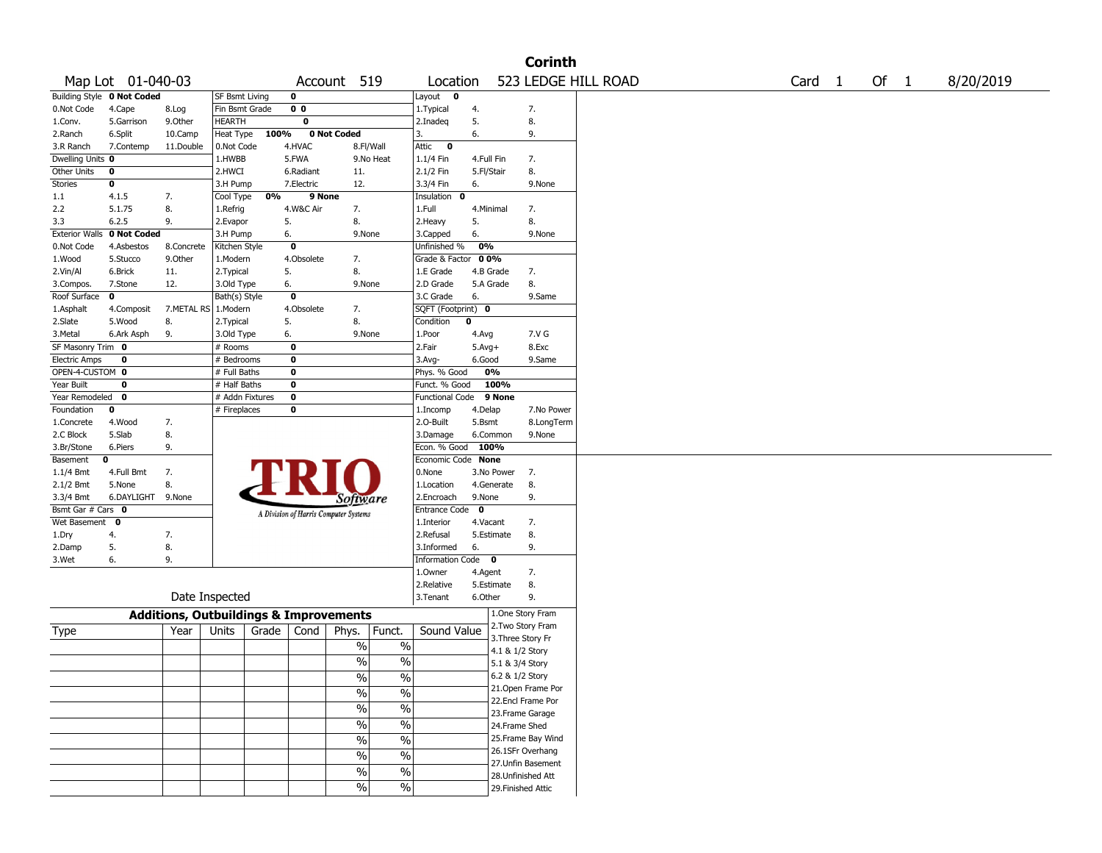|                       |                            |                                                   |                       |       |                |                                       |                          |                        |             |                                        | <b>Corinth</b> |                     |        |      |           |
|-----------------------|----------------------------|---------------------------------------------------|-----------------------|-------|----------------|---------------------------------------|--------------------------|------------------------|-------------|----------------------------------------|----------------|---------------------|--------|------|-----------|
|                       | Map Lot 01-040-03          |                                                   |                       |       |                | Account 519                           |                          | Location               |             |                                        |                | 523 LEDGE HILL ROAD | Card 1 | Of 1 | 8/20/2019 |
|                       | Building Style 0 Not Coded |                                                   | <b>SF Bsmt Living</b> |       | 0              |                                       |                          | Layout<br>0            |             |                                        |                |                     |        |      |           |
| 0.Not Code            | 4.Cape                     | 8.Log                                             | Fin Bsmt Grade        |       | 0 <sub>0</sub> |                                       |                          | 1. Typical             | 4.          | 7.                                     |                |                     |        |      |           |
| 1.Conv.               | 5.Garrison                 | 9.Other                                           | <b>HEARTH</b>         |       | 0              |                                       |                          | 2.Inadeq               | 5.          | 8.                                     |                |                     |        |      |           |
| 2.Ranch               | 6.Split                    | 10.Camp                                           | Heat Type             | 100%  |                | 0 Not Coded                           |                          | 3.                     | 6.          | 9.                                     |                |                     |        |      |           |
| 3.R Ranch             | 7.Contemp                  | 11.Double                                         | 0.Not Code            |       | 4.HVAC         | 8.Fl/Wall                             |                          | Attic<br>$\bf{0}$      |             |                                        |                |                     |        |      |           |
| Dwelling Units 0      |                            |                                                   | 1.HWBB                |       | 5.FWA          |                                       | 9.No Heat                | 1.1/4 Fin              | 4.Full Fin  | 7.                                     |                |                     |        |      |           |
| Other Units           | 0                          |                                                   | 2.HWCI                |       | 6.Radiant      | 11.                                   |                          | 2.1/2 Fin              | 5.Fl/Stair  | 8.                                     |                |                     |        |      |           |
| <b>Stories</b>        | 0                          |                                                   | 3.H Pump              |       | 7.Electric     | 12.                                   |                          | 3.3/4 Fin              | 6.          |                                        | 9.None         |                     |        |      |           |
| 1.1                   | 4.1.5                      | 7.                                                | Cool Type             | 0%    | 9 None         |                                       |                          | Insulation<br>0        |             |                                        |                |                     |        |      |           |
| 2.2                   | 5.1.75                     | 8.                                                | 1.Refrig              |       | 4.W&C Air      | 7.                                    |                          | 1.Full                 | 4.Minimal   | 7.                                     |                |                     |        |      |           |
| 3.3                   | 6.2.5                      | 9.                                                | 2.Evapor              | 5.    |                | 8.                                    |                          | 2.Heavy                | 5.          | 8.                                     |                |                     |        |      |           |
| <b>Exterior Walls</b> | 0 Not Coded                |                                                   | 3.H Pump              | 6.    |                | 9.None                                |                          | 3.Capped               | 6.          |                                        | 9.None         |                     |        |      |           |
| 0.Not Code            | 4.Asbestos                 | 8.Concrete                                        | Kitchen Style         |       | 0              |                                       |                          | Unfinished %           | 0%          |                                        |                |                     |        |      |           |
| 1.Wood                | 5.Stucco                   | 9.0ther                                           | 1.Modern              |       | 4.Obsolete     | 7.                                    |                          | Grade & Factor         | 00%         |                                        |                |                     |        |      |           |
| 2.Vin/Al              | 6.Brick                    | 11.                                               | 2.Typical             |       | 5.             | 8.                                    |                          | 1.E Grade              |             | 4.B Grade<br>7.                        |                |                     |        |      |           |
| 3.Compos.             | 7.Stone                    | 12.                                               | 3.Old Type            | 6.    |                | 9.None                                |                          | 2.D Grade              |             | 8.<br>5.A Grade                        |                |                     |        |      |           |
| Roof Surface          | 0                          |                                                   | Bath(s) Style         |       | 0              |                                       |                          | 3.C Grade              | 6.          |                                        | 9.Same         |                     |        |      |           |
| 1.Asphalt             | 4.Composit                 | 7.METAL RS 1.Modern                               |                       |       | 4.Obsolete     | 7.                                    |                          | SQFT (Footprint) 0     |             |                                        |                |                     |        |      |           |
| 2.Slate               | 5.Wood                     | 8.                                                | 2.Typical             |       | 5.             | 8.                                    |                          | Condition              | 0           |                                        |                |                     |        |      |           |
| 3.Metal               | 6.Ark Asph                 | 9.                                                | 3.Old Type            | 6.    |                | 9.None                                |                          | 1.Poor                 | 4.Avg       |                                        | 7.V G          |                     |        |      |           |
| SF Masonry Trim 0     |                            |                                                   | # Rooms               |       | $\mathbf 0$    |                                       |                          | 2.Fair                 | $5.Avg+$    |                                        | 8.Exc          |                     |        |      |           |
| <b>Electric Amps</b>  | $\mathbf 0$                |                                                   | # Bedrooms            |       | 0              |                                       |                          | 3.Avg-                 | 6.Good      |                                        | 9.Same         |                     |        |      |           |
| OPEN-4-CUSTOM 0       |                            |                                                   | # Full Baths          |       | 0              |                                       |                          | Phys. % Good           |             | 0%                                     |                |                     |        |      |           |
| Year Built            | 0                          |                                                   | # Half Baths          |       | 0              |                                       |                          | Funct. % Good          |             | 100%                                   |                |                     |        |      |           |
| Year Remodeled        | 0                          |                                                   | # Addn Fixtures       |       | 0              |                                       |                          | <b>Functional Code</b> |             | 9 None                                 |                |                     |        |      |           |
| Foundation            | 0                          |                                                   | # Fireplaces          |       | 0              |                                       |                          | 1.Incomp               | 4.Delap     |                                        | 7.No Power     |                     |        |      |           |
| 1.Concrete            | 4.Wood                     | 7.                                                |                       |       |                |                                       |                          | 2.O-Built              | 5.Bsmt      |                                        | 8.LongTerm     |                     |        |      |           |
| 2.C Block             | 5.Slab                     | 8.                                                |                       |       |                |                                       |                          | 3.Damage               |             | 6.Common                               | 9.None         |                     |        |      |           |
| 3.Br/Stone            | 6.Piers                    | 9.                                                |                       |       |                |                                       |                          | Econ. % Good           | 100%        |                                        |                |                     |        |      |           |
| Basement              | 0                          |                                                   |                       |       |                |                                       |                          | Economic Code None     |             |                                        |                |                     |        |      |           |
| $1.1/4$ Bmt           | 4.Full Bmt                 | 7.                                                |                       |       |                |                                       |                          | 0.None                 |             | 3.No Power<br>7.                       |                |                     |        |      |           |
| 2.1/2 Bmt             | 5.None                     | 8.                                                |                       |       |                |                                       |                          | 1.Location             |             | 8.<br>4.Generate                       |                |                     |        |      |           |
| 3.3/4 Bmt             | 6.DAYLIGHT                 | 9.None                                            |                       |       |                | Software                              |                          | 2.Encroach             | 9.None      | 9.                                     |                |                     |        |      |           |
| Bsmt Gar # Cars 0     |                            |                                                   |                       |       |                | A Division of Harris Computer Systems |                          | <b>Entrance Code</b>   | $\mathbf 0$ |                                        |                |                     |        |      |           |
| Wet Basement          | 0                          |                                                   |                       |       |                |                                       |                          | 1.Interior             | 4.Vacant    | 7.                                     |                |                     |        |      |           |
| 1.Dry                 | 4.                         | 7.                                                |                       |       |                |                                       |                          | 2.Refusal              |             | 8.<br>5.Estimate                       |                |                     |        |      |           |
| 2.Damp                | 5.                         | 8.                                                |                       |       |                |                                       |                          | 3.Informed             | 6.          | 9.                                     |                |                     |        |      |           |
| 3.Wet                 | 6.                         | 9.                                                |                       |       |                |                                       |                          | Information Code 0     |             |                                        |                |                     |        |      |           |
|                       |                            |                                                   |                       |       |                |                                       |                          | 1.0wner                | 4.Agent     | 7.                                     |                |                     |        |      |           |
|                       |                            |                                                   |                       |       |                |                                       |                          | 2.Relative             |             | 8.<br>5.Estimate                       |                |                     |        |      |           |
|                       |                            |                                                   | Date Inspected        |       |                |                                       |                          | 3.Tenant               | 6.Other     | 9.                                     |                |                     |        |      |           |
|                       |                            | <b>Additions, Outbuildings &amp; Improvements</b> |                       |       |                |                                       |                          |                        |             | 1.One Story Fram                       |                |                     |        |      |           |
| Type                  |                            | Year                                              | Units                 | Grade | Cond           | Phys.                                 | Funct.                   | Sound Value            |             | 2. Two Story Fram<br>3. Three Story Fr |                |                     |        |      |           |
|                       |                            |                                                   |                       |       |                | $\%$                                  | $\%$                     |                        |             |                                        |                |                     |        |      |           |
|                       |                            |                                                   |                       |       |                | %                                     | $\%$                     |                        |             | 4.1 & 1/2 Story<br>5.1 & 3/4 Story     |                |                     |        |      |           |
|                       |                            |                                                   |                       |       |                |                                       |                          |                        |             | 6.2 & 1/2 Story                        |                |                     |        |      |           |
|                       |                            |                                                   |                       |       |                | %                                     | $\%$                     |                        |             | 21. Open Frame Por                     |                |                     |        |      |           |
|                       |                            |                                                   |                       |       |                | $\frac{1}{2}$                         | $\frac{0}{0}$            |                        |             | 22.Encl Frame Por                      |                |                     |        |      |           |
|                       |                            |                                                   |                       |       |                | $\sqrt{9/6}$                          | $\overline{\frac{0}{6}}$ |                        |             | 23. Frame Garage                       |                |                     |        |      |           |
|                       |                            |                                                   |                       |       |                | $\frac{1}{2}$                         | $\overline{\frac{0}{0}}$ |                        |             | 24.Frame Shed                          |                |                     |        |      |           |
|                       |                            |                                                   |                       |       |                |                                       |                          |                        |             | 25.Frame Bay Wind                      |                |                     |        |      |           |
|                       |                            |                                                   |                       |       |                | $\sqrt{96}$                           | $\%$                     |                        |             | 26.1SFr Overhang                       |                |                     |        |      |           |
|                       |                            |                                                   |                       |       |                | $\frac{1}{2}$                         | $\%$                     |                        |             | 27.Unfin Basement                      |                |                     |        |      |           |
|                       |                            |                                                   |                       |       |                | $\%$                                  | $\%$                     |                        |             | 28.Unfinished Att                      |                |                     |        |      |           |
|                       |                            |                                                   |                       |       |                | $\%$                                  | $\%$                     |                        |             | 29. Finished Attic                     |                |                     |        |      |           |
|                       |                            |                                                   |                       |       |                |                                       |                          |                        |             |                                        |                |                     |        |      |           |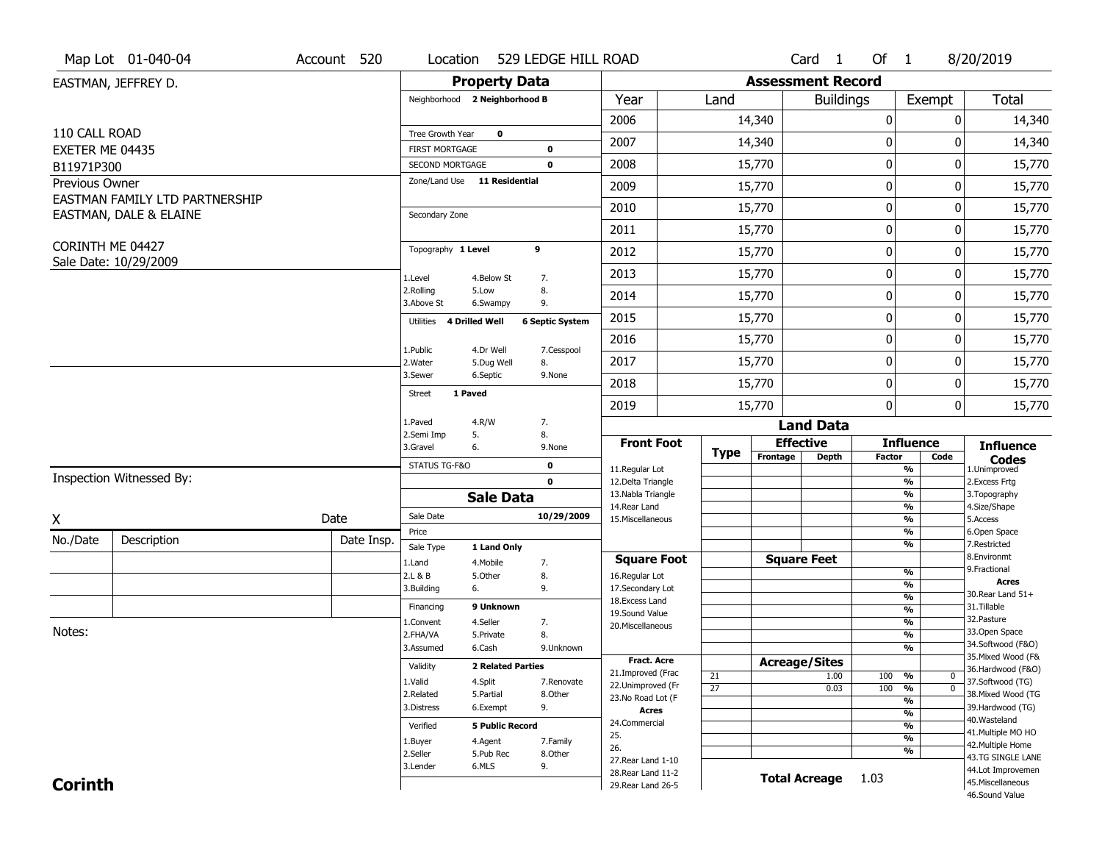|                               | Map Lot 01-040-04              | Account 520 | Location                                 |                          | 529 LEDGE HILL ROAD        |                                         |                       |                          | Card <sub>1</sub>    | Of 1          |                                         | 8/20/2019                               |
|-------------------------------|--------------------------------|-------------|------------------------------------------|--------------------------|----------------------------|-----------------------------------------|-----------------------|--------------------------|----------------------|---------------|-----------------------------------------|-----------------------------------------|
|                               | EASTMAN, JEFFREY D.            |             |                                          | <b>Property Data</b>     |                            |                                         |                       | <b>Assessment Record</b> |                      |               |                                         |                                         |
|                               |                                |             | Neighborhood 2 Neighborhood B            |                          |                            | Year                                    | Land                  |                          | <b>Buildings</b>     |               | Exempt                                  | <b>Total</b>                            |
|                               |                                |             |                                          |                          |                            | 2006                                    |                       | 14,340                   |                      | 0             | 0                                       | 14,340                                  |
| 110 CALL ROAD                 |                                |             | Tree Growth Year                         | $\mathbf 0$              |                            | 2007                                    |                       | 14,340                   |                      | 0             | $\Omega$                                | 14,340                                  |
| EXETER ME 04435<br>B11971P300 |                                |             | <b>FIRST MORTGAGE</b><br>SECOND MORTGAGE |                          | $\mathbf 0$<br>$\mathbf 0$ | 2008                                    |                       | 15,770                   |                      | 0             | 0                                       | 15,770                                  |
| Previous Owner                |                                |             | Zone/Land Use 11 Residential             |                          |                            |                                         |                       |                          |                      |               |                                         |                                         |
|                               | EASTMAN FAMILY LTD PARTNERSHIP |             |                                          |                          |                            | 2009                                    |                       | 15,770                   |                      | 0             | 0                                       | 15,770                                  |
|                               | EASTMAN, DALE & ELAINE         |             | Secondary Zone                           |                          |                            | 2010                                    |                       | 15,770                   |                      | 0             | 0                                       | 15,770                                  |
|                               |                                |             |                                          |                          |                            | 2011                                    |                       | 15,770                   |                      | 0             | 0                                       | 15,770                                  |
| CORINTH ME 04427              | Sale Date: 10/29/2009          |             | Topography 1 Level                       |                          | 9                          | 2012                                    |                       | 15,770                   |                      | 0             | 0                                       | 15,770                                  |
|                               |                                |             | 1.Level                                  | 4.Below St               | 7.                         | 2013                                    |                       | 15,770                   |                      | 0             | 0                                       | 15,770                                  |
|                               |                                |             | 2.Rolling<br>3.Above St                  | 5.Low<br>6.Swampy        | 8.<br>9.                   | 2014                                    |                       | 15,770                   |                      | 0             | 0                                       | 15,770                                  |
|                               |                                |             | Utilities                                | 4 Drilled Well           | <b>6 Septic System</b>     | 2015                                    |                       | 15,770                   |                      | 0             | $\Omega$                                | 15,770                                  |
|                               |                                |             | 1.Public                                 | 4.Dr Well                | 7.Cesspool                 | 2016                                    |                       | 15,770                   |                      | 0             | 0                                       | 15,770                                  |
|                               |                                |             | 2. Water                                 | 5.Dug Well               | 8.                         | 2017                                    |                       | 15,770                   |                      | 0             | 0                                       | 15,770                                  |
|                               |                                |             | 3.Sewer                                  | 6.Septic                 | 9.None                     | 2018                                    |                       | 15,770                   |                      | 0             | 0                                       | 15,770                                  |
|                               |                                |             | 1 Paved<br><b>Street</b>                 |                          |                            | 2019                                    |                       | 15,770                   |                      | 0             | $\mathbf 0$                             | 15,770                                  |
|                               |                                |             | 1.Paved                                  | 4.R/W                    | 7.                         |                                         |                       |                          | <b>Land Data</b>     |               |                                         |                                         |
|                               |                                |             | 2.Semi Imp<br>3.Gravel                   | 5.<br>6.                 | 8.<br>9.None               | <b>Front Foot</b>                       |                       | <b>Effective</b>         |                      |               | <b>Influence</b>                        | <b>Influence</b>                        |
|                               |                                |             | STATUS TG-F&O                            |                          | $\mathbf 0$                | 11.Regular Lot                          | <b>Type</b>           | Frontage                 | <b>Depth</b>         | <b>Factor</b> | Code<br>%                               | <b>Codes</b><br>1.Unimproved            |
|                               | Inspection Witnessed By:       |             |                                          |                          | $\mathbf 0$                | 12.Delta Triangle                       |                       |                          |                      |               | %                                       | 2.Excess Frtg                           |
|                               |                                |             |                                          | <b>Sale Data</b>         |                            | 13. Nabla Triangle<br>14. Rear Land     |                       |                          |                      |               | %<br>%                                  | 3. Topography<br>4.Size/Shape           |
| X                             |                                | Date        | Sale Date                                |                          | 10/29/2009                 | 15. Miscellaneous                       |                       |                          |                      |               | %                                       | 5.Access                                |
| No./Date                      | Description                    | Date Insp.  | Price                                    |                          |                            |                                         |                       |                          |                      |               | %                                       | 6.Open Space                            |
|                               |                                |             | Sale Type                                | 1 Land Only              |                            | <b>Square Foot</b>                      |                       |                          | <b>Square Feet</b>   |               | %                                       | 7.Restricted<br>8.Environmt             |
|                               |                                |             | 1.Land<br>2.L & B                        | 4. Mobile<br>5.Other     | 7.<br>8.                   | 16.Regular Lot                          |                       |                          |                      |               | %                                       | 9. Fractional                           |
|                               |                                |             | 3.Building                               | 6.                       | 9.                         | 17.Secondary Lot                        |                       |                          |                      |               | $\frac{9}{6}$                           | Acres<br>30. Rear Land 51+              |
|                               |                                |             | Financing                                | 9 Unknown                |                            | 18. Excess Land                         |                       |                          |                      |               | $\frac{9}{6}$<br>$\frac{9}{6}$          | 31.Tillable                             |
|                               |                                |             | 1.Convent                                | 4.Seller                 | 7.                         | 19.Sound Value<br>20.Miscellaneous      |                       |                          |                      |               | $\frac{9}{6}$                           | 32.Pasture                              |
| Notes:                        |                                |             | 2.FHA/VA                                 | 5.Private                | 8.                         |                                         |                       |                          |                      |               | $\frac{9}{6}$                           | 33.Open Space                           |
|                               |                                |             | 3.Assumed                                | 6.Cash                   | 9.Unknown                  |                                         |                       |                          |                      |               | %                                       | 34.Softwood (F&O)<br>35. Mixed Wood (F& |
|                               |                                |             | Validity                                 | <b>2 Related Parties</b> |                            | <b>Fract. Acre</b><br>21.Improved (Frac |                       | <b>Acreage/Sites</b>     |                      |               |                                         | 36.Hardwood (F&O)                       |
|                               |                                |             | 1.Valid                                  | 4.Split                  | 7.Renovate                 | 22.Unimproved (Fr                       | 21<br>$\overline{27}$ |                          | 1.00<br>0.03         | 100<br>100    | %<br>$\mathbf 0$<br>$\overline{0}$<br>% | 37.Softwood (TG)                        |
|                               |                                |             | 2.Related                                | 5.Partial                | 8.Other                    | 23.No Road Lot (F                       |                       |                          |                      |               | $\frac{9}{6}$                           | 38. Mixed Wood (TG                      |
|                               |                                |             | 3.Distress                               | 6.Exempt                 | 9.                         | Acres                                   |                       |                          |                      |               | $\frac{9}{6}$                           | 39.Hardwood (TG)                        |
|                               |                                |             | Verified                                 | <b>5 Public Record</b>   |                            | 24.Commercial                           |                       |                          |                      |               | $\frac{9}{6}$                           | 40. Wasteland<br>41. Multiple MO HO     |
|                               |                                |             | 1.Buyer                                  | 4.Agent                  | 7.Family                   | 25.<br>26.                              |                       |                          |                      |               | $\frac{9}{6}$                           | 42. Multiple Home                       |
|                               |                                |             | 2.Seller                                 | 5.Pub Rec                | 8.Other                    | 27. Rear Land 1-10                      |                       |                          |                      |               | %                                       | 43.TG SINGLE LANE                       |
|                               |                                |             | 3.Lender                                 | 6.MLS                    | 9.                         | 28. Rear Land 11-2                      |                       |                          | <b>Total Acreage</b> | 1.03          |                                         | 44.Lot Improvemen                       |
| <b>Corinth</b>                |                                |             |                                          |                          |                            | 29. Rear Land 26-5                      |                       |                          |                      |               |                                         | 45. Miscellaneous<br>46.Sound Value     |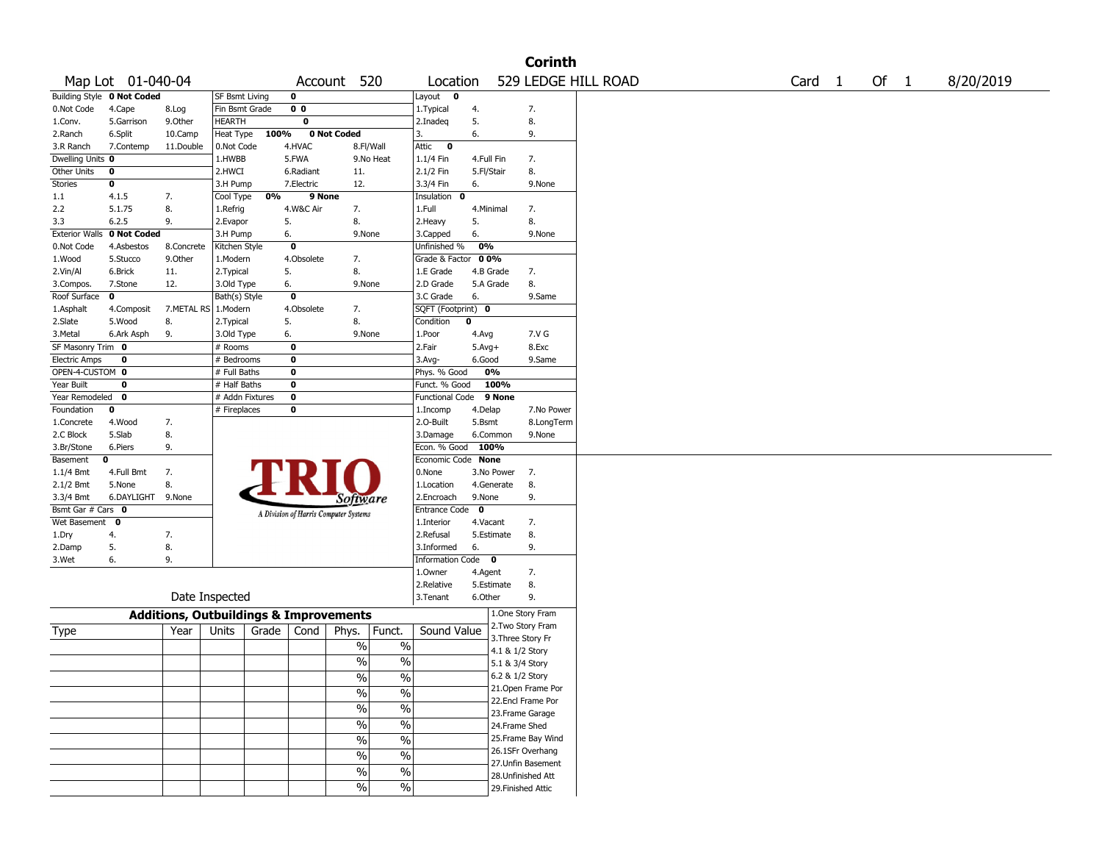|                       |                            |                                                   |                       |       |                |                                       |                          |                        |             |                    | <b>Corinth</b>    |                     |        |      |           |
|-----------------------|----------------------------|---------------------------------------------------|-----------------------|-------|----------------|---------------------------------------|--------------------------|------------------------|-------------|--------------------|-------------------|---------------------|--------|------|-----------|
|                       | Map Lot 01-040-04          |                                                   |                       |       |                | Account 520                           |                          | Location               |             |                    |                   | 529 LEDGE HILL ROAD | Card 1 | Of 1 | 8/20/2019 |
|                       | Building Style 0 Not Coded |                                                   | <b>SF Bsmt Living</b> |       | 0              |                                       |                          | Layout<br>0            |             |                    |                   |                     |        |      |           |
| 0.Not Code            | 4.Cape                     | 8.Log                                             | Fin Bsmt Grade        |       | 0 <sub>0</sub> |                                       |                          | 1. Typical             | 4.          |                    | 7.                |                     |        |      |           |
| 1.Conv.               | 5.Garrison                 | 9.Other                                           | <b>HEARTH</b>         |       | 0              |                                       |                          | 2.Inadeq               | 5.          |                    | 8.                |                     |        |      |           |
| 2.Ranch               | 6.Split                    | 10.Camp                                           | Heat Type             | 100%  |                | 0 Not Coded                           |                          | 3.                     | 6.          |                    | 9.                |                     |        |      |           |
| 3.R Ranch             | 7.Contemp                  | 11.Double                                         | 0.Not Code            |       | 4.HVAC         | 8.Fl/Wall                             |                          | Attic<br>$\bf{0}$      |             |                    |                   |                     |        |      |           |
| Dwelling Units 0      |                            |                                                   | $1.$ HWBB             |       | 5.FWA          |                                       | 9.No Heat                | 1.1/4 Fin              | 4.Full Fin  |                    | 7.                |                     |        |      |           |
| Other Units           | 0                          |                                                   | 2.HWCI                |       | 6.Radiant      | 11.                                   |                          | 2.1/2 Fin              | 5.Fl/Stair  |                    | 8.                |                     |        |      |           |
| <b>Stories</b>        | 0                          |                                                   | 3.H Pump              |       | 7.Electric     | 12.                                   |                          | 3.3/4 Fin              | 6.          |                    | 9.None            |                     |        |      |           |
| 1.1                   | 4.1.5                      | 7.                                                | Cool Type             | 0%    | 9 None         |                                       |                          | Insulation<br>0        |             |                    |                   |                     |        |      |           |
| 2.2                   | 5.1.75                     | 8.                                                | 1.Refrig              |       | 4.W&C Air      | 7.                                    |                          | 1.Full                 | 4.Minimal   |                    | 7.                |                     |        |      |           |
| 3.3                   | 6.2.5                      | 9.                                                | 2.Evapor              |       | 5.             | 8.                                    |                          | 2.Heavy                | 5.          |                    | 8.                |                     |        |      |           |
| <b>Exterior Walls</b> | 0 Not Coded                |                                                   | 3.H Pump              |       | 6.             | 9.None                                |                          | 3.Capped               | 6.          |                    | 9.None            |                     |        |      |           |
| 0.Not Code            | 4.Asbestos                 | 8.Concrete                                        | Kitchen Style         |       | 0              |                                       |                          | Unfinished %           | 0%          |                    |                   |                     |        |      |           |
| 1.Wood                | 5.Stucco                   | 9.0ther                                           | 1.Modern              |       | 4.Obsolete     | 7.                                    |                          | Grade & Factor         | 00%         |                    |                   |                     |        |      |           |
| 2.Vin/Al              | 6.Brick                    | 11.                                               | 2.Typical             |       | 5.             | 8.                                    |                          | 1.E Grade              | 4.B Grade   |                    | 7.                |                     |        |      |           |
| 3.Compos.             | 7.Stone                    | 12.                                               | 3.Old Type            |       | 6.             | 9.None                                |                          | 2.D Grade              | 5.A Grade   |                    | 8.                |                     |        |      |           |
| Roof Surface          | 0                          |                                                   | Bath(s) Style         |       | 0              |                                       |                          | 3.C Grade              | 6.          |                    | 9.Same            |                     |        |      |           |
| 1.Asphalt             | 4.Composit                 | 7.METAL RS 1.Modern                               |                       |       | 4.Obsolete     | 7.                                    |                          | SQFT (Footprint) 0     |             |                    |                   |                     |        |      |           |
| 2.Slate               | 5.Wood                     | 8.                                                | 2.Typical             |       | 5.             | 8.                                    |                          | Condition              | 0           |                    |                   |                     |        |      |           |
| 3.Metal               | 6.Ark Asph                 | 9.                                                | 3.Old Type            |       | 6.             | 9.None                                |                          | 1.Poor                 | 4.Avg       |                    | 7.V G             |                     |        |      |           |
| SF Masonry Trim 0     |                            |                                                   | # Rooms               |       | $\mathbf 0$    |                                       |                          | 2.Fair                 | $5.Avg+$    |                    | 8.Exc             |                     |        |      |           |
| <b>Electric Amps</b>  | $\mathbf 0$                |                                                   | # Bedrooms            |       | 0              |                                       |                          | 3.Avg-                 | 6.Good      |                    | 9.Same            |                     |        |      |           |
| OPEN-4-CUSTOM 0       |                            |                                                   | # Full Baths          |       | 0              |                                       |                          | Phys. % Good           |             | 0%                 |                   |                     |        |      |           |
| Year Built            | 0                          |                                                   | # Half Baths          |       | 0              |                                       |                          | Funct. % Good          |             | 100%               |                   |                     |        |      |           |
| Year Remodeled        | 0                          |                                                   | # Addn Fixtures       |       | 0              |                                       |                          | <b>Functional Code</b> |             | 9 None             |                   |                     |        |      |           |
| Foundation            | 0                          |                                                   | # Fireplaces          |       | 0              |                                       |                          | 1.Incomp               | 4.Delap     |                    | 7.No Power        |                     |        |      |           |
| 1.Concrete            | 4.Wood                     | 7.                                                |                       |       |                |                                       |                          | 2.O-Built              | 5.Bsmt      |                    | 8.LongTerm        |                     |        |      |           |
| 2.C Block             | 5.Slab                     | 8.                                                |                       |       |                |                                       |                          | 3.Damage               |             | 6.Common           | 9.None            |                     |        |      |           |
| 3.Br/Stone            | 6.Piers                    | 9.                                                |                       |       |                |                                       |                          | Econ. % Good           | 100%        |                    |                   |                     |        |      |           |
| Basement              | 0                          |                                                   |                       |       |                |                                       |                          | Economic Code None     |             |                    |                   |                     |        |      |           |
| $1.1/4$ Bmt           | 4.Full Bmt                 | 7.                                                |                       |       |                |                                       |                          | 0.None                 |             | 3.No Power         | 7.                |                     |        |      |           |
| 2.1/2 Bmt             | 5.None                     | 8.                                                |                       |       |                |                                       |                          | 1.Location             |             | 4.Generate         | 8.                |                     |        |      |           |
| 3.3/4 Bmt             | 6.DAYLIGHT                 | 9.None                                            |                       |       |                | Software                              |                          | 2.Encroach             | 9.None      |                    | 9.                |                     |        |      |           |
| Bsmt Gar # Cars 0     |                            |                                                   |                       |       |                | A Division of Harris Computer Systems |                          | <b>Entrance Code</b>   | $\mathbf 0$ |                    |                   |                     |        |      |           |
| Wet Basement          | 0                          |                                                   |                       |       |                |                                       |                          | 1.Interior             | 4.Vacant    |                    | 7.                |                     |        |      |           |
| 1.Dry                 | 4.                         | 7.                                                |                       |       |                |                                       |                          | 2.Refusal              |             | 5.Estimate         | 8.                |                     |        |      |           |
| 2.Damp                | 5.                         | 8.                                                |                       |       |                |                                       |                          | 3.Informed             | 6.          |                    | 9.                |                     |        |      |           |
| 3.Wet                 | 6.                         | 9.                                                |                       |       |                |                                       |                          | Information Code 0     |             |                    |                   |                     |        |      |           |
|                       |                            |                                                   |                       |       |                |                                       |                          | 1.0wner                | 4.Agent     |                    | 7.                |                     |        |      |           |
|                       |                            |                                                   |                       |       |                |                                       |                          | 2.Relative             |             | 5.Estimate         | 8.                |                     |        |      |           |
|                       |                            |                                                   | Date Inspected        |       |                |                                       |                          | 3.Tenant               | 6.Other     |                    | 9.                |                     |        |      |           |
|                       |                            | <b>Additions, Outbuildings &amp; Improvements</b> |                       |       |                |                                       |                          |                        |             | 1.One Story Fram   |                   |                     |        |      |           |
| Type                  |                            | Year                                              | Units                 | Grade | Cond           | Phys.                                 | Funct.                   | Sound Value            |             | 2. Two Story Fram  |                   |                     |        |      |           |
|                       |                            |                                                   |                       |       |                | $\%$                                  | $\%$                     |                        |             | 3. Three Story Fr  |                   |                     |        |      |           |
|                       |                            |                                                   |                       |       |                |                                       |                          |                        |             | 4.1 & 1/2 Story    |                   |                     |        |      |           |
|                       |                            |                                                   |                       |       |                | %                                     | $\%$                     |                        |             | 5.1 & 3/4 Story    |                   |                     |        |      |           |
|                       |                            |                                                   |                       |       |                | %                                     | $\%$                     |                        |             | 6.2 & 1/2 Story    |                   |                     |        |      |           |
|                       |                            |                                                   |                       |       |                | $\frac{1}{2}$                         | $\frac{0}{0}$            |                        |             | 21. Open Frame Por |                   |                     |        |      |           |
|                       |                            |                                                   |                       |       |                |                                       |                          |                        |             | 22.Encl Frame Por  |                   |                     |        |      |           |
|                       |                            |                                                   |                       |       |                | $\sqrt{9/6}$                          | $\overline{\frac{0}{6}}$ |                        |             | 23. Frame Garage   |                   |                     |        |      |           |
|                       |                            |                                                   |                       |       |                | $\frac{1}{2}$                         | $\overline{\frac{0}{0}}$ |                        |             | 24.Frame Shed      |                   |                     |        |      |           |
|                       |                            |                                                   |                       |       |                | $\sqrt{96}$                           | $\overline{\frac{0}{0}}$ |                        |             |                    | 25.Frame Bay Wind |                     |        |      |           |
|                       |                            |                                                   |                       |       |                | $\frac{1}{2}$                         | $\overline{\frac{0}{0}}$ |                        |             | 26.1SFr Overhang   |                   |                     |        |      |           |
|                       |                            |                                                   |                       |       |                |                                       |                          |                        |             | 27.Unfin Basement  |                   |                     |        |      |           |
|                       |                            |                                                   |                       |       |                | $\frac{0}{0}$                         | $\%$                     |                        |             | 28.Unfinished Att  |                   |                     |        |      |           |
|                       |                            |                                                   |                       |       |                | $\%$                                  | $\%$                     |                        |             | 29. Finished Attic |                   |                     |        |      |           |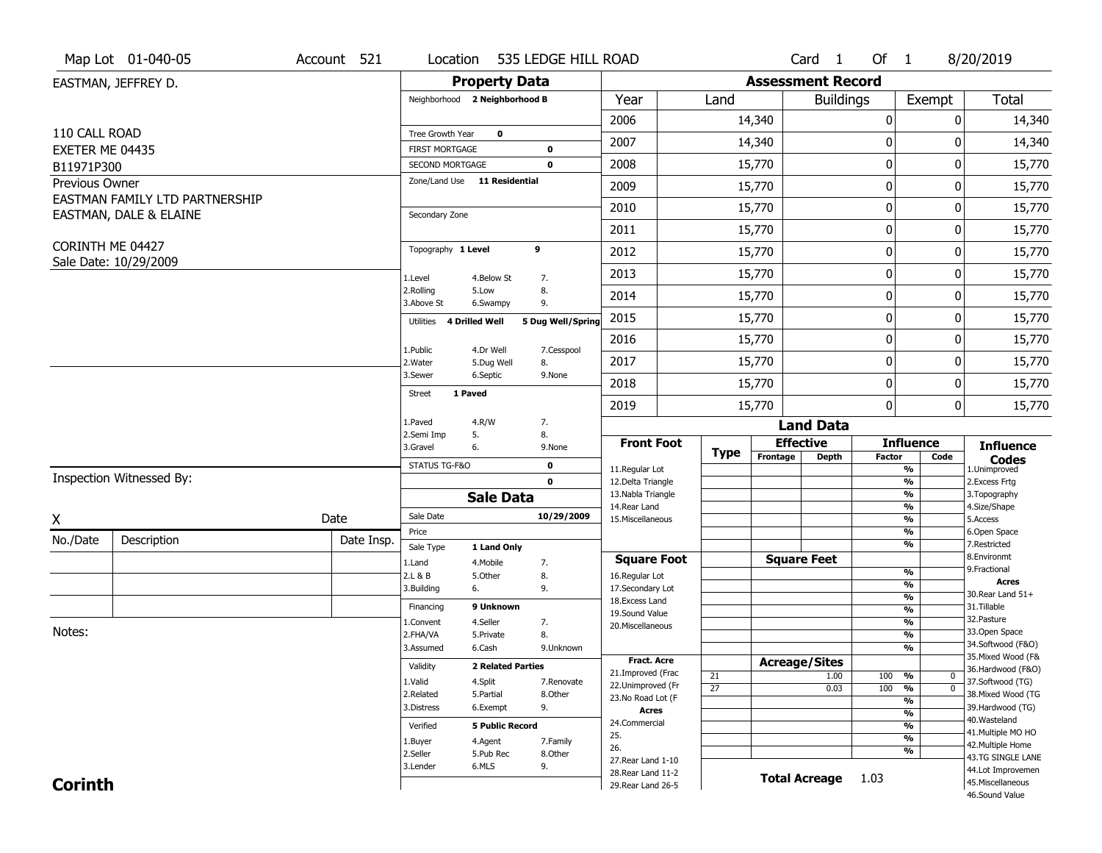|                  | Map Lot 01-040-05              | Account 521 | Location                                        |                          | 535 LEDGE HILL ROAD        |                                          |                       |                          | Card <sub>1</sub>    | Of 1          |                                      | 8/20/2019                               |
|------------------|--------------------------------|-------------|-------------------------------------------------|--------------------------|----------------------------|------------------------------------------|-----------------------|--------------------------|----------------------|---------------|--------------------------------------|-----------------------------------------|
|                  | EASTMAN, JEFFREY D.            |             |                                                 | <b>Property Data</b>     |                            |                                          |                       | <b>Assessment Record</b> |                      |               |                                      |                                         |
|                  |                                |             | Neighborhood 2 Neighborhood B                   |                          |                            | Year                                     | Land                  |                          | <b>Buildings</b>     |               | Exempt                               | <b>Total</b>                            |
|                  |                                |             |                                                 |                          |                            | 2006                                     |                       | 14,340                   |                      | $\pmb{0}$     | 0                                    | 14,340                                  |
| 110 CALL ROAD    |                                |             | Tree Growth Year                                | $\mathbf 0$              |                            | 2007                                     |                       | 14,340                   |                      | $\bf{0}$      | 0                                    | 14,340                                  |
| EXETER ME 04435  |                                |             | <b>FIRST MORTGAGE</b>                           |                          | 0                          |                                          |                       |                          |                      |               |                                      |                                         |
| B11971P300       |                                |             | SECOND MORTGAGE<br>Zone/Land Use 11 Residential |                          | $\mathbf 0$                | 2008                                     |                       | 15,770                   |                      | $\pmb{0}$     | 0                                    | 15,770                                  |
| Previous Owner   | EASTMAN FAMILY LTD PARTNERSHIP |             |                                                 |                          |                            | 2009                                     |                       | 15,770                   |                      | 0             | 0                                    | 15,770                                  |
|                  | EASTMAN, DALE & ELAINE         |             | Secondary Zone                                  |                          |                            | 2010                                     |                       | 15,770                   |                      | $\bf{0}$      | 0                                    | 15,770                                  |
|                  |                                |             |                                                 |                          |                            | 2011                                     |                       | 15,770                   |                      | $\pmb{0}$     | 0                                    | 15,770                                  |
| CORINTH ME 04427 |                                |             | Topography 1 Level                              |                          | 9                          | 2012                                     |                       | 15,770                   |                      | 0             | 0                                    | 15,770                                  |
|                  | Sale Date: 10/29/2009          |             | 1.Level                                         | 4.Below St               | 7.                         | 2013                                     |                       | 15,770                   |                      | 0             | 0                                    | 15,770                                  |
|                  |                                |             | 2.Rolling<br>3.Above St                         | 5.Low<br>6.Swampy        | 8.<br>9.                   | 2014                                     |                       | 15,770                   |                      | 0             | 0                                    | 15,770                                  |
|                  |                                |             | Utilities                                       | 4 Drilled Well           | 5 Dug Well/Spring          | 2015                                     |                       | 15,770                   |                      | $\mathbf 0$   | 0                                    | 15,770                                  |
|                  |                                |             |                                                 |                          |                            | 2016                                     |                       | 15,770                   |                      | $\pmb{0}$     | 0                                    | 15,770                                  |
|                  |                                |             | 1.Public<br>2. Water                            | 4.Dr Well<br>5.Dug Well  | 7.Cesspool<br>8.           | 2017                                     |                       | 15,770                   |                      | 0             | 0                                    | 15,770                                  |
|                  |                                |             | 3.Sewer                                         | 6.Septic                 | 9.None                     | 2018                                     |                       | 15,770                   |                      | $\bf{0}$      | 0                                    | 15,770                                  |
|                  |                                |             | <b>Street</b>                                   | 1 Paved                  |                            | 2019                                     |                       | 15,770                   |                      | $\mathbf 0$   | $\overline{0}$                       | 15,770                                  |
|                  |                                |             | 1.Paved                                         | 4.R/W                    | 7.                         |                                          |                       |                          | <b>Land Data</b>     |               |                                      |                                         |
|                  |                                |             | 2.Semi Imp                                      | 5.                       | 8.                         | <b>Front Foot</b>                        |                       |                          | <b>Effective</b>     |               | <b>Influence</b>                     | <b>Influence</b>                        |
|                  |                                |             | 3.Gravel                                        | 6.                       | 9.None                     |                                          | <b>Type</b>           | Frontage                 | <b>Depth</b>         | <b>Factor</b> | Code                                 | <b>Codes</b>                            |
|                  | Inspection Witnessed By:       |             | STATUS TG-F&O                                   |                          | $\mathbf 0$<br>$\mathbf 0$ | 11.Regular Lot<br>12.Delta Triangle      |                       |                          |                      |               | %<br>$\frac{9}{6}$                   | 1.Unimproved<br>2. Excess Frtg          |
|                  |                                |             |                                                 | <b>Sale Data</b>         |                            | 13. Nabla Triangle                       |                       |                          |                      |               | %                                    | 3. Topography                           |
|                  |                                |             | Sale Date                                       |                          | 10/29/2009                 | 14. Rear Land                            |                       |                          |                      |               | %                                    | 4.Size/Shape                            |
| X                |                                | Date        | Price                                           |                          |                            | 15. Miscellaneous                        |                       |                          |                      |               | %<br>%                               | 5.Access<br>6.Open Space                |
| No./Date         | Description                    | Date Insp.  | Sale Type                                       | 1 Land Only              |                            |                                          |                       |                          |                      |               | %                                    | 7.Restricted                            |
|                  |                                |             | 1.Land                                          | 4. Mobile                | 7.                         | <b>Square Foot</b>                       |                       |                          | <b>Square Feet</b>   |               |                                      | 8.Environmt<br>9. Fractional            |
|                  |                                |             | 2.L & B                                         | 5.Other                  | 8.                         | 16.Regular Lot                           |                       |                          |                      |               | %<br>$\overline{\frac{9}{6}}$        | <b>Acres</b>                            |
|                  |                                |             | 3.Building                                      | 6.                       | 9.                         | 17.Secondary Lot<br>18. Excess Land      |                       |                          |                      |               | $\frac{9}{6}$                        | 30. Rear Land 51+                       |
|                  |                                |             | Financing                                       | 9 Unknown                |                            | 19.Sound Value                           |                       |                          |                      |               | $\frac{9}{6}$                        | 31.Tillable                             |
| Notes:           |                                |             | 1.Convent                                       | 4.Seller                 | 7.                         | 20.Miscellaneous                         |                       |                          |                      |               | $\frac{9}{6}$                        | 32.Pasture<br>33.Open Space             |
|                  |                                |             | 2.FHA/VA                                        | 5.Private                | 8.                         |                                          |                       |                          |                      |               | $\overline{\frac{9}{6}}$             | 34.Softwood (F&O)                       |
|                  |                                |             | 3.Assumed                                       | 6.Cash                   | 9.Unknown                  | <b>Fract. Acre</b>                       |                       |                          |                      |               | $\overline{\frac{9}{6}}$             | 35. Mixed Wood (F&                      |
|                  |                                |             | Validity                                        | <b>2 Related Parties</b> |                            | 21.Improved (Frac                        |                       |                          | <b>Acreage/Sites</b> |               |                                      | 36.Hardwood (F&O)                       |
|                  |                                |             | 1.Valid                                         | 4.Split                  | 7.Renovate                 | 22.Unimproved (Fr                        | 21<br>$\overline{27}$ |                          | 1.00<br>0.03         | 100<br>100    | %<br>$\mathbf 0$<br>%<br>$\mathbf 0$ | 37.Softwood (TG)                        |
|                  |                                |             | 2.Related                                       | 5.Partial                | 8.Other                    | 23.No Road Lot (F                        |                       |                          |                      |               | %                                    | 38. Mixed Wood (TG                      |
|                  |                                |             | 3.Distress                                      | 6.Exempt                 | 9.                         | <b>Acres</b>                             |                       |                          |                      |               | $\frac{9}{6}$                        | 39.Hardwood (TG)                        |
|                  |                                |             | Verified                                        | <b>5 Public Record</b>   |                            | 24.Commercial                            |                       |                          |                      |               | %                                    | 40. Wasteland                           |
|                  |                                |             | 1.Buyer                                         | 4.Agent                  | 7.Family                   | 25.                                      |                       |                          |                      |               | $\frac{9}{6}$                        | 41. Multiple MO HO<br>42. Multiple Home |
|                  |                                |             | 2.Seller                                        | 5.Pub Rec                | 8.Other                    | 26.                                      |                       |                          |                      |               | %                                    | 43.TG SINGLE LANE                       |
|                  |                                |             | 3.Lender                                        | 6.MLS                    | 9.                         | 27. Rear Land 1-10                       |                       |                          |                      |               |                                      | 44.Lot Improvemen                       |
| <b>Corinth</b>   |                                |             |                                                 |                          |                            | 28. Rear Land 11-2<br>29. Rear Land 26-5 |                       |                          | <b>Total Acreage</b> | 1.03          |                                      | 45. Miscellaneous                       |
|                  |                                |             |                                                 |                          |                            |                                          |                       |                          |                      |               |                                      |                                         |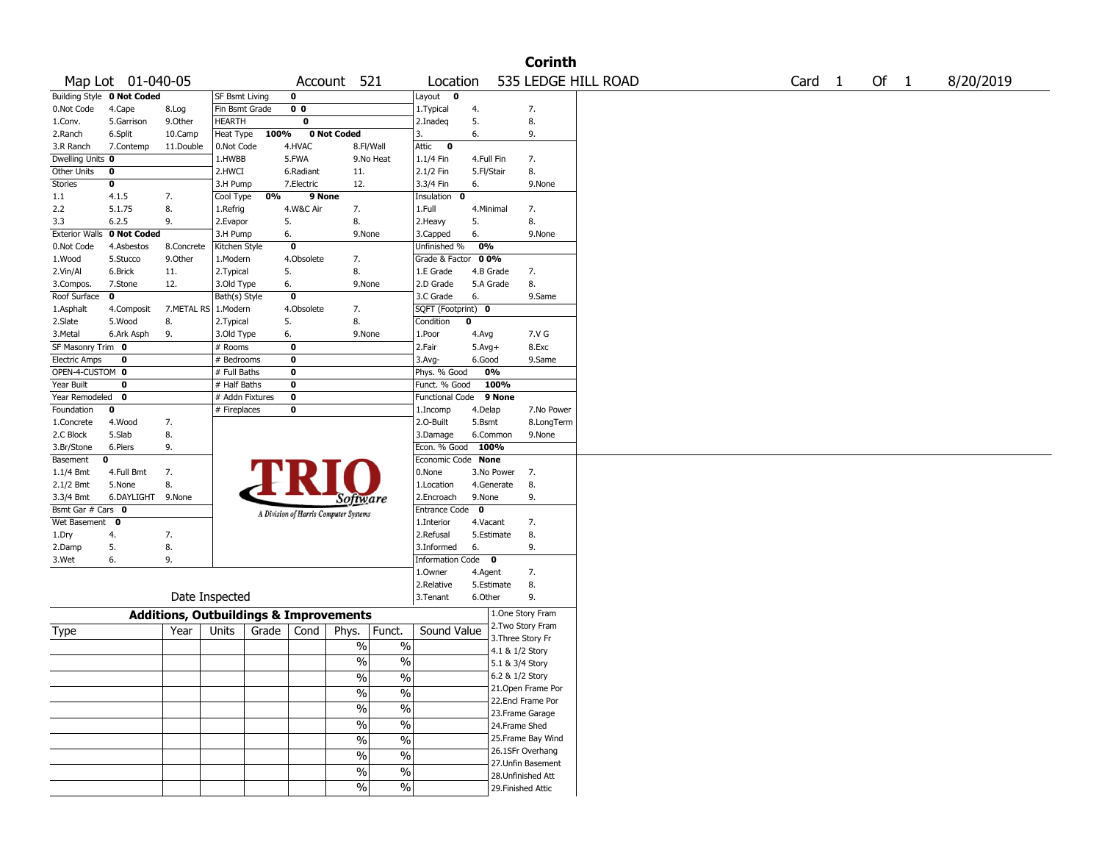|                       |                            |                                                   |                       |       |                |                                       |                          |                                  |             |                 | <b>Corinth</b>     |                     |                   |      |           |
|-----------------------|----------------------------|---------------------------------------------------|-----------------------|-------|----------------|---------------------------------------|--------------------------|----------------------------------|-------------|-----------------|--------------------|---------------------|-------------------|------|-----------|
|                       | Map Lot 01-040-05          |                                                   |                       |       | Account        |                                       | 521                      | Location                         |             |                 |                    | 535 LEDGE HILL ROAD | Card <sub>1</sub> | Of 1 | 8/20/2019 |
|                       | Building Style 0 Not Coded |                                                   | <b>SF Bsmt Living</b> |       | 0              |                                       |                          | Layout 0                         |             |                 |                    |                     |                   |      |           |
| 0.Not Code            | 4.Cape                     | 8.Log                                             | Fin Bsmt Grade        |       | 0 <sub>0</sub> |                                       |                          | 1.Typical                        | 4.          |                 | 7.                 |                     |                   |      |           |
| 1.Conv.               | 5.Garrison                 | 9.Other                                           | <b>HEARTH</b>         |       | 0              |                                       |                          | 2.Inadeq                         | 5.          |                 | 8.                 |                     |                   |      |           |
| 2.Ranch               | 6.Split                    | 10.Camp                                           | Heat Type             | 100%  |                | 0 Not Coded                           |                          | 3.                               | 6.          |                 | 9.                 |                     |                   |      |           |
| 3.R Ranch             | 7.Contemp                  | 11.Double                                         | 0.Not Code            |       | 4.HVAC         | 8.Fl/Wall                             |                          | Attic<br>$\overline{\mathbf{0}}$ |             |                 |                    |                     |                   |      |           |
| Dwelling Units 0      |                            |                                                   | 1.HWBB                |       | 5.FWA          |                                       | 9.No Heat                | 1.1/4 Fin                        | 4.Full Fin  |                 | 7.                 |                     |                   |      |           |
| Other Units           | 0                          |                                                   | 2.HWCI                |       | 6.Radiant      | 11.                                   |                          | 2.1/2 Fin                        | 5.Fl/Stair  |                 | 8.                 |                     |                   |      |           |
| <b>Stories</b>        | 0                          |                                                   | 3.H Pump              |       | 7.Electric     | 12.                                   |                          | 3.3/4 Fin                        | 6.          |                 | 9.None             |                     |                   |      |           |
| 1.1                   | 4.1.5                      | 7.                                                | Cool Type             | 0%    | 9 None         |                                       |                          | Insulation<br>0                  |             |                 |                    |                     |                   |      |           |
| 2.2                   | 5.1.75                     | 8.                                                | 1.Refrig              |       | 4.W&C Air      | 7.                                    |                          | 1.Full                           | 4.Minimal   |                 | 7.                 |                     |                   |      |           |
| 3.3                   | 6.2.5                      | 9.                                                | 2.Evapor              |       | 5.             | 8.                                    |                          | 2. Heavy                         | 5.          |                 | 8.                 |                     |                   |      |           |
| <b>Exterior Walls</b> | 0 Not Coded                |                                                   | 3.H Pump              |       | 6.             | 9.None                                |                          | 3.Capped                         | 6.          |                 | 9.None             |                     |                   |      |           |
| 0.Not Code            | 4.Asbestos                 | 8.Concrete                                        | Kitchen Style         |       | $\bf{0}$       |                                       |                          | Unfinished %                     | 0%          |                 |                    |                     |                   |      |           |
| 1.Wood                | 5.Stucco                   | 9.Other                                           | 1.Modern              |       | 4.Obsolete     | 7.                                    |                          | Grade & Factor 00%               |             |                 |                    |                     |                   |      |           |
| 2.Vin/Al              | 6.Brick                    | 11.                                               | 2. Typical            |       | 5.             | 8.                                    |                          | 1.E Grade                        | 4.B Grade   |                 | 7.                 |                     |                   |      |           |
| 3.Compos.             | 7.Stone                    | 12.                                               | 3.Old Type            |       | 6.             | 9.None                                |                          | 2.D Grade                        |             | 5.A Grade       | 8.                 |                     |                   |      |           |
| Roof Surface          | $\mathbf{o}$               |                                                   | Bath(s) Style         |       | 0              |                                       |                          | 3.C Grade                        | 6.          |                 | 9.Same             |                     |                   |      |           |
| 1.Asphalt             | 4.Composit                 | 7.METAL RS                                        | 1.Modern              |       | 4.Obsolete     | 7.                                    |                          | SQFT (Footprint) 0               |             |                 |                    |                     |                   |      |           |
| 2.Slate               | 5.Wood                     | 8.                                                | 2. Typical            |       | 5.             | 8.                                    |                          | Condition                        | 0           |                 |                    |                     |                   |      |           |
| 3.Metal               | 6.Ark Asph                 | 9.                                                | 3.Old Type            |       | 6.             | 9.None                                |                          | 1.Poor                           | 4.Avg       |                 | 7.V G              |                     |                   |      |           |
| SF Masonry Trim 0     |                            |                                                   | # Rooms               |       | $\bf{0}$       |                                       |                          | 2.Fair                           | $5.Avg+$    |                 | 8.Exc              |                     |                   |      |           |
| <b>Electric Amps</b>  | 0                          |                                                   | # Bedrooms            |       | 0              |                                       |                          | 3.Avg-                           | 6.Good      |                 | 9.Same             |                     |                   |      |           |
| OPEN-4-CUSTOM 0       |                            |                                                   | # Full Baths          |       | 0              |                                       |                          | Phys. % Good                     |             | 0%              |                    |                     |                   |      |           |
| Year Built            | 0                          |                                                   | # Half Baths          |       | 0              |                                       |                          | Funct. % Good                    |             | 100%            |                    |                     |                   |      |           |
| Year Remodeled        | 0                          |                                                   | # Addn Fixtures       |       | 0              |                                       |                          | Functional Code                  |             | 9 None          |                    |                     |                   |      |           |
| Foundation            | 0                          |                                                   | # Fireplaces          |       | 0              |                                       |                          | 1.Incomp                         | 4.Delap     |                 | 7.No Power         |                     |                   |      |           |
| 1.Concrete            | 4.Wood                     | 7.                                                |                       |       |                |                                       |                          | 2.0-Built                        | 5.Bsmt      |                 | 8.LongTerm         |                     |                   |      |           |
| 2.C Block             | 5.Slab                     | 8.                                                |                       |       |                |                                       |                          | 3.Damage                         |             | 6.Common        | 9.None             |                     |                   |      |           |
| 3.Br/Stone            | 6.Piers                    | 9.                                                |                       |       |                |                                       |                          | Econ. % Good                     | 100%        |                 |                    |                     |                   |      |           |
| Basement              | 0                          |                                                   |                       |       |                |                                       |                          | Economic Code None               |             |                 |                    |                     |                   |      |           |
| $1.1/4$ Bmt           | 4.Full Bmt                 | 7.                                                |                       |       |                |                                       |                          | 0.None                           |             | 3.No Power      | 7.                 |                     |                   |      |           |
| 2.1/2 Bmt             | 5.None                     | 8.                                                |                       |       |                |                                       |                          | 1.Location                       |             | 4.Generate      | 8.                 |                     |                   |      |           |
| 3.3/4 Bmt             | 6.DAYLIGHT                 | 9.None                                            |                       |       |                | Software                              |                          | 2.Encroach                       | 9.None      |                 | 9.                 |                     |                   |      |           |
| Bsmt Gar # Cars 0     |                            |                                                   |                       |       |                | A Division of Harris Computer Systems |                          | <b>Entrance Code</b>             | $\mathbf 0$ |                 |                    |                     |                   |      |           |
| Wet Basement          | $\mathbf 0$                |                                                   |                       |       |                |                                       |                          | 1.Interior                       | 4.Vacant    |                 | 7.                 |                     |                   |      |           |
| 1.Dry                 | 4.                         | 7.                                                |                       |       |                |                                       |                          | 2.Refusal                        |             | 5.Estimate      | 8.                 |                     |                   |      |           |
| 2.Damp                | 5.                         | 8.                                                |                       |       |                |                                       |                          | 3.Informed                       | 6.          |                 | 9.                 |                     |                   |      |           |
| 3.Wet                 | 6.                         | 9.                                                |                       |       |                |                                       |                          | Information Code 0               |             |                 |                    |                     |                   |      |           |
|                       |                            |                                                   |                       |       |                |                                       |                          | 1.Owner                          | 4.Agent     |                 | 7.                 |                     |                   |      |           |
|                       |                            |                                                   |                       |       |                |                                       |                          | 2.Relative                       |             | 5.Estimate      | 8.                 |                     |                   |      |           |
|                       |                            | Date Inspected                                    |                       |       |                |                                       |                          | 3. Tenant                        | 6.Other     |                 | 9.                 |                     |                   |      |           |
|                       |                            | <b>Additions, Outbuildings &amp; Improvements</b> |                       |       |                |                                       |                          |                                  |             |                 | 1.One Story Fram   |                     |                   |      |           |
|                       |                            | Year                                              | Units                 | Grade | Cond           | Phys.                                 | Funct.                   | Sound Value                      |             |                 | 2. Two Story Fram  |                     |                   |      |           |
| Type                  |                            |                                                   |                       |       |                |                                       |                          |                                  |             |                 | 3. Three Story Fr  |                     |                   |      |           |
|                       |                            |                                                   |                       |       |                | %                                     | $\%$                     |                                  |             | 4.1 & 1/2 Story |                    |                     |                   |      |           |
|                       |                            |                                                   |                       |       |                | $\%$                                  | $\%$                     |                                  |             | 5.1 & 3/4 Story |                    |                     |                   |      |           |
|                       |                            |                                                   |                       |       |                | $\frac{1}{0}$                         | $\frac{0}{0}$            |                                  |             | 6.2 & 1/2 Story |                    |                     |                   |      |           |
|                       |                            |                                                   |                       |       |                |                                       |                          |                                  |             |                 | 21.Open Frame Por  |                     |                   |      |           |
|                       |                            |                                                   |                       |       |                | $\sqrt{6}$                            | $\overline{\frac{0}{0}}$ |                                  |             |                 | 22.Encl Frame Por  |                     |                   |      |           |
|                       |                            |                                                   |                       |       |                | $\sqrt{9/6}$                          | $\overline{\frac{0}{0}}$ |                                  |             |                 | 23. Frame Garage   |                     |                   |      |           |
|                       |                            |                                                   |                       |       |                | $\sqrt{6}$                            | $\frac{0}{6}$            |                                  |             | 24.Frame Shed   |                    |                     |                   |      |           |
|                       |                            |                                                   |                       |       |                | $\sqrt{96}$                           | $\overline{\frac{0}{0}}$ |                                  |             |                 | 25. Frame Bay Wind |                     |                   |      |           |
|                       |                            |                                                   |                       |       |                |                                       |                          |                                  |             |                 | 26.1SFr Overhang   |                     |                   |      |           |
|                       |                            |                                                   |                       |       |                | $\sqrt{96}$                           | $\overline{\frac{0}{0}}$ |                                  |             |                 | 27.Unfin Basement  |                     |                   |      |           |
|                       |                            |                                                   |                       |       |                | $\%$                                  | $\overline{\frac{0}{0}}$ |                                  |             |                 | 28.Unfinished Att  |                     |                   |      |           |
|                       |                            |                                                   |                       |       |                | $\sqrt{96}$                           | $\%$                     |                                  |             |                 | 29. Finished Attic |                     |                   |      |           |
|                       |                            |                                                   |                       |       |                |                                       |                          |                                  |             |                 |                    |                     |                   |      |           |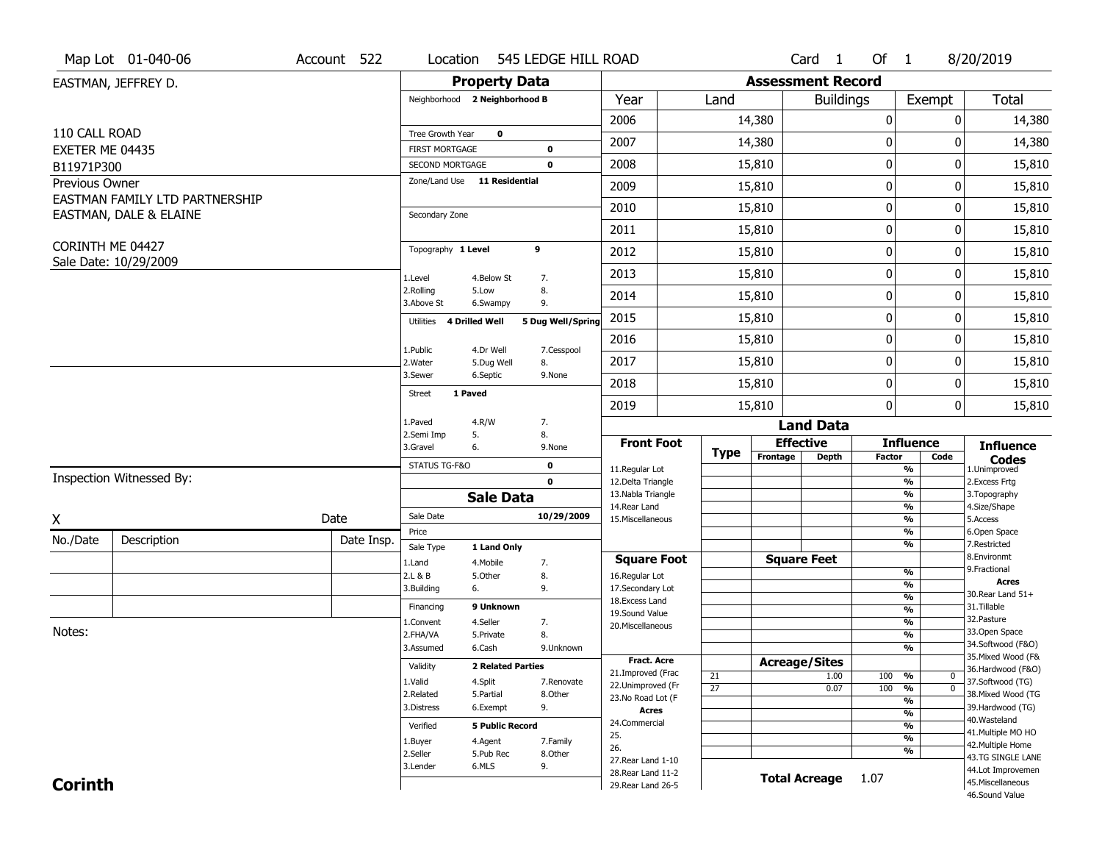|                              | Map Lot 01-040-06              | Account 522 | Location                                 |                         | 545 LEDGE HILL ROAD      |                                     |                 |                          | Card <sub>1</sub>    | Of 1          |                                | 8/20/2019                              |
|------------------------------|--------------------------------|-------------|------------------------------------------|-------------------------|--------------------------|-------------------------------------|-----------------|--------------------------|----------------------|---------------|--------------------------------|----------------------------------------|
|                              | EASTMAN, JEFFREY D.            |             |                                          |                         | <b>Property Data</b>     |                                     |                 | <b>Assessment Record</b> |                      |               |                                |                                        |
|                              |                                |             | Neighborhood 2 Neighborhood B            |                         |                          | Year                                | Land            |                          | <b>Buildings</b>     |               | Exempt                         | <b>Total</b>                           |
|                              |                                |             |                                          |                         |                          | 2006                                |                 | 14,380                   |                      | $\pmb{0}$     | 0                              | 14,380                                 |
| 110 CALL ROAD                |                                |             | Tree Growth Year                         |                         | $\mathbf 0$              | 2007                                |                 | 14,380                   |                      | $\bf{0}$      | 0                              | 14,380                                 |
| EXETER ME 04435              |                                |             | <b>FIRST MORTGAGE</b><br>SECOND MORTGAGE |                         | 0<br>$\mathbf 0$         | 2008                                |                 | 15,810                   |                      | $\pmb{0}$     | 0                              | 15,810                                 |
| B11971P300<br>Previous Owner |                                |             | Zone/Land Use 11 Residential             |                         |                          |                                     |                 |                          |                      |               |                                |                                        |
|                              | EASTMAN FAMILY LTD PARTNERSHIP |             |                                          |                         |                          | 2009                                |                 | 15,810                   |                      | 0             | 0                              | 15,810                                 |
|                              | EASTMAN, DALE & ELAINE         |             | Secondary Zone                           |                         |                          | 2010                                |                 | 15,810                   |                      | $\bf{0}$      | 0                              | 15,810                                 |
|                              |                                |             |                                          |                         |                          | 2011                                |                 | 15,810                   |                      | $\pmb{0}$     | 0                              | 15,810                                 |
| CORINTH ME 04427             | Sale Date: 10/29/2009          |             | Topography 1 Level                       |                         | 9                        | 2012                                |                 | 15,810                   |                      | 0             | 0                              | 15,810                                 |
|                              |                                |             | 1.Level                                  | 4.Below St              | 7.                       | 2013                                |                 | 15,810                   |                      | 0             | 0                              | 15,810                                 |
|                              |                                |             | 2.Rolling<br>3.Above St                  | 5.Low<br>6.Swampy       | 8.<br>9.                 | 2014                                |                 | 15,810                   |                      | 0             | 0                              | 15,810                                 |
|                              |                                |             | Utilities                                | 4 Drilled Well          | 5 Dug Well/Spring        | 2015                                |                 | 15,810                   |                      | $\mathbf 0$   | 0                              | 15,810                                 |
|                              |                                |             |                                          |                         |                          | 2016                                |                 | 15,810                   |                      | $\pmb{0}$     | 0                              | 15,810                                 |
|                              |                                |             | 1.Public<br>2. Water                     | 4.Dr Well<br>5.Dug Well | 7.Cesspool<br>8.         | 2017                                |                 | 15,810                   |                      | 0             | 0                              | 15,810                                 |
|                              |                                |             | 3.Sewer                                  | 6.Septic                | 9.None                   | 2018                                |                 | 15,810                   |                      | $\bf{0}$      | 0                              | 15,810                                 |
|                              |                                |             | <b>Street</b>                            | 1 Paved                 |                          | 2019                                |                 | 15,810                   |                      | $\mathbf 0$   | $\overline{0}$                 | 15,810                                 |
|                              |                                |             | 1.Paved                                  | 4.R/W                   | 7.                       |                                     |                 |                          | <b>Land Data</b>     |               |                                |                                        |
|                              |                                |             | 2.Semi Imp<br>3.Gravel                   | 5.<br>6.                | 8.<br>9.None             | <b>Front Foot</b>                   |                 | <b>Effective</b>         |                      |               | <b>Influence</b>               | <b>Influence</b>                       |
|                              |                                |             | STATUS TG-F&O                            |                         | $\mathbf 0$              |                                     | <b>Type</b>     | Frontage                 | <b>Depth</b>         | <b>Factor</b> | Code                           | <b>Codes</b>                           |
|                              | Inspection Witnessed By:       |             |                                          |                         | $\mathbf 0$              | 11.Regular Lot<br>12.Delta Triangle |                 |                          |                      |               | %<br>$\frac{9}{6}$             | 1.Unimproved<br>2. Excess Frtg         |
|                              |                                |             |                                          |                         | <b>Sale Data</b>         | 13. Nabla Triangle                  |                 |                          |                      |               | %                              | 3. Topography                          |
| X                            |                                | Date        | Sale Date                                |                         | 10/29/2009               | 14. Rear Land<br>15. Miscellaneous  |                 |                          |                      |               | %<br>%                         | 4.Size/Shape<br>5.Access               |
|                              |                                |             | Price                                    |                         |                          |                                     |                 |                          |                      |               | %                              | 6.Open Space                           |
| No./Date                     | Description                    | Date Insp.  | Sale Type                                | 1 Land Only             |                          |                                     |                 |                          |                      |               | %                              | 7.Restricted<br>8.Environmt            |
|                              |                                |             | 1.Land                                   | 4. Mobile               | 7.                       | <b>Square Foot</b>                  |                 |                          | <b>Square Feet</b>   |               | %                              | 9. Fractional                          |
|                              |                                |             | 2.L & B<br>3.Building                    | 5.Other<br>6.           | 8.<br>9.                 | 16.Regular Lot<br>17.Secondary Lot  |                 |                          |                      |               | $\overline{\frac{9}{6}}$       | <b>Acres</b>                           |
|                              |                                |             | Financing                                | 9 Unknown               |                          | 18. Excess Land                     |                 |                          |                      |               | $\frac{9}{6}$                  | 30. Rear Land 51+<br>31.Tillable       |
|                              |                                |             |                                          | 4.Seller                |                          | 19.Sound Value                      |                 |                          |                      |               | $\frac{9}{6}$<br>$\frac{9}{6}$ | 32.Pasture                             |
| Notes:                       |                                |             | 1.Convent<br>2.FHA/VA                    | 5.Private               | 7.<br>8.                 | 20.Miscellaneous                    |                 |                          |                      |               | $\overline{\frac{9}{6}}$       | 33.Open Space                          |
|                              |                                |             | 3.Assumed                                | 6.Cash                  | 9.Unknown                |                                     |                 |                          |                      |               | $\overline{\frac{9}{6}}$       | 34.Softwood (F&O)                      |
|                              |                                |             |                                          |                         | <b>2 Related Parties</b> | Fract. Acre                         |                 | <b>Acreage/Sites</b>     |                      |               |                                | 35. Mixed Wood (F&                     |
|                              |                                |             | Validity                                 |                         |                          | 21.Improved (Frac                   | 21              |                          | 1.00                 | 100           | %<br>$\mathbf 0$               | 36.Hardwood (F&O)                      |
|                              |                                |             | 1.Valid<br>2.Related                     | 4.Split<br>5.Partial    | 7.Renovate               | 22.Unimproved (Fr                   | $\overline{27}$ |                          | 0.07                 | 100           | %<br>$\mathbf 0$               | 37.Softwood (TG)<br>38. Mixed Wood (TG |
|                              |                                |             | 3.Distress                               | 6.Exempt                | 8.Other<br>9.            | 23.No Road Lot (F                   |                 |                          |                      |               | %                              | 39.Hardwood (TG)                       |
|                              |                                |             |                                          |                         |                          | <b>Acres</b><br>24.Commercial       |                 |                          |                      |               | $\frac{9}{6}$                  | 40. Wasteland                          |
|                              |                                |             | Verified                                 |                         | <b>5 Public Record</b>   | 25.                                 |                 |                          |                      |               | %                              | 41. Multiple MO HO                     |
|                              |                                |             | 1.Buyer                                  | 4.Agent                 | 7.Family                 | 26.                                 |                 |                          |                      |               | $\frac{9}{6}$<br>%             | 42. Multiple Home                      |
|                              |                                |             | 2.Seller                                 | 5.Pub Rec               | 8.Other                  | 27. Rear Land 1-10                  |                 |                          |                      |               |                                | 43.TG SINGLE LANE                      |
|                              |                                |             | 3.Lender                                 | 6.MLS                   | 9.                       | 28. Rear Land 11-2                  |                 |                          | <b>Total Acreage</b> | 1.07          |                                | 44.Lot Improvemen                      |
| <b>Corinth</b>               |                                |             |                                          |                         |                          | 29. Rear Land 26-5                  |                 |                          |                      |               |                                | 45. Miscellaneous<br>46.Sound Value    |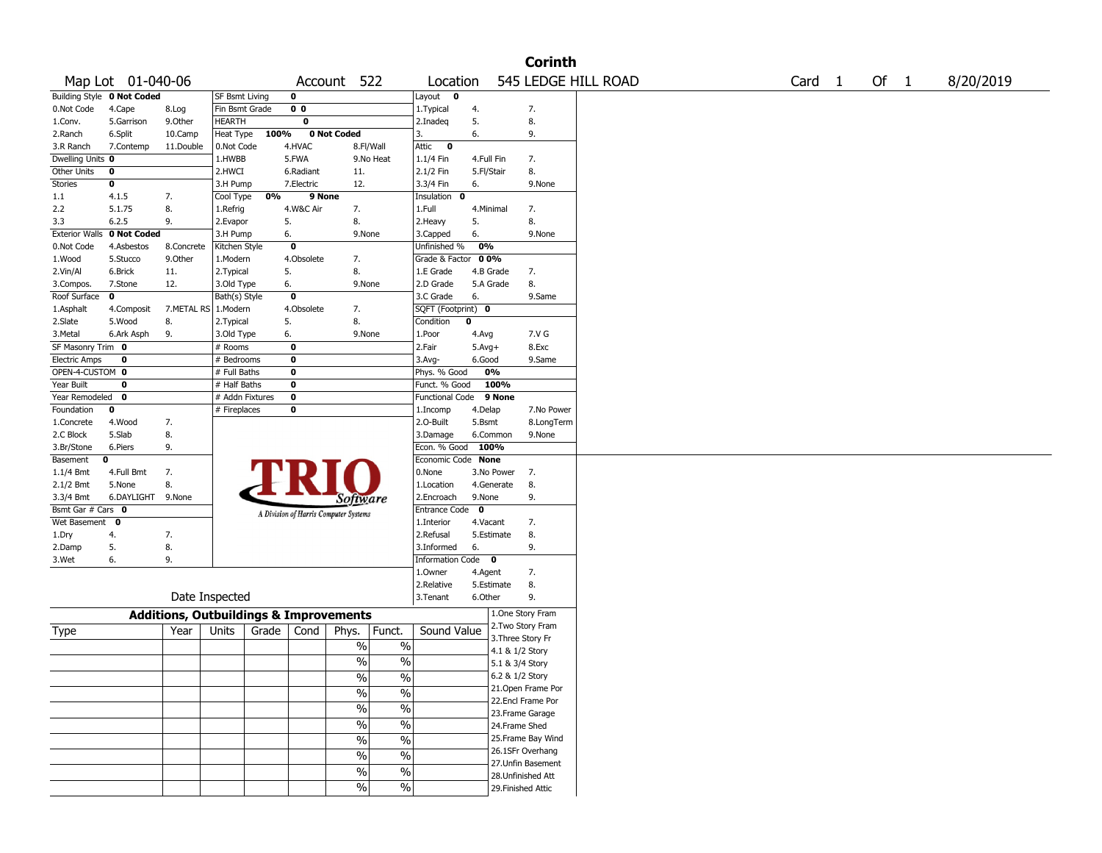|                       |                   |                                                   |                 |       |                |                                       |                          |                        |             |                    | <b>Corinth</b>      |  |  |                   |      |           |
|-----------------------|-------------------|---------------------------------------------------|-----------------|-------|----------------|---------------------------------------|--------------------------|------------------------|-------------|--------------------|---------------------|--|--|-------------------|------|-----------|
|                       | Map Lot 01-040-06 |                                                   |                 |       |                | Account 522                           |                          | Location               |             |                    | 545 LEDGE HILL ROAD |  |  | Card <sub>1</sub> | Of 1 | 8/20/2019 |
| <b>Building Style</b> | 0 Not Coded       |                                                   | SF Bsmt Living  |       | $\mathbf 0$    |                                       |                          | Layout<br>0            |             |                    |                     |  |  |                   |      |           |
| 0.Not Code            | 4.Cape            | 8.Log                                             | Fin Bsmt Grade  |       | 0 <sub>0</sub> |                                       |                          | 1. Typical             | 4.          |                    | 7.                  |  |  |                   |      |           |
| 1.Conv.               | 5.Garrison        | 9.0ther                                           | HEARTH          |       | $\mathbf 0$    |                                       |                          | 2.Inadeq               | 5.          |                    | 8.                  |  |  |                   |      |           |
| 2.Ranch               | 6.Split           | 10.Camp                                           | Heat Type       | 100%  |                | 0 Not Coded                           |                          | 3.                     | 6.          |                    | 9.                  |  |  |                   |      |           |
| 3.R Ranch             | 7.Contemp         | 11.Double                                         | 0.Not Code      |       | 4.HVAC         | 8.Fl/Wall                             |                          | Attic<br>$\mathbf 0$   |             |                    |                     |  |  |                   |      |           |
| Dwelling Units 0      |                   |                                                   | 1.HWBB          |       | 5.FWA          |                                       | 9.No Heat                | $1.1/4$ Fin            | 4.Full Fin  |                    | 7.                  |  |  |                   |      |           |
| Other Units           | 0                 |                                                   | 2.HWCI          |       | 6.Radiant      | 11.                                   |                          | 2.1/2 Fin              | 5.Fl/Stair  |                    | 8.                  |  |  |                   |      |           |
| Stories               | 0                 |                                                   | 3.H Pump        |       | 7.Electric     | 12.                                   |                          | 3.3/4 Fin              | 6.          |                    | 9.None              |  |  |                   |      |           |
| 1.1                   | 4.1.5             | 7.                                                | Cool Type       | 0%    | 9 None         |                                       |                          | Insulation<br>0        |             |                    |                     |  |  |                   |      |           |
| 2.2                   | 5.1.75            | 8.                                                | 1.Refrig        |       | 4.W&C Air      | 7.                                    |                          | 1.Full                 | 4.Minimal   |                    | 7.                  |  |  |                   |      |           |
| 3.3                   | 6.2.5             | 9.                                                | 2.Evapor        | 5.    |                | 8.                                    |                          | 2.Heavy                | 5.          |                    | 8.                  |  |  |                   |      |           |
| <b>Exterior Walls</b> | 0 Not Coded       |                                                   | 3.H Pump        | 6.    |                | 9.None                                |                          | 3.Capped               | 6.          |                    | 9.None              |  |  |                   |      |           |
| 0.Not Code            | 4.Asbestos        | 8.Concrete                                        | Kitchen Style   |       | $\bf{0}$       |                                       |                          | Unfinished %           | 0%          |                    |                     |  |  |                   |      |           |
| 1.Wood                | 5.Stucco          | 9.0ther                                           | 1.Modern        |       | 4.Obsolete     | 7.                                    |                          | Grade & Factor         | 00%         |                    |                     |  |  |                   |      |           |
| 2.Vin/Al              | 6.Brick           | 11.                                               | 2. Typical      | 5.    |                | 8.                                    |                          | 1.E Grade              | 4.B Grade   |                    | 7.                  |  |  |                   |      |           |
| 3.Compos.             | 7.Stone           | 12.                                               | 3.Old Type      | 6.    |                | 9.None                                |                          | 2.D Grade              |             | 5.A Grade          | 8.                  |  |  |                   |      |           |
| Roof Surface          | 0                 |                                                   | Bath(s) Style   |       | $\mathbf 0$    |                                       |                          | 3.C Grade              | 6.          |                    | 9.Same              |  |  |                   |      |           |
| 1.Asphalt             | 4.Composit        | 7.METAL RS 1.Modern                               |                 |       | 4.Obsolete     | 7.                                    |                          | SQFT (Footprint) 0     |             |                    |                     |  |  |                   |      |           |
| 2.Slate               | 5.Wood            | 8.                                                | 2. Typical      | 5.    |                | 8.                                    |                          | Condition              | $\mathbf 0$ |                    |                     |  |  |                   |      |           |
| 3.Metal               | 6.Ark Asph        | 9.                                                | 3.Old Type      | 6.    |                | 9.None                                |                          | 1.Poor                 | 4.Avg       |                    | 7.V G               |  |  |                   |      |           |
| SF Masonry Trim 0     |                   |                                                   | # Rooms         |       | $\bf{0}$       |                                       |                          | 2.Fair                 | $5.Avg+$    |                    | 8.Exc               |  |  |                   |      |           |
| <b>Electric Amps</b>  | 0                 |                                                   | # Bedrooms      |       | $\bf{0}$       |                                       |                          | $3.$ Avg-              | 6.Good      |                    | 9.Same              |  |  |                   |      |           |
| OPEN-4-CUSTOM 0       |                   |                                                   | # Full Baths    |       | $\bf{0}$       |                                       |                          | Phys. % Good           |             | 0%                 |                     |  |  |                   |      |           |
| Year Built            | 0                 |                                                   | # Half Baths    |       | $\bf{0}$       |                                       |                          | Funct. % Good          |             | 100%               |                     |  |  |                   |      |           |
| Year Remodeled        | $\mathbf{o}$      |                                                   | # Addn Fixtures |       | $\bf o$        |                                       |                          | <b>Functional Code</b> |             | 9 None             |                     |  |  |                   |      |           |
| Foundation            | 0                 |                                                   | # Fireplaces    |       | $\bf{0}$       |                                       |                          | 1.Incomp               | 4.Delap     |                    | 7.No Power          |  |  |                   |      |           |
| 1.Concrete            | 4.Wood            | 7.                                                |                 |       |                |                                       |                          | 2.O-Built              | 5.Bsmt      |                    | 8.LongTerm          |  |  |                   |      |           |
| 2.C Block             | 5.Slab            | 8.                                                |                 |       |                |                                       |                          | 3.Damage               |             | 6.Common           | 9.None              |  |  |                   |      |           |
| 3.Br/Stone            | 6.Piers           | 9.                                                |                 |       |                |                                       |                          | Econ. % Good           | 100%        |                    |                     |  |  |                   |      |           |
| Basement              | 0                 |                                                   |                 |       |                |                                       |                          | Economic Code None     |             |                    |                     |  |  |                   |      |           |
| $1.1/4$ Bmt           | 4.Full Bmt        | 7.                                                |                 |       |                |                                       |                          | 0.None                 |             | 3.No Power         | 7.                  |  |  |                   |      |           |
| 2.1/2 Bmt             | 5.None            | 8.                                                |                 |       |                |                                       |                          | 1.Location             |             | 4.Generate         | 8.                  |  |  |                   |      |           |
| 3.3/4 Bmt             | 6.DAYLIGHT        | 9.None                                            |                 |       |                | Software                              |                          | 2.Encroach             | 9.None      |                    | 9.                  |  |  |                   |      |           |
| Bsmt Gar # Cars 0     |                   |                                                   |                 |       |                | A Division of Harris Computer Systems |                          | Entrance Code          | 0           |                    |                     |  |  |                   |      |           |
| Wet Basement          | 0                 |                                                   |                 |       |                |                                       |                          | 1.Interior             | 4.Vacant    |                    | 7.                  |  |  |                   |      |           |
| 1.Dry                 | 4.                | 7.                                                |                 |       |                |                                       |                          | 2.Refusal              |             | 5.Estimate         | 8.                  |  |  |                   |      |           |
| 2.Damp                | 5.                | 8.                                                |                 |       |                |                                       |                          | 3.Informed             | 6.          |                    | 9.                  |  |  |                   |      |           |
| 3.Wet                 | 6.                | 9.                                                |                 |       |                |                                       |                          | Information Code 0     |             |                    |                     |  |  |                   |      |           |
|                       |                   |                                                   |                 |       |                |                                       |                          | 1.Owner                | 4.Agent     |                    | 7.                  |  |  |                   |      |           |
|                       |                   |                                                   |                 |       |                |                                       |                          | 2.Relative             |             | 5.Estimate         | 8.                  |  |  |                   |      |           |
|                       |                   |                                                   | Date Inspected  |       |                |                                       |                          | 3. Tenant              | 6.Other     |                    | 9.                  |  |  |                   |      |           |
|                       |                   | <b>Additions, Outbuildings &amp; Improvements</b> |                 |       |                |                                       |                          |                        |             | 1.One Story Fram   |                     |  |  |                   |      |           |
| Type                  |                   | Year                                              | Units           | Grade | Cond           | Phys.                                 | Funct.                   | Sound Value            |             | 2. Two Story Fram  |                     |  |  |                   |      |           |
|                       |                   |                                                   |                 |       |                | $\%$                                  | $\%$                     |                        |             | 3. Three Story Fr  |                     |  |  |                   |      |           |
|                       |                   |                                                   |                 |       |                |                                       |                          |                        |             | 4.1 & 1/2 Story    |                     |  |  |                   |      |           |
|                       |                   |                                                   |                 |       |                | %                                     | $\%$                     |                        |             | 5.1 & 3/4 Story    |                     |  |  |                   |      |           |
|                       |                   |                                                   |                 |       |                | $\overline{\frac{0}{6}}$              | $\%$                     |                        |             | 6.2 & 1/2 Story    |                     |  |  |                   |      |           |
|                       |                   |                                                   |                 |       |                | $\sqrt{6}$                            | $\%$                     |                        |             |                    | 21. Open Frame Por  |  |  |                   |      |           |
|                       |                   |                                                   |                 |       |                | $\frac{0}{6}$                         | $\overline{\frac{0}{6}}$ |                        |             |                    | 22.Encl Frame Por   |  |  |                   |      |           |
|                       |                   |                                                   |                 |       |                |                                       |                          |                        |             | 23. Frame Garage   |                     |  |  |                   |      |           |
|                       |                   |                                                   |                 |       |                | $\sqrt{6}$                            | $\overline{\frac{0}{6}}$ |                        |             | 24.Frame Shed      |                     |  |  |                   |      |           |
|                       |                   |                                                   |                 |       |                | $\frac{0}{6}$                         | $\overline{\frac{0}{6}}$ |                        |             |                    | 25. Frame Bay Wind  |  |  |                   |      |           |
|                       |                   |                                                   |                 |       |                | $\sqrt{6}$                            | $\%$                     |                        |             |                    | 26.1SFr Overhang    |  |  |                   |      |           |
|                       |                   |                                                   |                 |       |                | $\sqrt{6}$                            | $\%$                     |                        |             |                    | 27.Unfin Basement   |  |  |                   |      |           |
|                       |                   |                                                   |                 |       |                |                                       |                          |                        |             | 28. Unfinished Att |                     |  |  |                   |      |           |
|                       |                   |                                                   |                 |       |                | $\sqrt{6}$                            | $\%$                     |                        |             | 29. Finished Attic |                     |  |  |                   |      |           |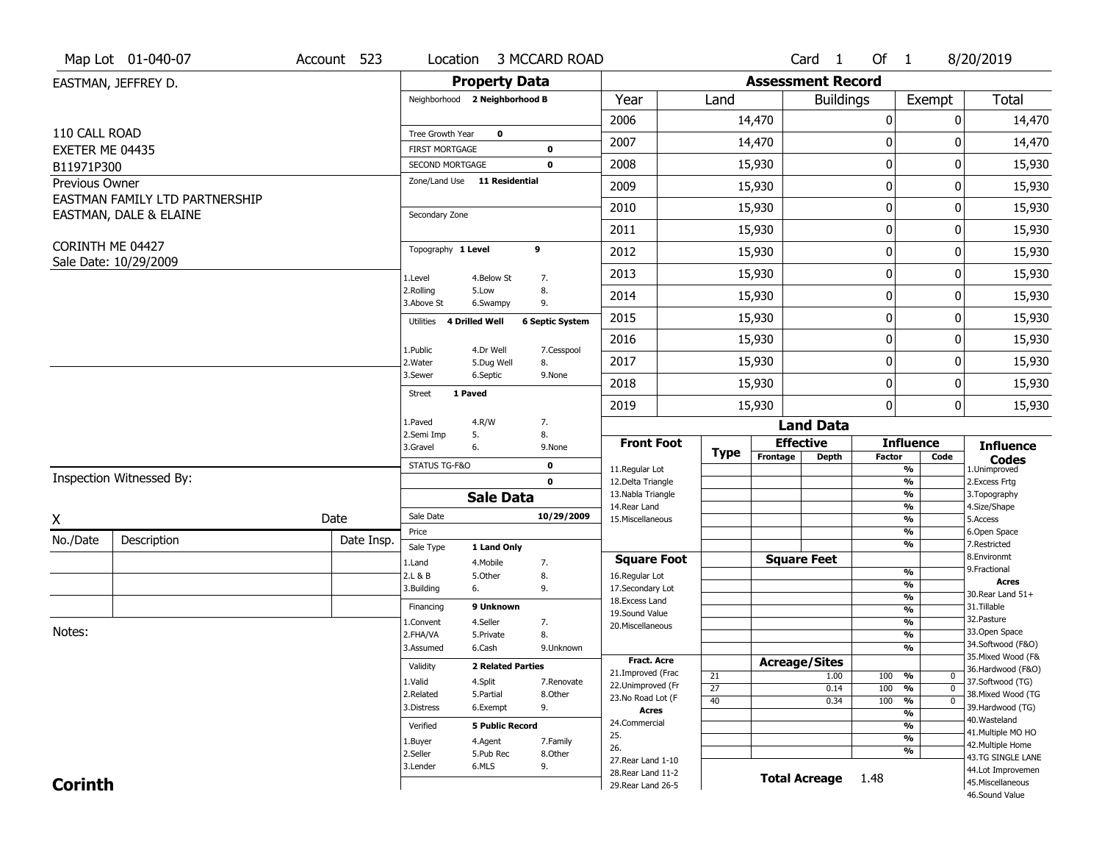|                 | Map Lot 01-040-07                         | Account 523 | Location                           |                          | 3 MCCARD ROAD          |                                          |                 |                          | Card 1               | Of 1             |                                                  | 8/20/2019                               |
|-----------------|-------------------------------------------|-------------|------------------------------------|--------------------------|------------------------|------------------------------------------|-----------------|--------------------------|----------------------|------------------|--------------------------------------------------|-----------------------------------------|
|                 | EASTMAN, JEFFREY D.                       |             |                                    | <b>Property Data</b>     |                        |                                          |                 | <b>Assessment Record</b> |                      |                  |                                                  |                                         |
|                 |                                           |             | Neighborhood 2 Neighborhood B      |                          |                        | Year                                     | Land            |                          | <b>Buildings</b>     |                  | Exempt                                           | <b>Total</b>                            |
|                 |                                           |             |                                    |                          |                        | 2006                                     |                 | 14,470                   |                      | $\boldsymbol{0}$ | 0                                                | 14,470                                  |
| 110 CALL ROAD   |                                           |             | Tree Growth Year                   | $\mathbf 0$              |                        | 2007                                     |                 | 14,470                   |                      | 0                | 0                                                | 14,470                                  |
| EXETER ME 04435 |                                           |             | <b>FIRST MORTGAGE</b>              |                          | 0                      |                                          |                 |                          |                      |                  |                                                  |                                         |
| B11971P300      |                                           |             | SECOND MORTGAGE                    |                          | 0                      | 2008                                     |                 | 15,930                   |                      | $\mathbf 0$      | 0                                                | 15,930                                  |
| Previous Owner  | EASTMAN FAMILY LTD PARTNERSHIP            |             | Zone/Land Use 11 Residential       |                          |                        | 2009                                     |                 | 15,930                   |                      | $\mathbf 0$      | 0                                                | 15,930                                  |
|                 | EASTMAN, DALE & ELAINE                    |             | Secondary Zone                     |                          |                        | 2010                                     |                 | 15,930                   |                      | $\mathbf 0$      | 0                                                | 15,930                                  |
|                 |                                           |             |                                    |                          |                        | 2011                                     |                 | 15,930                   |                      | $\boldsymbol{0}$ | 0                                                | 15,930                                  |
|                 | CORINTH ME 04427<br>Sale Date: 10/29/2009 |             | Topography 1 Level                 |                          | 9                      | 2012                                     |                 | 15,930                   |                      | $\mathbf 0$      | 0                                                | 15,930                                  |
|                 |                                           |             | 1.Level                            | 4.Below St               | 7.                     | 2013                                     |                 | 15,930                   |                      | $\mathbf 0$      | 0                                                | 15,930                                  |
|                 |                                           |             | 2.Rolling<br>3.Above St            | 5.Low<br>6.Swampy        | 8.<br>9.               | 2014                                     |                 | 15,930                   |                      | $\mathbf 0$      | 0                                                | 15,930                                  |
|                 |                                           |             | 4 Drilled Well<br>Utilities        |                          | <b>6 Septic System</b> | 2015                                     |                 | 15,930                   |                      | $\boldsymbol{0}$ | 0                                                | 15,930                                  |
|                 |                                           |             | 1.Public                           | 4.Dr Well                | 7.Cesspool             | 2016                                     |                 | 15,930                   |                      | $\mathbf 0$      | 0                                                | 15,930                                  |
|                 |                                           |             | 2. Water                           | 5.Dug Well               | 8.                     | 2017                                     |                 | 15,930                   |                      | $\mathbf 0$      | 0                                                | 15,930                                  |
|                 |                                           |             | 3.Sewer<br>1 Paved<br>Street       | 6.Septic                 | 9.None                 | 2018                                     |                 | 15,930                   |                      | $\mathbf 0$      | 0                                                | 15,930                                  |
|                 |                                           |             |                                    |                          |                        | 2019                                     |                 | 15,930                   |                      | $\mathbf 0$      | 0                                                | 15,930                                  |
|                 |                                           |             | 1.Paved                            | 4.R/W                    | 7.<br>8.               |                                          |                 |                          | <b>Land Data</b>     |                  |                                                  |                                         |
|                 |                                           |             | 2.Semi Imp<br>5.<br>3.Gravel<br>6. |                          | 9.None                 | <b>Front Foot</b>                        |                 |                          | <b>Effective</b>     |                  | <b>Influence</b>                                 | <b>Influence</b>                        |
|                 |                                           |             | STATUS TG-F&O                      |                          | $\mathbf 0$            | 11.Regular Lot                           | <b>Type</b>     | Frontage                 | <b>Depth</b>         | <b>Factor</b>    | Code<br>%                                        | <b>Codes</b><br>1.Unimproved            |
|                 | Inspection Witnessed By:                  |             |                                    |                          | $\mathbf{0}$           | 12.Delta Triangle                        |                 |                          |                      |                  | $\frac{9}{6}$                                    | 2.Excess Frtg                           |
|                 |                                           |             |                                    | <b>Sale Data</b>         |                        | 13. Nabla Triangle<br>14. Rear Land      |                 |                          |                      |                  | %                                                | 3. Topography                           |
| X               |                                           | Date        | Sale Date                          |                          | 10/29/2009             | 15. Miscellaneous                        |                 |                          |                      |                  | %<br>%                                           | 4.Size/Shape<br>5.Access                |
| No./Date        | Description                               | Date Insp.  | Price                              |                          |                        |                                          |                 |                          |                      |                  | %                                                | 6.Open Space                            |
|                 |                                           |             | Sale Type                          | 1 Land Only              |                        |                                          |                 |                          |                      |                  | %                                                | 7.Restricted<br>8.Environmt             |
|                 |                                           |             | 1.Land<br>2.L & B                  | 4. Mobile<br>5.0ther     | 7.<br>8.               | <b>Square Foot</b><br>16.Regular Lot     |                 |                          | <b>Square Feet</b>   |                  | $\frac{9}{6}$                                    | 9. Fractional                           |
|                 |                                           |             | 3.Building<br>6.                   |                          | 9.                     | 17.Secondary Lot                         |                 |                          |                      |                  | $\frac{9}{6}$                                    | <b>Acres</b>                            |
|                 |                                           |             | Financing                          | 9 Unknown                |                        | 18. Excess Land                          |                 |                          |                      |                  | $\frac{9}{6}$<br>$\frac{9}{6}$                   | 30. Rear Land 51+<br>31.Tillable        |
|                 |                                           |             | 1.Convent                          | 4.Seller                 | 7.                     | 19.Sound Value<br>20.Miscellaneous       |                 |                          |                      |                  | $\frac{9}{6}$                                    | 32. Pasture                             |
| Notes:          |                                           |             | 2.FHA/VA                           | 5.Private                | 8.                     |                                          |                 |                          |                      |                  | $\frac{9}{6}$                                    | 33.Open Space                           |
|                 |                                           |             | 3.Assumed                          | 6.Cash                   | 9.Unknown              |                                          |                 |                          |                      |                  | %                                                | 34.Softwood (F&O)                       |
|                 |                                           |             | Validity                           | <b>2 Related Parties</b> |                        | <b>Fract, Acre</b>                       |                 | <b>Acreage/Sites</b>     |                      |                  |                                                  | 35. Mixed Wood (F&<br>36.Hardwood (F&O) |
|                 |                                           |             | 1.Valid                            | 4.Split                  | 7.Renovate             | 21.Improved (Frac<br>22.Unimproved (Fr   | 21              |                          | 1.00                 | 100              | %<br>$\bm{0}$                                    | 37.Softwood (TG)                        |
|                 |                                           |             | 2.Related                          | 5.Partial                | 8.Other                | 23.No Road Lot (F                        | $\overline{27}$ |                          | 0.14                 | 100              | $\overline{0}$<br>%<br>$\overline{\mathfrak{o}}$ | 38. Mixed Wood (TG                      |
|                 |                                           |             | 3.Distress                         | 6.Exempt                 | 9.                     | <b>Acres</b>                             | 40              |                          | 0.34                 | 100              | $\frac{9}{6}$<br>$\frac{9}{6}$                   | 39.Hardwood (TG)                        |
|                 |                                           |             | Verified                           | <b>5 Public Record</b>   |                        | 24.Commercial                            |                 |                          |                      |                  | %                                                | 40. Wasteland                           |
|                 |                                           |             | 1.Buyer                            | 4.Agent                  | 7.Family               | 25.                                      |                 |                          |                      |                  | $\frac{9}{6}$                                    | 41. Multiple MO HO                      |
|                 |                                           |             | 2.Seller                           | 5.Pub Rec                | 8.Other                | 26.                                      |                 |                          |                      |                  | %                                                | 42. Multiple Home<br>43.TG SINGLE LANE  |
|                 |                                           |             | 3.Lender                           | 6.MLS                    | 9.                     | 27. Rear Land 1-10                       |                 |                          |                      |                  |                                                  | 44.Lot Improvemen                       |
| <b>Corinth</b>  |                                           |             |                                    |                          |                        | 28. Rear Land 11-2<br>29. Rear Land 26-5 |                 |                          | <b>Total Acreage</b> | 1.48             |                                                  | 45. Miscellaneous                       |
|                 |                                           |             |                                    |                          |                        |                                          |                 |                          |                      |                  |                                                  | 46.Sound Value                          |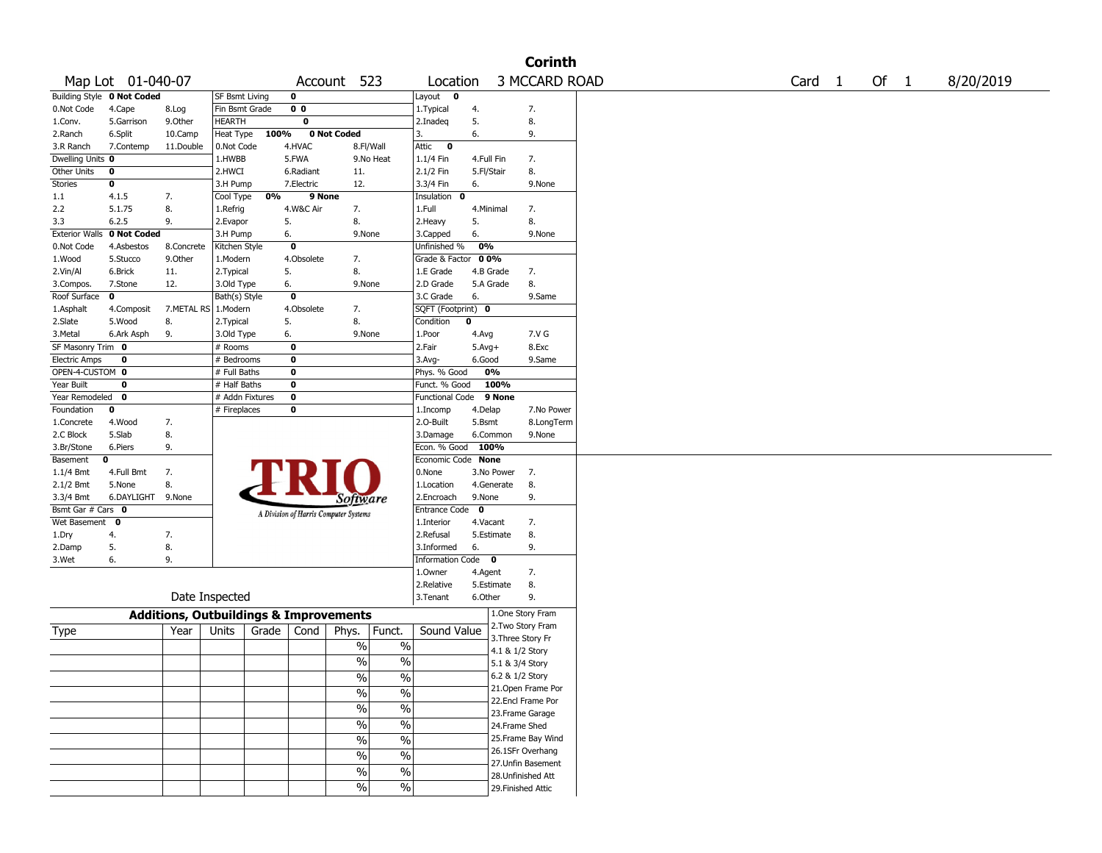|                       |                            |                                                   |                 |       |                |                                       |                          |                        |            |                    | <b>Corinth</b> |        |      |           |
|-----------------------|----------------------------|---------------------------------------------------|-----------------|-------|----------------|---------------------------------------|--------------------------|------------------------|------------|--------------------|----------------|--------|------|-----------|
|                       | Map Lot 01-040-07          |                                                   |                 |       |                | Account 523                           |                          | Location               |            |                    | 3 MCCARD ROAD  | Card 1 | Of 1 | 8/20/2019 |
|                       | Building Style 0 Not Coded |                                                   | SF Bsmt Living  |       | 0              |                                       |                          | Layout<br>$\bullet$    |            |                    |                |        |      |           |
| 0.Not Code            | 4.Cape                     | 8.Log                                             | Fin Bsmt Grade  |       | 0 <sub>0</sub> |                                       |                          | 1. Typical             | 4.         |                    | 7.             |        |      |           |
| 1.Conv.               | 5.Garrison                 | 9.0ther                                           | <b>HEARTH</b>   |       | 0              |                                       |                          | 2.Inadeq               | 5.         |                    | 8.             |        |      |           |
| 2.Ranch               | 6.Split                    | 10.Camp                                           | Heat Type       | 100%  |                | 0 Not Coded                           |                          | 3.                     | 6.         |                    | 9.             |        |      |           |
| 3.R Ranch             | 7.Contemp                  | 11.Double                                         | 0.Not Code      |       | 4.HVAC         | 8.Fl/Wall                             |                          | Attic<br>0             |            |                    |                |        |      |           |
| Dwelling Units 0      |                            |                                                   | 1.HWBB          |       | 5.FWA          |                                       | 9.No Heat                | 1.1/4 Fin              | 4.Full Fin |                    | 7.             |        |      |           |
| Other Units           | 0                          |                                                   | 2.HWCI          |       | 6.Radiant      | 11.                                   |                          | 2.1/2 Fin              | 5.Fl/Stair |                    | 8.             |        |      |           |
| Stories               | 0                          |                                                   | 3.H Pump        |       | 7.Electric     | 12.                                   |                          | 3.3/4 Fin              | 6.         |                    | 9.None         |        |      |           |
| 1.1                   | 4.1.5                      | 7.                                                | Cool Type       | 0%    | 9 None         |                                       |                          | Insulation<br>0        |            |                    |                |        |      |           |
| 2.2                   | 5.1.75                     | 8.                                                | 1.Refrig        |       | 4.W&C Air      | 7.                                    |                          | 1.Full                 | 4.Minimal  |                    | 7.             |        |      |           |
| 3.3                   | 6.2.5                      | 9.                                                | 2.Evapor        | 5.    |                | 8.                                    |                          | 2. Heavy               | 5.         |                    | 8.             |        |      |           |
| <b>Exterior Walls</b> | 0 Not Coded                |                                                   | 3.H Pump        | 6.    |                | 9.None                                |                          | 3.Capped               | 6.         |                    | 9.None         |        |      |           |
| 0.Not Code            | 4.Asbestos                 | 8.Concrete                                        | Kitchen Style   |       | $\mathbf 0$    |                                       |                          | Unfinished %           | 0%         |                    |                |        |      |           |
| 1.Wood                | 5.Stucco                   | 9.0ther                                           | 1.Modern        |       | 4.Obsolete     | 7.                                    |                          | Grade & Factor         | 0 0%       |                    |                |        |      |           |
| 2.Vin/Al              | 6.Brick                    | 11.                                               | 2.Typical       | 5.    |                | 8.                                    |                          | 1.E Grade              | 4.B Grade  |                    | 7.             |        |      |           |
| 3.Compos.             | 7.Stone                    | 12.                                               | 3.Old Type      | 6.    |                | 9.None                                |                          | 2.D Grade              | 5.A Grade  |                    | 8.             |        |      |           |
| Roof Surface          | 0                          |                                                   | Bath(s) Style   |       | 0              |                                       |                          | 3.C Grade              | 6.         |                    | 9.Same         |        |      |           |
| 1.Asphalt             | 4.Composit                 | 7.METAL RS                                        | 1.Modern        |       | 4.Obsolete     | 7.                                    |                          | SQFT (Footprint) 0     |            |                    |                |        |      |           |
| 2.Slate               | 5.Wood                     | 8.                                                | 2.Typical       | 5.    |                | 8.                                    |                          | Condition              | 0          |                    |                |        |      |           |
| 3.Metal               | 6.Ark Asph                 | 9.                                                | 3.Old Type      | 6.    |                | 9.None                                |                          | 1.Poor                 | 4.Avg      |                    | 7.V G          |        |      |           |
| SF Masonry Trim 0     |                            |                                                   | # Rooms         |       | 0              |                                       |                          | 2.Fair                 | $5.Avg+$   |                    | 8.Exc          |        |      |           |
| <b>Electric Amps</b>  | 0                          |                                                   | # Bedrooms      |       | 0              |                                       |                          | $3.$ Avg-              | 6.Good     |                    | 9.Same         |        |      |           |
| OPEN-4-CUSTOM 0       |                            |                                                   | # Full Baths    |       | 0              |                                       |                          | Phys. % Good           | 0%         |                    |                |        |      |           |
| Year Built            | 0                          |                                                   | # Half Baths    |       | 0              |                                       |                          | Funct. % Good          |            | 100%               |                |        |      |           |
| Year Remodeled        | 0                          |                                                   | # Addn Fixtures |       | $\mathbf 0$    |                                       |                          | <b>Functional Code</b> |            | 9 None             |                |        |      |           |
| Foundation            | 0                          |                                                   | # Fireplaces    |       | 0              |                                       |                          | 1.Incomp               | 4.Delap    |                    | 7.No Power     |        |      |           |
| 1.Concrete            | 4.Wood                     | 7.                                                |                 |       |                |                                       |                          | 2.0-Built              | 5.Bsmt     |                    | 8.LongTerm     |        |      |           |
| 2.C Block             | 5.Slab                     | 8.                                                |                 |       |                |                                       |                          | 3.Damage               | 6.Common   |                    | 9.None         |        |      |           |
| 3.Br/Stone            | 6.Piers                    | 9.                                                |                 |       |                |                                       |                          | Econ. % Good 100%      |            |                    |                |        |      |           |
| Basement              | 0                          |                                                   |                 |       |                |                                       |                          | Economic Code None     |            |                    |                |        |      |           |
| 1.1/4 Bmt             | 4.Full Bmt                 | 7.                                                |                 |       |                |                                       |                          | 0.None                 | 3.No Power |                    | 7.             |        |      |           |
| 2.1/2 Bmt             | 5.None                     | 8.                                                |                 |       |                |                                       |                          | 1.Location             | 4.Generate |                    | 8.             |        |      |           |
| 3.3/4 Bmt             | 6.DAYLIGHT 9.None          |                                                   |                 |       |                | <i>Software</i>                       |                          | 2.Encroach             | 9.None     |                    | 9.             |        |      |           |
| Bsmt Gar # Cars 0     |                            |                                                   |                 |       |                | A Division of Harris Computer Systems |                          | Entrance Code 0        |            |                    |                |        |      |           |
| Wet Basement 0        |                            |                                                   |                 |       |                |                                       |                          | 1.Interior             | 4.Vacant   |                    | 7.             |        |      |           |
| 1.Dry                 | 4.                         | 7.                                                |                 |       |                |                                       |                          | 2.Refusal              | 5.Estimate |                    | 8.             |        |      |           |
| 2.Damp                | 5.                         | 8.                                                |                 |       |                |                                       |                          | 3.Informed             | 6.         |                    | 9.             |        |      |           |
| 3.Wet                 | 6.                         | 9.                                                |                 |       |                |                                       |                          | Information Code 0     |            |                    |                |        |      |           |
|                       |                            |                                                   |                 |       |                |                                       |                          | 1.Owner                | 4.Agent    |                    | 7.             |        |      |           |
|                       |                            |                                                   |                 |       |                |                                       |                          | 2.Relative             | 5.Estimate |                    | 8.             |        |      |           |
|                       |                            |                                                   | Date Inspected  |       |                |                                       |                          | 3. Tenant              | 6.Other    |                    | 9.             |        |      |           |
|                       |                            | <b>Additions, Outbuildings &amp; Improvements</b> |                 |       |                |                                       |                          |                        |            | 1.One Story Fram   |                |        |      |           |
| Type                  |                            | Year                                              | Units           | Grade | Cond           | Phys.                                 | Funct.                   | Sound Value            |            | 2.Two Story Fram   |                |        |      |           |
|                       |                            |                                                   |                 |       |                |                                       |                          |                        |            | 3. Three Story Fr  |                |        |      |           |
|                       |                            |                                                   |                 |       |                | $\%$                                  | $\%$                     |                        |            | 4.1 & 1/2 Story    |                |        |      |           |
|                       |                            |                                                   |                 |       |                | %                                     | $\%$                     |                        |            | 5.1 & 3/4 Story    |                |        |      |           |
|                       |                            |                                                   |                 |       |                | $\%$                                  | $\frac{9}{6}$            |                        |            | 6.2 & 1/2 Story    |                |        |      |           |
|                       |                            |                                                   |                 |       |                | $\frac{1}{2}$                         | $\overline{\frac{0}{0}}$ |                        |            | 21. Open Frame Por |                |        |      |           |
|                       |                            |                                                   |                 |       |                |                                       |                          |                        |            | 22.Encl Frame Por  |                |        |      |           |
|                       |                            |                                                   |                 |       |                | $\frac{9}{6}$                         | $\overline{\frac{0}{0}}$ |                        |            | 23. Frame Garage   |                |        |      |           |
|                       |                            |                                                   |                 |       |                | $\frac{1}{2}$                         | $\overline{\frac{0}{0}}$ |                        |            | 24.Frame Shed      |                |        |      |           |
|                       |                            |                                                   |                 |       |                | $\frac{1}{2}$                         | $\overline{\frac{0}{0}}$ |                        |            | 25.Frame Bay Wind  |                |        |      |           |
|                       |                            |                                                   |                 |       |                | $\frac{1}{2}$                         | $\overline{\frac{0}{0}}$ |                        |            | 26.1SFr Overhang   |                |        |      |           |
|                       |                            |                                                   |                 |       |                |                                       |                          |                        |            | 27.Unfin Basement  |                |        |      |           |
|                       |                            |                                                   |                 |       |                | $\frac{1}{2}$                         | $\overline{\frac{0}{6}}$ |                        |            | 28. Unfinished Att |                |        |      |           |
|                       |                            |                                                   |                 |       |                | $\frac{9}{6}$                         | $\sqrt{6}$               |                        |            | 29. Finished Attic |                |        |      |           |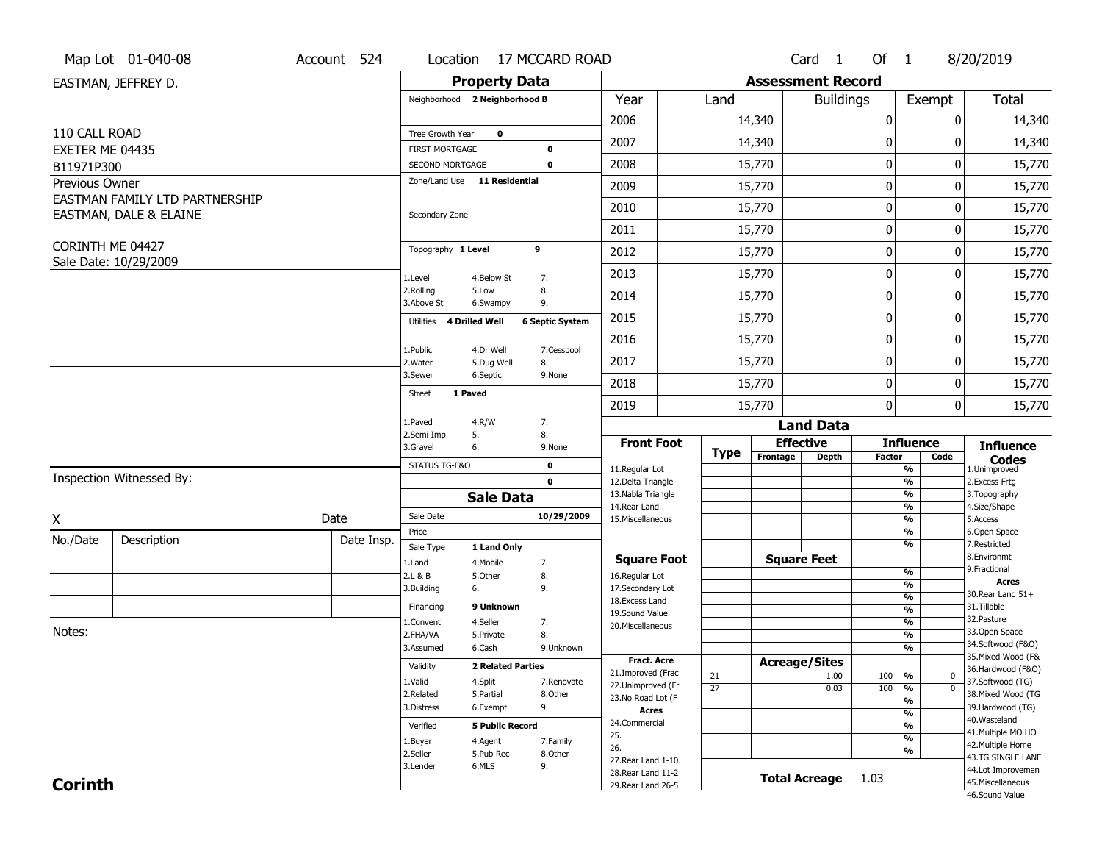|                              | Map Lot 01-040-08              | Account 524 | Location                                        |                          | 17 MCCARD ROAD           |                                      |                 |                          | Card <sub>1</sub> | Of 1          |                                | 8/20/2019                             |
|------------------------------|--------------------------------|-------------|-------------------------------------------------|--------------------------|--------------------------|--------------------------------------|-----------------|--------------------------|-------------------|---------------|--------------------------------|---------------------------------------|
|                              | EASTMAN, JEFFREY D.            |             |                                                 | <b>Property Data</b>     |                          |                                      |                 | <b>Assessment Record</b> |                   |               |                                |                                       |
|                              |                                |             | Neighborhood 2 Neighborhood B                   |                          |                          | Year                                 | Land            |                          | <b>Buildings</b>  |               | Exempt                         | <b>Total</b>                          |
|                              |                                |             |                                                 |                          |                          | 2006                                 |                 | 14,340                   |                   | $\pmb{0}$     | 0                              | 14,340                                |
| 110 CALL ROAD                |                                |             | Tree Growth Year                                | $\mathbf 0$              |                          | 2007                                 |                 | 14,340                   |                   | $\bf{0}$      | 0                              | 14,340                                |
| EXETER ME 04435              |                                |             | <b>FIRST MORTGAGE</b><br><b>SECOND MORTGAGE</b> |                          | $\pmb{0}$<br>$\mathbf 0$ | 2008                                 |                 | 15,770                   |                   | $\pmb{0}$     | 0                              | 15,770                                |
| B11971P300<br>Previous Owner |                                |             | Zone/Land Use 11 Residential                    |                          |                          |                                      |                 |                          |                   |               |                                |                                       |
|                              | EASTMAN FAMILY LTD PARTNERSHIP |             |                                                 |                          |                          | 2009                                 |                 | 15,770                   |                   | 0             | 0                              | 15,770                                |
|                              | EASTMAN, DALE & ELAINE         |             | Secondary Zone                                  |                          |                          | 2010                                 |                 | 15,770                   |                   | $\mathbf 0$   | 0                              | 15,770                                |
|                              |                                |             |                                                 |                          |                          | 2011                                 |                 | 15,770                   |                   | $\pmb{0}$     | 0                              | 15,770                                |
| CORINTH ME 04427             |                                |             | Topography 1 Level                              |                          | 9                        | 2012                                 |                 | 15,770                   |                   | $\bf{0}$      | 0                              | 15,770                                |
|                              | Sale Date: 10/29/2009          |             | 1.Level                                         | 4.Below St               | 7.                       | 2013                                 |                 | 15,770                   |                   | 0             | 0                              | 15,770                                |
|                              |                                |             | 2.Rolling<br>3.Above St                         | 5.Low<br>6.Swampy        | 8.<br>9.                 | 2014                                 |                 | 15,770                   |                   | 0             | 0                              | 15,770                                |
|                              |                                |             | Utilities 4 Drilled Well                        |                          | <b>6 Septic System</b>   | 2015                                 |                 | 15,770                   |                   | $\bf{0}$      | 0                              | 15,770                                |
|                              |                                |             |                                                 |                          |                          | 2016                                 |                 | 15,770                   |                   | $\pmb{0}$     | 0                              | 15,770                                |
|                              |                                |             | 1.Public<br>2. Water                            | 4.Dr Well<br>5.Dug Well  | 7.Cesspool<br>8.         | 2017                                 |                 | 15,770                   |                   | 0             | 0                              | 15,770                                |
|                              |                                |             | 3.Sewer                                         | 6.Septic                 | 9.None                   | 2018                                 |                 | 15,770                   |                   | $\bf{0}$      | 0                              | 15,770                                |
|                              |                                |             | <b>Street</b>                                   | 1 Paved                  |                          | 2019                                 |                 | 15,770                   |                   | $\bf{0}$      | 0                              | 15,770                                |
|                              |                                |             | 1.Paved                                         | 4.R/W                    | 7.                       |                                      |                 |                          | <b>Land Data</b>  |               |                                |                                       |
|                              |                                |             | 2.Semi Imp<br>3.Gravel                          | 5.<br>6.                 | 8.<br>9.None             | <b>Front Foot</b>                    |                 | <b>Effective</b>         |                   |               | <b>Influence</b>               | <b>Influence</b>                      |
|                              |                                |             | STATUS TG-F&O                                   |                          | $\mathbf 0$              |                                      | <b>Type</b>     | Frontage                 | <b>Depth</b>      | <b>Factor</b> | Code                           | <b>Codes</b>                          |
|                              | Inspection Witnessed By:       |             |                                                 |                          | $\mathbf 0$              | 11.Regular Lot<br>12.Delta Triangle  |                 |                          |                   |               | %<br>%                         | 1.Unimproved<br>2. Excess Frtg        |
|                              |                                |             |                                                 | <b>Sale Data</b>         |                          | 13. Nabla Triangle                   |                 |                          |                   |               | %                              | 3. Topography                         |
| χ                            |                                | Date        | Sale Date                                       |                          | 10/29/2009               | 14. Rear Land<br>15. Miscellaneous   |                 |                          |                   |               | %<br>%                         | 4.Size/Shape<br>5.Access              |
|                              |                                |             | Price                                           |                          |                          |                                      |                 |                          |                   |               | %                              | 6.Open Space                          |
| No./Date                     | Description                    | Date Insp.  | Sale Type                                       | 1 Land Only              |                          |                                      |                 |                          |                   |               | %                              | 7.Restricted<br>8.Environmt           |
|                              |                                |             | 1.Land<br>2.L & B                               | 4. Mobile<br>5.Other     | 7.<br>8.                 | <b>Square Foot</b><br>16.Regular Lot |                 | <b>Square Feet</b>       |                   |               | %                              | 9. Fractional                         |
|                              |                                |             | 3.Building                                      | 6.                       | 9.                       | 17.Secondary Lot                     |                 |                          |                   |               | %                              | <b>Acres</b>                          |
|                              |                                |             | Financing                                       | 9 Unknown                |                          | 18. Excess Land                      |                 |                          |                   |               | $\frac{9}{6}$                  | 30. Rear Land 51+<br>31.Tillable      |
|                              |                                |             | 1.Convent                                       | 4.Seller                 | 7.                       | 19.Sound Value                       |                 |                          |                   |               | $\frac{9}{6}$<br>$\frac{9}{6}$ | 32.Pasture                            |
| Notes:                       |                                |             | 2.FHA/VA                                        | 5.Private                | 8.                       | 20.Miscellaneous                     |                 |                          |                   |               | $\frac{9}{6}$                  | 33.Open Space                         |
|                              |                                |             | 3.Assumed                                       | 6.Cash                   | 9.Unknown                |                                      |                 |                          |                   |               | $\overline{\frac{9}{6}}$       | 34.Softwood (F&O)                     |
|                              |                                |             | Validity                                        | <b>2 Related Parties</b> |                          | <b>Fract. Acre</b>                   |                 | <b>Acreage/Sites</b>     |                   |               |                                | 35. Mixed Wood (F&                    |
|                              |                                |             | 1.Valid                                         | 4.Split                  | 7.Renovate               | 21.Improved (Frac                    | 21              |                          | 1.00              | 100           | %<br>$\bf{0}$                  | 36.Hardwood (F&O)<br>37.Softwood (TG) |
|                              |                                |             | 2.Related                                       | 5.Partial                | 8.Other                  | 22.Unimproved (Fr                    | $\overline{27}$ |                          | 0.03              | 100           | $\frac{9}{6}$<br>$\mathbf 0$   | 38. Mixed Wood (TG                    |
|                              |                                |             | 3.Distress                                      | 6.Exempt                 | 9.                       | 23.No Road Lot (F                    |                 |                          |                   |               | $\frac{9}{6}$                  | 39.Hardwood (TG)                      |
|                              |                                |             |                                                 |                          |                          | Acres<br>24.Commercial               |                 |                          |                   |               | $\frac{9}{6}$                  | 40. Wasteland                         |
|                              |                                |             | Verified                                        | <b>5 Public Record</b>   |                          | 25.                                  |                 |                          |                   |               | %<br>$\frac{9}{6}$             | 41. Multiple MO HO                    |
|                              |                                |             | 1.Buyer                                         | 4.Agent                  | 7.Family                 | 26.                                  |                 |                          |                   |               | %                              | 42. Multiple Home                     |
|                              |                                |             | 2.Seller                                        | 5.Pub Rec                | 8.Other                  | 27. Rear Land 1-10                   |                 |                          |                   |               |                                | 43.TG SINGLE LANE                     |
|                              |                                |             | 3.Lender                                        | 6.MLS                    | 9.                       | 28. Rear Land 11-2                   |                 | <b>Total Acreage</b>     |                   | 1.03          |                                | 44.Lot Improvemen                     |
| <b>Corinth</b>               |                                |             |                                                 |                          |                          | 29. Rear Land 26-5                   |                 |                          |                   |               |                                | 45. Miscellaneous<br>46.Sound Value   |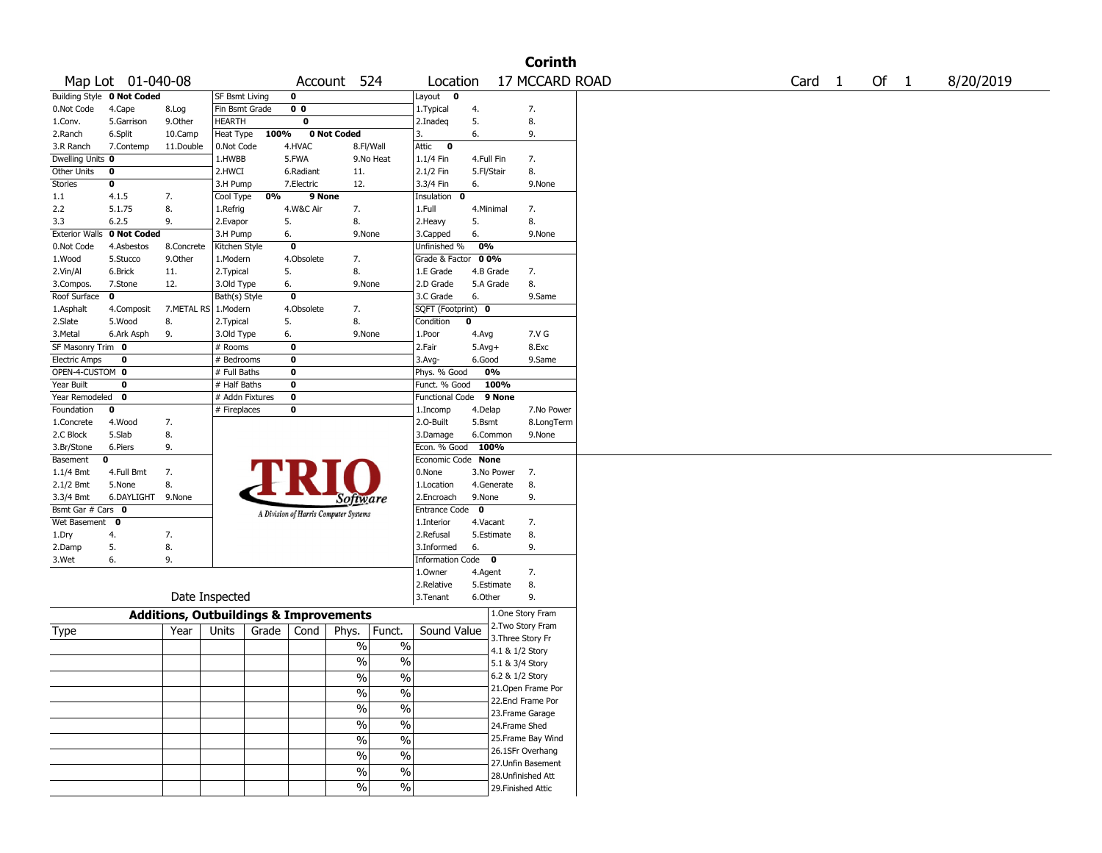|                       |                                   |            |                                                   |       |                                       |                                        |                        |             |                    | <b>Corinth</b>     |        |      |           |
|-----------------------|-----------------------------------|------------|---------------------------------------------------|-------|---------------------------------------|----------------------------------------|------------------------|-------------|--------------------|--------------------|--------|------|-----------|
|                       | Map Lot 01-040-08                 |            |                                                   |       |                                       | Account 524                            | Location               |             |                    | 17 MCCARD ROAD     | Card 1 | Of 1 | 8/20/2019 |
|                       | <b>Building Style 0 Not Coded</b> |            | SF Bsmt Living                                    |       | 0                                     |                                        | Layout<br>$\mathbf 0$  |             |                    |                    |        |      |           |
| 0.Not Code            | 4.Cape                            | 8.Log      | Fin Bsmt Grade                                    |       | 0 <sub>0</sub>                        |                                        | 1. Typical             | 4.          |                    | 7.                 |        |      |           |
| 1.Conv.               | 5.Garrison                        | 9.0ther    | HEARTH                                            |       | $\overline{\mathbf{0}}$               |                                        | 2.Inadeq               | 5.          |                    | 8.                 |        |      |           |
| 2.Ranch               | 6.Split                           | 10.Camp    | Heat Type                                         | 100%  |                                       | 0 Not Coded                            | 3.                     | 6.          |                    | 9.                 |        |      |           |
| 3.R Ranch             | 7.Contemp                         | 11.Double  | 0.Not Code                                        |       | 4.HVAC                                | 8.Fl/Wall                              | Attic<br>$\mathbf 0$   |             |                    |                    |        |      |           |
| Dwelling Units 0      |                                   |            | 1.HWBB                                            |       | 5.FWA                                 | 9.No Heat                              | 1.1/4 Fin              | 4.Full Fin  |                    | 7.                 |        |      |           |
| Other Units           | 0                                 |            | 2.HWCI                                            |       | 6.Radiant                             | 11.                                    | 2.1/2 Fin              | 5.Fl/Stair  |                    | 8.                 |        |      |           |
| Stories               | 0                                 |            | 3.H Pump                                          |       | 7.Electric                            | 12.                                    | 3.3/4 Fin              | 6.          |                    | 9.None             |        |      |           |
| 1.1                   | 4.1.5                             | 7.         | Cool Type                                         | 0%    | 9 None                                |                                        | Insulation<br>0        |             |                    |                    |        |      |           |
| 2.2                   | 5.1.75                            | 8.         | 1.Refrig                                          |       | 4.W&C Air                             | 7.                                     | 1.Full                 | 4.Minimal   |                    | 7.                 |        |      |           |
| 3.3                   | 6.2.5                             | 9.         | 2.Evapor                                          | 5.    |                                       | 8.                                     | 2.Heavy                | 5.          |                    | 8.                 |        |      |           |
| <b>Exterior Walls</b> | 0 Not Coded                       |            | 3.H Pump                                          | 6.    |                                       | 9.None                                 | 3.Capped               | 6.          |                    | 9.None             |        |      |           |
| 0.Not Code            | 4.Asbestos                        | 8.Concrete | Kitchen Style                                     |       | $\mathbf 0$                           |                                        | Unfinished %           | 0%          |                    |                    |        |      |           |
| 1.Wood                | 5.Stucco                          | 9.0ther    | 1.Modern                                          |       | 4.Obsolete                            | 7.                                     | Grade & Factor         | 00%         |                    |                    |        |      |           |
| 2.Vin/Al              | 6.Brick                           | 11.        | 2. Typical                                        | 5.    |                                       | 8.                                     | 1.E Grade              | 4.B Grade   |                    | 7.                 |        |      |           |
| 3.Compos.             | 7.Stone                           | 12.        | 3.Old Type                                        | 6.    |                                       | 9.None                                 | 2.D Grade              | 5.A Grade   |                    | 8.                 |        |      |           |
| Roof Surface          | $\mathbf 0$                       |            | Bath(s) Style                                     |       | $\mathbf 0$                           |                                        | 3.C Grade              | 6.          |                    | 9.Same             |        |      |           |
| 1.Asphalt             | 4.Composit                        | 7.METAL RS | 1.Modern                                          |       | 4.Obsolete                            | 7.                                     | SQFT (Footprint) 0     |             |                    |                    |        |      |           |
| 2.Slate               | 5.Wood                            | 8.         | 2. Typical                                        | 5.    |                                       | 8.                                     | Condition              | 0           |                    |                    |        |      |           |
| 3.Metal               | 6.Ark Asph                        | 9.         | 3.Old Type                                        | 6.    |                                       | 9.None                                 | 1.Poor                 | 4.Avg       |                    | 7.V G              |        |      |           |
| SF Masonry Trim 0     |                                   |            | # Rooms                                           |       | $\mathbf 0$                           |                                        | 2.Fair                 | $5.Avg+$    |                    | 8.Exc              |        |      |           |
| <b>Electric Amps</b>  | 0                                 |            | # Bedrooms                                        |       | 0                                     |                                        | 3.Avg-                 | 6.Good      |                    | 9.Same             |        |      |           |
| OPEN-4-CUSTOM 0       |                                   |            | # Full Baths                                      |       | $\bf{0}$                              |                                        | Phys. % Good           | 0%          |                    |                    |        |      |           |
| Year Built            | 0                                 |            | # Half Baths                                      |       | $\bf o$                               |                                        | Funct. % Good          |             | 100%               |                    |        |      |           |
| Year Remodeled        | $\mathbf 0$                       |            | # Addn Fixtures                                   |       | $\bf o$                               |                                        | <b>Functional Code</b> |             | 9 None             |                    |        |      |           |
| Foundation            | 0                                 |            | # Fireplaces                                      |       | $\bf o$                               |                                        | 1.Incomp               | 4.Delap     |                    | 7.No Power         |        |      |           |
| 1.Concrete            | 4.Wood                            | 7.         |                                                   |       |                                       |                                        | 2.0-Built              | 5.Bsmt      |                    | 8.LongTerm         |        |      |           |
| 2.C Block             | 5.Slab                            | 8.         |                                                   |       |                                       |                                        | 3.Damage               | 6.Common    |                    | 9.None             |        |      |           |
| 3.Br/Stone            | 6.Piers                           | 9.         |                                                   |       |                                       |                                        | Econ. % Good 100%      |             |                    |                    |        |      |           |
| Basement              | 0                                 |            |                                                   |       |                                       |                                        | Economic Code None     |             |                    |                    |        |      |           |
| $1.1/4$ Bmt           | 4.Full Bmt                        | 7.         |                                                   |       |                                       |                                        | 0.None                 | 3.No Power  |                    | 7.                 |        |      |           |
| 2.1/2 Bmt             | 5.None                            | 8.         |                                                   |       |                                       |                                        | 1.Location             | 4.Generate  |                    | 8.                 |        |      |           |
| 3.3/4 Bmt             | 6.DAYLIGHT                        | 9.None     |                                                   |       |                                       | Software                               | 2.Encroach             | 9.None      |                    | 9.                 |        |      |           |
| Bsmt Gar # Cars 0     |                                   |            |                                                   |       | A Division of Harris Computer Systems |                                        | Entrance Code          | $\mathbf 0$ |                    |                    |        |      |           |
| Wet Basement          | 0                                 |            |                                                   |       |                                       |                                        | 1.Interior             | 4.Vacant    |                    | 7.                 |        |      |           |
| 1.Dry                 | 4.                                | 7.         |                                                   |       |                                       |                                        | 2.Refusal              | 5.Estimate  |                    | 8.                 |        |      |           |
| 2.Damp                | 5.                                | 8.         |                                                   |       |                                       |                                        | 3.Informed             | 6.          |                    | 9.                 |        |      |           |
| 3.Wet                 | 6.                                | 9.         |                                                   |       |                                       |                                        | Information Code 0     |             |                    |                    |        |      |           |
|                       |                                   |            |                                                   |       |                                       |                                        | 1.0wner                | 4.Agent     |                    | 7.                 |        |      |           |
|                       |                                   |            |                                                   |       |                                       |                                        | 2.Relative             | 5.Estimate  |                    | 8.                 |        |      |           |
|                       |                                   |            | Date Inspected                                    |       |                                       |                                        | 3.Tenant               | 6.Other     |                    | 9.                 |        |      |           |
|                       |                                   |            | <b>Additions, Outbuildings &amp; Improvements</b> |       |                                       |                                        |                        |             |                    | 1.One Story Fram   |        |      |           |
| Type                  |                                   | Year       | Units                                             | Grade | Cond                                  | Phys.<br>Funct.                        | Sound Value            |             |                    | 2. Two Story Fram  |        |      |           |
|                       |                                   |            |                                                   |       |                                       | %<br>$\%$                              |                        |             | 3. Three Story Fr  |                    |        |      |           |
|                       |                                   |            |                                                   |       |                                       |                                        |                        |             | 4.1 & 1/2 Story    |                    |        |      |           |
|                       |                                   |            |                                                   |       |                                       | %<br>%                                 |                        |             | 5.1 & 3/4 Story    |                    |        |      |           |
|                       |                                   |            |                                                   |       |                                       | $\frac{9}{0}$<br>$\frac{9}{0}$         |                        |             | 6.2 & 1/2 Story    |                    |        |      |           |
|                       |                                   |            |                                                   |       |                                       | $\%$<br>$\frac{0}{0}$                  |                        |             |                    | 21.Open Frame Por  |        |      |           |
|                       |                                   |            |                                                   |       |                                       | $\overline{\frac{0}{6}}$<br>%          |                        |             |                    | 22.Encl Frame Por  |        |      |           |
|                       |                                   |            |                                                   |       |                                       | $\overline{\frac{0}{6}}$<br>$\sqrt{6}$ |                        |             |                    | 23. Frame Garage   |        |      |           |
|                       |                                   |            |                                                   |       |                                       |                                        |                        |             | 24.Frame Shed      |                    |        |      |           |
|                       |                                   |            |                                                   |       |                                       | $\overline{\frac{0}{6}}$<br>$\%$       |                        |             |                    | 25. Frame Bay Wind |        |      |           |
|                       |                                   |            |                                                   |       |                                       | $\%$<br>$\frac{0}{0}$                  |                        |             |                    | 26.1SFr Overhang   |        |      |           |
|                       |                                   |            |                                                   |       |                                       | $\%$<br>$\%$                           |                        |             |                    | 27.Unfin Basement  |        |      |           |
|                       |                                   |            |                                                   |       |                                       |                                        |                        |             |                    | 28.Unfinished Att  |        |      |           |
|                       |                                   |            |                                                   |       |                                       | %<br>$\frac{0}{0}$                     |                        |             | 29. Finished Attic |                    |        |      |           |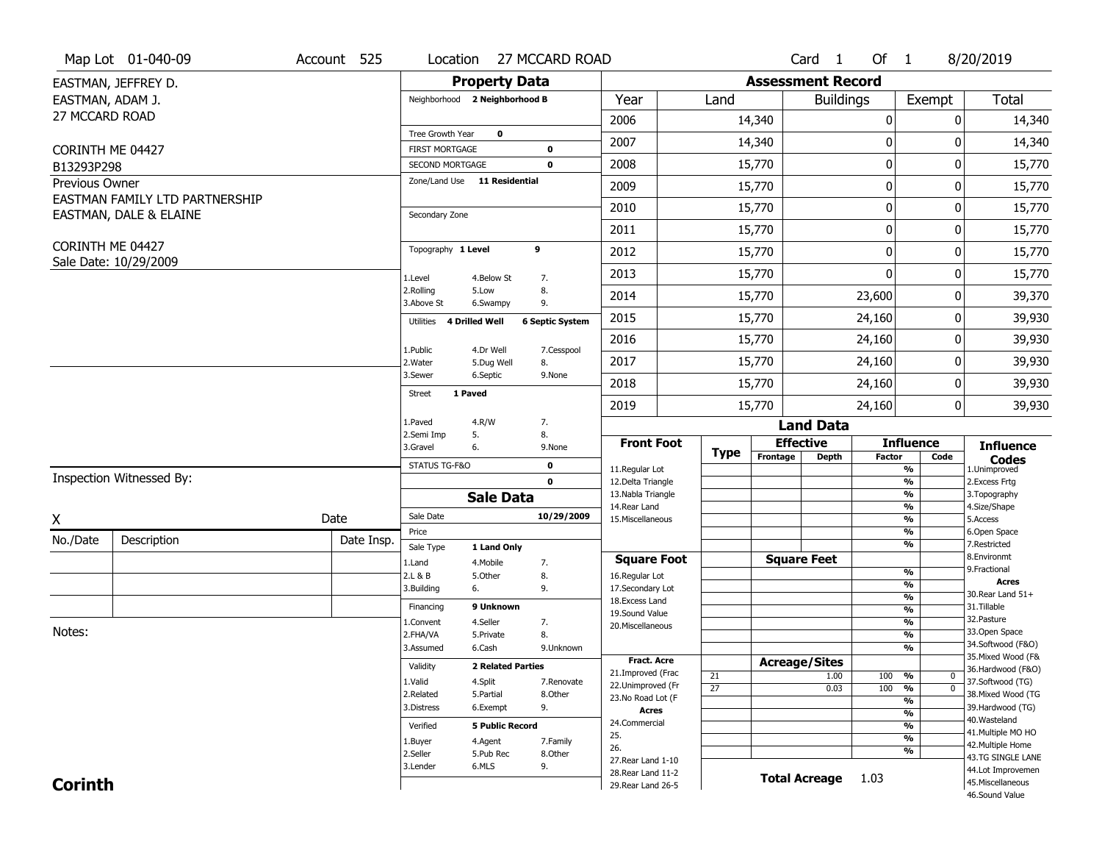|                  | Map Lot 01-040-09              | Account 525 | Location                      |                          | 27 MCCARD ROAD         |                                          |                 |          | Card <sub>1</sub>        | Of $1$        |                                | 8/20/2019                              |
|------------------|--------------------------------|-------------|-------------------------------|--------------------------|------------------------|------------------------------------------|-----------------|----------|--------------------------|---------------|--------------------------------|----------------------------------------|
|                  | EASTMAN, JEFFREY D.            |             |                               | <b>Property Data</b>     |                        |                                          |                 |          | <b>Assessment Record</b> |               |                                |                                        |
| EASTMAN, ADAM J. |                                |             | Neighborhood 2 Neighborhood B |                          |                        | Year                                     | Land            |          | <b>Buildings</b>         |               | Exempt                         | <b>Total</b>                           |
| 27 MCCARD ROAD   |                                |             |                               |                          |                        | 2006                                     |                 | 14,340   |                          | 0             | 0                              | 14,340                                 |
|                  |                                |             | Tree Growth Year              | $\mathbf 0$              |                        | 2007                                     |                 | 14,340   |                          | 0             | 0                              | 14,340                                 |
| CORINTH ME 04427 |                                |             | <b>FIRST MORTGAGE</b>         |                          | $\mathbf 0$            |                                          |                 |          |                          |               |                                |                                        |
| B13293P298       |                                |             | SECOND MORTGAGE               |                          | 0                      | 2008                                     |                 | 15,770   |                          | $\pmb{0}$     | 0                              | 15,770                                 |
| Previous Owner   | EASTMAN FAMILY LTD PARTNERSHIP |             | Zone/Land Use 11 Residential  |                          |                        | 2009                                     |                 | 15,770   |                          | 0             | 0                              | 15,770                                 |
|                  | EASTMAN, DALE & ELAINE         |             | Secondary Zone                |                          |                        | 2010                                     |                 | 15,770   |                          | 0             | 0                              | 15,770                                 |
|                  |                                |             |                               |                          |                        | 2011                                     |                 | 15,770   |                          | 0             | 0                              | 15,770                                 |
| CORINTH ME 04427 |                                |             | Topography 1 Level            |                          | 9                      | 2012                                     |                 | 15,770   |                          | 0             | 0                              | 15,770                                 |
|                  | Sale Date: 10/29/2009          |             | 1.Level                       | 4.Below St               | 7.                     | 2013                                     |                 | 15,770   |                          | $\mathbf{0}$  | 0                              | 15,770                                 |
|                  |                                |             | 2.Rolling<br>3.Above St       | 5.Low<br>6.Swampy        | 8.<br>9.               | 2014                                     |                 | 15,770   |                          | 23,600        | 0                              | 39,370                                 |
|                  |                                |             | Utilities                     | <b>4 Drilled Well</b>    | <b>6 Septic System</b> | 2015                                     |                 | 15,770   |                          | 24,160        | 0                              | 39,930                                 |
|                  |                                |             | 1.Public                      | 4.Dr Well                |                        | 2016                                     |                 | 15,770   |                          | 24,160        | 0                              | 39,930                                 |
|                  |                                |             | 2. Water                      | 5.Dug Well               | 7.Cesspool<br>8.       | 2017                                     |                 | 15,770   |                          | 24,160        | 0                              | 39,930                                 |
|                  |                                |             | 3.Sewer                       | 6.Septic                 | 9.None                 | 2018                                     |                 | 15,770   |                          | 24,160        | 0                              | 39,930                                 |
|                  |                                |             | 1 Paved<br><b>Street</b>      |                          |                        | 2019                                     |                 | 15,770   |                          | 24,160        | 0                              | 39,930                                 |
|                  |                                |             | 1.Paved                       | 4.R/W                    | 7.                     |                                          |                 |          | <b>Land Data</b>         |               |                                |                                        |
|                  |                                |             | 2.Semi Imp<br>3.Gravel        | 5.<br>6.                 | 8.<br>9.None           | <b>Front Foot</b>                        |                 |          | <b>Effective</b>         |               | <b>Influence</b>               | <b>Influence</b>                       |
|                  |                                |             | STATUS TG-F&O                 |                          | 0                      | 11.Regular Lot                           | <b>Type</b>     | Frontage | <b>Depth</b>             | <b>Factor</b> | Code<br>%                      | <b>Codes</b><br>1.Unimproved           |
|                  | Inspection Witnessed By:       |             |                               |                          | $\mathbf{0}$           | 12.Delta Triangle                        |                 |          |                          |               | $\overline{\frac{9}{6}}$       | 2. Excess Frtg                         |
|                  |                                |             |                               | <b>Sale Data</b>         |                        | 13. Nabla Triangle                       |                 |          |                          |               | %                              | 3. Topography                          |
| X                |                                | Date        | Sale Date                     |                          | 10/29/2009             | 14. Rear Land<br>15. Miscellaneous       |                 |          |                          |               | %<br>%                         | 4.Size/Shape<br>5.Access               |
| No./Date         |                                | Date Insp.  | Price                         |                          |                        |                                          |                 |          |                          |               | %                              | 6.Open Space                           |
|                  | Description                    |             | Sale Type                     | 1 Land Only              |                        |                                          |                 |          |                          |               | %                              | 7.Restricted<br>8.Environmt            |
|                  |                                |             | 1.Land                        | 4. Mobile                | 7.                     | <b>Square Foot</b>                       |                 |          | <b>Square Feet</b>       |               | $\frac{9}{6}$                  | 9. Fractional                          |
|                  |                                |             | 2.L & B<br>3.Building         | 5.Other<br>6.            | 8.<br>9.               | 16.Regular Lot<br>17.Secondary Lot       |                 |          |                          |               | $\frac{9}{6}$                  | <b>Acres</b>                           |
|                  |                                |             |                               |                          |                        | 18. Excess Land                          |                 |          |                          |               | $\frac{9}{6}$                  | 30. Rear Land 51+                      |
|                  |                                |             | Financing                     | 9 Unknown                |                        | 19.Sound Value                           |                 |          |                          |               | $\frac{9}{6}$<br>$\frac{9}{6}$ | 31.Tillable<br>32.Pasture              |
| Notes:           |                                |             | 1.Convent<br>2.FHA/VA         | 4.Seller<br>5.Private    | 7.<br>8.               | 20.Miscellaneous                         |                 |          |                          |               | $\frac{9}{6}$                  | 33.Open Space                          |
|                  |                                |             | 3.Assumed                     | 6.Cash                   | 9.Unknown              |                                          |                 |          |                          |               | $\frac{9}{6}$                  | 34.Softwood (F&O)                      |
|                  |                                |             | Validity                      | <b>2 Related Parties</b> |                        | Fract. Acre                              |                 |          | <b>Acreage/Sites</b>     |               |                                | 35. Mixed Wood (F&                     |
|                  |                                |             |                               |                          |                        | 21.Improved (Frac                        | 21              |          | 1.00                     | 100           | %<br>0                         | 36.Hardwood (F&O)                      |
|                  |                                |             | 1.Valid<br>2.Related          | 4.Split<br>5.Partial     | 7.Renovate<br>8.Other  | 22.Unimproved (Fr                        | $\overline{27}$ |          | 0.03                     | 100           | $\overline{0}$<br>%            | 37.Softwood (TG)<br>38. Mixed Wood (TG |
|                  |                                |             | 3.Distress                    | 6.Exempt                 | 9.                     | 23.No Road Lot (F                        |                 |          |                          |               | %                              | 39.Hardwood (TG)                       |
|                  |                                |             |                               |                          |                        | <b>Acres</b><br>24.Commercial            |                 |          |                          |               | $\frac{9}{6}$                  | 40. Wasteland                          |
|                  |                                |             | Verified                      | <b>5 Public Record</b>   |                        | 25.                                      |                 |          |                          |               | $\frac{9}{6}$<br>$\frac{9}{6}$ | 41. Multiple MO HO                     |
|                  |                                |             |                               |                          |                        |                                          |                 |          |                          |               |                                |                                        |
|                  |                                |             | 1.Buyer                       | 4.Agent                  | 7.Family               | 26.                                      |                 |          |                          |               |                                | 42. Multiple Home                      |
|                  |                                |             | 2.Seller                      | 5.Pub Rec                | 8.Other                | 27. Rear Land 1-10                       |                 |          |                          |               | %                              | 43.TG SINGLE LANE                      |
| <b>Corinth</b>   |                                |             | 3.Lender                      | 6.MLS                    | 9.                     | 28. Rear Land 11-2<br>29. Rear Land 26-5 |                 |          | <b>Total Acreage</b>     | 1.03          |                                | 44.Lot Improvemen<br>45. Miscellaneous |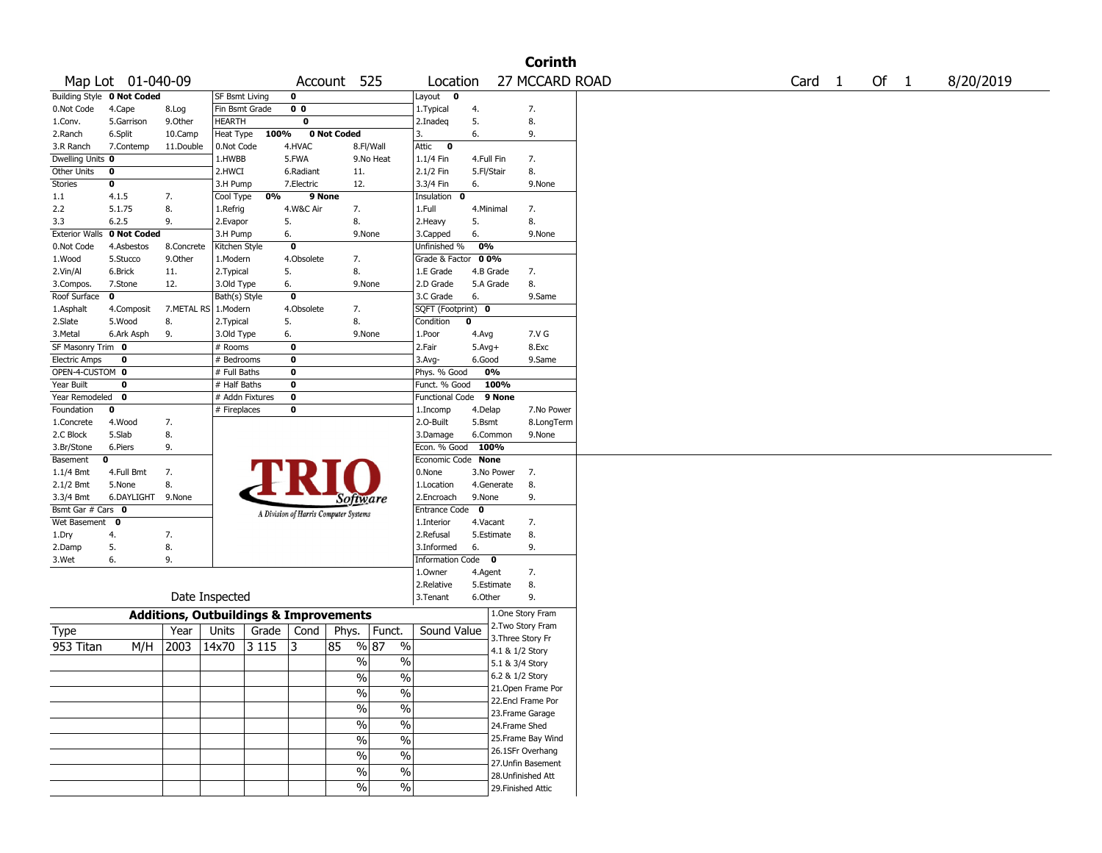|                               |                            |            |                                                   |         |                |                                       |                          |                                  |                   |                    | <b>Corinth</b>     |  |                   |      |           |
|-------------------------------|----------------------------|------------|---------------------------------------------------|---------|----------------|---------------------------------------|--------------------------|----------------------------------|-------------------|--------------------|--------------------|--|-------------------|------|-----------|
|                               | Map Lot 01-040-09          |            |                                                   |         |                | Account 525                           |                          | Location                         |                   |                    | 27 MCCARD ROAD     |  | Card <sub>1</sub> | Of 1 | 8/20/2019 |
|                               | Building Style 0 Not Coded |            | SF Bsmt Living                                    |         | 0              |                                       |                          | Layout<br>$\mathbf 0$            |                   |                    |                    |  |                   |      |           |
| 0.Not Code                    | 4.Cape                     | 8.Log      | Fin Bsmt Grade                                    |         | 0 <sub>0</sub> |                                       |                          | 1.Typical                        | 4.                |                    | 7.                 |  |                   |      |           |
| 1.Conv.                       | 5.Garrison                 | 9.Other    | HEARTH                                            |         | 0              |                                       |                          | 2.Inadeg                         | 5.                |                    | 8.                 |  |                   |      |           |
| 2.Ranch                       | 6.Split                    | 10.Camp    | Heat Type                                         | 100%    |                | 0 Not Coded                           |                          | 3.                               | 6.                |                    | 9.                 |  |                   |      |           |
| 3.R Ranch                     | 7.Contemp                  | 11.Double  | 0.Not Code                                        |         | 4.HVAC         |                                       | 8.Fl/Wall                | Attic<br>$\bf{0}$                |                   |                    |                    |  |                   |      |           |
| Dwelling Units 0              |                            |            | 1.HWBB                                            |         | 5.FWA          |                                       | 9.No Heat                | 1.1/4 Fin                        | 4.Full Fin        |                    | 7.                 |  |                   |      |           |
| Other Units                   | 0                          |            | 2.HWCI                                            |         | 6.Radiant      | 11.                                   |                          | 2.1/2 Fin                        | 5.Fl/Stair        |                    | 8.                 |  |                   |      |           |
| Stories                       | 0                          |            | 3.H Pump                                          |         | 7.Electric     | 12.                                   |                          | 3.3/4 Fin                        | 6.                |                    | 9.None             |  |                   |      |           |
| 1.1                           | 4.1.5                      | 7.         | Cool Type                                         | 0%      |                | 9 None                                |                          | Insulation<br>0                  |                   |                    |                    |  |                   |      |           |
| 2.2                           | 5.1.75                     | 8.         | 1.Refrig                                          |         | 4.W&C Air      | 7.                                    |                          | 1.Full                           |                   | 4.Minimal          | 7.                 |  |                   |      |           |
| 3.3                           | 6.2.5                      | 9.         | 2.Evapor                                          |         | 5.             | 8.                                    |                          | 2. Heavy                         | 5.                |                    | 8.                 |  |                   |      |           |
| <b>Exterior Walls</b>         | 0 Not Coded                |            | 3.H Pump                                          |         | 6.             | 9.None                                |                          | 3.Capped                         | 6.                |                    | 9.None             |  |                   |      |           |
| 0.Not Code                    | 4.Asbestos                 | 8.Concrete | Kitchen Style                                     |         | 0              |                                       |                          | Unfinished %                     | 0%                |                    |                    |  |                   |      |           |
| 1.Wood                        | 5.Stucco                   | 9.0ther    | 1.Modern                                          |         | 4.Obsolete     | 7.                                    |                          | Grade & Factor                   | 0 0%              |                    |                    |  |                   |      |           |
| 2.Vin/Al                      | 6.Brick                    | 11.        | 2. Typical                                        |         | 5.             | 8.                                    |                          | 1.E Grade                        |                   | 4.B Grade          | 7.                 |  |                   |      |           |
| 3.Compos.                     | 7.Stone                    | 12.        | 3.Old Type                                        |         | 6.             | 9.None                                |                          | 2.D Grade                        |                   | 5.A Grade          | 8.                 |  |                   |      |           |
| Roof Surface                  | 0                          |            | Bath(s) Style                                     |         | 0              |                                       |                          | 3.C Grade                        | 6.                |                    | 9.Same             |  |                   |      |           |
| 1.Asphalt                     | 4.Composit                 |            | 7.METAL RS   1.Modern                             |         | 4.Obsolete     | 7.                                    |                          | SQFT (Footprint) 0               |                   |                    |                    |  |                   |      |           |
| 2.Slate                       | 5.Wood                     | 8.         | 2. Typical                                        |         | 5.             | 8.                                    |                          | Condition<br>$\mathbf 0$         |                   |                    |                    |  |                   |      |           |
| 3.Metal                       | 6.Ark Asph                 | 9.         | 3.Old Type                                        |         | 6.             | 9.None                                |                          | 1.Poor                           | 4.Avg             |                    | 7.V G              |  |                   |      |           |
| SF Masonry Trim 0             |                            |            | # Rooms                                           |         | 0              |                                       |                          | 2.Fair                           | $5.Avg+$          |                    | 8.Exc              |  |                   |      |           |
| <b>Electric Amps</b>          | 0                          |            | # Bedrooms                                        |         | 0<br>0         |                                       |                          | $3.$ Avg-                        | 6.Good            | 0%                 | 9.Same             |  |                   |      |           |
| OPEN-4-CUSTOM 0<br>Year Built | 0                          |            | # Full Baths                                      |         | 0              |                                       |                          | Phys. % Good                     |                   | 100%               |                    |  |                   |      |           |
| Year Remodeled                | $\mathbf{o}$               |            | # Half Baths<br># Addn Fixtures                   |         | 0              |                                       |                          | Funct. % Good<br>Functional Code |                   | 9 None             |                    |  |                   |      |           |
| Foundation                    | 0                          |            | # Fireplaces                                      |         | 0              |                                       |                          |                                  |                   |                    | 7.No Power         |  |                   |      |           |
|                               | 4.Wood                     |            |                                                   |         |                |                                       |                          | 1.Incomp<br>2.0-Built            | 4.Delap<br>5.Bsmt |                    | 8.LongTerm         |  |                   |      |           |
| 1.Concrete<br>2.C Block       | 5.Slab                     | 7.<br>8.   |                                                   |         |                |                                       |                          | 3.Damage                         |                   | 6.Common           | 9.None             |  |                   |      |           |
| 3.Br/Stone                    | 6.Piers                    | 9.         |                                                   |         |                |                                       |                          | Econ. % Good                     |                   | 100%               |                    |  |                   |      |           |
| Basement                      | 0                          |            |                                                   |         |                |                                       |                          | Economic Code None               |                   |                    |                    |  |                   |      |           |
| $1.1/4$ Bmt                   | 4.Full Bmt                 | 7.         |                                                   |         |                |                                       |                          | 0.None                           |                   | 3.No Power         | 7.                 |  |                   |      |           |
| 2.1/2 Bmt                     | 5.None                     | 8.         |                                                   |         |                |                                       |                          | 1.Location                       |                   | 4.Generate         | 8.                 |  |                   |      |           |
| 3.3/4 Bmt                     | 6.DAYLIGHT 9.None          |            |                                                   |         |                | Software                              |                          | 2.Encroach                       | 9.None            |                    | 9.                 |  |                   |      |           |
| Bsmt Gar # Cars 0             |                            |            |                                                   |         |                |                                       |                          | Entrance Code 0                  |                   |                    |                    |  |                   |      |           |
| Wet Basement                  | $\mathbf 0$                |            |                                                   |         |                | A Division of Harris Computer Systems |                          | 1.Interior                       | 4.Vacant          |                    | 7.                 |  |                   |      |           |
| 1.Dry                         | 4.                         | 7.         |                                                   |         |                |                                       |                          | 2.Refusal                        |                   | 5.Estimate         | 8.                 |  |                   |      |           |
| 2.Damp                        | 5.                         | 8.         |                                                   |         |                |                                       |                          | 3.Informed                       | 6.                |                    | 9.                 |  |                   |      |           |
| 3.Wet                         | 6.                         | 9.         |                                                   |         |                |                                       |                          | Information Code 0               |                   |                    |                    |  |                   |      |           |
|                               |                            |            |                                                   |         |                |                                       |                          | 1.0wner                          | 4.Agent           |                    | 7.                 |  |                   |      |           |
|                               |                            |            |                                                   |         |                |                                       |                          | 2.Relative                       |                   | 5.Estimate         | 8.                 |  |                   |      |           |
|                               |                            |            | Date Inspected                                    |         |                |                                       |                          | 3.Tenant                         | 6.Other           |                    | 9.                 |  |                   |      |           |
|                               |                            |            |                                                   |         |                |                                       |                          |                                  |                   | 1.One Story Fram   |                    |  |                   |      |           |
|                               |                            |            | <b>Additions, Outbuildings &amp; Improvements</b> |         |                |                                       |                          |                                  |                   | 2. Two Story Fram  |                    |  |                   |      |           |
| Type                          |                            | Year       | Units                                             | Grade   | Cond           | Phys.                                 | Funct.                   | Sound Value                      |                   | 3. Three Story Fr  |                    |  |                   |      |           |
| 953 Titan                     | M/H                        | 2003       | 14x70                                             | 3 1 1 5 | 3              | 85                                    | % 87<br>$\%$             |                                  |                   | 4.1 & 1/2 Story    |                    |  |                   |      |           |
|                               |                            |            |                                                   |         |                | %                                     | $\%$                     |                                  |                   | 5.1 & 3/4 Story    |                    |  |                   |      |           |
|                               |                            |            |                                                   |         |                | %                                     | %                        |                                  |                   | 6.2 & 1/2 Story    |                    |  |                   |      |           |
|                               |                            |            |                                                   |         |                |                                       |                          |                                  |                   | 21.Open Frame Por  |                    |  |                   |      |           |
|                               |                            |            |                                                   |         |                | $\sqrt{0}$                            | $\%$                     |                                  |                   | 22.Encl Frame Por  |                    |  |                   |      |           |
|                               |                            |            |                                                   |         |                | $\sqrt{6}$                            | $\overline{\frac{0}{6}}$ |                                  |                   | 23. Frame Garage   |                    |  |                   |      |           |
|                               |                            |            |                                                   |         |                | %                                     | $\overline{\frac{0}{6}}$ |                                  |                   | 24.Frame Shed      |                    |  |                   |      |           |
|                               |                            |            |                                                   |         |                | $\frac{1}{2}$                         | $\overline{\frac{0}{6}}$ |                                  |                   |                    | 25. Frame Bay Wind |  |                   |      |           |
|                               |                            |            |                                                   |         |                |                                       |                          |                                  |                   | 26.1SFr Overhang   |                    |  |                   |      |           |
|                               |                            |            |                                                   |         |                | $\frac{0}{0}$                         | $\%$                     |                                  |                   | 27.Unfin Basement  |                    |  |                   |      |           |
|                               |                            |            |                                                   |         |                | $\%$                                  | $\%$                     |                                  |                   | 28.Unfinished Att  |                    |  |                   |      |           |
|                               |                            |            |                                                   |         |                | $\%$                                  | $\%$                     |                                  |                   | 29. Finished Attic |                    |  |                   |      |           |
|                               |                            |            |                                                   |         |                |                                       |                          |                                  |                   |                    |                    |  |                   |      |           |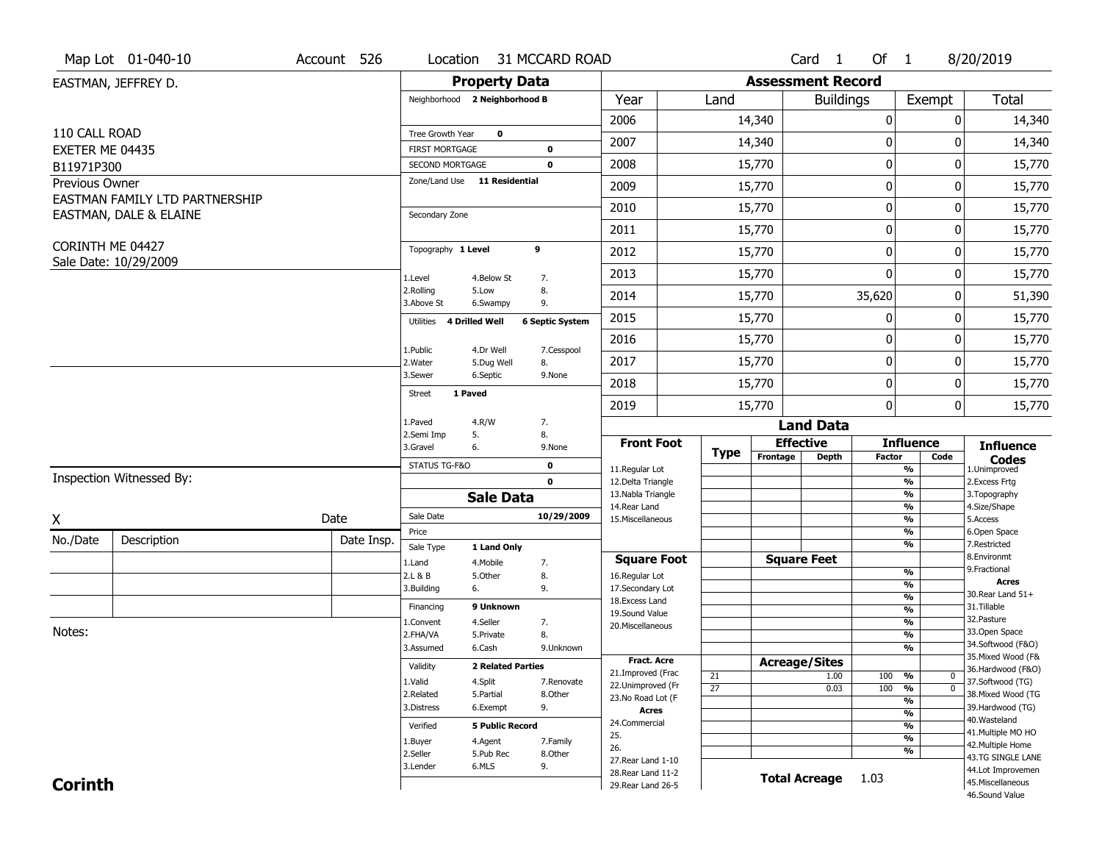|                              | Map Lot 01-040-10              | Account 526 | Location                                 |                          | 31 MCCARD ROAD             |                                          |                       |                          | Card 1               | Of 1             |                                            | 8/20/2019                               |
|------------------------------|--------------------------------|-------------|------------------------------------------|--------------------------|----------------------------|------------------------------------------|-----------------------|--------------------------|----------------------|------------------|--------------------------------------------|-----------------------------------------|
|                              | EASTMAN, JEFFREY D.            |             |                                          | <b>Property Data</b>     |                            |                                          |                       | <b>Assessment Record</b> |                      |                  |                                            |                                         |
|                              |                                |             | Neighborhood 2 Neighborhood B            |                          |                            | Year                                     | Land                  |                          | <b>Buildings</b>     |                  | Exempt                                     | <b>Total</b>                            |
|                              |                                |             |                                          |                          |                            | 2006                                     |                       | 14,340                   |                      | $\mathbf 0$      | 0                                          | 14,340                                  |
| 110 CALL ROAD                |                                |             | Tree Growth Year                         | $\mathbf 0$              |                            | 2007                                     |                       | 14,340                   |                      | 0                | 0                                          | 14,340                                  |
| EXETER ME 04435              |                                |             | <b>FIRST MORTGAGE</b><br>SECOND MORTGAGE |                          | $\mathbf 0$<br>$\mathbf 0$ | 2008                                     |                       | 15,770                   |                      | $\mathbf 0$      | 0                                          | 15,770                                  |
| B11971P300<br>Previous Owner |                                |             | Zone/Land Use 11 Residential             |                          |                            |                                          |                       |                          |                      |                  |                                            |                                         |
|                              | EASTMAN FAMILY LTD PARTNERSHIP |             |                                          |                          |                            | 2009                                     |                       | 15,770                   |                      | 0                | 0                                          | 15,770                                  |
|                              | EASTMAN, DALE & ELAINE         |             | Secondary Zone                           |                          |                            | 2010                                     |                       | 15,770                   |                      | $\mathbf 0$      | 0                                          | 15,770                                  |
|                              |                                |             |                                          |                          |                            | 2011                                     |                       | 15,770                   |                      | $\boldsymbol{0}$ | 0                                          | 15,770                                  |
| CORINTH ME 04427             |                                |             | Topography 1 Level                       |                          | 9                          | 2012                                     |                       | 15,770                   |                      | $\mathbf 0$      | 0                                          | 15,770                                  |
|                              | Sale Date: 10/29/2009          |             | 1.Level                                  | 4.Below St               | 7.                         | 2013                                     |                       | 15,770                   |                      | $\Omega$         | 0                                          | 15,770                                  |
|                              |                                |             | 2.Rolling<br>3.Above St                  | 5.Low<br>6.Swampy        | 8.<br>9.                   | 2014                                     |                       | 15,770                   |                      | 35,620           | 0                                          | 51,390                                  |
|                              |                                |             | Utilities                                | 4 Drilled Well           | <b>6 Septic System</b>     | 2015                                     |                       | 15,770                   |                      | 0                | 0                                          | 15,770                                  |
|                              |                                |             | 1.Public                                 | 4.Dr Well                | 7.Cesspool                 | 2016                                     |                       | 15,770                   |                      | $\mathbf 0$      | 0                                          | 15,770                                  |
|                              |                                |             | 2. Water                                 | 5.Dug Well               | 8.                         | 2017                                     |                       | 15,770                   |                      | 0                | 0                                          | 15,770                                  |
|                              |                                |             | 3.Sewer                                  | 6.Septic                 | 9.None                     | 2018                                     |                       | 15,770                   |                      | $\mathbf 0$      | 0                                          | 15,770                                  |
|                              |                                |             | 1 Paved<br><b>Street</b>                 |                          |                            | 2019                                     |                       | 15,770                   |                      | $\mathbf 0$      | 0                                          | 15,770                                  |
|                              |                                |             | 1.Paved                                  | 4.R/W                    | 7.                         |                                          |                       |                          | <b>Land Data</b>     |                  |                                            |                                         |
|                              |                                |             | 2.Semi Imp<br>3.Gravel                   | 5.<br>6.                 | 8.<br>9.None               | <b>Front Foot</b>                        |                       |                          | <b>Effective</b>     |                  | <b>Influence</b>                           | <b>Influence</b>                        |
|                              |                                |             | STATUS TG-F&O                            |                          | $\mathbf 0$                | 11.Regular Lot                           | <b>Type</b>           | Frontage                 | <b>Depth</b>         | <b>Factor</b>    | Code<br>%                                  | <b>Codes</b><br>1.Unimproved            |
|                              | Inspection Witnessed By:       |             |                                          |                          | $\mathbf{0}$               | 12.Delta Triangle                        |                       |                          |                      |                  | $\frac{9}{6}$                              | 2.Excess Frtg                           |
|                              |                                |             |                                          | <b>Sale Data</b>         |                            | 13. Nabla Triangle<br>14. Rear Land      |                       |                          |                      |                  | %<br>$\frac{9}{6}$                         | 3. Topography<br>4.Size/Shape           |
| X                            |                                | Date        | Sale Date                                |                          | 10/29/2009                 | 15. Miscellaneous                        |                       |                          |                      |                  | %                                          | 5.Access                                |
| No./Date                     | Description                    | Date Insp.  | Price                                    |                          |                            |                                          |                       |                          |                      |                  | $\frac{9}{6}$<br>%                         | 6.Open Space<br>7.Restricted            |
|                              |                                |             | Sale Type                                | 1 Land Only              |                            | <b>Square Foot</b>                       |                       |                          | <b>Square Feet</b>   |                  |                                            | 8.Environmt                             |
|                              |                                |             | 1.Land<br>2.L & B                        | 4. Mobile<br>5.0ther     | 7.<br>8.                   | 16.Regular Lot                           |                       |                          |                      |                  | $\frac{9}{6}$                              | 9. Fractional                           |
|                              |                                |             | 3.Building                               | 6.                       | 9.                         | 17.Secondary Lot                         |                       |                          |                      |                  | $\frac{9}{6}$                              | <b>Acres</b><br>30. Rear Land 51+       |
|                              |                                |             | Financing                                | 9 Unknown                |                            | 18. Excess Land                          |                       |                          |                      |                  | $\frac{9}{6}$<br>$\frac{9}{6}$             | 31.Tillable                             |
|                              |                                |             | 1.Convent                                | 4.Seller                 | 7.                         | 19.Sound Value<br>20.Miscellaneous       |                       |                          |                      |                  | $\frac{9}{6}$                              | 32. Pasture                             |
| Notes:                       |                                |             | 2.FHA/VA                                 | 5.Private                | 8.                         |                                          |                       |                          |                      |                  | $\frac{9}{6}$                              | 33.Open Space                           |
|                              |                                |             | 3.Assumed                                | 6.Cash                   | 9.Unknown                  |                                          |                       |                          |                      |                  | %                                          | 34.Softwood (F&O)<br>35. Mixed Wood (F& |
|                              |                                |             | Validity                                 | <b>2 Related Parties</b> |                            | Fract. Acre<br>21.Improved (Frac         |                       | <b>Acreage/Sites</b>     |                      |                  |                                            | 36.Hardwood (F&O)                       |
|                              |                                |             | 1.Valid                                  | 4.Split                  | 7.Renovate                 | 22.Unimproved (Fr                        | 21<br>$\overline{27}$ |                          | 1.00                 | 100              | %<br>$\bm{0}$<br>$\overline{\mathfrak{o}}$ | 37.Softwood (TG)                        |
|                              |                                |             | 2.Related                                | 5.Partial                | 8.Other                    | 23.No Road Lot (F                        |                       |                          | 0.03                 | 100              | %<br>%                                     | 38. Mixed Wood (TG                      |
|                              |                                |             | 3.Distress                               | 6.Exempt                 | 9.                         | <b>Acres</b>                             |                       |                          |                      |                  | $\frac{9}{6}$                              | 39.Hardwood (TG)                        |
|                              |                                |             | Verified                                 | <b>5 Public Record</b>   |                            | 24.Commercial                            |                       |                          |                      |                  | %                                          | 40. Wasteland                           |
|                              |                                |             | 1.Buyer                                  | 4.Agent                  | 7.Family                   | 25.                                      |                       |                          |                      |                  | $\frac{9}{6}$                              | 41. Multiple MO HO<br>42. Multiple Home |
|                              |                                |             | 2.Seller                                 | 5.Pub Rec                | 8.Other                    | 26.                                      |                       |                          |                      |                  | %                                          | 43.TG SINGLE LANE                       |
|                              |                                |             | 3.Lender                                 | 6.MLS                    | 9.                         | 27. Rear Land 1-10<br>28. Rear Land 11-2 |                       |                          |                      |                  |                                            | 44.Lot Improvemen                       |
| <b>Corinth</b>               |                                |             |                                          |                          |                            | 29. Rear Land 26-5                       |                       |                          | <b>Total Acreage</b> | 1.03             |                                            | 45. Miscellaneous                       |
|                              |                                |             |                                          |                          |                            |                                          |                       |                          |                      |                  |                                            | 46.Sound Value                          |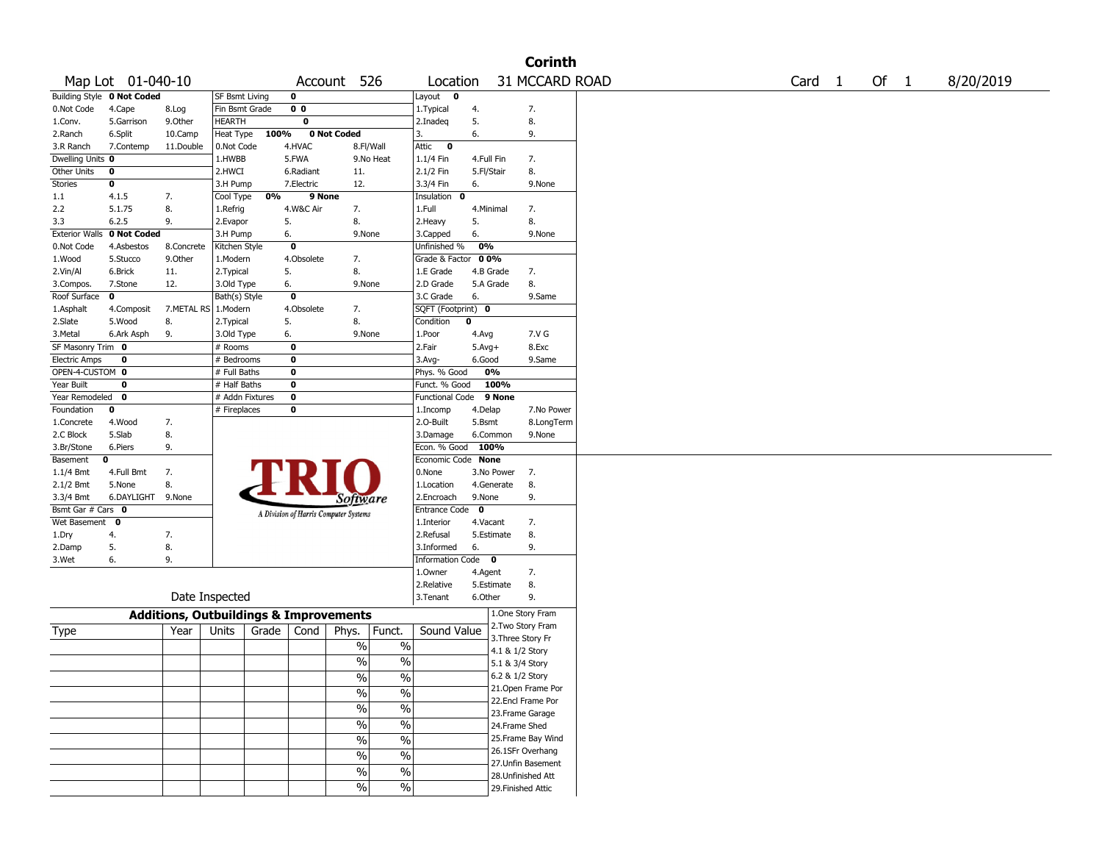|                       |                            |                                                   |                       |           |                |                                       |               |                            |              |                   | <b>Corinth</b>     |                   |      |           |
|-----------------------|----------------------------|---------------------------------------------------|-----------------------|-----------|----------------|---------------------------------------|---------------|----------------------------|--------------|-------------------|--------------------|-------------------|------|-----------|
|                       | Map Lot 01-040-10          |                                                   |                       |           | Account        | 526                                   |               | Location                   |              |                   | 31 MCCARD ROAD     | Card <sub>1</sub> | Of 1 | 8/20/2019 |
|                       | Building Style 0 Not Coded |                                                   | <b>SF Bsmt Living</b> |           | 0              |                                       |               | Layout 0                   |              |                   |                    |                   |      |           |
| 0.Not Code            | 4.Cape                     | 8.Log                                             | Fin Bsmt Grade        |           | 0 <sub>0</sub> |                                       |               | 1.Typical                  | 4.           |                   | 7.                 |                   |      |           |
| 1.Conv.               | 5.Garrison                 | 9.Other                                           | <b>HEARTH</b>         |           | 0              |                                       |               | 2.Inadeq                   | 5.           |                   | 8.                 |                   |      |           |
| 2.Ranch               | 6.Split                    | 10.Camp                                           | Heat Type             | 100%      |                | 0 Not Coded                           |               | 3.                         | 6.           |                   | 9.                 |                   |      |           |
| 3.R Ranch             | 7.Contemp                  | 11.Double                                         | 0.Not Code            |           | 4.HVAC         | 8.Fl/Wall                             |               | $\bf{0}$<br>Attic          |              |                   |                    |                   |      |           |
| Dwelling Units 0      |                            |                                                   | 1.HWBB                |           | 5.FWA          |                                       | 9.No Heat     | 1.1/4 Fin                  | 4.Full Fin   |                   | 7.                 |                   |      |           |
| Other Units           | 0                          |                                                   | 2.HWCI                |           | 6.Radiant      | 11.                                   |               | 2.1/2 Fin                  | 5.Fl/Stair   |                   | 8.                 |                   |      |           |
| Stories               | $\bf o$                    |                                                   | 3.H Pump              |           | 7.Electric     | 12.                                   |               | 3.3/4 Fin                  | 6.           |                   | 9.None             |                   |      |           |
| 1.1                   | 4.1.5                      | 7.                                                | Cool Type             | 0%        | 9 None         |                                       |               | Insulation<br>0            |              |                   |                    |                   |      |           |
| 2.2                   | 5.1.75                     | 8.                                                | 1.Refrig              |           | 4.W&C Air      | 7.                                    |               | 1.Full                     | 4.Minimal    |                   | 7.                 |                   |      |           |
| 3.3                   | 6.2.5                      | 9.                                                | 2.Evapor              |           | 5.             | 8.                                    |               | 2. Heavy                   | 5.           |                   | 8.                 |                   |      |           |
| <b>Exterior Walls</b> | 0 Not Coded                |                                                   | 3.H Pump              |           | 6.             | 9.None                                |               | 3.Capped                   | 6.           |                   | 9.None             |                   |      |           |
| 0.Not Code            | 4.Asbestos                 | 8.Concrete                                        | Kitchen Style         |           | $\mathbf 0$    |                                       |               | Unfinished %               | 0%           |                   |                    |                   |      |           |
| 1.Wood                | 5.Stucco                   | 9.0ther                                           | 1.Modern              |           | 4.Obsolete     | 7.                                    |               | Grade & Factor 00%         |              |                   |                    |                   |      |           |
| 2.Vin/Al              | 6.Brick                    | 11.                                               | 2. Typical            |           | 5.             | 8.                                    |               | 1.E Grade                  | 4.B Grade    |                   | 7.                 |                   |      |           |
| 3.Compos.             | 7.Stone                    | 12.                                               | 3.Old Type            |           | 6.             | 9.None                                |               | 2.D Grade                  | 5.A Grade    |                   | 8.                 |                   |      |           |
| Roof Surface          | $\mathbf 0$                |                                                   | Bath(s) Style         |           | $\mathbf 0$    |                                       |               | 3.C Grade                  | 6.           |                   | 9.Same             |                   |      |           |
| 1.Asphalt             | 4.Composit                 | 7.METAL RS 1.Modern                               |                       |           | 4.Obsolete     | 7.                                    |               | SQFT (Footprint) 0         |              |                   |                    |                   |      |           |
| 2.Slate               | 5.Wood                     | 8.                                                | 2. Typical            |           | 5.             | 8.                                    |               | Condition                  | 0            |                   |                    |                   |      |           |
| 3.Metal               | 6.Ark Asph                 | 9.                                                | 3.Old Type            |           | 6.             | 9.None                                |               | 1.Poor                     | 4.Avg        |                   | 7.V G              |                   |      |           |
| SF Masonry Trim 0     |                            |                                                   | # Rooms               |           | 0              |                                       |               | 2.Fair                     | $5.$ Avg $+$ |                   | 8.Exc              |                   |      |           |
| <b>Electric Amps</b>  | 0                          |                                                   | # Bedrooms            |           | 0              |                                       |               | 3.Avg-                     | 6.Good       |                   | 9.Same             |                   |      |           |
| OPEN-4-CUSTOM 0       |                            |                                                   | # Full Baths          |           | 0              |                                       |               | Phys. % Good               | 0%           |                   |                    |                   |      |           |
| Year Built            | 0                          |                                                   | # Half Baths          |           | 0              |                                       |               | Funct. % Good              |              | 100%              |                    |                   |      |           |
| Year Remodeled        | 0                          |                                                   | # Addn Fixtures       |           | $\mathbf 0$    |                                       |               | <b>Functional Code</b>     |              | 9 None            |                    |                   |      |           |
| Foundation            | 0                          |                                                   | # Fireplaces          |           | 0              |                                       |               | 1.Incomp                   | 4.Delap      |                   | 7.No Power         |                   |      |           |
| 1.Concrete            | 4.Wood                     | 7.                                                |                       |           |                |                                       |               | 2.0-Built                  | 5.Bsmt       |                   | 8.LongTerm         |                   |      |           |
| 2.C Block             | 5.Slab                     | 8.                                                |                       |           |                |                                       |               | 3.Damage                   | 6.Common     |                   | 9.None             |                   |      |           |
| 3.Br/Stone            | 6.Piers                    | 9.                                                |                       |           |                |                                       |               | Econ. % Good               | 100%         |                   |                    |                   |      |           |
| Basement              | 0                          |                                                   |                       |           |                |                                       |               | Economic Code None         |              |                   |                    |                   |      |           |
| 1.1/4 Bmt             | 4.Full Bmt                 | 7.                                                |                       |           |                |                                       |               | 0.None                     |              | 3.No Power        | 7.                 |                   |      |           |
| 2.1/2 Bmt             | 5.None                     | 8.                                                |                       |           |                |                                       |               | 1.Location                 |              | 4.Generate        | 8.                 |                   |      |           |
| 3.3/4 Bmt             | 6.DAYLIGHT                 | 9.None                                            |                       |           |                | Software                              |               | 2.Encroach                 | 9.None       |                   | 9.                 |                   |      |           |
| Bsmt Gar # Cars 0     |                            |                                                   |                       |           |                | A Division of Harris Computer Systems |               | Entrance Code <sup>O</sup> |              |                   |                    |                   |      |           |
| Wet Basement 0        |                            |                                                   |                       |           |                |                                       |               | 1.Interior                 | 4.Vacant     |                   | 7.                 |                   |      |           |
| 1.Dry                 | 4.                         | 7.                                                |                       |           |                |                                       |               | 2.Refusal                  | 5.Estimate   |                   | 8.                 |                   |      |           |
| 2.Damp                | 5.                         | 8.                                                |                       |           |                |                                       |               | 3.Informed                 | 6.           |                   | 9.                 |                   |      |           |
| 3.Wet                 | 6.                         | 9.                                                |                       |           |                |                                       |               | Information Code 0         |              |                   |                    |                   |      |           |
|                       |                            |                                                   |                       |           |                |                                       |               | 1.Owner                    | 4.Agent      |                   | 7.                 |                   |      |           |
|                       |                            |                                                   |                       |           |                |                                       |               | 2.Relative                 | 5.Estimate   |                   | 8.                 |                   |      |           |
|                       |                            |                                                   | Date Inspected        |           |                |                                       |               | 3.Tenant                   | 6.Other      |                   | 9.                 |                   |      |           |
|                       |                            |                                                   |                       |           |                |                                       |               |                            |              |                   | 1.One Story Fram   |                   |      |           |
|                       |                            | <b>Additions, Outbuildings &amp; Improvements</b> |                       |           |                |                                       |               |                            |              |                   | 2. Two Story Fram  |                   |      |           |
| Type                  |                            | Year                                              | Units                 | Grade $ $ | Cond           | Phys.                                 | Funct.        | Sound Value                |              | 3. Three Story Fr |                    |                   |      |           |
|                       |                            |                                                   |                       |           |                | $\%$                                  | $\%$          |                            |              | 4.1 & 1/2 Story   |                    |                   |      |           |
|                       |                            |                                                   |                       |           |                | $\%$                                  | $\%$          |                            |              | 5.1 & 3/4 Story   |                    |                   |      |           |
|                       |                            |                                                   |                       |           |                |                                       |               |                            |              | 6.2 & 1/2 Story   |                    |                   |      |           |
|                       |                            |                                                   |                       |           |                | $\frac{0}{0}$                         | $\frac{0}{0}$ |                            |              |                   | 21.Open Frame Por  |                   |      |           |
|                       |                            |                                                   |                       |           |                | $\sqrt{2}$                            | $\frac{0}{6}$ |                            |              |                   | 22.Encl Frame Por  |                   |      |           |
|                       |                            |                                                   |                       |           |                | $\frac{1}{2}$                         | $\frac{0}{6}$ |                            |              |                   | 23. Frame Garage   |                   |      |           |
|                       |                            |                                                   |                       |           |                | $\frac{1}{2}$                         | $\frac{0}{6}$ |                            |              | 24.Frame Shed     |                    |                   |      |           |
|                       |                            |                                                   |                       |           |                |                                       |               |                            |              |                   |                    |                   |      |           |
|                       |                            |                                                   |                       |           |                | $\frac{1}{2}$                         | $\frac{0}{6}$ |                            |              |                   | 25.Frame Bay Wind  |                   |      |           |
|                       |                            |                                                   |                       |           |                | $\frac{1}{2}$                         | $\frac{0}{6}$ |                            |              |                   | 26.1SFr Overhang   |                   |      |           |
|                       |                            |                                                   |                       |           |                | $\%$                                  | $\frac{1}{2}$ |                            |              |                   | 27.Unfin Basement  |                   |      |           |
|                       |                            |                                                   |                       |           |                |                                       |               |                            |              |                   | 28.Unfinished Att  |                   |      |           |
|                       |                            |                                                   |                       |           |                | $\frac{0}{0}$                         | $\frac{1}{2}$ |                            |              |                   | 29. Finished Attic |                   |      |           |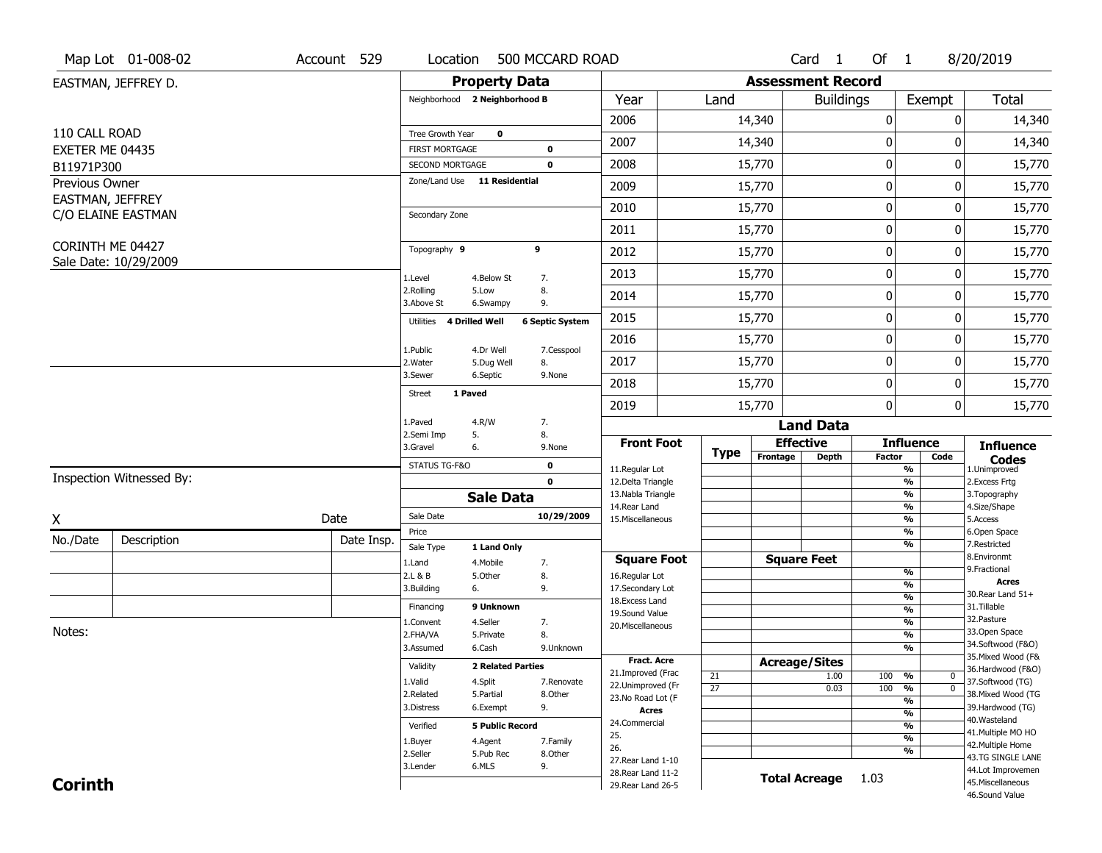|                              | Map Lot 01-008-02        | Account 529 | Location                                 |                          | 500 MCCARD ROAD        |                                         |                       |                          | Card <sub>1</sub>  | Of 1             |                                            | 8/20/2019                               |
|------------------------------|--------------------------|-------------|------------------------------------------|--------------------------|------------------------|-----------------------------------------|-----------------------|--------------------------|--------------------|------------------|--------------------------------------------|-----------------------------------------|
|                              | EASTMAN, JEFFREY D.      |             |                                          | <b>Property Data</b>     |                        |                                         |                       | <b>Assessment Record</b> |                    |                  |                                            |                                         |
|                              |                          |             | Neighborhood 2 Neighborhood B            |                          |                        | Year                                    | Land                  |                          | <b>Buildings</b>   |                  | Exempt                                     | <b>Total</b>                            |
|                              |                          |             |                                          |                          |                        | 2006                                    |                       | 14,340                   |                    | $\mathbf 0$      | 0                                          | 14,340                                  |
| 110 CALL ROAD                |                          |             | Tree Growth Year                         | $\mathbf 0$              |                        | 2007                                    |                       | 14,340                   |                    | 0                | 0                                          | 14,340                                  |
| EXETER ME 04435              |                          |             | <b>FIRST MORTGAGE</b><br>SECOND MORTGAGE |                          | $\mathbf 0$<br>0       | 2008                                    |                       | 15,770                   |                    | $\mathbf 0$      | 0                                          | 15,770                                  |
| B11971P300<br>Previous Owner |                          |             | Zone/Land Use 11 Residential             |                          |                        |                                         |                       |                          |                    |                  |                                            |                                         |
| EASTMAN, JEFFREY             |                          |             |                                          |                          |                        | 2009                                    |                       | 15,770                   |                    | 0                | 0                                          | 15,770                                  |
|                              | C/O ELAINE EASTMAN       |             | Secondary Zone                           |                          |                        | 2010                                    |                       | 15,770                   |                    | $\mathbf 0$      | 0                                          | 15,770                                  |
|                              |                          |             |                                          |                          |                        | 2011                                    |                       | 15,770                   |                    | $\boldsymbol{0}$ | 0                                          | 15,770                                  |
| CORINTH ME 04427             |                          |             | Topography 9                             |                          | 9                      | 2012                                    |                       | 15,770                   |                    | $\boldsymbol{0}$ | 0                                          | 15,770                                  |
|                              | Sale Date: 10/29/2009    |             | 1.Level                                  | 4.Below St               | 7.                     | 2013                                    |                       | 15,770                   |                    | $\mathbf 0$      | 0                                          | 15,770                                  |
|                              |                          |             | 2.Rolling<br>3.Above St                  | 5.Low<br>6.Swampy        | 8.<br>9.               | 2014                                    |                       | 15,770                   |                    | $\mathbf 0$      | 0                                          | 15,770                                  |
|                              |                          |             | 4 Drilled Well<br>Utilities              |                          | <b>6 Septic System</b> | 2015                                    |                       | 15,770                   |                    | $\boldsymbol{0}$ | 0                                          | 15,770                                  |
|                              |                          |             | 1.Public                                 | 4.Dr Well                | 7.Cesspool             | 2016                                    |                       | 15,770                   |                    | $\mathbf 0$      | 0                                          | 15,770                                  |
|                              |                          |             | 2. Water                                 | 5.Dug Well               | 8.                     | 2017                                    |                       | 15,770                   |                    | $\mathbf 0$      | 0                                          | 15,770                                  |
|                              |                          |             | 3.Sewer                                  | 6.Septic                 | 9.None                 | 2018                                    |                       | 15,770                   |                    | $\mathbf 0$      | 0                                          | 15,770                                  |
|                              |                          |             | 1 Paved<br><b>Street</b>                 |                          |                        | 2019                                    |                       | 15,770                   |                    | $\mathbf 0$      | 0                                          | 15,770                                  |
|                              |                          |             | 1.Paved                                  | 4.R/W                    | 7.                     |                                         |                       |                          | <b>Land Data</b>   |                  |                                            |                                         |
|                              |                          |             | 2.Semi Imp<br>5.<br>3.Gravel<br>6.       |                          | 8.<br>9.None           | <b>Front Foot</b>                       |                       |                          | <b>Effective</b>   |                  | <b>Influence</b>                           | <b>Influence</b>                        |
|                              |                          |             | STATUS TG-F&O                            |                          | $\mathbf 0$            | 11.Regular Lot                          | <b>Type</b>           | Frontage                 | <b>Depth</b>       | <b>Factor</b>    | Code<br>%                                  | <b>Codes</b><br>1.Unimproved            |
|                              | Inspection Witnessed By: |             |                                          |                          | $\mathbf{0}$           | 12.Delta Triangle                       |                       |                          |                    |                  | $\frac{9}{6}$                              | 2.Excess Frtg                           |
|                              |                          |             |                                          | <b>Sale Data</b>         |                        | 13. Nabla Triangle<br>14. Rear Land     |                       |                          |                    |                  | %<br>$\frac{9}{6}$                         | 3. Topography<br>4.Size/Shape           |
| X                            |                          | Date        | Sale Date                                |                          | 10/29/2009             | 15. Miscellaneous                       |                       |                          |                    |                  | %                                          | 5.Access                                |
| No./Date                     | Description              | Date Insp.  | Price                                    |                          |                        |                                         |                       |                          |                    |                  | $\frac{9}{6}$<br>%                         | 6.Open Space<br>7.Restricted            |
|                              |                          |             | Sale Type                                | 1 Land Only              |                        | <b>Square Foot</b>                      |                       |                          | <b>Square Feet</b> |                  |                                            | 8.Environmt                             |
|                              |                          |             | 1.Land<br>2.L & B                        | 4. Mobile<br>5.0ther     | 7.<br>8.               | 16.Regular Lot                          |                       |                          |                    |                  | $\frac{9}{6}$                              | 9. Fractional                           |
|                              |                          |             | 3.Building<br>6.                         |                          | 9.                     | 17.Secondary Lot                        |                       |                          |                    |                  | $\overline{\frac{9}{6}}$                   | <b>Acres</b><br>30. Rear Land 51+       |
|                              |                          |             | Financing                                | 9 Unknown                |                        | 18.Excess Land                          |                       |                          |                    |                  | $\frac{9}{6}$<br>$\overline{\frac{9}{6}}$  | 31.Tillable                             |
|                              |                          |             | 1.Convent                                | 4.Seller                 | 7.                     | 19.Sound Value<br>20.Miscellaneous      |                       |                          |                    |                  | $\frac{9}{6}$                              | 32. Pasture                             |
| Notes:                       |                          |             | 2.FHA/VA                                 | 5.Private                | 8.                     |                                         |                       |                          |                    |                  | $\frac{9}{6}$                              | 33.Open Space                           |
|                              |                          |             | 3.Assumed                                | 6.Cash                   | 9.Unknown              |                                         |                       |                          |                    |                  | %                                          | 34.Softwood (F&O)<br>35. Mixed Wood (F& |
|                              |                          |             | Validity                                 | <b>2 Related Parties</b> |                        | <b>Fract. Acre</b><br>21.Improved (Frac |                       | <b>Acreage/Sites</b>     |                    |                  |                                            | 36.Hardwood (F&O)                       |
|                              |                          |             | 1.Valid                                  | 4.Split                  | 7.Renovate             | 22.Unimproved (Fr                       | 21<br>$\overline{27}$ |                          | 1.00               | 100              | %<br>$\bm{0}$<br>$\overline{\mathfrak{o}}$ | 37.Softwood (TG)                        |
|                              |                          |             | 2.Related                                | 5.Partial                | 8.Other                | 23.No Road Lot (F                       |                       |                          | 0.03               | 100              | %<br>%                                     | 38. Mixed Wood (TG                      |
|                              |                          |             | 3.Distress                               | 6.Exempt                 | 9.                     | <b>Acres</b>                            |                       |                          |                    |                  | $\frac{9}{6}$                              | 39.Hardwood (TG)                        |
|                              |                          |             | Verified                                 | <b>5 Public Record</b>   |                        | 24.Commercial                           |                       |                          |                    |                  | %                                          | 40. Wasteland                           |
|                              |                          |             | 1.Buyer                                  | 4.Agent                  | 7.Family               | 25.                                     |                       |                          |                    |                  | $\frac{9}{6}$                              | 41. Multiple MO HO<br>42. Multiple Home |
|                              |                          |             | 2.Seller                                 | 5.Pub Rec                | 8.Other                | 26.<br>27. Rear Land 1-10               |                       |                          |                    |                  | %                                          | 43.TG SINGLE LANE                       |
|                              |                          |             | 3.Lender                                 | 6.MLS                    | 9.                     | 28. Rear Land 11-2                      |                       |                          |                    |                  |                                            | 44.Lot Improvemen                       |
|                              |                          |             |                                          |                          |                        |                                         |                       |                          |                    |                  |                                            |                                         |
| <b>Corinth</b>               |                          |             |                                          |                          |                        | 29. Rear Land 26-5                      |                       | <b>Total Acreage</b>     |                    | 1.03             |                                            | 45. Miscellaneous<br>46.Sound Value     |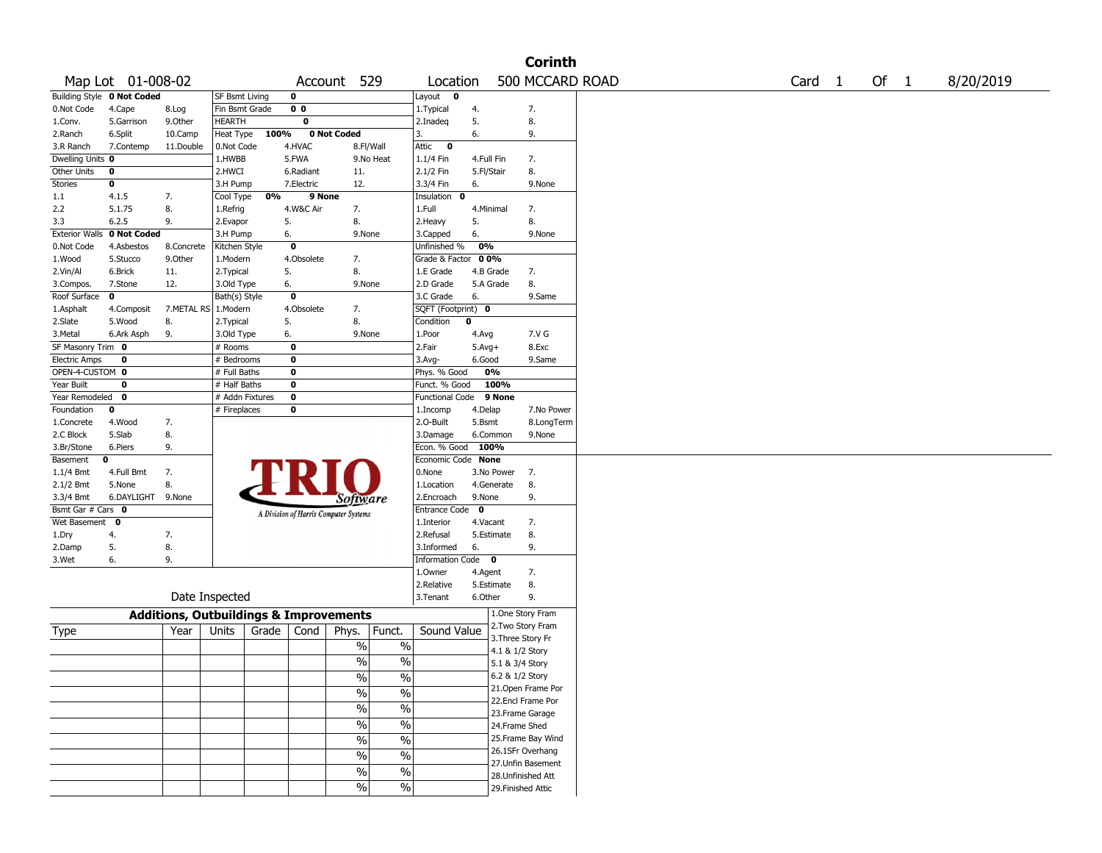|                      |                            |                                                   |                 |       |                |                                       |                          |                        |             |                    | <b>Corinth</b>     |                   |      |           |
|----------------------|----------------------------|---------------------------------------------------|-----------------|-------|----------------|---------------------------------------|--------------------------|------------------------|-------------|--------------------|--------------------|-------------------|------|-----------|
|                      | Map Lot 01-008-02          |                                                   |                 |       | Account        |                                       | 529                      | Location               |             |                    | 500 MCCARD ROAD    | Card <sub>1</sub> | Of 1 | 8/20/2019 |
|                      | Building Style 0 Not Coded |                                                   | SF Bsmt Living  |       | 0              |                                       |                          | Layout 0               |             |                    |                    |                   |      |           |
| 0.Not Code           | 4.Cape                     | 8.Log                                             | Fin Bsmt Grade  |       | 0 <sub>0</sub> |                                       |                          | 1.Typical              | 4.          |                    | 7.                 |                   |      |           |
| 1.Conv.              | 5.Garrison                 | 9.Other                                           | <b>HEARTH</b>   |       | 0              |                                       |                          | 2.Inadeq               | 5.          |                    | 8.                 |                   |      |           |
| 2.Ranch              | 6.Split                    | 10.Camp                                           | Heat Type       | 100%  |                | 0 Not Coded                           |                          | 3.                     | 6.          |                    | 9.                 |                   |      |           |
| 3.R Ranch            | 7.Contemp                  | 11.Double                                         | 0.Not Code      |       | 4.HVAC         | 8.Fl/Wall                             |                          | $\bullet$<br>Attic     |             |                    |                    |                   |      |           |
| Dwelling Units 0     |                            |                                                   | 1.HWBB          |       | 5.FWA          |                                       | 9.No Heat                | 1.1/4 Fin              | 4.Full Fin  |                    | 7.                 |                   |      |           |
| Other Units          | 0                          |                                                   | 2.HWCI          |       | 6.Radiant      | 11.                                   |                          | 2.1/2 Fin              | 5.Fl/Stair  |                    | 8.                 |                   |      |           |
| <b>Stories</b>       | 0                          |                                                   | 3.H Pump        |       | 7.Electric     | 12.                                   |                          | 3.3/4 Fin              | 6.          |                    | 9.None             |                   |      |           |
| 1.1                  | 4.1.5                      | 7.                                                | Cool Type       | 0%    | 9 None         |                                       |                          | Insulation 0           |             |                    |                    |                   |      |           |
| 2.2                  | 5.1.75                     | 8.                                                | 1.Refrig        |       | 4.W&C Air      | 7.                                    |                          | 1.Full                 | 4.Minimal   |                    | 7.                 |                   |      |           |
| 3.3                  | 6.2.5                      | 9.                                                | 2.Evapor        |       | 5.             | 8.                                    |                          | 2. Heavy               | 5.          |                    | 8.                 |                   |      |           |
|                      | Exterior Walls 0 Not Coded |                                                   | 3.H Pump        |       | 6.             | 9.None                                |                          | 3.Capped               | 6.          |                    | 9.None             |                   |      |           |
| 0.Not Code           | 4.Asbestos                 | 8.Concrete                                        | Kitchen Style   |       | 0              |                                       |                          | Unfinished %           | 0%          |                    |                    |                   |      |           |
| 1.Wood               | 5.Stucco                   | 9.0ther                                           | 1.Modern        |       | 4.Obsolete     | 7.                                    |                          | Grade & Factor         | 00%         |                    |                    |                   |      |           |
| 2.Vin/Al             | 6.Brick                    | 11.                                               | 2.Typical       |       | 5.             | 8.                                    |                          | 1.E Grade              | 4.B Grade   |                    | 7.                 |                   |      |           |
| 3.Compos.            | 7.Stone                    | 12.                                               | 3.Old Type      |       | 6.             | 9.None                                |                          | 2.D Grade              | 5.A Grade   |                    | 8.                 |                   |      |           |
| Roof Surface         | 0                          |                                                   | Bath(s) Style   |       | 0              |                                       |                          | 3.C Grade              | 6.          |                    | 9.Same             |                   |      |           |
| 1.Asphalt            | 4.Composit                 | 7.METAL RS                                        | 1.Modern        |       | 4.Obsolete     | 7.                                    |                          | SQFT (Footprint) 0     |             |                    |                    |                   |      |           |
| 2.Slate              | 5.Wood                     | 8.                                                | 2. Typical      |       | 5.             | 8.                                    |                          | Condition              | $\bf{0}$    |                    |                    |                   |      |           |
| 3.Metal              | 6.Ark Asph                 | 9.                                                | 3.Old Type      |       | 6.             | 9.None                                |                          | 1.Poor                 | 4.Avg       |                    | 7.V G              |                   |      |           |
| SF Masonry Trim 0    |                            |                                                   | # Rooms         |       | $\bf o$        |                                       |                          | 2.Fair                 | $5.Avg+$    |                    | 8.Exc              |                   |      |           |
| <b>Electric Amps</b> | 0                          |                                                   | # Bedrooms      |       | 0              |                                       |                          | 3.Avg-                 | 6.Good      |                    | 9.Same             |                   |      |           |
| OPEN-4-CUSTOM 0      |                            |                                                   | # Full Baths    |       | 0              |                                       |                          | Phys. % Good           |             | 0%                 |                    |                   |      |           |
| Year Built           | 0                          |                                                   | $#$ Half Baths  |       | 0              |                                       |                          | Funct. % Good          |             | 100%               |                    |                   |      |           |
| Year Remodeled       | 0                          |                                                   | # Addn Fixtures |       | 0              |                                       |                          | <b>Functional Code</b> |             | 9 None             |                    |                   |      |           |
| Foundation           | 0                          |                                                   | # Fireplaces    |       | 0              |                                       |                          | 1.Incomp               | 4.Delap     |                    | 7.No Power         |                   |      |           |
| 1.Concrete           | 4.Wood                     | 7.                                                |                 |       |                |                                       |                          | 2.0-Built              | 5.Bsmt      |                    | 8.LongTerm         |                   |      |           |
| 2.C Block            | 5.Slab                     | 8.                                                |                 |       |                |                                       |                          | 3.Damage               |             | 6.Common           | 9.None             |                   |      |           |
| 3.Br/Stone           | 6.Piers                    | 9.                                                |                 |       |                |                                       |                          | Econ. % Good 100%      |             |                    |                    |                   |      |           |
| Basement             | 0                          |                                                   |                 |       |                |                                       |                          | Economic Code None     |             |                    |                    |                   |      |           |
| 1.1/4 Bmt            | 4.Full Bmt                 | 7.                                                |                 |       |                |                                       |                          | 0.None                 |             | 3.No Power         | 7.                 |                   |      |           |
| 2.1/2 Bmt            | 5.None                     | 8.                                                |                 |       |                |                                       |                          | 1.Location             |             | 4.Generate         | 8.                 |                   |      |           |
| 3.3/4 Bmt            | 6.DAYLIGHT                 | 9.None                                            |                 |       |                | Software                              |                          | 2.Encroach             | 9.None      |                    | 9.                 |                   |      |           |
| Bsmt Gar # Cars 0    |                            |                                                   |                 |       |                |                                       |                          | <b>Entrance Code</b>   | $\mathbf 0$ |                    |                    |                   |      |           |
| Wet Basement         | $\mathbf 0$                |                                                   |                 |       |                | A Division of Harris Computer Systems |                          | 1.Interior             | 4.Vacant    |                    | 7.                 |                   |      |           |
| 1.Dry                | 4.                         | 7.                                                |                 |       |                |                                       |                          | 2.Refusal              |             | 5.Estimate         | 8.                 |                   |      |           |
| 2.Damp               | 5.                         | 8.                                                |                 |       |                |                                       |                          | 3.Informed             | 6.          |                    | 9.                 |                   |      |           |
| 3.Wet                | 6.                         | 9.                                                |                 |       |                |                                       |                          | Information Code 0     |             |                    |                    |                   |      |           |
|                      |                            |                                                   |                 |       |                |                                       |                          | 1.0wner                | 4.Agent     |                    | 7.                 |                   |      |           |
|                      |                            |                                                   |                 |       |                |                                       |                          | 2.Relative             |             | 5.Estimate         | 8.                 |                   |      |           |
|                      |                            |                                                   | Date Inspected  |       |                |                                       |                          | 3.Tenant               | 6.Other     |                    | 9.                 |                   |      |           |
|                      |                            | <b>Additions, Outbuildings &amp; Improvements</b> |                 |       |                |                                       |                          |                        |             |                    | 1.One Story Fram   |                   |      |           |
| Type                 |                            | Year                                              | Units           | Grade | Cond           | Phys.                                 | Funct.                   | Sound Value            |             |                    | 2. Two Story Fram  |                   |      |           |
|                      |                            |                                                   |                 |       |                |                                       |                          |                        |             | 3. Three Story Fr  |                    |                   |      |           |
|                      |                            |                                                   |                 |       |                | %                                     | $\%$                     |                        |             | 4.1 & 1/2 Story    |                    |                   |      |           |
|                      |                            |                                                   |                 |       |                | $\%$                                  | $\%$                     |                        |             | 5.1 & 3/4 Story    |                    |                   |      |           |
|                      |                            |                                                   |                 |       |                | $\%$                                  | $\%$                     |                        |             | 6.2 & 1/2 Story    |                    |                   |      |           |
|                      |                            |                                                   |                 |       |                |                                       |                          |                        |             |                    | 21.Open Frame Por  |                   |      |           |
|                      |                            |                                                   |                 |       |                | $\sqrt{6}$                            | $\%$                     |                        |             |                    | 22.Encl Frame Por  |                   |      |           |
|                      |                            |                                                   |                 |       |                | $\sqrt{96}$                           | $\%$                     |                        |             |                    | 23. Frame Garage   |                   |      |           |
|                      |                            |                                                   |                 |       |                | $\sqrt{6}$                            | $\overline{\frac{0}{0}}$ |                        |             | 24.Frame Shed      |                    |                   |      |           |
|                      |                            |                                                   |                 |       |                | $\sqrt{6}$                            | $\overline{\frac{0}{6}}$ |                        |             |                    | 25. Frame Bay Wind |                   |      |           |
|                      |                            |                                                   |                 |       |                |                                       |                          |                        |             |                    | 26.1SFr Overhang   |                   |      |           |
|                      |                            |                                                   |                 |       |                | $\frac{9}{6}$                         | $\%$                     |                        |             |                    | 27.Unfin Basement  |                   |      |           |
|                      |                            |                                                   |                 |       |                | %                                     | $\%$                     |                        |             |                    | 28.Unfinished Att  |                   |      |           |
|                      |                            |                                                   |                 |       |                | $\frac{9}{6}$                         | $\%$                     |                        |             | 29. Finished Attic |                    |                   |      |           |
|                      |                            |                                                   |                 |       |                |                                       |                          |                        |             |                    |                    |                   |      |           |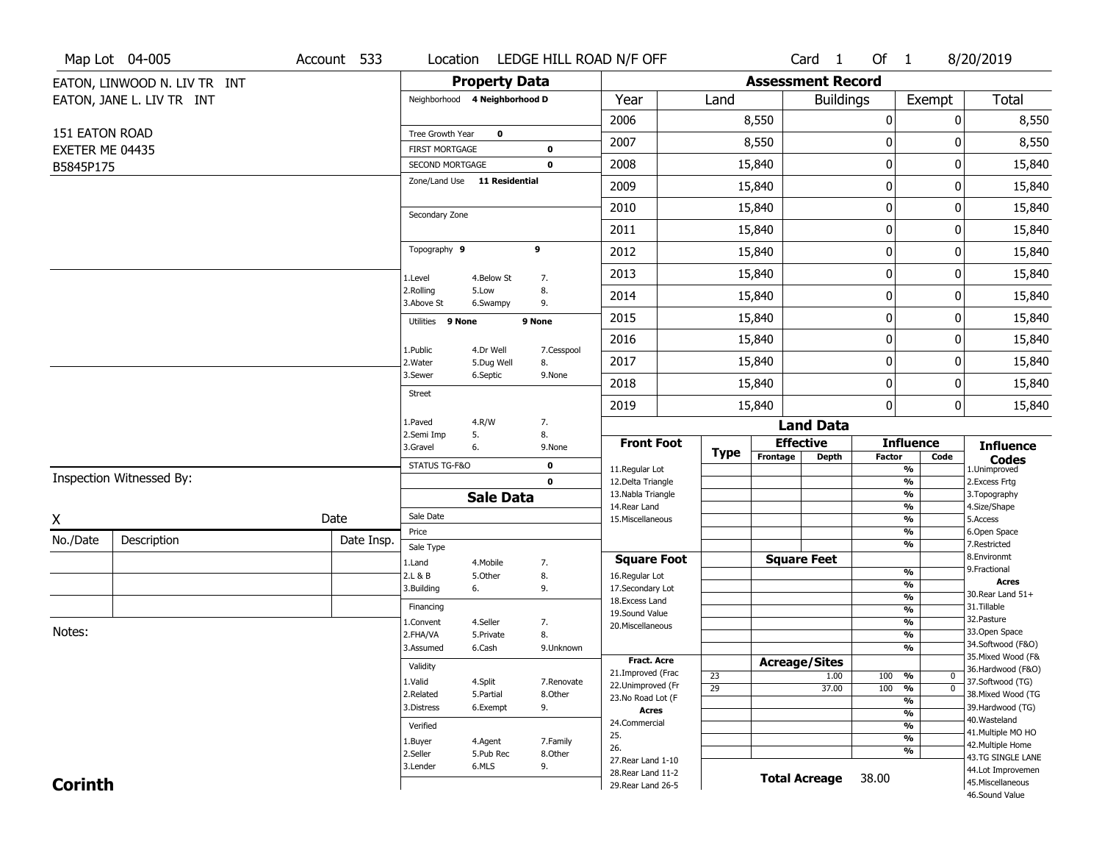|                 | Map Lot 04-005               | Account 533 |                         |                               | Location LEDGE HILL ROAD N/F OFF |                                    |             |                          | Card <sub>1</sub>    | Of 1          |                                 | 8/20/2019                             |
|-----------------|------------------------------|-------------|-------------------------|-------------------------------|----------------------------------|------------------------------------|-------------|--------------------------|----------------------|---------------|---------------------------------|---------------------------------------|
|                 | EATON, LINWOOD N. LIV TR INT |             |                         | <b>Property Data</b>          |                                  |                                    |             | <b>Assessment Record</b> |                      |               |                                 |                                       |
|                 | EATON, JANE L. LIV TR INT    |             |                         | Neighborhood 4 Neighborhood D |                                  | Year                               | Land        |                          | <b>Buildings</b>     |               | Exempt                          | <b>Total</b>                          |
|                 |                              |             |                         |                               |                                  | 2006                               |             | 8,550                    |                      | 0             | 0                               | 8,550                                 |
| 151 EATON ROAD  |                              |             | Tree Growth Year        | $\mathbf 0$                   |                                  | 2007                               |             | 8,550                    |                      | $\bf{0}$      | 0                               | 8,550                                 |
| EXETER ME 04435 |                              |             | <b>FIRST MORTGAGE</b>   |                               | $\bf{0}$                         |                                    |             |                          |                      |               |                                 |                                       |
| B5845P175       |                              |             | SECOND MORTGAGE         |                               | $\mathbf 0$                      | 2008                               |             | 15,840                   |                      | $\pmb{0}$     | 0                               | 15,840                                |
|                 |                              |             |                         | Zone/Land Use 11 Residential  |                                  | 2009                               |             | 15,840                   |                      | $\mathbf 0$   | 0                               | 15,840                                |
|                 |                              |             | Secondary Zone          |                               |                                  | 2010                               |             | 15,840                   |                      | $\mathbf 0$   | 0                               | 15,840                                |
|                 |                              |             |                         |                               |                                  | 2011                               |             | 15,840                   |                      | $\pmb{0}$     | 0                               | 15,840                                |
|                 |                              |             | Topography 9            |                               | 9                                | 2012                               |             | 15,840                   |                      | $\mathbf 0$   | 0                               | 15,840                                |
|                 |                              |             | 1.Level                 | 4.Below St                    | 7.                               | 2013                               |             | 15,840                   |                      | 0             | 0                               | 15,840                                |
|                 |                              |             | 2.Rolling<br>3.Above St | 5.Low<br>6.Swampy             | 8.<br>9.                         | 2014                               |             | 15,840                   |                      | $\mathbf 0$   | 0                               | 15,840                                |
|                 |                              |             | Utilities 9 None        |                               | 9 None                           | 2015                               |             | 15,840                   |                      | $\pmb{0}$     | 0                               | 15,840                                |
|                 |                              |             |                         |                               |                                  | 2016                               |             | 15,840                   |                      | $\mathbf 0$   | 0                               | 15,840                                |
|                 |                              |             | 1.Public<br>2. Water    | 4.Dr Well<br>5.Dug Well       | 7.Cesspool<br>8.                 | 2017                               |             | 15,840                   |                      | $\mathbf 0$   | 0                               | 15,840                                |
|                 |                              |             | 3.Sewer                 | 6.Septic                      | 9.None                           | 2018                               |             | 15,840                   |                      | $\mathbf 0$   | 0                               | 15,840                                |
|                 |                              |             | <b>Street</b>           |                               |                                  | 2019                               |             | 15,840                   |                      | 0             | 0                               | 15,840                                |
|                 |                              |             | 1.Paved                 | 4.R/W                         | 7.                               |                                    |             |                          | <b>Land Data</b>     |               |                                 |                                       |
|                 |                              |             | 2.Semi Imp<br>3.Gravel  | 5.<br>6.                      | 8.<br>9.None                     | <b>Front Foot</b>                  | <b>Type</b> |                          | <b>Effective</b>     |               | <b>Influence</b>                | <b>Influence</b>                      |
|                 |                              |             | STATUS TG-F&O           |                               | $\mathbf 0$                      | 11.Regular Lot                     |             | Frontage                 | <b>Depth</b>         | <b>Factor</b> | Code<br>%                       | <b>Codes</b><br>1.Unimproved          |
|                 | Inspection Witnessed By:     |             |                         |                               | $\mathbf 0$                      | 12.Delta Triangle                  |             |                          |                      |               | $\overline{\frac{9}{6}}$        | 2. Excess Frtg                        |
|                 |                              |             |                         | <b>Sale Data</b>              |                                  | 13. Nabla Triangle<br>14.Rear Land |             |                          |                      |               | %<br>%                          | 3. Topography<br>4.Size/Shape         |
| X               |                              | Date        | Sale Date               |                               |                                  | 15. Miscellaneous                  |             |                          |                      |               | %                               | 5.Access                              |
| No./Date        | Description                  | Date Insp.  | Price                   |                               |                                  |                                    |             |                          |                      |               | %                               | 6.Open Space                          |
|                 |                              |             | Sale Type               |                               |                                  | <b>Square Foot</b>                 |             |                          | <b>Square Feet</b>   |               | %                               | 7.Restricted<br>8.Environmt           |
|                 |                              |             | 1.Land<br>2.L & B       | 4. Mobile<br>5.Other          | 7.<br>8.                         | 16.Regular Lot                     |             |                          |                      |               | $\frac{9}{6}$                   | 9. Fractional                         |
|                 |                              |             | 3.Building              | 6.                            | 9.                               | 17.Secondary Lot                   |             |                          |                      |               | $\frac{9}{6}$                   | <b>Acres</b>                          |
|                 |                              |             | Financing               |                               |                                  | 18. Excess Land                    |             |                          |                      |               | $\overline{\frac{9}{6}}$        | 30. Rear Land 51+<br>31.Tillable      |
|                 |                              |             | 1.Convent               | 4.Seller                      | 7.                               | 19.Sound Value                     |             |                          |                      |               | $\frac{9}{6}$<br>$\frac{9}{6}$  | 32. Pasture                           |
| Notes:          |                              |             | 2.FHA/VA                | 5.Private                     | 8.                               | 20.Miscellaneous                   |             |                          |                      |               | $\overline{\frac{9}{6}}$        | 33.Open Space                         |
|                 |                              |             | 3.Assumed               | 6.Cash                        | 9.Unknown                        |                                    |             |                          |                      |               | $\frac{9}{6}$                   | 34.Softwood (F&O)                     |
|                 |                              |             | Validity                |                               |                                  | <b>Fract. Acre</b>                 |             |                          | <b>Acreage/Sites</b> |               |                                 | 35. Mixed Wood (F&                    |
|                 |                              |             | 1.Valid                 | 4.Split                       | 7.Renovate                       | 21.Improved (Frac                  | 23          |                          | 1.00                 | 100 %         | 0                               | 36.Hardwood (F&O)<br>37.Softwood (TG) |
|                 |                              |             | 2.Related               | 5.Partial                     | 8.Other                          | 22.Unimproved (Fr                  | 29          |                          | 37.00                | 100           | $\overline{0}$<br>$\frac{9}{6}$ | 38. Mixed Wood (TG                    |
|                 |                              |             | 3.Distress              | 6.Exempt                      | 9.                               | 23.No Road Lot (F<br><b>Acres</b>  |             |                          |                      |               | $\frac{9}{6}$                   | 39.Hardwood (TG)                      |
|                 |                              |             |                         |                               |                                  | 24.Commercial                      |             |                          |                      |               | $\frac{9}{6}$<br>$\frac{9}{6}$  | 40. Wasteland                         |
|                 |                              |             | Verified                |                               |                                  | 25.                                |             |                          |                      |               | $\frac{9}{6}$                   | 41. Multiple MO HO                    |
|                 |                              |             | 1.Buyer<br>2.Seller     | 4.Agent<br>5.Pub Rec          | 7.Family<br>8.Other              | 26.                                |             |                          |                      |               | $\frac{9}{6}$                   | 42. Multiple Home                     |
|                 |                              |             | 3.Lender                | 6.MLS                         | 9.                               | 27. Rear Land 1-10                 |             |                          |                      |               |                                 | 43.TG SINGLE LANE                     |
|                 |                              |             |                         |                               |                                  | 28. Rear Land 11-2                 |             |                          |                      |               |                                 | 44.Lot Improvemen                     |
| <b>Corinth</b>  |                              |             |                         |                               |                                  | 29. Rear Land 26-5                 |             |                          | <b>Total Acreage</b> | 38.00         |                                 | 45. Miscellaneous                     |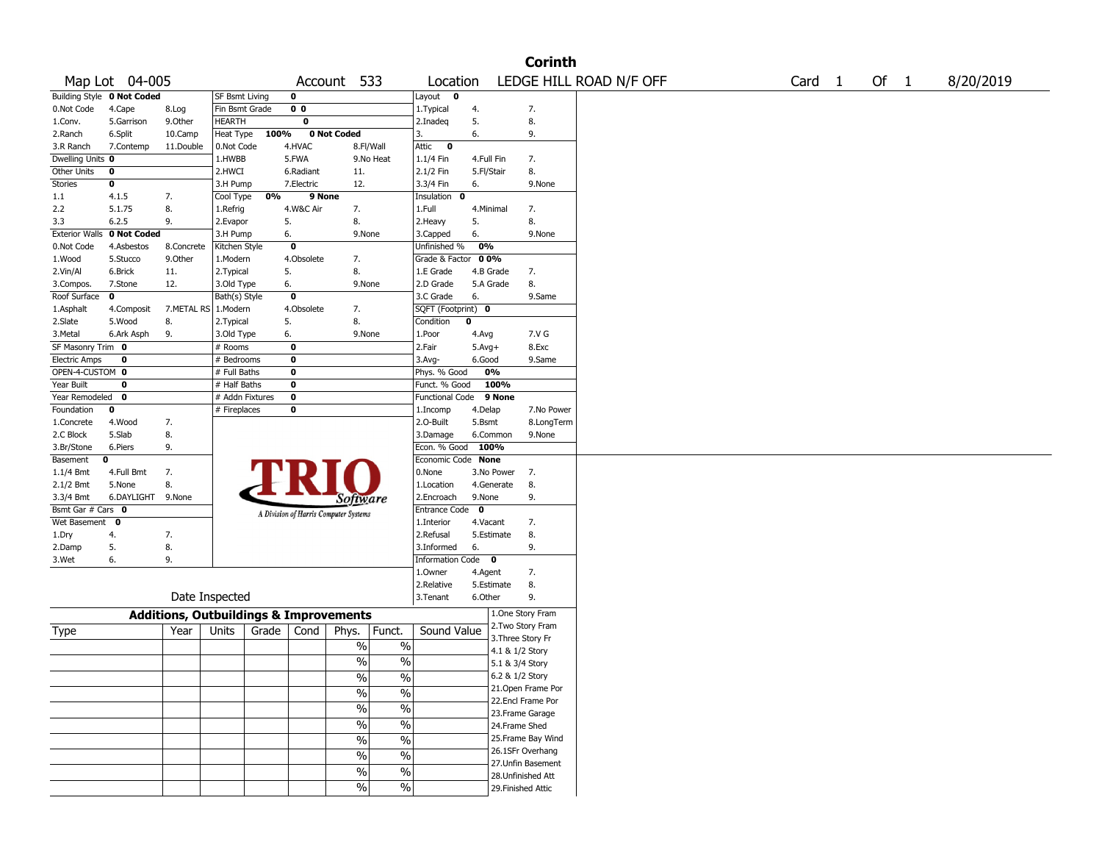|                       |                            |                                                   |                 |       |                |                                       |                          |                         |             |                 | <b>Corinth</b>     |                         |        |        |           |
|-----------------------|----------------------------|---------------------------------------------------|-----------------|-------|----------------|---------------------------------------|--------------------------|-------------------------|-------------|-----------------|--------------------|-------------------------|--------|--------|-----------|
|                       | Map Lot 04-005             |                                                   |                 |       |                | Account 533                           |                          | Location                |             |                 |                    | LEDGE HILL ROAD N/F OFF | Card 1 | Of $1$ | 8/20/2019 |
|                       | Building Style 0 Not Coded |                                                   | SF Bsmt Living  |       | 0              |                                       |                          | Layout 0                |             |                 |                    |                         |        |        |           |
| 0.Not Code            | 4.Cape                     | 8.Log                                             | Fin Bsmt Grade  |       | 0 <sub>0</sub> |                                       |                          | 1.Typical               | 4.          |                 | 7.                 |                         |        |        |           |
| 1.Conv.               | 5.Garrison                 | 9.0ther                                           | HEARTH          |       | 0              |                                       |                          | 2.Inadeq                | 5.          |                 | 8.                 |                         |        |        |           |
| 2.Ranch               | 6.Split                    | 10.Camp                                           | Heat Type       | 100%  |                | 0 Not Coded                           |                          | 3.                      | 6.          |                 | 9.                 |                         |        |        |           |
| 3.R Ranch             | 7.Contemp                  | 11.Double                                         | 0.Not Code      |       | 4.HVAC         | 8.Fl/Wall                             |                          | Attic<br>$\bullet$      |             |                 |                    |                         |        |        |           |
| Dwelling Units 0      |                            |                                                   | 1.HWBB          |       | 5.FWA          |                                       | 9.No Heat                | $1.1/4$ Fin             | 4.Full Fin  |                 | 7.                 |                         |        |        |           |
| Other Units           | 0                          |                                                   | 2.HWCI          |       | 6.Radiant      | 11.                                   |                          | 2.1/2 Fin               | 5.Fl/Stair  |                 | 8.                 |                         |        |        |           |
| Stories               | 0                          |                                                   | 3.H Pump        |       | 7.Electric     | 12.                                   |                          | 3.3/4 Fin               | 6.          |                 | 9.None             |                         |        |        |           |
| 1.1                   | 4.1.5                      | 7.                                                | Cool Type       | 0%    | 9 None         |                                       |                          | Insulation 0            |             |                 |                    |                         |        |        |           |
| 2.2                   | 5.1.75                     | 8.                                                | 1.Refrig        |       | 4.W&C Air      | 7.                                    |                          | 1.Full                  | 4.Minimal   |                 | 7.                 |                         |        |        |           |
| 3.3                   | 6.2.5                      | 9.                                                | 2.Evapor        |       | 5.             | 8.                                    |                          | 2.Heavy                 | 5.          |                 | 8.                 |                         |        |        |           |
| <b>Exterior Walls</b> | 0 Not Coded                |                                                   | 3.H Pump        |       | 6.             | 9.None                                |                          | 3.Capped                | 6.          |                 | 9.None             |                         |        |        |           |
| 0.Not Code            | 4.Asbestos                 | 8.Concrete                                        | Kitchen Style   |       | $\bf{0}$       |                                       |                          | Unfinished %            | 0%          |                 |                    |                         |        |        |           |
| 1.Wood                | 5.Stucco                   | 9.0ther                                           | 1.Modern        |       | 4.Obsolete     | 7.                                    |                          | Grade & Factor          | 00%         |                 |                    |                         |        |        |           |
| 2.Vin/Al              | 6.Brick                    | 11.                                               | 2.Typical       |       | 5.             | 8.                                    |                          | 1.E Grade               | 4.B Grade   |                 | 7.                 |                         |        |        |           |
| 3.Compos.             | 7.Stone                    | 12.                                               | 3.Old Type      |       | 6.             | 9.None                                |                          | 2.D Grade               | 5.A Grade   |                 | 8.                 |                         |        |        |           |
| Roof Surface          | 0                          |                                                   | Bath(s) Style   |       | $\bf{0}$       |                                       |                          | 3.C Grade               | 6.          |                 | 9.Same             |                         |        |        |           |
| 1.Asphalt             | 4.Composit                 | 7.METAL RS                                        | 1.Modern        |       | 4.Obsolete     | 7.                                    |                          | SQFT (Footprint) 0      |             |                 |                    |                         |        |        |           |
| 2.Slate               | 5.Wood                     | 8.                                                | 2.Typical       |       | 5.             | 8.                                    |                          | Condition               | 0           |                 |                    |                         |        |        |           |
| 3.Metal               | 6.Ark Asph                 | 9.                                                | 3.Old Type      |       | 6.             | 9.None                                |                          | 1.Poor                  | 4.Avg       |                 | 7.V G              |                         |        |        |           |
| SF Masonry Trim 0     |                            |                                                   | # Rooms         |       | $\bf{0}$       |                                       |                          | 2.Fair                  | $5.Avg+$    |                 | 8.Exc              |                         |        |        |           |
| <b>Electric Amps</b>  | 0                          |                                                   | # Bedrooms      |       | 0              |                                       |                          | 3.Avg-                  | 6.Good      |                 | 9.Same             |                         |        |        |           |
| OPEN-4-CUSTOM 0       |                            |                                                   | # Full Baths    |       | $\bf o$        |                                       |                          | Phys. % Good            |             | 0%              |                    |                         |        |        |           |
| Year Built            | 0                          |                                                   | # Half Baths    |       | 0              |                                       |                          | Funct. % Good           |             | 100%            |                    |                         |        |        |           |
| Year Remodeled        | $\mathbf{o}$               |                                                   | # Addn Fixtures |       | $\bf o$        |                                       |                          | Functional Code         |             | 9 None          |                    |                         |        |        |           |
| Foundation            | 0                          |                                                   | # Fireplaces    |       | 0              |                                       |                          | 1.Incomp                | 4.Delap     |                 | 7.No Power         |                         |        |        |           |
| 1.Concrete            | 4.Wood                     | 7.                                                |                 |       |                |                                       |                          | 2.O-Built               | 5.Bsmt      |                 | 8.LongTerm         |                         |        |        |           |
| 2.C Block             | 5.Slab                     | 8.                                                |                 |       |                |                                       |                          | 3.Damage                | 6.Common    |                 | 9.None             |                         |        |        |           |
| 3.Br/Stone            | 6.Piers                    | 9.                                                |                 |       |                |                                       |                          | Econ. % Good            | 100%        |                 |                    |                         |        |        |           |
| Basement              | 0                          |                                                   |                 |       |                |                                       |                          | Economic Code           | <b>None</b> |                 |                    |                         |        |        |           |
| 1.1/4 Bmt             | 4.Full Bmt                 | 7.                                                |                 |       |                |                                       |                          | 0.None                  |             | 3.No Power      | 7.                 |                         |        |        |           |
| 2.1/2 Bmt             | 5.None                     | 8.                                                |                 |       |                |                                       |                          | 1.Location              |             | 4.Generate      | 8.                 |                         |        |        |           |
| 3.3/4 Bmt             | 6.DAYLIGHT 9.None          |                                                   |                 |       |                | Software                              |                          | 2.Encroach              | 9.None      |                 | 9.                 |                         |        |        |           |
| Bsmt Gar # Cars 0     |                            |                                                   |                 |       |                | A Division of Harris Computer Systems |                          | Entrance Code           | $\mathbf 0$ |                 |                    |                         |        |        |           |
| Wet Basement 0        |                            |                                                   |                 |       |                |                                       |                          | 1.Interior              | 4.Vacant    |                 | 7.                 |                         |        |        |           |
| 1.Dry                 | 4.                         | 7.                                                |                 |       |                |                                       |                          | 2.Refusal               | 5.Estimate  |                 | 8.                 |                         |        |        |           |
| 2.Damp                | 5.                         | 8.                                                |                 |       |                |                                       |                          | 3.Informed              | 6.          |                 | 9.                 |                         |        |        |           |
| 3.Wet                 | 6.                         | 9.                                                |                 |       |                |                                       |                          | <b>Information Code</b> |             | $\mathbf{o}$    |                    |                         |        |        |           |
|                       |                            |                                                   |                 |       |                |                                       |                          | 1.0wner                 | 4.Agent     |                 | 7.                 |                         |        |        |           |
|                       |                            |                                                   |                 |       |                |                                       |                          | 2.Relative              | 5.Estimate  |                 | 8.                 |                         |        |        |           |
|                       |                            |                                                   | Date Inspected  |       |                |                                       |                          | 3. Tenant               | 6.Other     |                 | 9.                 |                         |        |        |           |
|                       |                            | <b>Additions, Outbuildings &amp; Improvements</b> |                 |       |                |                                       |                          |                         |             |                 | 1.One Story Fram   |                         |        |        |           |
|                       |                            | Year                                              | Units           | Grade | Cond           | Phys.                                 | Funct.                   | Sound Value             |             |                 | 2. Two Story Fram  |                         |        |        |           |
| Type                  |                            |                                                   |                 |       |                |                                       |                          |                         |             |                 | 3. Three Story Fr  |                         |        |        |           |
|                       |                            |                                                   |                 |       |                | $\%$                                  | $\%$                     |                         |             | 4.1 & 1/2 Story |                    |                         |        |        |           |
|                       |                            |                                                   |                 |       |                | $\%$                                  | $\%$                     |                         |             | 5.1 & 3/4 Story |                    |                         |        |        |           |
|                       |                            |                                                   |                 |       |                | $\sqrt{6}$                            | $\sqrt{6}$               |                         |             | 6.2 & 1/2 Story |                    |                         |        |        |           |
|                       |                            |                                                   |                 |       |                |                                       |                          |                         |             |                 | 21.Open Frame Por  |                         |        |        |           |
|                       |                            |                                                   |                 |       |                | $\%$                                  | $\frac{0}{0}$            |                         |             |                 | 22.Encl Frame Por  |                         |        |        |           |
|                       |                            |                                                   |                 |       |                | $\%$                                  | $\%$                     |                         |             |                 | 23. Frame Garage   |                         |        |        |           |
|                       |                            |                                                   |                 |       |                | $\sqrt{20}$                           | $\%$                     |                         |             | 24.Frame Shed   |                    |                         |        |        |           |
|                       |                            |                                                   |                 |       |                | $\sqrt{6}$                            | $\%$                     |                         |             |                 | 25. Frame Bay Wind |                         |        |        |           |
|                       |                            |                                                   |                 |       |                |                                       |                          |                         |             |                 | 26.1SFr Overhang   |                         |        |        |           |
|                       |                            |                                                   |                 |       |                | $\sqrt{20}$                           | $\overline{\frac{0}{0}}$ |                         |             |                 | 27.Unfin Basement  |                         |        |        |           |
|                       |                            |                                                   |                 |       |                | $\sqrt{6}$                            | $\overline{\frac{0}{0}}$ |                         |             |                 | 28. Unfinished Att |                         |        |        |           |
|                       |                            |                                                   |                 |       |                | $\frac{9}{6}$                         | $\overline{\frac{0}{6}}$ |                         |             |                 | 29. Finished Attic |                         |        |        |           |
|                       |                            |                                                   |                 |       |                |                                       |                          |                         |             |                 |                    |                         |        |        |           |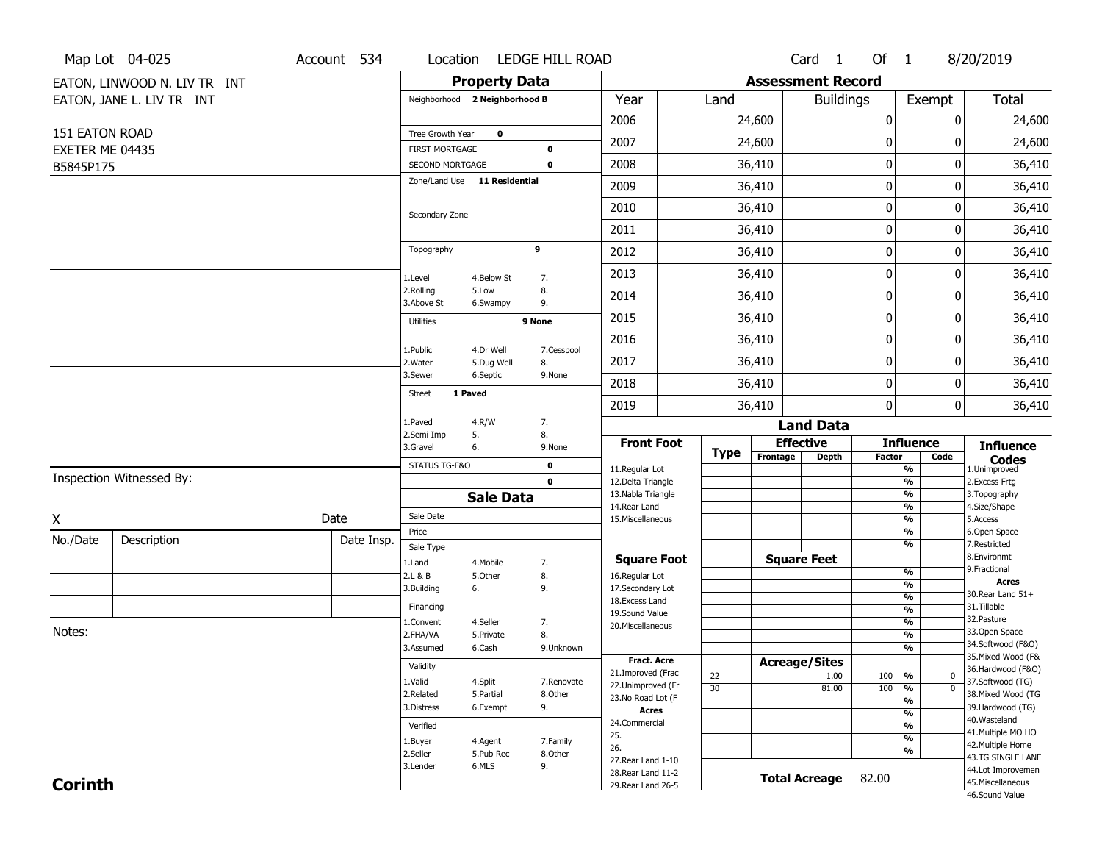|                 | Map Lot 04-025               | Account 534 | Location                |                               | LEDGE HILL ROAD       |                                      |             |                          | Card <sub>1</sub>    | Of $1$        |                                           | 8/20/2019                              |
|-----------------|------------------------------|-------------|-------------------------|-------------------------------|-----------------------|--------------------------------------|-------------|--------------------------|----------------------|---------------|-------------------------------------------|----------------------------------------|
|                 | EATON, LINWOOD N. LIV TR INT |             |                         | <b>Property Data</b>          |                       |                                      |             | <b>Assessment Record</b> |                      |               |                                           |                                        |
|                 | EATON, JANE L. LIV TR INT    |             |                         | Neighborhood 2 Neighborhood B |                       | Year                                 | Land        |                          | <b>Buildings</b>     |               | Exempt                                    | <b>Total</b>                           |
|                 |                              |             |                         |                               |                       | 2006                                 |             | 24,600                   |                      | 0             | 0                                         | 24,600                                 |
| 151 EATON ROAD  |                              |             | Tree Growth Year        | $\mathbf 0$                   |                       | 2007                                 |             | 24,600                   |                      | $\bf{0}$      | 0                                         | 24,600                                 |
| EXETER ME 04435 |                              |             | <b>FIRST MORTGAGE</b>   |                               | $\bf{0}$              |                                      |             |                          |                      |               |                                           |                                        |
| B5845P175       |                              |             | SECOND MORTGAGE         | Zone/Land Use 11 Residential  | $\mathbf 0$           | 2008                                 |             | 36,410                   |                      | $\pmb{0}$     | 0                                         | 36,410                                 |
|                 |                              |             |                         |                               |                       | 2009                                 |             | 36,410                   |                      | $\mathbf 0$   | 0                                         | 36,410                                 |
|                 |                              |             | Secondary Zone          |                               |                       | 2010                                 |             | 36,410                   |                      | $\mathbf 0$   | 0                                         | 36,410                                 |
|                 |                              |             |                         |                               |                       | 2011                                 |             | 36,410                   |                      | $\pmb{0}$     | 0                                         | 36,410                                 |
|                 |                              |             | Topography              |                               | 9                     | 2012                                 |             | 36,410                   |                      | $\mathbf 0$   | 0                                         | 36,410                                 |
|                 |                              |             | 1.Level                 | 4.Below St                    | 7.                    | 2013                                 |             | 36,410                   |                      | $\mathbf 0$   | 0                                         | 36,410                                 |
|                 |                              |             | 2.Rolling<br>3.Above St | 5.Low<br>6.Swampy             | 8.<br>9.              | 2014                                 |             | 36,410                   |                      | $\mathbf 0$   | 0                                         | 36,410                                 |
|                 |                              |             | <b>Utilities</b>        |                               | 9 None                | 2015                                 |             | 36,410                   |                      | $\pmb{0}$     | 0                                         | 36,410                                 |
|                 |                              |             |                         |                               |                       | 2016                                 |             | 36,410                   |                      | $\mathbf 0$   | 0                                         | 36,410                                 |
|                 |                              |             | 1.Public<br>2. Water    | 4.Dr Well<br>5.Dug Well       | 7.Cesspool<br>8.      | 2017                                 |             | 36,410                   |                      | $\mathbf 0$   | 0                                         | 36,410                                 |
|                 |                              |             | 3.Sewer                 | 6.Septic                      | 9.None                | 2018                                 |             | 36,410                   |                      | $\mathbf 0$   | 0                                         | 36,410                                 |
|                 |                              |             | <b>Street</b>           | 1 Paved                       |                       | 2019                                 |             | 36,410                   |                      | $\mathbf 0$   | 0                                         | 36,410                                 |
|                 |                              |             | 1.Paved                 | 4.R/W                         | 7.                    |                                      |             |                          | <b>Land Data</b>     |               |                                           |                                        |
|                 |                              |             | 2.Semi Imp<br>3.Gravel  | 5.<br>6.                      | 8.<br>9.None          | <b>Front Foot</b>                    |             | <b>Effective</b>         |                      |               | <b>Influence</b>                          | <b>Influence</b>                       |
|                 |                              |             | STATUS TG-F&O           |                               | 0                     | 11.Regular Lot                       | <b>Type</b> | Frontage                 | <b>Depth</b>         | <b>Factor</b> | Code<br>%                                 | <b>Codes</b><br>1.Unimproved           |
|                 | Inspection Witnessed By:     |             |                         |                               | $\mathbf 0$           | 12.Delta Triangle                    |             |                          |                      |               | $\overline{\frac{9}{6}}$                  | 2. Excess Frtg                         |
|                 |                              |             |                         | <b>Sale Data</b>              |                       | 13. Nabla Triangle                   |             |                          |                      |               | %                                         | 3. Topography                          |
| X               |                              | Date        | Sale Date               |                               |                       | 14.Rear Land<br>15. Miscellaneous    |             |                          |                      |               | %<br>%                                    | 4.Size/Shape<br>5.Access               |
| No./Date        | Description                  |             | Price                   |                               |                       |                                      |             |                          |                      |               | %                                         | 6.Open Space                           |
|                 |                              | Date Insp.  | Sale Type               |                               |                       |                                      |             |                          |                      |               | %                                         | 7.Restricted<br>8.Environmt            |
|                 |                              |             | 1.Land<br>2.L & B       | 4. Mobile<br>5.Other          | 7.<br>8.              | <b>Square Foot</b><br>16.Regular Lot |             | <b>Square Feet</b>       |                      |               | $\frac{9}{6}$                             | 9. Fractional                          |
|                 |                              |             | 3.Building              | 6.                            | 9.                    | 17.Secondary Lot                     |             |                          |                      |               | $\frac{9}{6}$                             | <b>Acres</b>                           |
|                 |                              |             | Financing               |                               |                       | 18. Excess Land                      |             |                          |                      |               | $\overline{\frac{9}{6}}$                  | 30. Rear Land 51+<br>31.Tillable       |
|                 |                              |             | 1.Convent               | 4.Seller                      | 7.                    | 19.Sound Value                       |             |                          |                      |               | $\frac{9}{6}$<br>$\frac{9}{6}$            | 32. Pasture                            |
| Notes:          |                              |             | 2.FHA/VA                | 5.Private                     | 8.                    | 20.Miscellaneous                     |             |                          |                      |               | $\overline{\frac{9}{6}}$                  | 33.Open Space                          |
|                 |                              |             | 3.Assumed               | 6.Cash                        | 9.Unknown             |                                      |             |                          |                      |               | $\frac{9}{6}$                             | 34.Softwood (F&O)                      |
|                 |                              |             | Validity                |                               |                       | <b>Fract. Acre</b>                   |             | <b>Acreage/Sites</b>     |                      |               |                                           | 35. Mixed Wood (F&                     |
|                 |                              |             |                         |                               |                       | 21.Improved (Frac                    | 22          |                          | 1.00                 | 100 %         | 0                                         | 36.Hardwood (F&O)                      |
|                 |                              |             | 1.Valid<br>2.Related    | 4.Split<br>5.Partial          | 7.Renovate<br>8.Other | 22.Unimproved (Fr                    | 30          |                          | 81.00                | 100           | $\overline{0}$<br>$\frac{9}{6}$           | 37.Softwood (TG)<br>38. Mixed Wood (TG |
|                 |                              |             | 3.Distress              | 6.Exempt                      | 9.                    | 23.No Road Lot (F                    |             |                          |                      |               | $\frac{9}{6}$                             | 39.Hardwood (TG)                       |
|                 |                              |             |                         |                               |                       | <b>Acres</b><br>24.Commercial        |             |                          |                      |               | $\frac{9}{6}$                             | 40. Wasteland                          |
|                 |                              |             | Verified                |                               |                       | 25.                                  |             |                          |                      |               | $\overline{\frac{9}{6}}$<br>$\frac{9}{6}$ | 41. Multiple MO HO                     |
|                 |                              |             | 1.Buyer                 | 4.Agent                       | 7.Family              | 26.                                  |             |                          |                      |               | $\frac{9}{6}$                             | 42. Multiple Home                      |
|                 |                              |             | 2.Seller                | 5.Pub Rec<br>6.MLS            | 8.Other               | 27. Rear Land 1-10                   |             |                          |                      |               |                                           | 43.TG SINGLE LANE                      |
| <b>Corinth</b>  |                              |             | 3.Lender                |                               | 9.                    | 28. Rear Land 11-2                   |             |                          | <b>Total Acreage</b> | 82.00         |                                           | 44.Lot Improvemen                      |
|                 |                              |             |                         |                               |                       | 29. Rear Land 26-5                   |             |                          |                      |               |                                           | 45. Miscellaneous                      |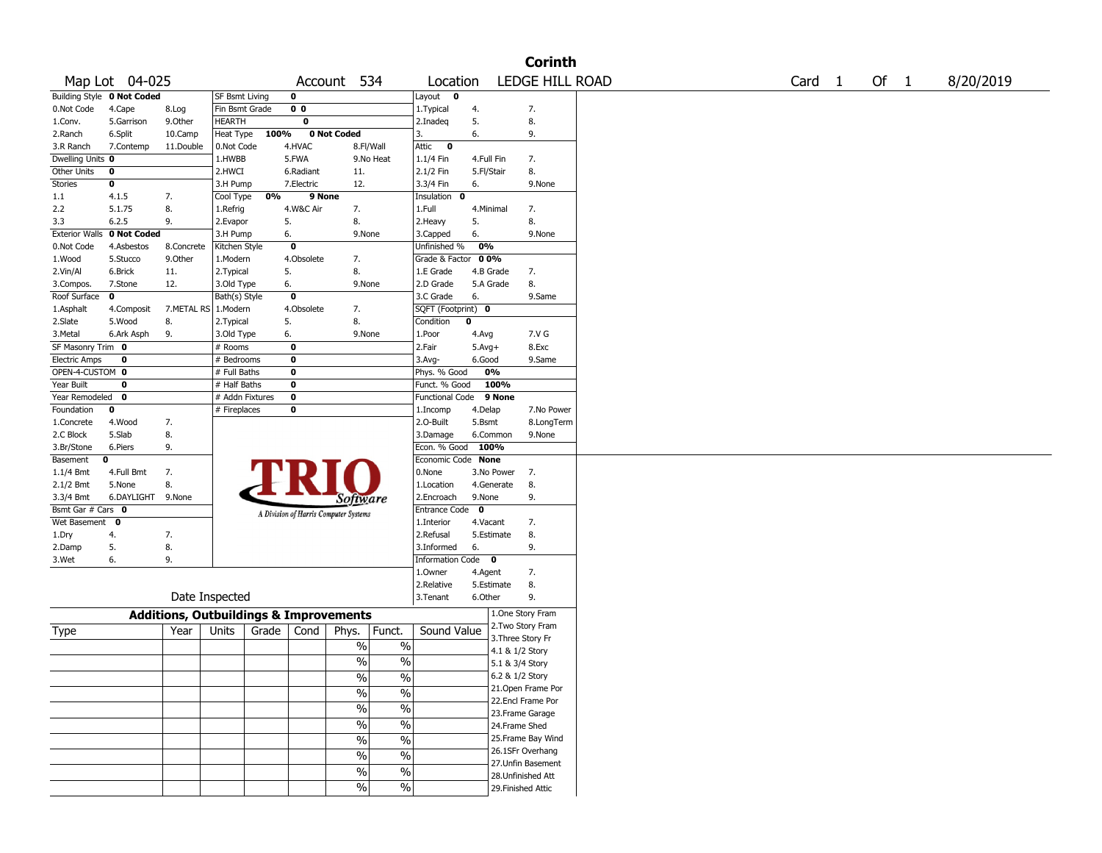|                       |                |                                                   |                       |       |                |                                       |                          |                      |             |                   | <b>Corinth</b>     |  |                   |      |           |
|-----------------------|----------------|---------------------------------------------------|-----------------------|-------|----------------|---------------------------------------|--------------------------|----------------------|-------------|-------------------|--------------------|--|-------------------|------|-----------|
|                       | Map Lot 04-025 |                                                   |                       |       |                | Account 534                           |                          | Location             |             |                   | LEDGE HILL ROAD    |  | Card <sub>1</sub> | Of 1 | 8/20/2019 |
| <b>Building Style</b> | 0 Not Coded    |                                                   | <b>SF Bsmt Living</b> |       | 0              |                                       |                          | Layout<br>0          |             |                   |                    |  |                   |      |           |
| 0.Not Code            | 4.Cape         | 8.Log                                             | Fin Bsmt Grade        |       | 0 <sub>0</sub> |                                       |                          | 1. Typical           | 4.          |                   | 7.                 |  |                   |      |           |
| 1.Conv.               | 5.Garrison     | 9.Other                                           | HEARTH                |       | 0              |                                       |                          | 2.Inadeq             | 5.          |                   | 8.                 |  |                   |      |           |
| 2.Ranch               | 6.Split        | 10.Camp                                           | Heat Type             | 100%  |                | 0 Not Coded                           |                          | 3.                   | 6.          |                   | 9.                 |  |                   |      |           |
| 3.R Ranch             | 7.Contemp      | 11.Double                                         | 0.Not Code            |       | 4.HVAC         |                                       | 8.Fl/Wall                | Attic<br>$\bf{0}$    |             |                   |                    |  |                   |      |           |
| Dwelling Units 0      |                |                                                   | 1.HWBB                |       | 5.FWA          |                                       | 9.No Heat                | 1.1/4 Fin            | 4.Full Fin  |                   | 7.                 |  |                   |      |           |
| Other Units           | 0              |                                                   | 2.HWCI                |       | 6.Radiant      | 11.                                   |                          | 2.1/2 Fin            | 5.Fl/Stair  |                   | 8.                 |  |                   |      |           |
| Stories               | 0              |                                                   | 3.H Pump              |       | 7.Electric     | 12.                                   |                          | 3.3/4 Fin            | 6.          |                   | 9.None             |  |                   |      |           |
| 1.1                   | 4.1.5          | 7.                                                | Cool Type             | 0%    | 9 None         |                                       |                          | Insulation<br>0      |             |                   |                    |  |                   |      |           |
| 2.2                   | 5.1.75         | 8.                                                | 1.Refrig              |       | 4.W&C Air      | 7.                                    |                          | 1.Full               | 4.Minimal   |                   | 7.                 |  |                   |      |           |
| 3.3                   | 6.2.5          | 9.                                                | 2.Evapor              |       | 5.             | 8.                                    |                          | 2.Heavy              | 5.          |                   | 8.                 |  |                   |      |           |
| <b>Exterior Walls</b> | 0 Not Coded    |                                                   | 3.H Pump              |       | 6.             | 9.None                                |                          | 3.Capped             | 6.          |                   | 9.None             |  |                   |      |           |
| 0.Not Code            | 4.Asbestos     | 8.Concrete                                        | Kitchen Style         |       | 0              |                                       |                          | Unfinished %         | 0%          |                   |                    |  |                   |      |           |
| 1.Wood                | 5.Stucco       | 9.0ther                                           | 1.Modern              |       | 4.Obsolete     | 7.                                    |                          | Grade & Factor 00%   |             |                   |                    |  |                   |      |           |
| 2.Vin/Al              | 6.Brick        | 11.                                               | 2. Typical            |       | 5.             | 8.                                    |                          | 1.E Grade            | 4.B Grade   |                   | 7.                 |  |                   |      |           |
| 3.Compos.             | 7.Stone        | 12.                                               | 3.Old Type            |       | 6.             | 9.None                                |                          | 2.D Grade            | 5.A Grade   |                   | 8.                 |  |                   |      |           |
| Roof Surface          | 0              |                                                   | Bath(s) Style         |       | 0              |                                       |                          | 3.C Grade            | 6.          |                   | 9.Same             |  |                   |      |           |
| 1.Asphalt             | 4.Composit     | 7.METAL RS   1.Modern                             |                       |       | 4.Obsolete     | 7.                                    |                          | SQFT (Footprint) 0   |             |                   |                    |  |                   |      |           |
| 2.Slate               | 5.Wood         | 8.                                                | 2. Typical            |       | 5.             | 8.                                    |                          | Condition            | 0           |                   |                    |  |                   |      |           |
| 3. Metal              | 6.Ark Asph     | 9.                                                | 3.Old Type            |       | 6.             | 9.None                                |                          | 1.Poor               | 4.Avg       |                   | 7.V G              |  |                   |      |           |
| SF Masonry Trim 0     |                |                                                   | # Rooms               |       | 0              |                                       |                          | 2.Fair               | $5.Avg+$    |                   | 8.Exc              |  |                   |      |           |
| <b>Electric Amps</b>  | 0              |                                                   | # Bedrooms            |       | 0              |                                       |                          | $3.$ Avg-            | 6.Good      |                   | 9.Same             |  |                   |      |           |
| OPEN-4-CUSTOM 0       |                |                                                   | # Full Baths          |       | 0              |                                       |                          | Phys. % Good         |             | 0%                |                    |  |                   |      |           |
| Year Built            | 0              |                                                   | # Half Baths          |       | 0              |                                       |                          | Funct. % Good        |             | 100%              |                    |  |                   |      |           |
| Year Remodeled        | 0              |                                                   | # Addn Fixtures       |       | 0              |                                       |                          | Functional Code      |             | 9 None            |                    |  |                   |      |           |
| Foundation            | 0              |                                                   | # Fireplaces          |       | 0              |                                       |                          | 1.Incomp             | 4.Delap     |                   | 7.No Power         |  |                   |      |           |
| 1.Concrete            | 4.Wood         | 7.                                                |                       |       |                |                                       |                          | 2.O-Built            | 5.Bsmt      |                   | 8.LongTerm         |  |                   |      |           |
| 2.C Block             | 5.Slab         | 8.                                                |                       |       |                |                                       |                          | 3.Damage             |             | 6.Common          | 9.None             |  |                   |      |           |
| 3.Br/Stone            | 6.Piers        | 9.                                                |                       |       |                |                                       |                          | Econ. % Good         | 100%        |                   |                    |  |                   |      |           |
| Basement              | 0              |                                                   |                       |       |                |                                       |                          | Economic Code None   |             |                   |                    |  |                   |      |           |
| $1.1/4$ Bmt           | 4.Full Bmt     | 7.                                                |                       |       |                |                                       |                          | 0.None               |             | 3.No Power        | 7.                 |  |                   |      |           |
| 2.1/2 Bmt             | 5.None         | 8.                                                |                       |       |                |                                       |                          | 1.Location           |             | 4.Generate        | 8.                 |  |                   |      |           |
| 3.3/4 Bmt             | 6.DAYLIGHT     | 9.None                                            |                       |       |                | Software                              |                          | 2.Encroach           | 9.None      |                   | 9.                 |  |                   |      |           |
| Bsmt Gar # Cars 0     |                |                                                   |                       |       |                | A Division of Harris Computer Systems |                          | <b>Entrance Code</b> | $\mathbf 0$ |                   |                    |  |                   |      |           |
| Wet Basement          | $\mathbf 0$    |                                                   |                       |       |                |                                       |                          | 1.Interior           | 4.Vacant    |                   | 7.                 |  |                   |      |           |
| 1.Dry                 | 4.             | 7.                                                |                       |       |                |                                       |                          | 2.Refusal            |             | 5.Estimate        | 8.                 |  |                   |      |           |
| 2.Damp                | 5.             | 8.                                                |                       |       |                |                                       |                          | 3.Informed           | 6.          |                   | 9.                 |  |                   |      |           |
| 3.Wet                 | 6.             | 9.                                                |                       |       |                |                                       |                          | Information Code 0   |             |                   |                    |  |                   |      |           |
|                       |                |                                                   |                       |       |                |                                       |                          | 1.0wner              | 4.Agent     |                   | 7.                 |  |                   |      |           |
|                       |                |                                                   |                       |       |                |                                       |                          | 2.Relative           |             | 5.Estimate        | 8.                 |  |                   |      |           |
|                       |                |                                                   | Date Inspected        |       |                |                                       |                          | 3.Tenant             | 6.Other     |                   | 9.                 |  |                   |      |           |
|                       |                | <b>Additions, Outbuildings &amp; Improvements</b> |                       |       |                |                                       |                          |                      |             |                   | 1.One Story Fram   |  |                   |      |           |
| Type                  |                | Year                                              | Units                 | Grade | Cond           | Phys.                                 | Funct.                   | Sound Value          |             |                   | 2. Two Story Fram  |  |                   |      |           |
|                       |                |                                                   |                       |       |                | %                                     | $\%$                     |                      |             | 3. Three Story Fr |                    |  |                   |      |           |
|                       |                |                                                   |                       |       |                |                                       |                          |                      |             | 4.1 & 1/2 Story   |                    |  |                   |      |           |
|                       |                |                                                   |                       |       |                | $\%$                                  | $\%$                     |                      |             | 5.1 & 3/4 Story   |                    |  |                   |      |           |
|                       |                |                                                   |                       |       |                | %                                     | $\%$                     |                      |             | 6.2 & 1/2 Story   |                    |  |                   |      |           |
|                       |                |                                                   |                       |       |                | $\%$                                  | $\%$                     |                      |             |                   | 21. Open Frame Por |  |                   |      |           |
|                       |                |                                                   |                       |       |                |                                       |                          |                      |             |                   | 22.Encl Frame Por  |  |                   |      |           |
|                       |                |                                                   |                       |       |                | $\frac{1}{2}$                         | $\overline{\frac{0}{6}}$ |                      |             |                   | 23. Frame Garage   |  |                   |      |           |
|                       |                |                                                   |                       |       |                | $\frac{1}{2}$                         | $\overline{\frac{0}{0}}$ |                      |             | 24.Frame Shed     |                    |  |                   |      |           |
|                       |                |                                                   |                       |       |                | $\frac{1}{2}$                         | $\frac{0}{6}$            |                      |             |                   | 25. Frame Bay Wind |  |                   |      |           |
|                       |                |                                                   |                       |       |                | $\frac{1}{2}$                         | $\overline{\frac{0}{0}}$ |                      |             |                   | 26.1SFr Overhang   |  |                   |      |           |
|                       |                |                                                   |                       |       |                |                                       |                          |                      |             |                   | 27.Unfin Basement  |  |                   |      |           |
|                       |                |                                                   |                       |       |                | $\frac{1}{2}$                         | $\%$                     |                      |             |                   | 28.Unfinished Att  |  |                   |      |           |
|                       |                |                                                   |                       |       |                | $\%$                                  | $\%$                     |                      |             |                   | 29. Finished Attic |  |                   |      |           |
|                       |                |                                                   |                       |       |                |                                       |                          |                      |             |                   |                    |  |                   |      |           |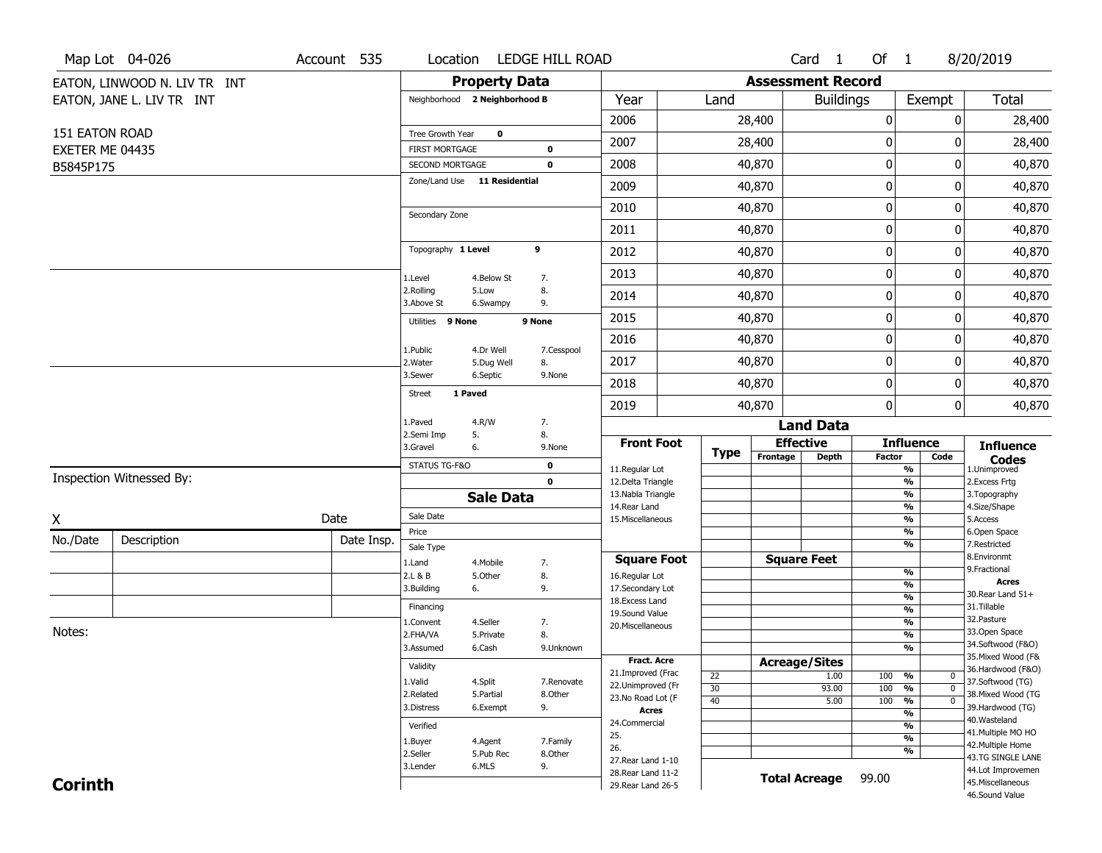|                 | Map Lot 04-026               | Account 535 | Location                                        |                         | LEDGE HILL ROAD     |                                      |             |                          | Card <sub>1</sub>  | Of $1$           |                                 | 8/20/2019                              |
|-----------------|------------------------------|-------------|-------------------------------------------------|-------------------------|---------------------|--------------------------------------|-------------|--------------------------|--------------------|------------------|---------------------------------|----------------------------------------|
|                 | EATON, LINWOOD N. LIV TR INT |             |                                                 | <b>Property Data</b>    |                     |                                      |             | <b>Assessment Record</b> |                    |                  |                                 |                                        |
|                 | EATON, JANE L. LIV TR INT    |             | Neighborhood 2 Neighborhood B                   |                         |                     | Year                                 | Land        |                          | <b>Buildings</b>   |                  | Exempt                          | <b>Total</b>                           |
|                 |                              |             |                                                 |                         |                     | 2006                                 |             | 28,400                   |                    | $\boldsymbol{0}$ | 0                               | 28,400                                 |
| 151 EATON ROAD  |                              |             | Tree Growth Year                                | $\mathbf 0$             |                     | 2007                                 |             | 28,400                   |                    | $\boldsymbol{0}$ | 0                               | 28,400                                 |
| EXETER ME 04435 |                              |             | <b>FIRST MORTGAGE</b>                           |                         | $\mathbf 0$         |                                      |             |                          |                    | $\pmb{0}$        |                                 |                                        |
| B5845P175       |                              |             | SECOND MORTGAGE<br>Zone/Land Use 11 Residential |                         | $\mathbf 0$         | 2008                                 |             | 40,870                   |                    |                  | 0                               | 40,870                                 |
|                 |                              |             |                                                 |                         |                     | 2009                                 |             | 40,870                   |                    | $\boldsymbol{0}$ | 0                               | 40,870                                 |
|                 |                              |             | Secondary Zone                                  |                         |                     | 2010                                 |             | 40,870                   |                    | $\mathbf 0$      | 0                               | 40,870                                 |
|                 |                              |             |                                                 |                         |                     | 2011                                 |             | 40,870                   |                    | $\boldsymbol{0}$ | 0                               | 40,870                                 |
|                 |                              |             | Topography 1 Level                              |                         | 9                   | 2012                                 |             | 40,870                   |                    | $\mathbf 0$      | 0                               | 40,870                                 |
|                 |                              |             | 1.Level                                         | 4.Below St              | 7.                  | 2013                                 |             | 40,870                   |                    | $\mathbf 0$      | 0                               | 40,870                                 |
|                 |                              |             | 2.Rolling<br>3.Above St                         | 5.Low<br>6.Swampy       | 8.<br>9.            | 2014                                 |             | 40,870                   |                    | $\boldsymbol{0}$ | 0                               | 40,870                                 |
|                 |                              |             | Utilities 9 None                                |                         | 9 None              | 2015                                 |             | 40,870                   |                    | $\boldsymbol{0}$ | 0                               | 40,870                                 |
|                 |                              |             |                                                 |                         |                     | 2016                                 |             | 40,870                   |                    | $\mathbf 0$      | 0                               | 40,870                                 |
|                 |                              |             | 1.Public<br>2. Water                            | 4.Dr Well<br>5.Dug Well | 7.Cesspool<br>8.    | 2017                                 |             | 40,870                   |                    | 0                | 0                               | 40,870                                 |
|                 |                              |             | 3.Sewer                                         | 6.Septic                | 9.None              | 2018                                 |             | 40,870                   |                    | $\mathbf 0$      | 0                               | 40,870                                 |
|                 |                              |             | 1 Paved<br><b>Street</b>                        |                         |                     | 2019                                 |             | 40,870                   |                    | $\boldsymbol{0}$ | 0                               | 40,870                                 |
|                 |                              |             | 1.Paved                                         | 4.R/W                   | 7.                  |                                      |             |                          | <b>Land Data</b>   |                  |                                 |                                        |
|                 |                              |             | 2.Semi Imp<br>3.Gravel                          | 5.<br>6.                | 8.<br>9.None        | <b>Front Foot</b>                    |             | <b>Effective</b>         |                    |                  | <b>Influence</b>                | <b>Influence</b>                       |
|                 |                              |             | STATUS TG-F&O                                   |                         | $\mathbf 0$         | 11.Regular Lot                       | <b>Type</b> | Frontage                 | <b>Depth</b>       | <b>Factor</b>    | Code<br>%                       | <b>Codes</b><br>1.Unimproved           |
|                 | Inspection Witnessed By:     |             |                                                 |                         | $\mathbf 0$         | 12.Delta Triangle                    |             |                          |                    |                  | %                               | 2.Excess Frtg                          |
|                 |                              |             |                                                 | <b>Sale Data</b>        |                     | 13. Nabla Triangle                   |             |                          |                    |                  | %                               | 3. Topography                          |
| X               |                              | Date        | Sale Date                                       |                         |                     | 14. Rear Land<br>15. Miscellaneous   |             |                          |                    |                  | %<br>%                          | 4.Size/Shape<br>5.Access               |
| No./Date        |                              | Date Insp.  | Price                                           |                         |                     |                                      |             |                          |                    |                  | %                               | 6.Open Space                           |
|                 | Description                  |             | Sale Type                                       |                         |                     |                                      |             |                          |                    |                  | %                               | 7.Restricted<br>8.Environmt            |
|                 |                              |             | 1.Land<br>2.L & B                               | 4. Mobile<br>5.Other    | 7.<br>8.            | <b>Square Foot</b><br>16.Regular Lot |             |                          | <b>Square Feet</b> |                  | %                               | 9. Fractional                          |
|                 |                              |             | 3.Building                                      | 6.                      | 9.                  | 17.Secondary Lot                     |             |                          |                    |                  | %                               | <b>Acres</b>                           |
|                 |                              |             | Financing                                       |                         |                     | 18. Excess Land                      |             |                          |                    |                  | $\frac{9}{6}$                   | 30. Rear Land 51+<br>31.Tillable       |
|                 |                              |             | 1.Convent                                       | 4.Seller                | 7.                  | 19.Sound Value                       |             |                          |                    |                  | %<br>$\frac{9}{6}$              | 32. Pasture                            |
| Notes:          |                              |             | 2.FHA/VA                                        | 5.Private               | 8.                  | 20.Miscellaneous                     |             |                          |                    |                  | $\overline{\frac{9}{6}}$        | 33.Open Space                          |
|                 |                              |             | 3.Assumed                                       | 6.Cash                  | 9.Unknown           |                                      |             |                          |                    |                  | %                               | 34.Softwood (F&O)                      |
|                 |                              |             | Validity                                        |                         |                     | Fract. Acre                          |             | <b>Acreage/Sites</b>     |                    |                  |                                 | 35. Mixed Wood (F&                     |
|                 |                              |             | 1.Valid                                         | 4.Split                 | 7.Renovate          | 21.Improved (Frac                    | 22          |                          | 1.00               | 100              | %<br>$\mathbf 0$                | 36.Hardwood (F&O)<br>37.Softwood (TG)  |
|                 |                              |             | 2.Related                                       | 5.Partial               | 8.Other             | 22.Unimproved (Fr                    | 30          |                          | 93.00              | 100              | $\overline{0}$<br>$\frac{9}{6}$ | 38. Mixed Wood (TG                     |
|                 |                              |             | 3.Distress                                      | 6.Exempt                | 9.                  | 23. No Road Lot (F<br><b>Acres</b>   | 40          |                          | 5.00               | 100              | $\frac{9}{6}$<br>$\overline{0}$ | 39.Hardwood (TG)                       |
|                 |                              |             |                                                 |                         |                     | 24.Commercial                        |             |                          |                    |                  | $\frac{9}{6}$<br>$\frac{9}{6}$  | 40. Wasteland                          |
|                 |                              |             | Verified                                        |                         |                     | 25.                                  |             |                          |                    |                  | $\frac{9}{6}$                   | 41. Multiple MO HO                     |
|                 |                              |             | 1.Buyer<br>2.Seller                             | 4.Agent<br>5.Pub Rec    | 7.Family<br>8.Other | 26.                                  |             |                          |                    |                  | %                               | 42. Multiple Home                      |
|                 |                              |             | 3.Lender                                        | 6.MLS                   | 9.                  | 27. Rear Land 1-10                   |             |                          |                    |                  |                                 | 43.TG SINGLE LANE<br>44.Lot Improvemen |
| <b>Corinth</b>  |                              |             |                                                 |                         |                     | 28. Rear Land 11-2                   |             |                          |                    |                  |                                 |                                        |
|                 |                              |             |                                                 |                         |                     | 29. Rear Land 26-5                   |             | <b>Total Acreage</b>     |                    | 99.00            |                                 | 45. Miscellaneous                      |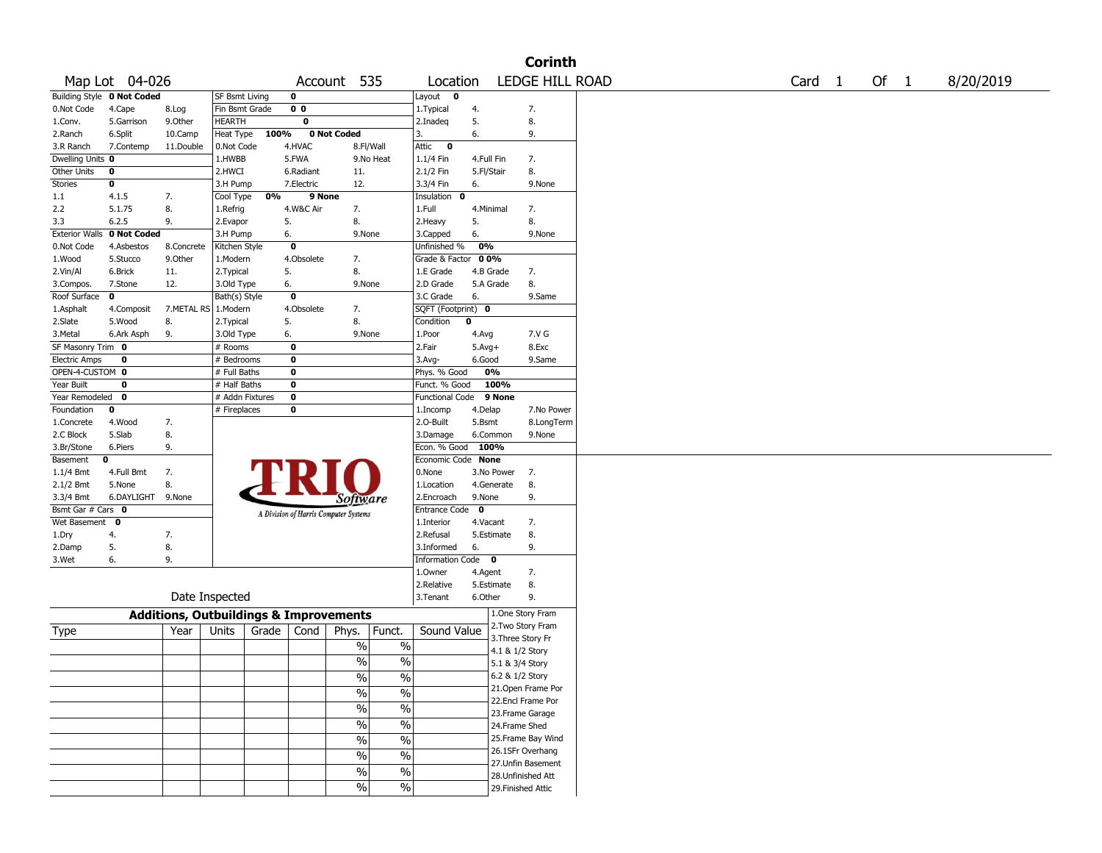|                       |                            |                                                   |                       |       |                |                                       |                          |                           |             |                   | <b>Corinth</b>     |  |                   |        |           |
|-----------------------|----------------------------|---------------------------------------------------|-----------------------|-------|----------------|---------------------------------------|--------------------------|---------------------------|-------------|-------------------|--------------------|--|-------------------|--------|-----------|
|                       | Map Lot 04-026             |                                                   |                       |       |                | Account 535                           |                          | Location                  |             |                   | LEDGE HILL ROAD    |  | Card <sub>1</sub> | Of $1$ | 8/20/2019 |
|                       | Building Style 0 Not Coded |                                                   | <b>SF Bsmt Living</b> |       | 0              |                                       |                          | Layout<br>0               |             |                   |                    |  |                   |        |           |
| 0.Not Code            | 4.Cape                     | 8.Log                                             | Fin Bsmt Grade        |       | 0 <sub>0</sub> |                                       |                          | 1. Typical                | 4.          |                   | 7.                 |  |                   |        |           |
| 1.Conv.               | 5.Garrison                 | 9.0ther                                           | <b>HEARTH</b>         |       | 0              |                                       |                          | 2.Inadeq                  | 5.          |                   | 8.                 |  |                   |        |           |
| 2.Ranch               | 6.Split                    | 10.Camp                                           | Heat Type             | 100%  |                | 0 Not Coded                           |                          | 3.                        | 6.          |                   | 9.                 |  |                   |        |           |
| 3.R Ranch             | 7.Contemp                  | 11.Double                                         | 0.Not Code            |       | 4.HVAC         | 8.Fl/Wall                             |                          | Attic<br>$\mathbf 0$      |             |                   |                    |  |                   |        |           |
| Dwelling Units 0      |                            |                                                   | 1.HWBB                |       | 5.FWA          |                                       | 9.No Heat                | 1.1/4 Fin                 | 4.Full Fin  |                   | 7.                 |  |                   |        |           |
| Other Units           | 0                          |                                                   | 2.HWCI                |       | 6.Radiant      | 11.                                   |                          | 2.1/2 Fin                 | 5.Fl/Stair  |                   | 8.                 |  |                   |        |           |
| <b>Stories</b>        | $\bf o$                    |                                                   | 3.H Pump              |       | 7.Electric     | 12.                                   |                          | 3.3/4 Fin                 | 6.          |                   | 9.None             |  |                   |        |           |
| 1.1                   | 4.1.5                      | 7.                                                | Cool Type             | 0%    | 9 None         |                                       |                          | Insulation<br>$\mathbf 0$ |             |                   |                    |  |                   |        |           |
| 2.2                   | 5.1.75                     | 8.                                                | 1.Refrig              |       | 4.W&C Air      | 7.                                    |                          | 1.Full                    | 4.Minimal   |                   | 7.                 |  |                   |        |           |
| 3.3                   | 6.2.5                      | 9.                                                | 2.Evapor              |       | 5.             | 8.                                    |                          | 2. Heavy                  | 5.          |                   | 8.                 |  |                   |        |           |
| <b>Exterior Walls</b> | 0 Not Coded                |                                                   | 3.H Pump              |       | 6.             | 9.None                                |                          | 3.Capped                  | 6.          |                   | 9.None             |  |                   |        |           |
| 0.Not Code            | 4.Asbestos                 | 8.Concrete                                        | Kitchen Style         |       | $\bf{0}$       |                                       |                          | Unfinished %              | 0%          |                   |                    |  |                   |        |           |
| 1.Wood                | 5.Stucco                   | 9.0ther                                           | 1.Modern              |       | 4.Obsolete     | 7.                                    |                          | Grade & Factor 00%        |             |                   |                    |  |                   |        |           |
| 2.Vin/Al              | 6.Brick                    | 11.                                               | 2. Typical            |       | 5.             | 8.                                    |                          | 1.E Grade                 | 4.B Grade   |                   | 7.                 |  |                   |        |           |
| 3.Compos.             | 7.Stone                    | 12.                                               | 3.Old Type            |       | 6.             | 9.None                                |                          | 2.D Grade                 | 5.A Grade   |                   | 8.                 |  |                   |        |           |
| Roof Surface          | 0                          |                                                   | Bath(s) Style         |       | $\bf{0}$       |                                       |                          | 3.C Grade                 | 6.          |                   | 9.Same             |  |                   |        |           |
| 1.Asphalt             | 4.Composit                 | 7.METAL RS                                        | 1.Modern              |       | 4.Obsolete     | 7.                                    |                          | SQFT (Footprint) 0        |             |                   |                    |  |                   |        |           |
| 2.Slate               | 5.Wood                     | 8.                                                | 2.Typical             |       | 5.             | 8.                                    |                          | Condition                 | $\mathbf 0$ |                   |                    |  |                   |        |           |
| 3.Metal               | 6.Ark Asph                 | 9.                                                | 3.Old Type            |       | 6.             | 9.None                                |                          | 1.Poor                    | 4.Avg       |                   | 7.V G              |  |                   |        |           |
| SF Masonry Trim 0     |                            |                                                   | # Rooms               |       | $\mathbf 0$    |                                       |                          | 2.Fair                    | $5.Avg+$    |                   | 8.Exc              |  |                   |        |           |
| <b>Electric Amps</b>  | 0                          |                                                   | # Bedrooms            |       | 0              |                                       |                          | $3.$ Avg-                 | 6.Good      |                   | 9.Same             |  |                   |        |           |
| OPEN-4-CUSTOM 0       |                            |                                                   | # Full Baths          |       | 0              |                                       |                          | Phys. % Good              | 0%          |                   |                    |  |                   |        |           |
| Year Built            | 0                          |                                                   | # Half Baths          |       | 0              |                                       |                          | Funct. % Good             |             | 100%              |                    |  |                   |        |           |
| Year Remodeled        | 0                          |                                                   | # Addn Fixtures       |       | 0              |                                       |                          | <b>Functional Code</b>    |             | 9 None            |                    |  |                   |        |           |
| Foundation            | 0                          |                                                   | # Fireplaces          |       | 0              |                                       |                          | 1.Incomp                  | 4.Delap     |                   | 7.No Power         |  |                   |        |           |
| 1.Concrete            | 4.Wood                     | 7.                                                |                       |       |                |                                       |                          | 2.0-Built                 | 5.Bsmt      |                   | 8.LongTerm         |  |                   |        |           |
| 2.C Block             | 5.Slab                     | 8.                                                |                       |       |                |                                       |                          | 3.Damage                  | 6.Common    |                   | 9.None             |  |                   |        |           |
| 3.Br/Stone            | 6.Piers                    | 9.                                                |                       |       |                |                                       |                          | Econ. % Good              | 100%        |                   |                    |  |                   |        |           |
| Basement              | 0                          |                                                   |                       |       |                |                                       |                          | Economic Code None        |             |                   |                    |  |                   |        |           |
| $1.1/4$ Bmt           | 4.Full Bmt                 | 7.                                                |                       |       |                |                                       |                          | 0.None                    |             | 3.No Power        | 7.                 |  |                   |        |           |
| 2.1/2 Bmt             | 5.None                     | 8.                                                |                       |       |                |                                       |                          | 1.Location                | 4.Generate  |                   | 8.                 |  |                   |        |           |
| 3.3/4 Bmt             | 6.DAYLIGHT 9.None          |                                                   |                       |       |                | Software                              |                          | 2.Encroach                | 9.None      |                   | 9.                 |  |                   |        |           |
| Bsmt Gar # Cars 0     |                            |                                                   |                       |       |                | A Division of Harris Computer Systems |                          | Entrance Code             | $\bf{0}$    |                   |                    |  |                   |        |           |
| Wet Basement          | $\mathbf{o}$               |                                                   |                       |       |                |                                       |                          | 1.Interior                | 4.Vacant    |                   | 7.                 |  |                   |        |           |
| 1.Dry                 | 4.                         | 7.                                                |                       |       |                |                                       |                          | 2.Refusal                 | 5.Estimate  |                   | 8.                 |  |                   |        |           |
| 2.Damp                | 5.                         | 8.                                                |                       |       |                |                                       |                          | 3.Informed                | 6.          |                   | 9.                 |  |                   |        |           |
| 3.Wet                 | 6.                         | 9.                                                |                       |       |                |                                       |                          | Information Code 0        |             |                   |                    |  |                   |        |           |
|                       |                            |                                                   |                       |       |                |                                       |                          | 1.Owner                   | 4.Agent     |                   | 7.                 |  |                   |        |           |
|                       |                            |                                                   |                       |       |                |                                       |                          | 2.Relative                | 5.Estimate  |                   | 8.                 |  |                   |        |           |
|                       |                            |                                                   | Date Inspected        |       |                |                                       |                          | 3. Tenant                 | 6.Other     |                   | 9.                 |  |                   |        |           |
|                       |                            | <b>Additions, Outbuildings &amp; Improvements</b> |                       |       |                |                                       |                          |                           |             |                   | 1.One Story Fram   |  |                   |        |           |
| Type                  |                            | Year                                              | Units                 | Grade | Cond           | Phys.                                 | Funct.                   | Sound Value               |             |                   | 2. Two Story Fram  |  |                   |        |           |
|                       |                            |                                                   |                       |       |                |                                       |                          |                           |             | 3. Three Story Fr |                    |  |                   |        |           |
|                       |                            |                                                   |                       |       |                | $\%$                                  | $\%$                     |                           |             | 4.1 & 1/2 Story   |                    |  |                   |        |           |
|                       |                            |                                                   |                       |       |                | $\%$                                  | $\%$                     |                           |             | 5.1 & 3/4 Story   |                    |  |                   |        |           |
|                       |                            |                                                   |                       |       |                | $\%$                                  | $\%$                     |                           |             | 6.2 & 1/2 Story   |                    |  |                   |        |           |
|                       |                            |                                                   |                       |       |                | $\sqrt{6}$                            | $\overline{\frac{0}{0}}$ |                           |             |                   | 21. Open Frame Por |  |                   |        |           |
|                       |                            |                                                   |                       |       |                |                                       |                          |                           |             |                   | 22.Encl Frame Por  |  |                   |        |           |
|                       |                            |                                                   |                       |       |                | $\frac{0}{6}$                         | $\overline{\frac{0}{0}}$ |                           |             |                   | 23. Frame Garage   |  |                   |        |           |
|                       |                            |                                                   |                       |       |                | $\sqrt{6}$                            | $\overline{\frac{0}{0}}$ |                           |             | 24.Frame Shed     |                    |  |                   |        |           |
|                       |                            |                                                   |                       |       |                | $\sqrt{6}$                            | $\overline{\frac{0}{0}}$ |                           |             |                   | 25.Frame Bay Wind  |  |                   |        |           |
|                       |                            |                                                   |                       |       |                |                                       |                          |                           |             |                   | 26.1SFr Overhang   |  |                   |        |           |
|                       |                            |                                                   |                       |       |                | $\frac{9}{6}$                         | $\overline{\frac{0}{0}}$ |                           |             |                   | 27.Unfin Basement  |  |                   |        |           |
|                       |                            |                                                   |                       |       |                | $\%$                                  | $\overline{\frac{0}{0}}$ |                           |             |                   | 28.Unfinished Att  |  |                   |        |           |
|                       |                            |                                                   |                       |       |                | %                                     | $\%$                     |                           |             |                   | 29. Finished Attic |  |                   |        |           |
|                       |                            |                                                   |                       |       |                |                                       |                          |                           |             |                   |                    |  |                   |        |           |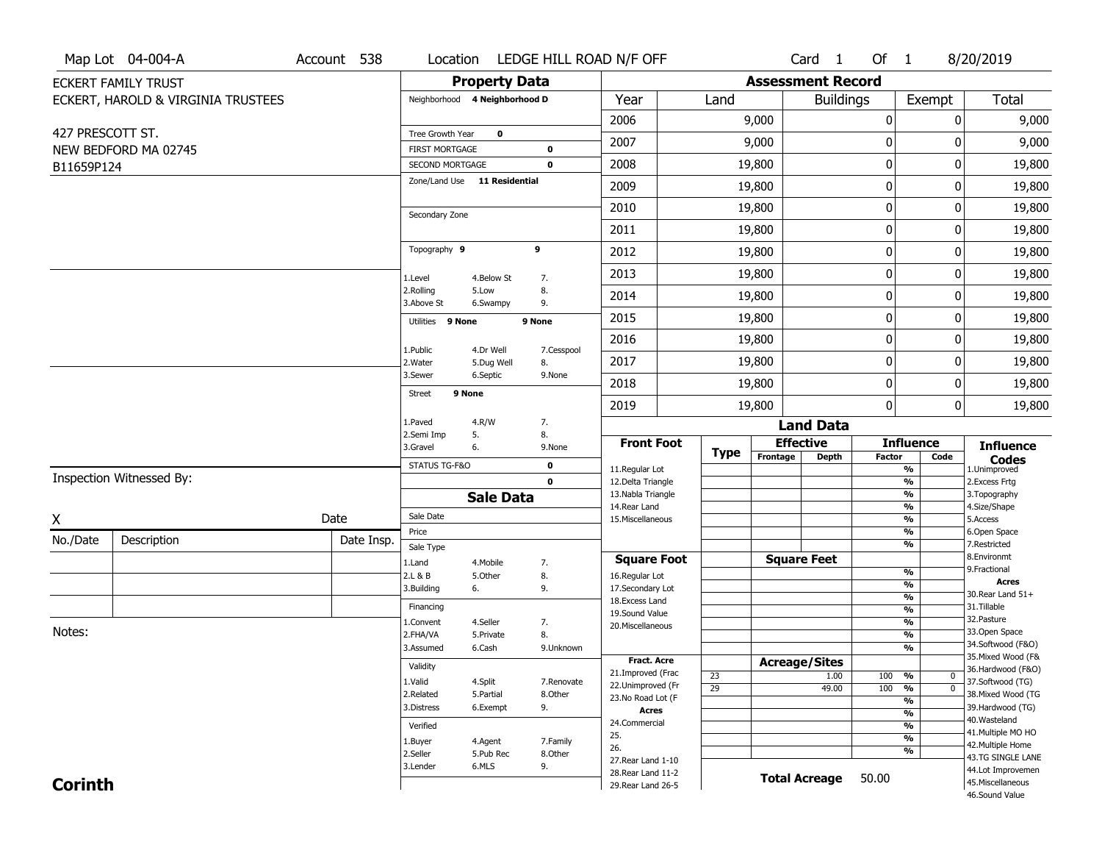|                  | Map Lot 04-004-A                   | Account 538 |                         |                               | Location LEDGE HILL ROAD N/F OFF |                                        |                 |                          | Card <sub>1</sub> | Of $1$        |                                                              | 8/20/2019                               |
|------------------|------------------------------------|-------------|-------------------------|-------------------------------|----------------------------------|----------------------------------------|-----------------|--------------------------|-------------------|---------------|--------------------------------------------------------------|-----------------------------------------|
|                  | <b>ECKERT FAMILY TRUST</b>         |             |                         | <b>Property Data</b>          |                                  |                                        |                 | <b>Assessment Record</b> |                   |               |                                                              |                                         |
|                  | ECKERT, HAROLD & VIRGINIA TRUSTEES |             |                         | Neighborhood 4 Neighborhood D |                                  | Year                                   | Land            |                          | <b>Buildings</b>  |               | Exempt                                                       | <b>Total</b>                            |
|                  |                                    |             |                         |                               |                                  | 2006                                   |                 | 9,000                    |                   | 0             | 0                                                            | 9,000                                   |
| 427 PRESCOTT ST. |                                    |             | Tree Growth Year        | $\mathbf 0$                   |                                  | 2007                                   |                 | 9,000                    |                   | 0             | 0                                                            | 9,000                                   |
|                  | NEW BEDFORD MA 02745               |             | <b>FIRST MORTGAGE</b>   |                               | 0                                |                                        |                 |                          |                   |               |                                                              |                                         |
| B11659P124       |                                    |             | SECOND MORTGAGE         | Zone/Land Use 11 Residential  | $\mathbf 0$                      | 2008                                   |                 | 19,800                   |                   | $\pmb{0}$     | 0                                                            | 19,800                                  |
|                  |                                    |             |                         |                               |                                  | 2009                                   |                 | 19,800                   |                   | $\pmb{0}$     | 0                                                            | 19,800                                  |
|                  |                                    |             | Secondary Zone          |                               |                                  | 2010                                   |                 | 19,800                   |                   | 0             | 0                                                            | 19,800                                  |
|                  |                                    |             |                         |                               |                                  | 2011                                   |                 | 19,800                   |                   | 0             | 0                                                            | 19,800                                  |
|                  |                                    |             | Topography 9            |                               | 9                                | 2012                                   |                 | 19,800                   |                   | $\pmb{0}$     | 0                                                            | 19,800                                  |
|                  |                                    |             | 1.Level                 | 4.Below St                    | 7.                               | 2013                                   |                 | 19,800                   |                   | $\pmb{0}$     | 0                                                            | 19,800                                  |
|                  |                                    |             | 2.Rolling<br>3.Above St | 5.Low<br>6.Swampy             | 8.<br>9.                         | 2014                                   |                 | 19,800                   |                   | 0             | 0                                                            | 19,800                                  |
|                  |                                    |             | Utilities 9 None        |                               | 9 None                           | 2015                                   |                 | 19,800                   |                   | $\mathbf 0$   | 0                                                            | 19,800                                  |
|                  |                                    |             |                         |                               |                                  | 2016                                   |                 | 19,800                   |                   | $\pmb{0}$     | 0                                                            | 19,800                                  |
|                  |                                    |             | 1.Public<br>2. Water    | 4.Dr Well<br>5.Dug Well       | 7.Cesspool<br>8.                 | 2017                                   |                 | 19,800                   |                   | $\pmb{0}$     | 0                                                            | 19,800                                  |
|                  |                                    |             | 3.Sewer                 | 6.Septic                      | 9.None                           | 2018                                   |                 | 19,800                   |                   | 0             | 0                                                            | 19,800                                  |
|                  |                                    |             | <b>Street</b>           | 9 None                        |                                  | 2019                                   |                 | 19,800                   |                   | $\mathbf{0}$  | 0                                                            | 19,800                                  |
|                  |                                    |             | 1.Paved                 | 4.R/W                         | 7.                               |                                        |                 |                          | <b>Land Data</b>  |               |                                                              |                                         |
|                  |                                    |             | 2.Semi Imp<br>3.Gravel  | 5.<br>6.                      | 8.<br>9.None                     | <b>Front Foot</b>                      |                 | <b>Effective</b>         |                   |               | <b>Influence</b>                                             | <b>Influence</b>                        |
|                  |                                    |             | STATUS TG-F&O           |                               | 0                                | 11.Regular Lot                         | Type            | Frontage                 | Depth             | <b>Factor</b> | Code<br>%                                                    | <b>Codes</b><br>1.Unimproved            |
|                  | Inspection Witnessed By:           |             |                         |                               | $\mathbf 0$                      | 12.Delta Triangle                      |                 |                          |                   |               | $\frac{9}{6}$                                                | 2. Excess Frtg                          |
|                  |                                    |             |                         | <b>Sale Data</b>              |                                  | 13. Nabla Triangle<br>14. Rear Land    |                 |                          |                   |               | $\overline{\frac{9}{6}}$<br>$\frac{9}{6}$                    | 3. Topography<br>4.Size/Shape           |
| X                |                                    | Date        | Sale Date               |                               |                                  | 15. Miscellaneous                      |                 |                          |                   |               | $\overline{\frac{9}{6}}$                                     | 5.Access                                |
| No./Date         | Description                        | Date Insp.  | Price                   |                               |                                  |                                        |                 |                          |                   |               | %                                                            | 6.Open Space                            |
|                  |                                    |             | Sale Type               |                               |                                  | <b>Square Foot</b>                     |                 | <b>Square Feet</b>       |                   |               | %                                                            | 7.Restricted<br>8.Environmt             |
|                  |                                    |             | 1.Land<br>2.L & B       | 4. Mobile<br>5.Other          | 7.<br>8.                         | 16.Regular Lot                         |                 |                          |                   |               | $\frac{9}{6}$                                                | 9. Fractional                           |
|                  |                                    |             | 3.Building              | 6.                            | 9.                               | 17.Secondary Lot                       |                 |                          |                   |               | %                                                            | <b>Acres</b><br>30. Rear Land $51+$     |
|                  |                                    |             | Financing               |                               |                                  | 18. Excess Land                        |                 |                          |                   |               | $\frac{9}{6}$<br>$\frac{9}{6}$                               | 31.Tillable                             |
|                  |                                    |             | 1.Convent               | 4.Seller                      | 7.                               | 19.Sound Value<br>20.Miscellaneous     |                 |                          |                   |               | $\frac{9}{6}$                                                | 32.Pasture                              |
| Notes:           |                                    |             | 2.FHA/VA                | 5.Private                     | 8.                               |                                        |                 |                          |                   |               | %                                                            | 33.Open Space                           |
|                  |                                    |             | 3.Assumed               | 6.Cash                        | 9.Unknown                        |                                        |                 |                          |                   |               | %                                                            | 34.Softwood (F&O)<br>35. Mixed Wood (F& |
|                  |                                    |             | Validity                |                               |                                  | Fract. Acre                            |                 | <b>Acreage/Sites</b>     |                   |               |                                                              | 36.Hardwood (F&O)                       |
|                  |                                    |             | 1.Valid                 | 4.Split                       | 7.Renovate                       | 21.Improved (Frac<br>22.Unimproved (Fr | 23              |                          | 1.00              | 100           | %<br>$\bf{0}$                                                | 37.Softwood (TG)                        |
|                  |                                    |             | 2.Related               | 5.Partial                     | 8.Other                          | 23.No Road Lot (F                      | $\overline{29}$ |                          | 49.00             | 100           | $\overline{\mathfrak{o}}$<br>%<br>$\overline{\mathcal{C}_0}$ | 38. Mixed Wood (TG                      |
|                  |                                    |             | 3.Distress              | 6.Exempt                      | 9.                               | Acres                                  |                 |                          |                   |               | $\frac{9}{6}$                                                | 39.Hardwood (TG)                        |
|                  |                                    |             | Verified                |                               |                                  | 24.Commercial                          |                 |                          |                   |               | $\frac{9}{6}$                                                | 40. Wasteland                           |
|                  |                                    |             | 1.Buyer                 | 4.Agent                       | 7.Family                         | 25.                                    |                 |                          |                   |               | $\overline{\frac{9}{6}}$                                     | 41. Multiple MO HO<br>42. Multiple Home |
|                  |                                    |             | 2.Seller                | 5.Pub Rec                     | 8.Other                          | 26.<br>27. Rear Land 1-10              |                 |                          |                   |               | %                                                            | 43.TG SINGLE LANE                       |
|                  |                                    |             | 3.Lender                | 6.MLS                         | 9.                               | 28. Rear Land 11-2                     |                 |                          |                   |               |                                                              | 44.Lot Improvemen                       |
| <b>Corinth</b>   |                                    |             |                         |                               |                                  | 29. Rear Land 26-5                     |                 | <b>Total Acreage</b>     |                   | 50.00         |                                                              | 45. Miscellaneous                       |
|                  |                                    |             |                         |                               |                                  |                                        |                 |                          |                   |               |                                                              | 46.Sound Value                          |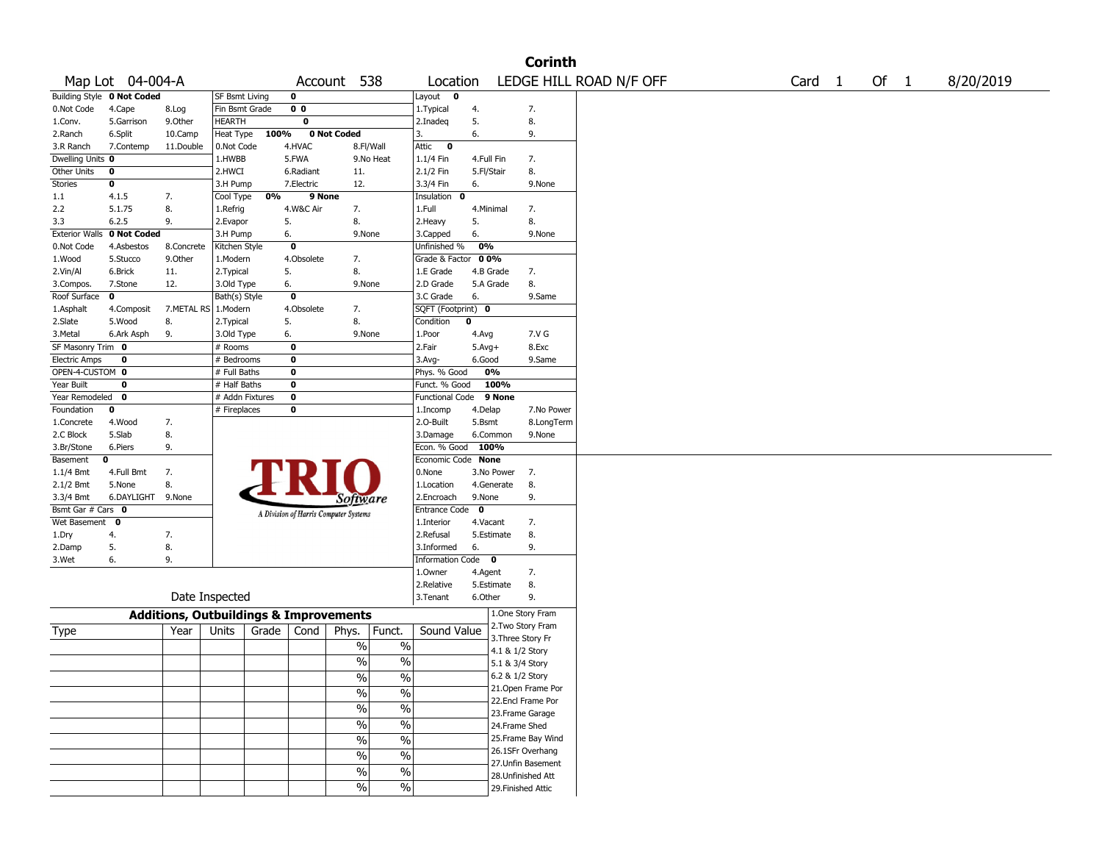|                       |                            |                                                   |                       |       |                |                                       |                          |                      |             |                    | <b>Corinth</b>     |                         |        |        |           |
|-----------------------|----------------------------|---------------------------------------------------|-----------------------|-------|----------------|---------------------------------------|--------------------------|----------------------|-------------|--------------------|--------------------|-------------------------|--------|--------|-----------|
|                       | Map Lot 04-004-A           |                                                   |                       |       |                | Account 538                           |                          | Location             |             |                    |                    | LEDGE HILL ROAD N/F OFF | Card 1 | Of $1$ | 8/20/2019 |
|                       | Building Style 0 Not Coded |                                                   | <b>SF Bsmt Living</b> |       | 0              |                                       |                          | Layout $\mathbf 0$   |             |                    |                    |                         |        |        |           |
| 0.Not Code            | 4.Cape                     | 8.Log                                             | Fin Bsmt Grade        |       | 0 <sub>0</sub> |                                       |                          | 1. Typical           | 4.          |                    | 7.                 |                         |        |        |           |
| 1.Conv.               | 5.Garrison                 | 9.Other                                           | HEARTH                |       | 0              |                                       |                          | 2.Inadeq             | 5.          |                    | 8.                 |                         |        |        |           |
| 2.Ranch               | 6.Split                    | 10.Camp                                           | Heat Type             | 100%  |                | 0 Not Coded                           |                          | 3.                   | 6.          |                    | 9.                 |                         |        |        |           |
| 3.R Ranch             | 7.Contemp                  | 11.Double                                         | 0.Not Code            |       | 4.HVAC         |                                       | 8.Fl/Wall                | Attic<br>$\bf{0}$    |             |                    |                    |                         |        |        |           |
| Dwelling Units 0      |                            |                                                   | 1.HWBB                |       | 5.FWA          |                                       | 9.No Heat                | 1.1/4 Fin            | 4.Full Fin  |                    | 7.                 |                         |        |        |           |
| Other Units           | 0                          |                                                   | 2.HWCI                |       | 6.Radiant      | 11.                                   |                          | 2.1/2 Fin            | 5.Fl/Stair  |                    | 8.                 |                         |        |        |           |
| <b>Stories</b>        | 0                          |                                                   | 3.H Pump              |       | 7.Electric     | 12.                                   |                          | 3.3/4 Fin            | 6.          |                    | 9.None             |                         |        |        |           |
| 1.1                   | 4.1.5                      | 7.                                                | Cool Type             | 0%    | 9 None         |                                       |                          | Insulation<br>0      |             |                    |                    |                         |        |        |           |
| 2.2                   | 5.1.75                     | 8.                                                | 1.Refrig              |       | 4.W&C Air      | 7.                                    |                          | 1.Full               | 4.Minimal   |                    | 7.                 |                         |        |        |           |
| 3.3                   | 6.2.5                      | 9.                                                | 2.Evapor              |       | 5.             | 8.                                    |                          | 2.Heavy              | 5.          |                    | 8.                 |                         |        |        |           |
| <b>Exterior Walls</b> | 0 Not Coded                |                                                   | 3.H Pump              |       | 6.             | 9.None                                |                          | 3.Capped             | 6.          |                    | 9.None             |                         |        |        |           |
| 0.Not Code            | 4.Asbestos                 | 8.Concrete                                        | Kitchen Style         |       | 0              |                                       |                          | Unfinished %         | 0%          |                    |                    |                         |        |        |           |
| 1.Wood                | 5.Stucco                   | 9.0ther                                           | 1.Modern              |       | 4.Obsolete     | 7.                                    |                          | Grade & Factor       | 00%         |                    |                    |                         |        |        |           |
| 2.Vin/Al              | 6.Brick                    | 11.                                               | 2. Typical            |       | 5.             | 8.                                    |                          | 1.E Grade            | 4.B Grade   |                    | 7.                 |                         |        |        |           |
| 3.Compos.             | 7.Stone                    | 12.                                               | 3.Old Type            |       | 6.             | 9.None                                |                          | 2.D Grade            | 5.A Grade   |                    | 8.                 |                         |        |        |           |
| Roof Surface          | $\mathbf{o}$               |                                                   | Bath(s) Style         |       | 0              |                                       |                          | 3.C Grade            | 6.          |                    | 9.Same             |                         |        |        |           |
| 1.Asphalt             | 4.Composit                 | 7.METAL RS                                        | 1.Modern              |       | 4.Obsolete     | 7.                                    |                          | SQFT (Footprint) 0   |             |                    |                    |                         |        |        |           |
| 2.Slate               | 5.Wood                     | 8.                                                | 2. Typical            |       | 5.             | 8.                                    |                          | Condition            | 0           |                    |                    |                         |        |        |           |
| 3.Metal               | 6.Ark Asph                 | 9.                                                | 3.Old Type            |       | 6.             | 9.None                                |                          | 1.Poor               | 4.Avg       |                    | 7.V G              |                         |        |        |           |
| SF Masonry Trim 0     |                            |                                                   | # Rooms               |       | $\bf{0}$       |                                       |                          | 2.Fair               | $5.Avg+$    |                    | 8.Exc              |                         |        |        |           |
| <b>Electric Amps</b>  | 0                          |                                                   | # Bedrooms            |       | $\bf{0}$       |                                       |                          | 3.Avg-               | 6.Good      |                    | 9.Same             |                         |        |        |           |
| OPEN-4-CUSTOM 0       |                            |                                                   | # Full Baths          |       | 0              |                                       |                          | Phys. % Good         | 0%          |                    |                    |                         |        |        |           |
| Year Built            | 0                          |                                                   | # Half Baths          |       | 0              |                                       |                          | Funct. % Good        |             | 100%               |                    |                         |        |        |           |
| Year Remodeled 0      |                            |                                                   | # Addn Fixtures       |       | 0              |                                       |                          | Functional Code      |             | 9 None             |                    |                         |        |        |           |
| Foundation            | 0                          |                                                   | # Fireplaces          |       | 0              |                                       |                          | 1.Incomp             | 4.Delap     |                    | 7.No Power         |                         |        |        |           |
| 1.Concrete            | 4.Wood                     | 7.                                                |                       |       |                |                                       |                          | 2.O-Built            | 5.Bsmt      |                    | 8.LongTerm         |                         |        |        |           |
| 2.C Block             | 5.Slab                     | 8.                                                |                       |       |                |                                       |                          | 3.Damage             |             | 6.Common           | 9.None             |                         |        |        |           |
| 3.Br/Stone            | 6.Piers                    | 9.                                                |                       |       |                |                                       |                          | Econ. % Good         | 100%        |                    |                    |                         |        |        |           |
| Basement              | 0                          |                                                   |                       |       |                |                                       |                          | Economic Code        | <b>None</b> |                    |                    |                         |        |        |           |
| $1.1/4$ Bmt           | 4.Full Bmt                 | 7.                                                |                       |       |                |                                       |                          | 0.None               |             | 3.No Power         | 7.                 |                         |        |        |           |
| 2.1/2 Bmt             | 5.None                     | 8.                                                |                       |       |                |                                       |                          | 1.Location           |             | 4.Generate         | 8.                 |                         |        |        |           |
| 3.3/4 Bmt             | 6.DAYLIGHT 9.None          |                                                   |                       |       |                | <i>Software</i>                       |                          | 2.Encroach           | 9.None      |                    | 9.                 |                         |        |        |           |
| Bsmt Gar # Cars 0     |                            |                                                   |                       |       |                | A Division of Harris Computer Systems |                          | <b>Entrance Code</b> | $\mathbf 0$ |                    |                    |                         |        |        |           |
| Wet Basement 0        |                            |                                                   |                       |       |                |                                       |                          | 1.Interior           | 4.Vacant    |                    | 7.                 |                         |        |        |           |
| 1.Dry                 | 4.                         | 7.                                                |                       |       |                |                                       |                          | 2.Refusal            |             | 5.Estimate         | 8.                 |                         |        |        |           |
| 2.Damp                | 5.                         | 8.                                                |                       |       |                |                                       |                          | 3.Informed           | 6.          |                    | 9.                 |                         |        |        |           |
| 3.Wet                 | 6.                         | 9.                                                |                       |       |                |                                       |                          | Information Code 0   |             |                    |                    |                         |        |        |           |
|                       |                            |                                                   |                       |       |                |                                       |                          | 1.Owner              | 4.Agent     |                    | 7.                 |                         |        |        |           |
|                       |                            |                                                   |                       |       |                |                                       |                          | 2.Relative           |             | 5.Estimate         | 8.                 |                         |        |        |           |
|                       |                            |                                                   | Date Inspected        |       |                |                                       |                          | 3.Tenant             | 6.Other     |                    | 9.                 |                         |        |        |           |
|                       |                            | <b>Additions, Outbuildings &amp; Improvements</b> |                       |       |                |                                       |                          |                      |             | 1.One Story Fram   |                    |                         |        |        |           |
| Type                  |                            | Year                                              | Units                 | Grade | Cond           | Phys.                                 | Funct.                   | Sound Value          |             | 2. Two Story Fram  |                    |                         |        |        |           |
|                       |                            |                                                   |                       |       |                | $\%$                                  | $\%$                     |                      |             | 3. Three Story Fr  |                    |                         |        |        |           |
|                       |                            |                                                   |                       |       |                |                                       |                          |                      |             | 4.1 & 1/2 Story    |                    |                         |        |        |           |
|                       |                            |                                                   |                       |       |                | $\sqrt{20}$                           | $\%$                     |                      |             | 5.1 & 3/4 Story    |                    |                         |        |        |           |
|                       |                            |                                                   |                       |       |                | $\sqrt{6}$                            | $\sqrt{6}$               |                      |             | 6.2 & 1/2 Story    |                    |                         |        |        |           |
|                       |                            |                                                   |                       |       |                | $\sqrt{6}$                            | $\%$                     |                      |             |                    | 21.Open Frame Por  |                         |        |        |           |
|                       |                            |                                                   |                       |       |                |                                       |                          |                      |             |                    | 22.Encl Frame Por  |                         |        |        |           |
|                       |                            |                                                   |                       |       |                | $\%$                                  | $\%$                     |                      |             | 23. Frame Garage   |                    |                         |        |        |           |
|                       |                            |                                                   |                       |       |                | $\sqrt{96}$                           | $\%$                     |                      |             | 24.Frame Shed      |                    |                         |        |        |           |
|                       |                            |                                                   |                       |       |                | $\sqrt{96}$                           | $\frac{0}{6}$            |                      |             |                    | 25. Frame Bay Wind |                         |        |        |           |
|                       |                            |                                                   |                       |       |                | $\sqrt{96}$                           | $\frac{0}{6}$            |                      |             | 26.1SFr Overhang   |                    |                         |        |        |           |
|                       |                            |                                                   |                       |       |                |                                       |                          |                      |             |                    | 27.Unfin Basement  |                         |        |        |           |
|                       |                            |                                                   |                       |       |                | $\sqrt{96}$                           | $\frac{0}{6}$            |                      |             | 28. Unfinished Att |                    |                         |        |        |           |
|                       |                            |                                                   |                       |       |                | $\sqrt{20}$                           | $\overline{\frac{0}{0}}$ |                      |             | 29. Finished Attic |                    |                         |        |        |           |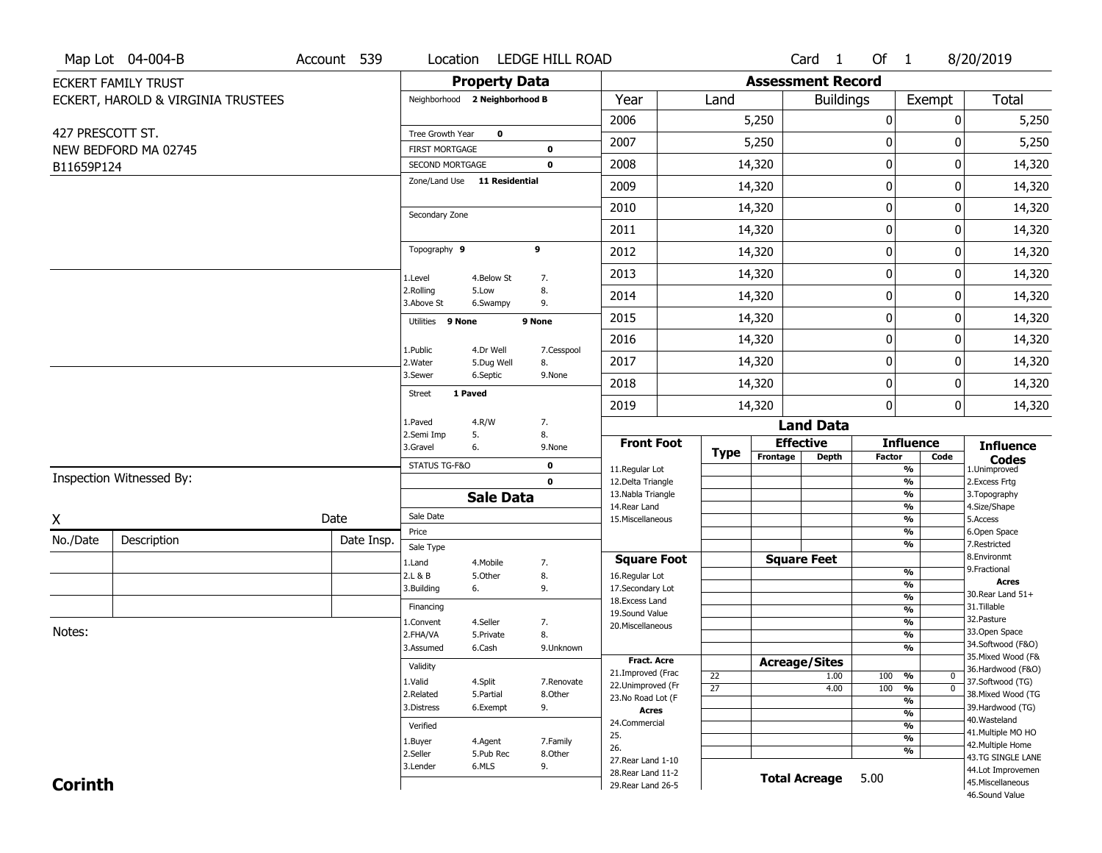|                  | Map Lot 04-004-B                   | Account 539 | Location                                        |                      | LEDGE HILL ROAD |                                         |                       |          | Card <sub>1</sub>        | Of 1          |                                         | 8/20/2019                           |
|------------------|------------------------------------|-------------|-------------------------------------------------|----------------------|-----------------|-----------------------------------------|-----------------------|----------|--------------------------|---------------|-----------------------------------------|-------------------------------------|
|                  | <b>ECKERT FAMILY TRUST</b>         |             |                                                 | <b>Property Data</b> |                 |                                         |                       |          | <b>Assessment Record</b> |               |                                         |                                     |
|                  | ECKERT, HAROLD & VIRGINIA TRUSTEES |             | Neighborhood 2 Neighborhood B                   |                      |                 | Year                                    | Land                  |          | <b>Buildings</b>         |               | Exempt                                  | <b>Total</b>                        |
|                  |                                    |             |                                                 |                      |                 | 2006                                    |                       | 5,250    |                          | 0             | 0                                       | 5,250                               |
| 427 PRESCOTT ST. |                                    |             | Tree Growth Year                                | $\mathbf 0$          |                 | 2007                                    |                       | 5,250    |                          | 0             | 0                                       | 5,250                               |
|                  | NEW BEDFORD MA 02745               |             | <b>FIRST MORTGAGE</b>                           |                      | 0               |                                         |                       |          |                          | 0             | $\mathbf 0$                             |                                     |
| B11659P124       |                                    |             | SECOND MORTGAGE<br>Zone/Land Use 11 Residential |                      | 0               | 2008                                    |                       | 14,320   |                          |               |                                         | 14,320                              |
|                  |                                    |             |                                                 |                      |                 | 2009                                    |                       | 14,320   |                          | 0             | 0                                       | 14,320                              |
|                  |                                    |             | Secondary Zone                                  |                      |                 | 2010                                    |                       | 14,320   |                          | 0             | 0                                       | 14,320                              |
|                  |                                    |             |                                                 |                      |                 | 2011                                    |                       | 14,320   |                          | 0             | 0                                       | 14,320                              |
|                  |                                    |             | Topography 9                                    |                      | 9               | 2012                                    |                       | 14,320   |                          | $\pmb{0}$     | $\Omega$                                | 14,320                              |
|                  |                                    |             | 1.Level                                         | 4.Below St           | 7.              | 2013                                    |                       | 14,320   |                          | $\mathbf 0$   | 0                                       | 14,320                              |
|                  |                                    |             | 2.Rolling<br>3.Above St                         | 5.Low<br>6.Swampy    | 8.<br>9.        | 2014                                    |                       | 14,320   |                          | 0             | 0                                       | 14,320                              |
|                  |                                    |             | Utilities 9 None                                |                      | 9 None          | 2015                                    |                       | 14,320   |                          | 0             | 0                                       | 14,320                              |
|                  |                                    |             | 1.Public                                        | 4.Dr Well            | 7.Cesspool      | 2016                                    |                       | 14,320   |                          | 0             | 0                                       | 14,320                              |
|                  |                                    |             | 2. Water                                        | 5.Dug Well           | 8.              | 2017                                    |                       | 14,320   |                          | 0             | 0                                       | 14,320                              |
|                  |                                    |             | 3.Sewer                                         | 6.Septic             | 9.None          | 2018                                    |                       | 14,320   |                          | 0             | 0                                       | 14,320                              |
|                  |                                    |             | <b>Street</b>                                   | 1 Paved              |                 | 2019                                    |                       | 14,320   |                          | 0             | 0                                       | 14,320                              |
|                  |                                    |             | 1.Paved                                         | 4.R/W                | 7.              |                                         |                       |          | <b>Land Data</b>         |               |                                         |                                     |
|                  |                                    |             | 2.Semi Imp<br>3.Gravel                          | 5.<br>6.             | 8.<br>9.None    | <b>Front Foot</b>                       | <b>Type</b>           |          | <b>Effective</b>         |               | <b>Influence</b>                        | <b>Influence</b>                    |
|                  |                                    |             | STATUS TG-F&O                                   |                      | 0               | 11.Regular Lot                          |                       | Frontage | <b>Depth</b>             | <b>Factor</b> | Code<br>%                               | <b>Codes</b><br>1.Unimproved        |
|                  | Inspection Witnessed By:           |             |                                                 |                      | $\mathbf 0$     | 12.Delta Triangle                       |                       |          |                          |               | $\frac{9}{6}$                           | 2.Excess Frtg                       |
|                  |                                    |             |                                                 | <b>Sale Data</b>     |                 | 13. Nabla Triangle<br>14. Rear Land     |                       |          |                          |               | %<br>%                                  | 3. Topography<br>4.Size/Shape       |
| X                |                                    | Date        | Sale Date                                       |                      |                 | 15. Miscellaneous                       |                       |          |                          |               | $\frac{9}{6}$                           | 5.Access                            |
| No./Date         | Description                        | Date Insp.  | Price                                           |                      |                 |                                         |                       |          |                          |               | $\frac{9}{6}$<br>%                      | 6.Open Space<br>7.Restricted        |
|                  |                                    |             | Sale Type                                       |                      |                 | <b>Square Foot</b>                      |                       |          | <b>Square Feet</b>       |               |                                         | 8.Environmt                         |
|                  |                                    |             | 1.Land<br>2.L & B                               | 4. Mobile<br>5.Other | 7.<br>8.        | 16.Regular Lot                          |                       |          |                          |               | $\frac{9}{6}$                           | 9. Fractional                       |
|                  |                                    |             | 3.Building                                      | 6.                   | 9.              | 17.Secondary Lot                        |                       |          |                          |               | $\frac{9}{6}$<br>$\frac{9}{6}$          | <b>Acres</b><br>30. Rear Land 51+   |
|                  |                                    |             | Financing                                       |                      |                 | 18. Excess Land<br>19.Sound Value       |                       |          |                          |               | $\frac{9}{6}$                           | 31.Tillable                         |
|                  |                                    |             | 1.Convent                                       | 4.Seller             | 7.              | 20.Miscellaneous                        |                       |          |                          |               | $\frac{9}{6}$                           | 32. Pasture                         |
| Notes:           |                                    |             | 2.FHA/VA                                        | 5.Private            | 8.              |                                         |                       |          |                          |               | $\frac{9}{6}$                           | 33.Open Space<br>34.Softwood (F&O)  |
|                  |                                    |             | 3.Assumed                                       | 6.Cash               | 9.Unknown       |                                         |                       |          |                          |               | $\frac{9}{6}$                           | 35. Mixed Wood (F&                  |
|                  |                                    |             | Validity                                        |                      |                 | <b>Fract. Acre</b><br>21.Improved (Frac |                       |          | <b>Acreage/Sites</b>     |               |                                         | 36.Hardwood (F&O)                   |
|                  |                                    |             | 1.Valid                                         | 4.Split              | 7.Renovate      | 22.Unimproved (Fr                       | 22<br>$\overline{27}$ |          | 1.00<br>4.00             | 100<br>100    | %<br>$\mathbf 0$<br>$\overline{0}$<br>% | 37.Softwood (TG)                    |
|                  |                                    |             | 2.Related                                       | 5.Partial            | 8.Other         | 23.No Road Lot (F                       |                       |          |                          |               | $\frac{9}{6}$                           | 38. Mixed Wood (TG                  |
|                  |                                    |             | 3.Distress                                      | 6.Exempt             | 9.              | <b>Acres</b>                            |                       |          |                          |               | $\frac{9}{6}$                           | 39.Hardwood (TG)<br>40. Wasteland   |
|                  |                                    |             | Verified                                        |                      |                 | 24.Commercial                           |                       |          |                          |               | $\frac{9}{6}$                           | 41. Multiple MO HO                  |
|                  |                                    |             | 1.Buyer                                         | 4.Agent              | 7.Family        | 25.<br>26.                              |                       |          |                          |               | $\frac{9}{6}$                           | 42. Multiple Home                   |
|                  |                                    |             | 2.Seller                                        | 5.Pub Rec            | 8.Other         | 27. Rear Land 1-10                      |                       |          |                          |               | $\frac{9}{6}$                           | 43.TG SINGLE LANE                   |
|                  |                                    |             | 3.Lender                                        | 6.MLS                | 9.              | 28. Rear Land 11-2                      |                       |          | <b>Total Acreage</b>     | 5.00          |                                         | 44.Lot Improvemen                   |
| <b>Corinth</b>   |                                    |             |                                                 |                      |                 | 29. Rear Land 26-5                      |                       |          |                          |               |                                         | 45. Miscellaneous<br>46.Sound Value |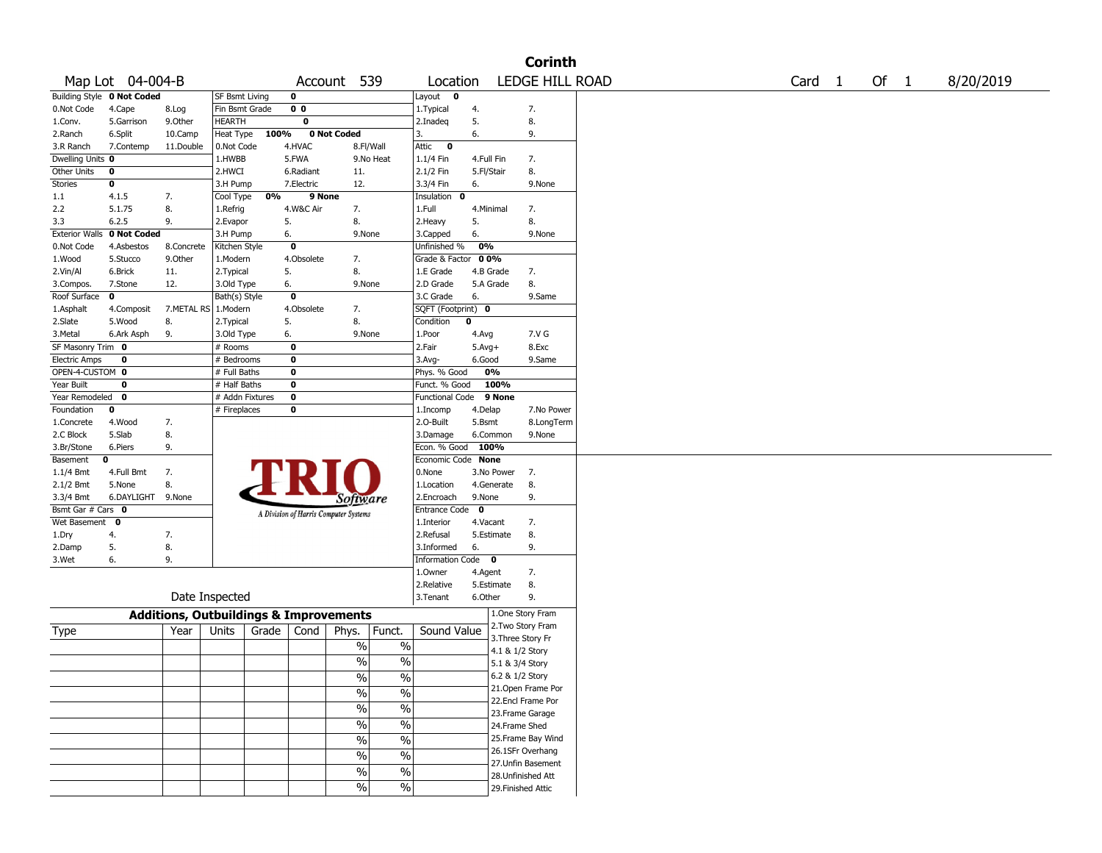|                                         |                            |                                                   |                            |       |                         |                                       |               |                               |              |                    | <b>Corinth</b>     |                   |      |           |
|-----------------------------------------|----------------------------|---------------------------------------------------|----------------------------|-------|-------------------------|---------------------------------------|---------------|-------------------------------|--------------|--------------------|--------------------|-------------------|------|-----------|
|                                         | Map Lot 04-004-B           |                                                   |                            |       | Account                 |                                       | 539           | Location                      |              |                    | LEDGE HILL ROAD    | Card <sub>1</sub> | Of 1 | 8/20/2019 |
|                                         | Building Style 0 Not Coded |                                                   | SF Bsmt Living             |       | 0                       |                                       |               | Layout<br>0                   |              |                    |                    |                   |      |           |
| 0.Not Code                              | 4.Cape                     | 8.Log                                             | Fin Bsmt Grade             |       | 0 <sub>0</sub>          |                                       |               | 1. Typical                    | 4.           |                    | 7.                 |                   |      |           |
| 1.Conv.                                 | 5.Garrison                 | 9.Other                                           | HEARTH                     |       | 0                       |                                       |               | 2.Inadeq                      | 5.           |                    | 8.                 |                   |      |           |
| 2.Ranch                                 | 6.Split                    | 10.Camp                                           | Heat Type                  | 100%  |                         | 0 Not Coded                           |               | 3.                            | 6.           |                    | 9.                 |                   |      |           |
| 3.R Ranch                               | 7.Contemp                  | 11.Double                                         | 0.Not Code                 |       | 4.HVAC                  | 8.Fl/Wall                             |               | Attic<br>$\mathbf 0$          |              |                    |                    |                   |      |           |
| Dwelling Units 0                        |                            |                                                   | 1.HWBB                     |       | 5.FWA                   |                                       | 9.No Heat     | 1.1/4 Fin                     | 4.Full Fin   |                    | 7.                 |                   |      |           |
| Other Units                             | 0                          |                                                   | 2.HWCI                     |       | 6.Radiant               | 11.                                   |               | 2.1/2 Fin                     | 5.Fl/Stair   |                    | 8.                 |                   |      |           |
| <b>Stories</b>                          | 0                          |                                                   | 3.H Pump                   |       | 7.Electric              | 12.                                   |               | 3.3/4 Fin                     | 6.           |                    | 9.None             |                   |      |           |
| 1.1                                     | 4.1.5                      | 7.                                                | Cool Type                  | 0%    | 9 None                  |                                       |               | Insulation<br>0               |              |                    |                    |                   |      |           |
| 2.2                                     | 5.1.75                     | 8.                                                | 1.Refrig                   |       | 4.W&C Air               | 7.                                    |               | 1.Full                        | 4.Minimal    |                    | 7.                 |                   |      |           |
| 3.3                                     | 6.2.5                      | 9.                                                | 2.Evapor                   | 5.    |                         | 8.                                    |               | 2.Heavy                       | 5.           |                    | 8.                 |                   |      |           |
| <b>Exterior Walls</b>                   | 0 Not Coded                |                                                   | 3.H Pump                   | 6.    |                         | 9.None                                |               | 3.Capped                      | 6.           |                    | 9.None             |                   |      |           |
| 0.Not Code                              | 4.Asbestos                 | 8.Concrete                                        | Kitchen Style              |       | 0                       |                                       |               | Unfinished %                  | 0%           |                    |                    |                   |      |           |
| 1.Wood                                  | 5.Stucco                   | 9.0ther                                           | 1.Modern                   |       | 4.Obsolete              | 7.                                    |               | Grade & Factor                | 0 0%         |                    |                    |                   |      |           |
| 2.Vin/Al                                | 6.Brick                    | 11.                                               | 2. Typical                 | 5.    |                         | 8.                                    |               | 1.E Grade                     | 4.B Grade    |                    | 7.                 |                   |      |           |
| 3.Compos.                               | 7.Stone                    | 12.                                               | 3.Old Type                 | 6.    |                         | 9.None                                |               | 2.D Grade                     | 5.A Grade    |                    | 8.                 |                   |      |           |
| Roof Surface                            | $\mathbf{o}$               |                                                   | Bath(s) Style              |       | 0                       |                                       |               | 3.C Grade                     | 6.           |                    | 9.Same             |                   |      |           |
| 1.Asphalt                               | 4.Composit                 | 7.METAL RS 1.Modern                               |                            |       | 4.Obsolete              | 7.                                    |               | SQFT (Footprint) 0            |              |                    |                    |                   |      |           |
| 2.Slate                                 | 5.Wood                     | 8.                                                | 2. Typical                 | 5.    |                         | 8.                                    |               | Condition                     | 0            |                    |                    |                   |      |           |
| 3.Metal                                 | 6.Ark Asph                 | 9.                                                | 3.Old Type                 | 6.    | 0                       | 9.None                                |               | 1.Poor                        | 4.Avg        |                    | 7.V G              |                   |      |           |
| SF Masonry Trim 0                       | 0                          |                                                   | # Rooms                    |       | 0                       |                                       |               | 2.Fair                        | $5.$ Avg $+$ |                    | 8.Exc              |                   |      |           |
| <b>Electric Amps</b><br>OPEN-4-CUSTOM 0 |                            |                                                   | # Bedrooms<br># Full Baths |       | 0                       |                                       |               | 3.Avg-                        | 6.Good<br>0% |                    | 9.Same             |                   |      |           |
| Year Built                              | 0                          |                                                   | # Half Baths               |       | 0                       |                                       |               | Phys. % Good<br>Funct. % Good |              | 100%               |                    |                   |      |           |
| Year Remodeled                          | 0                          |                                                   | # Addn Fixtures            |       | $\overline{\mathbf{0}}$ |                                       |               | <b>Functional Code</b>        |              | 9 None             |                    |                   |      |           |
| Foundation                              | 0                          |                                                   | # Fireplaces               |       | 0                       |                                       |               | 1.Incomp                      | 4.Delap      |                    | 7.No Power         |                   |      |           |
| 1.Concrete                              | 4.Wood                     | 7.                                                |                            |       |                         |                                       |               | 2.0-Built                     | 5.Bsmt       |                    | 8.LongTerm         |                   |      |           |
| 2.C Block                               | 5.Slab                     | 8.                                                |                            |       |                         |                                       |               | 3.Damage                      | 6.Common     |                    | 9.None             |                   |      |           |
| 3.Br/Stone                              | 6.Piers                    | 9.                                                |                            |       |                         |                                       |               | Econ. % Good 100%             |              |                    |                    |                   |      |           |
| Basement                                | 0                          |                                                   |                            |       |                         |                                       |               | Economic Code None            |              |                    |                    |                   |      |           |
| 1.1/4 Bmt                               | 4.Full Bmt                 | 7.                                                |                            |       |                         |                                       |               | 0.None                        |              | 3.No Power         | 7.                 |                   |      |           |
| 2.1/2 Bmt                               | 5.None                     | 8.                                                |                            |       |                         |                                       |               | 1.Location                    |              | 4.Generate         | 8.                 |                   |      |           |
| 3.3/4 Bmt                               | 6.DAYLIGHT                 | 9.None                                            |                            |       |                         | Software                              |               | 2.Encroach                    | 9.None       |                    | 9.                 |                   |      |           |
| Bsmt Gar # Cars 0                       |                            |                                                   |                            |       |                         |                                       |               | Entrance Code                 | $\bf{0}$     |                    |                    |                   |      |           |
| Wet Basement                            | 0                          |                                                   |                            |       |                         | A Division of Harris Computer Systems |               | 1.Interior                    | 4.Vacant     |                    | 7.                 |                   |      |           |
| 1.Dry                                   | 4.                         | 7.                                                |                            |       |                         |                                       |               | 2.Refusal                     |              | 5.Estimate         | 8.                 |                   |      |           |
| 2.Damp                                  | 5.                         | 8.                                                |                            |       |                         |                                       |               | 3.Informed                    | 6.           |                    | 9.                 |                   |      |           |
| 3.Wet                                   | 6.                         | 9.                                                |                            |       |                         |                                       |               | Information Code 0            |              |                    |                    |                   |      |           |
|                                         |                            |                                                   |                            |       |                         |                                       |               | 1.Owner                       | 4.Agent      |                    | 7.                 |                   |      |           |
|                                         |                            |                                                   |                            |       |                         |                                       |               | 2.Relative                    |              | 5.Estimate         | 8.                 |                   |      |           |
|                                         |                            | Date Inspected                                    |                            |       |                         |                                       |               | 3.Tenant                      | 6.Other      |                    | 9.                 |                   |      |           |
|                                         |                            | <b>Additions, Outbuildings &amp; Improvements</b> |                            |       |                         |                                       |               |                               |              | 1.One Story Fram   |                    |                   |      |           |
| Type                                    |                            | Year                                              | Units                      | Grade | Cond                    | Phys.                                 | Funct.        | Sound Value                   |              | 2.Two Story Fram   |                    |                   |      |           |
|                                         |                            |                                                   |                            |       |                         | $\%$                                  | $\%$          |                               |              | 3. Three Story Fr  |                    |                   |      |           |
|                                         |                            |                                                   |                            |       |                         |                                       |               |                               |              | 4.1 & 1/2 Story    |                    |                   |      |           |
|                                         |                            |                                                   |                            |       |                         | %                                     | $\%$          |                               |              | 5.1 & 3/4 Story    |                    |                   |      |           |
|                                         |                            |                                                   |                            |       |                         | $\frac{1}{2}$                         | %             |                               |              | 6.2 & 1/2 Story    |                    |                   |      |           |
|                                         |                            |                                                   |                            |       |                         | $\frac{1}{2}$                         | $\frac{1}{2}$ |                               |              |                    | 21.Open Frame Por  |                   |      |           |
|                                         |                            |                                                   |                            |       |                         | $\frac{1}{2}$                         | $\frac{0}{6}$ |                               |              | 22.Encl Frame Por  |                    |                   |      |           |
|                                         |                            |                                                   |                            |       |                         | $\frac{1}{2}$                         | $\frac{0}{6}$ |                               |              | 23. Frame Garage   |                    |                   |      |           |
|                                         |                            |                                                   |                            |       |                         |                                       |               |                               |              | 24.Frame Shed      |                    |                   |      |           |
|                                         |                            |                                                   |                            |       |                         | $\frac{0}{6}$                         | $\frac{0}{6}$ |                               |              |                    | 25. Frame Bay Wind |                   |      |           |
|                                         |                            |                                                   |                            |       |                         | $\frac{1}{2}$                         | $\frac{0}{6}$ |                               |              | 26.1SFr Overhang   |                    |                   |      |           |
|                                         |                            |                                                   |                            |       |                         | $\frac{0}{0}$                         | $\frac{1}{2}$ |                               |              |                    | 27.Unfin Basement  |                   |      |           |
|                                         |                            |                                                   |                            |       |                         | $\frac{0}{0}$                         | $\frac{1}{2}$ |                               |              | 28.Unfinished Att  |                    |                   |      |           |
|                                         |                            |                                                   |                            |       |                         |                                       |               |                               |              | 29. Finished Attic |                    |                   |      |           |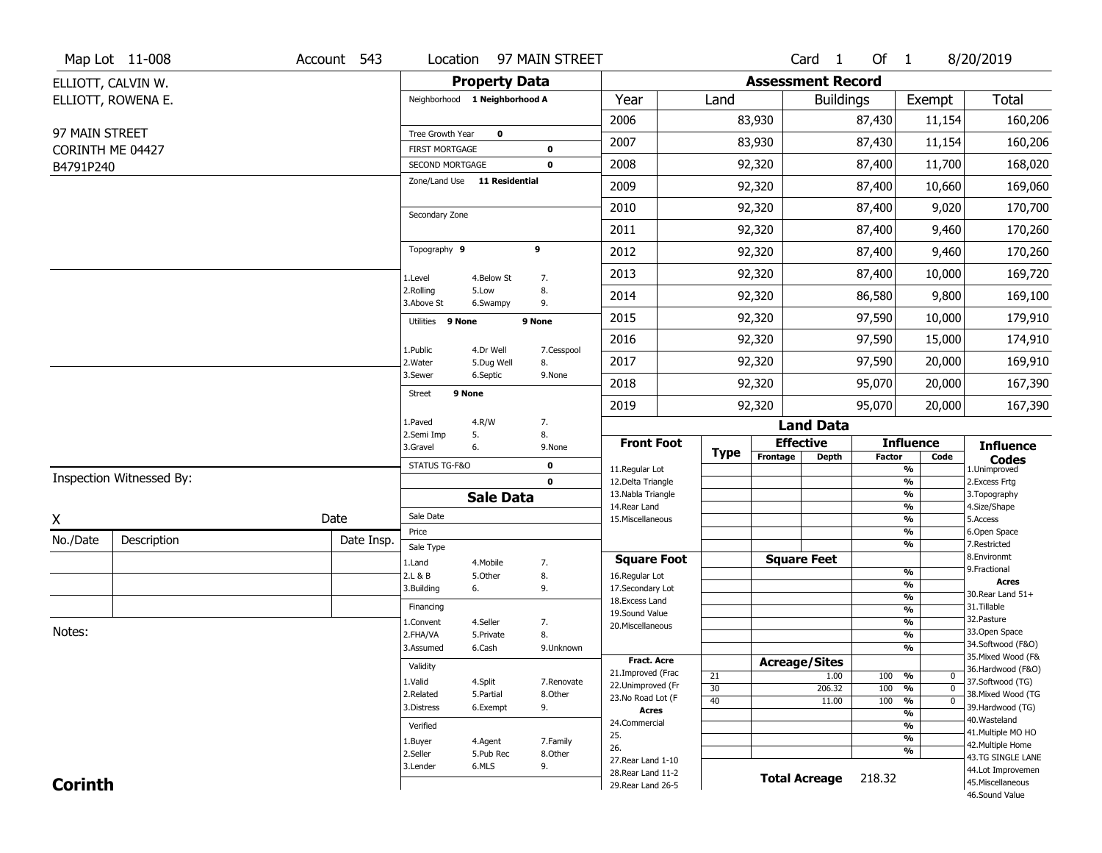|                  | Map Lot 11-008           | Account 543 | Location                                 |                         | 97 MAIN STREET             |                                          |          |                          | Card <sub>1</sub> | Of 1          |                                      | 8/20/2019                               |
|------------------|--------------------------|-------------|------------------------------------------|-------------------------|----------------------------|------------------------------------------|----------|--------------------------|-------------------|---------------|--------------------------------------|-----------------------------------------|
|                  | ELLIOTT, CALVIN W.       |             |                                          | <b>Property Data</b>    |                            |                                          |          | <b>Assessment Record</b> |                   |               |                                      |                                         |
|                  | ELLIOTT, ROWENA E.       |             | Neighborhood 1 Neighborhood A            |                         |                            | Year                                     | Land     |                          | <b>Buildings</b>  |               | Exempt                               | Total                                   |
|                  |                          |             |                                          |                         |                            | 2006                                     |          | 83,930                   |                   | 87,430        | 11,154                               | 160,206                                 |
| 97 MAIN STREET   |                          |             | Tree Growth Year                         | $\mathbf 0$             |                            | 2007                                     |          | 83,930                   |                   | 87,430        | 11,154                               | 160,206                                 |
| CORINTH ME 04427 |                          |             | <b>FIRST MORTGAGE</b><br>SECOND MORTGAGE |                         | $\mathbf 0$<br>$\mathbf 0$ | 2008                                     |          | 92,320                   |                   | 87,400        | 11,700                               | 168,020                                 |
| B4791P240        |                          |             | Zone/Land Use 11 Residential             |                         |                            |                                          |          |                          |                   |               |                                      |                                         |
|                  |                          |             |                                          |                         |                            | 2009                                     |          | 92,320                   |                   | 87,400        | 10,660                               | 169,060                                 |
|                  |                          |             | Secondary Zone                           |                         |                            | 2010                                     |          | 92,320                   |                   | 87,400        | 9,020                                | 170,700                                 |
|                  |                          |             |                                          |                         |                            | 2011                                     |          | 92,320                   |                   | 87,400        | 9,460                                | 170,260                                 |
|                  |                          |             | Topography 9                             |                         | 9                          | 2012                                     |          | 92,320                   |                   | 87,400        | 9,460                                | 170,260                                 |
|                  |                          |             | 1.Level                                  | 4.Below St              | 7.                         | 2013                                     |          | 92,320                   |                   | 87,400        | 10,000                               | 169,720                                 |
|                  |                          |             | 2.Rolling<br>3.Above St                  | 5.Low<br>6.Swampy       | 8.<br>9.                   | 2014                                     |          | 92,320                   |                   | 86,580        | 9,800                                | 169,100                                 |
|                  |                          |             | Utilities 9 None                         |                         | 9 None                     | 2015                                     |          | 92,320                   |                   | 97,590        | 10,000                               | 179,910                                 |
|                  |                          |             |                                          |                         |                            | 2016                                     |          | 92,320                   |                   | 97,590        | 15,000                               | 174,910                                 |
|                  |                          |             | 1.Public<br>2. Water                     | 4.Dr Well<br>5.Dug Well | 7.Cesspool<br>8.           | 2017                                     |          | 92,320                   |                   | 97,590        | 20,000                               | 169,910                                 |
|                  |                          |             | 3.Sewer                                  | 6.Septic                | 9.None                     | 2018                                     |          | 92,320                   |                   | 95,070        | 20,000                               | 167,390                                 |
|                  |                          |             | 9 None<br><b>Street</b>                  |                         |                            | 2019                                     |          | 92,320                   |                   | 95,070        | 20,000                               | 167,390                                 |
|                  |                          |             | 1.Paved                                  | 4.R/W                   | 7.                         |                                          |          |                          | <b>Land Data</b>  |               |                                      |                                         |
|                  |                          |             | 2.Semi Imp<br>3.Gravel                   | 5.<br>6.                | 8.<br>9.None               | <b>Front Foot</b>                        |          | <b>Effective</b>         |                   |               | <b>Influence</b>                     | <b>Influence</b>                        |
|                  |                          |             | STATUS TG-F&O                            |                         | $\mathbf 0$                | 11.Regular Lot                           | Type     | Frontage                 | <b>Depth</b>      | <b>Factor</b> | Code<br>$\overline{\frac{9}{6}}$     | <b>Codes</b><br>1.Unimproved            |
|                  | Inspection Witnessed By: |             |                                          |                         | $\mathbf 0$                | 12.Delta Triangle                        |          |                          |                   |               | $\frac{9}{6}$                        | 2.Excess Frtg                           |
|                  |                          |             |                                          | <b>Sale Data</b>        |                            | 13. Nabla Triangle<br>14. Rear Land      |          |                          |                   |               | $\frac{9}{6}$<br>$\frac{9}{6}$       | 3. Topography<br>4.Size/Shape           |
| Χ                |                          | Date        | Sale Date                                |                         |                            | 15. Miscellaneous                        |          |                          |                   |               | $\frac{9}{6}$                        | 5.Access                                |
| No./Date         | Description              | Date Insp.  | Price                                    |                         |                            |                                          |          |                          |                   |               | %                                    | 6.Open Space                            |
|                  |                          |             | Sale Type                                |                         |                            | <b>Square Foot</b>                       |          | <b>Square Feet</b>       |                   |               | %                                    | 7.Restricted<br>8.Environmt             |
|                  |                          |             | 1.Land<br>2.L & B                        | 4. Mobile<br>5.Other    | 7.<br>8.                   | 16.Regular Lot                           |          |                          |                   |               | $\frac{9}{6}$                        | 9. Fractional                           |
|                  |                          |             | 3.Building                               | 6.                      | 9.                         | 17.Secondary Lot                         |          |                          |                   |               | %                                    | <b>Acres</b><br>30. Rear Land 51+       |
|                  |                          |             | Financing                                |                         |                            | 18. Excess Land                          |          |                          |                   |               | $\frac{9}{6}$<br>$\frac{9}{6}$       | 31.Tillable                             |
|                  |                          |             | 1.Convent                                | 4.Seller                | 7.                         | 19.Sound Value<br>20.Miscellaneous       |          |                          |                   |               | $\frac{9}{6}$                        | 32.Pasture                              |
| Notes:           |                          |             | 2.FHA/VA                                 | 5.Private               | 8.                         |                                          |          |                          |                   |               | $\frac{9}{6}$                        | 33.Open Space                           |
|                  |                          |             | 3.Assumed                                | 6.Cash                  | 9.Unknown                  |                                          |          |                          |                   |               | %                                    | 34.Softwood (F&O)<br>35. Mixed Wood (F& |
|                  |                          |             | Validity                                 |                         |                            | <b>Fract. Acre</b>                       |          | <b>Acreage/Sites</b>     |                   |               |                                      | 36.Hardwood (F&O)                       |
|                  |                          |             | 1.Valid                                  | 4.Split                 | 7.Renovate                 | 21.Improved (Frac<br>22.Unimproved (Fr   | 21       |                          | 1.00              | 100           | %<br>$\mathbf{0}$<br>$\overline{0}$  | 37.Softwood (TG)                        |
|                  |                          |             | 2.Related                                | 5.Partial               | 8.Other                    | 23.No Road Lot (F                        | 30<br>40 |                          | 206.32<br>11.00   | 100<br>100    | %<br>$\frac{9}{6}$<br>$\overline{0}$ | 38. Mixed Wood (TG                      |
|                  |                          |             | 3.Distress                               | 6.Exempt                | 9.                         | <b>Acres</b>                             |          |                          |                   |               | %                                    | 39.Hardwood (TG)                        |
|                  |                          |             | Verified                                 |                         |                            | 24.Commercial                            |          |                          |                   |               | %                                    | 40. Wasteland<br>41. Multiple MO HO     |
|                  |                          |             |                                          |                         |                            |                                          |          |                          |                   |               |                                      |                                         |
|                  |                          |             | 1.Buyer                                  | 4.Agent                 | 7.Family                   | 25.                                      |          |                          |                   |               | $\overline{\frac{9}{6}}$             |                                         |
|                  |                          |             | 2.Seller                                 | 5.Pub Rec               | 8.Other                    | 26.                                      |          |                          |                   |               | %                                    | 42. Multiple Home<br>43.TG SINGLE LANE  |
| <b>Corinth</b>   |                          |             | 3.Lender                                 | 6.MLS                   | 9.                         | 27. Rear Land 1-10<br>28. Rear Land 11-2 |          | <b>Total Acreage</b>     |                   | 218.32        |                                      | 44.Lot Improvemen<br>45. Miscellaneous  |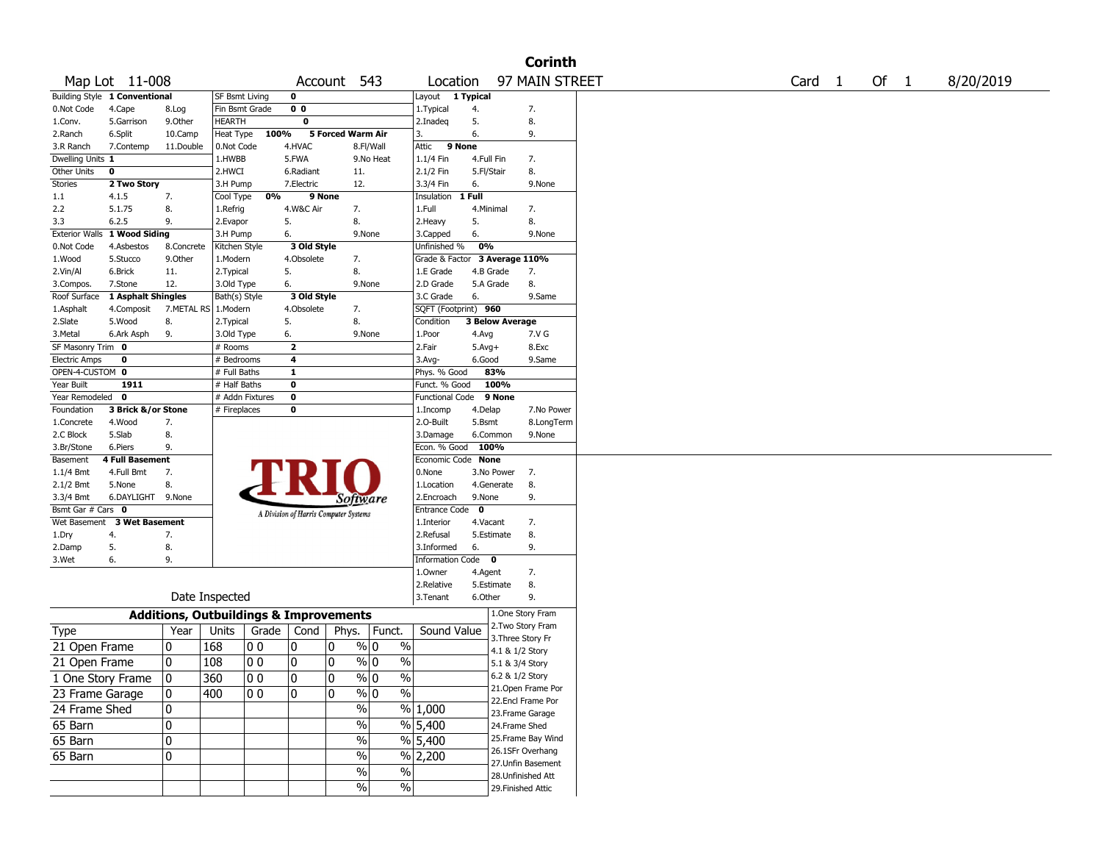|                               |                             |                |                                                   |                |                |                                       |               |                          |              | <b>Corinth</b>                        |        |  |        |           |
|-------------------------------|-----------------------------|----------------|---------------------------------------------------|----------------|----------------|---------------------------------------|---------------|--------------------------|--------------|---------------------------------------|--------|--|--------|-----------|
| Map Lot 11-008                |                             |                |                                                   |                |                | Account 543                           |               | Location                 |              | 97 MAIN STREET                        | Card 1 |  | Of $1$ | 8/20/2019 |
| Building Style 1 Conventional |                             |                | SF Bsmt Living                                    |                | 0              |                                       |               | Layout 1 Typical         |              |                                       |        |  |        |           |
| 0.Not Code                    | 4.Cape                      | 8.Log          | Fin Bsmt Grade                                    |                | 0 <sub>0</sub> |                                       |               | 1. Typical               | 4.           | 7.                                    |        |  |        |           |
| 1.Conv.                       | 5.Garrison                  | 9.Other        | HEARTH                                            |                | $\mathbf 0$    |                                       |               | 2.Inadeq                 | 5.           | 8.                                    |        |  |        |           |
| 2.Ranch                       | 6.Split                     | 10.Camp        | Heat Type                                         | 100%           |                | 5 Forced Warm Air                     |               | 3.                       | 6.           | 9.                                    |        |  |        |           |
| 3.R Ranch                     | 7.Contemp                   | 11.Double      | 0.Not Code                                        |                | 4.HVAC         |                                       | 8.Fl/Wall     | Attic 9 None             |              |                                       |        |  |        |           |
| Dwelling Units 1              |                             |                | 1.HWBB                                            |                | 5.FWA          |                                       | 9.No Heat     | 1.1/4 Fin                | 4.Full Fin   | 7.                                    |        |  |        |           |
| Other Units<br>0              |                             |                | 2.HWCI                                            |                | 6.Radiant      | 11.                                   |               | 2.1/2 Fin                | 5.Fl/Stair   | 8.                                    |        |  |        |           |
| <b>Stories</b>                | 2 Two Story                 |                | 3.H Pump                                          |                | 7.Electric     | 12.                                   |               | 3.3/4 Fin                | 6.           | 9.None                                |        |  |        |           |
| 1.1                           | 4.1.5                       | 7.             | Cool Type                                         | 0%             | 9 None         |                                       |               | Insulation               | 1 Full       |                                       |        |  |        |           |
| 2.2                           | 5.1.75<br>6.2.5             | 8.             | 1.Refrig                                          |                | 4.W&C Air      | 7.                                    |               | 1.Full                   | 4.Minimal    | 7.                                    |        |  |        |           |
| 3.3<br><b>Exterior Walls</b>  | 1 Wood Siding               | 9.             | 2.Evapor<br>3.H Pump                              |                | 5.<br>6.       | 8.<br>9.None                          |               | 2.Heavy<br>3.Capped      | 5.<br>6.     | 8.<br>9.None                          |        |  |        |           |
| 0.Not Code                    | 4.Asbestos                  | 8.Concrete     | Kitchen Style                                     |                | 3 Old Style    |                                       |               | Unfinished %             | 0%           |                                       |        |  |        |           |
| 1.Wood                        | 5.Stucco                    | 9.0ther        | 1.Modern                                          |                | 4.Obsolete     | 7.                                    |               | Grade & Factor           |              | 3 Average 110%                        |        |  |        |           |
| 2.Vin/Al                      | 6.Brick                     | 11.            | 2. Typical                                        |                | 5.             | 8.                                    |               | 1.E Grade                |              | 4.B Grade<br>7.                       |        |  |        |           |
| 3.Compos.                     | 7.Stone                     | 12.            | 3.Old Type                                        |                | 6.             | 9.None                                |               | 2.D Grade                | 5.A Grade    | 8.                                    |        |  |        |           |
| Roof Surface                  | 1 Asphalt Shingles          |                | Bath(s) Style                                     |                | 3 Old Style    |                                       |               | 3.C Grade                | 6.           | 9.Same                                |        |  |        |           |
| 1.Asphalt                     | 4.Composit                  | 7.METAL RS     | 1.Modern                                          |                | 4.Obsolete     | 7.                                    |               | SQFT (Footprint) 960     |              |                                       |        |  |        |           |
| 2.Slate                       | 5.Wood                      | 8.             | 2. Typical                                        |                | 5.             | 8.                                    |               | Condition                |              | <b>3 Below Average</b>                |        |  |        |           |
| 3.Metal                       | 6.Ark Asph                  | 9.             | 3.Old Type                                        |                | 6.             | 9.None                                |               | 1.Poor                   | 4.Avg        | 7.V G                                 |        |  |        |           |
| SF Masonry Trim 0             |                             |                | # Rooms                                           |                | $\mathbf{z}$   |                                       |               | 2.Fair                   | $5.$ Avg $+$ | 8.Exc                                 |        |  |        |           |
| <b>Electric Amps</b>          | 0                           |                | # Bedrooms                                        |                | 4              |                                       |               | 3.Avg-                   | 6.Good       | 9.Same                                |        |  |        |           |
| OPEN-4-CUSTOM 0               |                             |                | # Full Baths                                      |                | 1              |                                       |               | Phys. % Good             |              | 83%                                   |        |  |        |           |
| Year Built                    | 1911                        |                | # Half Baths                                      |                | 0              |                                       |               | Funct. % Good            |              | 100%                                  |        |  |        |           |
| Year Remodeled 0              |                             |                | # Addn Fixtures                                   |                | $\mathbf 0$    |                                       |               | <b>Functional Code</b>   |              | 9 None                                |        |  |        |           |
| Foundation                    | 3 Brick &/or Stone          |                | # Fireplaces                                      |                | 0              |                                       |               | 1.Incomp                 | 4.Delap      | 7.No Power                            |        |  |        |           |
| 1.Concrete                    | 4.Wood                      | 7.             |                                                   |                |                |                                       |               | 2.O-Built                | 5.Bsmt       | 8.LongTerm                            |        |  |        |           |
| 2.C Block                     | 5.Slab                      | 8.             |                                                   |                |                |                                       |               | 3.Damage                 |              | 6.Common<br>9.None                    |        |  |        |           |
| 3.Br/Stone                    | 6.Piers                     | 9.             |                                                   |                |                |                                       |               | Econ. % Good             | 100%         |                                       |        |  |        |           |
| Basement                      | <b>4 Full Basement</b>      |                |                                                   |                |                |                                       |               | Economic Code            | <b>None</b>  |                                       |        |  |        |           |
| 1.1/4 Bmt                     | 4.Full Bmt                  | 7.<br>8.       |                                                   |                |                |                                       |               | 0.None                   |              | 3.No Power<br>7.                      |        |  |        |           |
| 2.1/2 Bmt<br>3.3/4 Bmt        | 5.None<br>6.DAYLIGHT 9.None |                |                                                   |                |                |                                       |               | 1.Location<br>2.Encroach | 9.None       | 4.Generate<br>8.<br>9.                |        |  |        |           |
| Bsmt Gar # Cars 0             |                             |                |                                                   |                |                | Software                              |               | Entrance Code            | 0            |                                       |        |  |        |           |
| Wet Basement                  | <b>3 Wet Basement</b>       |                |                                                   |                |                | A Division of Harris Computer Systems |               | 1.Interior               | 4.Vacant     | 7.                                    |        |  |        |           |
| 1.Dry<br>4.                   |                             | 7.             |                                                   |                |                |                                       |               | 2.Refusal                |              | 5.Estimate<br>8.                      |        |  |        |           |
| 2.Damp<br>5.                  |                             | 8.             |                                                   |                |                |                                       |               | 3.Informed               | 6.           | 9.                                    |        |  |        |           |
| 3.Wet<br>6.                   |                             | 9.             |                                                   |                |                |                                       |               | <b>Information Code</b>  |              | $\mathbf 0$                           |        |  |        |           |
|                               |                             |                |                                                   |                |                |                                       |               | 1.0wner                  | 4.Agent      | 7.                                    |        |  |        |           |
|                               |                             |                |                                                   |                |                |                                       |               | 2.Relative               |              | 5.Estimate<br>8.                      |        |  |        |           |
|                               |                             |                | Date Inspected                                    |                |                |                                       |               | 3.Tenant                 | 6.Other      | 9.                                    |        |  |        |           |
|                               |                             |                | <b>Additions, Outbuildings &amp; Improvements</b> |                |                |                                       |               |                          |              | 1.One Story Fram                      |        |  |        |           |
| Type                          |                             | Year           | Units                                             | Grade   Cond   |                | Phys.                                 | Funct.        | Sound Value              |              | 2. Two Story Fram                     |        |  |        |           |
| 21 Open Frame                 |                             | 10             | 168                                               | 0 <sub>0</sub> | 10             | 0<br>% 0                              | $\frac{0}{0}$ |                          |              | 3. Three Story Fr                     |        |  |        |           |
|                               |                             |                |                                                   |                |                |                                       |               |                          |              | 4.1 & 1/2 Story                       |        |  |        |           |
| 21 Open Frame                 |                             | 0              | 108                                               | 0 <sub>0</sub> | 0              | $\frac{9}{0}$ 0<br>0                  | $\%$          |                          |              | 5.1 & 3/4 Story                       |        |  |        |           |
| 1 One Story Frame             |                             | $\overline{0}$ | 360                                               | $ 00\rangle$   | $ 0\rangle$    | 0<br>$\frac{9}{0}$                    | $\frac{9}{6}$ |                          |              | 6.2 & 1/2 Story                       |        |  |        |           |
| 23 Frame Garage               |                             | 10             | 400                                               | 10 0           | 10             | 0<br>% 0                              | %             |                          |              | 21. Open Frame Por                    |        |  |        |           |
| 24 Frame Shed                 |                             | 10             |                                                   |                |                | $\%$                                  |               | % 1,000                  |              | 22.Encl Frame Por                     |        |  |        |           |
|                               |                             |                |                                                   |                |                | $\frac{0}{0}$                         |               |                          |              | 23. Frame Garage                      |        |  |        |           |
| 65 Barn                       |                             | 0              |                                                   |                |                |                                       |               | % 5,400                  |              | 24.Frame Shed                         |        |  |        |           |
| 65 Barn                       |                             | 0              |                                                   |                |                | $\frac{0}{0}$                         |               | $\%$ 5,400               |              | 25. Frame Bay Wind                    |        |  |        |           |
| 65 Barn                       |                             | 0              |                                                   |                |                | $\frac{0}{0}$                         |               | $%$ 2,200                |              | 26.1SFr Overhang<br>27.Unfin Basement |        |  |        |           |
|                               |                             |                |                                                   |                |                | $\sqrt{6}$                            | $\frac{1}{2}$ |                          |              | 28. Unfinished Att                    |        |  |        |           |
|                               |                             |                |                                                   |                |                | $\frac{1}{2}$                         | $\%$          |                          |              | 29. Finished Attic                    |        |  |        |           |
|                               |                             |                |                                                   |                |                |                                       |               |                          |              |                                       |        |  |        |           |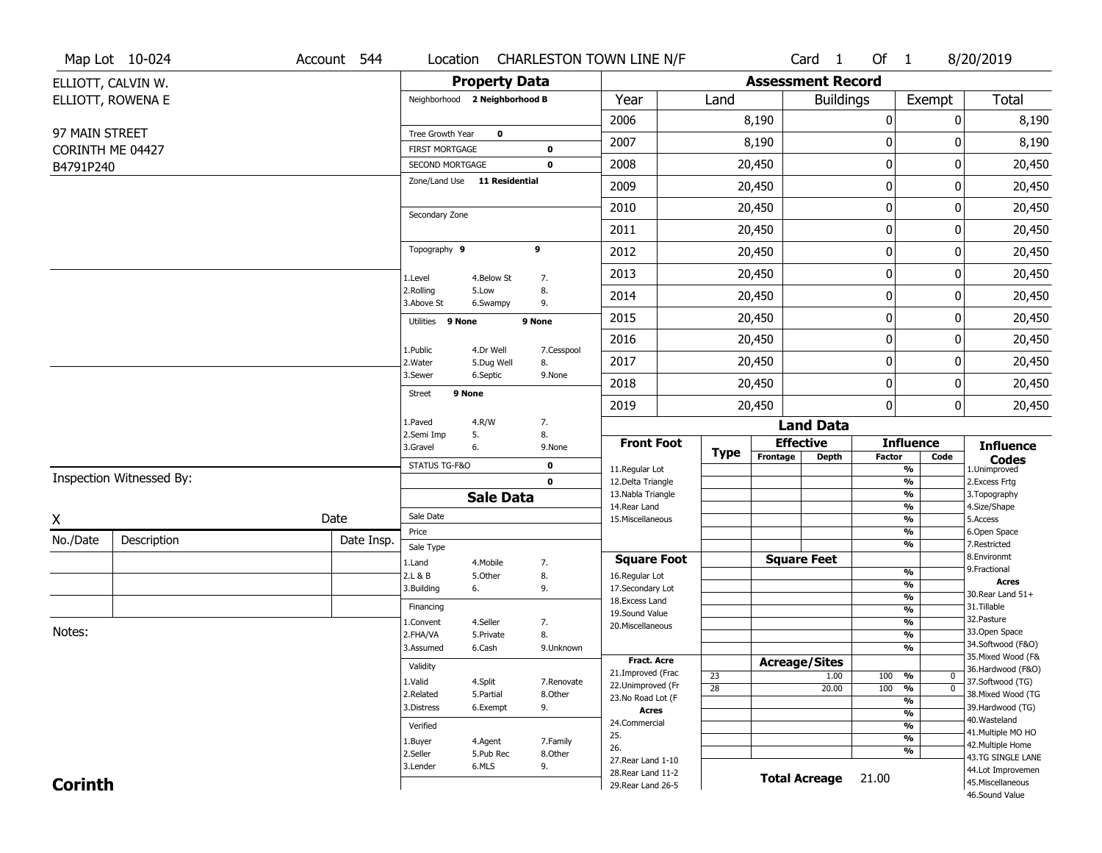|                  | Map Lot 10-024           | Account 544 |                               |                              |                  | Location CHARLESTON TOWN LINE N/F        |                 |                          | Card <sub>1</sub> | Of 1          |                                                             | 8/20/2019                               |
|------------------|--------------------------|-------------|-------------------------------|------------------------------|------------------|------------------------------------------|-----------------|--------------------------|-------------------|---------------|-------------------------------------------------------------|-----------------------------------------|
|                  | ELLIOTT, CALVIN W.       |             |                               | <b>Property Data</b>         |                  |                                          |                 | <b>Assessment Record</b> |                   |               |                                                             |                                         |
|                  | ELLIOTT, ROWENA E        |             | Neighborhood 2 Neighborhood B |                              |                  | Year                                     | Land            |                          | <b>Buildings</b>  |               | Exempt                                                      | <b>Total</b>                            |
|                  |                          |             |                               |                              |                  | 2006                                     |                 | 8,190                    |                   | 0             | $\mathbf{0}$                                                | 8,190                                   |
| 97 MAIN STREET   |                          |             | Tree Growth Year              | $\mathbf 0$                  |                  | 2007                                     |                 | 8,190                    |                   | 0             | 0                                                           | 8,190                                   |
| CORINTH ME 04427 |                          |             | <b>FIRST MORTGAGE</b>         |                              | $\mathbf 0$      |                                          |                 |                          |                   |               |                                                             |                                         |
| B4791P240        |                          |             | SECOND MORTGAGE               | Zone/Land Use 11 Residential | $\mathbf 0$      | 2008                                     |                 | 20,450                   |                   | $\pmb{0}$     | 0                                                           | 20,450                                  |
|                  |                          |             |                               |                              |                  | 2009                                     |                 | 20,450                   |                   | $\bf{0}$      | 0                                                           | 20,450                                  |
|                  |                          |             | Secondary Zone                |                              |                  | 2010                                     |                 | 20,450                   |                   | $\mathbf 0$   | 0                                                           | 20,450                                  |
|                  |                          |             |                               |                              |                  | 2011                                     |                 | 20,450                   |                   | $\bf{0}$      | 0                                                           | 20,450                                  |
|                  |                          |             | Topography 9                  |                              | 9                | 2012                                     |                 | 20,450                   |                   | $\mathbf 0$   | 0                                                           | 20,450                                  |
|                  |                          |             | 1.Level                       | 4.Below St                   | 7.               | 2013                                     |                 | 20,450                   |                   | 0             | 0                                                           | 20,450                                  |
|                  |                          |             | 2.Rolling<br>3.Above St       | 5.Low<br>6.Swampy            | 8.<br>9.         | 2014                                     |                 | 20,450                   |                   | $\mathbf 0$   | 0                                                           | 20,450                                  |
|                  |                          |             | Utilities 9 None              |                              | 9 None           | 2015                                     |                 | 20,450                   |                   | $\bf{0}$      | 0                                                           | 20,450                                  |
|                  |                          |             |                               |                              |                  | 2016                                     |                 | 20,450                   |                   | $\pmb{0}$     | 0                                                           | 20,450                                  |
|                  |                          |             | 1.Public<br>2.Water           | 4.Dr Well<br>5.Dug Well      | 7.Cesspool<br>8. | 2017                                     |                 | 20,450                   |                   | $\bf{0}$      | 0                                                           | 20,450                                  |
|                  |                          |             | 3.Sewer                       | 6.Septic                     | 9.None           | 2018                                     |                 | 20,450                   |                   | $\mathbf 0$   | 0                                                           | 20,450                                  |
|                  |                          |             | 9 None<br><b>Street</b>       |                              |                  | 2019                                     |                 | 20,450                   |                   | $\mathbf{0}$  | 0                                                           | 20,450                                  |
|                  |                          |             | 1.Paved                       | 4.R/W                        | 7.               |                                          |                 |                          | <b>Land Data</b>  |               |                                                             |                                         |
|                  |                          |             | 2.Semi Imp<br>3.Gravel        | 5.<br>6.                     | 8.<br>9.None     | <b>Front Foot</b>                        |                 | <b>Effective</b>         |                   |               | <b>Influence</b>                                            | <b>Influence</b>                        |
|                  |                          |             | STATUS TG-F&O                 |                              | $\mathbf 0$      | 11.Regular Lot                           | <b>Type</b>     | Frontage                 | <b>Depth</b>      | <b>Factor</b> | Code<br>$\frac{9}{6}$                                       | <b>Codes</b><br>1.Unimproved            |
|                  | Inspection Witnessed By: |             |                               |                              | $\mathbf 0$      | 12.Delta Triangle                        |                 |                          |                   |               | $\frac{9}{6}$                                               | 2.Excess Frtg                           |
|                  |                          |             |                               | <b>Sale Data</b>             |                  | 13. Nabla Triangle<br>14. Rear Land      |                 |                          |                   |               | $\frac{9}{6}$<br>$\frac{9}{6}$                              | 3. Topography<br>4.Size/Shape           |
| X                |                          | Date        | Sale Date                     |                              |                  | 15. Miscellaneous                        |                 |                          |                   |               | $\frac{9}{6}$                                               | 5.Access                                |
| No./Date         | Description              | Date Insp.  | Price                         |                              |                  |                                          |                 |                          |                   |               | $\frac{9}{6}$                                               | 6.Open Space                            |
|                  |                          |             | Sale Type                     |                              |                  | <b>Square Foot</b>                       |                 | <b>Square Feet</b>       |                   |               | $\frac{9}{6}$                                               | 7.Restricted<br>8.Environmt             |
|                  |                          |             | 1.Land<br>2.L & B             | 4. Mobile<br>5.Other         | 7.<br>8.         | 16.Regular Lot                           |                 |                          |                   |               | %                                                           | 9. Fractional                           |
|                  |                          |             | 3.Building                    | 6.                           | 9.               | 17.Secondary Lot                         |                 |                          |                   |               | %                                                           | <b>Acres</b><br>30. Rear Land 51+       |
|                  |                          |             | Financing                     |                              |                  | 18.Excess Land                           |                 |                          |                   |               | $\frac{9}{6}$<br>$\overline{\frac{9}{6}}$                   | 31.Tillable                             |
|                  |                          |             | 1.Convent                     | 4.Seller                     | 7.               | 19.Sound Value<br>20.Miscellaneous       |                 |                          |                   |               | $\frac{9}{6}$                                               | 32. Pasture                             |
| Notes:           |                          |             | 2.FHA/VA                      | 5.Private                    | 8.               |                                          |                 |                          |                   |               | $\overline{\frac{9}{6}}$                                    | 33.Open Space                           |
|                  |                          |             | 3.Assumed                     | 6.Cash                       | 9.Unknown        |                                          |                 |                          |                   |               | $\overline{\frac{9}{6}}$                                    | 34.Softwood (F&O)                       |
|                  |                          |             | Validity                      |                              |                  | <b>Fract, Acre</b>                       |                 | <b>Acreage/Sites</b>     |                   |               |                                                             | 35. Mixed Wood (F&<br>36.Hardwood (F&O) |
|                  |                          |             | 1.Valid                       | 4.Split                      | 7.Renovate       | 21.Improved (Frac<br>22.Unimproved (Fr   | 23              |                          | 1.00              | 100           | %<br>0                                                      | 37.Softwood (TG)                        |
|                  |                          |             | 2.Related                     | 5.Partial                    | 8.Other          | 23.No Road Lot (F                        | $\overline{28}$ |                          | 20.00             | 100           | $\overline{0}$<br>$\frac{9}{6}$<br>$\overline{\frac{9}{6}}$ | 38. Mixed Wood (TG                      |
|                  |                          |             | 3.Distress                    | 6.Exempt                     | 9.               | <b>Acres</b>                             |                 |                          |                   |               | $\overline{\frac{9}{6}}$                                    | 39.Hardwood (TG)                        |
|                  |                          |             | Verified                      |                              |                  | 24.Commercial                            |                 |                          |                   |               | $\overline{\frac{9}{6}}$                                    | 40. Wasteland                           |
|                  |                          |             | 1.Buyer                       | 4.Agent                      | 7.Family         | 25.                                      |                 |                          |                   |               | $\overline{\frac{9}{6}}$                                    | 41. Multiple MO HO<br>42. Multiple Home |
|                  |                          |             | 2.Seller                      | 5.Pub Rec                    | 8.Other          | 26.                                      |                 |                          |                   |               | $\frac{9}{6}$                                               | 43.TG SINGLE LANE                       |
|                  |                          |             | 3.Lender                      | 6.MLS                        | 9.               | 27. Rear Land 1-10<br>28. Rear Land 11-2 |                 |                          |                   |               |                                                             | 44.Lot Improvemen                       |
| <b>Corinth</b>   |                          |             |                               |                              |                  | 29. Rear Land 26-5                       |                 | <b>Total Acreage</b>     |                   | 21.00         |                                                             | 45.Miscellaneous                        |
|                  |                          |             |                               |                              |                  |                                          |                 |                          |                   |               |                                                             | 46.Sound Value                          |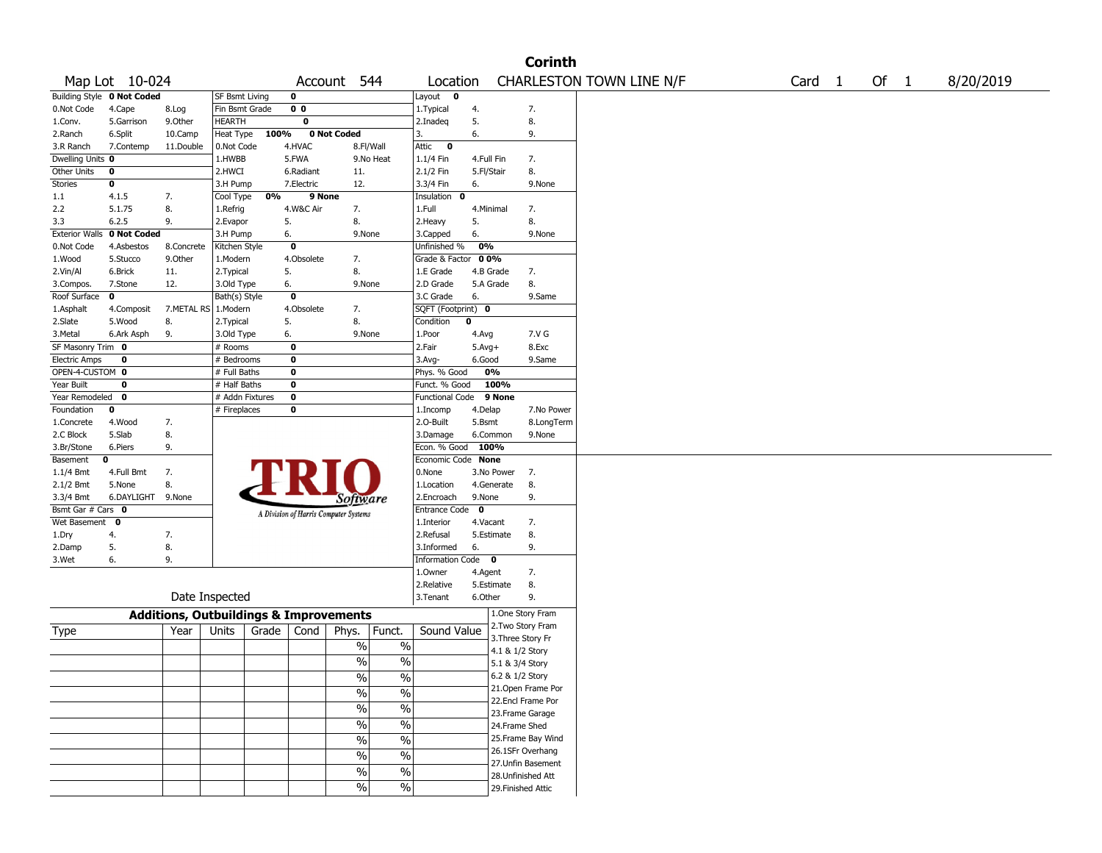|                       |                            |                                                   |                 |       |                |                                        |                                          |                         |             |                    | <b>Corinth</b>     |                          |  |        |      |           |
|-----------------------|----------------------------|---------------------------------------------------|-----------------|-------|----------------|----------------------------------------|------------------------------------------|-------------------------|-------------|--------------------|--------------------|--------------------------|--|--------|------|-----------|
|                       | Map Lot 10-024             |                                                   |                 |       |                | Account 544                            |                                          | Location                |             |                    |                    | CHARLESTON TOWN LINE N/F |  | Card 1 | Of 1 | 8/20/2019 |
|                       | Building Style 0 Not Coded |                                                   | SF Bsmt Living  |       | 0              |                                        |                                          | Layout 0                |             |                    |                    |                          |  |        |      |           |
| 0.Not Code            | 4.Cape                     | 8.Log                                             | Fin Bsmt Grade  |       | 0 <sub>0</sub> |                                        |                                          | 1.Typical               | 4.          |                    | 7.                 |                          |  |        |      |           |
| 1.Conv.               | 5.Garrison                 | 9.0ther                                           | HEARTH          |       | $\bf{0}$       |                                        |                                          | 2.Inadeq                | 5.          |                    | 8.                 |                          |  |        |      |           |
| 2.Ranch               | 6.Split                    | 10.Camp                                           | Heat Type       | 100%  |                | 0 Not Coded                            |                                          | 3.                      | 6.          |                    | 9.                 |                          |  |        |      |           |
| 3.R Ranch             | 7.Contemp                  | 11.Double                                         | 0.Not Code      |       | 4.HVAC         |                                        | 8.Fl/Wall                                | Attic<br>$\bullet$      |             |                    |                    |                          |  |        |      |           |
| Dwelling Units 0      |                            |                                                   | 1.HWBB          |       | 5.FWA          |                                        | 9.No Heat                                | $1.1/4$ Fin             | 4.Full Fin  |                    | 7.                 |                          |  |        |      |           |
| Other Units           | 0                          |                                                   | 2.HWCI          |       | 6.Radiant      | 11.                                    |                                          | 2.1/2 Fin               | 5.Fl/Stair  |                    | 8.                 |                          |  |        |      |           |
| Stories               | 0                          |                                                   | 3.H Pump        |       | 7.Electric     | 12.                                    |                                          | 3.3/4 Fin               | 6.          |                    | 9.None             |                          |  |        |      |           |
| 1.1                   | 4.1.5                      | 7.                                                | Cool Type       | 0%    | 9 None         |                                        |                                          | Insulation 0            |             |                    |                    |                          |  |        |      |           |
| 2.2                   | 5.1.75                     | 8.                                                | 1.Refrig        |       | 4.W&C Air      | 7.                                     |                                          | 1.Full                  | 4.Minimal   |                    | 7.                 |                          |  |        |      |           |
| 3.3                   | 6.2.5                      | 9.                                                | 2.Evapor        |       | 5.             | 8.                                     |                                          | 2.Heavy                 | 5.          |                    | 8.                 |                          |  |        |      |           |
| <b>Exterior Walls</b> | 0 Not Coded                |                                                   | 3.H Pump        |       | 6.             | 9.None                                 |                                          | 3.Capped                | 6.          |                    | 9.None             |                          |  |        |      |           |
| 0.Not Code            | 4.Asbestos                 | 8.Concrete                                        | Kitchen Style   |       | $\bf{0}$       |                                        |                                          | Unfinished %            | 0%          |                    |                    |                          |  |        |      |           |
| 1.Wood                | 5.Stucco                   | 9.Other                                           | 1.Modern        |       | 4.Obsolete     | 7.                                     |                                          | Grade & Factor          | 00%         |                    |                    |                          |  |        |      |           |
| 2.Vin/Al              | 6.Brick                    | 11.                                               | 2. Typical      |       | 5.             | 8.                                     |                                          | 1.E Grade               | 4.B Grade   |                    | 7.                 |                          |  |        |      |           |
| 3.Compos.             | 7.Stone                    | 12.                                               | 3.Old Type      |       | 6.             | 9.None                                 |                                          | 2.D Grade               | 5.A Grade   |                    | 8.                 |                          |  |        |      |           |
| Roof Surface          | 0                          |                                                   | Bath(s) Style   |       | 0              |                                        |                                          | 3.C Grade               | 6.          |                    | 9.Same             |                          |  |        |      |           |
| 1.Asphalt             | 4.Composit                 | 7.METAL RS                                        | 1.Modern        |       | 4.Obsolete     | 7.                                     |                                          | SQFT (Footprint) 0      |             |                    |                    |                          |  |        |      |           |
| 2.Slate               | 5.Wood                     | 8.                                                | 2.Typical       |       | 5.             | 8.                                     |                                          | Condition               | 0           |                    |                    |                          |  |        |      |           |
| 3.Metal               | 6.Ark Asph                 | 9.                                                | 3.Old Type      |       | 6.             | 9.None                                 |                                          | 1.Poor                  | 4.Avg       |                    | 7.V G              |                          |  |        |      |           |
| SF Masonry Trim 0     |                            |                                                   | # Rooms         |       | 0              |                                        |                                          | 2.Fair                  | $5.Avg+$    |                    | 8.Exc              |                          |  |        |      |           |
| <b>Electric Amps</b>  | 0                          |                                                   | # Bedrooms      |       | $\bf{0}$       |                                        |                                          | 3.Avg-                  | 6.Good      |                    | 9.Same             |                          |  |        |      |           |
| OPEN-4-CUSTOM 0       |                            |                                                   | # Full Baths    |       | $\bf o$        |                                        |                                          | Phys. % Good            | 0%          |                    |                    |                          |  |        |      |           |
| Year Built            | 0                          |                                                   | # Half Baths    |       | 0              |                                        |                                          | Funct. % Good           | 100%        |                    |                    |                          |  |        |      |           |
| Year Remodeled        | $\mathbf 0$                |                                                   | # Addn Fixtures |       | $\bf o$        |                                        |                                          | Functional Code         | 9 None      |                    |                    |                          |  |        |      |           |
| Foundation            | 0                          |                                                   | # Fireplaces    |       | 0              |                                        |                                          | 1.Incomp                | 4.Delap     |                    | 7.No Power         |                          |  |        |      |           |
| 1.Concrete            | 4.Wood                     | 7.                                                |                 |       |                |                                        |                                          | 2.O-Built               | 5.Bsmt      |                    | 8.LongTerm         |                          |  |        |      |           |
| 2.C Block             | 5.Slab                     | 8.                                                |                 |       |                |                                        |                                          | 3.Damage                | 6.Common    |                    | 9.None             |                          |  |        |      |           |
| 3.Br/Stone            | 6.Piers                    | 9.                                                |                 |       |                |                                        |                                          | Econ. % Good            | 100%        |                    |                    |                          |  |        |      |           |
| Basement              | 0                          |                                                   |                 |       |                |                                        |                                          | Economic Code None      |             |                    |                    |                          |  |        |      |           |
| 1.1/4 Bmt             | 4.Full Bmt                 | 7.                                                |                 |       |                |                                        |                                          | 0.None                  | 3.No Power  |                    | 7.                 |                          |  |        |      |           |
| 2.1/2 Bmt             | 5.None                     | 8.                                                |                 |       |                |                                        |                                          | 1.Location              | 4.Generate  | 8.                 |                    |                          |  |        |      |           |
| 3.3/4 Bmt             | 6.DAYLIGHT 9.None          |                                                   |                 |       |                | Software                               |                                          | 2.Encroach              | 9.None      |                    | 9.                 |                          |  |        |      |           |
| Bsmt Gar # Cars 0     |                            |                                                   |                 |       |                | A Division of Harris Computer Systems  |                                          | <b>Entrance Code</b>    | $\mathbf 0$ |                    |                    |                          |  |        |      |           |
| Wet Basement          | $\bf{0}$                   |                                                   |                 |       |                |                                        |                                          | 1.Interior              | 4.Vacant    |                    | 7.                 |                          |  |        |      |           |
| 1.Dry                 | 4.                         | 7.                                                |                 |       |                |                                        |                                          | 2.Refusal               | 5.Estimate  | 8.                 |                    |                          |  |        |      |           |
| 2.Damp                | 5.                         | 8.                                                |                 |       |                |                                        |                                          | 3.Informed              | 6.          |                    | 9.                 |                          |  |        |      |           |
| 3.Wet                 | 6.                         | 9.                                                |                 |       |                |                                        |                                          | <b>Information Code</b> | $\mathbf 0$ |                    |                    |                          |  |        |      |           |
|                       |                            |                                                   |                 |       |                |                                        |                                          | 1.Owner                 | 4.Agent     |                    | 7.                 |                          |  |        |      |           |
|                       |                            |                                                   |                 |       |                |                                        |                                          | 2.Relative              | 5.Estimate  |                    | 8.                 |                          |  |        |      |           |
|                       |                            | Date Inspected                                    |                 |       |                |                                        |                                          | 3.Tenant                | 6.Other     |                    | 9.                 |                          |  |        |      |           |
|                       |                            | <b>Additions, Outbuildings &amp; Improvements</b> |                 |       |                |                                        |                                          |                         |             | 1.One Story Fram   |                    |                          |  |        |      |           |
| Type                  |                            | Year                                              | Units           | Grade | Cond           | Phys.                                  | Funct.                                   | Sound Value             |             | 2. Two Story Fram  |                    |                          |  |        |      |           |
|                       |                            |                                                   |                 |       |                | $\%$                                   | $\%$                                     |                         |             | 3. Three Story Fr  |                    |                          |  |        |      |           |
|                       |                            |                                                   |                 |       |                |                                        |                                          |                         |             | 4.1 & 1/2 Story    |                    |                          |  |        |      |           |
|                       |                            |                                                   |                 |       |                | $\%$                                   | $\%$                                     |                         |             | 5.1 & 3/4 Story    |                    |                          |  |        |      |           |
|                       |                            |                                                   |                 |       |                | $\sqrt{0}$                             | $\sqrt{0}$                               |                         |             | 6.2 & 1/2 Story    |                    |                          |  |        |      |           |
|                       |                            |                                                   |                 |       |                | $\sqrt{6}$                             | $\frac{0}{0}$                            |                         |             | 21. Open Frame Por |                    |                          |  |        |      |           |
|                       |                            |                                                   |                 |       |                |                                        |                                          |                         |             | 22.Encl Frame Por  |                    |                          |  |        |      |           |
|                       |                            |                                                   |                 |       |                | %                                      | $\%$                                     |                         |             | 23.Frame Garage    |                    |                          |  |        |      |           |
|                       |                            |                                                   |                 |       |                | $\sqrt{6}$                             | $\%$                                     |                         |             | 24.Frame Shed      |                    |                          |  |        |      |           |
|                       |                            |                                                   |                 |       |                | $\%$                                   | $\overline{\frac{0}{0}}$                 |                         |             |                    | 25. Frame Bay Wind |                          |  |        |      |           |
|                       |                            |                                                   |                 |       |                |                                        |                                          |                         |             | 26.1SFr Overhang   |                    |                          |  |        |      |           |
|                       |                            |                                                   |                 |       |                |                                        |                                          |                         |             | 27.Unfin Basement  |                    |                          |  |        |      |           |
|                       |                            |                                                   |                 |       |                |                                        |                                          |                         |             | 28. Unfinished Att |                    |                          |  |        |      |           |
|                       |                            |                                                   |                 |       |                |                                        |                                          |                         |             | 29. Finished Attic |                    |                          |  |        |      |           |
|                       |                            |                                                   |                 |       |                | $\sqrt{6}$<br>$\sqrt{6}$<br>$\sqrt{6}$ | $\%$<br>$\overline{\frac{0}{6}}$<br>$\%$ |                         |             |                    |                    |                          |  |        |      |           |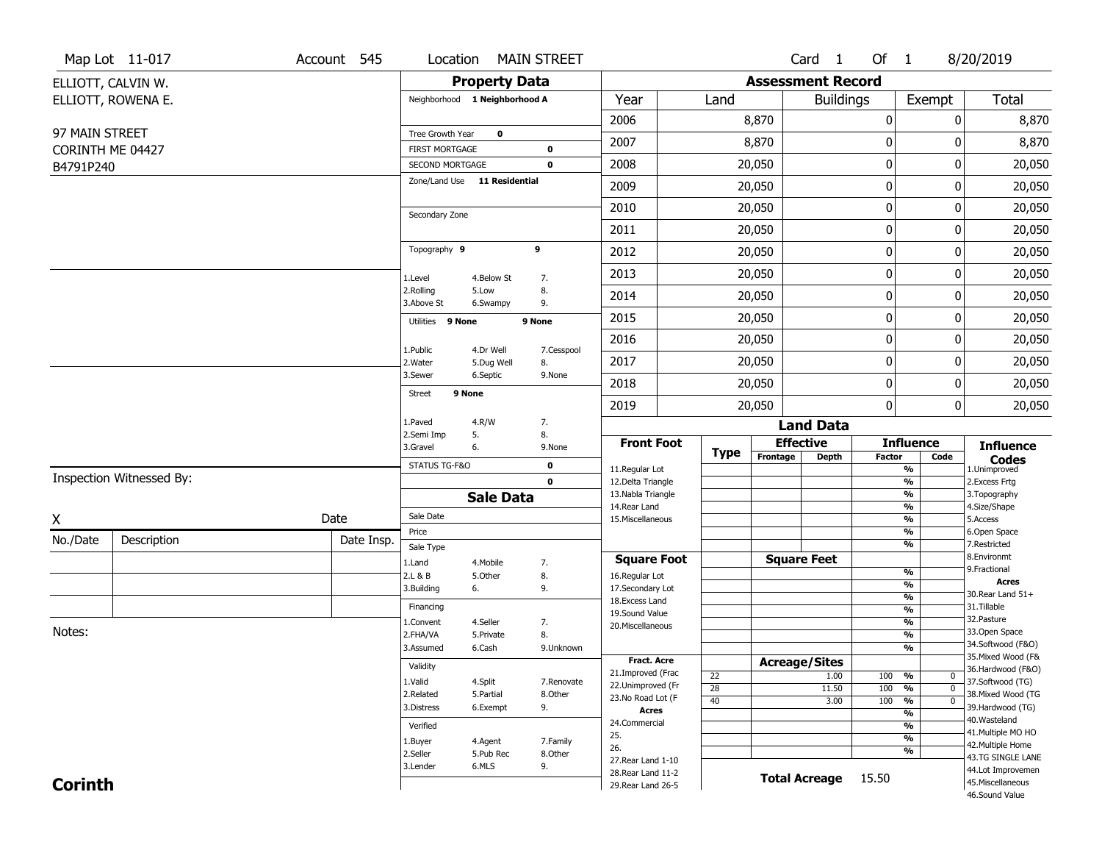|                               | Map Lot 11-017           | Account 545 | Location                                 |                               | <b>MAIN STREET</b> |                                          |                 |                          | Card <sub>1</sub>    | Of 1             |                                | 8/20/2019                              |
|-------------------------------|--------------------------|-------------|------------------------------------------|-------------------------------|--------------------|------------------------------------------|-----------------|--------------------------|----------------------|------------------|--------------------------------|----------------------------------------|
|                               | ELLIOTT, CALVIN W.       |             |                                          | <b>Property Data</b>          |                    |                                          |                 | <b>Assessment Record</b> |                      |                  |                                |                                        |
|                               | ELLIOTT, ROWENA E.       |             |                                          | Neighborhood 1 Neighborhood A |                    | Year                                     | Land            |                          | <b>Buildings</b>     |                  | Exempt                         | Total                                  |
|                               |                          |             |                                          |                               |                    | 2006                                     |                 | 8,870                    |                      | $\boldsymbol{0}$ | 0                              | 8,870                                  |
| 97 MAIN STREET                |                          |             | Tree Growth Year                         | 0                             |                    | 2007                                     |                 | 8,870                    |                      | 0                | 0                              | 8,870                                  |
| CORINTH ME 04427<br>B4791P240 |                          |             | <b>FIRST MORTGAGE</b><br>SECOND MORTGAGE |                               | 0<br>$\mathbf 0$   | 2008                                     |                 | 20,050                   |                      | 0                | 0                              | 20,050                                 |
|                               |                          |             |                                          | Zone/Land Use 11 Residential  |                    | 2009                                     |                 | 20,050                   |                      | $\boldsymbol{0}$ | 0                              | 20,050                                 |
|                               |                          |             |                                          |                               |                    | 2010                                     |                 | 20,050                   |                      | $\boldsymbol{0}$ | 0                              | 20,050                                 |
|                               |                          |             | Secondary Zone                           |                               |                    | 2011                                     |                 | 20,050                   |                      | $\mathbf 0$      | 0                              | 20,050                                 |
|                               |                          |             | Topography 9                             |                               | 9                  | 2012                                     |                 | 20,050                   |                      | $\boldsymbol{0}$ | 0                              | 20,050                                 |
|                               |                          |             |                                          |                               |                    | 2013                                     |                 | 20,050                   |                      | $\boldsymbol{0}$ | 0                              | 20,050                                 |
|                               |                          |             | 1.Level<br>2.Rolling                     | 4.Below St<br>5.Low           | 7.<br>8.           | 2014                                     |                 | 20,050                   |                      | 0                | 0                              | 20,050                                 |
|                               |                          |             | 3.Above St                               | 6.Swampy                      | 9.                 | 2015                                     |                 | 20,050                   |                      | $\mathbf 0$      | 0                              | 20,050                                 |
|                               |                          |             | 9 None<br>Utilities                      |                               | 9 None             | 2016                                     |                 | 20,050                   |                      | $\boldsymbol{0}$ | 0                              | 20,050                                 |
|                               |                          |             | 1.Public                                 | 4.Dr Well                     | 7.Cesspool         | 2017                                     |                 |                          |                      |                  | 0                              |                                        |
|                               |                          |             | 2. Water<br>3.Sewer                      | 5.Dug Well<br>6.Septic        | 8.<br>9.None       |                                          |                 | 20,050                   |                      | $\boldsymbol{0}$ |                                | 20,050                                 |
|                               |                          |             | <b>Street</b>                            | 9 None                        |                    | 2018                                     |                 | 20,050                   |                      | $\boldsymbol{0}$ | 0                              | 20,050                                 |
|                               |                          |             | 1.Paved                                  | 4.R/W                         | 7.                 | 2019                                     |                 | 20,050                   | <b>Land Data</b>     | $\mathbf{0}$     | 0                              | 20,050                                 |
|                               |                          |             | 2.Semi Imp                               | 5.                            | 8.                 | <b>Front Foot</b>                        |                 |                          | <b>Effective</b>     |                  | <b>Influence</b>               | <b>Influence</b>                       |
|                               |                          |             | 3.Gravel                                 | 6.                            | 9.None             |                                          | <b>Type</b>     | Frontage                 | <b>Depth</b>         | <b>Factor</b>    | Code                           | <b>Codes</b>                           |
|                               | Inspection Witnessed By: |             | STATUS TG-F&O                            |                               | 0<br>$\mathbf 0$   | 11.Regular Lot<br>12.Delta Triangle      |                 |                          |                      |                  | %<br>$\frac{9}{6}$             | 1.Unimproved<br>2. Excess Frtg         |
|                               |                          |             |                                          | <b>Sale Data</b>              |                    | 13. Nabla Triangle                       |                 |                          |                      |                  | %                              | 3. Topography                          |
| χ                             |                          | Date        | Sale Date                                |                               |                    | 14. Rear Land<br>15. Miscellaneous       |                 |                          |                      |                  | %<br>%                         | 4.Size/Shape<br>5.Access               |
| No./Date                      | Description              | Date Insp.  | Price                                    |                               |                    |                                          |                 |                          |                      |                  | %                              | 6.Open Space                           |
|                               |                          |             | Sale Type                                |                               |                    | <b>Square Foot</b>                       |                 |                          | <b>Square Feet</b>   |                  | %                              | 7.Restricted<br>8.Environmt            |
|                               |                          |             | 1.Land<br>2.L & B                        | 4. Mobile<br>5.Other          | 7.<br>8.           | 16.Regular Lot                           |                 |                          |                      |                  | $\frac{9}{6}$                  | 9. Fractional                          |
|                               |                          |             | 3.Building                               | 6.                            | 9.                 | 17.Secondary Lot                         |                 |                          |                      |                  | $\overline{\frac{9}{6}}$       | <b>Acres</b>                           |
|                               |                          |             | Financing                                |                               |                    | 18. Excess Land                          |                 |                          |                      |                  | $\frac{9}{6}$<br>$\frac{9}{6}$ | 30. Rear Land 51+<br>31.Tillable       |
|                               |                          |             | 1.Convent                                | 4.Seller                      | 7.                 | 19.Sound Value                           |                 |                          |                      |                  | $\frac{9}{6}$                  | 32. Pasture                            |
| Notes:                        |                          |             | 2.FHA/VA                                 | 5.Private                     | 8.                 | 20.Miscellaneous                         |                 |                          |                      |                  | $\frac{9}{6}$                  | 33.Open Space                          |
|                               |                          |             | 3.Assumed                                | 6.Cash                        | 9.Unknown          |                                          |                 |                          |                      |                  | $\overline{\frac{9}{6}}$       | 34.Softwood (F&O)                      |
|                               |                          |             | Validity                                 |                               |                    | <b>Fract. Acre</b>                       |                 |                          | <b>Acreage/Sites</b> |                  |                                | 35. Mixed Wood (F&                     |
|                               |                          |             | 1.Valid                                  | 4.Split                       | 7.Renovate         | 21.Improved (Frac                        | 22              |                          | 1.00                 | 100              | %<br>$\bf{0}$                  | 36.Hardwood (F&O)<br>37.Softwood (TG)  |
|                               |                          |             | 2.Related                                | 5.Partial                     | 8.Other            | 22.Unimproved (Fr<br>23. No Road Lot (F  | $\overline{28}$ |                          | 11.50                | 100              | $\overline{0}$<br>%            | 38. Mixed Wood (TG                     |
|                               |                          |             | 3.Distress                               | 6.Exempt                      | 9.                 | <b>Acres</b>                             | 40              |                          | 3.00                 | 100              | $\overline{0}$<br>%            | 39.Hardwood (TG)                       |
|                               |                          |             | Verified                                 |                               |                    | 24.Commercial                            |                 |                          |                      |                  | %<br>%                         | 40. Wasteland                          |
|                               |                          |             |                                          |                               | 7.Family           | 25.                                      |                 |                          |                      |                  | %                              | 41. Multiple MO HO                     |
|                               |                          |             | 1.Buyer                                  | 4.Agent                       |                    |                                          |                 |                          |                      |                  |                                | 42. Multiple Home                      |
|                               |                          |             |                                          |                               |                    | 26.                                      |                 |                          |                      |                  | %                              |                                        |
|                               |                          |             | 2.Seller<br>3.Lender                     | 5.Pub Rec<br>6.MLS            | 8.Other<br>9.      | 27. Rear Land 1-10                       |                 |                          |                      |                  |                                | 43.TG SINGLE LANE                      |
| <b>Corinth</b>                |                          |             |                                          |                               |                    | 28. Rear Land 11-2<br>29. Rear Land 26-5 |                 |                          | <b>Total Acreage</b> | 15.50            |                                | 44.Lot Improvemen<br>45. Miscellaneous |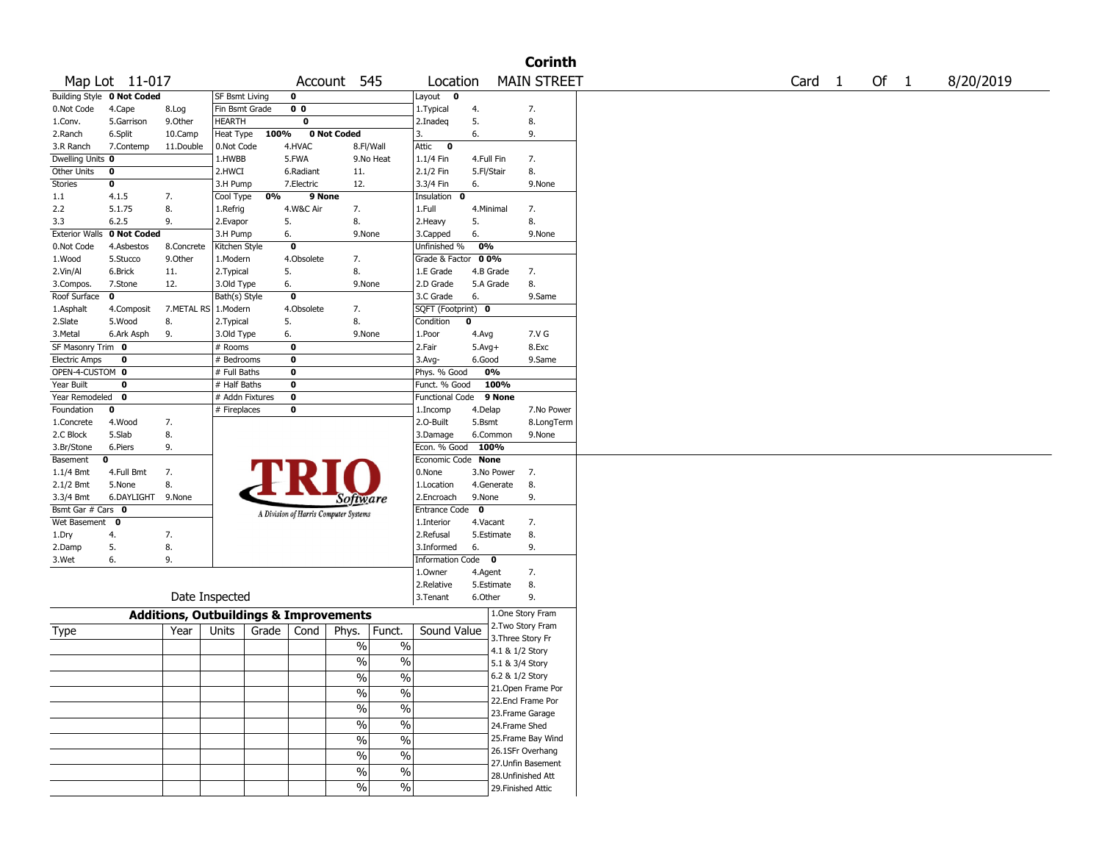|                       |                            |                                                   |                       |       |                |                                       |                          |                           |              |                 | <b>Corinth</b>     |        |      |           |
|-----------------------|----------------------------|---------------------------------------------------|-----------------------|-------|----------------|---------------------------------------|--------------------------|---------------------------|--------------|-----------------|--------------------|--------|------|-----------|
|                       | Map Lot 11-017             |                                                   |                       |       |                | Account 545                           |                          | Location                  |              |                 | <b>MAIN STREET</b> | Card 1 | Of 1 | 8/20/2019 |
|                       | Building Style 0 Not Coded |                                                   | <b>SF Bsmt Living</b> |       | 0              |                                       |                          | Layout $\qquad \bullet$   |              |                 |                    |        |      |           |
| 0.Not Code            | 4.Cape                     | 8.Log                                             | Fin Bsmt Grade        |       | 0 <sub>0</sub> |                                       |                          | 1. Typical                | 4.           |                 | 7.                 |        |      |           |
| 1.Conv.               | 5.Garrison                 | 9.0ther                                           | <b>HEARTH</b>         |       | 0              |                                       |                          | 2.Inadeq                  | 5.           |                 | 8.                 |        |      |           |
| 2.Ranch               | 6.Split                    | 10.Camp                                           | Heat Type             | 100%  |                | 0 Not Coded                           |                          | 3.                        | 6.           |                 | 9.                 |        |      |           |
| 3.R Ranch             | 7.Contemp                  | 11.Double                                         | 0.Not Code            |       | 4.HVAC         |                                       | 8.Fl/Wall                | Attic<br>$\bf{0}$         |              |                 |                    |        |      |           |
| Dwelling Units 0      |                            |                                                   | 1.HWBB                |       | 5.FWA          |                                       | 9.No Heat                | 1.1/4 Fin                 | 4.Full Fin   |                 | 7.                 |        |      |           |
| Other Units           | 0                          |                                                   | 2.HWCI                |       | 6.Radiant      | 11.                                   |                          | 2.1/2 Fin                 | 5.Fl/Stair   |                 | 8.                 |        |      |           |
| Stories               | 0                          |                                                   | 3.H Pump              |       | 7.Electric     | 12.                                   |                          | 3.3/4 Fin                 | 6.           |                 | 9.None             |        |      |           |
| 1.1                   | 4.1.5                      | 7.                                                | Cool Type             | 0%    | 9 None         |                                       |                          | Insulation<br>$\mathbf 0$ |              |                 |                    |        |      |           |
| 2.2                   | 5.1.75                     | 8.                                                | 1.Refrig              |       | 4.W&C Air      | 7.                                    |                          | 1.Full                    | 4.Minimal    |                 | 7.                 |        |      |           |
| 3.3                   | 6.2.5                      | 9.                                                | 2.Evapor              |       | 5.             | 8.                                    |                          | 2. Heavy                  | 5.           |                 | 8.                 |        |      |           |
| <b>Exterior Walls</b> | 0 Not Coded                |                                                   | 3.H Pump              |       | 6.             | 9.None                                |                          | 3.Capped                  | 6.           |                 | 9.None             |        |      |           |
| 0.Not Code            | 4.Asbestos                 | 8.Concrete                                        | Kitchen Style         |       | $\mathbf 0$    |                                       |                          | Unfinished %              | 0%           |                 |                    |        |      |           |
|                       | 5.Stucco                   | 9.0ther                                           |                       |       | 4.Obsolete     |                                       |                          | Grade & Factor 00%        |              |                 |                    |        |      |           |
| 1.Wood                |                            |                                                   | 1.Modern              |       | 5.             | 7.<br>8.                              |                          |                           |              |                 |                    |        |      |           |
| 2.Vin/Al              | 6.Brick                    | 11.                                               | 2. Typical            |       |                |                                       |                          | 1.E Grade                 | 4.B Grade    |                 | 7.                 |        |      |           |
| 3.Compos.             | 7.Stone                    | 12.                                               | 3.Old Type            |       | 6.             | 9.None                                |                          | 2.D Grade                 | 5.A Grade    |                 | 8.                 |        |      |           |
| Roof Surface          | 0                          |                                                   | Bath(s) Style         |       | $\mathbf 0$    |                                       |                          | 3.C Grade                 | 6.           |                 | 9.Same             |        |      |           |
| 1.Asphalt             | 4.Composit                 | 7.METAL RS   1.Modern                             |                       |       | 4.Obsolete     | 7.                                    |                          | SQFT (Footprint) 0        |              |                 |                    |        |      |           |
| 2.Slate               | 5.Wood                     | 8.                                                | 2. Typical            |       | 5.             | 8.                                    |                          | Condition                 | 0            |                 |                    |        |      |           |
| 3.Metal               | 6.Ark Asph                 | 9.                                                | 3.Old Type            |       | 6.             | 9.None                                |                          | 1.Poor                    | 4.Avg        |                 | 7.V G              |        |      |           |
| SF Masonry Trim 0     |                            |                                                   | # Rooms               |       | 0              |                                       |                          | 2.Fair                    | $5.$ Avg $+$ |                 | 8.Exc              |        |      |           |
| <b>Electric Amps</b>  | 0                          |                                                   | # Bedrooms            |       | 0              |                                       |                          | $3.$ Avg-                 | 6.Good       |                 | 9.Same             |        |      |           |
| OPEN-4-CUSTOM 0       |                            |                                                   | # Full Baths          |       | $\mathbf 0$    |                                       |                          | Phys. % Good              | 0%           |                 |                    |        |      |           |
| Year Built            | $\mathbf 0$                |                                                   | # Half Baths          |       | $\mathbf 0$    |                                       |                          | Funct. % Good             |              | 100%            |                    |        |      |           |
| Year Remodeled        | 0                          |                                                   | # Addn Fixtures       |       | $\mathbf 0$    |                                       |                          | <b>Functional Code</b>    |              | 9 None          |                    |        |      |           |
| Foundation            | 0                          |                                                   | # Fireplaces          |       | 0              |                                       |                          | 1.Incomp                  | 4.Delap      |                 | 7.No Power         |        |      |           |
| 1.Concrete            | 4.Wood                     | 7.                                                |                       |       |                |                                       |                          | 2.O-Built                 | 5.Bsmt       |                 | 8.LongTerm         |        |      |           |
| 2.C Block             | 5.Slab                     | 8.                                                |                       |       |                |                                       |                          | 3.Damage                  | 6.Common     |                 | 9.None             |        |      |           |
| 3.Br/Stone            | 6.Piers                    | 9.                                                |                       |       |                |                                       |                          | Econ. % Good              | 100%         |                 |                    |        |      |           |
| Basement              | 0                          |                                                   |                       |       |                |                                       |                          | Economic Code None        |              |                 |                    |        |      |           |
| 1.1/4 Bmt             | 4.Full Bmt                 | 7.                                                |                       |       |                |                                       |                          | 0.None                    | 3.No Power   |                 | 7.                 |        |      |           |
| 2.1/2 Bmt             | 5.None                     | 8.                                                |                       |       |                |                                       |                          | 1.Location                | 4.Generate   |                 | 8.                 |        |      |           |
| 3.3/4 Bmt             | 6.DAYLIGHT 9.None          |                                                   |                       |       |                | Software                              |                          | 2.Encroach                | 9.None       |                 | 9.                 |        |      |           |
| Bsmt Gar # Cars 0     |                            |                                                   |                       |       |                |                                       |                          | Entrance Code 0           |              |                 |                    |        |      |           |
| Wet Basement 0        |                            |                                                   |                       |       |                | A Division of Harris Computer Systems |                          | 1.Interior                | 4.Vacant     |                 | 7.                 |        |      |           |
| 1.Dry                 | 4.                         | 7.                                                |                       |       |                |                                       |                          | 2.Refusal                 | 5.Estimate   |                 | 8.                 |        |      |           |
| 2.Damp                | 5.                         | 8.                                                |                       |       |                |                                       |                          | 3.Informed                | 6.           |                 | 9.                 |        |      |           |
| 3.Wet                 | 6.                         | 9.                                                |                       |       |                |                                       |                          | Information Code 0        |              |                 |                    |        |      |           |
|                       |                            |                                                   |                       |       |                |                                       |                          | 1.0wner                   | 4.Agent      |                 | 7.                 |        |      |           |
|                       |                            |                                                   |                       |       |                |                                       |                          | 2.Relative                | 5.Estimate   |                 | 8.                 |        |      |           |
|                       |                            |                                                   | Date Inspected        |       |                |                                       |                          | 3. Tenant                 | 6.Other      |                 | 9.                 |        |      |           |
|                       |                            |                                                   |                       |       |                |                                       |                          |                           |              |                 |                    |        |      |           |
|                       |                            | <b>Additions, Outbuildings &amp; Improvements</b> |                       |       |                |                                       |                          |                           |              |                 | 1.One Story Fram   |        |      |           |
| Type                  |                            | Year                                              | Units                 | Grade | Cond           | Phys.                                 | Funct.                   | Sound Value               |              |                 | 2. Two Story Fram  |        |      |           |
|                       |                            |                                                   |                       |       |                | $\%$                                  | $\%$                     |                           |              |                 | 3. Three Story Fr  |        |      |           |
|                       |                            |                                                   |                       |       |                |                                       |                          |                           |              | 4.1 & 1/2 Story |                    |        |      |           |
|                       |                            |                                                   |                       |       |                | $\%$                                  | $\frac{0}{0}$            |                           |              | 5.1 & 3/4 Story |                    |        |      |           |
|                       |                            |                                                   |                       |       |                | $\frac{0}{0}$                         | $\frac{0}{0}$            |                           |              | 6.2 & 1/2 Story |                    |        |      |           |
|                       |                            |                                                   |                       |       |                | $\frac{9}{6}$                         | $\overline{\frac{9}{6}}$ |                           |              |                 | 21. Open Frame Por |        |      |           |
|                       |                            |                                                   |                       |       |                |                                       |                          |                           |              |                 | 22.Encl Frame Por  |        |      |           |
|                       |                            |                                                   |                       |       |                | $\frac{0}{6}$                         | $\sqrt{20}$              |                           |              |                 | 23. Frame Garage   |        |      |           |
|                       |                            |                                                   |                       |       |                | $\sqrt{6}$                            | $\frac{9}{6}$            |                           |              | 24.Frame Shed   |                    |        |      |           |
|                       |                            |                                                   |                       |       |                | $\frac{0}{6}$                         | $\sqrt{20}$              |                           |              |                 | 25.Frame Bay Wind  |        |      |           |
|                       |                            |                                                   |                       |       |                |                                       |                          |                           |              |                 | 26.1SFr Overhang   |        |      |           |
|                       |                            |                                                   |                       |       |                | $\sqrt{20}$                           | $\frac{9}{6}$            |                           |              |                 | 27.Unfin Basement  |        |      |           |
|                       |                            |                                                   |                       |       |                | $\sqrt{6}$                            | $\sqrt{6}$               |                           |              |                 | 28. Unfinished Att |        |      |           |
|                       |                            |                                                   |                       |       |                | $\sqrt{6}$                            | $\frac{0}{6}$            |                           |              |                 | 29. Finished Attic |        |      |           |
|                       |                            |                                                   |                       |       |                |                                       |                          |                           |              |                 |                    |        |      |           |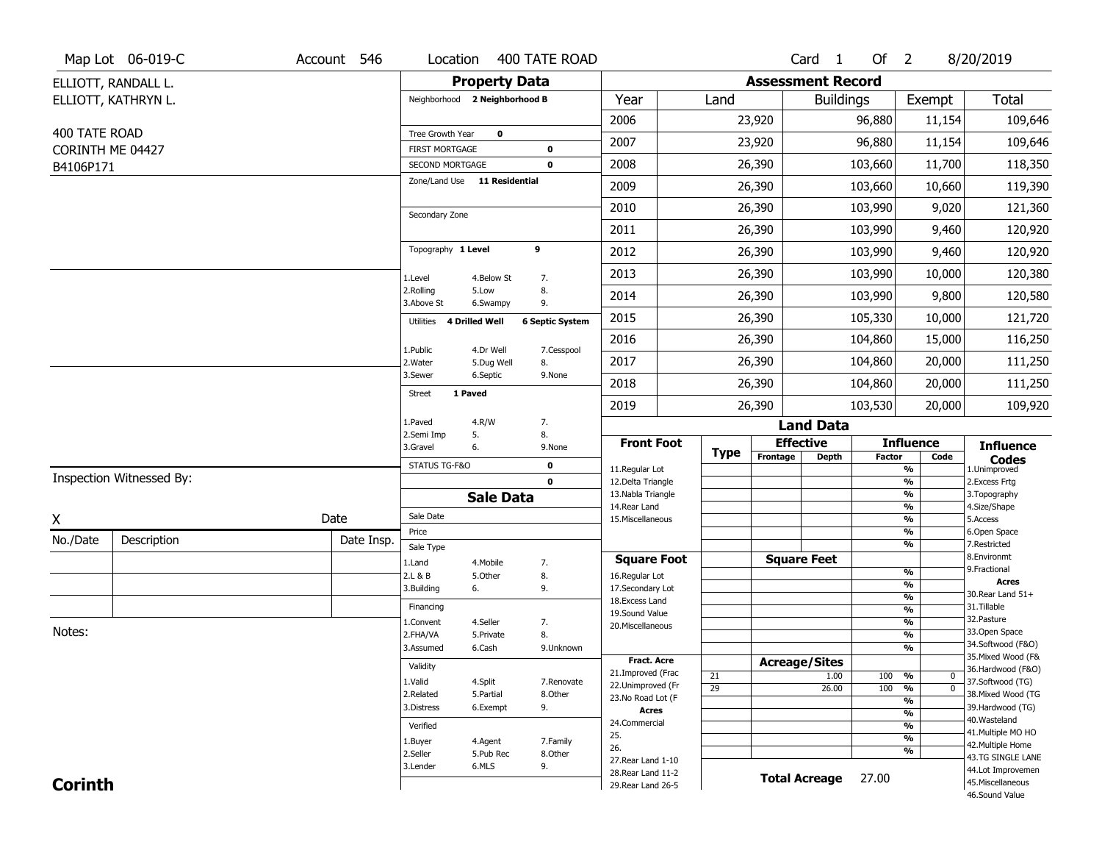|                  | Map Lot 06-019-C         | Account 546 | Location                           |                      | 400 TATE ROAD              |                                          |                 |                          | Card <sub>1</sub>            | Of $2$        |                                           | 8/20/2019                              |
|------------------|--------------------------|-------------|------------------------------------|----------------------|----------------------------|------------------------------------------|-----------------|--------------------------|------------------------------|---------------|-------------------------------------------|----------------------------------------|
|                  | ELLIOTT, RANDALL L.      |             |                                    | <b>Property Data</b> |                            |                                          |                 | <b>Assessment Record</b> |                              |               |                                           |                                        |
|                  | ELLIOTT, KATHRYN L.      |             | Neighborhood 2 Neighborhood B      |                      |                            | Year                                     | Land            |                          | <b>Buildings</b>             |               | Exempt                                    | Total                                  |
|                  |                          |             |                                    |                      |                            | 2006                                     |                 | 23,920                   |                              | 96,880        | 11,154                                    | 109,646                                |
| 400 TATE ROAD    |                          |             | Tree Growth Year                   | $\mathbf 0$          |                            | 2007                                     |                 | 23,920                   |                              | 96,880        | 11,154                                    | 109,646                                |
| CORINTH ME 04427 |                          |             | FIRST MORTGAGE<br>SECOND MORTGAGE  |                      | $\mathbf 0$<br>$\mathbf 0$ | 2008                                     |                 | 26,390                   |                              | 103,660       | 11,700                                    | 118,350                                |
| B4106P171        |                          |             | Zone/Land Use 11 Residential       |                      |                            |                                          |                 |                          |                              |               |                                           |                                        |
|                  |                          |             |                                    |                      |                            | 2009                                     |                 | 26,390                   |                              | 103,660       | 10,660                                    | 119,390                                |
|                  |                          |             | Secondary Zone                     |                      |                            | 2010                                     |                 | 26,390                   |                              | 103,990       | 9,020                                     | 121,360                                |
|                  |                          |             |                                    |                      |                            | 2011                                     |                 | 26,390                   |                              | 103,990       | 9,460                                     | 120,920                                |
|                  |                          |             | Topography 1 Level                 |                      | 9                          | 2012                                     |                 | 26,390                   |                              | 103,990       | 9,460                                     | 120,920                                |
|                  |                          |             | 1.Level                            | 4.Below St           | 7.                         | 2013                                     |                 | 26,390                   |                              | 103,990       | 10,000                                    | 120,380                                |
|                  |                          |             | 2.Rolling<br>3.Above St            | 5.Low<br>6.Swampy    | 8.<br>9.                   | 2014                                     |                 | 26,390                   |                              | 103,990       | 9,800                                     | 120,580                                |
|                  |                          |             | 4 Drilled Well<br><b>Utilities</b> |                      | <b>6 Septic System</b>     | 2015                                     |                 | 26,390                   |                              | 105,330       | 10,000                                    | 121,720                                |
|                  |                          |             | 1.Public                           | 4.Dr Well            | 7.Cesspool                 | 2016                                     |                 | 26,390                   |                              | 104,860       | 15,000                                    | 116,250                                |
|                  |                          |             | 2. Water                           | 5.Dug Well           | 8.                         | 2017                                     |                 | 26,390                   |                              | 104,860       | 20,000                                    | 111,250                                |
|                  |                          |             | 3.Sewer                            | 6.Septic             | 9.None                     | 2018                                     |                 | 26,390                   |                              | 104,860       | 20,000                                    | 111,250                                |
|                  |                          |             | 1 Paved<br><b>Street</b>           |                      |                            | 2019                                     |                 | 26,390                   |                              | 103,530       | 20,000                                    | 109,920                                |
|                  |                          |             | 1.Paved                            | 4.R/W                | 7.                         |                                          |                 |                          | <b>Land Data</b>             |               |                                           |                                        |
|                  |                          |             | 2.Semi Imp<br>3.Gravel             | 5.<br>6.             | 8.<br>9.None               | <b>Front Foot</b>                        |                 |                          | <b>Effective</b>             |               | <b>Influence</b>                          | <b>Influence</b>                       |
|                  |                          |             | STATUS TG-F&O                      |                      | $\mathbf 0$                | 11.Regular Lot                           | Type            | Frontage                 | <b>Depth</b>                 | <b>Factor</b> | Code<br>$\overline{\frac{9}{6}}$          | <b>Codes</b><br>1.Unimproved           |
|                  | Inspection Witnessed By: |             |                                    |                      | $\mathbf 0$                | 12.Delta Triangle                        |                 |                          |                              |               | $\frac{9}{6}$                             | 2.Excess Frtg                          |
|                  |                          |             |                                    | <b>Sale Data</b>     |                            | 13. Nabla Triangle<br>14. Rear Land      |                 |                          |                              |               | $\overline{\frac{9}{6}}$<br>$\frac{9}{6}$ | 3. Topography<br>4.Size/Shape          |
| Χ                |                          | Date        | Sale Date                          |                      |                            | 15. Miscellaneous                        |                 |                          |                              |               | $\overline{\frac{9}{6}}$                  | 5.Access                               |
| No./Date         | Description              | Date Insp.  | Price                              |                      |                            |                                          |                 |                          |                              |               | %<br>%                                    | 6.Open Space<br>7.Restricted           |
|                  |                          |             | Sale Type<br>1.Land                | 4. Mobile            | 7.                         | <b>Square Foot</b>                       |                 |                          | <b>Square Feet</b>           |               |                                           | 8.Environmt                            |
|                  |                          |             | 2.L & B                            | 5.Other              | 8.                         | 16.Regular Lot                           |                 |                          |                              |               | %                                         | 9. Fractional                          |
|                  |                          |             | 3.Building                         | 6.                   | 9.                         | 17.Secondary Lot                         |                 |                          |                              |               | %<br>$\frac{9}{6}$                        | <b>Acres</b><br>30. Rear Land 51+      |
|                  |                          |             | Financing                          |                      |                            | 18. Excess Land<br>19.Sound Value        |                 |                          |                              |               | $\frac{9}{6}$                             | 31.Tillable                            |
|                  |                          |             | 1.Convent                          | 4.Seller             | 7.                         | 20.Miscellaneous                         |                 |                          |                              |               | $\frac{9}{6}$                             | 32.Pasture                             |
| Notes:           |                          |             | 2.FHA/VA                           | 5.Private            | 8.                         |                                          |                 |                          |                              |               | $\frac{9}{6}$                             | 33.Open Space<br>34.Softwood (F&O)     |
|                  |                          |             | 3.Assumed                          | 6.Cash               | 9.Unknown                  | <b>Fract. Acre</b>                       |                 |                          |                              |               | %                                         | 35. Mixed Wood (F&                     |
|                  |                          |             | Validity                           |                      |                            | 21.Improved (Frac                        | 21              |                          | <b>Acreage/Sites</b><br>1.00 | 100           | %<br>$\bf{0}$                             | 36.Hardwood (F&O)                      |
|                  |                          |             | 1.Valid                            | 4.Split              | 7.Renovate                 | 22.Unimproved (Fr                        | $\overline{29}$ |                          | 26.00                        | 100           | $\overline{\mathfrak{o}}$<br>%            | 37.Softwood (TG)                       |
|                  |                          |             | 2.Related<br>3.Distress            | 5.Partial            | 8.Other<br>9.              | 23.No Road Lot (F                        |                 |                          |                              |               | %                                         | 38. Mixed Wood (TG                     |
|                  |                          |             |                                    | 6.Exempt             |                            |                                          |                 |                          |                              |               | $\frac{9}{6}$                             | 39.Hardwood (TG)                       |
|                  |                          |             |                                    |                      |                            | <b>Acres</b>                             |                 |                          |                              |               |                                           |                                        |
|                  |                          |             | Verified                           |                      |                            | 24.Commercial                            |                 |                          |                              |               | %                                         | 40. Wasteland<br>41. Multiple MO HO    |
|                  |                          |             | 1.Buyer                            | 4.Agent              | 7.Family                   | 25.<br>26.                               |                 |                          |                              |               | $\overline{\frac{9}{6}}$                  | 42. Multiple Home                      |
|                  |                          |             | 2.Seller                           | 5.Pub Rec            | 8.Other                    | 27. Rear Land 1-10                       |                 |                          |                              |               | %                                         | 43.TG SINGLE LANE                      |
| <b>Corinth</b>   |                          |             | 3.Lender                           | 6.MLS                | 9.                         | 28. Rear Land 11-2<br>29. Rear Land 26-5 |                 |                          | <b>Total Acreage</b>         | 27.00         |                                           | 44.Lot Improvemen<br>45. Miscellaneous |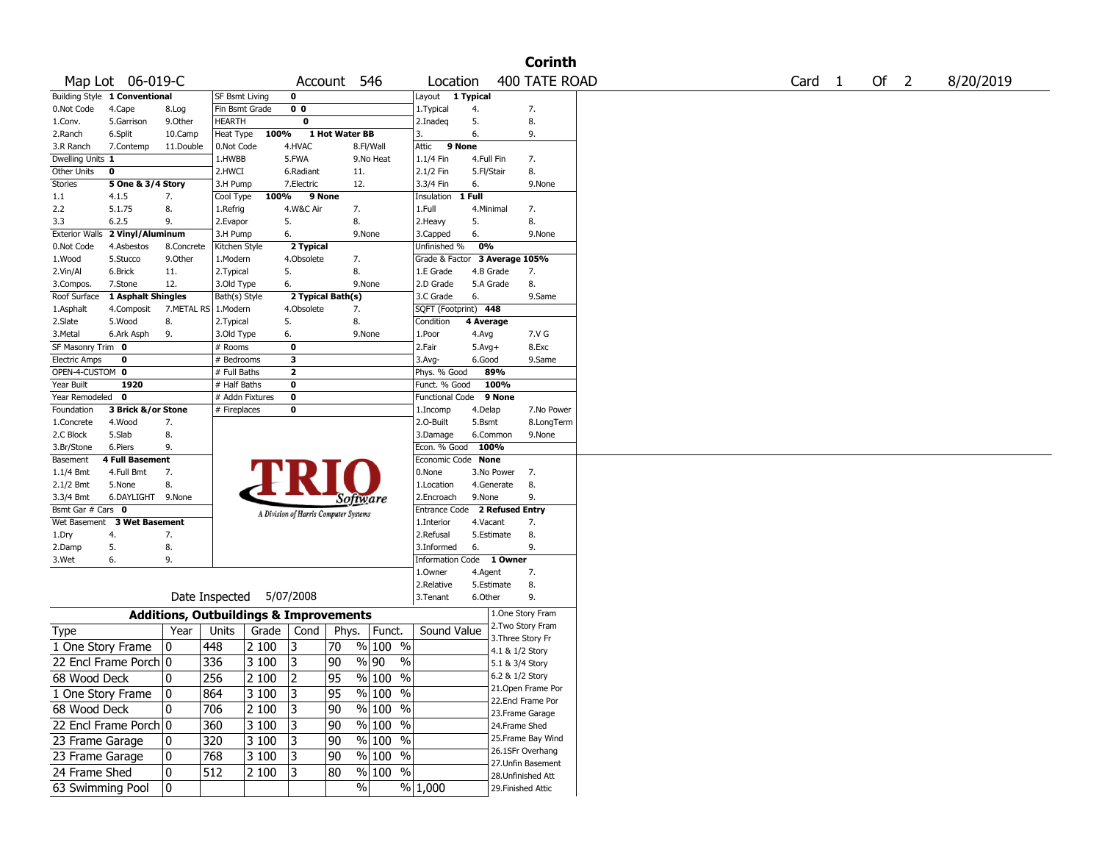|                                                                                     |                               |                                                   |                       |          |                                       |                 |                        |                               |            |            | <b>Corinth</b>                         |  |  |        |    |                          |           |
|-------------------------------------------------------------------------------------|-------------------------------|---------------------------------------------------|-----------------------|----------|---------------------------------------|-----------------|------------------------|-------------------------------|------------|------------|----------------------------------------|--|--|--------|----|--------------------------|-----------|
|                                                                                     | Map Lot 06-019-C              |                                                   |                       |          |                                       |                 | Account 546            | Location                      |            |            | 400 TATE ROAD                          |  |  | Card 1 | Of | $\overline{\phantom{0}}$ | 8/20/2019 |
|                                                                                     | Building Style 1 Conventional |                                                   | SF Bsmt Living        |          | 0                                     |                 |                        | Layout 1 Typical              |            |            |                                        |  |  |        |    |                          |           |
| 0.Not Code                                                                          | 4.Cape                        | 8.Log                                             | Fin Bsmt Grade        |          | 0 <sub>0</sub>                        |                 |                        | 1. Typical                    | 4.         |            | 7.                                     |  |  |        |    |                          |           |
| 1.Conv.                                                                             | 5.Garrison                    | 9.Other                                           | <b>HEARTH</b>         |          | 0                                     |                 |                        | 2.Inadeq                      | 5.         |            | 8.                                     |  |  |        |    |                          |           |
| 2.Ranch                                                                             | 6.Split                       | 10.Camp                                           | Heat Type             | 100%     |                                       | 1 Hot Water BB  |                        | 3.                            | 6.         |            | 9.                                     |  |  |        |    |                          |           |
| 3.R Ranch                                                                           | 7.Contemp                     | 11.Double                                         | 0.Not Code            |          | 4.HVAC                                |                 | 8.Fl/Wall              | 9 None<br>Attic               |            |            |                                        |  |  |        |    |                          |           |
| Dwelling Units 1                                                                    |                               |                                                   | 1.HWBB                |          | 5.FWA                                 |                 | 9.No Heat              | 1.1/4 Fin                     | 4.Full Fin |            | 7.                                     |  |  |        |    |                          |           |
| Other Units                                                                         | $\mathbf 0$                   |                                                   | 2.HWCI                |          | 6.Radiant                             |                 | 11.                    | 2.1/2 Fin                     | 5.Fl/Stair |            | 8.                                     |  |  |        |    |                          |           |
| Stories                                                                             | 5 One & 3/4 Story             |                                                   | 3.H Pump              |          | 7.Electric                            |                 | 12.                    | 3.3/4 Fin                     | 6.         |            | 9.None                                 |  |  |        |    |                          |           |
| 1.1                                                                                 | 4.1.5                         | 7.                                                | Cool Type             | 100%     | 9 None                                |                 |                        | Insulation                    | 1 Full     |            |                                        |  |  |        |    |                          |           |
| 2.2                                                                                 | 5.1.75                        | 8.                                                | 1.Refrig              |          | 4.W&C Air                             |                 | 7.                     | 1.Full                        | 4.Minimal  |            | 7.                                     |  |  |        |    |                          |           |
| 3.3                                                                                 | 6.2.5                         | 9.                                                | 2.Evapor              |          | 5.                                    |                 | 8.                     | 2.Heavy                       | 5.         |            | 8.                                     |  |  |        |    |                          |           |
| <b>Exterior Walls</b>                                                               | 2 Vinyl/Aluminum              |                                                   | 3.H Pump              |          | 6.                                    |                 | 9.None                 | 3.Capped                      | 6.         |            | 9.None                                 |  |  |        |    |                          |           |
| 0.Not Code                                                                          | 4.Asbestos                    | 8.Concrete                                        | Kitchen Style         |          | 2 Typical                             |                 |                        | Unfinished %                  | 0%         |            |                                        |  |  |        |    |                          |           |
| 1.Wood                                                                              | 5.Stucco                      | 9.0ther                                           | 1.Modern              |          | 4.Obsolete                            |                 | 7.                     | Grade & Factor 3 Average 105% |            |            |                                        |  |  |        |    |                          |           |
| 2.Vin/Al                                                                            | 6.Brick                       | 11.                                               | 2. Typical            |          | 5.                                    |                 | 8.                     | 1.E Grade                     | 4.B Grade  |            | 7.                                     |  |  |        |    |                          |           |
| 3.Compos.                                                                           | 7.Stone                       | 12.                                               | 3.Old Type            |          | 6.                                    |                 | 9.None                 | 2.D Grade                     | 5.A Grade  |            | 8.                                     |  |  |        |    |                          |           |
| Roof Surface                                                                        | 1 Asphalt Shingles            |                                                   | Bath(s) Style         |          | 2 Typical Bath(s)                     |                 |                        | 3.C Grade                     | 6.         |            | 9.Same                                 |  |  |        |    |                          |           |
| 1.Asphalt                                                                           | 4.Composit                    |                                                   | 7.METAL RS   1.Modern |          | 4.Obsolete                            |                 | 7.                     | SQFT (Footprint) 448          |            |            |                                        |  |  |        |    |                          |           |
| 2.Slate                                                                             | 5.Wood                        | 8.                                                | 2. Typical            |          | 5.                                    |                 | 8.                     | Condition                     | 4 Average  |            |                                        |  |  |        |    |                          |           |
| 3.Metal                                                                             | 6.Ark Asph                    | 9.                                                | 3.Old Type            |          | 6.                                    |                 | 9.None                 | 1.Poor                        | 4.Avg      |            | 7.V G                                  |  |  |        |    |                          |           |
| SF Masonry Trim 0                                                                   |                               |                                                   | # Rooms               |          | 0                                     |                 |                        | 2.Fair                        | $5.Avg+$   |            | 8.Exc                                  |  |  |        |    |                          |           |
| <b>Electric Amps</b>                                                                | 0                             |                                                   | # Bedrooms            |          | 3                                     |                 |                        | $3.$ Avg-                     | 6.Good     |            | 9.Same                                 |  |  |        |    |                          |           |
| OPEN-4-CUSTOM 0                                                                     |                               |                                                   | # Full Baths          |          | $\mathbf{z}$                          |                 |                        | Phys. % Good                  |            | 89%        |                                        |  |  |        |    |                          |           |
| Year Built                                                                          | 1920                          |                                                   | # Half Baths          |          | 0                                     |                 |                        | Funct. % Good                 |            | 100%       |                                        |  |  |        |    |                          |           |
| Year Remodeled 0                                                                    |                               |                                                   | # Addn Fixtures       |          | $\bf{0}$                              |                 |                        | Functional Code 9 None        |            |            |                                        |  |  |        |    |                          |           |
| Foundation                                                                          | 3 Brick &/or Stone            |                                                   | # Fireplaces          |          | 0                                     |                 |                        | 1.Incomp                      | 4.Delap    |            | 7.No Power                             |  |  |        |    |                          |           |
| 1.Concrete                                                                          | 4.Wood                        | 7.                                                |                       |          |                                       |                 |                        | 2.O-Built                     | 5.Bsmt     |            | 8.LongTerm                             |  |  |        |    |                          |           |
| 2.C Block                                                                           | 5.Slab                        | 8.                                                |                       |          |                                       |                 |                        | 3.Damage                      |            | 6.Common   | 9.None                                 |  |  |        |    |                          |           |
| 3.Br/Stone                                                                          | 6.Piers                       | 9.                                                |                       |          |                                       |                 |                        | Econ. % Good                  | 100%       |            |                                        |  |  |        |    |                          |           |
| Basement                                                                            | <b>4 Full Basement</b>        |                                                   |                       |          |                                       |                 |                        | Economic Code None            |            |            |                                        |  |  |        |    |                          |           |
| 1.1/4 Bmt                                                                           | 4.Full Bmt                    | 7.                                                |                       |          |                                       |                 |                        | 0.None                        |            | 3.No Power | 7.                                     |  |  |        |    |                          |           |
| 2.1/2 Bmt                                                                           | 5.None                        | 8.                                                |                       |          |                                       |                 |                        | 1.Location                    |            | 4.Generate | 8.                                     |  |  |        |    |                          |           |
| 3.3/4 Bmt<br>Bsmt Gar # Cars 0                                                      | 6.DAYLIGHT 9.None             |                                                   |                       |          |                                       |                 | <i>Software</i>        | 2.Encroach<br>Entrance Code   | 9.None     |            | 9.<br>2 Refused Entry                  |  |  |        |    |                          |           |
|                                                                                     | Wet Basement 3 Wet Basement   |                                                   |                       |          | A Division of Harris Computer Systems |                 |                        | 1.Interior                    | 4.Vacant   |            | 7.                                     |  |  |        |    |                          |           |
|                                                                                     | 4.                            |                                                   |                       |          |                                       |                 |                        | 2.Refusal                     |            | 5.Estimate | 8.                                     |  |  |        |    |                          |           |
| 1.Dry<br>2.Damp                                                                     | 5.                            | 7.<br>8.                                          |                       |          |                                       |                 |                        | 3.Informed                    | 6.         |            | 9.                                     |  |  |        |    |                          |           |
| 3.Wet                                                                               | 6.                            | 9.                                                |                       |          |                                       |                 |                        | Information Code 1 Owner      |            |            |                                        |  |  |        |    |                          |           |
|                                                                                     |                               |                                                   |                       |          |                                       |                 |                        | 1.0wner                       | 4.Agent    |            | 7.                                     |  |  |        |    |                          |           |
|                                                                                     |                               |                                                   |                       |          |                                       |                 |                        | 2.Relative                    |            | 5.Estimate | 8.                                     |  |  |        |    |                          |           |
|                                                                                     |                               |                                                   | Date Inspected        |          | 5/07/2008                             |                 |                        | 3.Tenant                      | 6.Other    |            | 9.                                     |  |  |        |    |                          |           |
|                                                                                     |                               |                                                   |                       |          |                                       |                 |                        |                               |            |            |                                        |  |  |        |    |                          |           |
|                                                                                     |                               | <b>Additions, Outbuildings &amp; Improvements</b> |                       |          |                                       |                 |                        |                               |            |            | 1.One Story Fram<br>2. Two Story Fram  |  |  |        |    |                          |           |
| <b>Type</b>                                                                         |                               | Year                                              | Units                 | Grade    | Cond                                  | Phys.           | Funct.                 | Sound Value                   |            |            | 3. Three Story Fr                      |  |  |        |    |                          |           |
|                                                                                     | 1 One Story Frame             | 10                                                | 448                   | 2 100    | 3                                     | 70              | $%100$ %               |                               |            |            | 4.1 & 1/2 Story                        |  |  |        |    |                          |           |
|                                                                                     | 22 Encl Frame Porch 0         |                                                   | 336                   | 3 100    | 3                                     | 90              | %  90<br>$\frac{9}{6}$ |                               |            |            | 5.1 & 3/4 Story                        |  |  |        |    |                          |           |
|                                                                                     |                               |                                                   | 256                   | 2 100    | 2                                     | $\overline{95}$ | $\frac{9}{6}$ 100 %    |                               |            |            | 6.2 & 1/2 Story                        |  |  |        |    |                          |           |
|                                                                                     |                               |                                                   |                       |          |                                       |                 |                        |                               |            |            | 21. Open Frame Por                     |  |  |        |    |                          |           |
|                                                                                     |                               | 10                                                |                       |          |                                       |                 |                        |                               |            |            |                                        |  |  |        |    |                          |           |
|                                                                                     | 1 One Story Frame             | $ 0\rangle$                                       | 864                   | 3 100 3  |                                       | 95              | % 100 %                |                               |            |            | 22.Encl Frame Por                      |  |  |        |    |                          |           |
|                                                                                     |                               | 10                                                | 706                   | $2100$ 3 |                                       | 90              | % 100 %                |                               |            |            | 23. Frame Garage                       |  |  |        |    |                          |           |
|                                                                                     |                               |                                                   |                       |          |                                       |                 |                        |                               |            |            | 24.Frame Shed                          |  |  |        |    |                          |           |
|                                                                                     | 22 Encl Frame Porch 0         |                                                   | 360                   | 3 100    | 3                                     | 90              | % 100 %                |                               |            |            | 25.Frame Bay Wind                      |  |  |        |    |                          |           |
|                                                                                     |                               | 10                                                | 320                   | 3 100    | 3                                     | 90              | $\frac{9}{6}$ 100 %    |                               |            |            |                                        |  |  |        |    |                          |           |
|                                                                                     |                               | 10                                                | 768                   | 3 100    | 3                                     | 90              | $\frac{9}{6}$ 100 %    |                               |            |            | 26.1SFr Overhang                       |  |  |        |    |                          |           |
| 68 Wood Deck<br>68 Wood Deck<br>23 Frame Garage<br>23 Frame Garage<br>24 Frame Shed |                               | 10                                                | 512                   | 2 100    | 3                                     | 80              | % 100 %                |                               |            |            | 27.Unfin Basement<br>28.Unfinished Att |  |  |        |    |                          |           |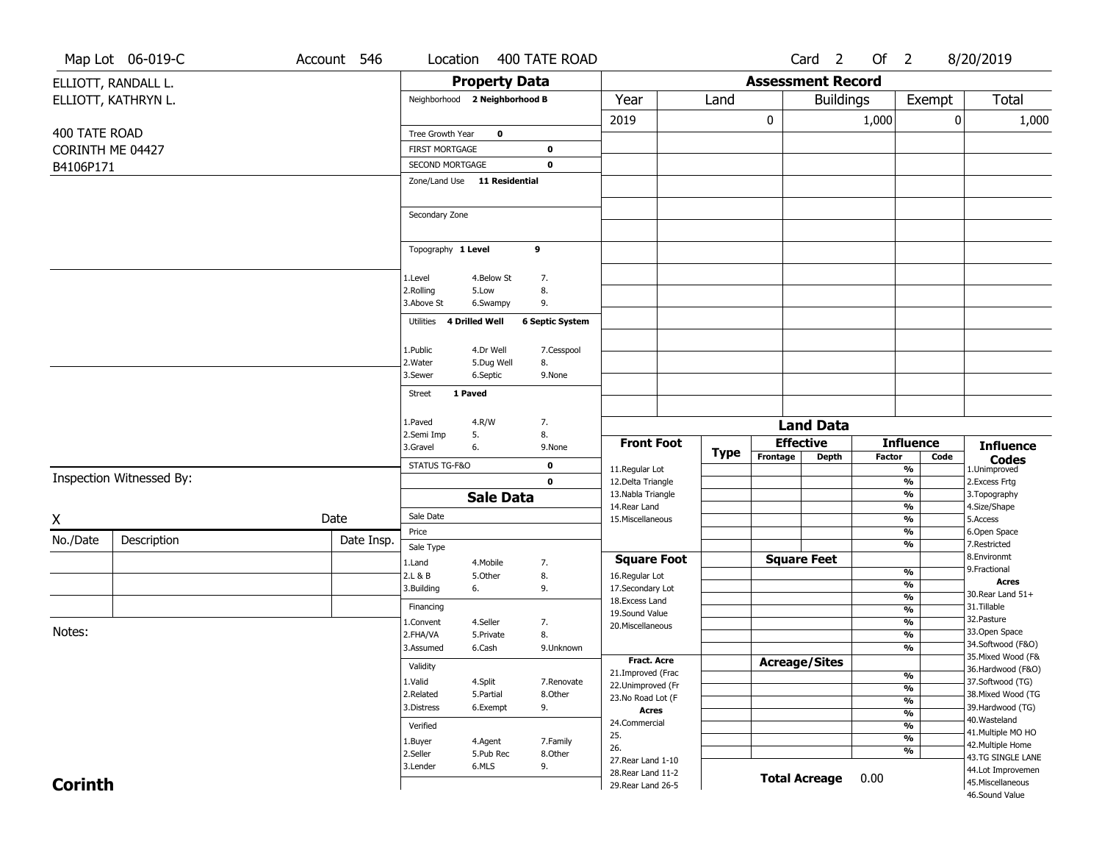|                | Map Lot 06-019-C         | Account 546 | Location                           |                      | 400 TATE ROAD          |                                         |             |                          | Card <sub>2</sub> | Of $2$ |                                |      | 8/20/2019                               |
|----------------|--------------------------|-------------|------------------------------------|----------------------|------------------------|-----------------------------------------|-------------|--------------------------|-------------------|--------|--------------------------------|------|-----------------------------------------|
|                | ELLIOTT, RANDALL L.      |             |                                    | <b>Property Data</b> |                        |                                         |             | <b>Assessment Record</b> |                   |        |                                |      |                                         |
|                | ELLIOTT, KATHRYN L.      |             | Neighborhood 2 Neighborhood B      |                      |                        | Year                                    | Land        |                          | <b>Buildings</b>  |        | Exempt                         |      | <b>Total</b>                            |
|                |                          |             |                                    |                      |                        | 2019                                    |             | 0                        |                   | 1,000  |                                | 0    | 1,000                                   |
| 400 TATE ROAD  |                          |             | Tree Growth Year                   | $\mathbf 0$          |                        |                                         |             |                          |                   |        |                                |      |                                         |
|                | CORINTH ME 04427         |             | <b>FIRST MORTGAGE</b>              |                      | 0                      |                                         |             |                          |                   |        |                                |      |                                         |
| B4106P171      |                          |             | <b>SECOND MORTGAGE</b>             |                      | $\mathbf 0$            |                                         |             |                          |                   |        |                                |      |                                         |
|                |                          |             | Zone/Land Use 11 Residential       |                      |                        |                                         |             |                          |                   |        |                                |      |                                         |
|                |                          |             |                                    |                      |                        |                                         |             |                          |                   |        |                                |      |                                         |
|                |                          |             | Secondary Zone                     |                      |                        |                                         |             |                          |                   |        |                                |      |                                         |
|                |                          |             | Topography 1 Level                 | 9                    |                        |                                         |             |                          |                   |        |                                |      |                                         |
|                |                          |             | 1.Level                            | 4.Below St           | 7.                     |                                         |             |                          |                   |        |                                |      |                                         |
|                |                          |             | 2.Rolling                          | 5.Low                | 8.                     |                                         |             |                          |                   |        |                                |      |                                         |
|                |                          |             | 3.Above St                         | 6.Swampy             | 9.                     |                                         |             |                          |                   |        |                                |      |                                         |
|                |                          |             | 4 Drilled Well<br>Utilities        |                      | <b>6 Septic System</b> |                                         |             |                          |                   |        |                                |      |                                         |
|                |                          |             | 1.Public                           | 4.Dr Well            | 7.Cesspool             |                                         |             |                          |                   |        |                                |      |                                         |
|                |                          |             | 2. Water                           | 5.Dug Well           | 8.                     |                                         |             |                          |                   |        |                                |      |                                         |
|                |                          |             | 3.Sewer                            | 6.Septic             | 9.None                 |                                         |             |                          |                   |        |                                |      |                                         |
|                |                          |             | 1 Paved<br><b>Street</b>           |                      |                        |                                         |             |                          |                   |        |                                |      |                                         |
|                |                          |             | 1.Paved                            | 4.R/W                | 7.                     |                                         |             |                          | <b>Land Data</b>  |        |                                |      |                                         |
|                |                          |             | 2.Semi Imp<br>5.<br>3.Gravel<br>6. |                      | 8.<br>9.None           | <b>Front Foot</b>                       |             | <b>Effective</b>         |                   |        | <b>Influence</b>               |      | <b>Influence</b>                        |
|                |                          |             | STATUS TG-F&O                      |                      | 0                      |                                         | <b>Type</b> | Frontage                 | <b>Depth</b>      | Factor |                                | Code | <b>Codes</b>                            |
|                | Inspection Witnessed By: |             |                                    |                      | $\mathbf 0$            | 11.Regular Lot<br>12.Delta Triangle     |             |                          |                   |        | %<br>$\frac{9}{6}$             |      | 1.Unimproved<br>2. Excess Frtg          |
|                |                          |             |                                    | <b>Sale Data</b>     |                        | 13. Nabla Triangle                      |             |                          |                   |        | %                              |      | 3. Topography                           |
|                |                          |             | Sale Date                          |                      |                        | 14. Rear Land                           |             |                          |                   |        | %                              |      | 4.Size/Shape                            |
| Χ              |                          | Date        | Price                              |                      |                        | 15. Miscellaneous                       |             |                          |                   |        | $\frac{9}{6}$<br>%             |      | 5.Access<br>6.Open Space                |
| No./Date       | Description              | Date Insp.  | Sale Type                          |                      |                        |                                         |             |                          |                   |        | %                              |      | 7.Restricted                            |
|                |                          |             | 1.Land                             | 4. Mobile            | 7.                     | <b>Square Foot</b>                      |             | <b>Square Feet</b>       |                   |        |                                |      | 8.Environmt                             |
|                |                          |             | 2.L & B                            | 5.0ther              | 8.                     | 16.Regular Lot                          |             |                          |                   |        | %                              |      | 9. Fractional<br><b>Acres</b>           |
|                |                          |             | 3.Building<br>6.                   |                      | 9.                     | 17.Secondary Lot                        |             |                          |                   |        | $\frac{9}{6}$<br>$\frac{9}{6}$ |      | 30. Rear Land 51+                       |
|                |                          |             | Financing                          |                      |                        | 18. Excess Land<br>19.Sound Value       |             |                          |                   |        | $\frac{9}{6}$                  |      | 31.Tillable                             |
|                |                          |             | 1.Convent                          | 4.Seller             | 7.                     | 20.Miscellaneous                        |             |                          |                   |        | $\frac{9}{6}$                  |      | 32. Pasture                             |
| Notes:         |                          |             | 2.FHA/VA                           | 5.Private            | 8.                     |                                         |             |                          |                   |        | $\frac{9}{6}$                  |      | 33.Open Space                           |
|                |                          |             | 3.Assumed                          | 6.Cash               | 9.Unknown              |                                         |             |                          |                   |        | $\frac{9}{6}$                  |      | 34.Softwood (F&O)<br>35. Mixed Wood (F& |
|                |                          |             | Validity                           |                      |                        | <b>Fract. Acre</b><br>21.Improved (Frac |             | <b>Acreage/Sites</b>     |                   |        |                                |      | 36.Hardwood (F&O)                       |
|                |                          |             | 1.Valid                            | 4.Split              | 7.Renovate             | 22.Unimproved (Fr                       |             |                          |                   |        | %<br>$\frac{9}{6}$             |      | 37.Softwood (TG)                        |
|                |                          |             | 2.Related                          | 5.Partial            | 8.Other                | 23.No Road Lot (F                       |             |                          |                   |        | $\frac{9}{6}$                  |      | 38. Mixed Wood (TG                      |
|                |                          |             | 3.Distress                         | 6.Exempt             | 9.                     | <b>Acres</b>                            |             |                          |                   |        | $\overline{\frac{9}{6}}$       |      | 39.Hardwood (TG)                        |
|                |                          |             | Verified                           |                      |                        | 24.Commercial                           |             |                          |                   |        | $\frac{9}{6}$                  |      | 40. Wasteland<br>41. Multiple MO HO     |
|                |                          |             | 1.Buyer                            | 4.Agent              | 7.Family               | 25.                                     |             |                          |                   |        | $\overline{\frac{9}{6}}$       |      | 42. Multiple Home                       |
|                |                          |             | 2.Seller                           | 5.Pub Rec            | 8.Other                | 26.<br>27. Rear Land 1-10               |             |                          |                   |        | $\frac{9}{6}$                  |      | 43.TG SINGLE LANE                       |
|                |                          |             | 3.Lender                           | 6.MLS                | 9.                     | 28. Rear Land 11-2                      |             |                          |                   |        |                                |      | 44.Lot Improvemen                       |
| <b>Corinth</b> |                          |             |                                    |                      |                        | 29. Rear Land 26-5                      |             | <b>Total Acreage</b>     |                   | 0.00   |                                |      | 45.Miscellaneous                        |
|                |                          |             |                                    |                      |                        |                                         |             |                          |                   |        |                                |      | 46.Sound Value                          |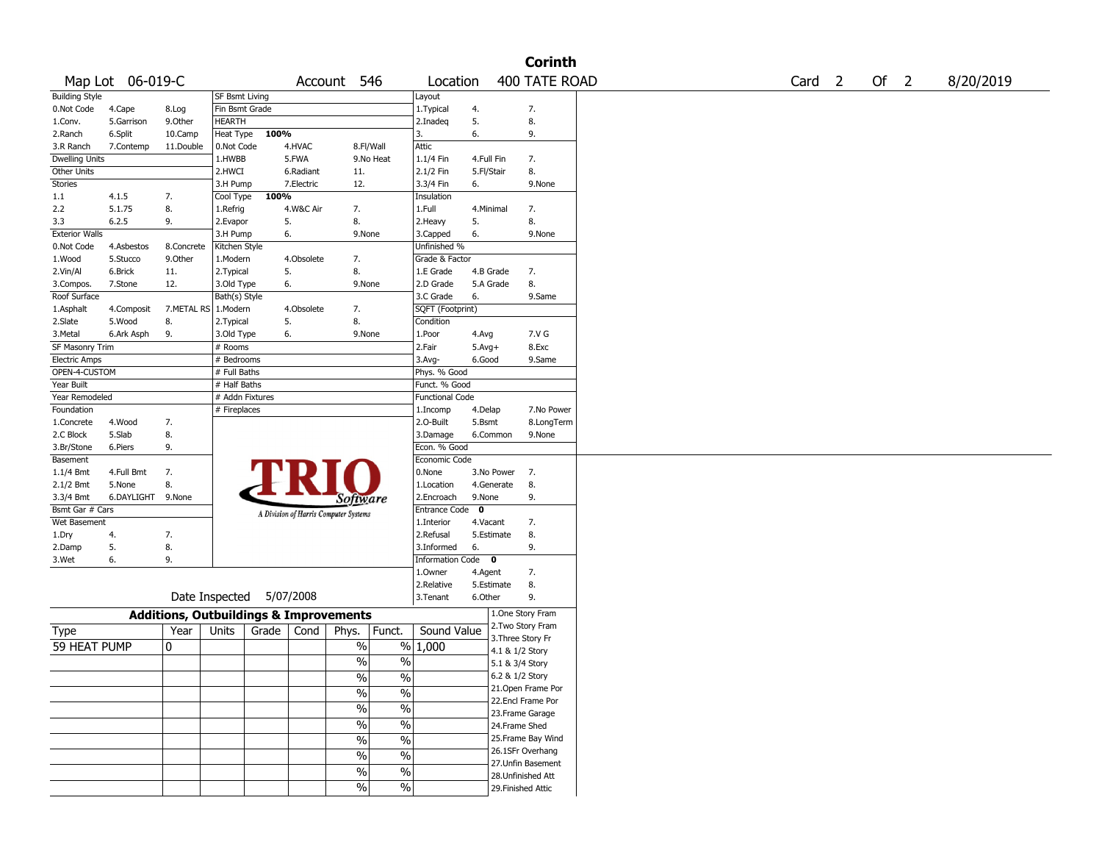|                       |                   |                                                   |                       |       |            |                                       |               |                        |              |                    | <b>Corinth</b>     |                   |      |           |
|-----------------------|-------------------|---------------------------------------------------|-----------------------|-------|------------|---------------------------------------|---------------|------------------------|--------------|--------------------|--------------------|-------------------|------|-----------|
|                       | Map Lot 06-019-C  |                                                   |                       |       |            | Account 546                           |               | Location               |              |                    | 400 TATE ROAD      | Card <sub>2</sub> | Of 2 | 8/20/2019 |
| <b>Building Style</b> |                   |                                                   | <b>SF Bsmt Living</b> |       |            |                                       |               | Layout                 |              |                    |                    |                   |      |           |
| 0.Not Code            | 4.Cape            | 8.Log                                             | Fin Bsmt Grade        |       |            |                                       |               | 1. Typical             | 4.           |                    | 7.                 |                   |      |           |
| 1.Conv.               | 5.Garrison        | 9.0ther                                           | <b>HEARTH</b>         |       |            |                                       |               | 2.Inadeq               | 5.           |                    | 8.                 |                   |      |           |
| 2.Ranch               | 6.Split           | 10.Camp                                           | Heat Type             | 100%  |            |                                       |               | 3.                     | 6.           |                    | 9.                 |                   |      |           |
| 3.R Ranch             | 7.Contemp         | 11.Double                                         | 0.Not Code            |       | 4.HVAC     | 8.Fl/Wall                             |               | Attic                  |              |                    |                    |                   |      |           |
| <b>Dwelling Units</b> |                   |                                                   | 1.HWBB                |       | 5.FWA      |                                       | 9.No Heat     | 1.1/4 Fin              | 4.Full Fin   |                    | 7.                 |                   |      |           |
| Other Units           |                   |                                                   | 2.HWCI                |       | 6.Radiant  | 11.                                   |               | 2.1/2 Fin              | 5.Fl/Stair   |                    | 8.                 |                   |      |           |
| Stories               |                   |                                                   | 3.H Pump              |       | 7.Electric | 12.                                   |               | 3.3/4 Fin              | 6.           |                    | 9.None             |                   |      |           |
| 1.1                   | 4.1.5             | 7.                                                | Cool Type             | 100%  |            |                                       |               | Insulation             |              |                    |                    |                   |      |           |
| 2.2                   | 5.1.75            | 8.                                                | 1.Refrig              |       | 4.W&C Air  | 7.                                    |               | 1.Full                 | 4.Minimal    |                    | 7.                 |                   |      |           |
| 3.3                   | 6.2.5             | 9.                                                | 2.Evapor              |       | 5.         | 8.                                    |               | 2.Heavy                | 5.           |                    | 8.                 |                   |      |           |
| <b>Exterior Walls</b> |                   |                                                   | 3.H Pump              |       | 6.         | 9.None                                |               | 3.Capped               | 6.           |                    | 9.None             |                   |      |           |
| 0.Not Code            | 4.Asbestos        | 8.Concrete                                        | Kitchen Style         |       |            |                                       |               | Unfinished %           |              |                    |                    |                   |      |           |
| 1.Wood                | 5.Stucco          | 9.0ther                                           | 1.Modern              |       | 4.Obsolete | 7.                                    |               | Grade & Factor         |              |                    |                    |                   |      |           |
| 2.Vin/Al              | 6.Brick           | 11.                                               | 2. Typical            |       | 5.         | 8.                                    |               | 1.E Grade              | 4.B Grade    |                    | 7.                 |                   |      |           |
| 3.Compos.             | 7.Stone           | 12.                                               | 3.Old Type            |       | 6.         | 9.None                                |               | 2.D Grade              | 5.A Grade    |                    | 8.                 |                   |      |           |
| Roof Surface          |                   |                                                   | Bath(s) Style         |       |            |                                       |               | 3.C Grade              | 6.           |                    | 9.Same             |                   |      |           |
| 1.Asphalt             | 4.Composit        | 7.METAL RS                                        | 1.Modern              |       | 4.Obsolete | 7.                                    |               | SQFT (Footprint)       |              |                    |                    |                   |      |           |
| 2.Slate               | 5.Wood            | 8.                                                | 2. Typical            |       | 5.         | 8.                                    |               | Condition              |              |                    |                    |                   |      |           |
| 3.Metal               | 6.Ark Asph        | 9.                                                | 3.Old Type            |       | 6.         | 9.None                                |               | 1.Poor                 | 4.Avg        |                    | 7.V G              |                   |      |           |
| SF Masonry Trim       |                   |                                                   | # Rooms               |       |            |                                       |               | 2.Fair                 | $5.$ Avg $+$ |                    | 8.Exc              |                   |      |           |
| <b>Electric Amps</b>  |                   |                                                   | # Bedrooms            |       |            |                                       |               | 3.Avg-                 | 6.Good       |                    | 9.Same             |                   |      |           |
| OPEN-4-CUSTOM         |                   |                                                   | # Full Baths          |       |            |                                       |               | Phys. % Good           |              |                    |                    |                   |      |           |
| Year Built            |                   |                                                   | # Half Baths          |       |            |                                       |               | Funct. % Good          |              |                    |                    |                   |      |           |
| Year Remodeled        |                   |                                                   | # Addn Fixtures       |       |            |                                       |               | <b>Functional Code</b> |              |                    |                    |                   |      |           |
| Foundation            |                   |                                                   | # Fireplaces          |       |            |                                       |               | 1.Incomp               | 4.Delap      |                    | 7.No Power         |                   |      |           |
| 1.Concrete            | 4.Wood            | 7.                                                |                       |       |            |                                       |               | 2.O-Built              | 5.Bsmt       |                    | 8.LongTerm         |                   |      |           |
| 2.C Block             | 5.Slab            | 8.                                                |                       |       |            |                                       |               | 3.Damage               | 6.Common     |                    | 9.None             |                   |      |           |
| 3.Br/Stone            | 6.Piers           | 9.                                                |                       |       |            |                                       |               | Econ. % Good           |              |                    |                    |                   |      |           |
| Basement              |                   |                                                   |                       |       |            |                                       |               | Economic Code          |              |                    |                    |                   |      |           |
| 1.1/4 Bmt             | 4.Full Bmt        | 7.                                                |                       |       |            |                                       |               | 0.None                 |              | 3.No Power         | 7.                 |                   |      |           |
| 2.1/2 Bmt             | 5.None            | 8.                                                |                       |       |            |                                       |               | 1.Location             | 4.Generate   |                    | 8.                 |                   |      |           |
| 3.3/4 Bmt             | 6.DAYLIGHT 9.None |                                                   |                       |       |            |                                       |               | 2.Encroach             | 9.None       |                    | 9.                 |                   |      |           |
| Bsmt Gar # Cars       |                   |                                                   |                       |       |            | Software                              |               | Entrance Code          | $\mathbf{o}$ |                    |                    |                   |      |           |
| Wet Basement          |                   |                                                   |                       |       |            | A Division of Harris Computer Systems |               | 1.Interior             | 4.Vacant     |                    | 7.                 |                   |      |           |
| 1.Dry                 | 4.                | 7.                                                |                       |       |            |                                       |               | 2.Refusal              | 5.Estimate   |                    | 8.                 |                   |      |           |
| 2.Damp                | 5.                | 8.                                                |                       |       |            |                                       |               | 3.Informed             | 6.           |                    | 9.                 |                   |      |           |
| 3.Wet                 | 6.                | 9.                                                |                       |       |            |                                       |               | Information Code 0     |              |                    |                    |                   |      |           |
|                       |                   |                                                   |                       |       |            |                                       |               |                        |              |                    |                    |                   |      |           |
|                       |                   |                                                   |                       |       |            |                                       |               | 1.Owner                | 4.Agent      |                    | 7.<br>8.           |                   |      |           |
|                       |                   | Date Inspected                                    |                       |       | 5/07/2008  |                                       |               | 2.Relative             | 5.Estimate   |                    | 9.                 |                   |      |           |
|                       |                   |                                                   |                       |       |            |                                       |               | 3. Tenant              | 6.Other      |                    |                    |                   |      |           |
|                       |                   | <b>Additions, Outbuildings &amp; Improvements</b> |                       |       |            |                                       |               |                        |              |                    | 1.One Story Fram   |                   |      |           |
| Type                  |                   | Year                                              | Units                 | Grade | Cond       | Phys.                                 | Funct.        | Sound Value            |              |                    | 2. Two Story Fram  |                   |      |           |
| 59 HEAT PUMP          |                   | 0                                                 |                       |       |            | $\%$                                  |               | % 1,000                |              | 3. Three Story Fr  |                    |                   |      |           |
|                       |                   |                                                   |                       |       |            |                                       |               |                        |              | 4.1 & 1/2 Story    |                    |                   |      |           |
|                       |                   |                                                   |                       |       |            | $\%$                                  | %             |                        |              | 5.1 & 3/4 Story    |                    |                   |      |           |
|                       |                   |                                                   |                       |       |            | $\%$                                  | $\frac{9}{0}$ |                        |              | 6.2 & 1/2 Story    |                    |                   |      |           |
|                       |                   |                                                   |                       |       |            | $\%$                                  | $\frac{1}{2}$ |                        |              |                    | 21.Open Frame Por  |                   |      |           |
|                       |                   |                                                   |                       |       |            |                                       |               |                        |              |                    | 22.Encl Frame Por  |                   |      |           |
|                       |                   |                                                   |                       |       |            | $\frac{1}{2}$                         | $\frac{0}{6}$ |                        |              |                    | 23. Frame Garage   |                   |      |           |
|                       |                   |                                                   |                       |       |            | $\%$                                  | $\frac{0}{6}$ |                        |              | 24.Frame Shed      |                    |                   |      |           |
|                       |                   |                                                   |                       |       |            | $\frac{1}{2}$                         | $\frac{0}{6}$ |                        |              |                    | 25. Frame Bay Wind |                   |      |           |
|                       |                   |                                                   |                       |       |            |                                       |               |                        |              |                    | 26.1SFr Overhang   |                   |      |           |
|                       |                   |                                                   |                       |       |            | $\%$                                  | $\frac{1}{2}$ |                        |              |                    | 27.Unfin Basement  |                   |      |           |
|                       |                   |                                                   |                       |       |            | $\frac{1}{2}$                         | $\frac{1}{2}$ |                        |              |                    | 28. Unfinished Att |                   |      |           |
|                       |                   |                                                   |                       |       |            | $\frac{1}{2}$                         | $\frac{1}{2}$ |                        |              | 29. Finished Attic |                    |                   |      |           |
|                       |                   |                                                   |                       |       |            |                                       |               |                        |              |                    |                    |                   |      |           |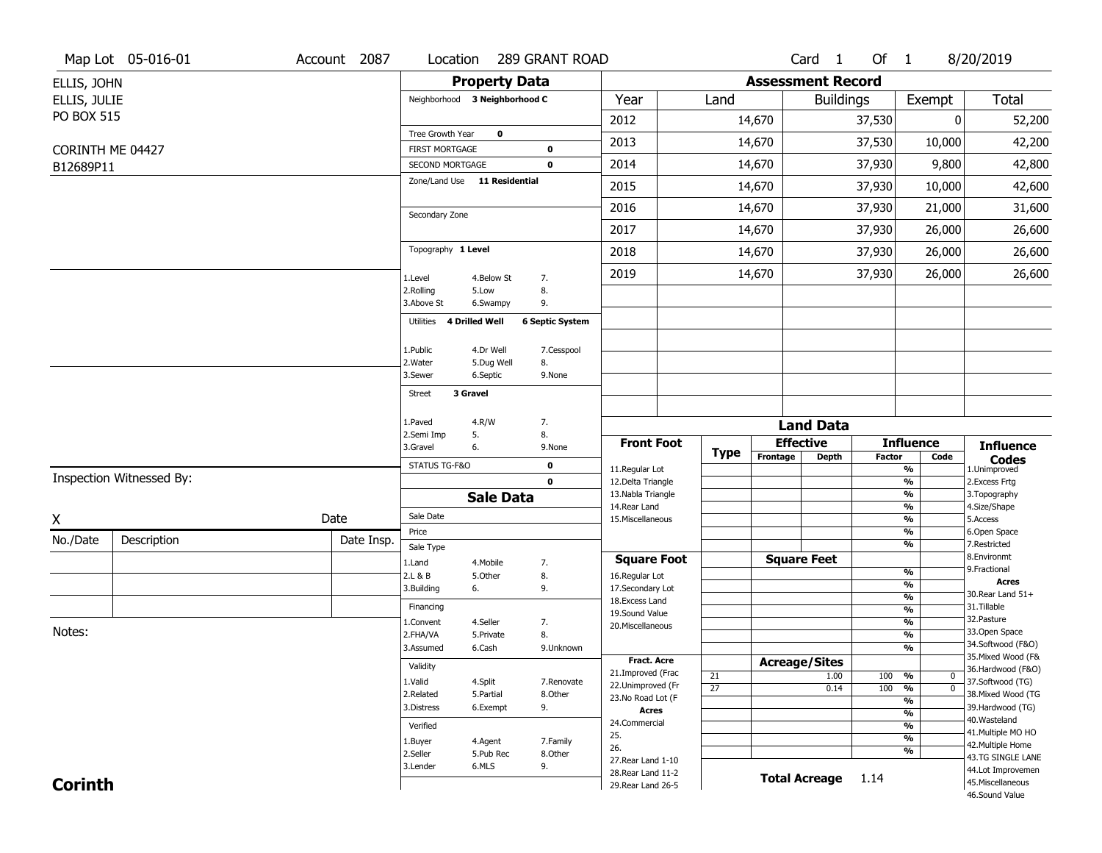|                   | Map Lot 05-016-01        | Account 2087 | Location                      |                       | 289 GRANT ROAD         |                                         |                       |                          | Card <sub>1</sub>    | Of $1$     |                                                             | 8/20/2019                           |
|-------------------|--------------------------|--------------|-------------------------------|-----------------------|------------------------|-----------------------------------------|-----------------------|--------------------------|----------------------|------------|-------------------------------------------------------------|-------------------------------------|
| ELLIS, JOHN       |                          |              |                               | <b>Property Data</b>  |                        |                                         |                       | <b>Assessment Record</b> |                      |            |                                                             |                                     |
| ELLIS, JULIE      |                          |              | Neighborhood 3 Neighborhood C |                       |                        | Year                                    | Land                  |                          | <b>Buildings</b>     |            | Exempt                                                      | <b>Total</b>                        |
| <b>PO BOX 515</b> |                          |              |                               |                       |                        | 2012                                    |                       | 14,670                   |                      | 37,530     |                                                             | 52,200<br>0                         |
|                   |                          |              | Tree Growth Year              | 0                     |                        |                                         |                       |                          |                      |            |                                                             |                                     |
|                   | CORINTH ME 04427         |              | <b>FIRST MORTGAGE</b>         |                       | 0                      | 2013                                    |                       | 14,670                   |                      | 37,530     | 10,000                                                      | 42,200                              |
| B12689P11         |                          |              | SECOND MORTGAGE               |                       | 0                      | 2014                                    |                       | 14,670                   |                      | 37,930     | 9,800                                                       | 42,800                              |
|                   |                          |              | Zone/Land Use 11 Residential  |                       |                        | 2015                                    |                       | 14,670                   |                      | 37,930     | 10,000                                                      | 42,600                              |
|                   |                          |              | Secondary Zone                |                       |                        | 2016                                    |                       | 14,670                   |                      | 37,930     | 21,000                                                      | 31,600                              |
|                   |                          |              |                               |                       |                        | 2017                                    |                       | 14,670                   |                      | 37,930     | 26,000                                                      | 26,600                              |
|                   |                          |              | Topography 1 Level            |                       |                        | 2018                                    |                       | 14,670                   |                      | 37,930     | 26,000                                                      | 26,600                              |
|                   |                          |              | 1.Level                       | 4.Below St            | 7.                     | 2019                                    |                       | 14,670                   |                      | 37,930     | 26,000                                                      | 26,600                              |
|                   |                          |              | 2.Rolling                     | 5.Low                 | 8.                     |                                         |                       |                          |                      |            |                                                             |                                     |
|                   |                          |              | 3.Above St                    | 6.Swampy              | 9.                     |                                         |                       |                          |                      |            |                                                             |                                     |
|                   |                          |              | Utilities                     | <b>4 Drilled Well</b> | <b>6 Septic System</b> |                                         |                       |                          |                      |            |                                                             |                                     |
|                   |                          |              | 1.Public                      | 4.Dr Well             | 7.Cesspool             |                                         |                       |                          |                      |            |                                                             |                                     |
|                   |                          |              | 2. Water                      | 5.Dug Well            | 8.                     |                                         |                       |                          |                      |            |                                                             |                                     |
|                   |                          |              | 3.Sewer                       | 6.Septic              | 9.None                 |                                         |                       |                          |                      |            |                                                             |                                     |
|                   |                          |              | <b>Street</b>                 | 3 Gravel              |                        |                                         |                       |                          |                      |            |                                                             |                                     |
|                   |                          |              | 1.Paved                       | 4.R/W                 | 7.                     |                                         |                       |                          | <b>Land Data</b>     |            |                                                             |                                     |
|                   |                          |              | 2.Semi Imp                    | 5.                    | 8.                     | <b>Front Foot</b>                       |                       |                          | <b>Effective</b>     |            | <b>Influence</b>                                            |                                     |
|                   |                          |              | 3.Gravel                      | 6.                    | 9.None                 |                                         | <b>Type</b>           | Frontage                 | Depth                | Factor     | Code                                                        | <b>Influence</b><br><b>Codes</b>    |
|                   | Inspection Witnessed By: |              | STATUS TG-F&O                 |                       | 0                      | 11.Regular Lot                          |                       |                          |                      |            | %                                                           | 1.Unimproved                        |
|                   |                          |              |                               |                       | $\mathbf 0$            | 12.Delta Triangle<br>13. Nabla Triangle |                       |                          |                      |            | %<br>%                                                      | 2. Excess Frtg<br>3. Topography     |
|                   |                          |              |                               | <b>Sale Data</b>      |                        | 14.Rear Land                            |                       |                          |                      |            | %                                                           | 4.Size/Shape                        |
| X                 |                          | Date         | Sale Date                     |                       |                        | 15. Miscellaneous                       |                       |                          |                      |            | %<br>%                                                      | 5.Access<br>6.Open Space            |
| No./Date          | Description              | Date Insp.   | Price<br>Sale Type            |                       |                        |                                         |                       |                          |                      |            | %                                                           | 7.Restricted                        |
|                   |                          |              | 1.Land                        | 4. Mobile             | 7.                     | <b>Square Foot</b>                      |                       |                          | <b>Square Feet</b>   |            |                                                             | 8.Environmt                         |
|                   |                          |              | 2.L & B                       | 5.Other               | 8.                     | 16.Regular Lot                          |                       |                          |                      |            | %                                                           | 9. Fractional<br><b>Acres</b>       |
|                   |                          |              | 3.Building                    | 6.                    | 9.                     | 17.Secondary Lot                        |                       |                          |                      |            | %<br>$\frac{9}{6}$                                          | 30. Rear Land 51+                   |
|                   |                          |              | Financing                     |                       |                        | 18. Excess Land<br>19.Sound Value       |                       |                          |                      |            | %                                                           | 31.Tillable                         |
|                   |                          |              | 1.Convent                     | 4.Seller              | 7.                     | 20.Miscellaneous                        |                       |                          |                      |            | $\frac{9}{6}$                                               | 32. Pasture                         |
| Notes:            |                          |              | 2.FHA/VA                      | 5.Private             | 8.                     |                                         |                       |                          |                      |            | $\overline{\frac{9}{6}}$                                    | 33.Open Space<br>34.Softwood (F&O)  |
|                   |                          |              | 3.Assumed                     | 6.Cash                | 9.Unknown              | Fract. Acre                             |                       |                          |                      |            | %                                                           | 35. Mixed Wood (F&                  |
|                   |                          |              | Validity                      |                       |                        | 21.Improved (Frac                       |                       |                          | <b>Acreage/Sites</b> |            |                                                             | 36.Hardwood (F&O)                   |
|                   |                          |              | 1.Valid                       | 4.Split               | 7.Renovate             | 22.Unimproved (Fr                       | 21<br>$\overline{27}$ |                          | 1.00<br>0.14         | 100<br>100 | %<br>$\bf{0}$<br>$\overline{\mathfrak{o}}$<br>$\frac{9}{6}$ | 37.Softwood (TG)                    |
|                   |                          |              | 2.Related                     | 5.Partial             | 8.Other                | 23.No Road Lot (F                       |                       |                          |                      |            | %                                                           | 38. Mixed Wood (TG                  |
|                   |                          |              | 3.Distress                    | 6.Exempt              | 9.                     | <b>Acres</b>                            |                       |                          |                      |            | $\frac{9}{6}$                                               | 39.Hardwood (TG)                    |
|                   |                          |              | Verified                      |                       |                        | 24.Commercial                           |                       |                          |                      |            | %                                                           | 40. Wasteland<br>41. Multiple MO HO |
|                   |                          |              | 1.Buyer                       | 4.Agent               | 7.Family               | 25.                                     |                       |                          |                      |            | $\frac{9}{6}$                                               | 42. Multiple Home                   |
|                   |                          |              | 2.Seller                      | 5.Pub Rec             | 8.Other                | 26.<br>27. Rear Land 1-10               |                       |                          |                      |            | %                                                           | 43.TG SINGLE LANE                   |
|                   |                          |              | 3.Lender                      | 6.MLS                 | 9.                     | 28. Rear Land 11-2                      |                       |                          |                      |            |                                                             | 44.Lot Improvemen                   |
| <b>Corinth</b>    |                          |              |                               |                       |                        | 29. Rear Land 26-5                      |                       |                          | <b>Total Acreage</b> | 1.14       |                                                             | 45. Miscellaneous                   |
|                   |                          |              |                               |                       |                        |                                         |                       |                          |                      |            |                                                             | 46.Sound Value                      |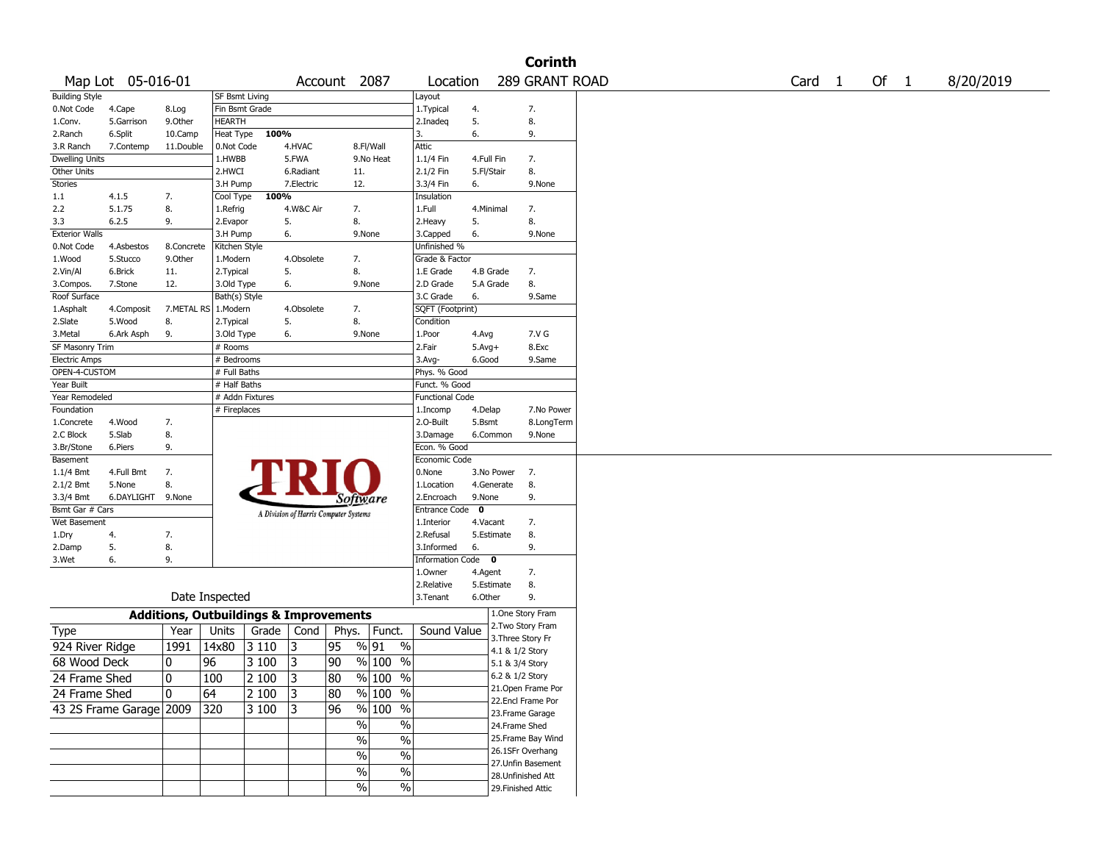|                       |                         |                                                   |                 |       |            |                                       |                                 |                        |                       |                    | <b>Corinth</b>                        |                   |      |           |
|-----------------------|-------------------------|---------------------------------------------------|-----------------|-------|------------|---------------------------------------|---------------------------------|------------------------|-----------------------|--------------------|---------------------------------------|-------------------|------|-----------|
|                       | Map Lot 05-016-01       |                                                   |                 |       |            | Account 2087                          |                                 | Location               |                       |                    | 289 GRANT ROAD                        | Card <sub>1</sub> | Of 1 | 8/20/2019 |
| <b>Building Style</b> |                         |                                                   | SF Bsmt Living  |       |            |                                       |                                 | Layout                 |                       |                    |                                       |                   |      |           |
| 0.Not Code            | 4.Cape                  | 8.Log                                             | Fin Bsmt Grade  |       |            |                                       |                                 | 1. Typical             | 4.                    |                    | 7.                                    |                   |      |           |
| 1.Conv.               | 5.Garrison              | 9.0ther                                           | HEARTH          |       |            |                                       |                                 | 2.Inadeq               | 5.                    |                    | 8.                                    |                   |      |           |
| 2.Ranch               | 6.Split                 | 10.Camp                                           | Heat Type       | 100%  |            |                                       |                                 | 3.                     | 6.                    |                    | 9.                                    |                   |      |           |
| 3.R Ranch             | 7.Contemp               | 11.Double                                         | 0.Not Code      |       | 4.HVAC     |                                       | 8.Fl/Wall                       | Attic                  |                       |                    |                                       |                   |      |           |
| <b>Dwelling Units</b> |                         |                                                   | 1.HWBB          |       | 5.FWA      |                                       | 9.No Heat                       | 1.1/4 Fin              | 4.Full Fin            |                    | 7.                                    |                   |      |           |
| Other Units           |                         |                                                   | 2.HWCI          |       | 6.Radiant  | 11.                                   |                                 | 2.1/2 Fin              | 5.Fl/Stair            |                    | 8.                                    |                   |      |           |
| Stories               |                         |                                                   | 3.H Pump        |       | 7.Electric | 12.                                   |                                 | 3.3/4 Fin              | 6.                    |                    | 9.None                                |                   |      |           |
| 1.1                   | 4.1.5                   | 7.                                                | Cool Type       | 100%  |            |                                       |                                 | Insulation             |                       |                    |                                       |                   |      |           |
| 2.2                   | 5.1.75                  | 8.                                                | 1.Refrig        |       | 4.W&C Air  | 7.                                    |                                 | 1.Full                 | 4.Minimal             |                    | 7.                                    |                   |      |           |
| 3.3                   | 6.2.5                   | 9.                                                | 2.Evapor        |       | 5.         | 8.                                    |                                 | 2. Heavy               | 5.                    |                    | 8.                                    |                   |      |           |
| <b>Exterior Walls</b> |                         |                                                   | 3.H Pump        |       | 6.         |                                       | 9.None                          | 3.Capped               | 6.                    |                    | 9.None                                |                   |      |           |
| 0.Not Code            | 4.Asbestos              | 8.Concrete                                        | Kitchen Style   |       |            |                                       |                                 | Unfinished %           |                       |                    |                                       |                   |      |           |
| 1.Wood                | 5.Stucco                | 9.0ther                                           | 1.Modern        |       | 4.Obsolete | 7.                                    |                                 | Grade & Factor         |                       |                    |                                       |                   |      |           |
| 2.Vin/Al              | 6.Brick                 | 11.                                               | 2. Typical      |       | 5.         | 8.                                    |                                 | 1.E Grade              | 4.B Grade             |                    | 7.                                    |                   |      |           |
| 3.Compos.             | 7.Stone                 | 12.                                               | 3.Old Type      |       | 6.         |                                       | 9.None                          | 2.D Grade              | 5.A Grade             |                    | 8.                                    |                   |      |           |
| Roof Surface          |                         |                                                   | Bath(s) Style   |       |            |                                       |                                 | 3.C Grade              | 6.                    |                    | 9.Same                                |                   |      |           |
| 1.Asphalt             | 4.Composit              | 7.METAL RS                                        | 1.Modern        |       | 4.Obsolete | 7.                                    |                                 | SQFT (Footprint)       |                       |                    |                                       |                   |      |           |
| 2.Slate               | 5.Wood                  | 8.                                                | 2. Typical      |       | 5.         | 8.                                    |                                 | Condition              |                       |                    |                                       |                   |      |           |
| 3. Metal              | 6.Ark Asph              | 9.                                                | 3.Old Type      |       | 6.         |                                       | 9.None                          | 1.Poor                 | 4.Avg                 |                    | 7.V G                                 |                   |      |           |
| SF Masonry Trim       |                         |                                                   | # Rooms         |       |            |                                       |                                 | 2.Fair                 | $5.Avg+$              |                    | 8.Exc                                 |                   |      |           |
| <b>Electric Amps</b>  |                         |                                                   | # Bedrooms      |       |            |                                       |                                 | 3.Avg-                 | 6.Good                |                    | 9.Same                                |                   |      |           |
| OPEN-4-CUSTOM         |                         |                                                   | # Full Baths    |       |            |                                       |                                 | Phys. % Good           |                       |                    |                                       |                   |      |           |
| Year Built            |                         |                                                   | # Half Baths    |       |            |                                       |                                 | Funct. % Good          |                       |                    |                                       |                   |      |           |
| Year Remodeled        |                         |                                                   | # Addn Fixtures |       |            |                                       |                                 | <b>Functional Code</b> |                       |                    |                                       |                   |      |           |
| Foundation            |                         |                                                   | # Fireplaces    |       |            |                                       |                                 | 1.Incomp               | 4.Delap               |                    | 7.No Power                            |                   |      |           |
| 1.Concrete            | 4.Wood                  | 7.                                                |                 |       |            |                                       |                                 | 2.0-Built              | 5.Bsmt                |                    | 8.LongTerm                            |                   |      |           |
| 2.C Block             | 5.Slab                  | 8.                                                |                 |       |            |                                       |                                 | 3.Damage               | 6.Common              |                    | 9.None                                |                   |      |           |
| 3.Br/Stone            | 6.Piers                 | 9.                                                |                 |       |            |                                       |                                 | Econ. % Good           |                       |                    |                                       |                   |      |           |
| Basement              |                         |                                                   |                 |       |            |                                       |                                 | Economic Code          |                       |                    |                                       |                   |      |           |
| 1.1/4 Bmt             | 4.Full Bmt              | 7.                                                |                 |       |            |                                       |                                 | 0.None                 | 3.No Power            |                    | 7.                                    |                   |      |           |
| $2.1/2$ Bmt           | 5.None                  | 8.                                                |                 |       |            |                                       |                                 | 1.Location             | 4.Generate            |                    | 8.                                    |                   |      |           |
| 3.3/4 Bmt             | 6.DAYLIGHT              | 9.None                                            |                 |       |            | Software                              |                                 | 2.Encroach             | 9.None                |                    | 9.                                    |                   |      |           |
| Bsmt Gar # Cars       |                         |                                                   |                 |       |            |                                       |                                 | <b>Entrance Code</b>   | 0                     |                    |                                       |                   |      |           |
| Wet Basement          |                         |                                                   |                 |       |            | A Division of Harris Computer Systems |                                 | 1.Interior             | 4.Vacant              |                    | 7.                                    |                   |      |           |
| 1.Dry                 | 4.                      | 7.                                                |                 |       |            |                                       |                                 | 2.Refusal              | 5.Estimate            |                    | 8.                                    |                   |      |           |
|                       | 5.                      | 8.                                                |                 |       |            |                                       |                                 | 3.Informed             | 6.                    |                    | 9.                                    |                   |      |           |
| 2.Damp<br>3.Wet       | 6.                      | 9.                                                |                 |       |            |                                       |                                 | Information Code 0     |                       |                    |                                       |                   |      |           |
|                       |                         |                                                   |                 |       |            |                                       |                                 | 1.Owner                |                       |                    | 7.                                    |                   |      |           |
|                       |                         |                                                   |                 |       |            |                                       |                                 | 2.Relative             | 4.Agent<br>5.Estimate |                    |                                       |                   |      |           |
|                       |                         |                                                   | Date Inspected  |       |            |                                       |                                 |                        |                       |                    | 8.<br>9.                              |                   |      |           |
|                       |                         |                                                   |                 |       |            |                                       |                                 | 3.Tenant               | 6.Other               |                    |                                       |                   |      |           |
|                       |                         | <b>Additions, Outbuildings &amp; Improvements</b> |                 |       |            |                                       |                                 |                        |                       |                    | 1.One Story Fram<br>2. Two Story Fram |                   |      |           |
| Type                  |                         | Year                                              | Units           | Grade | Cond       | Phys.                                 | Funct.                          | Sound Value            |                       |                    |                                       |                   |      |           |
| 924 River Ridge       |                         | 1991                                              | 14x80           | 3110  | 3          | 95                                    | % 91<br>$\%$                    |                        |                       | 3. Three Story Fr  |                                       |                   |      |           |
| 68 Wood Deck          |                         | 0                                                 | 96              | 3 100 | 3          | 90                                    | % 100 %                         |                        |                       | 4.1 & 1/2 Story    |                                       |                   |      |           |
|                       |                         |                                                   |                 |       |            |                                       |                                 |                        |                       | 5.1 & 3/4 Story    |                                       |                   |      |           |
| 24 Frame Shed         |                         | 0                                                 | 100             | 2 100 | 3          | 80                                    | $%100$ %                        |                        |                       | 6.2 & 1/2 Story    |                                       |                   |      |           |
| 24 Frame Shed         |                         | 10                                                | 64              | 2 100 | 3          | 80                                    | $\frac{9}{6}$ 100 $\frac{1}{6}$ |                        |                       |                    | 21.Open Frame Por                     |                   |      |           |
|                       | 43 2S Frame Garage 2009 |                                                   | 320             | 3 100 | 3          | 96                                    | % 100 %                         |                        |                       |                    | 22.Encl Frame Por                     |                   |      |           |
|                       |                         |                                                   |                 |       |            |                                       |                                 |                        |                       |                    | 23. Frame Garage                      |                   |      |           |
|                       |                         |                                                   |                 |       |            | $\sqrt{6}$                            | $\%$                            |                        |                       | 24.Frame Shed      |                                       |                   |      |           |
|                       |                         |                                                   |                 |       |            | $\frac{0}{6}$                         | $\overline{\frac{0}{6}}$        |                        |                       |                    | 25. Frame Bay Wind                    |                   |      |           |
|                       |                         |                                                   |                 |       |            | $\sqrt{6}$                            | $\%$                            |                        |                       |                    | 26.1SFr Overhang                      |                   |      |           |
|                       |                         |                                                   |                 |       |            |                                       |                                 |                        |                       |                    | 27.Unfin Basement                     |                   |      |           |
|                       |                         |                                                   |                 |       |            | $\sqrt{6}$                            | $\%$                            |                        |                       |                    | 28. Unfinished Att                    |                   |      |           |
|                       |                         |                                                   |                 |       |            | $\sqrt{6}$                            | $\%$                            |                        |                       | 29. Finished Attic |                                       |                   |      |           |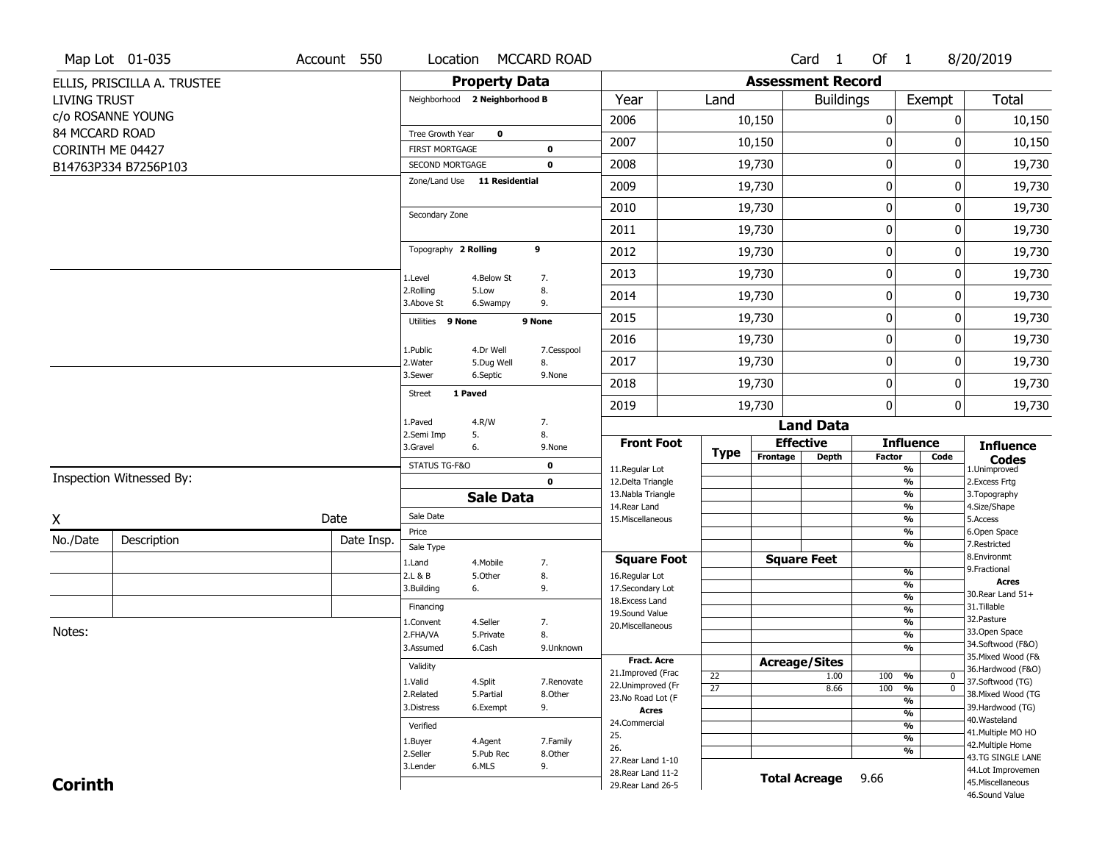|                     | Map Lot 01-035              | Account 550 | Location                |                               | MCCARD ROAD         |                                          |                 |                          | Card <sub>1</sub>    | Of 1          |                                                      | 8/20/2019                               |
|---------------------|-----------------------------|-------------|-------------------------|-------------------------------|---------------------|------------------------------------------|-----------------|--------------------------|----------------------|---------------|------------------------------------------------------|-----------------------------------------|
|                     | ELLIS, PRISCILLA A. TRUSTEE |             |                         | <b>Property Data</b>          |                     |                                          |                 | <b>Assessment Record</b> |                      |               |                                                      |                                         |
| <b>LIVING TRUST</b> |                             |             |                         | Neighborhood 2 Neighborhood B |                     | Year                                     | Land            |                          | <b>Buildings</b>     |               | Exempt                                               | <b>Total</b>                            |
|                     | c/o ROSANNE YOUNG           |             |                         |                               |                     | 2006                                     |                 | 10,150                   |                      | 0             | 0                                                    | 10,150                                  |
| 84 MCCARD ROAD      |                             |             | Tree Growth Year        | $\mathbf 0$                   |                     | 2007                                     |                 | 10,150                   |                      | 0             | 0                                                    | 10,150                                  |
| CORINTH ME 04427    |                             |             | FIRST MORTGAGE          |                               | $\mathbf 0$         |                                          |                 |                          |                      |               |                                                      |                                         |
|                     | B14763P334 B7256P103        |             | SECOND MORTGAGE         | Zone/Land Use 11 Residential  | $\mathbf 0$         | 2008                                     |                 | 19,730                   |                      | $\pmb{0}$     | 0                                                    | 19,730                                  |
|                     |                             |             |                         |                               |                     | 2009                                     |                 | 19,730                   |                      | 0             | 0                                                    | 19,730                                  |
|                     |                             |             | Secondary Zone          |                               |                     | 2010                                     |                 | 19,730                   |                      | 0             | 0                                                    | 19,730                                  |
|                     |                             |             |                         |                               |                     | 2011                                     |                 | 19,730                   |                      | 0             | 0                                                    | 19,730                                  |
|                     |                             |             | Topography 2 Rolling    |                               | 9                   | 2012                                     |                 | 19,730                   |                      | $\mathbf 0$   | 0                                                    | 19,730                                  |
|                     |                             |             | 1.Level                 | 4.Below St                    | 7.                  | 2013                                     |                 | 19,730                   |                      | $\pmb{0}$     | 0                                                    | 19,730                                  |
|                     |                             |             | 2.Rolling<br>3.Above St | 5.Low<br>6.Swampy             | 8.<br>9.            | 2014                                     |                 | 19,730                   |                      | 0             | 0                                                    | 19,730                                  |
|                     |                             |             | Utilities 9 None        |                               | 9 None              | 2015                                     |                 | 19,730                   |                      | $\bf{0}$      | 0                                                    | 19,730                                  |
|                     |                             |             | 1.Public                | 4.Dr Well                     | 7.Cesspool          | 2016                                     |                 | 19,730                   |                      | $\pmb{0}$     | 0                                                    | 19,730                                  |
|                     |                             |             | 2. Water                | 5.Dug Well                    | 8.                  | 2017                                     |                 | 19,730                   |                      | 0             | 0                                                    | 19,730                                  |
|                     |                             |             | 3.Sewer                 | 6.Septic                      | 9.None              | 2018                                     |                 | 19,730                   |                      | 0             | 0                                                    | 19,730                                  |
|                     |                             |             | <b>Street</b>           | 1 Paved                       |                     | 2019                                     |                 | 19,730                   |                      | $\mathbf{0}$  | 0                                                    | 19,730                                  |
|                     |                             |             | 1.Paved                 | 4.R/W                         | 7.                  |                                          |                 |                          | <b>Land Data</b>     |               |                                                      |                                         |
|                     |                             |             | 2.Semi Imp<br>3.Gravel  | 5.<br>6.                      | 8.<br>9.None        | <b>Front Foot</b>                        |                 | <b>Effective</b>         |                      |               | <b>Influence</b>                                     | <b>Influence</b>                        |
|                     |                             |             | STATUS TG-F&O           |                               | $\mathbf 0$         | 11.Regular Lot                           | <b>Type</b>     | Frontage                 | <b>Depth</b>         | <b>Factor</b> | Code<br>$\frac{9}{6}$                                | <b>Codes</b><br>1.Unimproved            |
|                     | Inspection Witnessed By:    |             |                         |                               | $\mathbf 0$         | 12.Delta Triangle                        |                 |                          |                      |               | $\frac{9}{6}$                                        | 2.Excess Frtg                           |
|                     |                             |             |                         | <b>Sale Data</b>              |                     | 13. Nabla Triangle<br>14. Rear Land      |                 |                          |                      |               | $\frac{9}{6}$<br>$\frac{9}{6}$                       | 3. Topography<br>4.Size/Shape           |
| χ                   |                             | Date        | Sale Date               |                               |                     | 15. Miscellaneous                        |                 |                          |                      |               | $\frac{9}{6}$                                        | 5.Access                                |
| No./Date            | Description                 | Date Insp.  | Price                   |                               |                     |                                          |                 |                          |                      |               | $\frac{9}{6}$                                        | 6.Open Space                            |
|                     |                             |             | Sale Type               |                               |                     | <b>Square Foot</b>                       |                 | <b>Square Feet</b>       |                      |               | $\frac{9}{6}$                                        | 7.Restricted<br>8.Environmt             |
|                     |                             |             | 1.Land<br>2.L & B       | 4. Mobile<br>5.Other          | 7.<br>8.            | 16.Regular Lot                           |                 |                          |                      |               | %                                                    | 9. Fractional                           |
|                     |                             |             | 3.Building              | 6.                            | 9.                  | 17.Secondary Lot                         |                 |                          |                      |               | %                                                    | <b>Acres</b><br>30. Rear Land 51+       |
|                     |                             |             | Financing               |                               |                     | 18.Excess Land                           |                 |                          |                      |               | $\frac{9}{6}$<br>$\frac{9}{6}$                       | 31.Tillable                             |
|                     |                             |             | 1.Convent               | 4.Seller                      | 7.                  | 19.Sound Value<br>20.Miscellaneous       |                 |                          |                      |               | $\frac{9}{6}$                                        | 32.Pasture                              |
| Notes:              |                             |             | 2.FHA/VA                | 5.Private                     | 8.                  |                                          |                 |                          |                      |               | $\frac{9}{6}$                                        | 33.Open Space                           |
|                     |                             |             | 3.Assumed               | 6.Cash                        | 9.Unknown           |                                          |                 |                          |                      |               | $\frac{9}{6}$                                        | 34.Softwood (F&O)<br>35. Mixed Wood (F& |
|                     |                             |             | Validity                |                               |                     | <b>Fract. Acre</b><br>21.Improved (Frac  |                 | <b>Acreage/Sites</b>     |                      |               |                                                      | 36.Hardwood (F&O)                       |
|                     |                             |             | 1.Valid                 | 4.Split                       | 7.Renovate          | 22.Unimproved (Fr                        | 22              |                          | 1.00                 | 100           | %<br>0                                               | 37.Softwood (TG)                        |
|                     |                             |             |                         | 5.Partial                     | 8.Other             |                                          | $\overline{27}$ |                          | 8.66                 | 100           | $\overline{0}$<br>$\frac{9}{6}$                      | 38. Mixed Wood (TG                      |
|                     |                             |             | 2.Related               |                               |                     |                                          |                 |                          |                      |               |                                                      |                                         |
|                     |                             |             | 3.Distress              | 6.Exempt                      | 9.                  | 23.No Road Lot (F<br><b>Acres</b>        |                 |                          |                      |               | $\frac{9}{6}$                                        | 39.Hardwood (TG)                        |
|                     |                             |             | Verified                |                               |                     | 24.Commercial                            |                 |                          |                      |               | $\overline{\frac{9}{6}}$<br>$\overline{\frac{9}{6}}$ | 40. Wasteland                           |
|                     |                             |             |                         |                               |                     | 25.                                      |                 |                          |                      |               | $\frac{9}{6}$                                        | 41. Multiple MO HO                      |
|                     |                             |             | 1.Buyer<br>2.Seller     | 4.Agent<br>5.Pub Rec          | 7.Family<br>8.Other | 26.                                      |                 |                          |                      |               | $\frac{9}{6}$                                        | 42. Multiple Home                       |
|                     |                             |             | 3.Lender                | 6.MLS                         | 9.                  | 27. Rear Land 1-10                       |                 |                          |                      |               |                                                      | 43.TG SINGLE LANE                       |
| <b>Corinth</b>      |                             |             |                         |                               |                     | 28. Rear Land 11-2<br>29. Rear Land 26-5 |                 |                          | <b>Total Acreage</b> | 9.66          |                                                      | 44.Lot Improvemen<br>45. Miscellaneous  |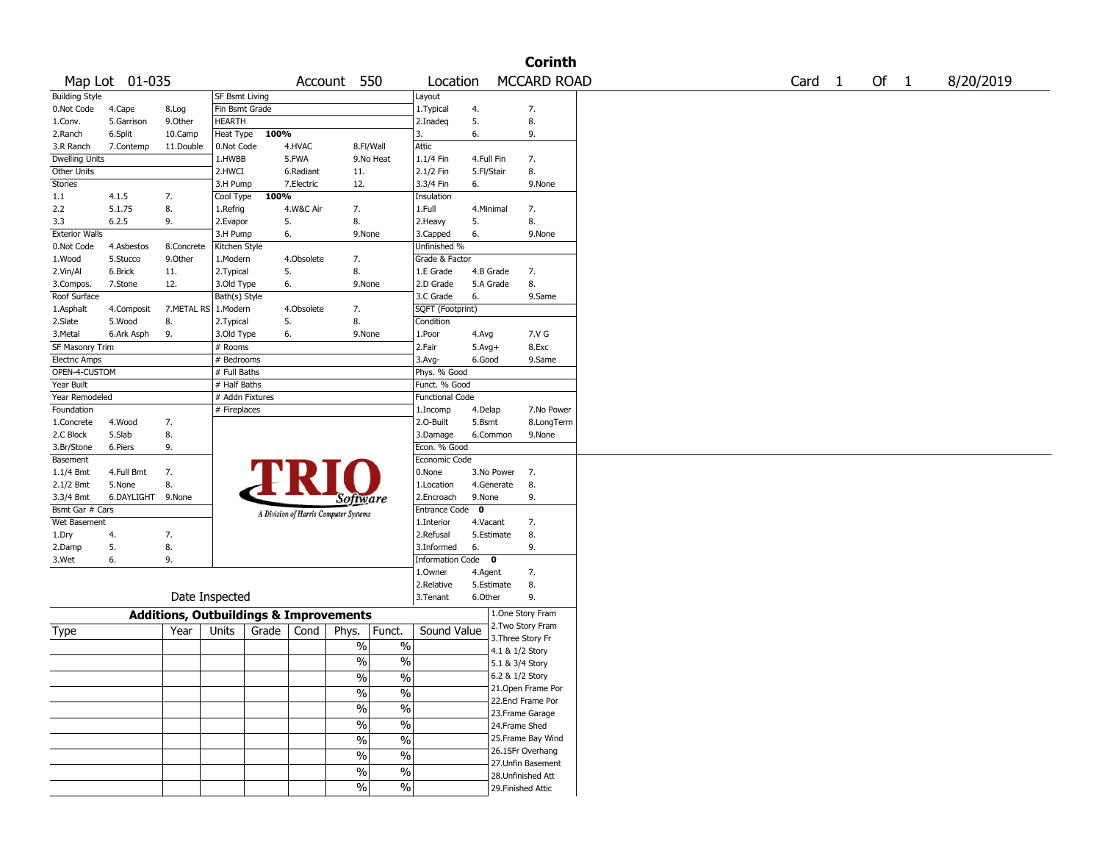|                       |                |                                                   |                       |       |            |                                       |               |                        |              |                   | <b>Corinth</b>     |        |      |           |
|-----------------------|----------------|---------------------------------------------------|-----------------------|-------|------------|---------------------------------------|---------------|------------------------|--------------|-------------------|--------------------|--------|------|-----------|
|                       | Map Lot 01-035 |                                                   |                       |       |            | Account 550                           |               | Location               |              |                   | <b>MCCARD ROAD</b> | Card 1 | Of 1 | 8/20/2019 |
| <b>Building Style</b> |                |                                                   | <b>SF Bsmt Living</b> |       |            |                                       |               | Layout                 |              |                   |                    |        |      |           |
| 0.Not Code            | 4.Cape         | 8.Log                                             | Fin Bsmt Grade        |       |            |                                       |               | 1. Typical             | 4.           |                   | 7.                 |        |      |           |
| 1.Conv.               | 5.Garrison     | 9.0ther                                           | HEARTH                |       |            |                                       |               | 2.Inadeq               | 5.           |                   | 8.                 |        |      |           |
| 2.Ranch               | 6.Split        | 10.Camp                                           | Heat Type             | 100%  |            |                                       |               | 3.                     | 6.           |                   | 9.                 |        |      |           |
| 3.R Ranch             | 7.Contemp      | 11.Double                                         | 0.Not Code            |       | 4.HVAC     | 8.Fl/Wall                             |               | Attic                  |              |                   |                    |        |      |           |
| <b>Dwelling Units</b> |                |                                                   | 1.HWBB                |       | 5.FWA      |                                       | 9.No Heat     | 1.1/4 Fin              | 4.Full Fin   |                   | 7.                 |        |      |           |
| Other Units           |                |                                                   | 2.HWCI                |       | 6.Radiant  | 11.                                   |               | 2.1/2 Fin              | 5.Fl/Stair   |                   | 8.                 |        |      |           |
| <b>Stories</b>        |                |                                                   | 3.H Pump              |       | 7.Electric | 12.                                   |               | 3.3/4 Fin              | 6.           |                   | 9.None             |        |      |           |
|                       |                |                                                   |                       |       |            |                                       |               |                        |              |                   |                    |        |      |           |
| 1.1                   | 4.1.5          | 7.                                                | Cool Type             | 100%  |            |                                       |               | Insulation             |              |                   |                    |        |      |           |
| 2.2                   | 5.1.75         | 8.                                                | 1.Refrig              |       | 4.W&C Air  | 7.                                    |               | 1.Full                 | 4.Minimal    |                   | 7.                 |        |      |           |
| 3.3                   | 6.2.5          | 9.                                                | 2.Evapor              | 5.    |            | 8.                                    |               | 2.Heavy                | 5.           |                   | 8.                 |        |      |           |
| <b>Exterior Walls</b> |                |                                                   | 3.H Pump              | 6.    |            | 9.None                                |               | 3.Capped               | 6.           |                   | 9.None             |        |      |           |
| 0.Not Code            | 4.Asbestos     | 8.Concrete                                        | Kitchen Style         |       |            |                                       |               | Unfinished %           |              |                   |                    |        |      |           |
| 1.Wood                | 5.Stucco       | 9.Other                                           | 1.Modern              |       | 4.Obsolete | 7.                                    |               | Grade & Factor         |              |                   |                    |        |      |           |
| 2.Vin/Al              | 6.Brick        | 11.                                               | 2. Typical            | 5.    |            | 8.                                    |               | 1.E Grade              |              | 4.B Grade         | 7.                 |        |      |           |
| 3.Compos.             | 7.Stone        | 12.                                               | 3.Old Type            | 6.    |            | 9.None                                |               | 2.D Grade              |              | 5.A Grade         | 8.                 |        |      |           |
| Roof Surface          |                |                                                   | Bath(s) Style         |       |            |                                       |               | 3.C Grade              | 6.           |                   | 9.Same             |        |      |           |
| 1.Asphalt             | 4.Composit     | 7.METAL RS                                        | 1.Modern              |       | 4.Obsolete | 7.                                    |               | SQFT (Footprint)       |              |                   |                    |        |      |           |
| 2.Slate               | 5.Wood         | 8.                                                | 2. Typical            | 5.    |            | 8.                                    |               | Condition              |              |                   |                    |        |      |           |
| 3.Metal               | 6.Ark Asph     | 9.                                                | 3.Old Type            | 6.    |            | 9.None                                |               | 1.Poor                 | 4.Avg        |                   | 7.V G              |        |      |           |
| SF Masonry Trim       |                |                                                   | # Rooms               |       |            |                                       |               | 2.Fair                 | $5.$ Avg $+$ |                   | 8.Exc              |        |      |           |
|                       |                |                                                   |                       |       |            |                                       |               |                        | 6.Good       |                   |                    |        |      |           |
| <b>Electric Amps</b>  |                |                                                   | # Bedrooms            |       |            |                                       |               | $3.$ Avg-              |              |                   | 9.Same             |        |      |           |
| OPEN-4-CUSTOM         |                |                                                   | # Full Baths          |       |            |                                       |               | Phys. % Good           |              |                   |                    |        |      |           |
| Year Built            |                |                                                   | # Half Baths          |       |            |                                       |               | Funct. % Good          |              |                   |                    |        |      |           |
| Year Remodeled        |                |                                                   | # Addn Fixtures       |       |            |                                       |               | <b>Functional Code</b> |              |                   |                    |        |      |           |
| Foundation            |                |                                                   | # Fireplaces          |       |            |                                       |               | 1.Incomp               | 4.Delap      |                   | 7.No Power         |        |      |           |
| 1.Concrete            | 4.Wood         | 7.                                                |                       |       |            |                                       |               | 2.O-Built              | 5.Bsmt       |                   | 8.LongTerm         |        |      |           |
| 2.C Block             | 5.Slab         | 8.                                                |                       |       |            |                                       |               | 3.Damage               |              | 6.Common          | 9.None             |        |      |           |
| 3.Br/Stone            | 6.Piers        | 9.                                                |                       |       |            |                                       |               | Econ. % Good           |              |                   |                    |        |      |           |
| Basement              |                |                                                   |                       |       |            |                                       |               | Economic Code          |              |                   |                    |        |      |           |
| 1.1/4 Bmt             | 4.Full Bmt     | 7.                                                |                       |       |            |                                       |               | 0.None                 |              | 3.No Power        | $\overline{7}$ .   |        |      |           |
| 2.1/2 Bmt             | 5.None         | 8.                                                |                       |       |            |                                       |               | 1.Location             |              | 4.Generate        | 8.                 |        |      |           |
| 3.3/4 Bmt             | 6.DAYLIGHT     | 9.None                                            |                       |       |            |                                       |               | 2.Encroach             | 9.None       |                   | 9.                 |        |      |           |
| Bsmt Gar # Cars       |                |                                                   |                       |       |            | Software                              |               | Entrance Code          | $\mathbf 0$  |                   |                    |        |      |           |
|                       |                |                                                   |                       |       |            | A Division of Harris Computer Systems |               |                        |              |                   | 7.                 |        |      |           |
| Wet Basement          |                |                                                   |                       |       |            |                                       |               | 1.Interior             | 4.Vacant     |                   |                    |        |      |           |
| 1.Dry                 | 4.             | 7.                                                |                       |       |            |                                       |               | 2.Refusal              |              | 5.Estimate        | 8.                 |        |      |           |
| 2.Damp                | 5.             | 8.                                                |                       |       |            |                                       |               | 3.Informed             | 6.           |                   | 9.                 |        |      |           |
| 3.Wet                 | 6.             | 9.                                                |                       |       |            |                                       |               | Information Code 0     |              |                   |                    |        |      |           |
|                       |                |                                                   |                       |       |            |                                       |               | 1.Owner                | 4.Agent      |                   | 7.                 |        |      |           |
|                       |                |                                                   |                       |       |            |                                       |               | 2.Relative             |              | 5.Estimate        | 8.                 |        |      |           |
|                       |                | Date Inspected                                    |                       |       |            |                                       |               | 3. Tenant              | 6.Other      |                   | 9.                 |        |      |           |
|                       |                |                                                   |                       |       |            |                                       |               |                        |              |                   | 1.One Story Fram   |        |      |           |
|                       |                | <b>Additions, Outbuildings &amp; Improvements</b> |                       |       |            |                                       |               |                        |              |                   | 2.Two Story Fram   |        |      |           |
| Type                  |                | Year                                              | Units                 | Grade | Cond       | Phys.                                 | Funct.        | Sound Value            |              | 3. Three Story Fr |                    |        |      |           |
|                       |                |                                                   |                       |       |            | $\%$                                  | $\%$          |                        |              |                   |                    |        |      |           |
|                       |                |                                                   |                       |       |            |                                       |               |                        |              | 4.1 & 1/2 Story   |                    |        |      |           |
|                       |                |                                                   |                       |       |            | $\%$                                  | $\%$          |                        |              | 5.1 & 3/4 Story   |                    |        |      |           |
|                       |                |                                                   |                       |       |            | $\sqrt{6}$                            | $\frac{1}{2}$ |                        |              | 6.2 & 1/2 Story   |                    |        |      |           |
|                       |                |                                                   |                       |       |            | $\frac{1}{2}$                         | $\frac{1}{2}$ |                        |              |                   | 21. Open Frame Por |        |      |           |
|                       |                |                                                   |                       |       |            |                                       |               |                        |              |                   | 22.Encl Frame Por  |        |      |           |
|                       |                |                                                   |                       |       |            | $\frac{1}{2}$                         | $\frac{0}{6}$ |                        |              |                   | 23. Frame Garage   |        |      |           |
|                       |                |                                                   |                       |       |            | $\frac{1}{2}$                         | $\frac{0}{6}$ |                        |              | 24.Frame Shed     |                    |        |      |           |
|                       |                |                                                   |                       |       |            | $\frac{0}{6}$                         | $\frac{0}{6}$ |                        |              |                   | 25. Frame Bay Wind |        |      |           |
|                       |                |                                                   |                       |       |            |                                       |               |                        |              |                   | 26.1SFr Overhang   |        |      |           |
|                       |                |                                                   |                       |       |            | $\%$                                  | $\sqrt{2}$    |                        |              |                   | 27.Unfin Basement  |        |      |           |
|                       |                |                                                   |                       |       |            | $\%$                                  | $\frac{1}{2}$ |                        |              |                   |                    |        |      |           |
|                       |                |                                                   |                       |       |            | $\frac{1}{2}$                         | $\frac{1}{2}$ |                        |              |                   | 28. Unfinished Att |        |      |           |
|                       |                |                                                   |                       |       |            |                                       |               |                        |              |                   | 29. Finished Attic |        |      |           |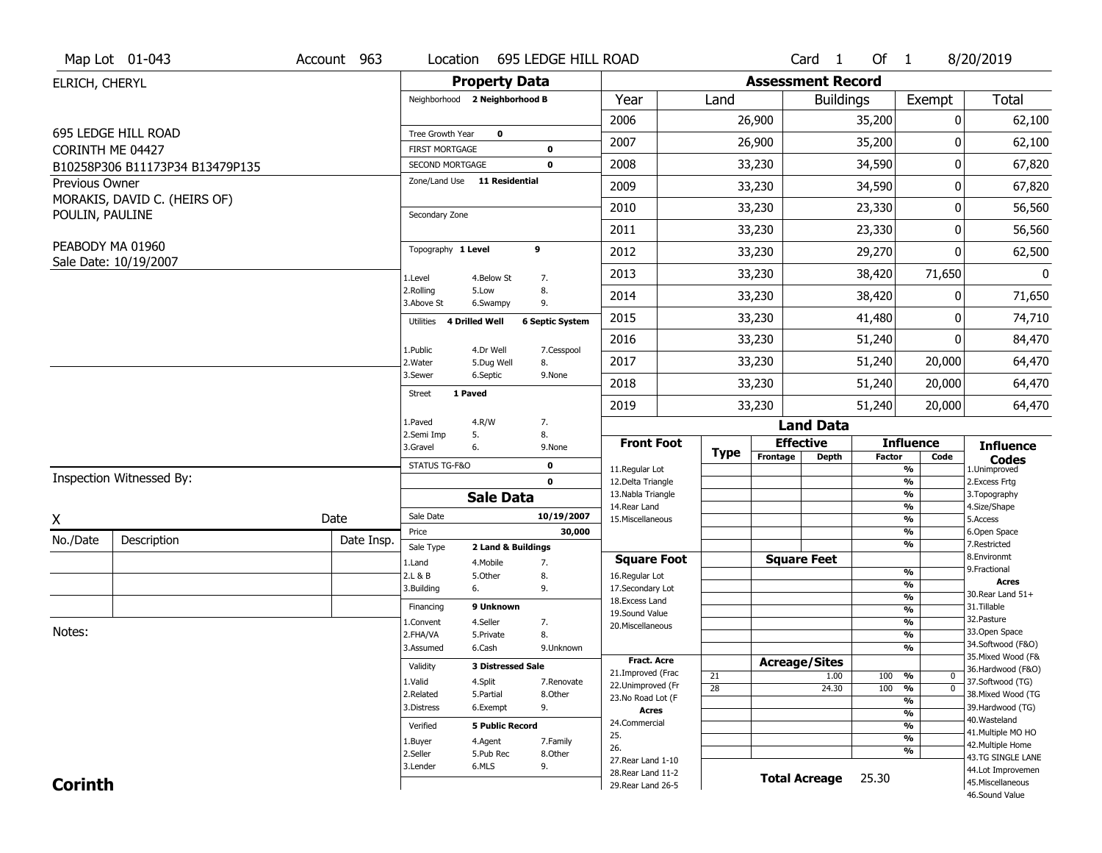|                  | Map Lot 01-043                  | Account 963 | Location                                        | 695 LEDGE HILL ROAD                         |                                          |             |                          | Card <sub>1</sub>    | Of $1$        |                                | 8/20/2019                              |
|------------------|---------------------------------|-------------|-------------------------------------------------|---------------------------------------------|------------------------------------------|-------------|--------------------------|----------------------|---------------|--------------------------------|----------------------------------------|
| ELRICH, CHERYL   |                                 |             |                                                 | <b>Property Data</b>                        |                                          |             | <b>Assessment Record</b> |                      |               |                                |                                        |
|                  |                                 |             | Neighborhood 2 Neighborhood B                   |                                             | Year                                     | Land        |                          | <b>Buildings</b>     |               | Exempt                         | <b>Total</b>                           |
|                  |                                 |             |                                                 |                                             | 2006                                     |             | 26,900                   |                      | 35,200        | 0                              | 62,100                                 |
|                  | 695 LEDGE HILL ROAD             |             | Tree Growth Year                                | $\mathbf 0$                                 | 2007                                     |             | 26,900                   |                      | 35,200        | 0                              | 62,100                                 |
| CORINTH ME 04427 |                                 |             | <b>FIRST MORTGAGE</b>                           | $\mathbf 0$<br>$\mathbf 0$                  | 2008                                     |             |                          |                      | 34,590        | 0                              |                                        |
| Previous Owner   | B10258P306 B11173P34 B13479P135 |             | SECOND MORTGAGE<br>Zone/Land Use 11 Residential |                                             |                                          |             | 33,230                   |                      |               |                                | 67,820                                 |
|                  | MORAKIS, DAVID C. (HEIRS OF)    |             |                                                 |                                             | 2009                                     |             | 33,230                   |                      | 34,590        | 0                              | 67,820                                 |
| POULIN, PAULINE  |                                 |             | Secondary Zone                                  |                                             | 2010                                     |             | 33,230                   |                      | 23,330        | 0                              | 56,560                                 |
|                  |                                 |             |                                                 |                                             | 2011                                     |             | 33,230                   |                      | 23,330        | 0                              | 56,560                                 |
| PEABODY MA 01960 |                                 |             | Topography 1 Level                              | 9                                           | 2012                                     |             | 33,230                   |                      | 29,270        | 0                              | 62,500                                 |
|                  | Sale Date: 10/19/2007           |             | 1.Level                                         | 4.Below St<br>7.                            | 2013                                     |             | 33,230                   |                      | 38,420        | 71,650                         | $\mathbf{0}$                           |
|                  |                                 |             | 2.Rolling<br>3.Above St                         | 8.<br>5.Low<br>9.<br>6.Swampy               | 2014                                     |             | 33,230                   |                      | 38,420        | 0                              | 71,650                                 |
|                  |                                 |             | 4 Drilled Well<br>Utilities                     | <b>6 Septic System</b>                      | 2015                                     |             | 33,230                   |                      | 41,480        | 0                              | 74,710                                 |
|                  |                                 |             |                                                 |                                             | 2016                                     |             | 33,230                   |                      | 51,240        | 0                              | 84,470                                 |
|                  |                                 |             | 1.Public<br>2. Water                            | 4.Dr Well<br>7.Cesspool<br>5.Dug Well<br>8. | 2017                                     |             | 33,230                   |                      | 51,240        | 20,000                         | 64,470                                 |
|                  |                                 |             | 3.Sewer                                         | 6.Septic<br>9.None                          | 2018                                     |             | 33,230                   |                      | 51,240        | 20,000                         | 64,470                                 |
|                  |                                 |             | 1 Paved<br><b>Street</b>                        |                                             | 2019                                     |             | 33,230                   |                      | 51,240        | 20,000                         | 64,470                                 |
|                  |                                 |             | 1.Paved                                         | 4.R/W<br>7.                                 |                                          |             |                          | <b>Land Data</b>     |               |                                |                                        |
|                  |                                 |             | 2.Semi Imp<br>5.<br>3.Gravel<br>6.              | 8.<br>9.None                                | <b>Front Foot</b>                        |             | <b>Effective</b>         |                      |               | <b>Influence</b>               | <b>Influence</b>                       |
|                  |                                 |             | STATUS TG-F&O                                   | $\mathbf 0$                                 | 11.Regular Lot                           | <b>Type</b> | Frontage                 | <b>Depth</b>         | <b>Factor</b> | Code<br>%                      | <b>Codes</b><br>1.Unimproved           |
|                  | Inspection Witnessed By:        |             |                                                 | $\mathbf 0$                                 | 12.Delta Triangle                        |             |                          |                      |               | %                              | 2.Excess Frtg                          |
|                  |                                 |             |                                                 | <b>Sale Data</b>                            | 13. Nabla Triangle                       |             |                          |                      |               | %<br>%                         | 3. Topography<br>4.Size/Shape          |
| X                |                                 | Date        |                                                 |                                             |                                          |             |                          |                      |               |                                |                                        |
| No./Date         |                                 |             | Sale Date                                       | 10/19/2007                                  | 14. Rear Land<br>15.Miscellaneous        |             |                          |                      |               | %                              | 5.Access                               |
|                  |                                 |             | Price                                           | 30,000                                      |                                          |             |                          |                      |               | %                              | 6.Open Space                           |
|                  | Description                     | Date Insp.  | Sale Type                                       | 2 Land & Buildings                          |                                          |             |                          |                      |               | %                              | 7.Restricted                           |
|                  |                                 |             | 1.Land                                          | 4. Mobile<br>7.                             | <b>Square Foot</b>                       |             |                          | <b>Square Feet</b>   |               | %                              | 8.Environmt<br>9. Fractional           |
|                  |                                 |             | 2.L & B<br>3.Building<br>6.                     | 5.Other<br>8.<br>9.                         | 16.Regular Lot<br>17.Secondary Lot       |             |                          |                      |               | %                              | Acres                                  |
|                  |                                 |             | Financing                                       | 9 Unknown                                   | 18. Excess Land                          |             |                          |                      |               | $\frac{9}{6}$                  | 30. Rear Land 51+<br>31.Tillable       |
|                  |                                 |             | 1.Convent                                       | 4.Seller<br>7.                              | 19.Sound Value                           |             |                          |                      |               | $\frac{9}{6}$<br>$\frac{9}{6}$ | 32.Pasture                             |
| Notes:           |                                 |             | 2.FHA/VA                                        | 8.<br>5.Private                             | 20.Miscellaneous                         |             |                          |                      |               | $\frac{9}{6}$                  | 33.Open Space                          |
|                  |                                 |             | 3.Assumed                                       | 6.Cash<br>9.Unknown                         |                                          |             |                          |                      |               | %                              | 34.Softwood (F&O)                      |
|                  |                                 |             | Validity                                        | <b>3 Distressed Sale</b>                    | <b>Fract. Acre</b>                       |             |                          | <b>Acreage/Sites</b> |               |                                | 35. Mixed Wood (F&                     |
|                  |                                 |             | 1.Valid                                         | 4.Split<br>7.Renovate                       | 21.Improved (Frac                        | 21          |                          | 1.00                 | 100           | %<br>$\mathbf 0$               | 36.Hardwood (F&O)<br>37.Softwood (TG)  |
|                  |                                 |             | 2.Related                                       | 5.Partial<br>8.Other                        | 22.Unimproved (Fr                        | 28          |                          | 24.30                | 100           | $\overline{0}$<br>%            | 38. Mixed Wood (TG                     |
|                  |                                 |             | 3.Distress                                      | 9.<br>6.Exempt                              | 23.No Road Lot (F<br>Acres               |             |                          |                      |               | $\frac{9}{6}$                  | 39.Hardwood (TG)                       |
|                  |                                 |             | Verified                                        | <b>5 Public Record</b>                      | 24.Commercial                            |             |                          |                      |               | $\frac{9}{6}$<br>%             | 40. Wasteland                          |
|                  |                                 |             |                                                 | 7.Family                                    | 25.                                      |             |                          |                      |               | $\frac{9}{6}$                  | 41. Multiple MO HO                     |
|                  |                                 |             | 1.Buyer<br>2.Seller                             | 4.Agent<br>5.Pub Rec<br>8.Other             | 26.                                      |             |                          |                      |               | %                              | 42. Multiple Home                      |
|                  |                                 |             | 3.Lender                                        | 6.MLS<br>9.                                 | 27. Rear Land 1-10                       |             |                          |                      |               |                                | 43.TG SINGLE LANE<br>44.Lot Improvemen |
| <b>Corinth</b>   |                                 |             |                                                 |                                             | 28. Rear Land 11-2<br>29. Rear Land 26-5 |             |                          | <b>Total Acreage</b> | 25.30         |                                | 45. Miscellaneous<br>46.Sound Value    |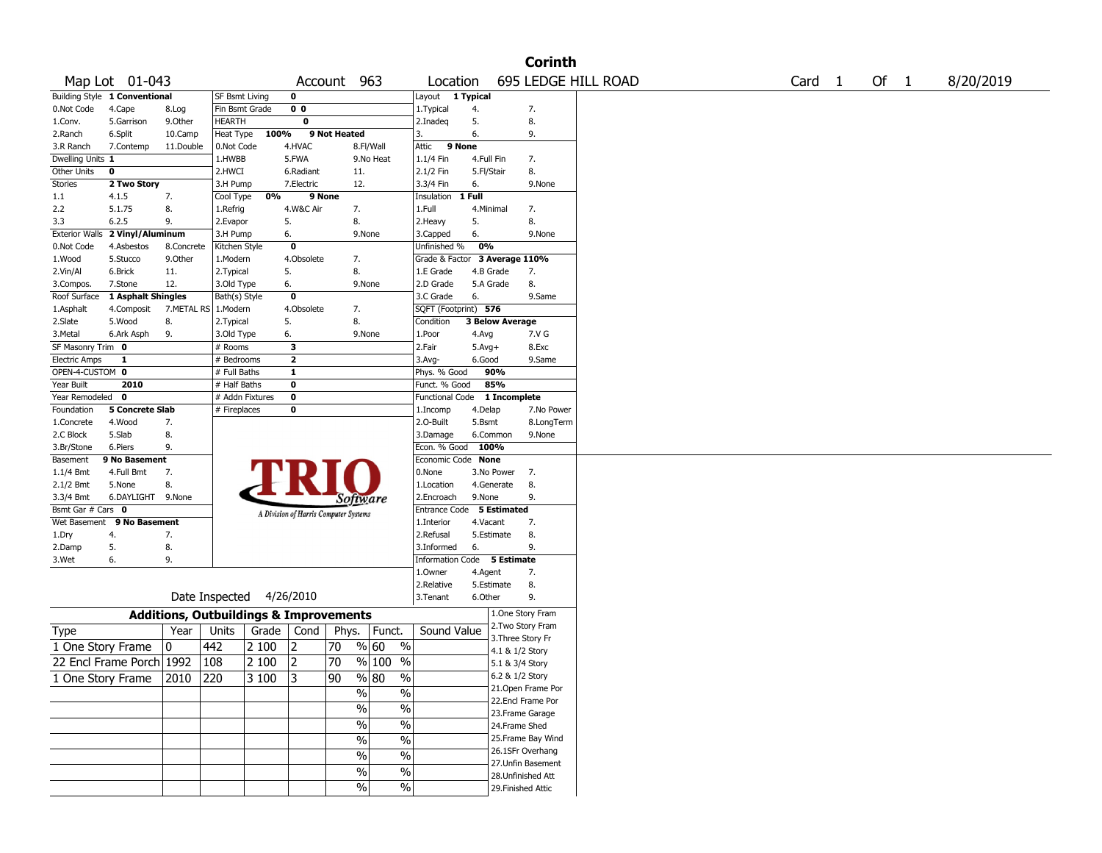|                       |                               |                                                   |                          |              |                         |                                       |                          |                             |            |                    | <b>Corinth</b>         |  |                   |        |           |
|-----------------------|-------------------------------|---------------------------------------------------|--------------------------|--------------|-------------------------|---------------------------------------|--------------------------|-----------------------------|------------|--------------------|------------------------|--|-------------------|--------|-----------|
|                       | Map Lot 01-043                |                                                   |                          |              |                         | Account 963                           |                          | Location                    |            |                    | 695 LEDGE HILL ROAD    |  | Card <sub>1</sub> | Of $1$ | 8/20/2019 |
|                       | Building Style 1 Conventional |                                                   | SF Bsmt Living           |              | $\mathbf 0$             |                                       |                          | Layout 1 Typical            |            |                    |                        |  |                   |        |           |
| 0.Not Code            | 4.Cape                        | 8.Log                                             | Fin Bsmt Grade           |              | 0 <sub>0</sub>          |                                       |                          | 1. Typical                  | 4.         |                    | 7.                     |  |                   |        |           |
| 1.Conv.               | 5.Garrison                    | 9.0ther                                           | <b>HEARTH</b>            |              | $\bf{0}$                |                                       |                          | 2.Inadeg                    | 5.         |                    | 8.                     |  |                   |        |           |
| 2.Ranch               | 6.Split                       | 10.Camp                                           | Heat Type                | 100%         |                         | 9 Not Heated                          |                          | 3.                          | 6.         |                    | 9.                     |  |                   |        |           |
| 3.R Ranch             | 7.Contemp                     | 11.Double                                         | 0.Not Code               |              | 4.HVAC                  |                                       | 8.Fl/Wall                | 9 None<br>Attic             |            |                    |                        |  |                   |        |           |
| Dwelling Units 1      |                               |                                                   | 1.HWBB                   |              | 5.FWA                   |                                       | 9.No Heat                | 1.1/4 Fin                   | 4.Full Fin |                    | 7.                     |  |                   |        |           |
| Other Units           | 0                             |                                                   | 2.HWCI                   |              | 6.Radiant               | 11.                                   |                          | 2.1/2 Fin                   | 5.Fl/Stair |                    | 8.                     |  |                   |        |           |
| Stories               | 2 Two Story                   |                                                   | 3.H Pump                 |              | 7.Electric              | 12.                                   |                          | 3.3/4 Fin                   | 6.         |                    | 9.None                 |  |                   |        |           |
| 1.1                   | 4.1.5                         | 7.                                                | Cool Type                | 0%           |                         | 9 None                                |                          | Insulation                  | 1 Full     |                    |                        |  |                   |        |           |
| 2.2                   | 5.1.75                        | 8.                                                | 1.Refrig                 |              | 4.W&C Air               | 7.                                    |                          | 1.Full                      | 4.Minimal  |                    | 7.                     |  |                   |        |           |
| 3.3                   | 6.2.5                         | 9.                                                | 2.Evapor                 |              | 5.                      | 8.                                    |                          | 2.Heavy                     | 5.         |                    | 8.                     |  |                   |        |           |
| <b>Exterior Walls</b> | 2 Vinyl/Aluminum              |                                                   | 3.H Pump                 |              | 6.                      |                                       | 9.None                   | 3.Capped                    | 6.         |                    | 9.None                 |  |                   |        |           |
| 0.Not Code            | 4.Asbestos                    | 8.Concrete                                        | Kitchen Style            |              | $\mathbf 0$             |                                       |                          | Unfinished %                | 0%         |                    |                        |  |                   |        |           |
| 1.Wood                | 5.Stucco                      | 9.0ther                                           | 1.Modern                 |              | 4.Obsolete              | 7.                                    |                          | Grade & Factor              |            |                    | 3 Average 110%         |  |                   |        |           |
| 2.Vin/Al              | 6.Brick                       | 11.                                               | 2. Typical               |              | 5.                      | 8.                                    |                          | 1.E Grade                   |            | 4.B Grade          | 7.                     |  |                   |        |           |
| 3.Compos.             | 7.Stone                       | 12.                                               | 3.Old Type               |              | 6.                      |                                       | 9.None                   | 2.D Grade                   |            | 5.A Grade          | 8.                     |  |                   |        |           |
| Roof Surface          | 1 Asphalt Shingles            |                                                   | Bath(s) Style            |              | $\mathbf 0$             |                                       |                          | 3.C Grade                   | 6.         |                    | 9.Same                 |  |                   |        |           |
| 1.Asphalt             | 4.Composit                    | 7.METAL RS                                        | 1.Modern                 |              | 4.Obsolete              | 7.                                    |                          | SQFT (Footprint) 576        |            |                    |                        |  |                   |        |           |
| 2.Slate               | 5.Wood                        | 8.                                                | 2. Typical               |              | 5.                      | 8.                                    |                          | Condition                   |            |                    | <b>3 Below Average</b> |  |                   |        |           |
| 3.Metal               | 6.Ark Asph                    | 9.                                                | 3.Old Type               |              | 6.                      |                                       | 9.None                   | 1.Poor                      | 4.Avg      |                    | 7.V G                  |  |                   |        |           |
| SF Masonry Trim 0     |                               |                                                   | # Rooms                  |              | 3                       |                                       |                          | 2.Fair                      | $5.Avg+$   |                    | 8.Exc                  |  |                   |        |           |
| <b>Electric Amps</b>  | 1                             |                                                   | # Bedrooms               |              | $\overline{\mathbf{2}}$ |                                       |                          | $3.$ Avg-                   | 6.Good     |                    | 9.Same                 |  |                   |        |           |
| OPEN-4-CUSTOM 0       |                               |                                                   | # Full Baths             |              | $\mathbf{1}$            |                                       |                          | Phys. % Good                |            | 90%                |                        |  |                   |        |           |
| Year Built            | 2010                          |                                                   | # Half Baths             |              | 0                       |                                       |                          | Funct. % Good               |            | 85%                |                        |  |                   |        |           |
| Year Remodeled        | 0                             |                                                   | # Addn Fixtures          |              | $\mathbf{o}$            |                                       |                          | Functional Code             |            |                    | 1 Incomplete           |  |                   |        |           |
| Foundation            | <b>5 Concrete Slab</b>        |                                                   | # Fireplaces             |              | 0                       |                                       |                          | 1.Incomp                    | 4.Delap    |                    | 7.No Power             |  |                   |        |           |
| 1.Concrete            | 4.Wood                        | 7.                                                |                          |              |                         |                                       |                          | 2.0-Built                   | 5.Bsmt     |                    | 8.LongTerm             |  |                   |        |           |
| 2.C Block             | 5.Slab                        | 8.                                                |                          |              |                         |                                       |                          | 3.Damage                    |            | 6.Common           | 9.None                 |  |                   |        |           |
| 3.Br/Stone            | 6.Piers                       | 9.                                                |                          |              |                         |                                       |                          | Econ. % Good                | 100%       |                    |                        |  |                   |        |           |
| Basement              | 9 No Basement                 |                                                   |                          |              |                         |                                       |                          | Economic Code None          |            |                    |                        |  |                   |        |           |
| $1.1/4$ Bmt           | 4.Full Bmt                    | 7.                                                |                          |              |                         |                                       |                          | 0.None                      |            | 3.No Power         | 7.                     |  |                   |        |           |
| 2.1/2 Bmt             | 5.None                        | 8.                                                |                          |              |                         |                                       |                          | 1.Location                  |            | 4.Generate         | 8.                     |  |                   |        |           |
| 3.3/4 Bmt             | 6.DAYLIGHT 9.None             |                                                   |                          |              |                         | Software                              |                          | 2.Encroach                  | 9.None     |                    | 9.                     |  |                   |        |           |
| Bsmt Gar # Cars 0     |                               |                                                   |                          |              |                         | A Division of Harris Computer Systems |                          | Entrance Code               |            | <b>5 Estimated</b> |                        |  |                   |        |           |
| Wet Basement          | 9 No Basement                 |                                                   |                          |              |                         |                                       |                          | 1.Interior                  | 4.Vacant   |                    | 7.                     |  |                   |        |           |
| 1.Dry                 | 4.                            | 7.                                                |                          |              |                         |                                       |                          | 2.Refusal                   |            | 5.Estimate         | 8.                     |  |                   |        |           |
| 2.Damp                | 5.                            | 8.                                                |                          |              |                         |                                       |                          | 3.Informed                  | 6.         |                    | 9.                     |  |                   |        |           |
| 3.Wet                 | 6.                            | 9.                                                |                          |              |                         |                                       |                          | Information Code 5 Estimate |            |                    |                        |  |                   |        |           |
|                       |                               |                                                   |                          |              |                         |                                       |                          | 1.0wner                     | 4.Agent    |                    | 7.                     |  |                   |        |           |
|                       |                               |                                                   |                          |              |                         |                                       |                          | 2.Relative                  |            | 5.Estimate         | 8.                     |  |                   |        |           |
|                       |                               |                                                   | Date Inspected 4/26/2010 |              |                         |                                       |                          | 3.Tenant                    | 6.Other    |                    | 9.                     |  |                   |        |           |
|                       |                               | <b>Additions, Outbuildings &amp; Improvements</b> |                          |              |                         |                                       |                          |                             |            |                    | 1.One Story Fram       |  |                   |        |           |
| <b>Type</b>           |                               | Year                                              | Units                    | Grade   Cond |                         | Phys.                                 | $ $ Funct.               | Sound Value                 |            |                    | 2. Two Story Fram      |  |                   |        |           |
| 1 One Story Frame     |                               | 0                                                 | 442                      | 2 100        | 2                       | 70                                    | % 60<br>$\%$             |                             |            |                    | 3. Three Story Fr      |  |                   |        |           |
|                       | 22 Encl Frame Porch 1992      |                                                   | 108                      | 2 100        | 2                       | 70                                    | % 100<br>$\%$            |                             |            |                    | 4.1 & 1/2 Story        |  |                   |        |           |
|                       |                               |                                                   |                          |              |                         |                                       |                          |                             |            |                    | 5.1 & 3/4 Story        |  |                   |        |           |
| 1 One Story Frame     |                               | 2010                                              | 220                      | 3 100        | 3                       | 90                                    | % 80<br>$\frac{0}{0}$    |                             |            |                    | 6.2 & 1/2 Story        |  |                   |        |           |
|                       |                               |                                                   |                          |              |                         | $\%$                                  | $\%$                     |                             |            |                    | 21. Open Frame Por     |  |                   |        |           |
|                       |                               |                                                   |                          |              |                         | $\frac{9}{6}$                         | $\overline{\frac{0}{6}}$ |                             |            |                    | 22.Encl Frame Por      |  |                   |        |           |
|                       |                               |                                                   |                          |              |                         |                                       |                          |                             |            |                    | 23. Frame Garage       |  |                   |        |           |
|                       |                               |                                                   |                          |              |                         | $\sqrt{6}$                            | $\%$                     |                             |            |                    | 24.Frame Shed          |  |                   |        |           |
|                       |                               |                                                   |                          |              |                         | $\%$                                  | $\overline{\frac{0}{6}}$ |                             |            |                    | 25. Frame Bay Wind     |  |                   |        |           |
|                       |                               |                                                   |                          |              |                         | $\sqrt{6}$                            | $\%$                     |                             |            |                    | 26.1SFr Overhang       |  |                   |        |           |
|                       |                               |                                                   |                          |              |                         | $\%$                                  | $\%$                     |                             |            |                    | 27.Unfin Basement      |  |                   |        |           |
|                       |                               |                                                   |                          |              |                         |                                       |                          |                             |            |                    | 28. Unfinished Att     |  |                   |        |           |
|                       |                               |                                                   |                          |              |                         | $\%$                                  | %                        |                             |            |                    | 29. Finished Attic     |  |                   |        |           |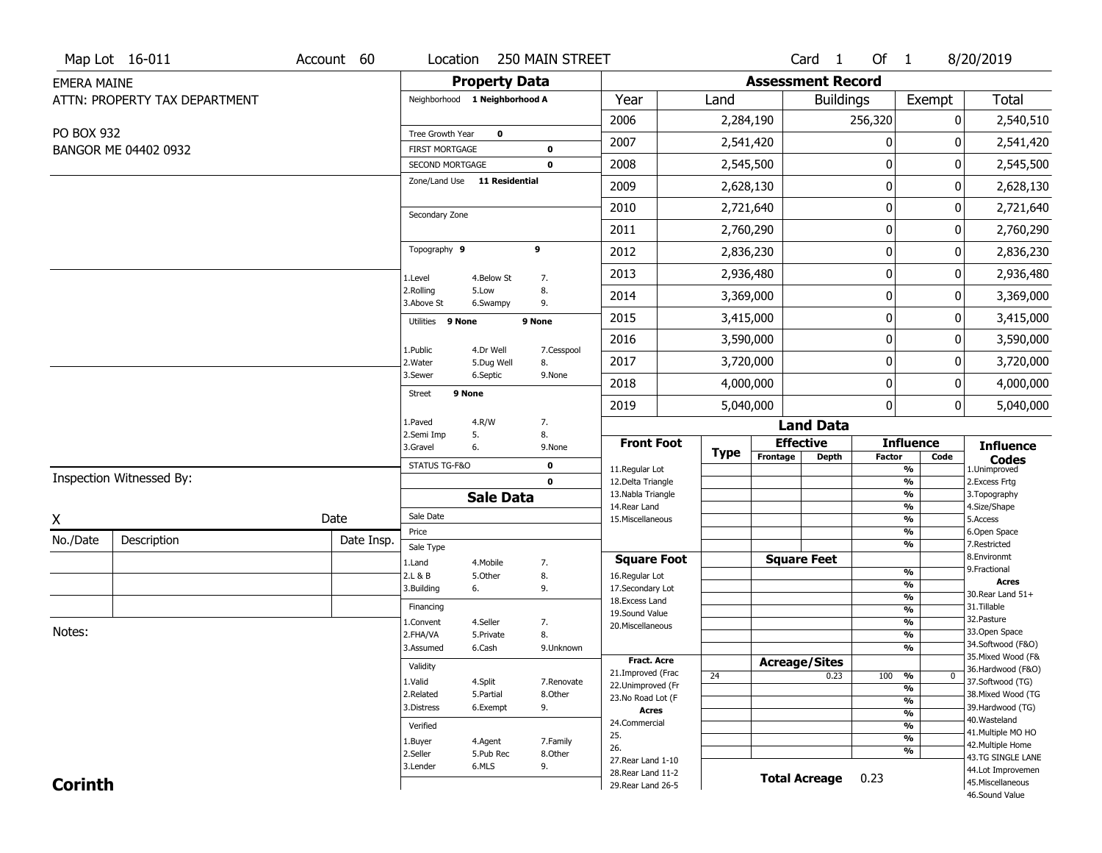|                    | Map Lot 16-011                | Account 60 | Location                                        |                      | 250 MAIN STREET      |                                         |             |                          | Card <sub>1</sub>    | Of 1          |                                   | 8/20/2019                              |
|--------------------|-------------------------------|------------|-------------------------------------------------|----------------------|----------------------|-----------------------------------------|-------------|--------------------------|----------------------|---------------|-----------------------------------|----------------------------------------|
| <b>EMERA MAINE</b> |                               |            |                                                 | <b>Property Data</b> |                      |                                         |             | <b>Assessment Record</b> |                      |               |                                   |                                        |
|                    | ATTN: PROPERTY TAX DEPARTMENT |            | Neighborhood 1 Neighborhood A                   |                      |                      | Year                                    | Land        |                          | <b>Buildings</b>     |               | Exempt                            | <b>Total</b>                           |
|                    |                               |            |                                                 |                      |                      | 2006                                    | 2,284,190   |                          |                      | 256,320       | 0                                 | 2,540,510                              |
| PO BOX 932         |                               |            | <b>Tree Growth Year</b>                         | $\mathbf 0$          |                      | 2007                                    | 2,541,420   |                          |                      | 0             | 0                                 | 2,541,420                              |
|                    | BANGOR ME 04402 0932          |            | <b>FIRST MORTGAGE</b>                           |                      | $\bf{0}$<br>$\bf{0}$ | 2008                                    | 2,545,500   |                          |                      | 0             | $\mathbf 0$                       | 2,545,500                              |
|                    |                               |            | SECOND MORTGAGE<br>Zone/Land Use 11 Residential |                      |                      |                                         |             |                          |                      |               |                                   |                                        |
|                    |                               |            |                                                 |                      |                      | 2009                                    | 2,628,130   |                          |                      | 0             | 0                                 | 2,628,130                              |
|                    |                               |            | Secondary Zone                                  |                      |                      | 2010                                    | 2,721,640   |                          |                      | 0             | 0                                 | 2,721,640                              |
|                    |                               |            |                                                 |                      |                      | 2011                                    | 2,760,290   |                          |                      | 0             | 0                                 | 2,760,290                              |
|                    |                               |            | Topography 9                                    |                      | 9                    | 2012                                    | 2,836,230   |                          |                      | 0             | $\boldsymbol{0}$                  | 2,836,230                              |
|                    |                               |            | 1.Level                                         | 4.Below St           | 7.                   | 2013                                    | 2,936,480   |                          |                      | 0             | 0                                 | 2,936,480                              |
|                    |                               |            | 2.Rolling<br>3.Above St                         | 5.Low<br>6.Swampy    | 8.<br>9.             | 2014                                    | 3,369,000   |                          |                      | 0             | 0                                 | 3,369,000                              |
|                    |                               |            | Utilities 9 None                                |                      | 9 None               | 2015                                    | 3,415,000   |                          |                      | 0             | 0                                 | 3,415,000                              |
|                    |                               |            | 1.Public                                        | 4.Dr Well            | 7.Cesspool           | 2016                                    | 3,590,000   |                          |                      | $\pmb{0}$     | $\mathbf 0$                       | 3,590,000                              |
|                    |                               |            | 2. Water                                        | 5.Dug Well           | 8.                   | 2017                                    | 3,720,000   |                          |                      | 0             | 0                                 | 3,720,000                              |
|                    |                               |            | 3.Sewer                                         | 6.Septic             | 9.None               | 2018                                    | 4,000,000   |                          |                      | 0             | 0                                 | 4,000,000                              |
|                    |                               |            | Street                                          | 9 None               |                      | 2019                                    | 5,040,000   |                          |                      | 0             | 0                                 | 5,040,000                              |
|                    |                               |            | 1.Paved                                         | 4.R/W                | 7.                   |                                         |             |                          | <b>Land Data</b>     |               |                                   |                                        |
|                    |                               |            | 2.Semi Imp<br>3.Gravel                          | 5.<br>6.             | 8.<br>9.None         | <b>Front Foot</b>                       |             |                          | <b>Effective</b>     |               | <b>Influence</b>                  | <b>Influence</b>                       |
|                    |                               |            | STATUS TG-F&O                                   |                      | 0                    | 11.Regular Lot                          | <b>Type</b> | Frontage                 | <b>Depth</b>         | <b>Factor</b> | Code<br>%                         | <b>Codes</b><br>1.Unimproved           |
|                    | Inspection Witnessed By:      |            |                                                 |                      | $\mathbf 0$          | 12.Delta Triangle                       |             |                          |                      |               | $\frac{9}{6}$                     | 2.Excess Frtg                          |
|                    |                               |            |                                                 | <b>Sale Data</b>     |                      | 13. Nabla Triangle<br>14. Rear Land     |             |                          |                      |               | $\frac{9}{6}$<br>$\frac{9}{6}$    | 3. Topography<br>4.Size/Shape          |
| X                  |                               | Date       | Sale Date                                       |                      |                      | 15. Miscellaneous                       |             |                          |                      |               | $\frac{9}{6}$                     | 5.Access                               |
| No./Date           | Description                   | Date Insp. | Price                                           |                      |                      |                                         |             |                          |                      |               | $\frac{9}{6}$                     | 6.Open Space<br>7.Restricted           |
|                    |                               |            | Sale Type                                       |                      |                      | <b>Square Foot</b>                      |             |                          | <b>Square Feet</b>   |               | $\frac{9}{6}$                     | 8.Environmt                            |
|                    |                               |            | 1.Land<br>2.L & B                               | 4.Mobile<br>5.Other  | 7.<br>8.             | 16.Regular Lot                          |             |                          |                      |               | $\frac{9}{6}$                     | 9. Fractional                          |
|                    |                               |            | 3.Building                                      | 6.                   | 9.                   | 17.Secondary Lot                        |             |                          |                      |               | $\frac{9}{6}$                     | <b>Acres</b><br>30. Rear Land 51+      |
|                    |                               |            | Financing                                       |                      |                      | 18. Excess Land                         |             |                          |                      |               | $\frac{9}{6}$<br>$\frac{9}{6}$    | 31.Tillable                            |
|                    |                               |            | 1.Convent                                       | 4.Seller             | 7.                   | 19.Sound Value<br>20.Miscellaneous      |             |                          |                      |               | $\frac{9}{6}$                     | 32.Pasture                             |
| Notes:             |                               |            | 2.FHA/VA                                        | 5.Private            | 8.                   |                                         |             |                          |                      |               | $\frac{9}{6}$                     | 33.Open Space<br>34.Softwood (F&O)     |
|                    |                               |            | 3.Assumed                                       | 6.Cash               | 9.Unknown            |                                         |             |                          |                      |               | $\frac{9}{6}$                     | 35. Mixed Wood (F&                     |
|                    |                               |            | Validity                                        |                      |                      | <b>Fract. Acre</b><br>21.Improved (Frac |             |                          | <b>Acreage/Sites</b> |               |                                   | 36.Hardwood (F&O)                      |
|                    |                               |            | 1.Valid                                         | 4.Split              | 7.Renovate           | 22.Unimproved (Fr                       | 24          |                          | 0.23                 | 100           | %<br>$\mathbf 0$<br>$\frac{0}{0}$ | 37.Softwood (TG)                       |
|                    |                               |            | 2.Related                                       | 5.Partial            | 8.Other              | 23.No Road Lot (F                       |             |                          |                      |               | $\frac{9}{6}$                     | 38. Mixed Wood (TG                     |
|                    |                               |            | 3.Distress                                      | 6.Exempt             | 9.                   | <b>Acres</b>                            |             |                          |                      |               | $\frac{9}{6}$                     | 39.Hardwood (TG)<br>40. Wasteland      |
|                    |                               |            | Verified                                        |                      |                      | 24.Commercial                           |             |                          |                      |               | $\frac{9}{6}$                     | 41. Multiple MO HO                     |
|                    |                               |            | 1.Buyer                                         | 4.Agent              | 7.Family             | 25.<br>26.                              |             |                          |                      |               | $\frac{9}{6}$                     | 42. Multiple Home                      |
|                    |                               |            | 2.Seller                                        | 5.Pub Rec            | 8.0ther              | 27. Rear Land 1-10                      |             |                          |                      |               | %                                 | 43.TG SINGLE LANE                      |
| <b>Corinth</b>     |                               |            | 3.Lender                                        | 6.MLS                | 9.                   | 28. Rear Land 11-2                      |             |                          | <b>Total Acreage</b> | 0.23          |                                   | 44.Lot Improvemen<br>45. Miscellaneous |
|                    |                               |            |                                                 |                      |                      | 29. Rear Land 26-5                      |             |                          |                      |               |                                   |                                        |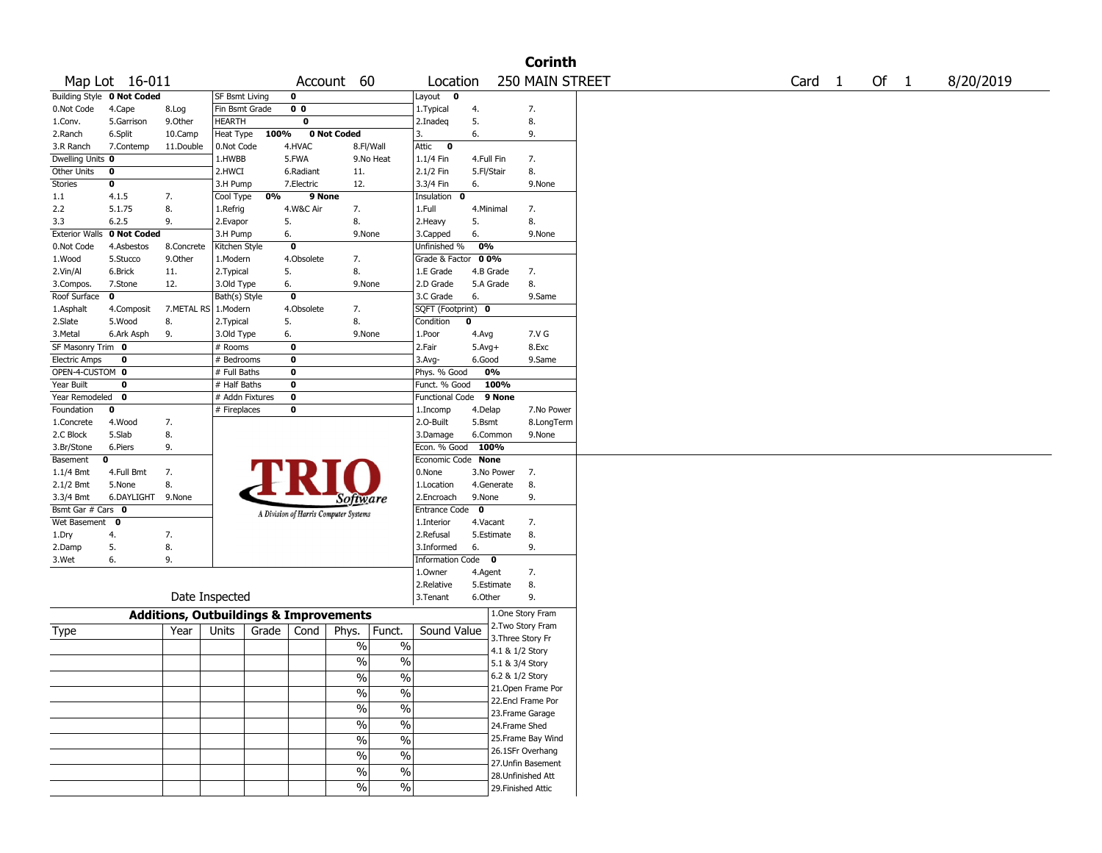|                       |                                   |                                                   |                       |       |                         |                                       |                          |                        |             |                   | <b>Corinth</b>                         |        |        |           |
|-----------------------|-----------------------------------|---------------------------------------------------|-----------------------|-------|-------------------------|---------------------------------------|--------------------------|------------------------|-------------|-------------------|----------------------------------------|--------|--------|-----------|
|                       | Map Lot 16-011                    |                                                   |                       |       |                         | Account 60                            |                          | Location               |             |                   | 250 MAIN STREET                        | Card 1 | Of $1$ | 8/20/2019 |
|                       | <b>Building Style 0 Not Coded</b> |                                                   | <b>SF Bsmt Living</b> |       | 0                       |                                       |                          | Layout<br>$\mathbf 0$  |             |                   |                                        |        |        |           |
| 0.Not Code            | 4.Cape                            | 8.Log                                             | Fin Bsmt Grade        |       | 0 <sub>0</sub>          |                                       |                          | 1. Typical             | 4.          |                   | 7.                                     |        |        |           |
| 1.Conv.               | 5.Garrison                        | 9.0ther                                           | <b>HEARTH</b>         |       | $\overline{\mathbf{0}}$ |                                       |                          | 2.Inadeq               | 5.          |                   | 8.                                     |        |        |           |
| 2.Ranch               | 6.Split                           | 10.Camp                                           | Heat Type             | 100%  |                         | 0 Not Coded                           |                          | 3.                     | 6.          |                   | 9.                                     |        |        |           |
| 3.R Ranch             | 7.Contemp                         | 11.Double                                         | 0.Not Code            |       | 4.HVAC                  |                                       | 8.Fl/Wall                | Attic<br>$\mathbf 0$   |             |                   |                                        |        |        |           |
| Dwelling Units 0      |                                   |                                                   | 1.HWBB                |       | 5.FWA                   |                                       | 9.No Heat                | 1.1/4 Fin              | 4.Full Fin  |                   | 7.                                     |        |        |           |
| Other Units           | 0                                 |                                                   | 2.HWCI                |       | 6.Radiant               | 11.                                   |                          | 2.1/2 Fin              | 5.Fl/Stair  |                   | 8.                                     |        |        |           |
| <b>Stories</b>        | 0                                 |                                                   | 3.H Pump              |       | 7.Electric              | 12.                                   |                          | 3.3/4 Fin              | 6.          |                   | 9.None                                 |        |        |           |
| 1.1                   | 4.1.5                             | 7.                                                | Cool Type             | 0%    | 9 None                  |                                       |                          | Insulation<br>0        |             |                   |                                        |        |        |           |
| 2.2                   | 5.1.75                            | 8.                                                | 1.Refrig              |       | 4.W&C Air               | 7.                                    |                          | 1.Full                 | 4.Minimal   |                   | 7.                                     |        |        |           |
| 3.3                   | 6.2.5                             | 9.                                                | 2.Evapor              |       | 5.                      | 8.                                    |                          | 2.Heavy                | 5.          |                   | 8.                                     |        |        |           |
| <b>Exterior Walls</b> | 0 Not Coded                       |                                                   | 3.H Pump              |       | 6.                      | 9.None                                |                          | 3.Capped               | 6.          |                   | 9.None                                 |        |        |           |
| 0.Not Code            | 4.Asbestos                        | 8.Concrete                                        | Kitchen Style         |       | $\bf{0}$                |                                       |                          | Unfinished %           | 0%          |                   |                                        |        |        |           |
| 1.Wood                | 5.Stucco                          | 9.0ther                                           | 1.Modern              |       | 4.Obsolete              | 7.                                    |                          | Grade & Factor         | 00%         |                   |                                        |        |        |           |
| 2.Vin/Al              | 6.Brick                           | 11.                                               | 2.Typical             |       | 5.                      | 8.                                    |                          | 1.E Grade              | 4.B Grade   |                   | 7.                                     |        |        |           |
| 3.Compos.             | 7.Stone                           | 12.                                               | 3.Old Type            |       | 6.                      | 9.None                                |                          | 2.D Grade              | 5.A Grade   |                   | 8.                                     |        |        |           |
| Roof Surface          | 0                                 |                                                   | Bath(s) Style         |       | 0                       |                                       |                          | 3.C Grade              | 6.          |                   | 9.Same                                 |        |        |           |
| 1.Asphalt             | 4.Composit                        | 7.METAL RS   1.Modern                             |                       |       | 4.Obsolete              | 7.                                    |                          | SQFT (Footprint) 0     |             |                   |                                        |        |        |           |
| 2.Slate               | 5.Wood                            | 8.                                                | 2. Typical            |       | 5.                      | 8.                                    |                          | Condition              | $\mathbf 0$ |                   |                                        |        |        |           |
| 3.Metal               | 6.Ark Asph                        | 9.                                                | 3.Old Type            |       | 6.                      | 9.None                                |                          | 1.Poor                 | 4.Avg       |                   | 7.V G                                  |        |        |           |
| SF Masonry Trim 0     |                                   |                                                   | # Rooms               |       | $\bf{0}$                |                                       |                          | 2.Fair                 | $5.Avg+$    |                   | 8.Exc                                  |        |        |           |
| <b>Electric Amps</b>  | 0                                 |                                                   | # Bedrooms            |       | 0                       |                                       |                          | 3.Avg-                 | 6.Good      |                   | 9.Same                                 |        |        |           |
| OPEN-4-CUSTOM 0       |                                   |                                                   | # Full Baths          |       | 0                       |                                       |                          | Phys. % Good           | 0%          |                   |                                        |        |        |           |
| Year Built            | 0                                 |                                                   | # Half Baths          |       | 0                       |                                       |                          | Funct. % Good          |             | 100%              |                                        |        |        |           |
| Year Remodeled        | $\mathbf 0$                       |                                                   | # Addn Fixtures       |       | $\overline{\mathbf{0}}$ |                                       |                          | <b>Functional Code</b> |             | 9 None            |                                        |        |        |           |
| Foundation            | 0                                 |                                                   | # Fireplaces          |       | 0                       |                                       |                          | 1.Incomp               | 4.Delap     |                   | 7.No Power                             |        |        |           |
| 1.Concrete            | 4.Wood                            | 7.                                                |                       |       |                         |                                       |                          | 2.0-Built              | 5.Bsmt      |                   | 8.LongTerm                             |        |        |           |
| 2.C Block             | 5.Slab                            | 8.                                                |                       |       |                         |                                       |                          | 3.Damage               | 6.Common    |                   | 9.None                                 |        |        |           |
| 3.Br/Stone            | 6.Piers                           | 9.                                                |                       |       |                         |                                       |                          | Econ. % Good           | 100%        |                   |                                        |        |        |           |
| Basement              | 0                                 |                                                   |                       |       |                         |                                       |                          | Economic Code None     |             |                   |                                        |        |        |           |
| 1.1/4 Bmt             | 4.Full Bmt                        | 7.                                                |                       |       |                         |                                       |                          | 0.None                 |             | 3.No Power        | 7.                                     |        |        |           |
| 2.1/2 Bmt             | 5.None                            | 8.                                                |                       |       |                         |                                       |                          | 1.Location             | 4.Generate  |                   | 8.                                     |        |        |           |
| 3.3/4 Bmt             | 6.DAYLIGHT                        | 9.None                                            |                       |       |                         | Software                              |                          | 2.Encroach             | 9.None      |                   | 9.                                     |        |        |           |
| Bsmt Gar # Cars 0     |                                   |                                                   |                       |       |                         | A Division of Harris Computer Systems |                          | Entrance Code          | $\mathbf 0$ |                   |                                        |        |        |           |
| Wet Basement          | $\mathbf{o}$                      |                                                   |                       |       |                         |                                       |                          | 1.Interior             | 4.Vacant    |                   | 7.                                     |        |        |           |
| 1.Dry                 | 4.                                | 7.                                                |                       |       |                         |                                       |                          | 2.Refusal              | 5.Estimate  |                   | 8.                                     |        |        |           |
| 2.Damp                | 5.                                | 8.                                                |                       |       |                         |                                       |                          | 3.Informed             | 6.          |                   | 9.                                     |        |        |           |
| 3.Wet                 | 6.                                | 9.                                                |                       |       |                         |                                       |                          | Information Code 0     |             |                   |                                        |        |        |           |
|                       |                                   |                                                   |                       |       |                         |                                       |                          | 1.Owner                | 4.Agent     |                   | 7.                                     |        |        |           |
|                       |                                   |                                                   | Date Inspected        |       |                         |                                       |                          | 2.Relative             | 5.Estimate  |                   | 8.<br>9.                               |        |        |           |
|                       |                                   |                                                   |                       |       |                         |                                       |                          | 3. Tenant              | 6.Other     |                   |                                        |        |        |           |
|                       |                                   | <b>Additions, Outbuildings &amp; Improvements</b> |                       |       |                         |                                       |                          |                        |             |                   | 1.One Story Fram                       |        |        |           |
| Type                  |                                   | Year                                              | Units                 | Grade | Cond                    | Phys.                                 | Funct.                   | Sound Value            |             |                   | 2.Two Story Fram                       |        |        |           |
|                       |                                   |                                                   |                       |       |                         | $\%$                                  | $\%$                     |                        |             | 3. Three Story Fr |                                        |        |        |           |
|                       |                                   |                                                   |                       |       |                         | $\%$                                  | $\%$                     |                        |             | 4.1 & 1/2 Story   |                                        |        |        |           |
|                       |                                   |                                                   |                       |       |                         |                                       |                          |                        |             | 5.1 & 3/4 Story   |                                        |        |        |           |
|                       |                                   |                                                   |                       |       |                         | $\sqrt{6}$                            | $\%$                     |                        |             | 6.2 & 1/2 Story   |                                        |        |        |           |
|                       |                                   |                                                   |                       |       |                         | $\sqrt{6}$                            | $\overline{\frac{0}{0}}$ |                        |             |                   | 21.Open Frame Por<br>22.Encl Frame Por |        |        |           |
|                       |                                   |                                                   |                       |       |                         | $\sqrt{6}$                            | $\overline{\frac{0}{0}}$ |                        |             |                   | 23.Frame Garage                        |        |        |           |
|                       |                                   |                                                   |                       |       |                         | $\sqrt{6}$                            | $\overline{\frac{0}{0}}$ |                        |             | 24.Frame Shed     |                                        |        |        |           |
|                       |                                   |                                                   |                       |       |                         |                                       |                          |                        |             |                   | 25. Frame Bay Wind                     |        |        |           |
|                       |                                   |                                                   |                       |       |                         | $\frac{0}{6}$                         | $\overline{\frac{0}{0}}$ |                        |             |                   | 26.1SFr Overhang                       |        |        |           |
|                       |                                   |                                                   |                       |       |                         | $\sqrt{6}$                            | $\overline{\frac{0}{0}}$ |                        |             |                   | 27.Unfin Basement                      |        |        |           |
|                       |                                   |                                                   |                       |       |                         | $\sqrt{6}$                            | $\overline{\frac{0}{0}}$ |                        |             |                   | 28.Unfinished Att                      |        |        |           |
|                       |                                   |                                                   |                       |       |                         | $\sqrt{6}$                            | $\sqrt{6}$               |                        |             |                   | 29. Finished Attic                     |        |        |           |
|                       |                                   |                                                   |                       |       |                         |                                       |                          |                        |             |                   |                                        |        |        |           |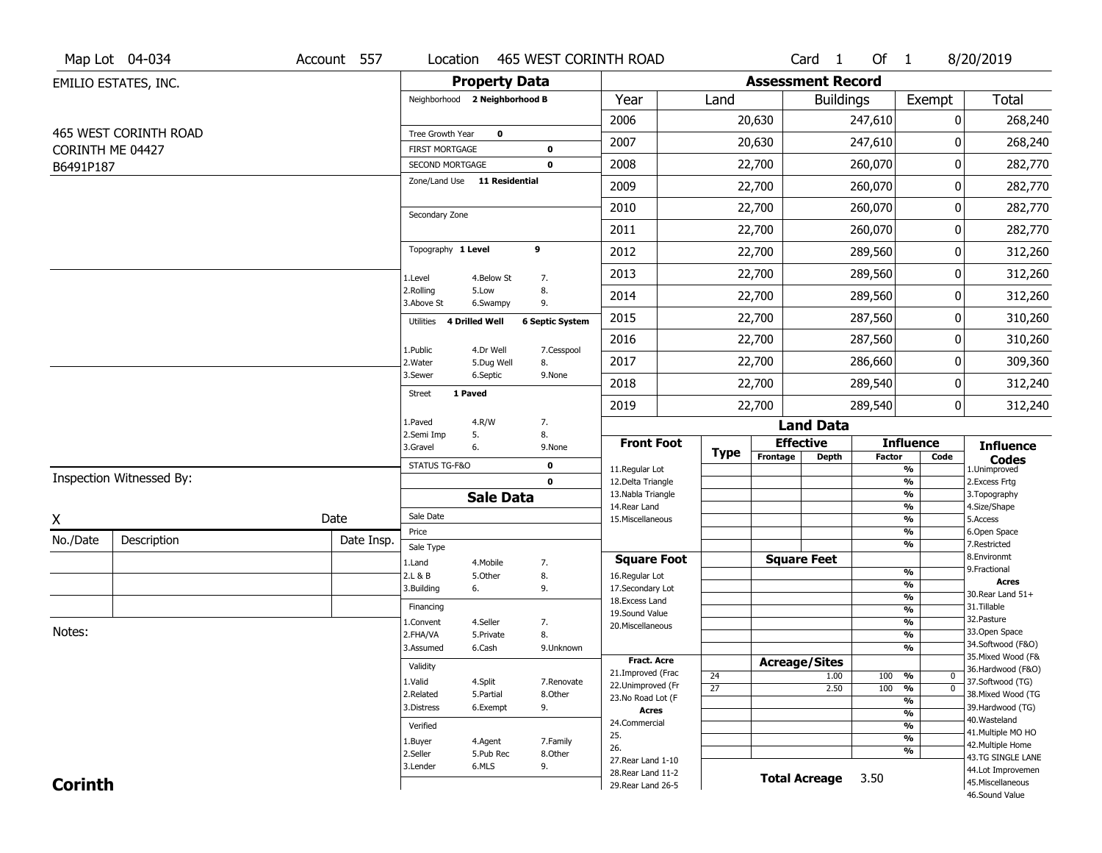|                  | Map Lot 04-034           | Account 557 | Location                                 |                         | 465 WEST CORINTH ROAD    |                                     |                 |                          | Card <sub>1</sub>    | Of $1$        |                                 | 8/20/2019                              |
|------------------|--------------------------|-------------|------------------------------------------|-------------------------|--------------------------|-------------------------------------|-----------------|--------------------------|----------------------|---------------|---------------------------------|----------------------------------------|
|                  | EMILIO ESTATES, INC.     |             |                                          | <b>Property Data</b>    |                          |                                     |                 | <b>Assessment Record</b> |                      |               |                                 |                                        |
|                  |                          |             | Neighborhood 2 Neighborhood B            |                         |                          | Year                                | Land            |                          | <b>Buildings</b>     |               | Exempt                          | <b>Total</b>                           |
|                  |                          |             |                                          |                         |                          | 2006                                |                 | 20,630                   |                      | 247,610       |                                 | 268,240<br>0                           |
|                  | 465 WEST CORINTH ROAD    |             | Tree Growth Year                         | $\mathbf 0$             |                          | 2007                                |                 | 20,630                   |                      | 247,610       |                                 | $\Omega$<br>268,240                    |
| CORINTH ME 04427 |                          |             | <b>FIRST MORTGAGE</b><br>SECOND MORTGAGE |                         | $\pmb{0}$<br>$\mathbf 0$ | 2008                                |                 | 22,700                   |                      | 260,070       |                                 | 0<br>282,770                           |
| B6491P187        |                          |             | Zone/Land Use 11 Residential             |                         |                          | 2009                                |                 | 22,700                   |                      | 260,070       |                                 | 0<br>282,770                           |
|                  |                          |             |                                          |                         |                          |                                     |                 |                          |                      |               |                                 |                                        |
|                  |                          |             | Secondary Zone                           |                         |                          | 2010                                |                 | 22,700                   |                      | 260,070       |                                 | 282,770<br>0                           |
|                  |                          |             |                                          |                         |                          | 2011                                |                 | 22,700                   |                      | 260,070       |                                 | $\pmb{0}$<br>282,770                   |
|                  |                          |             | Topography 1 Level                       |                         | 9                        | 2012                                |                 | 22,700                   |                      | 289,560       |                                 | 312,260<br>0                           |
|                  |                          |             | 1.Level                                  | 4.Below St              | 7.                       | 2013                                |                 | 22,700                   |                      | 289,560       |                                 | 312,260<br>0                           |
|                  |                          |             | 2.Rolling<br>3.Above St                  | 5.Low<br>6.Swampy       | 8.<br>9.                 | 2014                                |                 | 22,700                   |                      | 289,560       |                                 | 0<br>312,260                           |
|                  |                          |             | 4 Drilled Well<br>Utilities              |                         | <b>6 Septic System</b>   | 2015                                |                 | 22,700                   |                      | 287,560       |                                 | 0<br>310,260                           |
|                  |                          |             |                                          |                         |                          | 2016                                |                 | 22,700                   |                      | 287,560       |                                 | 310,260<br>0                           |
|                  |                          |             | 1.Public<br>2. Water                     | 4.Dr Well<br>5.Dug Well | 7.Cesspool<br>8.         | 2017                                |                 | 22,700                   |                      | 286,660       |                                 | 0<br>309,360                           |
|                  |                          |             | 3.Sewer                                  | 6.Septic                | 9.None                   | 2018                                |                 | 22,700                   |                      | 289,540       |                                 | 0<br>312,240                           |
|                  |                          |             | 1 Paved<br><b>Street</b>                 |                         |                          | 2019                                |                 | 22,700                   |                      | 289,540       |                                 | $\mathbf 0$<br>312,240                 |
|                  |                          |             | 1.Paved                                  | 4.R/W                   | 7.                       |                                     |                 |                          | <b>Land Data</b>     |               |                                 |                                        |
|                  |                          |             | 2.Semi Imp<br>3.Gravel                   | 5.<br>6.                | 8.<br>9.None             | <b>Front Foot</b>                   |                 | <b>Effective</b>         |                      |               | <b>Influence</b>                | <b>Influence</b>                       |
|                  |                          |             | STATUS TG-F&O                            |                         | $\mathbf 0$              | 11.Regular Lot                      | <b>Type</b>     | Frontage                 | <b>Depth</b>         | <b>Factor</b> | Code<br>%                       | <b>Codes</b><br>1.Unimproved           |
|                  | Inspection Witnessed By: |             |                                          |                         | $\mathbf 0$              | 12.Delta Triangle                   |                 |                          |                      |               | $\frac{9}{6}$                   | 2.Excess Frtg                          |
|                  |                          |             |                                          | <b>Sale Data</b>        |                          | 13. Nabla Triangle<br>14. Rear Land |                 |                          |                      |               | %<br>%                          | 3. Topography<br>4.Size/Shape          |
| X                |                          | Date        | Sale Date                                |                         |                          | 15. Miscellaneous                   |                 |                          |                      |               | %                               | 5.Access                               |
| No./Date         | Description              | Date Insp.  | Price                                    |                         |                          |                                     |                 |                          |                      |               | %<br>%                          | 6.Open Space<br>7.Restricted           |
|                  |                          |             | Sale Type<br>1.Land                      | 4. Mobile               | 7.                       | <b>Square Foot</b>                  |                 |                          | <b>Square Feet</b>   |               |                                 | 8.Environmt                            |
|                  |                          |             | 2.L & B                                  | 5.Other                 | 8.                       | 16.Regular Lot                      |                 |                          |                      |               | %                               | 9. Fractional                          |
|                  |                          |             | 3.Building                               | 6.                      | 9.                       | 17.Secondary Lot                    |                 |                          |                      |               | %<br>$\frac{9}{6}$              | Acres<br>30. Rear Land 51+             |
|                  |                          |             | Financing                                |                         |                          | 18. Excess Land<br>19.Sound Value   |                 |                          |                      |               | $\frac{9}{6}$                   | 31.Tillable                            |
|                  |                          |             | 1.Convent                                | 4.Seller                | 7.                       | 20.Miscellaneous                    |                 |                          |                      |               | $\frac{9}{6}$                   | 32.Pasture                             |
| Notes:           |                          |             | 2.FHA/VA                                 | 5.Private               | 8.                       |                                     |                 |                          |                      |               | $\frac{9}{6}$                   | 33.Open Space<br>34.Softwood (F&O)     |
|                  |                          |             | 3.Assumed                                | 6.Cash                  | 9.Unknown                | <b>Fract. Acre</b>                  |                 |                          |                      |               | %                               | 35. Mixed Wood (F&                     |
|                  |                          |             | Validity                                 |                         |                          | 21.Improved (Frac                   | 24              | <b>Acreage/Sites</b>     | 1.00                 | 100           | %<br>$\mathbf 0$                | 36.Hardwood (F&O)                      |
|                  |                          |             | 1.Valid                                  | 4.Split                 | 7.Renovate               | 22.Unimproved (Fr                   | $\overline{27}$ |                          | 2.50                 | 100           | $\frac{9}{6}$<br>$\overline{0}$ | 37.Softwood (TG)                       |
|                  |                          |             | 2.Related<br>3.Distress                  | 5.Partial<br>6.Exempt   | 8.Other<br>9.            | 23.No Road Lot (F                   |                 |                          |                      |               | $\frac{9}{6}$                   | 38. Mixed Wood (TG<br>39.Hardwood (TG) |
|                  |                          |             |                                          |                         |                          | Acres<br>24.Commercial              |                 |                          |                      |               | $\frac{9}{6}$                   | 40. Wasteland                          |
|                  |                          |             | Verified                                 |                         |                          | 25.                                 |                 |                          |                      |               | $\frac{9}{6}$<br>$\frac{9}{6}$  | 41. Multiple MO HO                     |
|                  |                          |             | 1.Buyer<br>2.Seller                      | 4.Agent<br>5.Pub Rec    | 7.Family<br>8.Other      | 26.                                 |                 |                          |                      |               | %                               | 42. Multiple Home                      |
|                  |                          |             | 3.Lender                                 | 6.MLS                   | 9.                       | 27. Rear Land 1-10                  |                 |                          |                      |               |                                 | 43.TG SINGLE LANE<br>44.Lot Improvemen |
| <b>Corinth</b>   |                          |             |                                          |                         |                          | 28. Rear Land 11-2                  |                 |                          | <b>Total Acreage</b> | 3.50          |                                 | 45. Miscellaneous                      |
|                  |                          |             |                                          |                         |                          | 29. Rear Land 26-5                  |                 |                          |                      |               |                                 | 46.Sound Value                         |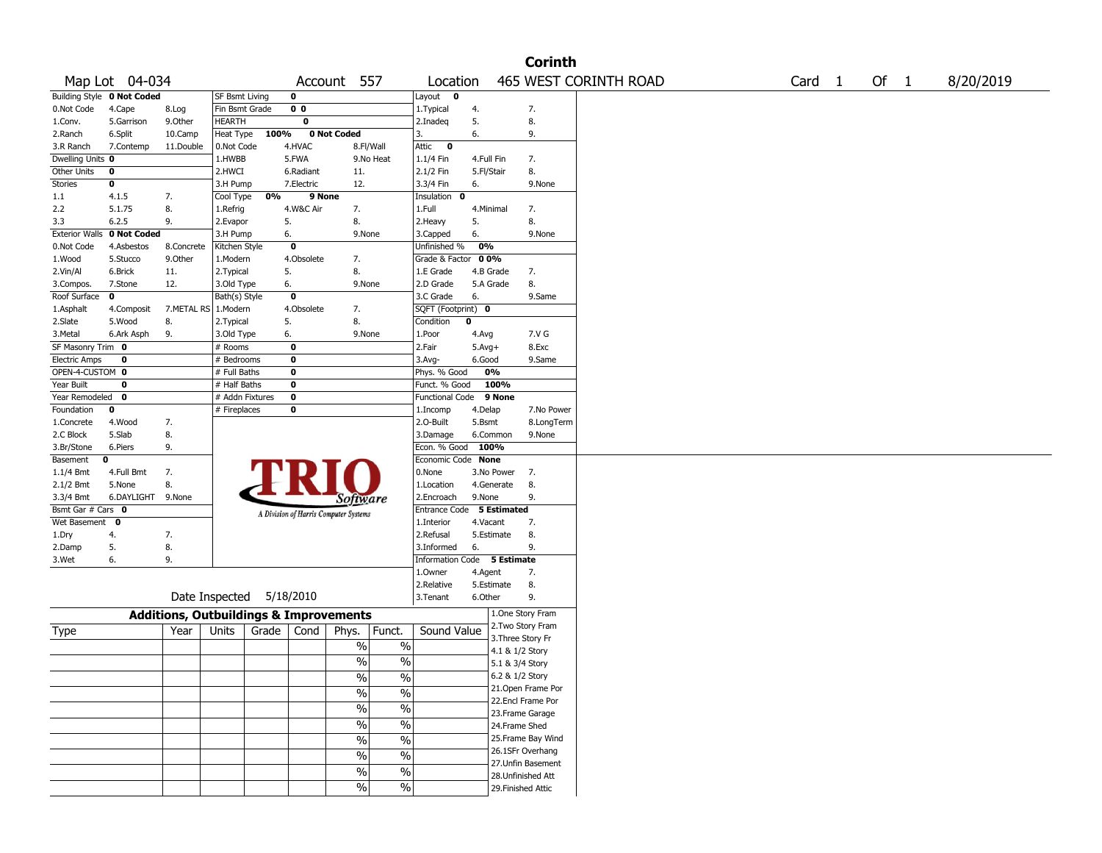|                       |                            |                                                   |                       |       |                |                                       |                          |                           |            |                 | <b>Corinth</b>     |                       |        |        |           |
|-----------------------|----------------------------|---------------------------------------------------|-----------------------|-------|----------------|---------------------------------------|--------------------------|---------------------------|------------|-----------------|--------------------|-----------------------|--------|--------|-----------|
|                       | Map Lot 04-034             |                                                   |                       |       |                | Account 557                           |                          | Location                  |            |                 |                    | 465 WEST CORINTH ROAD | Card 1 | Of $1$ | 8/20/2019 |
|                       | Building Style 0 Not Coded |                                                   | <b>SF Bsmt Living</b> |       | 0              |                                       |                          | Layout $\qquad \bullet$   |            |                 |                    |                       |        |        |           |
| 0.Not Code            | 4.Cape                     | 8.Log                                             | Fin Bsmt Grade        |       | 0 <sub>0</sub> |                                       |                          | 1.Typical                 | 4.         |                 | 7.                 |                       |        |        |           |
| 1.Conv.               | 5.Garrison                 | 9.Other                                           | <b>HEARTH</b>         |       | $\mathbf 0$    |                                       |                          | 2.Inadeg                  | 5.         |                 | 8.                 |                       |        |        |           |
| 2.Ranch               | 6.Split                    | 10.Camp                                           | Heat Type             | 100%  |                | 0 Not Coded                           |                          | 3.                        | 6.         |                 | 9.                 |                       |        |        |           |
| 3.R Ranch             | 7.Contemp                  | 11.Double                                         | 0.Not Code            |       | 4.HVAC         |                                       | 8.Fl/Wall                | Attic<br>$\bullet$        |            |                 |                    |                       |        |        |           |
| Dwelling Units 0      |                            |                                                   | 1.HWBB                |       | 5.FWA          |                                       | 9.No Heat                | 1.1/4 Fin                 | 4.Full Fin |                 | 7.                 |                       |        |        |           |
| Other Units           | 0                          |                                                   | 2.HWCI                |       | 6.Radiant      | 11.                                   |                          | 2.1/2 Fin                 | 5.Fl/Stair |                 | 8.                 |                       |        |        |           |
| Stories               | 0                          |                                                   | 3.H Pump              |       | 7.Electric     | 12.                                   |                          | 3.3/4 Fin                 | 6.         |                 | 9.None             |                       |        |        |           |
| 1.1                   | 4.1.5                      | 7.                                                | Cool Type             | 0%    | 9 None         |                                       |                          | Insulation 0              |            |                 |                    |                       |        |        |           |
| 2.2                   | 5.1.75                     | 8.                                                | 1.Refrig              |       | 4.W&C Air      | 7.                                    |                          | 1.Full                    | 4.Minimal  |                 | 7.                 |                       |        |        |           |
| 3.3                   | 6.2.5                      | 9.                                                | 2.Evapor              |       | 5.             | 8.                                    |                          | 2.Heavy                   | 5.         |                 | 8.                 |                       |        |        |           |
| <b>Exterior Walls</b> | 0 Not Coded                |                                                   | 3.H Pump              |       | 6.             | 9.None                                |                          | 3.Capped                  | 6.         |                 | 9.None             |                       |        |        |           |
| 0.Not Code            | 4.Asbestos                 | 8.Concrete                                        | Kitchen Style         |       | $\mathbf 0$    |                                       |                          | Unfinished %              | 0%         |                 |                    |                       |        |        |           |
| 1.Wood                | 5.Stucco                   | 9.0ther                                           | 1.Modern              |       | 4.Obsolete     | 7.                                    |                          | Grade & Factor            | 00%        |                 |                    |                       |        |        |           |
| 2.Vin/Al              | 6.Brick                    | 11.                                               | 2. Typical            |       | 5.             | 8.                                    |                          | 1.E Grade                 |            | 4.B Grade       | 7.                 |                       |        |        |           |
| 3.Compos.             | 7.Stone                    | 12.                                               | 3.Old Type            |       | 6.             | 9.None                                |                          | 2.D Grade                 |            | 5.A Grade       | 8.                 |                       |        |        |           |
| Roof Surface          | $\mathbf 0$                |                                                   | Bath(s) Style         |       | $\mathbf 0$    |                                       |                          | 3.C Grade                 | 6.         |                 | 9.Same             |                       |        |        |           |
| 1.Asphalt             | 4.Composit                 | 7.METAL RS                                        | 1.Modern              |       | 4.Obsolete     | 7.                                    |                          | SQFT (Footprint) 0        |            |                 |                    |                       |        |        |           |
| 2.Slate               | 5.Wood                     | 8.                                                | 2. Typical            |       | 5.             | 8.                                    |                          | Condition                 | 0          |                 |                    |                       |        |        |           |
| 3.Metal               | 6.Ark Asph                 | 9.                                                | 3.Old Type            |       | 6.             | 9.None                                |                          | 1.Poor                    | 4.Avg      |                 | 7.V G              |                       |        |        |           |
| SF Masonry Trim 0     |                            |                                                   | # Rooms               |       | 0              |                                       |                          | 2.Fair                    | $5.Avg+$   |                 | 8.Exc              |                       |        |        |           |
| <b>Electric Amps</b>  | 0                          |                                                   | # Bedrooms            |       | 0              |                                       |                          | 3.Avg-                    | 6.Good     |                 | 9.Same             |                       |        |        |           |
| OPEN-4-CUSTOM 0       |                            |                                                   | # Full Baths          |       | 0              |                                       |                          | Phys. % Good              |            | 0%              |                    |                       |        |        |           |
| Year Built            | 0                          |                                                   | # Half Baths          |       | 0              |                                       |                          | Funct. % Good             |            | 100%            |                    |                       |        |        |           |
| Year Remodeled 0      |                            |                                                   | # Addn Fixtures       |       | $\pmb{0}$      |                                       |                          | <b>Functional Code</b>    |            | 9 None          |                    |                       |        |        |           |
| Foundation            | 0                          |                                                   | # Fireplaces          |       | 0              |                                       |                          | 1.Incomp                  | 4.Delap    |                 | 7.No Power         |                       |        |        |           |
| 1.Concrete            | 4.Wood                     | 7.                                                |                       |       |                |                                       |                          | 2.O-Built                 | 5.Bsmt     |                 | 8.LongTerm         |                       |        |        |           |
| 2.C Block             | 5.Slab                     | 8.                                                |                       |       |                |                                       |                          | 3.Damage                  |            | 6.Common        | 9.None             |                       |        |        |           |
| 3.Br/Stone            | 6.Piers                    | 9.                                                |                       |       |                |                                       |                          | Econ. % Good              | 100%       |                 |                    |                       |        |        |           |
| Basement              | 0                          |                                                   |                       |       |                |                                       |                          | Economic Code None        |            |                 |                    |                       |        |        |           |
| 1.1/4 Bmt             | 4.Full Bmt                 | 7.                                                |                       |       |                |                                       |                          | 0.None                    |            | 3.No Power      | 7.                 |                       |        |        |           |
| 2.1/2 Bmt             | 5.None                     | 8.                                                |                       |       |                |                                       |                          | 1.Location                |            | 4.Generate      | 8.                 |                       |        |        |           |
| 3.3/4 Bmt             | 6.DAYLIGHT 9.None          |                                                   |                       |       |                | Software                              |                          | 2.Encroach                | 9.None     |                 | 9.                 |                       |        |        |           |
| Bsmt Gar # Cars 0     |                            |                                                   |                       |       |                | A Division of Harris Computer Systems |                          | Entrance Code 5 Estimated |            |                 |                    |                       |        |        |           |
| Wet Basement 0        |                            |                                                   |                       |       |                |                                       |                          | 1.Interior                | 4.Vacant   |                 | 7.                 |                       |        |        |           |
| 1.Dry                 | 4.                         | 7.                                                |                       |       |                |                                       |                          | 2.Refusal                 |            | 5.Estimate      | 8.                 |                       |        |        |           |
| 2.Damp                | 5.                         | 8.                                                |                       |       |                |                                       |                          | 3.Informed                | 6.         |                 | 9.                 |                       |        |        |           |
| 3.Wet                 | 6.                         | 9.                                                |                       |       |                |                                       |                          | <b>Information Code</b>   |            | 5 Estimate      |                    |                       |        |        |           |
|                       |                            |                                                   |                       |       |                |                                       |                          | 1.0wner                   | 4.Agent    |                 | 7.                 |                       |        |        |           |
|                       |                            |                                                   |                       |       |                |                                       |                          | 2.Relative                |            | 5.Estimate      | 8.                 |                       |        |        |           |
|                       |                            |                                                   | Date Inspected        |       | 5/18/2010      |                                       |                          | 3.Tenant                  | 6.Other    |                 | 9.                 |                       |        |        |           |
|                       |                            |                                                   |                       |       |                |                                       |                          |                           |            |                 | 1.One Story Fram   |                       |        |        |           |
|                       |                            | <b>Additions, Outbuildings &amp; Improvements</b> |                       |       |                |                                       |                          |                           |            |                 | 2. Two Story Fram  |                       |        |        |           |
| Type                  |                            | Year                                              | Units                 | Grade | Cond           | Phys.                                 | Funct.                   | Sound Value               |            |                 | 3. Three Story Fr  |                       |        |        |           |
|                       |                            |                                                   |                       |       |                | $\%$                                  | $\%$                     |                           |            | 4.1 & 1/2 Story |                    |                       |        |        |           |
|                       |                            |                                                   |                       |       |                | %                                     | $\%$                     |                           |            | 5.1 & 3/4 Story |                    |                       |        |        |           |
|                       |                            |                                                   |                       |       |                |                                       |                          |                           |            | 6.2 & 1/2 Story |                    |                       |        |        |           |
|                       |                            |                                                   |                       |       |                | $\frac{9}{6}$                         | $\sqrt{6}$               |                           |            |                 | 21. Open Frame Por |                       |        |        |           |
|                       |                            |                                                   |                       |       |                | $\sqrt{6}$                            | $\%$                     |                           |            |                 | 22.Encl Frame Por  |                       |        |        |           |
|                       |                            |                                                   |                       |       |                | $\frac{0}{0}$                         | $\%$                     |                           |            |                 | 23. Frame Garage   |                       |        |        |           |
|                       |                            |                                                   |                       |       |                | $\frac{1}{2}$                         | $\overline{\frac{0}{0}}$ |                           |            | 24.Frame Shed   |                    |                       |        |        |           |
|                       |                            |                                                   |                       |       |                |                                       |                          |                           |            |                 |                    |                       |        |        |           |
|                       |                            |                                                   |                       |       |                | $\%$                                  | $\overline{\frac{0}{0}}$ |                           |            |                 | 25. Frame Bay Wind |                       |        |        |           |
|                       |                            |                                                   |                       |       |                | $\frac{1}{2}$                         | $\overline{\frac{0}{0}}$ |                           |            |                 | 26.1SFr Overhang   |                       |        |        |           |
|                       |                            |                                                   |                       |       |                | $\sqrt{6}$                            | $\overline{\frac{0}{0}}$ |                           |            |                 | 27.Unfin Basement  |                       |        |        |           |
|                       |                            |                                                   |                       |       |                |                                       |                          |                           |            |                 | 28. Unfinished Att |                       |        |        |           |
|                       |                            |                                                   |                       |       |                | $\frac{9}{6}$                         | $\overline{\frac{0}{0}}$ |                           |            |                 | 29. Finished Attic |                       |        |        |           |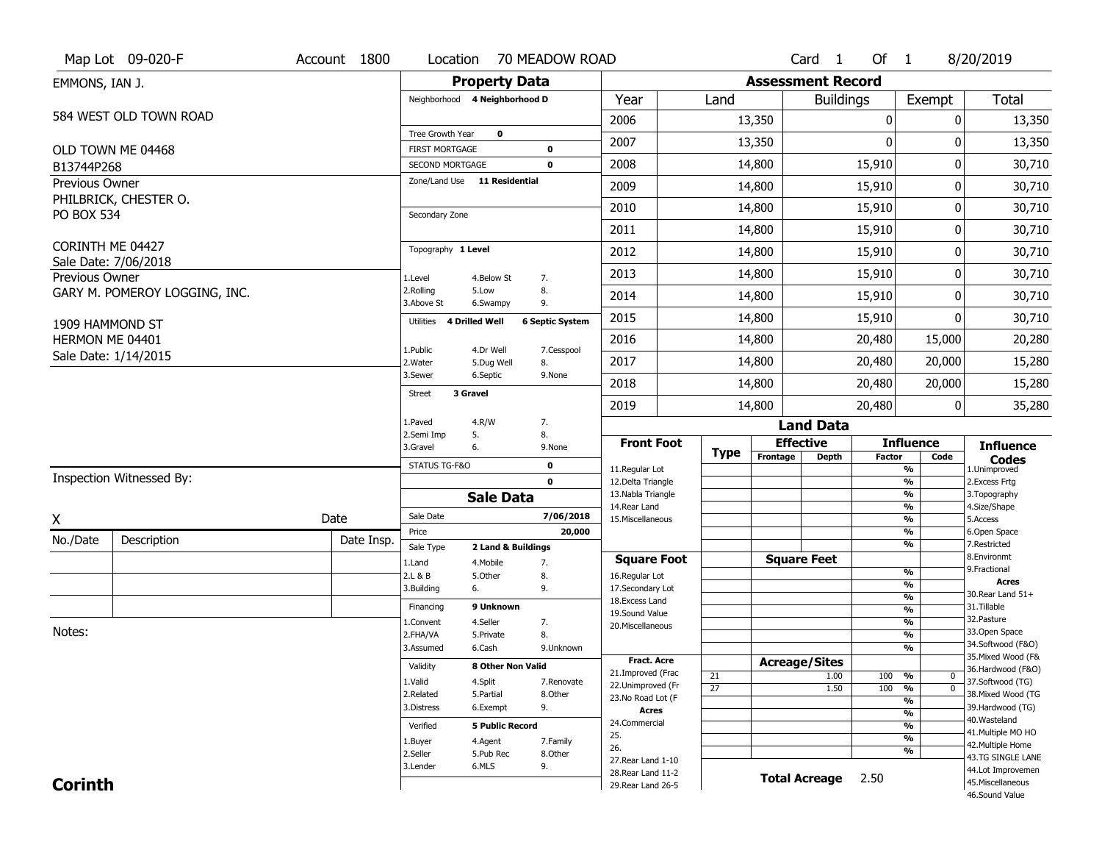| <b>Property Data</b><br><b>Assessment Record</b><br>EMMONS, IAN J.<br>Year<br>Land<br><b>Buildings</b><br>Neighborhood 4 Neighborhood D<br>Exempt<br>584 WEST OLD TOWN ROAD<br>2006<br>13,350<br>0<br>0 | <b>Total</b>                            |
|---------------------------------------------------------------------------------------------------------------------------------------------------------------------------------------------------------|-----------------------------------------|
|                                                                                                                                                                                                         |                                         |
|                                                                                                                                                                                                         |                                         |
|                                                                                                                                                                                                         | 13,350                                  |
| Tree Growth Year<br>$\mathbf 0$<br>$\mathbf{0}$<br>2007<br>13,350<br>0                                                                                                                                  | 13,350                                  |
| OLD TOWN ME 04468<br><b>FIRST MORTGAGE</b><br>$\mathbf 0$<br>14,800<br>15,910<br>0<br>2008<br><b>SECOND MORTGAGE</b><br>0                                                                               | 30,710                                  |
| B13744P268<br>Zone/Land Use 11 Residential<br>Previous Owner                                                                                                                                            |                                         |
| 2009<br>14,800<br>15,910<br>0<br>PHILBRICK, CHESTER O.                                                                                                                                                  | 30,710                                  |
| 2010<br>14,800<br>15,910<br>0<br><b>PO BOX 534</b><br>Secondary Zone                                                                                                                                    | 30,710                                  |
| 2011<br>15,910<br>0<br>14,800                                                                                                                                                                           | 30,710                                  |
| CORINTH ME 04427<br>Topography 1 Level<br>2012<br>14,800<br>15,910<br>0                                                                                                                                 | 30,710                                  |
| Sale Date: 7/06/2018<br>2013<br>14,800<br>15,910<br>0<br>Previous Owner<br>1.Level<br>4.Below St<br>7.                                                                                                  | 30,710                                  |
| 2.Rolling<br>5.Low<br>8.<br>GARY M. POMEROY LOGGING, INC.<br>15,910<br>0<br>2014<br>14,800<br>3.Above St<br>9.<br>6.Swampy                                                                              | 30,710                                  |
| 2015<br>15,910<br>14,800<br>$\Omega$<br><b>4 Drilled Well</b><br><b>6 Septic System</b><br>Utilities<br>1909 HAMMOND ST                                                                                 | 30,710                                  |
| 2016<br>14,800<br>20,480<br>15,000<br>HERMON ME 04401<br>4.Dr Well<br>1.Public<br>7.Cesspool                                                                                                            | 20,280                                  |
| Sale Date: 1/14/2015<br>20,480<br>2017<br>14,800<br>20,000<br>2.Water<br>5.Dug Well<br>8.                                                                                                               | 15,280                                  |
| 3.Sewer<br>6.Septic<br>9.None<br>2018<br>14,800<br>20,480<br>20,000                                                                                                                                     | 15,280                                  |
| 3 Gravel<br>Street<br>2019<br>14,800<br>20,480<br>0                                                                                                                                                     | 35,280                                  |
| 4.R/W<br>7.<br>1.Paved<br><b>Land Data</b>                                                                                                                                                              |                                         |
| 2.Semi Imp<br>5.<br>8.<br><b>Effective</b><br><b>Front Foot</b><br><b>Influence</b><br>3.Gravel<br>6.<br>9.None                                                                                         | <b>Influence</b>                        |
| <b>Type</b><br>Frontage<br><b>Depth</b><br><b>Factor</b><br>Code<br>STATUS TG-F&O<br>0<br>11.Regular Lot<br>%                                                                                           | <b>Codes</b><br>1.Unimproved            |
| Inspection Witnessed By:<br>$\mathbf{0}$<br>12.Delta Triangle<br>%                                                                                                                                      | 2. Excess Frtg                          |
| 13. Nabla Triangle<br>%<br><b>Sale Data</b><br>14. Rear Land<br>%                                                                                                                                       | 3. Topography<br>4.Size/Shape           |
| Sale Date<br>7/06/2018<br>Date<br>Χ<br>15. Miscellaneous<br>%                                                                                                                                           | 5.Access                                |
| 20,000<br>%<br>Price<br>No./Date<br>Description<br>Date Insp.<br>%                                                                                                                                      | 6.Open Space<br>7.Restricted            |
| Sale Type<br>2 Land & Buildings<br><b>Square Feet</b><br><b>Square Foot</b>                                                                                                                             | 8.Environmt                             |
| 1.Land<br>4. Mobile<br>7.<br>$\frac{9}{6}$<br>2.L & B<br>5.Other<br>8.<br>16.Regular Lot                                                                                                                | 9. Fractional                           |
| %<br>3.Building<br>9.<br>17.Secondary Lot<br>6.                                                                                                                                                         | <b>Acres</b><br>30. Rear Land 51+       |
| $\frac{9}{6}$<br>18. Excess Land<br>9 Unknown<br>Financing<br>$\frac{9}{6}$                                                                                                                             | 31.Tillable                             |
| 19.Sound Value<br>4.Seller<br>$\frac{9}{6}$<br>1.Convent<br>7.<br>20.Miscellaneous                                                                                                                      | 32.Pasture                              |
| Notes:<br>$\frac{9}{6}$<br>2.FHA/VA<br>8.<br>5.Private                                                                                                                                                  | 33.Open Space                           |
| 6.Cash<br>$\frac{9}{6}$<br>3.Assumed<br>9.Unknown                                                                                                                                                       | 34.Softwood (F&O)<br>35. Mixed Wood (F& |
| Fract. Acre<br><b>Acreage/Sites</b><br>Validity<br>8 Other Non Valid<br>21.Improved (Frac                                                                                                               | 36.Hardwood (F&O)                       |
| 21<br>1.00<br>100<br>%<br>0<br>1.Valid<br>4.Split<br>7.Renovate<br>22.Unimproved (Fr<br>$\overline{27}$<br>$\overline{0}$                                                                               | 37.Softwood (TG)                        |
| 1.50<br>100<br>%<br>2.Related<br>5.Partial<br>8.Other<br>23.No Road Lot (F<br>%                                                                                                                         | 38. Mixed Wood (TG                      |
| 3.Distress<br>6.Exempt<br>9.<br><b>Acres</b><br>$\frac{9}{6}$                                                                                                                                           | 39.Hardwood (TG)                        |
| 24.Commercial<br>%<br>Verified<br><b>5 Public Record</b>                                                                                                                                                | 40. Wasteland<br>41. Multiple MO HO     |
| 25.<br>$\frac{9}{6}$<br>4.Agent<br>7.Family<br>1.Buyer                                                                                                                                                  | 42. Multiple Home                       |
| 26.<br>%<br>2.Seller<br>5.Pub Rec<br>8.Other<br>27. Rear Land 1-10                                                                                                                                      | 43.TG SINGLE LANE                       |
| 6.MLS<br>9.<br>3.Lender<br>28. Rear Land 11-2                                                                                                                                                           | 44.Lot Improvemen                       |
| <b>Total Acreage</b><br>2.50<br><b>Corinth</b><br>29. Rear Land 26-5                                                                                                                                    | 45. Miscellaneous<br>46.Sound Value     |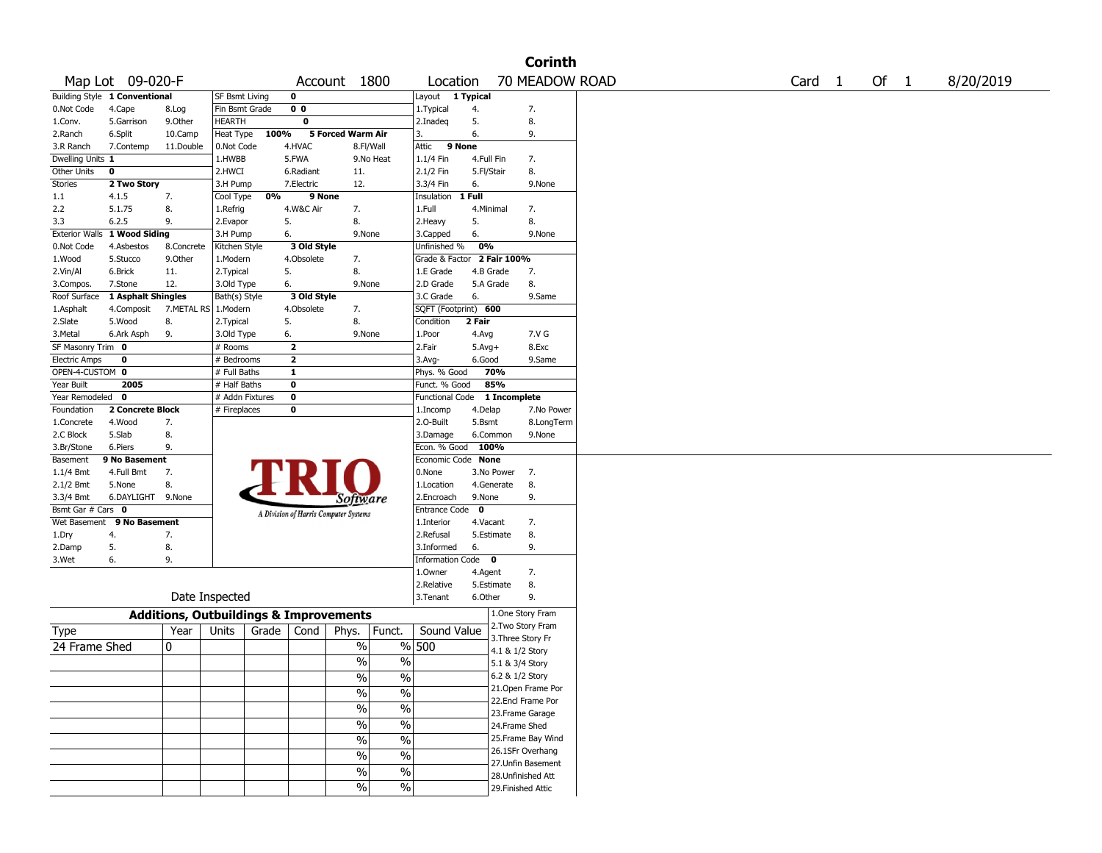|                      |                               |                                                   |                       |       |                         |                                       |                          |                            |             |                                       | <b>Corinth</b> |                   |        |           |
|----------------------|-------------------------------|---------------------------------------------------|-----------------------|-------|-------------------------|---------------------------------------|--------------------------|----------------------------|-------------|---------------------------------------|----------------|-------------------|--------|-----------|
|                      | Map Lot 09-020-F              |                                                   |                       |       |                         | Account 1800                          |                          | Location                   |             |                                       | 70 MEADOW ROAD | Card <sub>1</sub> | Of $1$ | 8/20/2019 |
|                      | Building Style 1 Conventional |                                                   | <b>SF Bsmt Living</b> |       | 0                       |                                       |                          | Layout 1 Typical           |             |                                       |                |                   |        |           |
| 0.Not Code           | 4.Cape                        | 8.Log                                             | Fin Bsmt Grade        |       | 0 <sub>0</sub>          |                                       |                          | 1. Typical                 | 4.          | 7.                                    |                |                   |        |           |
| 1.Conv.              | 5.Garrison                    | 9.0ther                                           | <b>HEARTH</b>         |       | 0                       |                                       |                          | 2.Inadeq                   | 5.          | 8.                                    |                |                   |        |           |
| 2.Ranch              | 6.Split                       | 10.Camp                                           | Heat Type             | 100%  |                         | 5 Forced Warm Air                     |                          | 3.                         | 6.          | 9.                                    |                |                   |        |           |
| 3.R Ranch            | 7.Contemp                     | 11.Double                                         | 0.Not Code            |       | 4.HVAC                  | 8.Fl/Wall                             |                          | Attic<br>9 None            |             |                                       |                |                   |        |           |
| Dwelling Units 1     |                               |                                                   | 1.HWBB                |       | 5.FWA                   |                                       | 9.No Heat                | 1.1/4 Fin                  | 4.Full Fin  | 7.                                    |                |                   |        |           |
| <b>Other Units</b>   | 0                             |                                                   | 2.HWCI                |       | 6.Radiant               | 11.                                   |                          | 2.1/2 Fin                  | 5.Fl/Stair  | 8.                                    |                |                   |        |           |
| <b>Stories</b>       | 2 Two Story                   |                                                   | 3.H Pump              |       | 7.Electric              | 12.                                   |                          | 3.3/4 Fin                  | 6.          |                                       | 9.None         |                   |        |           |
| 1.1                  | 4.1.5                         | 7.                                                | Cool Type             | 0%    | 9 None                  |                                       |                          | Insulation                 | 1 Full      |                                       |                |                   |        |           |
| 2.2                  | 5.1.75                        | 8.                                                | 1.Refrig              |       | 4.W&C Air               | 7.                                    |                          | 1.Full                     | 4.Minimal   | 7.                                    |                |                   |        |           |
| 3.3                  | 6.2.5                         | 9.                                                | 2.Evapor              | 5.    |                         | 8.                                    |                          | 2. Heavy                   | 5.          | 8.                                    |                |                   |        |           |
|                      | Exterior Walls 1 Wood Siding  |                                                   | 3.H Pump              | 6.    |                         | 9.None                                |                          | 3.Capped                   | 6.          |                                       | 9.None         |                   |        |           |
| 0.Not Code           | 4.Asbestos                    | 8.Concrete                                        | Kitchen Style         |       | 3 Old Style             |                                       |                          | Unfinished %               | 0%          |                                       |                |                   |        |           |
| 1.Wood               | 5.Stucco                      | 9.0ther                                           | 1.Modern              |       | 4.Obsolete              | 7.                                    |                          | Grade & Factor 2 Fair 100% |             |                                       |                |                   |        |           |
| 2.Vin/Al             | 6.Brick                       | 11.                                               | 2.Typical             | 5.    |                         | 8.                                    |                          | 1.E Grade                  | 4.B Grade   | 7.                                    |                |                   |        |           |
| 3.Compos.            | 7.Stone                       | 12.                                               | 3.Old Type            | 6.    |                         | 9.None                                |                          | 2.D Grade                  | 5.A Grade   | 8.                                    |                |                   |        |           |
| Roof Surface         | 1 Asphalt Shingles            |                                                   | Bath(s) Style         |       | 3 Old Style             |                                       |                          | 3.C Grade                  | 6.          |                                       | 9.Same         |                   |        |           |
| 1.Asphalt            | 4.Composit                    | 7.METAL RS                                        | 1.Modern              |       | 4.Obsolete              | 7.                                    |                          | SQFT (Footprint) 600       |             |                                       |                |                   |        |           |
| 2.Slate              | 5.Wood                        | 8.                                                | 2. Typical            | 5.    |                         | 8.                                    |                          | Condition                  | 2 Fair      |                                       |                |                   |        |           |
| 3.Metal              | 6.Ark Asph                    | 9.                                                | 3.Old Type            | 6.    |                         | 9.None                                |                          | 1.Poor                     | 4.Avg       |                                       | 7.V G          |                   |        |           |
| SF Masonry Trim 0    |                               |                                                   | # Rooms               |       | $\overline{\mathbf{z}}$ |                                       |                          | 2.Fair                     | $5.Avg+$    |                                       | 8.Exc          |                   |        |           |
| <b>Electric Amps</b> | $\mathbf 0$                   |                                                   | # Bedrooms            |       | $\overline{\mathbf{2}}$ |                                       |                          | $3.$ Avg-                  | 6.Good      |                                       | 9.Same         |                   |        |           |
| OPEN-4-CUSTOM 0      |                               |                                                   | # Full Baths          |       | $\mathbf{1}$            |                                       |                          | Phys. % Good               |             | 70%                                   |                |                   |        |           |
| Year Built           | 2005                          |                                                   | # Half Baths          |       | 0                       |                                       |                          | Funct. % Good              |             | 85%                                   |                |                   |        |           |
| Year Remodeled       | 0                             |                                                   | # Addn Fixtures       |       | 0                       |                                       |                          | <b>Functional Code</b>     |             | 1 Incomplete                          |                |                   |        |           |
| Foundation           | 2 Concrete Block              |                                                   | # Fireplaces          |       | 0                       |                                       |                          | 1.Incomp                   | 4.Delap     |                                       | 7.No Power     |                   |        |           |
| 1.Concrete           | 4.Wood                        | 7.                                                |                       |       |                         |                                       |                          | 2.0-Built                  | 5.Bsmt      |                                       | 8.LongTerm     |                   |        |           |
| 2.C Block            | 5.Slab                        | 8.                                                |                       |       |                         |                                       |                          | 3.Damage                   | 6.Common    |                                       | 9.None         |                   |        |           |
| 3.Br/Stone           | 6.Piers                       | 9.                                                |                       |       |                         |                                       |                          | Econ. % Good               | 100%        |                                       |                |                   |        |           |
| Basement             | 9 No Basement                 |                                                   |                       |       |                         |                                       |                          | Economic Code None         |             |                                       |                |                   |        |           |
| $1.1/4$ Bmt          | 4.Full Bmt                    | 7.                                                |                       |       |                         |                                       |                          | 0.None                     | 3.No Power  | 7.                                    |                |                   |        |           |
| 2.1/2 Bmt            | 5.None                        | 8.                                                |                       |       |                         |                                       |                          | 1.Location                 | 4.Generate  | 8.                                    |                |                   |        |           |
| 3.3/4 Bmt            | 6.DAYLIGHT 9.None             |                                                   |                       |       |                         | Software                              |                          | 2.Encroach                 | 9.None      | 9.                                    |                |                   |        |           |
| Bsmt Gar # Cars 0    |                               |                                                   |                       |       |                         | A Division of Harris Computer Systems |                          | Entrance Code              | $\mathbf 0$ |                                       |                |                   |        |           |
| Wet Basement         | 9 No Basement                 |                                                   |                       |       |                         |                                       |                          | 1.Interior                 | 4.Vacant    | 7.                                    |                |                   |        |           |
| 1.Dry                | 4.                            | 7.                                                |                       |       |                         |                                       |                          | 2.Refusal                  | 5.Estimate  | 8.                                    |                |                   |        |           |
| 2.Damp               | 5.                            | 8.                                                |                       |       |                         |                                       |                          | 3.Informed                 | 6.          | 9.                                    |                |                   |        |           |
| 3.Wet                | 6.                            | 9.                                                |                       |       |                         |                                       |                          | Information Code 0         |             |                                       |                |                   |        |           |
|                      |                               |                                                   |                       |       |                         |                                       |                          | 1.Owner                    | 4.Agent     | 7.                                    |                |                   |        |           |
|                      |                               |                                                   |                       |       |                         |                                       |                          | 2.Relative                 | 5.Estimate  | 8.                                    |                |                   |        |           |
|                      |                               | Date Inspected                                    |                       |       |                         |                                       |                          | 3. Tenant                  | 6.Other     | 9.                                    |                |                   |        |           |
|                      |                               | <b>Additions, Outbuildings &amp; Improvements</b> |                       |       |                         |                                       |                          |                            |             | 1.One Story Fram<br>2. Two Story Fram |                |                   |        |           |
| Type                 |                               | Year                                              | Units                 | Grade | Cond                    | Phys.                                 | Funct.                   | Sound Value                |             | 3. Three Story Fr                     |                |                   |        |           |
| 24 Frame Shed        |                               | 10                                                |                       |       |                         | $\%$                                  |                          | % 500                      |             | 4.1 & 1/2 Story                       |                |                   |        |           |
|                      |                               |                                                   |                       |       |                         | $\%$                                  | $\%$                     |                            |             | 5.1 & 3/4 Story                       |                |                   |        |           |
|                      |                               |                                                   |                       |       |                         | $\%$                                  | $\%$                     |                            |             | 6.2 & 1/2 Story                       |                |                   |        |           |
|                      |                               |                                                   |                       |       |                         |                                       |                          |                            |             | 21. Open Frame Por                    |                |                   |        |           |
|                      |                               |                                                   |                       |       |                         | $\sqrt{6}$                            | $\overline{\frac{0}{0}}$ |                            |             | 22.Encl Frame Por                     |                |                   |        |           |
|                      |                               |                                                   |                       |       |                         | $\frac{0}{6}$                         | $\overline{\frac{0}{0}}$ |                            |             | 23. Frame Garage                      |                |                   |        |           |
|                      |                               |                                                   |                       |       |                         | $\sqrt{6}$                            | $\overline{\frac{0}{0}}$ |                            |             | 24.Frame Shed                         |                |                   |        |           |
|                      |                               |                                                   |                       |       |                         | $\sqrt{6}$                            | $\overline{\frac{0}{0}}$ |                            |             | 25. Frame Bay Wind                    |                |                   |        |           |
|                      |                               |                                                   |                       |       |                         |                                       |                          |                            |             | 26.1SFr Overhang                      |                |                   |        |           |
|                      |                               |                                                   |                       |       |                         | $\frac{9}{6}$                         | $\overline{\frac{0}{0}}$ |                            |             | 27.Unfin Basement                     |                |                   |        |           |
|                      |                               |                                                   |                       |       |                         | $\%$                                  | $\overline{\frac{0}{0}}$ |                            |             | 28.Unfinished Att                     |                |                   |        |           |
|                      |                               |                                                   |                       |       |                         | $\frac{0}{0}$                         | $\sqrt{6}$               |                            |             | 29. Finished Attic                    |                |                   |        |           |
|                      |                               |                                                   |                       |       |                         |                                       |                          |                            |             |                                       |                |                   |        |           |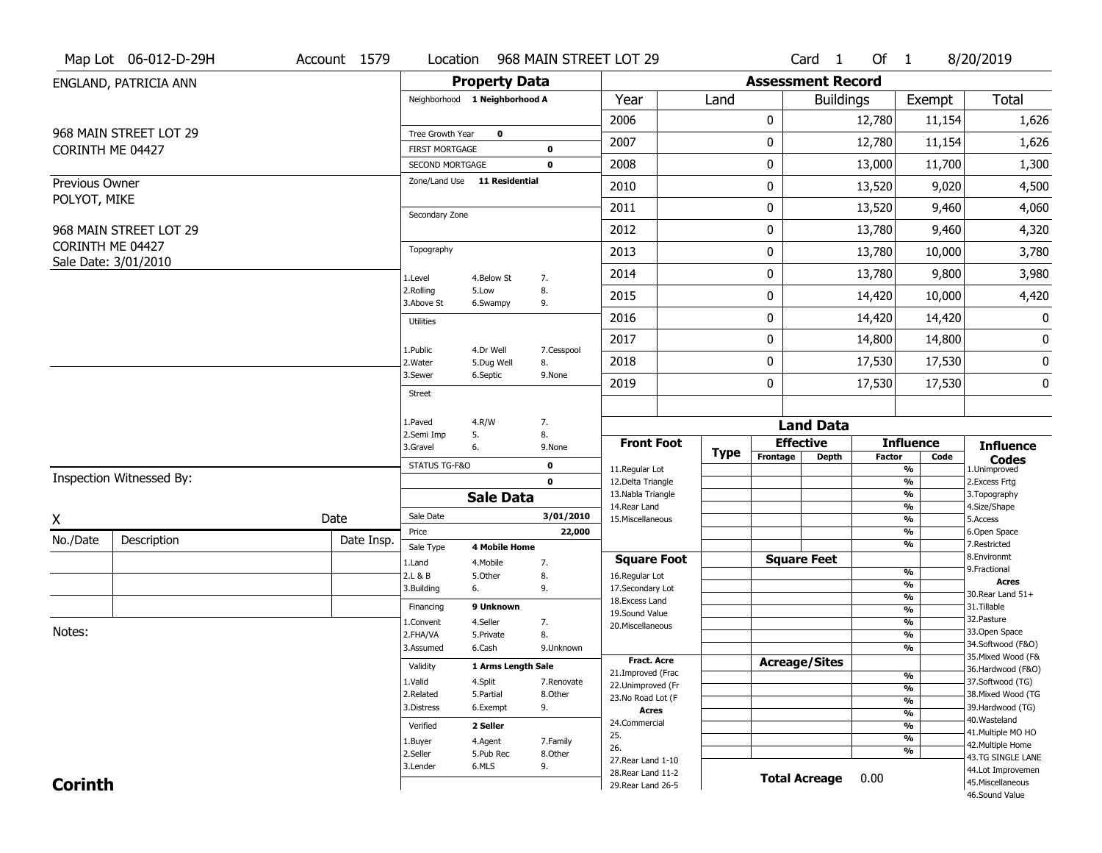|                | Map Lot 06-012-D-29H     | Account 1579 | Location                                        |                         | 968 MAIN STREET LOT 29 |                                          |      |                         | Card 1                   | Of 1          |                                | 8/20/2019                               |
|----------------|--------------------------|--------------|-------------------------------------------------|-------------------------|------------------------|------------------------------------------|------|-------------------------|--------------------------|---------------|--------------------------------|-----------------------------------------|
|                | ENGLAND, PATRICIA ANN    |              |                                                 | <b>Property Data</b>    |                        |                                          |      |                         | <b>Assessment Record</b> |               |                                |                                         |
|                |                          |              | Neighborhood 1 Neighborhood A                   |                         |                        | Year                                     | Land |                         | <b>Buildings</b>         |               | Exempt                         | <b>Total</b>                            |
|                |                          |              |                                                 |                         |                        | 2006                                     |      | 0                       |                          | 12,780        | 11,154                         | 1,626                                   |
|                | 968 MAIN STREET LOT 29   |              | Tree Growth Year                                | $\mathbf 0$             |                        | 2007                                     |      | 0                       |                          | 12,780        | 11,154                         | 1,626                                   |
|                | CORINTH ME 04427         |              | <b>FIRST MORTGAGE</b><br><b>SECOND MORTGAGE</b> |                         | 0<br>0                 | 2008                                     |      | 0                       |                          | 13,000        | 11,700                         | 1,300                                   |
| Previous Owner |                          |              | Zone/Land Use 11 Residential                    |                         |                        |                                          |      |                         |                          |               |                                |                                         |
| POLYOT, MIKE   |                          |              |                                                 |                         |                        | 2010                                     |      | 0                       |                          | 13,520        | 9,020                          | 4,500                                   |
|                |                          |              | Secondary Zone                                  |                         |                        | 2011                                     |      | 0                       |                          | 13,520        | 9,460                          | 4,060                                   |
|                | 968 MAIN STREET LOT 29   |              |                                                 |                         |                        | 2012                                     |      | 0                       |                          | 13,780        | 9,460                          | 4,320                                   |
|                | CORINTH ME 04427         |              | Topography                                      |                         |                        | 2013                                     |      | 0                       |                          | 13,780        | 10,000                         | 3,780                                   |
|                | Sale Date: 3/01/2010     |              | 1.Level                                         | 4.Below St              | 7.                     | 2014                                     |      | 0                       |                          | 13,780        | 9,800                          | 3,980                                   |
|                |                          |              | 2.Rolling<br>3.Above St                         | 5.Low<br>6.Swampy       | 8.<br>9.               | 2015                                     |      | 0                       |                          | 14,420        | 10,000                         | 4,420                                   |
|                |                          |              | <b>Utilities</b>                                |                         |                        | 2016                                     |      | 0                       |                          | 14,420        | 14,420                         | 0                                       |
|                |                          |              |                                                 |                         |                        | 2017                                     |      | 0                       |                          | 14,800        | 14,800                         | 0                                       |
|                |                          |              | 1.Public<br>2. Water                            | 4.Dr Well<br>5.Dug Well | 7.Cesspool<br>8.       | 2018                                     |      | 0                       |                          | 17,530        | 17,530                         | 0                                       |
|                |                          |              | 3.Sewer                                         | 6.Septic                | 9.None                 | 2019                                     |      | 0                       |                          | 17,530        | 17,530                         | 0                                       |
|                |                          |              | <b>Street</b>                                   |                         |                        |                                          |      |                         |                          |               |                                |                                         |
|                |                          |              | 1.Paved                                         | 4.R/W                   | 7.                     |                                          |      |                         | <b>Land Data</b>         |               |                                |                                         |
|                |                          |              | 2.Semi Imp<br>5.<br>6.<br>3.Gravel              |                         | 8.<br>9.None           | <b>Front Foot</b>                        |      |                         | <b>Effective</b>         |               | <b>Influence</b>               | <b>Influence</b>                        |
|                |                          |              | STATUS TG-F&O                                   |                         | 0                      | 11.Regular Lot                           |      | <b>Type</b><br>Frontage | <b>Depth</b>             | <b>Factor</b> | Code<br>%                      | <b>Codes</b><br>1.Unimproved            |
|                | Inspection Witnessed By: |              |                                                 |                         | $\mathbf{0}$           | 12.Delta Triangle                        |      |                         |                          |               | $\frac{9}{6}$                  | 2. Excess Frtg                          |
|                |                          |              |                                                 | <b>Sale Data</b>        |                        | 13. Nabla Triangle                       |      |                         |                          |               | %                              | 3. Topography<br>4.Size/Shape           |
| X              |                          | Date         | Sale Date                                       |                         | 3/01/2010              | 14. Rear Land<br>15. Miscellaneous       |      |                         |                          |               | %<br>%                         | 5.Access                                |
| No./Date       | Description              | Date Insp.   | Price                                           |                         | 22,000                 |                                          |      |                         |                          |               | %                              | 6.Open Space                            |
|                |                          |              | Sale Type                                       | <b>4 Mobile Home</b>    |                        | <b>Square Foot</b>                       |      |                         | <b>Square Feet</b>       |               | %                              | 7.Restricted<br>8.Environmt             |
|                |                          |              | 1.Land<br>2.L & B                               | 4. Mobile<br>5.Other    | 7.<br>8.               | 16.Regular Lot                           |      |                         |                          |               | %                              | 9. Fractional                           |
|                |                          |              | 3.Building<br>6.                                |                         | 9.                     | 17.Secondary Lot                         |      |                         |                          |               | $\frac{9}{6}$<br>$\frac{9}{6}$ | <b>Acres</b><br>30. Rear Land 51+       |
|                |                          |              | Financing                                       | 9 Unknown               |                        | 18.Excess Land<br>19.Sound Value         |      |                         |                          |               | $\frac{9}{6}$                  | 31.Tillable                             |
|                |                          |              | 1.Convent                                       | 4.Seller                | 7.                     | 20.Miscellaneous                         |      |                         |                          |               | $\frac{9}{6}$                  | 32. Pasture                             |
| Notes:         |                          |              | 2.FHA/VA                                        | 5.Private               | 8.                     |                                          |      |                         |                          |               | $\frac{9}{6}$                  | 33.Open Space<br>34.Softwood (F&O)      |
|                |                          |              | 3.Assumed                                       | 6.Cash                  | 9.Unknown              | Fract. Acre                              |      |                         |                          |               | %                              | 35. Mixed Wood (F&                      |
|                |                          |              | Validity                                        | 1 Arms Length Sale      |                        | 21.Improved (Frac                        |      |                         | <b>Acreage/Sites</b>     |               | %                              | 36.Hardwood (F&O)                       |
|                |                          |              | 1.Valid                                         | 4.Split                 | 7.Renovate             | 22.Unimproved (Fr                        |      |                         |                          |               | $\frac{9}{6}$                  | 37.Softwood (TG)                        |
|                |                          |              | 2.Related                                       | 5.Partial               | 8.0ther                | 23.No Road Lot (F                        |      |                         |                          |               | %                              | 38. Mixed Wood (TG                      |
|                |                          |              | 3.Distress                                      | 6.Exempt                | 9.                     | <b>Acres</b>                             |      |                         |                          |               | %                              | 39.Hardwood (TG)<br>40. Wasteland       |
|                |                          |              |                                                 |                         |                        |                                          |      |                         |                          |               |                                |                                         |
|                |                          |              | Verified                                        | 2 Seller                |                        | 24.Commercial                            |      |                         |                          |               | %                              |                                         |
|                |                          |              | 1.Buyer                                         | 4.Agent                 | 7.Family               | 25.                                      |      |                         |                          |               | %                              | 41. Multiple MO HO<br>42. Multiple Home |
|                |                          |              | 2.Seller                                        | 5.Pub Rec               | 8.Other                | 26.                                      |      |                         |                          |               | %                              | 43.TG SINGLE LANE                       |
| <b>Corinth</b> |                          |              | 3.Lender                                        | 6.MLS                   | 9.                     | 27. Rear Land 1-10<br>28. Rear Land 11-2 |      |                         | <b>Total Acreage</b>     | 0.00          |                                | 44.Lot Improvemen<br>45. Miscellaneous  |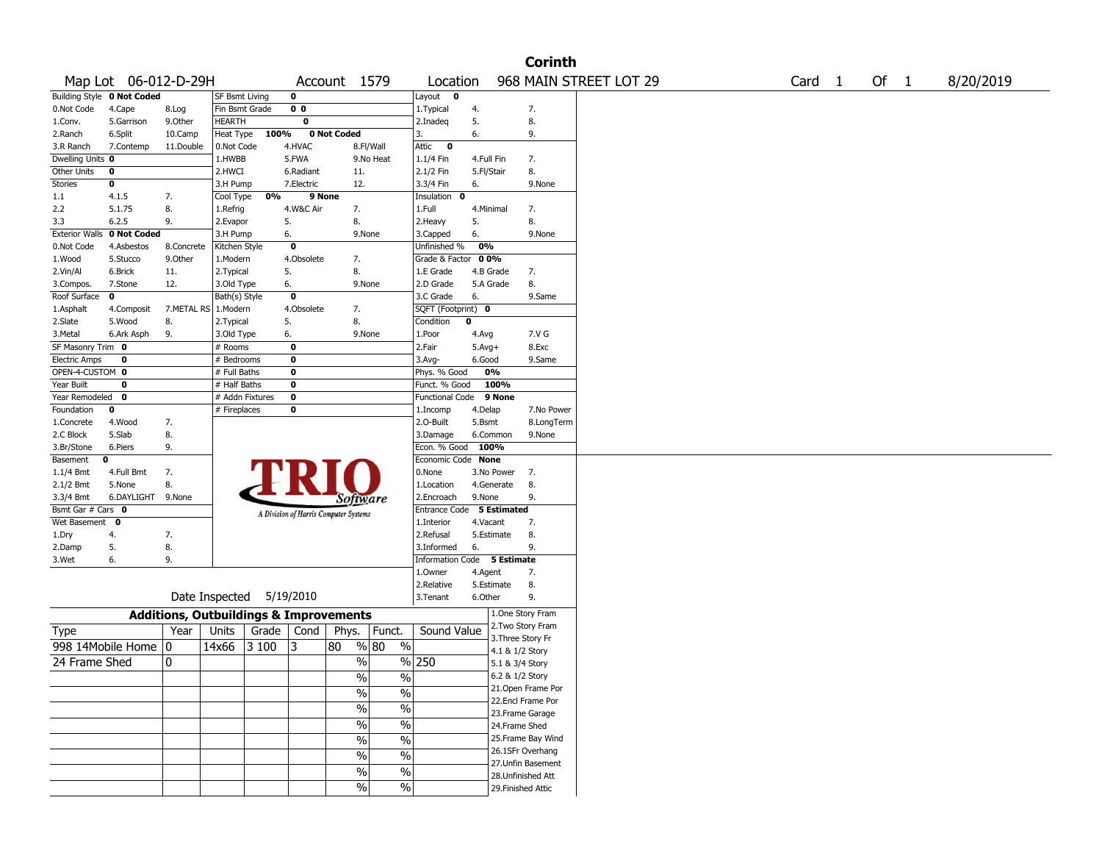|                       |                            |                                                   |                 |       |                |                                       |                          |                           |             |                   | <b>Corinth</b>     |                        |                   |        |           |
|-----------------------|----------------------------|---------------------------------------------------|-----------------|-------|----------------|---------------------------------------|--------------------------|---------------------------|-------------|-------------------|--------------------|------------------------|-------------------|--------|-----------|
|                       | Map Lot 06-012-D-29H       |                                                   |                 |       |                | Account 1579                          |                          | Location                  |             |                   |                    | 968 MAIN STREET LOT 29 | Card <sub>1</sub> | Of $1$ | 8/20/2019 |
|                       | Building Style 0 Not Coded |                                                   | SF Bsmt Living  |       | 0              |                                       |                          | Layout<br>$\mathbf 0$     |             |                   |                    |                        |                   |        |           |
| 0.Not Code            | 4.Cape                     | 8.Log                                             | Fin Bsmt Grade  |       | 0 <sub>0</sub> |                                       |                          | 1.Typical                 | 4.          |                   | 7.                 |                        |                   |        |           |
| 1.Conv.               | 5.Garrison                 | 9.0ther                                           | HEARTH          |       | 0              |                                       |                          | 2.Inadeq                  | 5.          |                   | 8.                 |                        |                   |        |           |
| 2.Ranch               | 6.Split                    | 10.Camp                                           | Heat Type       | 100%  |                | 0 Not Coded                           |                          | 3.                        | 6.          |                   | 9.                 |                        |                   |        |           |
| 3.R Ranch             | 7.Contemp                  | 11.Double                                         | 0.Not Code      |       | 4.HVAC         |                                       | 8.Fl/Wall                | Attic<br>$\bf{0}$         |             |                   |                    |                        |                   |        |           |
| Dwelling Units 0      |                            |                                                   | 1.HWBB          |       | 5.FWA          |                                       | 9.No Heat                | 1.1/4 Fin                 | 4.Full Fin  |                   | 7.                 |                        |                   |        |           |
| Other Units           | 0                          |                                                   | 2.HWCI          |       | 6.Radiant      | 11.                                   |                          | 2.1/2 Fin                 | 5.Fl/Stair  |                   | 8.                 |                        |                   |        |           |
| <b>Stories</b>        | 0                          |                                                   | 3.H Pump        |       | 7.Electric     | 12.                                   |                          | 3.3/4 Fin                 | 6.          |                   | 9.None             |                        |                   |        |           |
| 1.1                   | 4.1.5                      | 7.                                                | Cool Type       | 0%    | 9 None         |                                       |                          | Insulation<br>0           |             |                   |                    |                        |                   |        |           |
| 2.2                   | 5.1.75                     | 8.                                                | 1.Refrig        |       | 4.W&C Air      | 7.                                    |                          | 1.Full                    | 4.Minimal   |                   | 7.                 |                        |                   |        |           |
| 3.3                   | 6.2.5                      | 9.                                                | 2.Evapor        | 5.    |                | 8.                                    |                          | 2. Heavy                  | 5.          |                   | 8.                 |                        |                   |        |           |
| <b>Exterior Walls</b> | 0 Not Coded                |                                                   | 3.H Pump        |       | 6.             | 9.None                                |                          | 3.Capped                  | 6.          |                   | 9.None             |                        |                   |        |           |
| 0.Not Code            | 4.Asbestos                 | 8.Concrete                                        | Kitchen Style   |       | $\bf{0}$       |                                       |                          | Unfinished %              | 0%          |                   |                    |                        |                   |        |           |
| 1.Wood                | 5.Stucco                   | 9.0ther                                           | 1.Modern        |       | 4.Obsolete     | 7.                                    |                          | Grade & Factor            | 00%         |                   |                    |                        |                   |        |           |
| 2.Vin/Al              | 6.Brick                    | 11.                                               | 2. Typical      |       | 5.             | 8.                                    |                          | 1.E Grade                 |             | 4.B Grade         | 7.                 |                        |                   |        |           |
| 3.Compos.             | 7.Stone                    | 12.                                               | 3.Old Type      |       | 6.             | 9.None                                |                          | 2.D Grade                 |             | 5.A Grade         | 8.                 |                        |                   |        |           |
| Roof Surface          | 0                          |                                                   | Bath(s) Style   |       | $\bf{0}$       |                                       |                          | 3.C Grade                 | 6.          |                   | 9.Same             |                        |                   |        |           |
| 1.Asphalt             | 4.Composit                 | 7.METAL RS                                        | 1.Modern        |       | 4.Obsolete     | 7.                                    |                          | SQFT (Footprint) 0        |             |                   |                    |                        |                   |        |           |
| 2.Slate               | 5.Wood                     | 8.                                                | 2.Typical       |       | 5.             | 8.                                    |                          | Condition                 | $\mathbf 0$ |                   |                    |                        |                   |        |           |
| 3.Metal               | 6.Ark Asph                 | 9.                                                | 3.Old Type      |       | 6.             | 9.None                                |                          | 1.Poor                    | 4.Avg       |                   | 7.V G              |                        |                   |        |           |
| SF Masonry Trim 0     |                            |                                                   | # Rooms         |       | $\bf{0}$       |                                       |                          | 2.Fair                    | $5.Avg+$    |                   | 8.Exc              |                        |                   |        |           |
| <b>Electric Amps</b>  | 0                          |                                                   | # Bedrooms      |       | 0              |                                       |                          | 3.Avg-                    | 6.Good      |                   | 9.Same             |                        |                   |        |           |
| OPEN-4-CUSTOM 0       |                            |                                                   | # Full Baths    |       | 0              |                                       |                          | Phys. % Good              |             | 0%                |                    |                        |                   |        |           |
| Year Built            | $\mathbf 0$                |                                                   | # Half Baths    |       | 0              |                                       |                          | Funct. % Good             |             | 100%              |                    |                        |                   |        |           |
| Year Remodeled        | 0                          |                                                   | # Addn Fixtures |       | $\bf{0}$       |                                       |                          | <b>Functional Code</b>    |             | 9 None            |                    |                        |                   |        |           |
| Foundation            | 0                          |                                                   | # Fireplaces    |       | 0              |                                       |                          | 1.Incomp                  | 4.Delap     |                   | 7.No Power         |                        |                   |        |           |
| 1.Concrete            | 4.Wood                     | 7.                                                |                 |       |                |                                       |                          | 2.0-Built                 | 5.Bsmt      |                   | 8.LongTerm         |                        |                   |        |           |
| 2.C Block             | 5.Slab                     | 8.                                                |                 |       |                |                                       |                          | 3.Damage                  |             | 6.Common          | 9.None             |                        |                   |        |           |
| 3.Br/Stone            | 6.Piers                    | 9.                                                |                 |       |                |                                       |                          | Econ. % Good              | 100%        |                   |                    |                        |                   |        |           |
| Basement              | 0                          |                                                   |                 |       |                |                                       |                          | Economic Code             | None        |                   |                    |                        |                   |        |           |
| 1.1/4 Bmt             | 4.Full Bmt                 | 7.                                                |                 |       |                |                                       |                          | 0.None                    |             | 3.No Power        | 7.                 |                        |                   |        |           |
| 2.1/2 Bmt             | 5.None                     | 8.                                                |                 |       |                |                                       |                          | 1.Location                |             | 4.Generate        | 8.                 |                        |                   |        |           |
| 3.3/4 Bmt             | 6.DAYLIGHT                 | 9.None                                            |                 |       |                | Software                              |                          | 2.Encroach                | 9.None      |                   | 9.                 |                        |                   |        |           |
| Bsmt Gar # Cars 0     |                            |                                                   |                 |       |                | A Division of Harris Computer Systems |                          | Entrance Code 5 Estimated |             |                   |                    |                        |                   |        |           |
| Wet Basement          | 0                          |                                                   |                 |       |                |                                       |                          | 1.Interior                | 4.Vacant    |                   | 7.                 |                        |                   |        |           |
| 1.Dry                 | 4.                         | 7.                                                |                 |       |                |                                       |                          | 2.Refusal                 |             | 5.Estimate        | 8.                 |                        |                   |        |           |
| 2.Damp                | 5.                         | 8.                                                |                 |       |                |                                       |                          | 3.Informed                | 6.          |                   | 9.                 |                        |                   |        |           |
| 3.Wet                 | 6.                         | 9.                                                |                 |       |                |                                       |                          | <b>Information Code</b>   |             | 5 Estimate        |                    |                        |                   |        |           |
|                       |                            |                                                   |                 |       |                |                                       |                          | 1.Owner                   | 4.Agent     |                   | 7.                 |                        |                   |        |           |
|                       |                            |                                                   |                 |       |                |                                       |                          | 2.Relative                |             | 5.Estimate        | 8.                 |                        |                   |        |           |
|                       |                            |                                                   | Date Inspected  |       | 5/19/2010      |                                       |                          | 3.Tenant                  | 6.Other     |                   | 9.                 |                        |                   |        |           |
|                       |                            | <b>Additions, Outbuildings &amp; Improvements</b> |                 |       |                |                                       |                          |                           |             |                   | 1.One Story Fram   |                        |                   |        |           |
| Type                  |                            | Year                                              | Units           | Grade | Cond           | Phys.                                 | Funct.                   | Sound Value               |             |                   | 2. Two Story Fram  |                        |                   |        |           |
|                       | 998 14Mobile Home          | 10                                                | 14x66           | 3 100 | 3              | 80                                    | % 80<br>$\frac{0}{0}$    |                           |             | 3. Three Story Fr |                    |                        |                   |        |           |
|                       |                            |                                                   |                 |       |                |                                       |                          |                           |             | 4.1 & 1/2 Story   |                    |                        |                   |        |           |
| 24 Frame Shed         |                            | 10                                                |                 |       |                | %                                     |                          | $%$  250                  |             | 5.1 & 3/4 Story   |                    |                        |                   |        |           |
|                       |                            |                                                   |                 |       |                | $\%$                                  | $\%$                     |                           |             | 6.2 & 1/2 Story   |                    |                        |                   |        |           |
|                       |                            |                                                   |                 |       |                | $\sqrt{6}$                            | $\%$                     |                           |             |                   | 21. Open Frame Por |                        |                   |        |           |
|                       |                            |                                                   |                 |       |                | $\sqrt{9/6}$                          | $\overline{\frac{0}{6}}$ |                           |             |                   | 22.Encl Frame Por  |                        |                   |        |           |
|                       |                            |                                                   |                 |       |                |                                       |                          |                           |             |                   | 23. Frame Garage   |                        |                   |        |           |
|                       |                            |                                                   |                 |       |                | $\frac{9}{6}$                         | $\overline{\frac{0}{6}}$ |                           |             | 24.Frame Shed     |                    |                        |                   |        |           |
|                       |                            |                                                   |                 |       |                | $\sqrt{96}$                           | $\overline{\frac{0}{6}}$ |                           |             |                   | 25. Frame Bay Wind |                        |                   |        |           |
|                       |                            |                                                   |                 |       |                | $\sqrt{96}$                           | $\%$                     |                           |             |                   | 26.1SFr Overhang   |                        |                   |        |           |
|                       |                            |                                                   |                 |       |                | $\sqrt{6}$                            | $\%$                     |                           |             |                   | 27. Unfin Basement |                        |                   |        |           |
|                       |                            |                                                   |                 |       |                |                                       |                          |                           |             |                   | 28. Unfinished Att |                        |                   |        |           |
|                       |                            |                                                   |                 |       |                | $\sqrt{6}$                            | $\%$                     |                           |             |                   | 29. Finished Attic |                        |                   |        |           |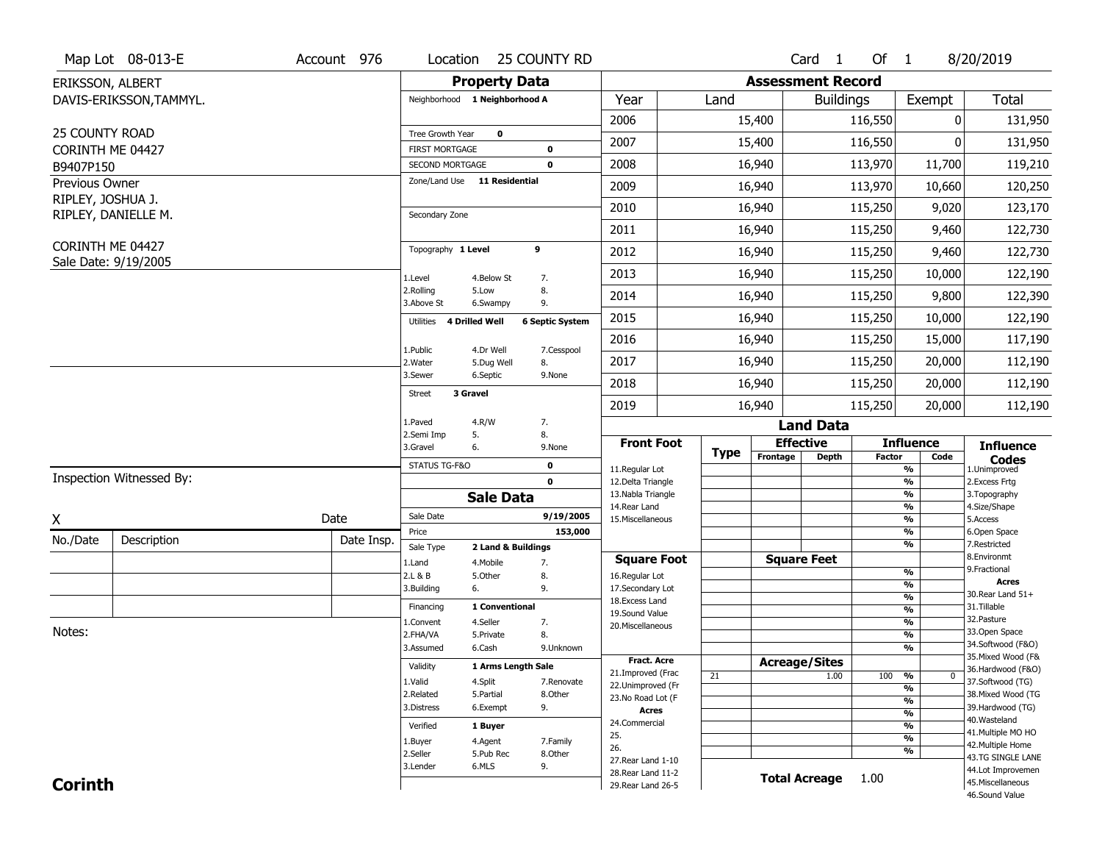|                                     | Map Lot 08-013-E         | Account 976 | Location                                        | 25 COUNTY RD                     |                        |                                          |             |                      | Card <sub>1</sub>        | Of $1$        |                                | 8/20/2019                              |
|-------------------------------------|--------------------------|-------------|-------------------------------------------------|----------------------------------|------------------------|------------------------------------------|-------------|----------------------|--------------------------|---------------|--------------------------------|----------------------------------------|
| ERIKSSON, ALBERT                    |                          |             |                                                 | <b>Property Data</b>             |                        |                                          |             |                      | <b>Assessment Record</b> |               |                                |                                        |
|                                     | DAVIS-ERIKSSON, TAMMYL.  |             | Neighborhood 1 Neighborhood A                   |                                  |                        | Year                                     | Land        |                      | <b>Buildings</b>         |               | Exempt                         | <b>Total</b>                           |
|                                     |                          |             |                                                 |                                  |                        | 2006                                     |             | 15,400               |                          | 116,550       | 0                              | 131,950                                |
| 25 COUNTY ROAD                      |                          |             | Tree Growth Year                                | $\mathbf 0$                      |                        | 2007                                     |             | 15,400               |                          | 116,550       | 0                              | 131,950                                |
| CORINTH ME 04427                    |                          |             | <b>FIRST MORTGAGE</b>                           | $\mathbf 0$                      |                        | 2008                                     |             | 16,940               |                          | 113,970       | 11,700                         |                                        |
| B9407P150                           |                          |             | SECOND MORTGAGE<br>Zone/Land Use 11 Residential | $\mathbf 0$                      |                        |                                          |             |                      |                          |               |                                | 119,210                                |
| Previous Owner<br>RIPLEY, JOSHUA J. |                          |             |                                                 |                                  |                        | 2009                                     |             | 16,940               |                          | 113,970       | 10,660                         | 120,250                                |
|                                     | RIPLEY, DANIELLE M.      |             | Secondary Zone                                  |                                  |                        | 2010                                     |             | 16,940               |                          | 115,250       | 9,020                          | 123,170                                |
|                                     |                          |             |                                                 |                                  |                        | 2011                                     |             | 16,940               |                          | 115,250       | 9,460                          | 122,730                                |
| CORINTH ME 04427                    |                          |             | Topography 1 Level                              | 9                                |                        | 2012                                     |             | 16,940               |                          | 115,250       | 9,460                          | 122,730                                |
|                                     | Sale Date: 9/19/2005     |             | 1.Level                                         | 4.Below St<br>7.                 |                        | 2013                                     |             | 16,940               |                          | 115,250       | 10,000                         | 122,190                                |
|                                     |                          |             | 2.Rolling<br>3.Above St                         | 5.Low<br>8.<br>9.<br>6.Swampy    |                        | 2014                                     |             | 16,940               |                          | 115,250       | 9,800                          | 122,390                                |
|                                     |                          |             | 4 Drilled Well<br>Utilities                     |                                  | <b>6 Septic System</b> | 2015                                     |             | 16,940               |                          | 115,250       | 10,000                         | 122,190                                |
|                                     |                          |             | 1.Public                                        | 4.Dr Well                        | 7.Cesspool             | 2016                                     |             | 16,940               |                          | 115,250       | 15,000                         | 117,190                                |
|                                     |                          |             | 2. Water                                        | 5.Dug Well<br>8.                 |                        | 2017                                     |             | 16,940               |                          | 115,250       | 20,000                         | 112,190                                |
|                                     |                          |             | 3.Sewer                                         | 6.Septic                         | 9.None                 | 2018                                     |             | 16,940               |                          | 115,250       | 20,000                         | 112,190                                |
|                                     |                          |             | 3 Gravel<br><b>Street</b>                       |                                  |                        | 2019                                     |             | 16,940               |                          | 115,250       | 20,000                         | 112,190                                |
|                                     |                          |             | 1.Paved                                         | 4.R/W<br>7.                      |                        |                                          |             |                      | <b>Land Data</b>         |               |                                |                                        |
|                                     |                          |             | 2.Semi Imp<br>5.<br>3.Gravel<br>6.              | 8.                               | 9.None                 | <b>Front Foot</b>                        | <b>Type</b> | <b>Effective</b>     |                          |               | <b>Influence</b>               | <b>Influence</b>                       |
|                                     |                          |             | STATUS TG-F&O                                   | $\mathbf 0$                      |                        | 11.Regular Lot                           |             | Frontage             | <b>Depth</b>             | <b>Factor</b> | Code<br>%                      | <b>Codes</b><br>1.Unimproved           |
|                                     | Inspection Witnessed By: |             |                                                 | $\mathbf 0$                      |                        | 12.Delta Triangle                        |             |                      |                          |               | $\frac{9}{6}$                  | 2. Excess Frtg                         |
|                                     |                          |             |                                                 | <b>Sale Data</b>                 |                        | 13. Nabla Triangle<br>14.Rear Land       |             |                      |                          |               | %<br>%                         | 3. Topography<br>4.Size/Shape          |
| X                                   |                          | Date        | Sale Date                                       |                                  | 9/19/2005              | 15. Miscellaneous                        |             |                      |                          |               | $\frac{9}{6}$                  | 5.Access                               |
| No./Date                            | Description              | Date Insp.  | Price                                           |                                  | 153,000                |                                          |             |                      |                          |               | %<br>%                         | 6.Open Space<br>7.Restricted           |
|                                     |                          |             | Sale Type                                       | 2 Land & Buildings               |                        | <b>Square Foot</b>                       |             |                      | <b>Square Feet</b>       |               |                                | 8.Environmt                            |
|                                     |                          |             | 1.Land<br>2.L & B                               | 4. Mobile<br>7.<br>5.Other<br>8. |                        | 16.Regular Lot                           |             |                      |                          |               | $\frac{9}{6}$                  | 9. Fractional                          |
|                                     |                          |             |                                                 |                                  |                        |                                          |             |                      |                          |               | $\frac{9}{6}$                  | <b>Acres</b><br>30. Rear Land 51+      |
|                                     |                          |             | 3.Building<br>6.                                | 9.                               |                        | 17.Secondary Lot                         |             |                      |                          |               | $\frac{9}{6}$                  |                                        |
|                                     |                          |             | Financing                                       | 1 Conventional                   |                        | 18. Excess Land                          |             |                      |                          |               |                                | 31.Tillable                            |
|                                     |                          |             | 1.Convent                                       | 4.Seller<br>7.                   |                        | 19.Sound Value                           |             |                      |                          |               | $\frac{9}{6}$<br>$\frac{9}{6}$ | 32.Pasture                             |
| Notes:                              |                          |             | 2.FHA/VA                                        | 8.<br>5.Private                  |                        | 20.Miscellaneous                         |             |                      |                          |               | $\frac{9}{6}$                  | 33.Open Space                          |
|                                     |                          |             | 3.Assumed                                       | 6.Cash                           | 9.Unknown              |                                          |             |                      |                          |               | $\frac{9}{6}$                  | 34.Softwood (F&O)                      |
|                                     |                          |             | Validity                                        | 1 Arms Length Sale               |                        | Fract. Acre                              |             | <b>Acreage/Sites</b> |                          |               |                                | 35. Mixed Wood (F&                     |
|                                     |                          |             | 1.Valid                                         | 4.Split                          | 7.Renovate             | 21.Improved (Frac                        | 21          |                      | 1.00                     | 100           | %<br>0                         | 36.Hardwood (F&O)<br>37.Softwood (TG)  |
|                                     |                          |             | 2.Related                                       | 5.Partial                        | 8.Other                | 22.Unimproved (Fr<br>23. No Road Lot (F  |             |                      |                          |               | %                              | 38. Mixed Wood (TG                     |
|                                     |                          |             | 3.Distress                                      | 9.<br>6.Exempt                   |                        | <b>Acres</b>                             |             |                      |                          |               | $\frac{9}{6}$<br>$\frac{9}{6}$ | 39.Hardwood (TG)                       |
|                                     |                          |             | Verified                                        | 1 Buyer                          |                        | 24.Commercial                            |             |                      |                          |               | $\frac{9}{6}$                  | 40. Wasteland                          |
|                                     |                          |             | 1.Buyer                                         | 4.Agent                          | 7.Family               | 25.                                      |             |                      |                          |               | $\frac{9}{6}$                  | 41. Multiple MO HO                     |
|                                     |                          |             | 2.Seller                                        | 5.Pub Rec                        | 8.Other                | 26.                                      |             |                      |                          |               | %                              | 42. Multiple Home<br>43.TG SINGLE LANE |
|                                     |                          |             | 3.Lender                                        | 6.MLS<br>9.                      |                        | 27. Rear Land 1-10<br>28. Rear Land 11-2 |             |                      |                          |               |                                | 44.Lot Improvemen                      |
| <b>Corinth</b>                      |                          |             |                                                 |                                  |                        | 29. Rear Land 26-5                       |             |                      | <b>Total Acreage</b>     | 1.00          |                                | 45. Miscellaneous<br>46.Sound Value    |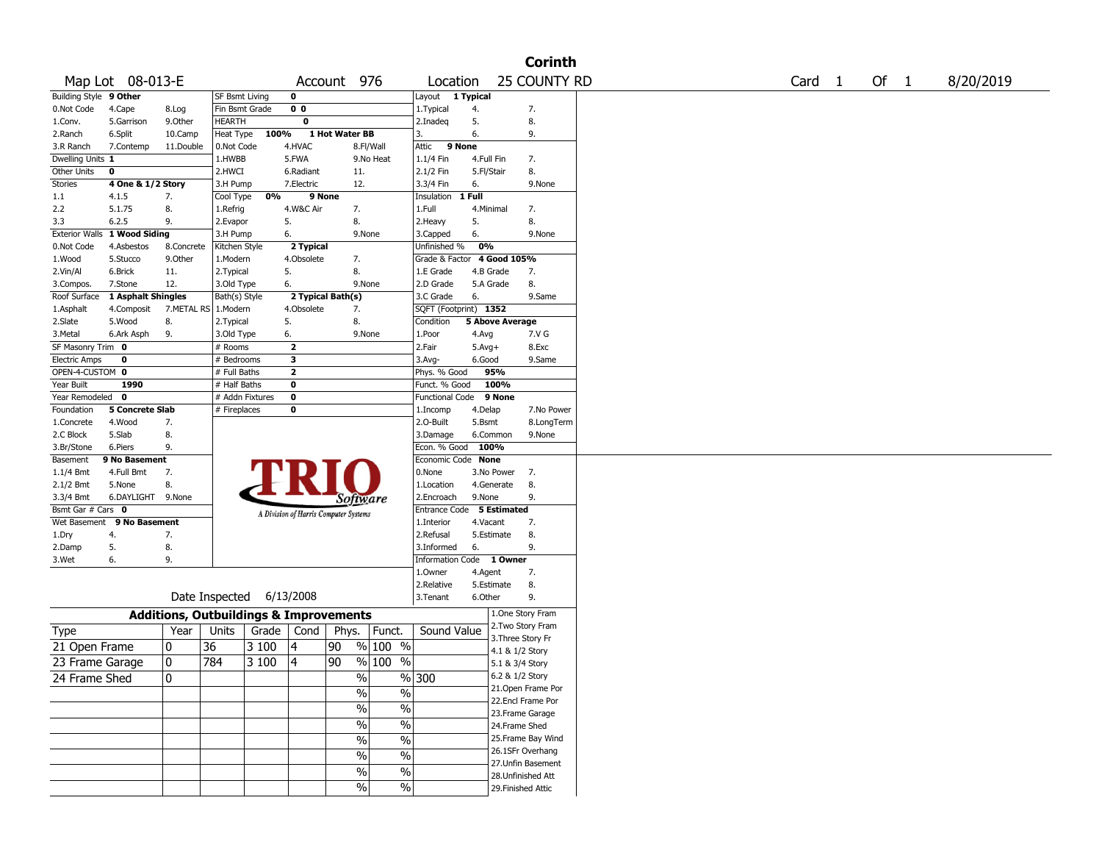|                                   |                        |                                                   |                       |       |                         |                                       |                          |                                    |              |                                    | <b>Corinth</b>     |        |        |           |
|-----------------------------------|------------------------|---------------------------------------------------|-----------------------|-------|-------------------------|---------------------------------------|--------------------------|------------------------------------|--------------|------------------------------------|--------------------|--------|--------|-----------|
| Map Lot 08-013-E                  |                        |                                                   |                       |       |                         | Account 976                           |                          | Location                           |              |                                    | 25 COUNTY RD       | Card 1 | Of $1$ | 8/20/2019 |
| Building Style 9 Other            |                        |                                                   | <b>SF Bsmt Living</b> |       | $\mathbf 0$             |                                       |                          | Layout 1 Typical                   |              |                                    |                    |        |        |           |
| 0.Not Code<br>4.Cape              |                        | 8.Log                                             | Fin Bsmt Grade        |       | 0 <sub>0</sub>          |                                       |                          | 1. Typical                         | 4.           |                                    | 7.                 |        |        |           |
| 1.Conv.<br>5.Garrison             |                        | 9.0ther                                           | <b>HEARTH</b>         |       | $\mathbf 0$             |                                       |                          | 2.Inadeq                           | 5.           |                                    | 8.                 |        |        |           |
| 6.Split<br>2.Ranch                |                        | 10.Camp                                           | Heat Type             | 100%  |                         | 1 Hot Water BB                        |                          | 3.                                 | 6.           |                                    | 9.                 |        |        |           |
| 3.R Ranch<br>7.Contemp            |                        | 11.Double                                         | 0.Not Code            |       | 4.HVAC                  |                                       | 8.Fl/Wall                | 9 None<br>Attic                    |              |                                    |                    |        |        |           |
| Dwelling Units 1                  |                        |                                                   | 1.HWBB                |       | 5.FWA                   |                                       | 9.No Heat                | 1.1/4 Fin                          | 4.Full Fin   |                                    | 7.                 |        |        |           |
| Other Units<br>0                  |                        |                                                   | 2.HWCI                |       | 6.Radiant               | 11.                                   |                          | 2.1/2 Fin                          | 5.Fl/Stair   |                                    | 8.                 |        |        |           |
| Stories                           | 4 One & 1/2 Story      |                                                   | 3.H Pump              | 0%    | 7.Electric<br>9 None    | 12.                                   |                          | 3.3/4 Fin<br>Insulation            | 6.<br>1 Full |                                    | 9.None             |        |        |           |
| $1.1\,$<br>4.1.5<br>5.1.75<br>2.2 | 7.<br>8.               |                                                   | Cool Type<br>1.Refrig |       | 4.W&C Air               | 7.                                    |                          | 1.Full                             |              | 4.Minimal                          | 7.                 |        |        |           |
| 6.2.5<br>3.3                      | 9.                     |                                                   | 2.Evapor              |       | 5.                      | 8.                                    |                          | 2.Heavy                            | 5.           |                                    | 8.                 |        |        |           |
| Exterior Walls 1 Wood Siding      |                        |                                                   | 3.H Pump              |       | 6.                      | 9.None                                |                          | 3.Capped                           | 6.           |                                    | 9.None             |        |        |           |
| 0.Not Code<br>4.Asbestos          |                        | 8.Concrete                                        | Kitchen Style         |       | 2 Typical               |                                       |                          | Unfinished %                       | 0%           |                                    |                    |        |        |           |
| 5.Stucco<br>1.Wood                |                        | 9.Other                                           | 1.Modern              |       | 4.Obsolete              | 7.                                    |                          | Grade & Factor 4 Good 105%         |              |                                    |                    |        |        |           |
| 6.Brick<br>2.Vin/Al               |                        | 11.                                               | 2.Typical             |       | 5.                      | 8.                                    |                          | 1.E Grade                          |              | 4.B Grade                          | 7.                 |        |        |           |
| 7.Stone<br>3.Compos.              |                        | 12.                                               | 3.Old Type            |       | 6.                      | 9.None                                |                          | 2.D Grade                          |              | 5.A Grade                          | 8.                 |        |        |           |
| Roof Surface                      | 1 Asphalt Shingles     |                                                   | Bath(s) Style         |       |                         | 2 Typical Bath(s)                     |                          | 3.C Grade                          | 6.           |                                    | 9.Same             |        |        |           |
| 1.Asphalt<br>4.Composit           |                        | 7.METAL RS   1.Modern                             |                       |       | 4.Obsolete              | 7.                                    |                          | SQFT (Footprint) 1352              |              |                                    |                    |        |        |           |
| 2.Slate<br>5.Wood                 | 8.                     |                                                   | 2.Typical             |       | 5.                      | 8.                                    |                          | Condition                          |              | <b>5 Above Average</b>             |                    |        |        |           |
| 3.Metal<br>6.Ark Asph             | 9.                     |                                                   | 3.Old Type            |       | 6.                      | 9.None                                |                          | 1.Poor                             | 4.Avg        |                                    | 7.V G              |        |        |           |
| SF Masonry Trim 0                 |                        |                                                   | # Rooms               |       | $\overline{\mathbf{2}}$ |                                       |                          | 2.Fair                             | $5.Avg+$     |                                    | 8.Exc              |        |        |           |
| Electric Amps<br>0                |                        |                                                   | # Bedrooms            |       | 3                       |                                       |                          | $3.$ Avg-                          | 6.Good       |                                    | 9.Same             |        |        |           |
| OPEN-4-CUSTOM 0                   |                        |                                                   | # Full Baths          |       | 2                       |                                       |                          | Phys. % Good                       |              | 95%                                |                    |        |        |           |
| Year Built<br>1990                |                        |                                                   | # Half Baths          |       | 0                       |                                       |                          | Funct. % Good                      |              | 100%                               |                    |        |        |           |
| Year Remodeled<br>$\mathbf{0}$    |                        |                                                   | # Addn Fixtures       |       | 0                       |                                       |                          | Functional Code                    |              | 9 None                             |                    |        |        |           |
| Foundation                        | <b>5 Concrete Slab</b> |                                                   | # Fireplaces          |       | 0                       |                                       |                          | 1.Incomp                           | 4.Delap      |                                    | 7.No Power         |        |        |           |
| 1.Concrete<br>4.Wood              | 7.                     |                                                   |                       |       |                         |                                       |                          | 2.0-Built                          | 5.Bsmt       |                                    | 8.LongTerm         |        |        |           |
| 2.C Block<br>5.Slab               | 8.                     |                                                   |                       |       |                         |                                       |                          | 3.Damage                           |              | 6.Common                           | 9.None             |        |        |           |
| 3.Br/Stone<br>6.Piers<br>Basement | 9.<br>9 No Basement    |                                                   |                       |       |                         |                                       |                          | Econ. % Good<br>Economic Code None |              | 100%                               |                    |        |        |           |
| 4.Full Bmt<br>$1.1/4$ Bmt         | 7.                     |                                                   |                       |       |                         |                                       |                          | 0.None                             |              | 3.No Power                         | 7.                 |        |        |           |
| 2.1/2 Bmt<br>5.None               | 8.                     |                                                   |                       |       |                         |                                       |                          | 1.Location                         |              | 4.Generate                         | 8.                 |        |        |           |
| 3.3/4 Bmt                         | 6.DAYLIGHT 9.None      |                                                   |                       |       |                         | Software                              |                          | 2.Encroach                         | 9.None       |                                    | 9.                 |        |        |           |
| Bsmt Gar # Cars<br>0              |                        |                                                   |                       |       |                         |                                       |                          | Entrance Code                      |              | 5 Estimated                        |                    |        |        |           |
| Wet Basement                      | 9 No Basement          |                                                   |                       |       |                         | A Division of Harris Computer Systems |                          | 1.Interior                         | 4.Vacant     |                                    | 7.                 |        |        |           |
| 1.Dry<br>4.                       | 7.                     |                                                   |                       |       |                         |                                       |                          | 2.Refusal                          |              | 5.Estimate                         | 8.                 |        |        |           |
| 5.<br>2.Damp                      | 8.                     |                                                   |                       |       |                         |                                       |                          | 3.Informed                         | 6.           |                                    | 9.                 |        |        |           |
| 6.<br>3.Wet                       | 9.                     |                                                   |                       |       |                         |                                       |                          | Information Code 1 Owner           |              |                                    |                    |        |        |           |
|                                   |                        |                                                   |                       |       |                         |                                       |                          | 1.Owner                            | 4.Agent      |                                    | 7.                 |        |        |           |
|                                   |                        |                                                   |                       |       |                         |                                       |                          | 2.Relative                         |              | 5.Estimate                         | 8.                 |        |        |           |
|                                   |                        | Date Inspected 6/13/2008                          |                       |       |                         |                                       |                          | 3. Tenant                          | 6.Other      |                                    | 9.                 |        |        |           |
|                                   |                        | <b>Additions, Outbuildings &amp; Improvements</b> |                       |       |                         |                                       |                          |                                    |              |                                    | 1.One Story Fram   |        |        |           |
| Type                              |                        | Year                                              | Units                 | Grade | Cond                    | Phys.   Funct.                        |                          | Sound Value                        |              |                                    | 2. Two Story Fram  |        |        |           |
| 21 Open Frame                     | 10                     | 36                                                |                       | 3 100 | 4                       | 90                                    | $% 100\% $               |                                    |              | 3. Three Story Fr                  |                    |        |        |           |
| 23 Frame Garage                   | 10                     | 784                                               |                       | 3 100 | 14                      | 90                                    | $% 100 \t% $             |                                    |              | 4.1 & 1/2 Story                    |                    |        |        |           |
|                                   |                        |                                                   |                       |       |                         |                                       |                          |                                    |              | 5.1 & 3/4 Story<br>6.2 & 1/2 Story |                    |        |        |           |
| 24 Frame Shed                     | 0                      |                                                   |                       |       |                         | $\frac{9}{6}$                         |                          | %300                               |              |                                    | 21. Open Frame Por |        |        |           |
|                                   |                        |                                                   |                       |       |                         | $\%$                                  | $\sqrt{6}$               |                                    |              |                                    | 22.Encl Frame Por  |        |        |           |
|                                   |                        |                                                   |                       |       |                         | %                                     | $\sqrt{6}$               |                                    |              |                                    | 23.Frame Garage    |        |        |           |
|                                   |                        |                                                   |                       |       |                         | $\%$                                  | $\sqrt{6}$               |                                    |              | 24.Frame Shed                      |                    |        |        |           |
|                                   |                        |                                                   |                       |       |                         |                                       | $\overline{\frac{0}{0}}$ |                                    |              |                                    | 25. Frame Bay Wind |        |        |           |
|                                   |                        |                                                   |                       |       |                         | $\%$                                  |                          |                                    |              |                                    | 26.1SFr Overhang   |        |        |           |
|                                   |                        |                                                   |                       |       |                         | $\%$                                  | $\frac{0}{6}$            |                                    |              |                                    | 27. Unfin Basement |        |        |           |
|                                   |                        |                                                   |                       |       |                         | $\%$                                  | $\frac{0}{6}$            |                                    |              |                                    | 28. Unfinished Att |        |        |           |
|                                   |                        |                                                   |                       |       |                         | $\%$                                  | $\frac{1}{2}$            |                                    |              | 29. Finished Attic                 |                    |        |        |           |
|                                   |                        |                                                   |                       |       |                         |                                       |                          |                                    |              |                                    |                    |        |        |           |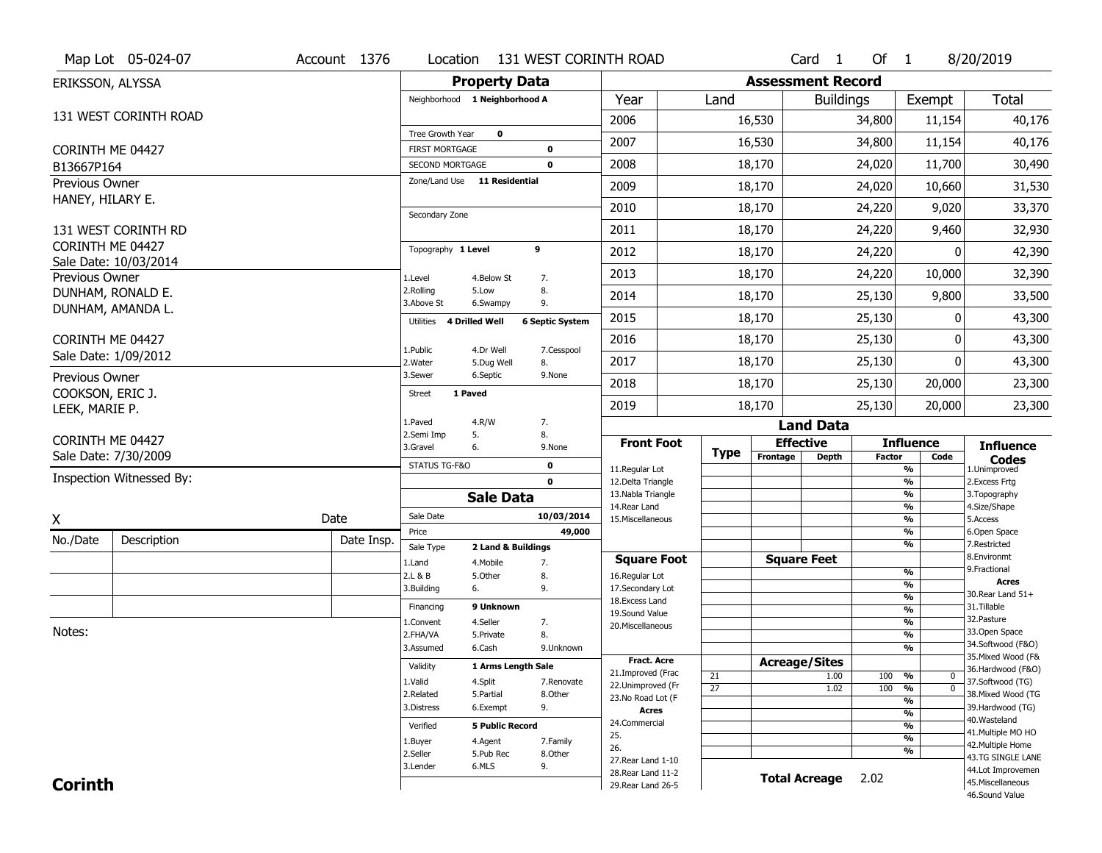|                                    | Map Lot 05-024-07                      | Account 1376 | Location                                               |                         | 131 WEST CORINTH ROAD  |                                          |                       |                          | Card <sub>1</sub>    | Of $1$        |                                | 8/20/2019                               |
|------------------------------------|----------------------------------------|--------------|--------------------------------------------------------|-------------------------|------------------------|------------------------------------------|-----------------------|--------------------------|----------------------|---------------|--------------------------------|-----------------------------------------|
| ERIKSSON, ALYSSA                   |                                        |              |                                                        | <b>Property Data</b>    |                        |                                          |                       | <b>Assessment Record</b> |                      |               |                                |                                         |
|                                    |                                        |              | Neighborhood 1 Neighborhood A                          |                         |                        | Year                                     | Land                  |                          | <b>Buildings</b>     |               | Exempt                         | <b>Total</b>                            |
|                                    | 131 WEST CORINTH ROAD                  |              |                                                        |                         |                        | 2006                                     |                       | 16,530                   |                      | 34,800        | 11,154                         | 40,176                                  |
|                                    |                                        |              | Tree Growth Year                                       | $\mathbf 0$             |                        | 2007                                     |                       | 16,530                   |                      | 34,800        | 11,154                         | 40,176                                  |
| CORINTH ME 04427                   |                                        |              | <b>FIRST MORTGAGE</b>                                  |                         | $\bf{0}$               |                                          |                       |                          |                      |               |                                |                                         |
| B13667P164                         |                                        |              | <b>SECOND MORTGAGE</b><br>Zone/Land Use 11 Residential |                         | 0                      | 2008                                     |                       | 18,170                   |                      | 24,020        | 11,700                         | 30,490                                  |
| Previous Owner<br>HANEY, HILARY E. |                                        |              |                                                        |                         |                        | 2009                                     |                       | 18,170                   |                      | 24,020        | 10,660                         | 31,530                                  |
|                                    |                                        |              | Secondary Zone                                         |                         |                        | 2010                                     |                       | 18,170                   |                      | 24,220        | 9,020                          | 33,370                                  |
|                                    | 131 WEST CORINTH RD                    |              |                                                        |                         |                        | 2011                                     |                       | 18,170                   |                      | 24,220        | 9,460                          | 32,930                                  |
| CORINTH ME 04427                   |                                        |              | Topography 1 Level                                     |                         | 9                      | 2012                                     |                       | 18,170                   |                      | 24,220        | 0                              | 42,390                                  |
|                                    | Sale Date: 10/03/2014                  |              |                                                        |                         |                        | 2013                                     |                       |                          |                      | 24,220        | 10,000                         |                                         |
| Previous Owner                     |                                        |              | 1.Level<br>2.Rolling                                   | 4.Below St<br>5.Low     | 7.<br>8.               |                                          |                       | 18,170                   |                      |               |                                | 32,390                                  |
|                                    | DUNHAM, RONALD E.<br>DUNHAM, AMANDA L. |              | 3.Above St                                             | 6.Swampy                | 9.                     | 2014                                     |                       | 18,170                   |                      | 25,130        | 9,800                          | 33,500                                  |
|                                    |                                        |              | Utilities                                              | 4 Drilled Well          | <b>6 Septic System</b> | 2015                                     |                       | 18,170                   |                      | 25,130        | 0                              | 43,300                                  |
| CORINTH ME 04427                   |                                        |              |                                                        |                         |                        | 2016                                     |                       | 18,170                   |                      | 25,130        | 0                              | 43,300                                  |
|                                    | Sale Date: 1/09/2012                   |              | 1.Public<br>2. Water                                   | 4.Dr Well<br>5.Dug Well | 7.Cesspool<br>8.       | 2017                                     |                       | 18,170                   |                      | 25,130        | $\Omega$                       | 43,300                                  |
| Previous Owner                     |                                        |              | 3.Sewer                                                | 6.Septic                | 9.None                 | 2018                                     |                       | 18,170                   |                      | 25,130        | 20,000                         | 23,300                                  |
| COOKSON, ERIC J.                   |                                        |              | 1 Paved<br><b>Street</b>                               |                         |                        | 2019                                     |                       | 18,170                   | 25,130               |               | 20,000                         | 23,300                                  |
| LEEK, MARIE P.                     |                                        |              | 1.Paved                                                | 4.R/W                   | 7.                     |                                          |                       |                          | <b>Land Data</b>     |               |                                |                                         |
| CORINTH ME 04427                   |                                        |              | 2.Semi Imp                                             | 5.                      | 8.                     | <b>Front Foot</b>                        |                       |                          | <b>Effective</b>     |               | <b>Influence</b>               |                                         |
|                                    | Sale Date: 7/30/2009                   |              | 3.Gravel                                               | 6.                      | 9.None                 |                                          | <b>Type</b>           | Frontage                 | <b>Depth</b>         | <b>Factor</b> | Code                           | <b>Influence</b><br><b>Codes</b>        |
|                                    | Inspection Witnessed By:               |              | STATUS TG-F&O                                          |                         | 0<br>$\mathbf 0$       | 11.Regular Lot                           |                       |                          |                      |               | %                              | 1.Unimproved                            |
|                                    |                                        |              |                                                        | <b>Sale Data</b>        |                        | 12.Delta Triangle<br>13. Nabla Triangle  |                       |                          |                      |               | $\frac{9}{6}$<br>$\frac{9}{6}$ | 2. Excess Frtg<br>3. Topography         |
|                                    |                                        |              | Sale Date                                              |                         | 10/03/2014             | 14. Rear Land                            |                       |                          |                      |               | $\frac{9}{6}$                  | 4.Size/Shape                            |
| X                                  |                                        | Date         | Price                                                  |                         | 49,000                 | 15. Miscellaneous                        |                       |                          |                      |               | $\frac{9}{6}$<br>$\frac{9}{6}$ | 5.Access<br>6.Open Space                |
| No./Date                           | Description                            | Date Insp.   | Sale Type                                              | 2 Land & Buildings      |                        |                                          |                       |                          |                      |               | %                              | 7.Restricted                            |
|                                    |                                        |              | 1.Land                                                 | 4. Mobile               | 7.                     | <b>Square Foot</b>                       |                       |                          | <b>Square Feet</b>   |               | $\frac{9}{6}$                  | 8.Environmt<br>9. Fractional            |
|                                    |                                        |              | 2.L & B<br>3.Building                                  | 5.Other<br>6.           | 8.<br>9.               | 16.Regular Lot<br>17.Secondary Lot       |                       |                          |                      |               | %                              | Acres                                   |
|                                    |                                        |              | Financing                                              | 9 Unknown               |                        | 18. Excess Land                          |                       |                          |                      |               | $\frac{9}{6}$                  | 30. Rear Land 51+<br>31.Tillable        |
|                                    |                                        |              | 1.Convent                                              | 4.Seller                | 7.                     | 19.Sound Value                           |                       |                          |                      |               | $\frac{9}{6}$<br>$\frac{9}{6}$ | 32. Pasture                             |
| Notes:                             |                                        |              | 2.FHA/VA                                               | 5.Private               | 8.                     | 20.Miscellaneous                         |                       |                          |                      |               | $\frac{9}{6}$                  | 33.Open Space                           |
|                                    |                                        |              | 3.Assumed                                              | 6.Cash                  | 9.Unknown              |                                          |                       |                          |                      |               | $\frac{9}{6}$                  | 34.Softwood (F&O)                       |
|                                    |                                        |              | Validity                                               | 1 Arms Length Sale      |                        | Fract. Acre<br>21.Improved (Frac         |                       |                          | <b>Acreage/Sites</b> |               |                                | 35. Mixed Wood (F&<br>36.Hardwood (F&O) |
|                                    |                                        |              | 1.Valid                                                | 4.Split                 | 7.Renovate             | 22.Unimproved (Fr                        | 21<br>$\overline{27}$ |                          | 1.00<br>1.02         | 100<br>100    | %<br>0<br>$\overline{0}$<br>%  | 37.Softwood (TG)                        |
|                                    |                                        |              | 2.Related                                              | 5.Partial               | 8.Other                | 23.No Road Lot (F                        |                       |                          |                      |               | %                              | 38. Mixed Wood (TG                      |
|                                    |                                        |              | 3.Distress                                             | 6.Exempt                | 9.                     | <b>Acres</b>                             |                       |                          |                      |               | $\frac{9}{6}$                  | 39.Hardwood (TG)                        |
|                                    |                                        |              | Verified                                               | <b>5 Public Record</b>  |                        | 24.Commercial                            |                       |                          |                      |               | $\frac{9}{6}$                  | 40. Wasteland<br>41. Multiple MO HO     |
|                                    |                                        |              | 1.Buyer                                                | 4.Agent                 | 7.Family               | 25.<br>26.                               |                       |                          |                      |               | $\frac{9}{6}$                  | 42. Multiple Home                       |
|                                    |                                        |              | 2.Seller                                               | 5.Pub Rec               | 8.0ther                | 27. Rear Land 1-10                       |                       |                          |                      |               | %                              | 43.TG SINGLE LANE                       |
|                                    |                                        |              | 3.Lender                                               | 6.MLS                   | 9.                     |                                          |                       |                          |                      |               |                                | 44.Lot Improvemen                       |
| <b>Corinth</b>                     |                                        |              |                                                        |                         |                        | 28. Rear Land 11-2<br>29. Rear Land 26-5 |                       | <b>Total Acreage</b>     |                      | 2.02          |                                | 45. Miscellaneous                       |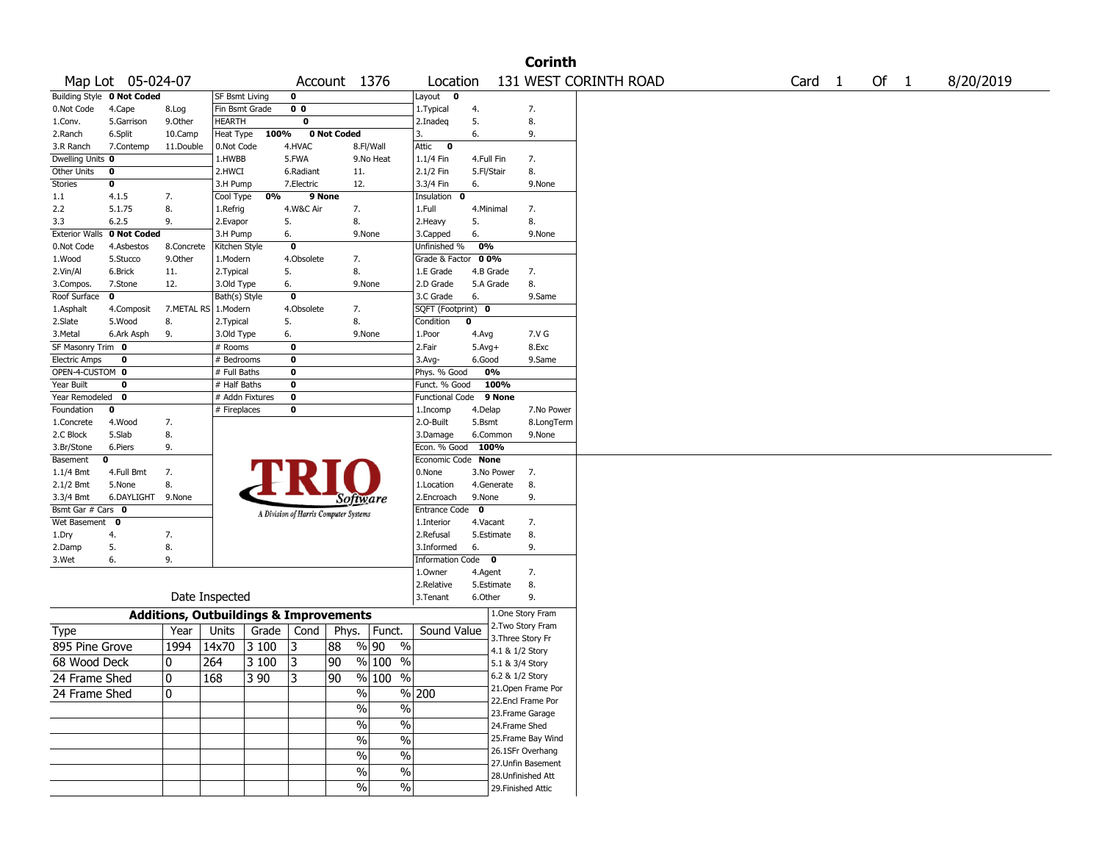|                      | <b>Corinth</b>             |            |                                                   |                 |                |                                       |                          |                    |             |                   |                                       |                       |  |        |      |           |
|----------------------|----------------------------|------------|---------------------------------------------------|-----------------|----------------|---------------------------------------|--------------------------|--------------------|-------------|-------------------|---------------------------------------|-----------------------|--|--------|------|-----------|
|                      | Map Lot 05-024-07          |            |                                                   |                 |                | Account 1376                          |                          | Location           |             |                   |                                       | 131 WEST CORINTH ROAD |  | Card 1 | Of 1 | 8/20/2019 |
|                      | Building Style 0 Not Coded |            | <b>SF Bsmt Living</b>                             |                 | 0              |                                       |                          | Layout<br>0        |             |                   |                                       |                       |  |        |      |           |
| 0.Not Code           | 4.Cape                     | 8.Log      | Fin Bsmt Grade                                    |                 | 0 <sub>0</sub> |                                       |                          | 1. Typical         | 4.          |                   | 7.                                    |                       |  |        |      |           |
| 1.Conv.              | 5.Garrison                 | 9.0ther    | <b>HEARTH</b>                                     |                 | 0              |                                       |                          | 2.Inadeq           | 5.          |                   | 8.                                    |                       |  |        |      |           |
| 2.Ranch              | 6.Split                    | 10.Camp    | Heat Type                                         | 100%            |                | 0 Not Coded                           |                          | 3.                 | 6.          |                   | 9.                                    |                       |  |        |      |           |
| 3.R Ranch            | 7.Contemp                  | 11.Double  | 0.Not Code                                        |                 | 4.HVAC         |                                       | 8.Fl/Wall                | Attic<br>$\bullet$ |             |                   |                                       |                       |  |        |      |           |
| Dwelling Units 0     |                            |            | 1.HWBB                                            |                 | 5.FWA          |                                       | 9.No Heat                | 1.1/4 Fin          | 4.Full Fin  |                   | 7.                                    |                       |  |        |      |           |
| Other Units          | 0                          |            | 2.HWCI                                            |                 | 6.Radiant      | 11.                                   |                          | 2.1/2 Fin          | 5.Fl/Stair  |                   | 8.                                    |                       |  |        |      |           |
| <b>Stories</b>       | 0                          |            | 3.H Pump                                          |                 | 7.Electric     | 12.                                   |                          | 3.3/4 Fin          | 6.          |                   | 9.None                                |                       |  |        |      |           |
| 1.1                  | 4.1.5                      | 7.         | Cool Type                                         | 0%              | 9 None         |                                       |                          | Insulation 0       |             |                   |                                       |                       |  |        |      |           |
| 2.2                  | 5.1.75                     | 8.         | 1.Refrig                                          |                 | 4.W&C Air      | 7.                                    |                          | 1.Full             | 4.Minimal   |                   | 7.                                    |                       |  |        |      |           |
| 3.3                  | 6.2.5                      | 9.         | 2.Evapor                                          |                 | 5.             | 8.                                    |                          | 2.Heavy            | 5.          |                   | 8.                                    |                       |  |        |      |           |
|                      | Exterior Walls 0 Not Coded |            | 3.H Pump                                          |                 | 6.             | 9.None                                |                          | 3.Capped           | 6.          |                   | 9.None                                |                       |  |        |      |           |
| 0.Not Code           | 4.Asbestos                 | 8.Concrete | Kitchen Style                                     |                 | 0              |                                       |                          | Unfinished %       | 0%          |                   |                                       |                       |  |        |      |           |
| 1.Wood               | 5.Stucco                   | 9.Other    | 1.Modern                                          |                 | 4.Obsolete     | 7.                                    |                          | Grade & Factor     | 0 0%        |                   |                                       |                       |  |        |      |           |
| 2.Vin/Al             | 6.Brick                    | 11.        | 2.Typical                                         |                 | 5.             | 8.                                    |                          | 1.E Grade          | 4.B Grade   |                   | 7.                                    |                       |  |        |      |           |
| 3.Compos.            | 7.Stone                    | 12.        | 3.Old Type                                        |                 | 6.             | 9.None                                |                          | 2.D Grade          | 5.A Grade   |                   | 8.                                    |                       |  |        |      |           |
| Roof Surface         | 0                          |            | Bath(s) Style                                     |                 | 0              |                                       |                          | 3.C Grade          | 6.          |                   | 9.Same                                |                       |  |        |      |           |
| 1.Asphalt            | 4.Composit                 |            | 7.METAL RS   1.Modern                             |                 | 4.Obsolete     | 7.                                    |                          | SQFT (Footprint) 0 |             |                   |                                       |                       |  |        |      |           |
| 2.Slate              | 5.Wood                     | 8.         | 2. Typical                                        |                 | 5.             | 8.                                    |                          | Condition<br>0     |             |                   |                                       |                       |  |        |      |           |
| 3.Metal              | 6.Ark Asph                 | 9.         | 3.Old Type                                        |                 | 6.             | 9.None                                |                          | 1.Poor             | 4.Avg       |                   | 7.V G                                 |                       |  |        |      |           |
| SF Masonry Trim 0    |                            |            | # Rooms                                           |                 | 0              |                                       |                          | 2.Fair             | $5.Avg+$    |                   | 8.Exc                                 |                       |  |        |      |           |
| <b>Electric Amps</b> | 0                          |            | # Bedrooms                                        |                 | 0              |                                       |                          | 3.Avg-             | 6.Good      |                   | 9.Same                                |                       |  |        |      |           |
| OPEN-4-CUSTOM 0      |                            |            | # Full Baths                                      |                 | 0              |                                       |                          | Phys. % Good       |             | 0%                |                                       |                       |  |        |      |           |
| Year Built           | 0                          |            | # Half Baths                                      |                 | 0              |                                       |                          | Funct. % Good      |             | 100%              |                                       |                       |  |        |      |           |
| Year Remodeled       | 0                          |            |                                                   | # Addn Fixtures | 0              |                                       |                          | Functional Code    |             | 9 None            |                                       |                       |  |        |      |           |
| Foundation           | 0                          |            | # Fireplaces                                      |                 | 0              |                                       |                          | 1.Incomp           | 4.Delap     |                   | 7.No Power                            |                       |  |        |      |           |
| 1.Concrete           | 4.Wood                     | 7.         |                                                   |                 |                |                                       |                          | 2.O-Built          | 5.Bsmt      |                   | 8.LongTerm                            |                       |  |        |      |           |
| 2.C Block            | 5.Slab                     | 8.         |                                                   |                 |                |                                       |                          | 3.Damage           |             | 6.Common          | 9.None                                |                       |  |        |      |           |
| 3.Br/Stone           | 6.Piers                    | 9.         |                                                   |                 |                |                                       |                          | Econ. % Good       | 100%        |                   |                                       |                       |  |        |      |           |
| Basement             | 0                          |            |                                                   |                 |                |                                       |                          | Economic Code None |             |                   |                                       |                       |  |        |      |           |
| 1.1/4 Bmt            | 4.Full Bmt                 | 7.         |                                                   |                 |                |                                       |                          | 0.None             |             | 3.No Power        | 7.                                    |                       |  |        |      |           |
| 2.1/2 Bmt            | 5.None                     | 8.         |                                                   |                 |                |                                       |                          | 1.Location         |             | 4.Generate        | 8.                                    |                       |  |        |      |           |
| 3.3/4 Bmt            | 6.DAYLIGHT 9.None          |            |                                                   |                 |                | Software                              |                          | 2.Encroach         | 9.None      |                   | 9.                                    |                       |  |        |      |           |
| Bsmt Gar # Cars 0    |                            |            |                                                   |                 |                | A Division of Harris Computer Systems |                          | Entrance Code      | $\mathbf 0$ |                   |                                       |                       |  |        |      |           |
| Wet Basement         | 0                          |            |                                                   |                 |                |                                       |                          | 1.Interior         | 4.Vacant    |                   | 7.                                    |                       |  |        |      |           |
| 1.Dry                | 4.                         | 7.         |                                                   |                 |                |                                       |                          | 2.Refusal          |             | 5.Estimate        | 8.                                    |                       |  |        |      |           |
| 2.Damp               | 5.                         | 8.         |                                                   |                 |                |                                       |                          | 3.Informed         | 6.          |                   | 9.                                    |                       |  |        |      |           |
| 3.Wet                | 6.                         | 9.         |                                                   |                 |                |                                       |                          | Information Code 0 |             |                   |                                       |                       |  |        |      |           |
|                      |                            |            |                                                   |                 |                |                                       |                          | 1.Owner            | 4.Agent     |                   | 7.                                    |                       |  |        |      |           |
|                      |                            |            |                                                   |                 |                |                                       |                          | 2.Relative         |             | 5.Estimate        | 8.                                    |                       |  |        |      |           |
|                      |                            |            | Date Inspected                                    |                 |                |                                       |                          | 3. Tenant          | 6.Other     |                   | 9.                                    |                       |  |        |      |           |
|                      |                            |            | <b>Additions, Outbuildings &amp; Improvements</b> |                 |                |                                       |                          |                    |             |                   | 1.One Story Fram<br>2. Two Story Fram |                       |  |        |      |           |
| Type                 |                            | Year       | Units                                             | Grade           | Cond           | Phys.   Funct.                        |                          | Sound Value        |             | 3. Three Story Fr |                                       |                       |  |        |      |           |
| 895 Pine Grove       |                            | 1994       | 14x70                                             | 3100            | 3              | 88                                    | % 90<br>$\%$             |                    |             | 4.1 & 1/2 Story   |                                       |                       |  |        |      |           |
| 68 Wood Deck         |                            | 10         | 264                                               | 3 100           | 3              | 90                                    | % 100 %                  |                    |             | 5.1 & 3/4 Story   |                                       |                       |  |        |      |           |
| 24 Frame Shed        |                            | 0          | 168                                               | $ 390\rangle$   | 3              | $ 90\rangle$                          | $\frac{9}{6}$ 100 %      |                    |             | 6.2 & 1/2 Story   |                                       |                       |  |        |      |           |
|                      |                            |            |                                                   |                 |                |                                       |                          |                    |             |                   | 21.Open Frame Por                     |                       |  |        |      |           |
| 24 Frame Shed        |                            | 10         |                                                   |                 |                | %                                     |                          | $\frac{9}{6}$ 200  |             |                   | 22.Encl Frame Por                     |                       |  |        |      |           |
|                      |                            |            |                                                   |                 |                | %                                     | $\%$                     |                    |             |                   | 23. Frame Garage                      |                       |  |        |      |           |
|                      |                            |            |                                                   |                 |                | $\%$                                  | $\overline{\frac{0}{6}}$ |                    |             | 24.Frame Shed     |                                       |                       |  |        |      |           |
|                      |                            |            |                                                   |                 |                | $\%$                                  | $\overline{\frac{0}{6}}$ |                    |             |                   | 25. Frame Bay Wind                    |                       |  |        |      |           |
|                      |                            |            |                                                   |                 |                |                                       |                          |                    |             |                   | 26.1SFr Overhang                      |                       |  |        |      |           |
|                      |                            |            |                                                   |                 |                | $\sqrt{6}$                            | $\overline{\frac{0}{6}}$ |                    |             |                   | 27.Unfin Basement                     |                       |  |        |      |           |
|                      |                            |            |                                                   |                 |                | $\%$                                  | $\%$                     |                    |             |                   | 28. Unfinished Att                    |                       |  |        |      |           |
|                      |                            |            |                                                   |                 |                | $\%$                                  | $\%$                     |                    |             |                   | 29. Finished Attic                    |                       |  |        |      |           |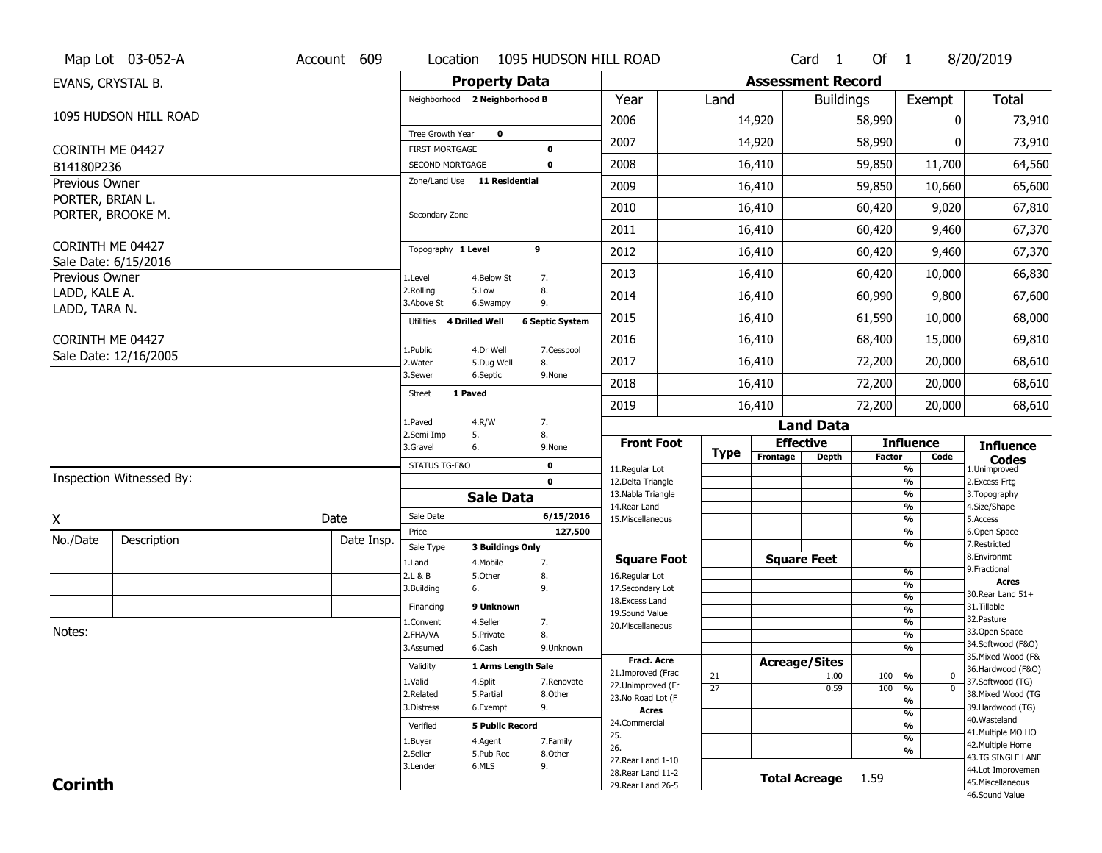|                                    | Map Lot 03-052-A         | Account 609 | Location                           | 1095 HUDSON HILL ROAD                       |                                          |                 |                          | $Card \t1$           | Of 1          |                                 | 8/20/2019                              |
|------------------------------------|--------------------------|-------------|------------------------------------|---------------------------------------------|------------------------------------------|-----------------|--------------------------|----------------------|---------------|---------------------------------|----------------------------------------|
| EVANS, CRYSTAL B.                  |                          |             |                                    | <b>Property Data</b>                        |                                          |                 | <b>Assessment Record</b> |                      |               |                                 |                                        |
|                                    |                          |             |                                    | Neighborhood 2 Neighborhood B               | Year                                     | Land            |                          | <b>Buildings</b>     |               | Exempt                          | <b>Total</b>                           |
|                                    | 1095 HUDSON HILL ROAD    |             |                                    |                                             | 2006                                     |                 | 14,920                   |                      | 58,990        | 0                               | 73,910                                 |
|                                    |                          |             | Tree Growth Year                   | $\mathbf 0$                                 | 2007                                     |                 | 14,920                   |                      | 58,990        | 0                               | 73,910                                 |
| CORINTH ME 04427                   |                          |             | <b>FIRST MORTGAGE</b>              | 0                                           |                                          |                 |                          |                      |               |                                 |                                        |
| B14180P236                         |                          |             | SECOND MORTGAGE                    | 0                                           | 2008                                     |                 | 16,410                   |                      | 59,850        | 11,700                          | 64,560                                 |
| Previous Owner<br>PORTER, BRIAN L. |                          |             | Zone/Land Use 11 Residential       |                                             | 2009                                     |                 | 16,410                   |                      | 59,850        | 10,660                          | 65,600                                 |
|                                    | PORTER, BROOKE M.        |             | Secondary Zone                     |                                             | 2010                                     |                 | 16,410                   |                      | 60,420        | 9,020                           | 67,810                                 |
|                                    |                          |             |                                    |                                             | 2011                                     |                 | 16,410                   |                      | 60,420        | 9,460                           | 67,370                                 |
| CORINTH ME 04427                   |                          |             | Topography 1 Level                 | 9                                           | 2012                                     |                 | 16,410                   |                      | 60,420        | 9,460                           | 67,370                                 |
| Previous Owner                     | Sale Date: 6/15/2016     |             | 1.Level                            | 4.Below St<br>7.                            | 2013                                     |                 | 16,410                   |                      | 60,420        | 10,000                          | 66,830                                 |
| LADD, KALE A.                      |                          |             | 2.Rolling                          | 8.<br>5.Low                                 | 2014                                     |                 | 16,410                   |                      | 60,990        | 9,800                           | 67,600                                 |
| LADD, TARA N.                      |                          |             | 3.Above St                         | 9.<br>6.Swampy                              | 2015                                     |                 | 16,410                   |                      | 61,590        | 10,000                          | 68,000                                 |
|                                    |                          |             | <b>4 Drilled Well</b><br>Utilities | <b>6 Septic System</b>                      |                                          |                 |                          |                      |               |                                 |                                        |
| CORINTH ME 04427                   | Sale Date: 12/16/2005    |             | 1.Public                           | 4.Dr Well<br>7.Cesspool                     | 2016                                     |                 | 16,410                   |                      | 68,400        | 15,000                          | 69,810                                 |
|                                    |                          |             | 2.Water<br>3.Sewer                 | 5.Dug Well<br>8.<br>6.Septic<br>9.None      | 2017                                     |                 | 16,410                   |                      | 72,200        | 20,000                          | 68,610                                 |
|                                    |                          |             | 1 Paved<br><b>Street</b>           |                                             | 2018                                     |                 | 16,410                   |                      | 72,200        | 20,000                          | 68,610                                 |
|                                    |                          |             |                                    |                                             | 2019                                     |                 | 16,410                   |                      | 72,200        | 20,000                          | 68,610                                 |
|                                    |                          |             | 1.Paved<br>2.Semi Imp<br>5.        | 4.R/W<br>7.<br>8.                           |                                          |                 |                          | <b>Land Data</b>     |               |                                 |                                        |
|                                    |                          |             | 3.Gravel<br>6.                     | 9.None                                      | <b>Front Foot</b>                        | <b>Type</b>     | <b>Effective</b>         |                      |               | <b>Influence</b>                | <b>Influence</b>                       |
|                                    |                          |             | STATUS TG-F&O                      | $\mathbf 0$                                 | 11.Regular Lot                           |                 | Frontage                 | <b>Depth</b>         | <b>Factor</b> | Code<br>%                       | <b>Codes</b><br>1.Unimproved           |
|                                    | Inspection Witnessed By: |             |                                    | $\mathbf 0$                                 |                                          |                 |                          |                      |               |                                 | 2. Excess Frtg                         |
|                                    |                          |             |                                    |                                             | 12.Delta Triangle                        |                 |                          |                      |               | $\overline{\frac{9}{6}}$        |                                        |
|                                    |                          |             |                                    | <b>Sale Data</b>                            | 13. Nabla Triangle                       |                 |                          |                      |               | %<br>%                          | 3. Topography                          |
| X                                  |                          | Date        | Sale Date                          | 6/15/2016                                   | 14. Rear Land<br>15. Miscellaneous       |                 |                          |                      |               | %                               | 4.Size/Shape<br>5.Access               |
|                                    |                          |             | Price                              | 127,500                                     |                                          |                 |                          |                      |               | %                               | 6.Open Space                           |
| No./Date                           | Description              | Date Insp.  | Sale Type                          | <b>3 Buildings Only</b>                     |                                          |                 |                          |                      |               | %                               | 7.Restricted<br>8.Environmt            |
|                                    |                          |             | 1.Land<br>2.L & B                  | 4. Mobile<br>7.<br>5.0ther<br>8.            | <b>Square Foot</b><br>16.Regular Lot     |                 | <b>Square Feet</b>       |                      |               | $\frac{9}{6}$                   | 9. Fractional                          |
|                                    |                          |             | 3.Building<br>6.                   | 9.                                          | 17.Secondary Lot                         |                 |                          |                      |               | $\overline{\frac{9}{6}}$        | <b>Acres</b>                           |
|                                    |                          |             | Financing                          | 9 Unknown                                   | 18.Excess Land                           |                 |                          |                      |               | $\frac{9}{6}$                   | 30. Rear Land 51+<br>31.Tillable       |
|                                    |                          |             | 1.Convent                          | 4.Seller<br>7.                              | 19.Sound Value                           |                 |                          |                      |               | $\frac{9}{6}$<br>$\frac{9}{6}$  | 32.Pasture                             |
| Notes:                             |                          |             | 2.FHA/VA                           | 8.<br>5.Private                             | 20.Miscellaneous                         |                 |                          |                      |               | $\frac{9}{6}$                   | 33.Open Space                          |
|                                    |                          |             | 3.Assumed                          | 6.Cash<br>9.Unknown                         |                                          |                 |                          |                      |               | %                               | 34.Softwood (F&O)                      |
|                                    |                          |             | Validity                           | 1 Arms Length Sale                          | <b>Fract. Acre</b>                       |                 | <b>Acreage/Sites</b>     |                      |               |                                 | 35. Mixed Wood (F&                     |
|                                    |                          |             | 1.Valid                            | 4.Split<br>7.Renovate                       | 21.Improved (Frac                        | 21              |                          | 1.00                 | 100           | %<br>0                          | 36.Hardwood (F&O)                      |
|                                    |                          |             | 2.Related                          | 5.Partial<br>8.Other                        | 22.Unimproved (Fr<br>23.No Road Lot (F   | $\overline{27}$ |                          | 0.59                 | 100           | $\overline{0}$<br>$\frac{9}{6}$ | 37.Softwood (TG)<br>38. Mixed Wood (TG |
|                                    |                          |             | 3.Distress                         | 9.<br>6.Exempt                              | <b>Acres</b>                             |                 |                          |                      |               | $\frac{9}{6}$                   | 39.Hardwood (TG)                       |
|                                    |                          |             | Verified                           | <b>5 Public Record</b>                      | 24.Commercial                            |                 |                          |                      |               | $\frac{9}{6}$<br>$\frac{9}{6}$  | 40. Wasteland                          |
|                                    |                          |             |                                    |                                             | 25.                                      |                 |                          |                      |               | $\frac{9}{6}$                   | 41. Multiple MO HO                     |
|                                    |                          |             | 1.Buyer<br>2.Seller                | 4.Agent<br>7.Family<br>5.Pub Rec<br>8.Other | 26.                                      |                 |                          |                      |               | %                               | 42. Multiple Home                      |
|                                    |                          |             | 3.Lender                           | 9.<br>6.MLS                                 | 27. Rear Land 1-10                       |                 |                          |                      |               |                                 | 43.TG SINGLE LANE<br>44.Lot Improvemen |
| <b>Corinth</b>                     |                          |             |                                    |                                             | 28. Rear Land 11-2<br>29. Rear Land 26-5 |                 |                          | <b>Total Acreage</b> | 1.59          |                                 | 45. Miscellaneous                      |